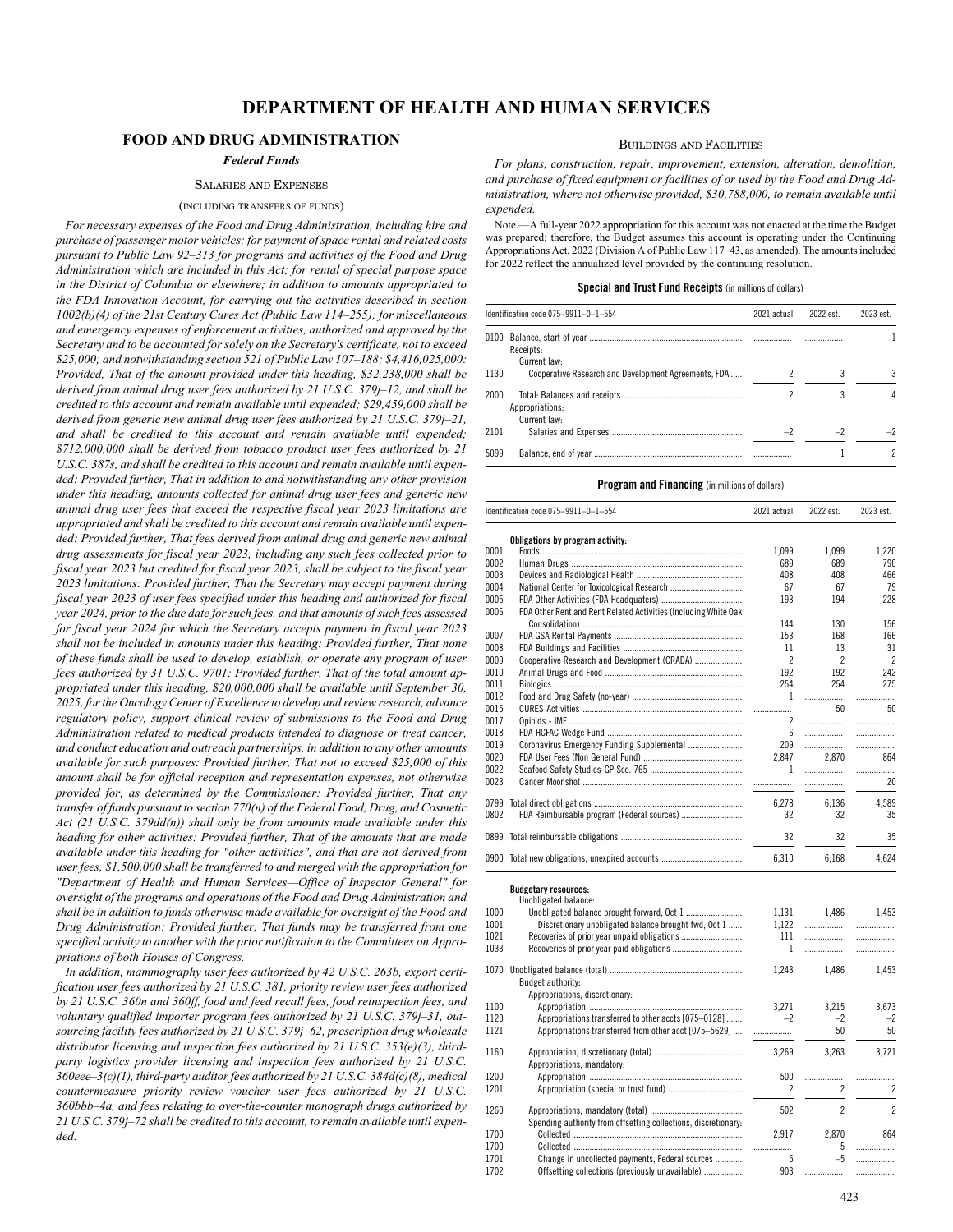## **FOOD AND DRUG ADMINISTRATION**

## *Federal Funds*

## SALARIES AND EXPENSES

## (INCLUDING TRANSFERS OF FUNDS)

*For necessary expenses of the Food and Drug Administration, including hire and purchase of passenger motor vehicles; for payment of space rental and related costs pursuant to Public Law 92–313 for programs and activities of the Food and Drug Administration which are included in this Act; for rental of special purpose space in the District of Columbia or elsewhere; in addition to amounts appropriated to the FDA Innovation Account, for carrying out the activities described in section 1002(b)(4) of the 21st Century Cures Act (Public Law 114–255); for miscellaneous and emergency expenses of enforcement activities, authorized and approved by the Secretary and to be accounted for solely on the Secretary's certificate, not to exceed \$25,000; and notwithstanding section 521 of Public Law 107–188; \$4,416,025,000: Provided, That of the amount provided under this heading, \$32,238,000 shall be derived from animal drug user fees authorized by 21 U.S.C. 379j–12, and shall be credited to this account and remain available until expended; \$29,459,000 shall be derived from generic new animal drug user fees authorized by 21 U.S.C. 379j–21, and shall be credited to this account and remain available until expended; \$712,000,000 shall be derived from tobacco product user fees authorized by 21 U.S.C. 387s, and shall be credited to this account and remain available until expended: Provided further, That in addition to and notwithstanding any other provision under this heading, amounts collected for animal drug user fees and generic new animal drug user fees that exceed the respective fiscal year 2023 limitations are appropriated and shall be credited to this account and remain available until expended: Provided further, That fees derived from animal drug and generic new animal drug assessments for fiscal year 2023, including any such fees collected prior to fiscal year 2023 but credited for fiscal year 2023, shall be subject to the fiscal year 2023 limitations: Provided further, That the Secretary may accept payment during fiscal year 2023 of user fees specified under this heading and authorized for fiscal year 2024, prior to the due date for such fees, and that amounts of such fees assessed for fiscal year 2024 for which the Secretary accepts payment in fiscal year 2023 shall not be included in amounts under this heading: Provided further, That none of these funds shall be used to develop, establish, or operate any program of user fees authorized by 31 U.S.C. 9701: Provided further, That of the total amount appropriated under this heading, \$20,000,000 shall be available until September 30, 2025, for the Oncology Center of Excellence to develop and review research, advance regulatory policy, support clinical review of submissions to the Food and Drug Administration related to medical products intended to diagnose or treat cancer, and conduct education and outreach partnerships, in addition to any other amounts available for such purposes: Provided further, That not to exceed \$25,000 of this amount shall be for official reception and representation expenses, not otherwise provided for, as determined by the Commissioner: Provided further, That any transfer of funds pursuant to section 770(n) of the Federal Food, Drug, and Cosmetic Act (21 U.S.C. 379dd(n)) shall only be from amounts made available under this heading for other activities: Provided further, That of the amounts that are made available under this heading for "other activities", and that are not derived from user fees, \$1,500,000 shall be transferred to and merged with the appropriation for "Department of Health and Human Services—Office of Inspector General" for oversight of the programs and operations of the Food and Drug Administration and shall be in addition to funds otherwise made available for oversight of the Food and Drug Administration: Provided further, That funds may be transferred from one specified activity to another with the prior notification to the Committees on Appropriations of both Houses of Congress.*

*In addition, mammography user fees authorized by 42 U.S.C. 263b, export certification user fees authorized by 21 U.S.C. 381, priority review user fees authorized by 21 U.S.C. 360n and 360ff, food and feed recall fees, food reinspection fees, and voluntary qualified importer program fees authorized by 21 U.S.C. 379j–31, outsourcing facility fees authorized by 21 U.S.C. 379j–62, prescription drug wholesale distributor licensing and inspection fees authorized by 21 U.S.C. 353(e)(3), thirdparty logistics provider licensing and inspection fees authorized by 21 U.S.C. 360eee–3(c)(1), third-party auditor fees authorized by 21 U.S.C. 384d(c)(8), medical countermeasure priority review voucher user fees authorized by 21 U.S.C. 360bbb–4a, and fees relating to over-the-counter monograph drugs authorized by 21 U.S.C. 379j–72 shall be credited to this account, to remain available until expended.*

## BUILDINGS AND FACILITIES

*For plans, construction, repair, improvement, extension, alteration, demolition, and purchase of fixed equipment or facilities of or used by the Food and Drug Administration, where not otherwise provided, \$30,788,000, to remain available until expended.*

Note.—A full-year 2022 appropriation for this account was not enacted at the time the Budget was prepared; therefore, the Budget assumes this account is operating under the Continuing Appropriations Act, 2022 (Division A of Public Law 117–43, as amended). The amounts included for 2022 reflect the annualized level provided by the continuing resolution.

## **Special and Trust Fund Receipts** (in millions of dollars)

|      | Identification code 075-9911-0-1-554                 | 2021 actual | 2022 est. | 2023 est. |
|------|------------------------------------------------------|-------------|-----------|-----------|
|      | Receipts:<br>Current law:                            |             |           |           |
| 1130 | Cooperative Research and Development Agreements, FDA |             |           |           |
| 2000 | Appropriations:<br>Current law:                      |             |           |           |
| 2101 |                                                      |             |           |           |
| 5099 |                                                      |             |           |           |

|              | Identification code 075-9911-0-1-554                            | 2021 actual    | 2022 est.      | 2023 est.                |
|--------------|-----------------------------------------------------------------|----------------|----------------|--------------------------|
|              | Obligations by program activity:                                |                |                |                          |
| 0001         |                                                                 | 1,099          | 1,099          | 1,220                    |
| 0002         |                                                                 | 689            | 689            | 790                      |
| 0003         |                                                                 | 408            | 408            | 466                      |
| 0004         |                                                                 | 67             | 67             | 79                       |
| 0005         |                                                                 | 193            | 194            | 228                      |
| 0006         | FDA Other Rent and Rent Related Activities (Including White Oak |                |                |                          |
|              |                                                                 | 144            | 130            | 156                      |
| 0007         |                                                                 | 153            | 168            | 166                      |
| 0008         |                                                                 | 11             | 13             | 31                       |
| 0009         | Cooperative Research and Development (CRADA)                    | $\overline{c}$ | $\overline{2}$ | $\overline{\phantom{a}}$ |
| 0010         |                                                                 | 192            | 192            | 242                      |
| 0011         |                                                                 | 254            | 254            | 275                      |
| 0012<br>0015 |                                                                 | 1              | <br>50         | .<br>50                  |
|              |                                                                 |                |                |                          |
| 0017         |                                                                 | 2              |                |                          |
| 0018         |                                                                 | 6              | .              | .                        |
| 0019         | Coronavirus Emergency Funding Supplemental                      | 209            | .              | .                        |
| 0020         |                                                                 | 2,847          | 2,870          | 864                      |
| 0022         |                                                                 | 1              | .              |                          |
| 0023         |                                                                 | .              | .              | 20                       |
| 0799         |                                                                 | 6,278          | 6,136          | 4,589                    |
| 0802         | FDA Reimbursable program (Federal sources)                      | 32             | 32             | 35                       |
| 0899         |                                                                 | 32             | 32             | 35                       |
|              | 0900 Total new obligations, unexpired accounts                  | 6,310          | 6,168          | 4,624                    |
|              | <b>Budgetary resources:</b>                                     |                |                |                          |
|              | Unobligated balance:                                            |                |                |                          |
| 1000         |                                                                 | 1,131          | 1,486          | 1,453                    |
| 1001         | Discretionary unobligated balance brought fwd, Oct 1            | 1.122          | .              | .                        |
| 1021         |                                                                 | 111            | .              |                          |
| 1033         |                                                                 | $\mathbf{1}$   | .              | .                        |
| 1070         |                                                                 | 1.243          | 1.486          | 1,453                    |
|              | Budget authority:                                               |                |                |                          |
|              | Appropriations, discretionary:                                  |                |                |                          |
| 1100         |                                                                 | 3.271          | 3.215          | 3.673                    |
| 1120         | Appropriations transferred to other accts [075-0128]            | $-2$           | $-2$           | $-2$                     |
| 1121         | Appropriations transferred from other acct [075-5629]           | .              | 50             | 50                       |
| 1160         |                                                                 | 3,269          | 3,263          | 3,721                    |
|              | Appropriations, mandatory:                                      |                |                |                          |
| 1200         |                                                                 | 500            | .              | .                        |
| 1201         |                                                                 | 2              | $\overline{c}$ | $\overline{c}$           |
| 1260         |                                                                 | 502            | $\overline{2}$ | $\overline{\phantom{a}}$ |
|              | Spending authority from offsetting collections, discretionary:  |                |                |                          |
| 1700         |                                                                 | 2,917          | 2,870          | 864                      |
| 1700         |                                                                 | .              | 5              | .                        |
| 1701         | Change in uncollected payments, Federal sources                 | 5              | $-5$           | .                        |
| 1702         | Offsetting collections (previously unavailable)                 | 903            | .              | .                        |
|              |                                                                 |                |                |                          |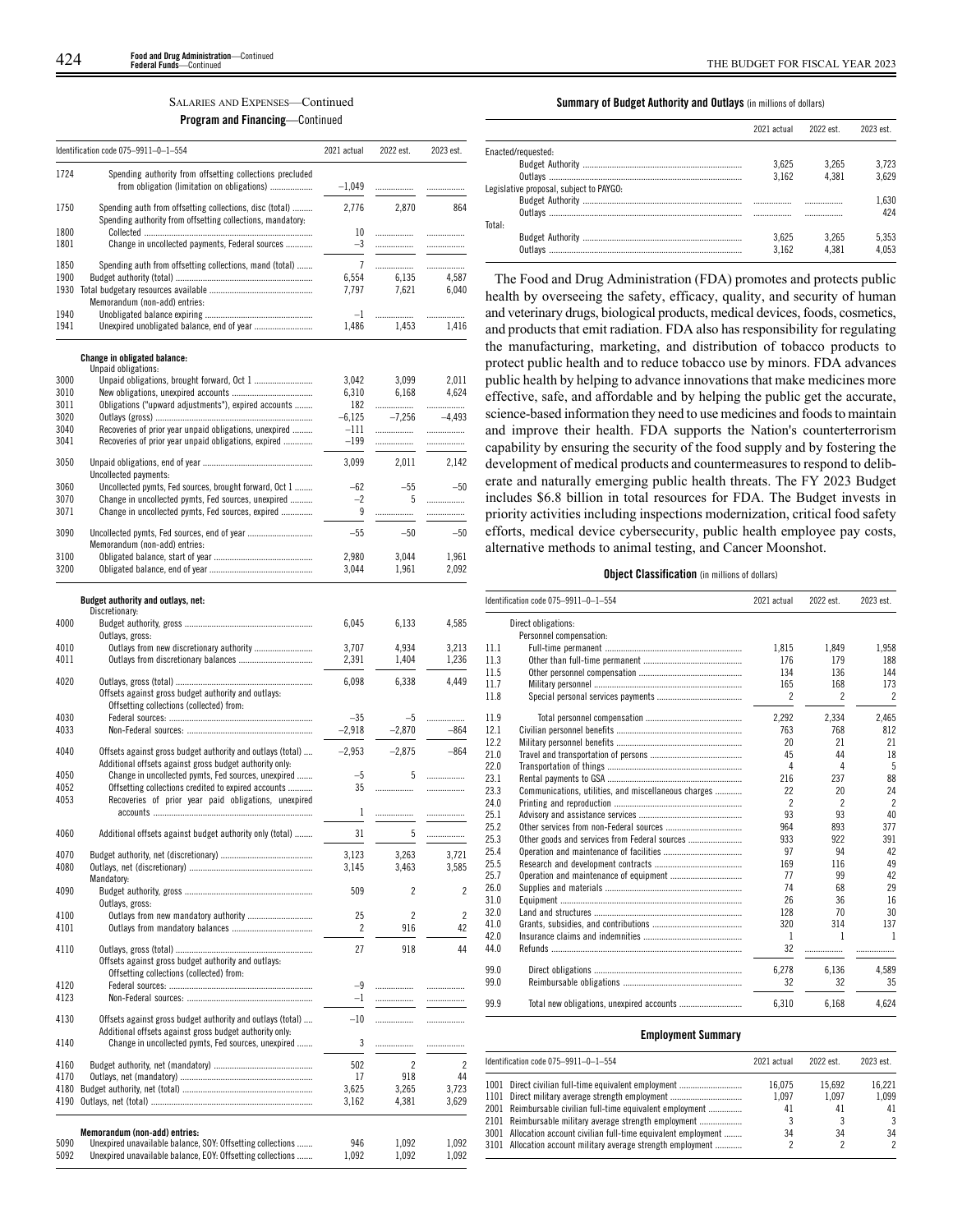## SALARIES AND EXPENSES—Continued

## **Program and Financing**—Continued

|              | Identification code 075-9911-0-1-554                                                                                     | 2021 actual      | 2022 est.      | 2023 est.      |
|--------------|--------------------------------------------------------------------------------------------------------------------------|------------------|----------------|----------------|
| 1724         | Spending authority from offsetting collections precluded<br>from obligation (limitation on obligations)                  | $-1,049$         | .              | .              |
| 1750         | Spending auth from offsetting collections, disc (total)<br>Spending authority from offsetting collections, mandatory:    | 2,776            | 2,870          | 864            |
| 1800<br>1801 | Change in uncollected payments, Federal sources                                                                          | 10<br>$-3$       | <br>           | .<br>.         |
| 1850         | Spending auth from offsetting collections, mand (total)                                                                  | $\overline{7}$   | .              | .              |
| 1900<br>1930 |                                                                                                                          | 6,554<br>7,797   | 6,135<br>7,621 | 4,587<br>6,040 |
|              | Memorandum (non-add) entries:                                                                                            |                  |                |                |
| 1940<br>1941 |                                                                                                                          | $-1$<br>1,486    | .<br>1,453     | .<br>1.416     |
|              |                                                                                                                          |                  |                |                |
|              | <b>Change in obligated balance:</b><br>Unpaid obligations:                                                               |                  |                |                |
| 3000<br>3010 |                                                                                                                          | 3,042<br>6,310   | 3,099<br>6,168 | 2,011<br>4,624 |
| 3011         | Obligations ("upward adjustments"), expired accounts                                                                     | 182              |                |                |
| 3020         |                                                                                                                          | $-6,125$         | $-7,256$       | -4,493         |
| 3040<br>3041 | Recoveries of prior year unpaid obligations, unexpired<br>Recoveries of prior year unpaid obligations, expired           | $-111$<br>$-199$ | .<br>.         | .<br>.         |
| 3050         |                                                                                                                          | 3,099            | 2,011          | 2,142          |
|              | Uncollected payments:                                                                                                    |                  |                |                |
| 3060<br>3070 | Uncollected pymts, Fed sources, brought forward, Oct 1<br>Change in uncollected pymts, Fed sources, unexpired            | -62<br>$-2$      | $-55$<br>5     | $-50$<br>.     |
| 3071         | Change in uncollected pymts, Fed sources, expired                                                                        | 9                | .              | .              |
| 3090         | Memorandum (non-add) entries:                                                                                            | $-55$            | $-50$          | $-50$          |
| 3100         |                                                                                                                          | 2,980            | 3.044          | 1,961          |
| 3200         |                                                                                                                          | 3,044            | 1,961          | 2,092          |
|              | Budget authority and outlays, net:                                                                                       |                  |                |                |
| 4000         | Discretionary:                                                                                                           | 6,045            | 6,133          | 4,585          |
|              | Outlays, gross:                                                                                                          |                  |                |                |
| 4010<br>4011 | Outlays from new discretionary authority                                                                                 | 3,707<br>2,391   | 4,934<br>1,404 | 3,213<br>1,236 |
| 4020         |                                                                                                                          | 6,098            | 6,338          | 4,449          |
|              | Offsets against gross budget authority and outlays:<br>Offsetting collections (collected) from:                          |                  |                |                |
| 4030         |                                                                                                                          | $-35$            | -5             |                |
| 4033         |                                                                                                                          | $-2,918$         | $-2,870$       | $-864$         |
| 4040         | Offsets against gross budget authority and outlays (total)<br>Additional offsets against gross budget authority only:    | $-2,953$         | $-2,875$       | $-864$         |
| 4050<br>4052 | Change in uncollected pymts, Fed sources, unexpired<br>Offsetting collections credited to expired accounts               | $-5$<br>35       | 5<br>.         | <br>.          |
| 4053         | Recoveries of prior year paid obligations, unexpired                                                                     |                  |                |                |
|              |                                                                                                                          | 1                | .              | .              |
| 4060         | Additional offsets against budget authority only (total)                                                                 | 31               | 5              | .              |
| 4070         |                                                                                                                          | 3,123            | 3,263          | 3,721          |
| 4080         | Mandatory:                                                                                                               | 3,145            | 3,463          | 3,585          |
| 4090         | Outlays, gross:                                                                                                          | 509              | 2              | 2              |
| 4100         |                                                                                                                          | 25               | $\overline{c}$ | $\overline{2}$ |
| 4101         |                                                                                                                          | 2                | 916            | 42             |
| 4110         | Offsets against gross budget authority and outlays:                                                                      | 27               | 918            | 44             |
| 4120         | Offsetting collections (collected) from:                                                                                 | -9               | .              | .              |
| 4123         |                                                                                                                          | $-1$             |                | .              |
| 4130         | Offsets against gross budget authority and outlays (total)                                                               | $-10$            |                | .              |
| 4140         | Additional offsets against gross budget authority only:<br>Change in uncollected pymts, Fed sources, unexpired           | 3                | .              |                |
| 4160         |                                                                                                                          | 502              | $\overline{c}$ | $\overline{c}$ |
| 4170         |                                                                                                                          | 17               | 918            | 44             |
| 4180         |                                                                                                                          | 3,625            | 3,265          | 3,723          |
| 4190         |                                                                                                                          | 3,162            | 4,381          | 3,629          |
|              | Memorandum (non-add) entries:                                                                                            |                  |                |                |
| 5090<br>5092 | Unexpired unavailable balance, SOY: Offsetting collections<br>Unexpired unavailable balance, EOY: Offsetting collections | 946<br>1,092     | 1,092<br>1,092 | 1,092<br>1,092 |
|              |                                                                                                                          |                  |                |                |

## **Summary of Budget Authority and Outlays** (in millions of dollars)

|                                         | 2021 actual | 2022 est. | 2023 est. |
|-----------------------------------------|-------------|-----------|-----------|
| Enacted/requested:                      |             |           |           |
|                                         | 3.625       | 3.265     | 3.723     |
|                                         | 3.162       | 4.381     | 3.629     |
| Legislative proposal, subiect to PAYGO: |             |           |           |
|                                         |             | .         | 1.630     |
|                                         |             |           | 424       |
| Total:                                  |             |           |           |
|                                         | 3.625       | 3.265     | 5.353     |
|                                         | 3.162       | 4.381     | 4.053     |
|                                         |             |           |           |

The Food and Drug Administration (FDA) promotes and protects public health by overseeing the safety, efficacy, quality, and security of human and veterinary drugs, biological products, medical devices, foods, cosmetics, and products that emit radiation. FDA also has responsibility for regulating the manufacturing, marketing, and distribution of tobacco products to protect public health and to reduce tobacco use by minors. FDA advances public health by helping to advance innovations that make medicines more effective, safe, and affordable and by helping the public get the accurate, science-based information they need to use medicines and foods to maintain and improve their health. FDA supports the Nation's counterterrorism capability by ensuring the security of the food supply and by fostering the development of medical products and countermeasures to respond to deliberate and naturally emerging public health threats. The FY 2023 Budget includes \$6.8 billion in total resources for FDA. The Budget invests in priority activities including inspections modernization, critical food safety efforts, medical device cybersecurity, public health employee pay costs, alternative methods to animal testing, and Cancer Moonshot.

## **Object Classification** (in millions of dollars)

|      | Identification code 075-9911-0-1-554                 | 2021 actual              | 2022 est.                | 2023 est.                |
|------|------------------------------------------------------|--------------------------|--------------------------|--------------------------|
|      | Direct obligations:                                  |                          |                          |                          |
|      | Personnel compensation:                              |                          |                          |                          |
| 11.1 |                                                      | 1,815                    | 1,849                    | 1,958                    |
| 11.3 |                                                      | 176                      | 179                      | 188                      |
| 11.5 |                                                      | 134                      | 136                      | 144                      |
| 11.7 |                                                      | 165                      | 168                      | 173                      |
| 11.8 |                                                      | $\mathfrak{p}$           | $\overline{\phantom{a}}$ | 2                        |
| 11.9 |                                                      | 2.292                    | 2.334                    | 2,465                    |
| 12.1 |                                                      | 763                      | 768                      | 812                      |
| 12.2 |                                                      | 20                       | 21                       | 21                       |
| 21.0 |                                                      | 45                       | 44                       | 18                       |
| 22.0 |                                                      | 4                        | 4                        | 5                        |
| 23.1 |                                                      | 216                      | 237                      | 88                       |
| 23.3 | Communications, utilities, and miscellaneous charges | 22                       | 20                       | 24                       |
| 24.0 |                                                      | $\overline{\phantom{a}}$ | $\overline{2}$           | $\overline{\phantom{a}}$ |
| 25.1 |                                                      | 93                       | 93                       | 40                       |
| 25.2 |                                                      | 964                      | 893                      | 377                      |
| 25.3 | Other goods and services from Federal sources        | 933                      | 922                      | 391                      |
| 25.4 |                                                      | 97                       | 94                       | 42                       |
| 25.5 |                                                      | 169                      | 116                      | 49                       |
| 25.7 |                                                      | 77                       | 99                       | 42                       |
| 26.0 |                                                      | 74                       | 68                       | 29                       |
| 31.0 |                                                      | 26                       | 36                       | 16                       |
| 32.0 |                                                      | 128                      | 70                       | 30                       |
| 41.0 |                                                      | 320                      | 314                      | 137                      |
| 42.0 |                                                      | $\mathbf{1}$             | 1                        | $\mathbf{1}$             |
| 44.0 |                                                      | 32                       | .                        |                          |
| 99.0 |                                                      | 6,278                    | 6.136                    | 4.589                    |
| 99.0 |                                                      | 32                       | 32                       | 35                       |
| 99.9 |                                                      | 6.310                    | 6.168                    | 4,624                    |

### **Employment Summary**

| Identification code 075-9911-0-1-554                             | 2021 actual | 2022 est. | 2023 est. |
|------------------------------------------------------------------|-------------|-----------|-----------|
| 1001 Direct civilian full-time equivalent employment             | 16.075      | 15.692    | 16.221    |
| 1101 Direct military average strength employment                 | 1.097       | 1.097     | 1.099     |
| 2001 Reimbursable civilian full-time equivalent employment       | 41          | 41        | 41        |
| 2101 Reimbursable military average strength employment           |             |           | 3         |
| 3001 Allocation account civilian full-time equivalent employment | 34          | 34        | 34        |
| 3101 Allocation account military average strength employment     |             |           | 2         |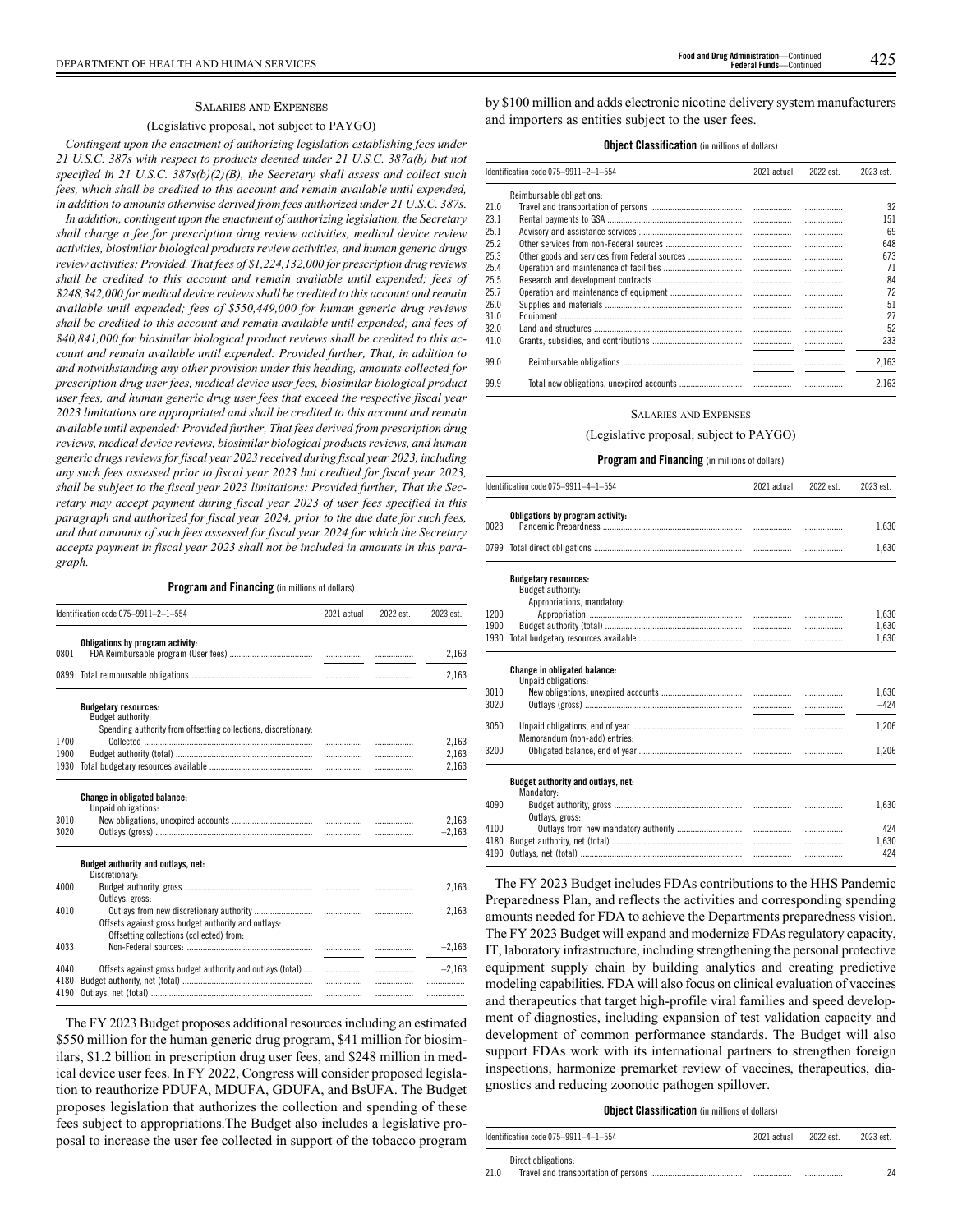#### SALARIES AND EXPENSES

## (Legislative proposal, not subject to PAYGO)

*Contingent upon the enactment of authorizing legislation establishing fees under 21 U.S.C. 387s with respect to products deemed under 21 U.S.C. 387a(b) but not specified in 21 U.S.C. 387s(b)(2)(B), the Secretary shall assess and collect such fees, which shall be credited to this account and remain available until expended, in addition to amounts otherwise derived from fees authorized under 21 U.S.C. 387s.*

*In addition, contingent upon the enactment of authorizing legislation, the Secretary shall charge a fee for prescription drug review activities, medical device review activities, biosimilar biological products review activities, and human generic drugs review activities: Provided, That fees of \$1,224,132,000 for prescription drug reviews shall be credited to this account and remain available until expended; fees of \$248,342,000 for medical device reviews shall be credited to this account and remain available until expended; fees of \$550,449,000 for human generic drug reviews shall be credited to this account and remain available until expended; and fees of \$40,841,000 for biosimilar biological product reviews shall be credited to this account and remain available until expended: Provided further, That, in addition to and notwithstanding any other provision under this heading, amounts collected for prescription drug user fees, medical device user fees, biosimilar biological product user fees, and human generic drug user fees that exceed the respective fiscal year 2023 limitations are appropriated and shall be credited to this account and remain available until expended: Provided further, That fees derived from prescription drug reviews, medical device reviews, biosimilar biological products reviews, and human generic drugs reviews for fiscal year 2023 received during fiscal year 2023, including any such fees assessed prior to fiscal year 2023 but credited for fiscal year 2023, shall be subject to the fiscal year 2023 limitations: Provided further, That the Secretary may accept payment during fiscal year 2023 of user fees specified in this paragraph and authorized for fiscal year 2024, prior to the due date for such fees, and that amounts of such fees assessed for fiscal year 2024 for which the Secretary accepts payment in fiscal year 2023 shall not be included in amounts in this paragraph.*

## **Program and Financing** (in millions of dollars)

|              | Identification code 075-9911-2-1-554                                                                               | 2021 actual | 2022 est.   | 2023 est.         |
|--------------|--------------------------------------------------------------------------------------------------------------------|-------------|-------------|-------------------|
| 0801         | Obligations by program activity:                                                                                   |             | .           | 2,163             |
|              |                                                                                                                    |             | .           | 2,163             |
| 1700         | <b>Budgetary resources:</b><br>Budget authority:<br>Spending authority from offsetting collections, discretionary: |             |             | 2,163             |
| 1900         |                                                                                                                    |             | .           | 2,163             |
| 1930         |                                                                                                                    |             | .           | 2,163             |
| 3010<br>3020 | <b>Change in obligated balance:</b><br>Unpaid obligations:                                                         |             |             | 2,163<br>$-2,163$ |
|              | Budget authority and outlays, net:                                                                                 |             |             |                   |
| 4000         |                                                                                                                    |             |             | 2,163             |
| 4010         | Offsets against gross budget authority and outlays:                                                                |             |             | 2,163             |
| 4033         |                                                                                                                    |             |             | $-2.163$          |
| 4040<br>4180 | Offsets against gross budget authority and outlays (total)                                                         |             | .<br>.<br>. | $-2.163$<br>      |
| 4190         | Discretionary:<br>Outlays, gross:<br>Offsetting collections (collected) from:                                      |             |             |                   |

The FY 2023 Budget proposes additional resources including an estimated \$550 million for the human generic drug program, \$41 million for biosimilars, \$1.2 billion in prescription drug user fees, and \$248 million in medical device user fees. In FY 2022, Congress will consider proposed legislation to reauthorize PDUFA, MDUFA, GDUFA, and BsUFA. The Budget proposes legislation that authorizes the collection and spending of these fees subject to appropriations.The Budget also includes a legislative proposal to increase the user fee collected in support of the tobacco program by \$100 million and adds electronic nicotine delivery system manufacturers and importers as entities subject to the user fees.

## **Object Classification** (in millions of dollars)

|      | Identification code 075-9911-2-1-554 |   | 2021 actual |       | 2022 est. | 2023 est. |
|------|--------------------------------------|---|-------------|-------|-----------|-----------|
|      | Reimbursable obligations:            |   |             |       |           |           |
| 21.0 |                                      |   |             | 32    |           |           |
| 23.1 |                                      |   |             | 151   |           |           |
| 25.1 |                                      |   |             | 69    |           |           |
| 25.2 |                                      | . | .           | 648   |           |           |
| 25.3 |                                      | . |             | 673   |           |           |
| 25.4 |                                      |   | .           | 71    |           |           |
| 25.5 |                                      |   | .           | 84    |           |           |
| 25.7 |                                      |   | .           | 72    |           |           |
| 26.0 |                                      |   | .           | 51    |           |           |
| 31.0 |                                      |   | .           | 27    |           |           |
| 32.0 |                                      |   |             | 52    |           |           |
| 41.0 |                                      |   |             | 233   |           |           |
| 99.0 |                                      |   |             | 2,163 |           |           |
| 99.9 |                                      |   | .           | 2.163 |           |           |

#### SALARIES AND EXPENSES

(Legislative proposal, subject to PAYGO)

### **Program and Financing** (in millions of dollars)

|      | Identification code 075-9911-4-1-554                                           | 2021 actual | 2022 est. | 2023 est. |
|------|--------------------------------------------------------------------------------|-------------|-----------|-----------|
| 0023 | Obligations by program activity:                                               |             |           | 1,630     |
|      |                                                                                |             |           | 1,630     |
|      | <b>Budgetary resources:</b><br>Budget authority:<br>Appropriations, mandatory: |             |           |           |
| 1200 |                                                                                |             | .         | 1,630     |
| 1900 |                                                                                |             | .         | 1,630     |
| 1930 |                                                                                |             | .         | 1,630     |
|      | <b>Change in obligated balance:</b><br>Unpaid obligations:                     |             |           |           |
| 3010 |                                                                                |             | .         | 1.630     |
| 3020 |                                                                                |             | .         | $-424$    |
|      |                                                                                |             |           |           |
| 3050 | Memorandum (non-add) entries:                                                  |             | .         | 1.206     |
| 3200 |                                                                                |             |           | 1,206     |
|      | Budget authority and outlays, net:<br>Mandatory:                               |             |           |           |
| 4090 | Outlays, gross:                                                                |             | .         | 1,630     |
| 4100 |                                                                                |             | .         | 424       |
| 4180 |                                                                                |             | .         | 1,630     |
| 4190 |                                                                                |             | .         | 424       |
|      |                                                                                |             |           |           |

The FY 2023 Budget includes FDAs contributions to the HHS Pandemic Preparedness Plan, and reflects the activities and corresponding spending amounts needed for FDA to achieve the Departments preparedness vision. The FY 2023 Budget will expand and modernize FDAs regulatory capacity, IT, laboratory infrastructure, including strengthening the personal protective equipment supply chain by building analytics and creating predictive modeling capabilities. FDA will also focus on clinical evaluation of vaccines and therapeutics that target high-profile viral families and speed development of diagnostics, including expansion of test validation capacity and development of common performance standards. The Budget will also support FDAs work with its international partners to strengthen foreign inspections, harmonize premarket review of vaccines, therapeutics, diagnostics and reducing zoonotic pathogen spillover.

## **Object Classification** (in millions of dollars)

| Identification code 075-9911-4-1-554        | 2021 actual | 2022 est. | 2023 est. |
|---------------------------------------------|-------------|-----------|-----------|
| Direct obligations:                         |             |           |           |
| 210<br>Travel and transportation of persons |             |           |           |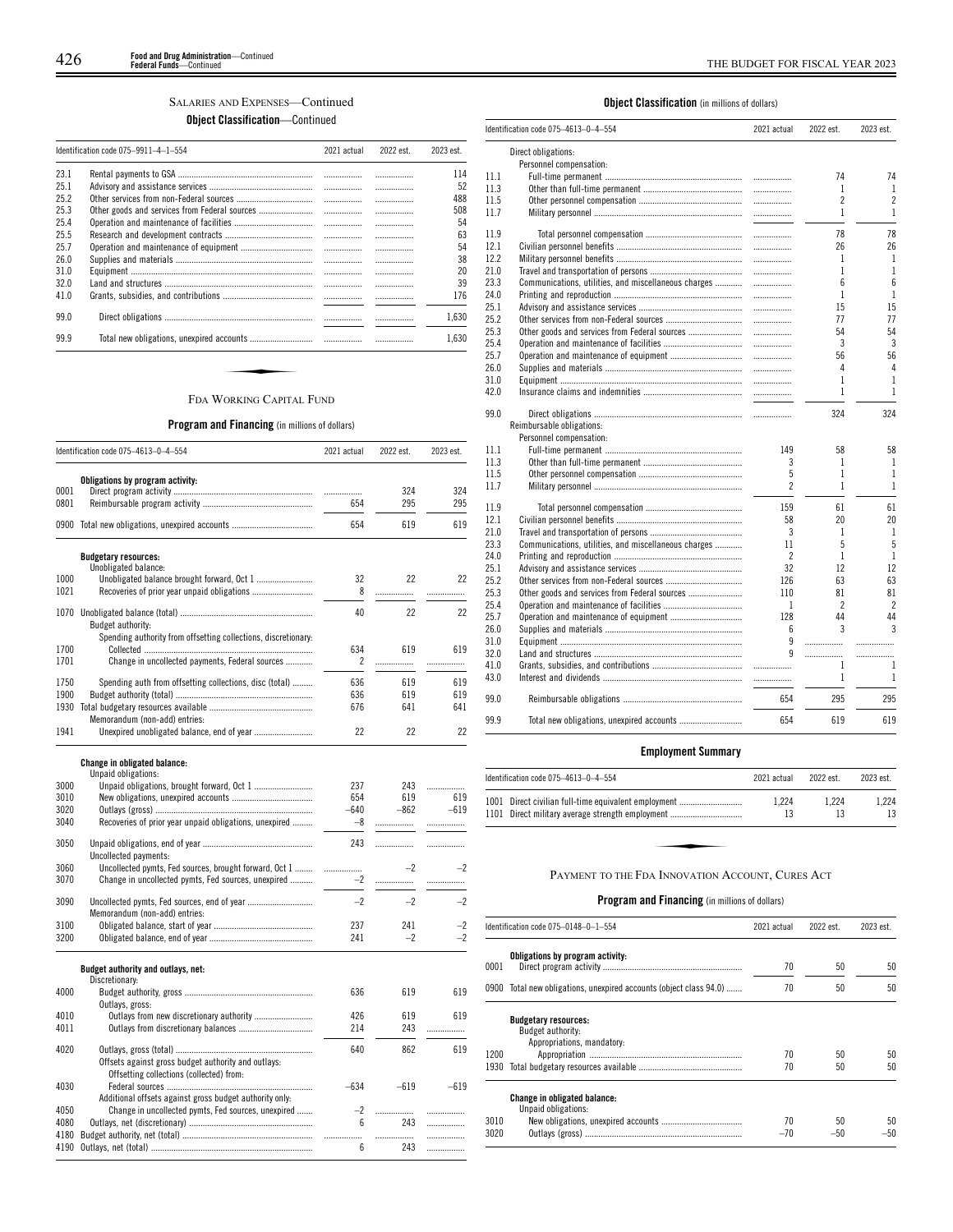## SALARIES AND EXPENSES—Continued

**Object Classification**—Continued

|      | Identification code 075-9911-4-1-554 | 2021 actual | 2022 est. | 2023 est. |
|------|--------------------------------------|-------------|-----------|-----------|
| 231  |                                      |             |           | 114       |
| 251  |                                      |             |           | 52        |
| 252  |                                      |             |           | 488       |
| 25.3 |                                      |             |           | 508       |
| 25.4 |                                      |             |           | 54        |
| 25.5 |                                      |             |           | 63        |
| 25.7 |                                      |             |           | 54        |
| 26.0 |                                      |             |           | 38        |
| 31.0 |                                      |             |           | 20        |
| 32.0 |                                      |             |           | 39        |
| 41.0 |                                      |             |           | 176       |
| 99.0 |                                      |             |           | 1.630     |
| 99.9 |                                      |             |           | 1.630     |

## **Program and Financing** (in millions of dollars)

|      | Identification code 075-4613-0-4-554                           | 2021 actual | 2022 est.  | 2023 est.  |
|------|----------------------------------------------------------------|-------------|------------|------------|
|      | Obligations by program activity:                               |             |            |            |
| 0001 |                                                                | .           | 324        | 324        |
| 0801 |                                                                | 654         | 295        | 295        |
|      | 0900 Total new obligations, unexpired accounts                 | 654         | 619        | 619        |
|      | <b>Budgetary resources:</b>                                    |             |            |            |
|      | Unobligated balance:                                           |             |            |            |
| 1000 |                                                                | 32          | 22         | 22         |
| 1021 |                                                                | 8           | .          | .          |
|      |                                                                | 40          | 22         | 22         |
|      | Budget authority:                                              |             |            |            |
|      | Spending authority from offsetting collections, discretionary: |             |            |            |
| 1700 |                                                                | 634         | 619        | 619        |
| 1701 | Change in uncollected payments, Federal sources                | 2           | .          | .          |
|      |                                                                |             |            |            |
| 1750 | Spending auth from offsetting collections, disc (total)        | 636         | 619        | 619        |
| 1900 |                                                                | 636         | 619<br>641 | 619<br>641 |
| 1930 | Memorandum (non-add) entries:                                  | 676         |            |            |
| 1941 |                                                                | 22          | 22         | 22         |
|      |                                                                |             |            |            |
|      | <b>Change in obligated balance:</b>                            |             |            |            |
|      | Unpaid obligations:                                            |             |            |            |
| 3000 |                                                                | 237         | 243        | .          |
| 3010 |                                                                | 654         | 619        | 619        |
| 3020 |                                                                | $-640$      | $-862$     | $-619$     |
| 3040 | Recoveries of prior year unpaid obligations, unexpired         | $-8$        |            | .          |
| 3050 |                                                                | 243         |            | .          |
|      | Uncollected payments:                                          |             |            |            |
| 3060 | Uncollected pymts, Fed sources, brought forward, Oct 1         | .           | $-2$       | $-2$       |
| 3070 | Change in uncollected pymts, Fed sources, unexpired            | $-2$        | .          | .          |
|      |                                                                |             |            |            |
| 3090 |                                                                | $-2$        | $-2$       | $-2$       |
|      | Memorandum (non-add) entries:                                  |             |            |            |
| 3100 |                                                                | 237         | 241        | $-2$       |
| 3200 |                                                                | 241         | $-2$       | $-2$       |
|      | Budget authority and outlays, net:                             |             |            |            |
|      | Discretionary:                                                 |             |            |            |
| 4000 |                                                                | 636         | 619        | 619        |
|      | Outlays, gross:                                                |             |            |            |
| 4010 | Outlays from new discretionary authority                       | 426         | 619        | 619        |
| 4011 |                                                                | 214         | 243        | .          |
| 4020 |                                                                | 640         | 862        | 619        |
|      | Offsets against gross budget authority and outlays:            |             |            |            |
|      | Offsetting collections (collected) from:                       |             |            |            |
| 4030 |                                                                | $-634$      | $-619$     | $-619$     |
|      | Additional offsets against gross budget authority only:        |             |            |            |
| 4050 | Change in uncollected pymts, Fed sources, unexpired            | $-2$        | .          | .          |
| 4080 |                                                                | 6           | 243        | .          |
| 4180 |                                                                | .           | .          |            |
| 4190 |                                                                | 6           | 243        | .          |
|      |                                                                |             |            |            |

## **Object Classification** (in millions of dollars)

 $\overline{a}$ 

|      | Identification code 075-4613-0-4-554                 | 2021 actual              | 2022 est.      | 2023 est.                |
|------|------------------------------------------------------|--------------------------|----------------|--------------------------|
|      | Direct obligations:                                  |                          |                |                          |
|      | Personnel compensation:                              |                          |                |                          |
| 11.1 |                                                      | .                        | 74             | 74                       |
| 11.3 |                                                      | .                        | 1              | $\mathbf{1}$             |
| 11.5 |                                                      | .                        | $\overline{2}$ | $\overline{2}$           |
| 11.7 |                                                      | .                        | $\mathbf{1}$   | $\mathbf{1}$             |
| 11.9 |                                                      | .                        | 78             | 78                       |
| 12.1 |                                                      | .                        | 26             | 26                       |
| 12.2 |                                                      | .                        | 1              | 1                        |
| 21.0 |                                                      |                          | 1              | $\mathbf{1}$             |
| 23.3 | Communications, utilities, and miscellaneous charges |                          | 6              | 6                        |
| 24.0 |                                                      | .                        | $\mathbf{1}$   | $\mathbf{1}$             |
| 25.1 |                                                      | .                        | 15             | 15                       |
| 25.2 |                                                      | .                        | 77             | 77                       |
| 25.3 | Other goods and services from Federal sources        | .                        | 54             | 54                       |
| 25.4 |                                                      |                          | 3              | 3                        |
| 25.7 |                                                      | .                        | 56             | 56                       |
| 26.0 |                                                      | .                        | 4              | 4                        |
| 31.0 |                                                      | .                        | 1              | $\mathbf{1}$             |
| 42.0 |                                                      |                          | $\mathbf{1}$   | $\mathbf{1}$             |
| 99.0 |                                                      | $\overline{\phantom{a}}$ | 324            | 324                      |
|      | Reimbursable obligations:                            |                          |                |                          |
|      | Personnel compensation:                              |                          |                |                          |
| 11.1 |                                                      | 149                      | 58             | 58                       |
| 11.3 |                                                      | 3                        | 1              | $\mathbf{1}$             |
| 11.5 |                                                      | 5                        | 1              | 1                        |
| 11.7 |                                                      | $\overline{c}$           | $\mathbf{1}$   | $\mathbf{1}$             |
| 11.9 |                                                      | 159                      | 61             | 61                       |
| 12.1 |                                                      | 58                       | 20             | 20                       |
| 21.0 |                                                      | 3                        | $\mathbf{1}$   | $\mathbf{1}$             |
| 23.3 | Communications, utilities, and miscellaneous charges | 11                       | 5              | 5                        |
| 24.0 |                                                      | $\overline{\phantom{a}}$ | $\mathbf{1}$   | $\mathbf{1}$             |
| 25.1 |                                                      | 32                       | 12             | 12                       |
| 25.2 |                                                      | 126                      | 63             | 63                       |
| 25.3 |                                                      | 110                      | 81             | 81                       |
| 25.4 |                                                      | 1                        | $\overline{c}$ | $\overline{\phantom{a}}$ |
| 25.7 |                                                      | 128                      | 44             | 44                       |
| 26.0 |                                                      | 6                        | 3              | 3                        |
| 31.0 |                                                      | 9                        | .              | .                        |
| 32.0 |                                                      | 9                        |                | .                        |
| 41.0 |                                                      | .                        | $\mathbf{1}$   | 1                        |
| 43.0 |                                                      |                          | $\mathbf{1}$   | $\mathbf{1}$             |
| 99.0 |                                                      | 654                      | 295            | 295                      |
| 99.9 |                                                      | 654                      | 619            | 619                      |

## **Employment Summary**

| ldentification code 075–4613–0–4–554                                                                     | 2021 actual | 2022 est.   | 2023 est.   |
|----------------------------------------------------------------------------------------------------------|-------------|-------------|-------------|
| 1001 Direct civilian full-time equivalent employment<br>1101 Direct military average strength employment | 1.224<br>13 | 1.224<br>13 | 1.224<br>13 |
|                                                                                                          |             |             |             |
| PAYMENT TO THE FDA INNOVATION ACCOUNT, CURES ACT                                                         |             |             |             |

|      | Identification code 075-0148-0-1-554                                           | 2021 actual | 2022 est. | 2023 est. |
|------|--------------------------------------------------------------------------------|-------------|-----------|-----------|
| 0001 | Obligations by program activity:                                               | 70          | 50        | 50        |
| 0900 | Total new obligations, unexpired accounts (object class 94.0)                  | 70          | 50        | 50        |
|      | <b>Budgetary resources:</b><br>Budget authority:<br>Appropriations, mandatory: |             |           |           |
| 1200 |                                                                                | 70          | 50        | 50        |
| 1930 |                                                                                | 70          | 50        | 50        |
|      | <b>Change in obligated balance:</b><br>Unpaid obligations:                     |             |           |           |
| 3010 |                                                                                | 70          | 50        | 50        |
| 3020 |                                                                                | $-70$       | -50       | -50       |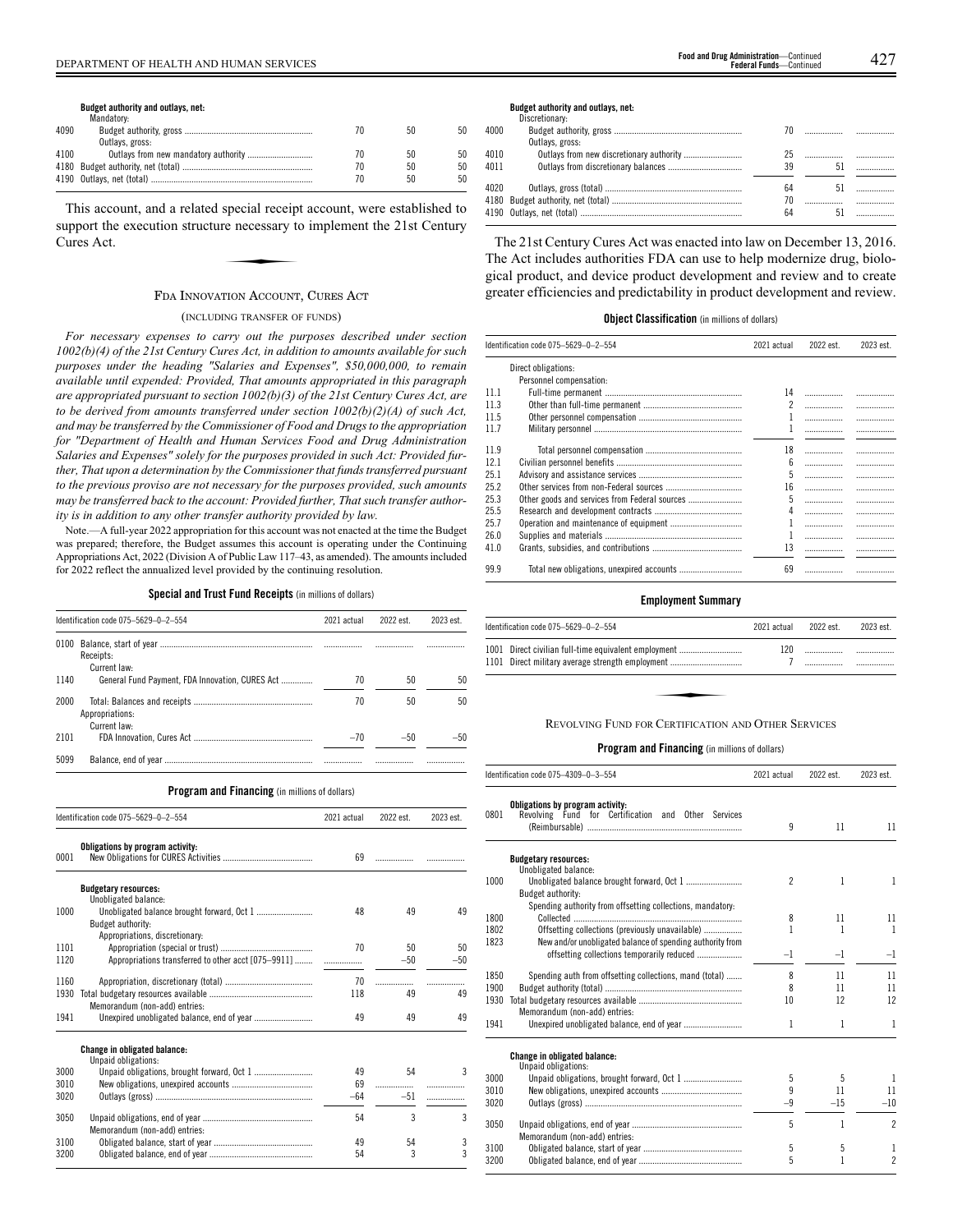4190 Outlays, net (total) ........................................................................ 70 50 50

This account, and a related special receipt account, were established to<br>
upport the execution structure necessary to implement the 21st Century<br>
ures Act. support the execution structure necessary to implement the 21st Century Cures Act.

4180 Budget authority, net (total) .......................................................... 70 50 50

## FDA INNOVATION ACCOUNT, CURES ACT

## (INCLUDING TRANSFER OF FUNDS)

*For necessary expenses to carry out the purposes described under section 1002(b)(4) of the 21st Century Cures Act, in addition to amounts available for such purposes under the heading "Salaries and Expenses", \$50,000,000, to remain available until expended: Provided, That amounts appropriated in this paragraph are appropriated pursuant to section 1002(b)(3) of the 21st Century Cures Act, are to be derived from amounts transferred under section 1002(b)(2)(A) of such Act, and may be transferred by the Commissioner of Food and Drugs to the appropriation for "Department of Health and Human Services Food and Drug Administration Salaries and Expenses" solely for the purposes provided in such Act: Provided further, That upon a determination by the Commissioner that funds transferred pursuant to the previous proviso are not necessary for the purposes provided, such amounts may be transferred back to the account: Provided further, That such transfer authority is in addition to any other transfer authority provided by law.*

Note.—A full-year 2022 appropriation for this account was not enacted at the time the Budget was prepared; therefore, the Budget assumes this account is operating under the Continuing Appropriations Act, 2022 (Division A of Public Law 117–43, as amended). The amounts included for 2022 reflect the annualized level provided by the continuing resolution.

**Special and Trust Fund Receipts** (in millions of dollars)

|      | Identification code 075-5629-0-2-554            | 2021 actual | 2022 est. | 2023 est. |
|------|-------------------------------------------------|-------------|-----------|-----------|
| 0100 | Receipts:<br>Current law:                       |             |           | .         |
| 1140 | General Fund Payment, FDA Innovation, CURES Act | 70          | 50        | 50        |
| 2000 | Appropriations:<br>Current law:                 | 70          | 50        | 50        |
| 2101 |                                                 | $-70$       | $-50$     | -50       |
| 5099 |                                                 |             |           |           |
|      |                                                 |             |           |           |

**Program and Financing** (in millions of dollars)

|      | Identification code 075-5629-0-2-554                       | 2021 actual | 2022 est. | 2023 est. |
|------|------------------------------------------------------------|-------------|-----------|-----------|
| 0001 | Obligations by program activity:                           | 69          |           |           |
|      | <b>Budgetary resources:</b><br>Unobligated balance:        |             |           |           |
| 1000 | Unobligated balance brought forward, Oct 1                 | 48          | 49        | 49        |
|      | Budget authority:                                          |             |           |           |
|      | Appropriations, discretionary:                             |             |           |           |
| 1101 |                                                            | 70          | 50        | 50        |
| 1120 | Appropriations transferred to other acct [075-9911]        |             | $-50$     | $-50$     |
|      |                                                            |             |           |           |
| 1160 |                                                            | 70          |           |           |
| 1930 | Memorandum (non-add) entries:                              | 118         | 49        | 49        |
| 1941 |                                                            | 49          | 49        | 49        |
|      |                                                            |             |           |           |
|      | <b>Change in obligated balance:</b><br>Unpaid obligations: |             |           |           |
| 3000 |                                                            | 49          | 54        | ς         |
| 3010 |                                                            | 69          |           | .         |
| 3020 |                                                            | $-64$       | $-51$     | .         |
|      |                                                            |             |           |           |
| 3050 |                                                            | 54          | 3         | 3         |
|      | Memorandum (non-add) entries:                              |             |           |           |
| 3100 |                                                            | 49          | 54        | 3         |
| 3200 |                                                            | 54          | 3         | 3         |

#### **Budget authority and outlays, net:**

|      | Discretionary:  |    |    |    |
|------|-----------------|----|----|----|
| 4000 |                 | 70 |    |    |
|      | Outlays, gross: |    |    |    |
| 4010 |                 |    |    |    |
| 4011 |                 | 39 | 51 |    |
| 4020 |                 | 64 |    | 51 |
|      |                 | 70 |    |    |
|      |                 | 64 |    |    |
|      |                 |    |    |    |

The 21st Century Cures Act was enacted into law on December 13, 2016. The Act includes authorities FDA can use to help modernize drug, biological product, and device product development and review and to create greater efficiencies and predictability in product development and review.

## **Object Classification** (in millions of dollars)

|      | Identification code 075-5629-0-2-554          |                          | 2022 est. | 2023 est. |
|------|-----------------------------------------------|--------------------------|-----------|-----------|
|      | Direct obligations:                           |                          |           |           |
|      | Personnel compensation:                       |                          |           |           |
| 11.1 |                                               | 14                       |           |           |
| 11.3 |                                               | $\overline{\phantom{a}}$ | .         |           |
| 11.5 |                                               |                          | .         |           |
| 117  |                                               |                          |           |           |
| 11.9 |                                               | 18                       | .         |           |
| 12.1 |                                               | $6\overline{6}$          | .         |           |
| 25.1 |                                               | 5                        | .         |           |
| 25.2 |                                               | 16                       | .         |           |
| 25.3 | Other goods and services from Federal sources | 5                        | .         |           |
| 25.5 |                                               | Δ                        | .         |           |
| 25.7 |                                               |                          | .         |           |
| 26.0 |                                               |                          | .         |           |
| 41.0 |                                               | 13                       |           |           |
| 99.9 |                                               | 69                       | .         |           |

## **Employment Summary**

| Identification code 075-5629-0-2-554                                                                     | 2021 actual | 2022 est. | 2023 est. |
|----------------------------------------------------------------------------------------------------------|-------------|-----------|-----------|
| 1001 Direct civilian full-time equivalent employment<br>1101 Direct military average strength employment | 120         |           |           |
|                                                                                                          |             |           |           |
| <b>REVOLVING FUND FOR CERTIFICATION AND OTHER SERVICES</b>                                               |             |           |           |

|      | Identification code 075-4309-0-3-554                                                                    | 2021 actual    | 2022 est. | 2023 est.      |
|------|---------------------------------------------------------------------------------------------------------|----------------|-----------|----------------|
| 0801 | Obligations by program activity:<br>Revolving Fund for Certification and Other Services                 | 9              | 11        | 11             |
|      | <b>Budgetary resources:</b><br>Unobligated balance:                                                     |                |           |                |
| 1000 | Budget authority:                                                                                       | $\overline{2}$ | 1         | 1              |
|      | Spending authority from offsetting collections, mandatory:                                              |                |           |                |
| 1800 |                                                                                                         | 8              | 11        | 11             |
| 1802 | Offsetting collections (previously unavailable)                                                         | 1              | 1         | 1              |
| 1823 | New and/or unobligated balance of spending authority from<br>offsetting collections temporarily reduced | $-1$           | $-1$      | $-1$           |
| 1850 | Spending auth from offsetting collections, mand (total)                                                 | 8              | 11        | 11             |
| 1900 |                                                                                                         | 8              | 11        | 11             |
| 1930 | Memorandum (non-add) entries:                                                                           | 10             | 12        | 12             |
| 1941 |                                                                                                         | 1              | 1         | 1              |
|      | Change in obligated balance:<br>Unpaid obligations:                                                     |                |           |                |
| 3000 |                                                                                                         | 5              | 5         | 1              |
| 3010 |                                                                                                         | 9              | 11        | 11             |
| 3020 |                                                                                                         | $-9$           | $-15$     | $-10$          |
| 3050 | Memorandum (non-add) entries:                                                                           | 5              | 1         | $\overline{c}$ |
| 3100 |                                                                                                         | 5              | 5         | 1              |
| 3200 |                                                                                                         | 5              | 1         | $\overline{c}$ |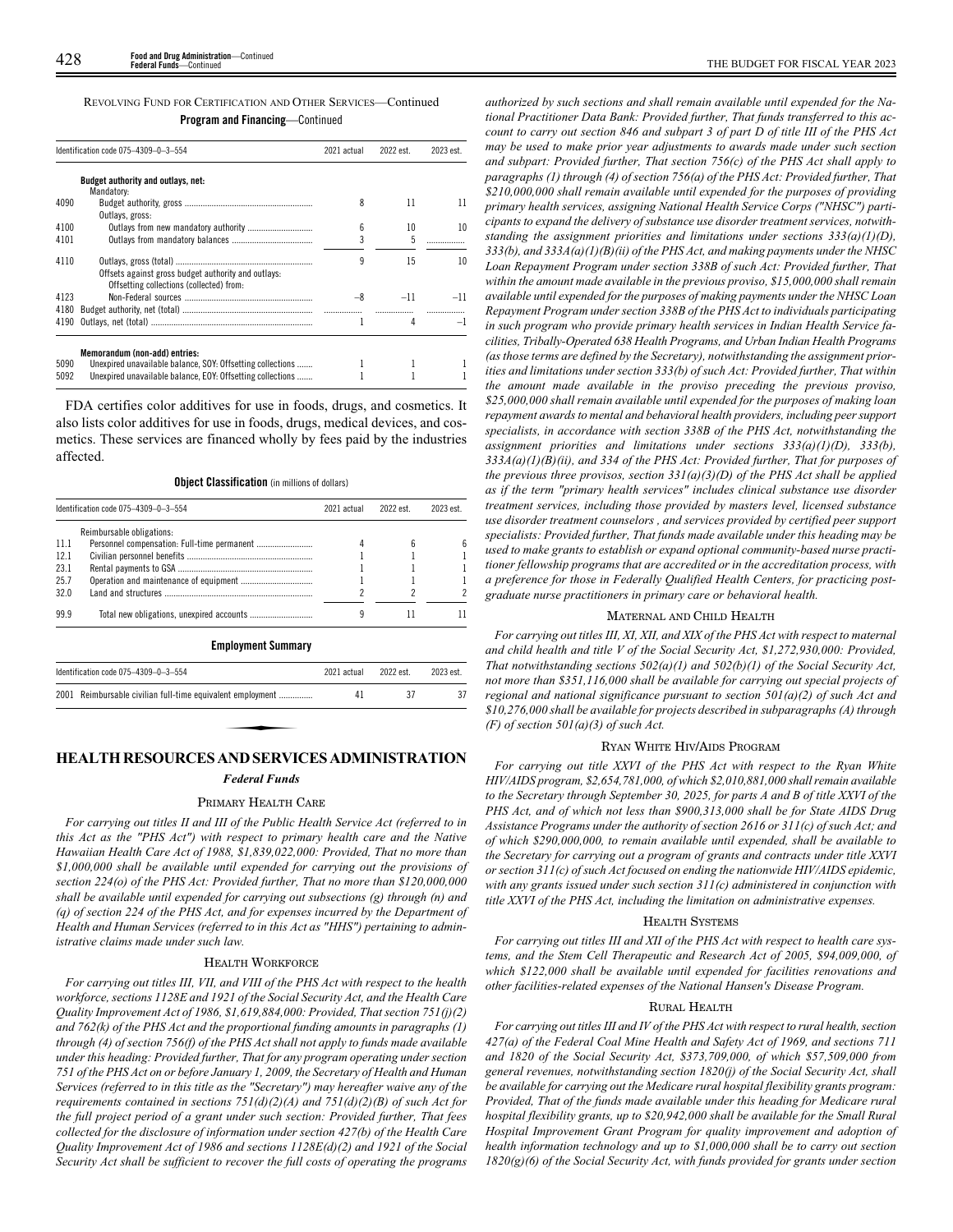| REVOLVING FUND FOR CERTIFICATION AND OTHER SERVICES—Continued |  |
|---------------------------------------------------------------|--|
| <b>Program and Financing</b> —Continued                       |  |

|      | Identification code 075-4309-0-3-554                                                            | 2021 actual | 2022 est. | 2023 est. |
|------|-------------------------------------------------------------------------------------------------|-------------|-----------|-----------|
|      | Budget authority and outlays, net:<br>Mandatory:                                                |             |           |           |
| 4090 |                                                                                                 | 8           | 11        | 11        |
|      | Outlavs, gross:                                                                                 |             |           |           |
| 4100 |                                                                                                 | 6           | 10        | 10        |
| 4101 |                                                                                                 | 3           | 5         |           |
| 4110 | Offsets against gross budget authority and outlays:<br>Offsetting collections (collected) from: | 9           | 15        | 10        |
| 4123 |                                                                                                 | -8          | $-11$     | $-11$     |
| 4180 |                                                                                                 |             |           |           |
| 4190 |                                                                                                 |             | 4         | -1        |
|      | Memorandum (non-add) entries:                                                                   |             |           |           |
| 5090 | Unexpired unavailable balance, SOY: Offsetting collections                                      |             |           |           |
| 5092 | Unexpired unavailable balance, EOY: Offsetting collections                                      |             |           |           |

FDA certifies color additives for use in foods, drugs, and cosmetics. It also lists color additives for use in foods, drugs, medical devices, and cosmetics. These services are financed wholly by fees paid by the industries affected.

## **Object Classification** (in millions of dollars)

|       | Identification code 075-4309-0-3-554 | 2021 actual | 2022 est. | 2023 est |
|-------|--------------------------------------|-------------|-----------|----------|
|       | Reimbursable obligations:            |             |           |          |
| -11.1 |                                      |             |           |          |
| 12.1  |                                      |             |           |          |
| 23.1  |                                      |             |           |          |
| 25.7  |                                      |             |           |          |
| 32.0  |                                      |             |           |          |
| 99.9  |                                      |             |           |          |

**Employment Summary**

| Identification code 075-4309-0-3-554                       | 2021 actual | 2022 est. | 2023 est. |
|------------------------------------------------------------|-------------|-----------|-----------|
| 2001 Reimbursable civilian full-time equivalent employment | 41          |           |           |
|                                                            |             |           |           |
| HE AT TH RESOURCES AND SERVICES ADMINISTRATION             |             |           |           |

## **HEALTH RESOURCES AND SERVICES ADMINISTRATION**

## *Federal Funds*

## PRIMARY HEALTH CARE

*For carrying out titles II and III of the Public Health Service Act (referred to in this Act as the "PHS Act") with respect to primary health care and the Native Hawaiian Health Care Act of 1988, \$1,839,022,000: Provided, That no more than \$1,000,000 shall be available until expended for carrying out the provisions of section 224(o) of the PHS Act: Provided further, That no more than \$120,000,000 shall be available until expended for carrying out subsections (g) through (n) and (q) of section 224 of the PHS Act, and for expenses incurred by the Department of Health and Human Services (referred to in this Act as "HHS") pertaining to administrative claims made under such law.*

## HEALTH WORKFORCE

*For carrying out titles III, VII, and VIII of the PHS Act with respect to the health workforce, sections 1128E and 1921 of the Social Security Act, and the Health Care Quality Improvement Act of 1986, \$1,619,884,000: Provided, That section 751(j)(2) and 762(k) of the PHS Act and the proportional funding amounts in paragraphs (1) through (4) of section 756(f) of the PHS Act shall not apply to funds made available under this heading: Provided further, That for any program operating under section 751 of the PHS Act on or before January 1, 2009, the Secretary of Health and Human Services (referred to in this title as the "Secretary") may hereafter waive any of the requirements contained in sections 751(d)(2)(A) and 751(d)(2)(B) of such Act for the full project period of a grant under such section: Provided further, That fees collected for the disclosure of information under section 427(b) of the Health Care Quality Improvement Act of 1986 and sections 1128E(d)(2) and 1921 of the Social Security Act shall be sufficient to recover the full costs of operating the programs*

*authorized by such sections and shall remain available until expended for the National Practitioner Data Bank: Provided further, That funds transferred to this account to carry out section 846 and subpart 3 of part D of title III of the PHS Act may be used to make prior year adjustments to awards made under such section and subpart: Provided further, That section 756(c) of the PHS Act shall apply to paragraphs (1) through (4) of section 756(a) of the PHS Act: Provided further, That \$210,000,000 shall remain available until expended for the purposes of providing primary health services, assigning National Health Service Corps ("NHSC") participants to expand the delivery of substance use disorder treatment services, notwithstanding the assignment priorities and limitations under sections 333(a)(1)(D), 333(b), and 333A(a)(1)(B)(ii) of the PHS Act, and making payments under the NHSC Loan Repayment Program under section 338B of such Act: Provided further, That within the amount made available in the previous proviso, \$15,000,000 shall remain available until expended for the purposes of making payments under the NHSC Loan Repayment Program under section 338B of the PHS Act to individuals participating in such program who provide primary health services in Indian Health Service facilities, Tribally-Operated 638 Health Programs, and Urban Indian Health Programs (as those terms are defined by the Secretary), notwithstanding the assignment priorities and limitations under section 333(b) of such Act: Provided further, That within the amount made available in the proviso preceding the previous proviso, \$25,000,000 shall remain available until expended for the purposes of making loan repayment awards to mental and behavioral health providers, including peer support specialists, in accordance with section 338B of the PHS Act, notwithstanding the assignment priorities and limitations under sections 333(a)(1)(D), 333(b), 333A(a)(1)(B)(ii), and 334 of the PHS Act: Provided further, That for purposes of the previous three provisos, section 331(a)(3)(D) of the PHS Act shall be applied as if the term "primary health services" includes clinical substance use disorder treatment services, including those provided by masters level, licensed substance use disorder treatment counselors , and services provided by certified peer support specialists: Provided further, That funds made available under this heading may be used to make grants to establish or expand optional community-based nurse practitioner fellowship programs that are accredited or in the accreditation process, with a preference for those in Federally Qualified Health Centers, for practicing postgraduate nurse practitioners in primary care or behavioral health.*

## MATERNAL AND CHILD HEALTH

*For carrying out titles III, XI, XII, and XIX of the PHS Act with respect to maternal and child health and title V of the Social Security Act, \$1,272,930,000: Provided, That notwithstanding sections 502(a)(1) and 502(b)(1) of the Social Security Act, not more than \$351,116,000 shall be available for carrying out special projects of regional and national significance pursuant to section 501(a)(2) of such Act and \$10,276,000 shall be available for projects described in subparagraphs (A) through (F) of section 501(a)(3) of such Act.*

## RYAN WHITE HIV/AIDS PROGRAM

*For carrying out title XXVI of the PHS Act with respect to the Ryan White HIV/AIDS program, \$2,654,781,000, of which \$2,010,881,000 shall remain available to the Secretary through September 30, 2025, for parts A and B of title XXVI of the PHS Act, and of which not less than \$900,313,000 shall be for State AIDS Drug Assistance Programs under the authority of section 2616 or 311(c) of such Act; and of which \$290,000,000, to remain available until expended, shall be available to the Secretary for carrying out a program of grants and contracts under title XXVI or section 311(c) of such Act focused on ending the nationwide HIV/AIDS epidemic, with any grants issued under such section 311(c) administered in conjunction with title XXVI of the PHS Act, including the limitation on administrative expenses.*

#### HEALTH SYSTEMS

*For carrying out titles III and XII of the PHS Act with respect to health care systems, and the Stem Cell Therapeutic and Research Act of 2005, \$94,009,000, of which \$122,000 shall be available until expended for facilities renovations and other facilities-related expenses of the National Hansen's Disease Program.*

## RURAL HEALTH

*For carrying out titles III and IV of the PHS Act with respect to rural health, section 427(a) of the Federal Coal Mine Health and Safety Act of 1969, and sections 711 and 1820 of the Social Security Act, \$373,709,000, of which \$57,509,000 from general revenues, notwithstanding section 1820(j) of the Social Security Act, shall be available for carrying out the Medicare rural hospital flexibility grants program: Provided, That of the funds made available under this heading for Medicare rural hospital flexibility grants, up to \$20,942,000 shall be available for the Small Rural Hospital Improvement Grant Program for quality improvement and adoption of health information technology and up to \$1,000,000 shall be to carry out section 1820(g)(6) of the Social Security Act, with funds provided for grants under section*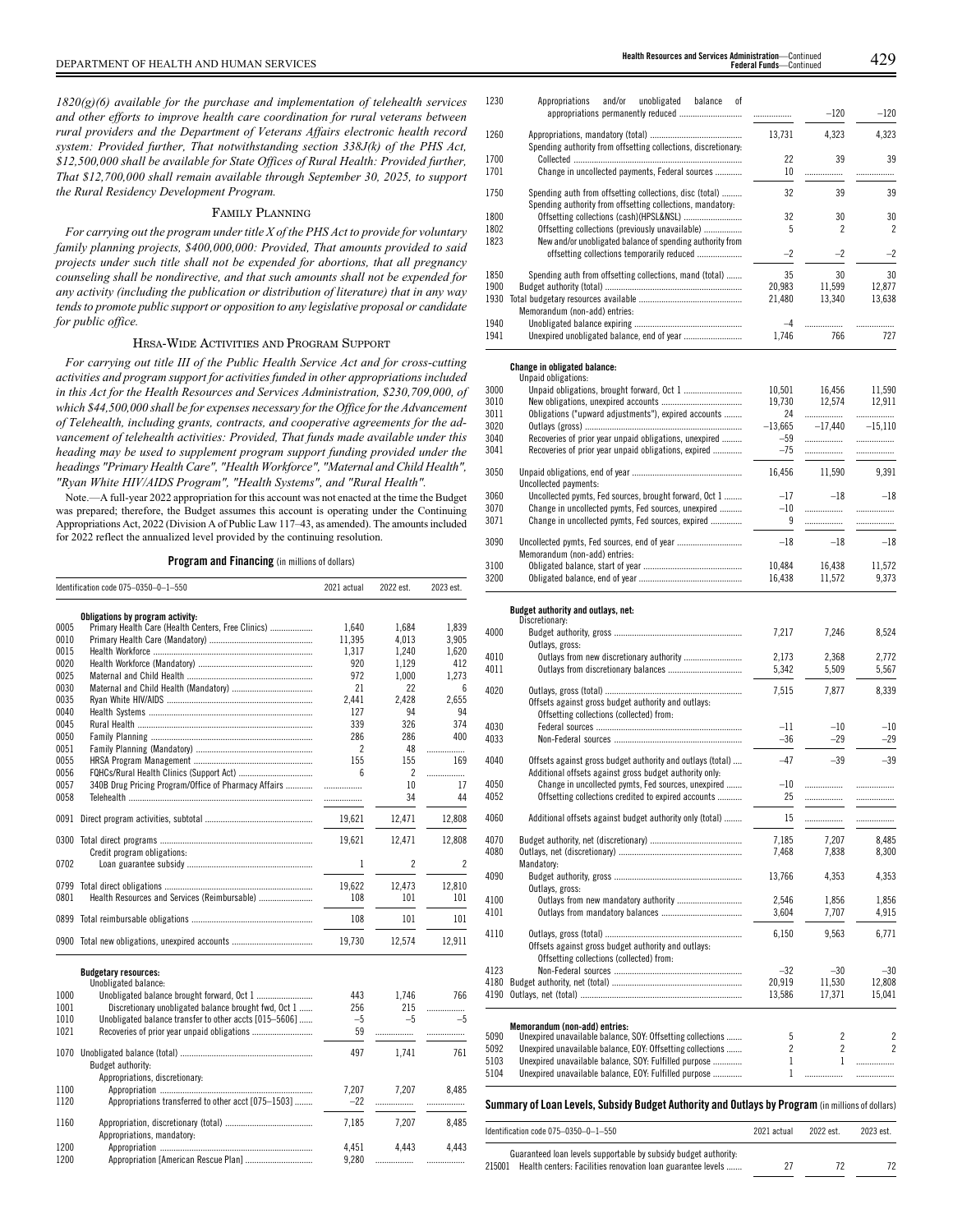*1820(g)(6) available for the purchase and implementation of telehealth services and other efforts to improve health care coordination for rural veterans between rural providers and the Department of Veterans Affairs electronic health record system: Provided further, That notwithstanding section 338J(k) of the PHS Act, \$12,500,000 shall be available for State Offices of Rural Health: Provided further, That \$12,700,000 shall remain available through September 30, 2025, to support the Rural Residency Development Program.*

## FAMILY PLANNING

*For carrying out the program under title X of the PHS Act to provide for voluntary family planning projects, \$400,000,000: Provided, That amounts provided to said projects under such title shall not be expended for abortions, that all pregnancy counseling shall be nondirective, and that such amounts shall not be expended for any activity (including the publication or distribution of literature) that in any way tends to promote public support or opposition to any legislative proposal or candidate for public office.*

## HRSA-WIDE ACTIVITIES AND PROGRAM SUPPORT

*For carrying out title III of the Public Health Service Act and for cross-cutting activities and program support for activities funded in other appropriations included in this Act for the Health Resources and Services Administration, \$230,709,000, of which \$44,500,000 shall be for expenses necessary for the Office for the Advancement of Telehealth, including grants, contracts, and cooperative agreements for the advancement of telehealth activities: Provided, That funds made available under this heading may be used to supplement program support funding provided under the headings "Primary Health Care", "Health Workforce", "Maternal and Child Health", "Ryan White HIV/AIDS Program", "Health Systems", and "Rural Health".*

Note.—A full-year 2022 appropriation for this account was not enacted at the time the Budget was prepared; therefore, the Budget assumes this account is operating under the Continuing Appropriations Act, 2022 (Division A of Public Law 117–43, as amended). The amounts included for 2022 reflect the annualized level provided by the continuing resolution.

## **Program and Financing** (in millions of dollars)

|      | Identification code 075-0350-0-1-550                   | 2021 actual    | 2022 est.                | 2023 est. |
|------|--------------------------------------------------------|----------------|--------------------------|-----------|
|      | Obligations by program activity:                       |                |                          |           |
| 0005 | Primary Health Care (Health Centers, Free Clinics)     | 1.640          | 1.684                    | 1.839     |
| 0010 |                                                        | 11,395         | 4.013                    | 3,905     |
| 0015 |                                                        | 1.317          | 1,240                    | 1.620     |
| 0020 |                                                        | 920            | 1.129                    | 412       |
| 0025 |                                                        | 972            | 1.000                    | 1.273     |
| 0030 |                                                        | 21             | 22                       | 6         |
| 0035 |                                                        | 2.441          | 2.428                    | 2.655     |
| 0040 |                                                        | 127            | 94                       | 94        |
| 0045 |                                                        | 339            | 326                      | 374       |
| 0050 |                                                        | 286            | 286                      | 400       |
| 0051 |                                                        | $\overline{c}$ | 48                       | .         |
| 0055 |                                                        | 155            | 155                      | 169       |
| 0056 | FQHCs/Rural Health Clinics (Support Act)               | ĥ              | $\overline{2}$           | .         |
| 0057 | 340B Drug Pricing Program/Office of Pharmacy Affairs   | .              | 10                       | 17        |
| 0058 |                                                        |                | 34                       | 44        |
|      |                                                        |                |                          |           |
| 0091 |                                                        | 19,621         | 12,471                   | 12,808    |
|      |                                                        | 19,621         | 12,471                   | 12,808    |
|      | Credit program obligations:                            |                |                          |           |
| 0702 |                                                        | 1              | $\overline{\phantom{a}}$ | 2         |
| 0799 |                                                        | 19.622         | 12,473                   | 12,810    |
| 0801 |                                                        | 108            | 101                      | 101       |
|      |                                                        | 108            | 101                      | 101       |
|      |                                                        | 19,730         | 12,574                   | 12,911    |
|      | <b>Budgetary resources:</b>                            |                |                          |           |
|      | Unobligated balance:                                   |                |                          |           |
| 1000 |                                                        | 443            | 1.746                    | 766       |
| 1001 | Discretionary unobligated balance brought fwd, Oct 1   | 256            | 215                      | .         |
| 1010 | Unobligated balance transfer to other accts [015-5606] | $-5$           | $-5$                     | $-5$      |
| 1021 |                                                        | 59             | .                        | .         |
| 1070 |                                                        | 497            | 1,741                    | 761       |
|      | Budget authority:                                      |                |                          |           |
|      | Appropriations, discretionary:                         |                |                          |           |
| 1100 |                                                        | 7,207          | 7.207                    | 8.485     |
| 1120 | Appropriations transferred to other acct [075-1503]    | $-22$          | .                        | .         |
|      |                                                        |                |                          |           |
| 1160 |                                                        | 7.185          | 7.207                    | 8.485     |
|      | Appropriations, mandatory:                             |                |                          |           |
| 1200 |                                                        | 4,451          | 4.443                    | 4.443     |

| 1230 | Appropriations and/or unobligated<br>balance<br>οf                                                                    |        |        |        |
|------|-----------------------------------------------------------------------------------------------------------------------|--------|--------|--------|
|      |                                                                                                                       | .      | $-120$ | $-120$ |
| 1260 | Spending authority from offsetting collections, discretionary:                                                        | 13.731 | 4,323  | 4,323  |
| 1700 |                                                                                                                       | 22     | 39     | 39     |
| 1701 | Change in uncollected payments, Federal sources                                                                       | 10     |        |        |
| 1750 | Spending auth from offsetting collections, disc (total)<br>Spending authority from offsetting collections, mandatory. | 32     | 39     | 39     |
| 1800 |                                                                                                                       | 32     | 30     | 30     |
| 1802 | Offsetting collections (previously unavailable)                                                                       | 5      | 2      | 2      |
| 1823 | New and/or unobligated balance of spending authority from                                                             |        |        |        |
|      | offsetting collections temporarily reduced                                                                            | $-2$   | $-2$   | $-2$   |
| 1850 | Spending auth from offsetting collections, mand (total)                                                               | 35     | 30     | 30     |
| 1900 |                                                                                                                       | 20.983 | 11,599 | 12.877 |
| 1930 |                                                                                                                       | 21.480 | 13.340 | 13,638 |
|      | Memorandum (non-add) entries:                                                                                         |        |        |        |
| 1940 |                                                                                                                       | $-4$   |        |        |
| 1941 |                                                                                                                       | 1.746  | 766    | 727    |

## **Change in obligated balance:** Unpaid obligations:

|      | UNUQIU UDIIEQUUNIS:                                    |           |           |           |
|------|--------------------------------------------------------|-----------|-----------|-----------|
| 3000 |                                                        | 10.501    | 16.456    | 11.590    |
| 3010 |                                                        | 19.730    | 12.574    | 12,911    |
| 3011 | Obligations ("upward adjustments"), expired accounts   | 24        | .         |           |
| 3020 |                                                        | $-13,665$ | $-17.440$ | $-15.110$ |
| 3040 | Recoveries of prior year unpaid obligations, unexpired | $-59$     | .         |           |
| 3041 | Recoveries of prior year unpaid obligations, expired   | $-75$     | .         | .         |
| 3050 | Uncollected payments:                                  | 16.456    | 11,590    | 9.391     |
| 3060 | Uncollected pymts, Fed sources, brought forward, Oct 1 | $-17$     | $-18$     | $-18$     |
| 3070 | Change in uncollected pymts, Fed sources, unexpired    | $-10$     |           |           |
| 3071 | Change in uncollected pymts, Fed sources, expired      | 9         |           |           |
| 3090 | Memorandum (non-add) entries:                          | $-18$     | $-18$     | $-18$     |
| 3100 |                                                        | 10.484    | 16.438    | 11,572    |
| 3200 |                                                        | 16.438    | 11.572    | 9.373     |
|      |                                                        |           |           |           |

## **Budget authority and outlays, net:**

|              | Identification code 075-0350-0-1-550                                                                                                                                  | 2021 actual     | 2022 est.       | 2023 est.                |
|--------------|-----------------------------------------------------------------------------------------------------------------------------------------------------------------------|-----------------|-----------------|--------------------------|
|              | Summary of Loan Levels, Subsidy Budget Authority and Outlays by Program (in millions of dollars)                                                                      |                 |                 |                          |
| 5104         | Unexpired unavailable balance, EOY: Fulfilled purpose                                                                                                                 | 1               |                 |                          |
| 5103         | Unexpired unavailable balance, SOY: Fulfilled purpose                                                                                                                 | $\mathbf{1}$    | $\mathbf{1}$    |                          |
| 5092         | Unexpired unavailable balance, EOY: Offsetting collections                                                                                                            | $\overline{c}$  | $\overline{2}$  | $\overline{\phantom{a}}$ |
| 5090         | Memorandum (non-add) entries:<br>Unexpired unavailable balance, SOY: Offsetting collections                                                                           | 5               | $\overline{c}$  | $\overline{c}$           |
|              |                                                                                                                                                                       | 13,586          | 17,371          | 15,041                   |
| 4123<br>4180 |                                                                                                                                                                       | $-32$<br>20,919 | $-30$<br>11,530 | $-30$<br>12,808          |
|              | Offsets against gross budget authority and outlays:<br>Offsetting collections (collected) from:                                                                       |                 |                 |                          |
| 4110         |                                                                                                                                                                       | 6,150           | 9.563           | 6,771                    |
| 4101         |                                                                                                                                                                       | 3.604           | 7.707           | 4,915                    |
| 4100         | Outlays, gross:                                                                                                                                                       | 2.546           | 1.856           | 1,856                    |
| 4090         | Mandatory:                                                                                                                                                            | 13,766          | 4,353           | 4,353                    |
| 4080         |                                                                                                                                                                       | 7,468           | 7,838           | 8,300                    |
| 4070         |                                                                                                                                                                       | 7,185           | 7,207           | 8,485                    |
| 4060         | Additional offsets against budget authority only (total)                                                                                                              | 15              | .               | .                        |
| 4050<br>4052 | Additional offsets against gross budget authority only:<br>Change in uncollected pymts, Fed sources, unexpired<br>Offsetting collections credited to expired accounts | $-10$<br>25     | .<br>.          |                          |
| 4040         | Offsets against gross budget authority and outlays (total)                                                                                                            | $-47$           | $-39$           | $-39$                    |
| 4030<br>4033 |                                                                                                                                                                       | $-11$<br>$-36$  | $-10$<br>$-29$  | $-10$<br>$-29$           |
| 4020         | Offsets against gross budget authority and outlays:<br>Offsetting collections (collected) from:                                                                       | 7,515           | 7,877           | 8,339                    |
| 4010<br>4011 | Outlays from new discretionary authority                                                                                                                              | 2.173<br>5,342  | 2,368<br>5,509  | 2.772<br>5,567           |
| 4000         | Outlays, gross:                                                                                                                                                       | 7,217           | 7,246           | 8,524                    |
|              | Duugot authority and outlays, not:<br>Discretionary:                                                                                                                  |                 |                 |                          |

| Guaranteed loan levels supportable by subsidy budget authority.    |  |  |
|--------------------------------------------------------------------|--|--|
| 215001 Health centers: Facilities renovation loan guarantee levels |  |  |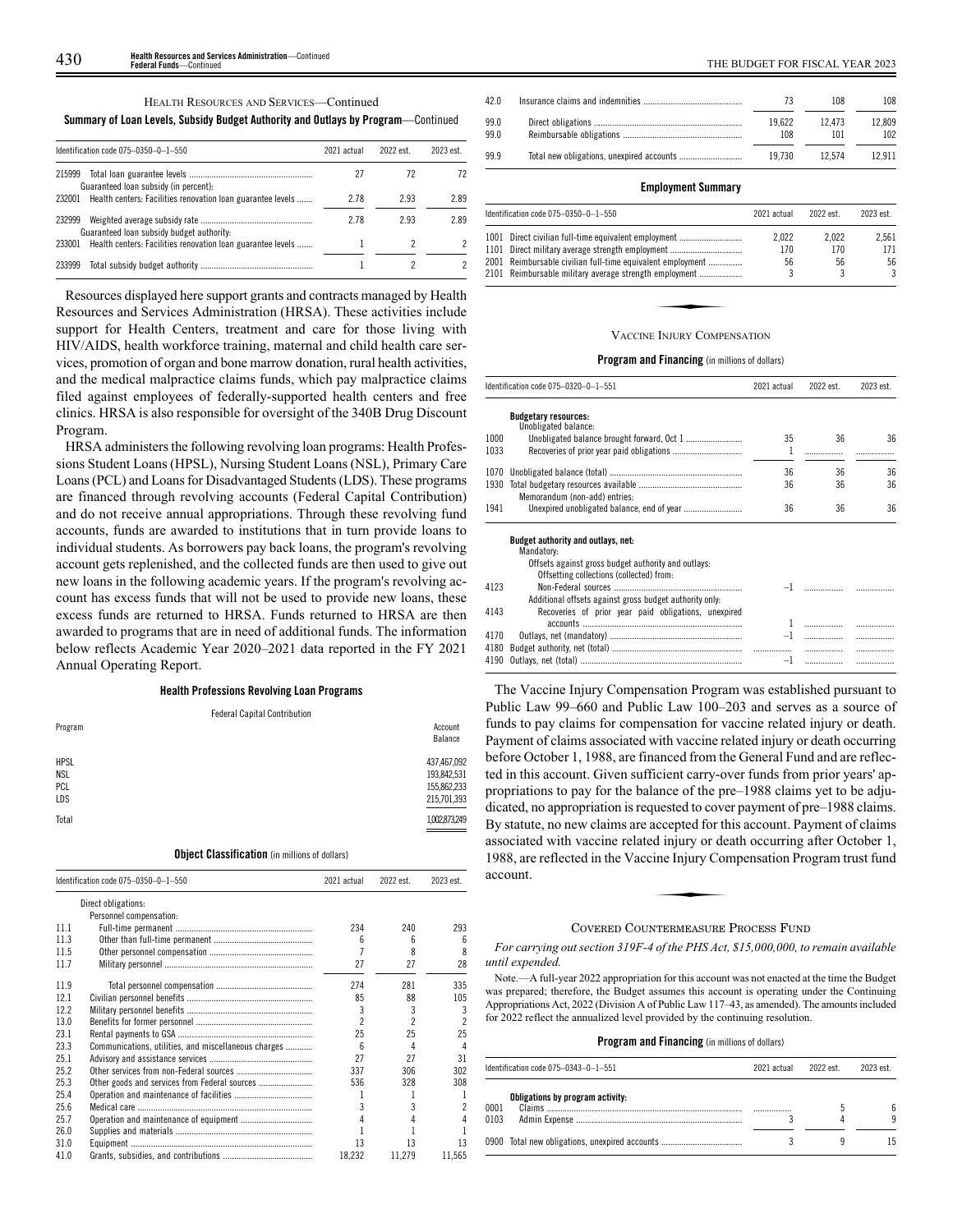HEALTH RESOURCES AND SERVICES—Continued

## **Summary of Loan Levels, Subsidy Budget Authority and Outlays by Program**—Continued

| Identification code 075-0350-0-1-550                |                                                             | 2021 actual | 2022 est. | 2023 est. |
|-----------------------------------------------------|-------------------------------------------------------------|-------------|-----------|-----------|
| 215999<br>Guaranteed loan subsidy (in percent):     |                                                             | 27          | 72        |           |
| 232001                                              | Health centers: Facilities renovation loan guarantee levels | 2.78        | 2.93      | 2.89      |
| 232999<br>Guaranteed loan subsidy budget authority: |                                                             | 2.78        | 2.93      | 289       |
| 233001                                              | Health centers: Facilities renovation loan guarantee levels |             |           |           |
| 233999                                              |                                                             |             |           |           |

Resources displayed here support grants and contracts managed by Health Resources and Services Administration (HRSA). These activities include support for Health Centers, treatment and care for those living with HIV/AIDS, health workforce training, maternal and child health care services, promotion of organ and bone marrow donation, rural health activities, and the medical malpractice claims funds, which pay malpractice claims filed against employees of federally-supported health centers and free clinics. HRSA is also responsible for oversight of the 340B Drug Discount Program.

HRSA administers the following revolving loan programs: Health Professions Student Loans (HPSL), Nursing Student Loans (NSL), Primary Care Loans (PCL) and Loans for Disadvantaged Students (LDS). These programs are financed through revolving accounts (Federal Capital Contribution) and do not receive annual appropriations. Through these revolving fund accounts, funds are awarded to institutions that in turn provide loans to individual students. As borrowers pay back loans, the program's revolving account gets replenished, and the collected funds are then used to give out new loans in the following academic years. If the program's revolving account has excess funds that will not be used to provide new loans, these excess funds are returned to HRSA. Funds returned to HRSA are then awarded to programs that are in need of additional funds. The information below reflects Academic Year 2020–2021 data reported in the FY 2021 Annual Operating Report.

### **Health Professions Revolving Loan Programs**

| <b>Federal Capital Contribution</b>                      |
|----------------------------------------------------------|
| Account<br>Balance                                       |
| 437,467,092<br>193,842,531<br>155,862,233<br>215,701,393 |
| 1,002,873,249                                            |
|                                                          |

## **Object Classification** (in millions of dollars)

|      | Identification code 075-0350-0-1-550                 | 2021 actual              | 2022 est.                | 2023 est. |
|------|------------------------------------------------------|--------------------------|--------------------------|-----------|
|      | Direct obligations:                                  |                          |                          |           |
|      | Personnel compensation:                              |                          |                          |           |
| 111  |                                                      | 234                      | 240                      | 293       |
| 11.3 |                                                      | ĥ                        | 6                        | 6         |
| 11.5 |                                                      |                          | 8                        | 8         |
| 11.7 |                                                      | 27                       | 27                       | 28        |
| 11.9 |                                                      | 274                      | 281                      | 335       |
| 12.1 |                                                      | 85                       | 88                       | 105       |
| 122  |                                                      | 3                        | 3                        | 3         |
| 13.0 |                                                      | $\overline{\phantom{a}}$ | $\overline{\phantom{a}}$ | 2         |
| 23.1 |                                                      | 25                       | 25                       | 25        |
| 23.3 | Communications, utilities, and miscellaneous charges | ĥ                        | 4                        | 4         |
| 25.1 |                                                      | 27                       | 27                       | 31        |
| 25.2 |                                                      | 337                      | 306                      | 302       |
| 25.3 | Other goods and services from Federal sources        | 536                      | 328                      | 308       |
| 25.4 |                                                      |                          |                          |           |
| 25.6 |                                                      | 3                        | 3                        |           |
| 25.7 |                                                      |                          |                          |           |
| 26.0 |                                                      |                          |                          |           |
| 31.0 |                                                      | 13                       | 13                       | 13        |
| 41.0 |                                                      | 18,232                   | 11,279                   | 11,565    |

| 42.0         |               | 108           | 108           |
|--------------|---------------|---------------|---------------|
| 99.0<br>99.0 | 19.622<br>108 | 12.473<br>101 | 12.809<br>102 |
| 99.9         | 19.730        | 12.574        | 12.911        |
|              |               |               |               |

## **Employment Summary**

| Identification code 075-0350-0-1-550                                                                     | 2021 actual  | 2022 est.    | 2023 est.    |
|----------------------------------------------------------------------------------------------------------|--------------|--------------|--------------|
| 1001 Direct civilian full-time equivalent employment<br>1101 Direct military average strength employment | 2.022<br>170 | 2.022<br>170 | 2.561<br>171 |
| 2001 Reimbursable civilian full-time equivalent employment                                               | 56           | 56           | 56           |
| 2101 Reimbursable military average strength employment                                                   |              | 3            | 3            |
| VACCINE INIHRY COMPENSATION                                                                              |              |              |              |

#### VACCINE INJURY COMPENSATION

### **Program and Financing** (in millions of dollars)

|              | Identification code 075-0320-0-1-551                                                                                                                                                                               | 2021 actual | 2022 est. | 2023 est. |
|--------------|--------------------------------------------------------------------------------------------------------------------------------------------------------------------------------------------------------------------|-------------|-----------|-----------|
|              | <b>Budgetary resources:</b><br>Unobligated balance:                                                                                                                                                                |             |           |           |
| 1000         |                                                                                                                                                                                                                    | 35          | 36        | 36        |
| 1033         |                                                                                                                                                                                                                    | 1           |           |           |
| 1070         |                                                                                                                                                                                                                    | 36          | 36        | 36        |
| 1930         | Memorandum (non-add) entries:                                                                                                                                                                                      | 36          | 36        | 36        |
| 1941         |                                                                                                                                                                                                                    | 36          | 36        | 36        |
|              | Budget authority and outlays, net:<br>Mandatory:                                                                                                                                                                   |             |           |           |
| 4123<br>4143 | Offsets against gross budget authority and outlays:<br>Offsetting collections (collected) from:<br>Additional offsets against gross budget authority only.<br>Recoveries of prior year paid obligations, unexpired |             |           |           |
|              |                                                                                                                                                                                                                    |             |           |           |
| 4170         |                                                                                                                                                                                                                    |             |           | .         |
| 4180         |                                                                                                                                                                                                                    |             | .         | .         |
| 4190         |                                                                                                                                                                                                                    | $-1$        |           | .         |

The Vaccine Injury Compensation Program was established pursuant to Public Law 99–660 and Public Law 100–203 and serves as a source of funds to pay claims for compensation for vaccine related injury or death. Payment of claims associated with vaccine related injury or death occurring before October 1, 1988, are financed from the General Fund and are reflected in this account. Given sufficient carry-over funds from prior years' appropriations to pay for the balance of the pre–1988 claims yet to be adjudicated, no appropriation is requested to cover payment of pre–1988 claims. By statute, no new claims are accepted for this account. Payment of claims By statute, ho hew elamis are decepted for ans decedure. Taylinent or elamis<br>associated with vaccine related injury or death occurring after October 1,<br>1988, are reflected in the Vaccine Injury Compensation Program trust f 1988, are reflected in the Vaccine Injury Compensation Program trust fund account.

#### COVERED COUNTERMEASURE PROCESS FUND

*For carrying out section 319F-4 of the PHS Act, \$15,000,000, to remain available until expended.*

Note.—A full-year 2022 appropriation for this account was not enacted at the time the Budget was prepared; therefore, the Budget assumes this account is operating under the Continuing Appropriations Act, 2022 (Division A of Public Law 117–43, as amended). The amounts included for 2022 reflect the annualized level provided by the continuing resolution.

|              | Identification code 075–0343–0–1–551           | 2021 actual | 2022 est. | 2023 est. |
|--------------|------------------------------------------------|-------------|-----------|-----------|
| 0001<br>0103 | Obligations by program activity:               |             |           |           |
|              | 0900 Total new obligations, unexpired accounts |             |           |           |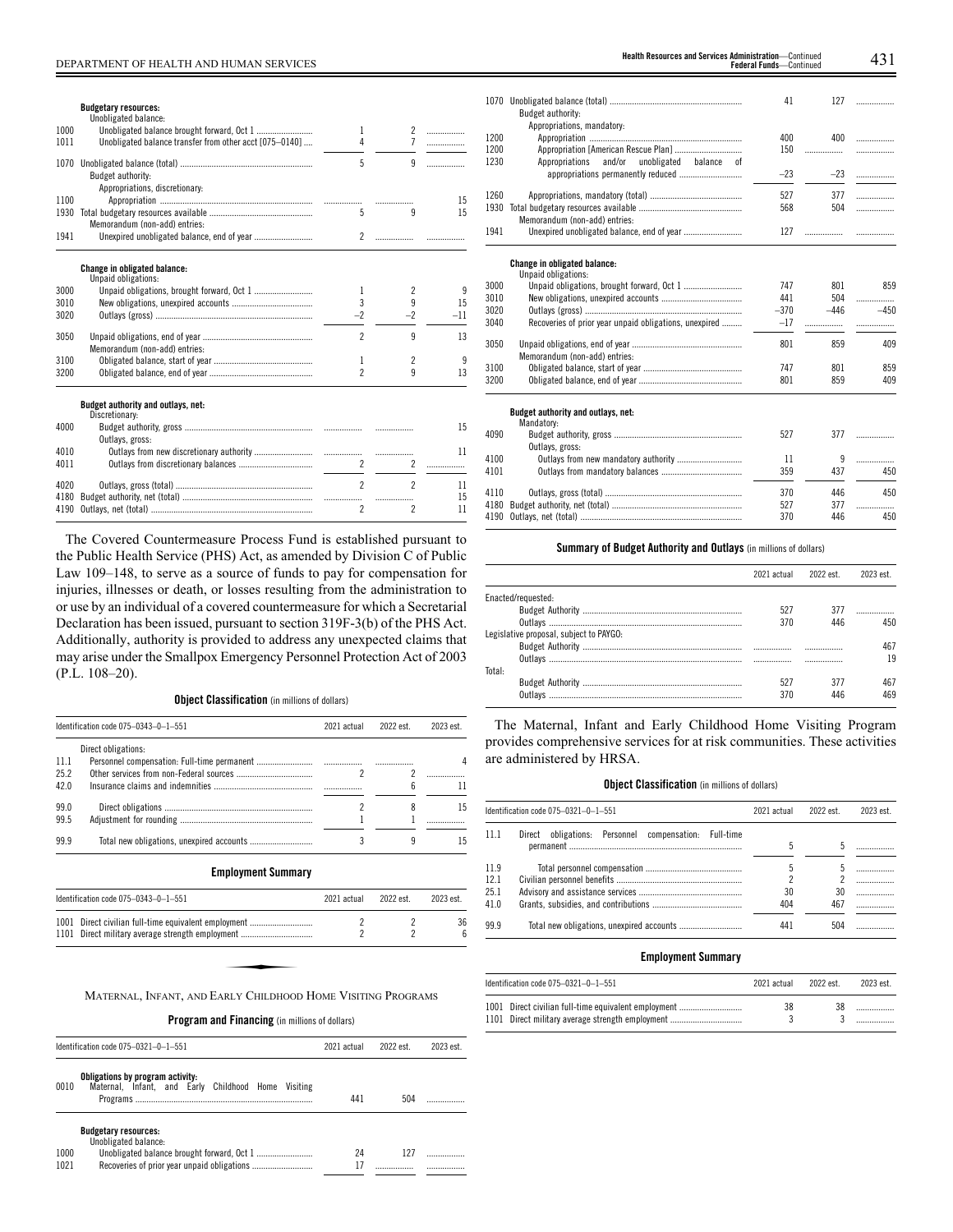## DEPARTMENT OF HEALTH AND HUMAN SERVICES 431 **Health Resources and Services Administration**—Continued

|                      | <b>Budgetary resources:</b>                                                                              |                |                                       |                  |
|----------------------|----------------------------------------------------------------------------------------------------------|----------------|---------------------------------------|------------------|
|                      | Unobligated balance:                                                                                     |                |                                       |                  |
| 1000                 |                                                                                                          | 1              | $\overline{2}$                        | .                |
| 1011                 | Unobligated balance transfer from other acct [075-0140]                                                  | 4              | 7                                     | .                |
|                      | Budget authority:<br>Appropriations, discretionary:                                                      | 5              | 9                                     |                  |
| 1100                 |                                                                                                          |                |                                       | 15               |
| 1930                 |                                                                                                          | 5              | q                                     | 15               |
|                      | Memorandum (non-add) entries:                                                                            |                |                                       |                  |
| 1941                 |                                                                                                          | $\overline{2}$ |                                       |                  |
| 3000<br>3010<br>3020 | <b>Change in obligated balance:</b><br>Unpaid obligations:<br>Unpaid obligations, brought forward, Oct 1 | 1<br>3<br>$-2$ | $\overline{\phantom{a}}$<br>9<br>$-2$ | 9<br>15<br>$-11$ |
| 3050                 | Memorandum (non-add) entries:                                                                            | $\overline{2}$ | q                                     | 13               |
| 3100                 |                                                                                                          | 1              | $\overline{\phantom{a}}$              | 9                |
| 3200                 |                                                                                                          | $\overline{2}$ | 9                                     | 13               |
|                      | Budget authority and outlays, net:<br>Discretionary:                                                     |                |                                       |                  |
| 4000                 | Outlays, gross:                                                                                          |                |                                       | 15               |
| 4010                 |                                                                                                          |                |                                       | 11               |
| 4011                 |                                                                                                          | $\overline{2}$ | $\overline{\phantom{a}}$              | .                |
|                      |                                                                                                          |                |                                       |                  |

The Covered Countermeasure Process Fund is established pursuant to the Public Health Service (PHS) Act, as amended by Division C of Public Law 109–148, to serve as a source of funds to pay for compensation for injuries, illnesses or death, or losses resulting from the administration to or use by an individual of a covered countermeasure for which a Secretarial Declaration has been issued, pursuant to section 319F-3(b) of the PHS Act. Additionally, authority is provided to address any unexpected claims that may arise under the Smallpox Emergency Personnel Protection Act of 2003 (P.L. 108–20).

4020 Outlays, gross (total) ............................................................. 2 2 11 4180 Budget authority, net (total) .......................................................... ................. ................. 15

4190 Outlays, net (total) ...

## **Object Classification** (in millions of dollars)

|      | Identification code 075-0343-0-1-551                         | 2021 actual              | 2022 est. | 2023 est. |
|------|--------------------------------------------------------------|--------------------------|-----------|-----------|
|      | Direct obligations:                                          |                          |           |           |
| 11.1 |                                                              |                          |           | 4         |
| 252  |                                                              | $\overline{\phantom{a}}$ | 2         |           |
| 42.0 |                                                              |                          | 6         | 11        |
| 99.0 |                                                              | 2                        | 8         | 15        |
| 99.5 |                                                              |                          |           |           |
| 99.9 |                                                              | 3                        | 9         | 15        |
|      | <b>Employment Summary</b>                                    |                          |           |           |
|      | Identification code 075-0343-0-1-551                         | 2021 actual              | 2022 est. | 2023 est. |
| 1001 | Direct civilian full-time equivalent employment              | 2                        | 2         | 36        |
| 1101 |                                                              | 2                        | 2         | ĥ         |
|      |                                                              |                          |           |           |
|      |                                                              |                          |           |           |
|      |                                                              |                          |           |           |
|      | MATERNAL, INFANT, AND EARLY CHILDHOOD HOME VISITING PROGRAMS |                          |           |           |

**Program and Financing** (in millions of dollars)

|              | Identification code 075-0321-0-1-551                                                       | 2021 actual | 2022 est. | 2023 est |
|--------------|--------------------------------------------------------------------------------------------|-------------|-----------|----------|
| 0010         | Obligations by program activity:<br>Maternal, Infant, and Early Childhood Home<br>Visiting | 441         | 504       |          |
| 1000<br>1021 | <b>Budgetary resources:</b><br>Unobligated balance:                                        | 24          | 127       |          |

| <b>Health Resources and Services Administration—Contin</b> |                             |  |
|------------------------------------------------------------|-----------------------------|--|
|                                                            | <b>Federal Funds-Contin</b> |  |

|      |                                                                             | 41     | 127    | .        |
|------|-----------------------------------------------------------------------------|--------|--------|----------|
|      | Budget authority:<br>Appropriations, mandatory:                             |        |        |          |
| 1200 |                                                                             | 400    | 400    | .        |
| 1200 | Appropriation [American Rescue Plan]                                        | 150    | .      | .        |
| 1230 | Appropriations<br>and/or<br>unobligated<br>balance<br>оf                    |        |        |          |
|      | appropriations permanently reduced                                          | $-23$  | $-23$  | .        |
|      |                                                                             |        |        |          |
| 1260 |                                                                             | 527    | 377    | .        |
| 1930 |                                                                             | 568    | 504    | .        |
| 1941 | Memorandum (non-add) entries:<br>Unexpired unobligated balance, end of year | 127    | .      |          |
|      |                                                                             |        |        | .        |
|      |                                                                             |        |        |          |
|      | Change in obligated balance:<br>Unpaid obligations:                         |        |        |          |
| 3000 |                                                                             | 747    | 801    | 859      |
| 3010 |                                                                             | 441    | 504    | .        |
| 3020 |                                                                             | $-370$ | $-446$ | $-450$   |
| 3040 | Recoveries of prior year unpaid obligations, unexpired                      | $-17$  | .      | .        |
|      |                                                                             |        |        |          |
| 3050 |                                                                             | 801    | 859    | 409      |
|      | Memorandum (non-add) entries:                                               |        |        |          |
| 3100 |                                                                             | 747    | 801    | 859      |
| 3200 |                                                                             | 801    | 859    | 409      |
|      |                                                                             |        |        |          |
|      | Budget authority and outlays, net:                                          |        |        |          |
|      | Mandatory:                                                                  |        |        |          |
| 4090 |                                                                             | 527    | 377    | .        |
| 4100 | Outlays, gross:                                                             | 11     | 9      |          |
| 4101 |                                                                             | 359    | 437    | .<br>450 |
|      |                                                                             |        |        |          |
| 4110 |                                                                             | 370    | 446    | 450      |
| 4180 |                                                                             | 527    | 377    | .        |
| 4190 |                                                                             | 370    | 446    | 450      |
|      |                                                                             |        |        |          |

## **Summary of Budget Authority and Outlays** (in millions of dollars)

|                                         | 2021 actual | 2022 est | 2023 est. |
|-----------------------------------------|-------------|----------|-----------|
| Enacted/requested:                      |             |          |           |
|                                         | 527         | 377      |           |
|                                         | 370         | 446      | 450       |
| Legislative proposal, subject to PAYGO: |             |          |           |
|                                         |             |          | 467       |
|                                         |             |          | 19        |
| Total:                                  |             |          |           |
|                                         | 527         | 377      | 467       |
| Outlavs                                 | 370         | 446      | 469       |

The Maternal, Infant and Early Childhood Home Visiting Program provides comprehensive services for at risk communities. These activities are administered by HRSA.

### **Object Classification** (in millions of dollars)

|              | Identification code 075-0321-0-1-551                     | 2021 actual | 2022 est. | 2023 est. |
|--------------|----------------------------------------------------------|-------------|-----------|-----------|
| 11.1         | obligations: Personnel compensation: Full-time<br>Direct | 5           |           |           |
| 11.9<br>12.1 |                                                          | 5           |           |           |
| 25.1<br>41.0 |                                                          | 30<br>404   | 30<br>467 |           |
| 99.9         |                                                          | 441         | 504       |           |

## **Employment Summary**

| Identification code 075-0321-0-1-551                                                                     | 2021 actual | 2022 est. | 2023 est. |
|----------------------------------------------------------------------------------------------------------|-------------|-----------|-----------|
| 1001 Direct civilian full-time equivalent employment<br>1101 Direct military average strength employment | 38          | 38        |           |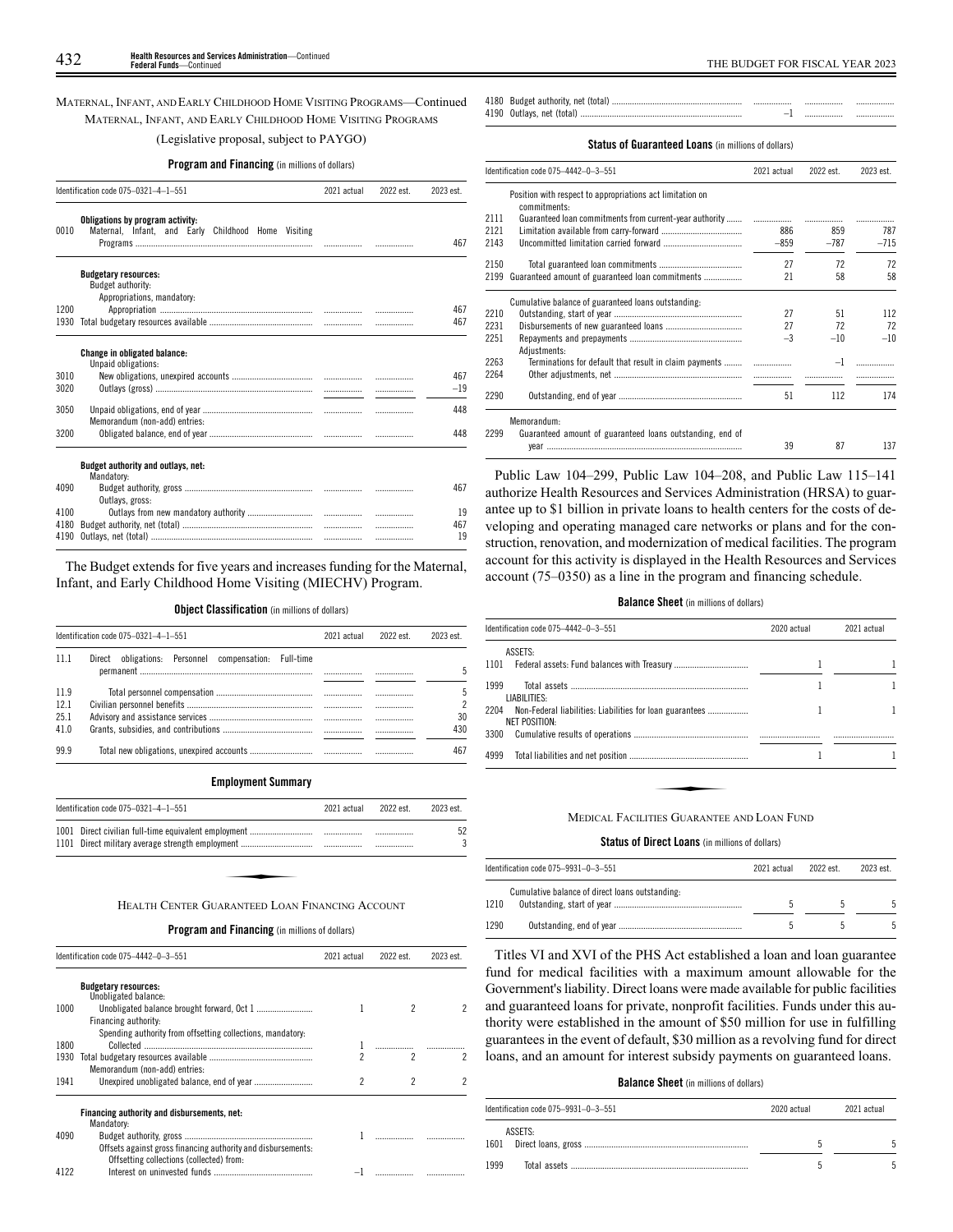## MATERNAL, INFANT, AND EARLY CHILDHOOD HOME VISITING PROGRAMS—Continued MATERNAL, INFANT, AND EARLY CHILDHOOD HOME VISITING PROGRAMS

## (Legislative proposal, subject to PAYGO)

## **Program and Financing** (in millions of dollars)

|      | Identification code 075-0321-4-1-551                                                    |  | 2022 est. | 2023 est. |
|------|-----------------------------------------------------------------------------------------|--|-----------|-----------|
| 0010 | Obligations by program activity:<br>Maternal, Infant, and Early Childhood Home Visiting |  |           | 467       |
|      | <b>Budgetary resources:</b>                                                             |  |           |           |
|      | Budget authority:                                                                       |  |           |           |
|      | Appropriations, mandatory:                                                              |  |           |           |
| 1200 |                                                                                         |  |           | 467       |
| 1930 |                                                                                         |  |           | 467       |
|      |                                                                                         |  |           |           |
|      | <b>Change in obligated balance:</b><br>Unpaid obligations:                              |  |           |           |
| 3010 |                                                                                         |  |           | 467       |
| 3020 |                                                                                         |  |           | $-19$     |
|      |                                                                                         |  |           |           |
| 3050 |                                                                                         |  |           | 448       |
|      | Memorandum (non-add) entries:                                                           |  |           |           |
| 3200 |                                                                                         |  |           | 448       |
|      | Budget authority and outlays, net:                                                      |  |           |           |
|      | Mandatory:                                                                              |  |           |           |
| 4090 |                                                                                         |  |           | 467       |
|      | Outlays, gross:                                                                         |  |           |           |
| 4100 |                                                                                         |  |           | 19        |
| 4180 |                                                                                         |  |           | 467       |
| 4190 |                                                                                         |  |           | 19        |

The Budget extends for five years and increases funding for the Maternal, Infant, and Early Childhood Home Visiting (MIECHV) Program.

## **Object Classification** (in millions of dollars)

| Direct obligations: Personnel compensation:<br>Full-time<br> |                |
|--------------------------------------------------------------|----------------|
|                                                              |                |
|                                                              |                |
|                                                              | <br><br>30     |
|                                                              | <br>430<br>467 |
|                                                              |                |

### **Employment Summary**

| Identification code 075-0321-4-1-551            | 2021 actual | 2022 est | 2023 est |
|-------------------------------------------------|-------------|----------|----------|
|                                                 |             |          | 52       |
|                                                 |             |          |          |
| HEALTH CENTER GUARANTEED LOAN FINANCING ACCOUNT |             |          |          |

## **Program and Financing** (in millions of dollars)

|      | Identification code 075-4442-0-3-551                                                                     |   | 2022 est. | 2023 est. |
|------|----------------------------------------------------------------------------------------------------------|---|-----------|-----------|
|      | <b>Budgetary resources:</b><br>Unobligated balance:                                                      |   |           |           |
| 1000 | Financing authority:                                                                                     |   |           |           |
| 1800 | Spending authority from offsetting collections, mandatory.                                               |   |           |           |
| 1930 | Memorandum (non-add) entries:                                                                            | 2 | 2         |           |
| 1941 |                                                                                                          | 2 | 2         |           |
|      | Financing authority and disbursements, net:<br>Mandatory:                                                |   |           |           |
| 4090 | Offsets against gross financing authority and disbursements:<br>Offsetting collections (collected) from: |   |           |           |
| 4122 |                                                                                                          |   |           |           |

4180 Budget authority, net (total) 4190 Outlays, net (total) ........................................................................ –1 ................. .................

## **Status of Guaranteed Loans** (in millions of dollars)

|      | Identification code 075-4442-0-3-551                                      | 2021 actual | 2022 est. | 2023 est. |
|------|---------------------------------------------------------------------------|-------------|-----------|-----------|
|      | Position with respect to appropriations act limitation on<br>commitments: |             |           |           |
| 2111 | Guaranteed loan commitments from current-year authority                   |             |           |           |
| 2121 |                                                                           | 886         | 859       | 787       |
| 2143 |                                                                           | $-859$      | $-787$    | $-715$    |
| 2150 |                                                                           | 27          | 72        | 72        |
| 2199 | Guaranteed amount of guaranteed loan commitments                          | 21          | 58        | 58        |
|      | Cumulative balance of guaranteed loans outstanding.                       |             |           |           |
| 2210 |                                                                           | 27          | 51        | 112       |
| 2231 |                                                                           | 27          | 72        | 72        |
| 2251 |                                                                           | $-3$        | $-10$     | $-10$     |
| 2263 | Adiustments:<br>Terminations for default that result in claim payments    |             | $-1$      |           |
| 2264 |                                                                           |             |           |           |
| 2290 |                                                                           | 51          | 112       | 174       |
|      | Memorandum:                                                               |             |           |           |
| 2299 | Guaranteed amount of guaranteed loans outstanding, end of                 | 39          | 87        | 137       |
|      |                                                                           |             |           |           |

Public Law 104–299, Public Law 104–208, and Public Law 115–141 authorize Health Resources and Services Administration (HRSA) to guarantee up to \$1 billion in private loans to health centers for the costs of developing and operating managed care networks or plans and for the construction, renovation, and modernization of medical facilities. The program account for this activity is displayed in the Health Resources and Services account (75–0350) as a line in the program and financing schedule.

## **Balance Sheet** (in millions of dollars)

| Identification code 075-4442-0-3-551                                           | 2020 actual | 2021 actual |
|--------------------------------------------------------------------------------|-------------|-------------|
| ASSETS:                                                                        |             |             |
| 1101 Federal assets: Fund balances with Treasury                               |             |             |
| 1999<br>LIABILITIES:                                                           |             |             |
| 2204 Non-Federal liabilities: Liabilities for loan guarantees<br>NET POSITION: |             |             |
| 3300                                                                           |             |             |
| 4999                                                                           |             |             |
|                                                                                |             |             |
| MEDICAL FACILITIES GUARANTEE AND LOAN FUND                                     |             |             |

#### **Status of Direct Loans** (in millions of dollars)

|      | Identification code 075-9931-0-3-551<br>2021 actual |  | 2022 est. | 2023 est. |
|------|-----------------------------------------------------|--|-----------|-----------|
| 1210 | Cumulative balance of direct loans outstanding:     |  |           |           |
| 1290 |                                                     |  |           |           |

Titles VI and XVI of the PHS Act established a loan and loan guarantee fund for medical facilities with a maximum amount allowable for the Government's liability. Direct loans were made available for public facilities and guaranteed loans for private, nonprofit facilities. Funds under this authority were established in the amount of \$50 million for use in fulfilling guarantees in the event of default, \$30 million as a revolving fund for direct loans, and an amount for interest subsidy payments on guaranteed loans.

#### **Balance Sheet** (in millions of dollars)

|      | Identification code 075-9931-0-3-551 | 2020 actual | 2021 actual |
|------|--------------------------------------|-------------|-------------|
|      | ASSETS:                              |             |             |
| 1999 |                                      |             |             |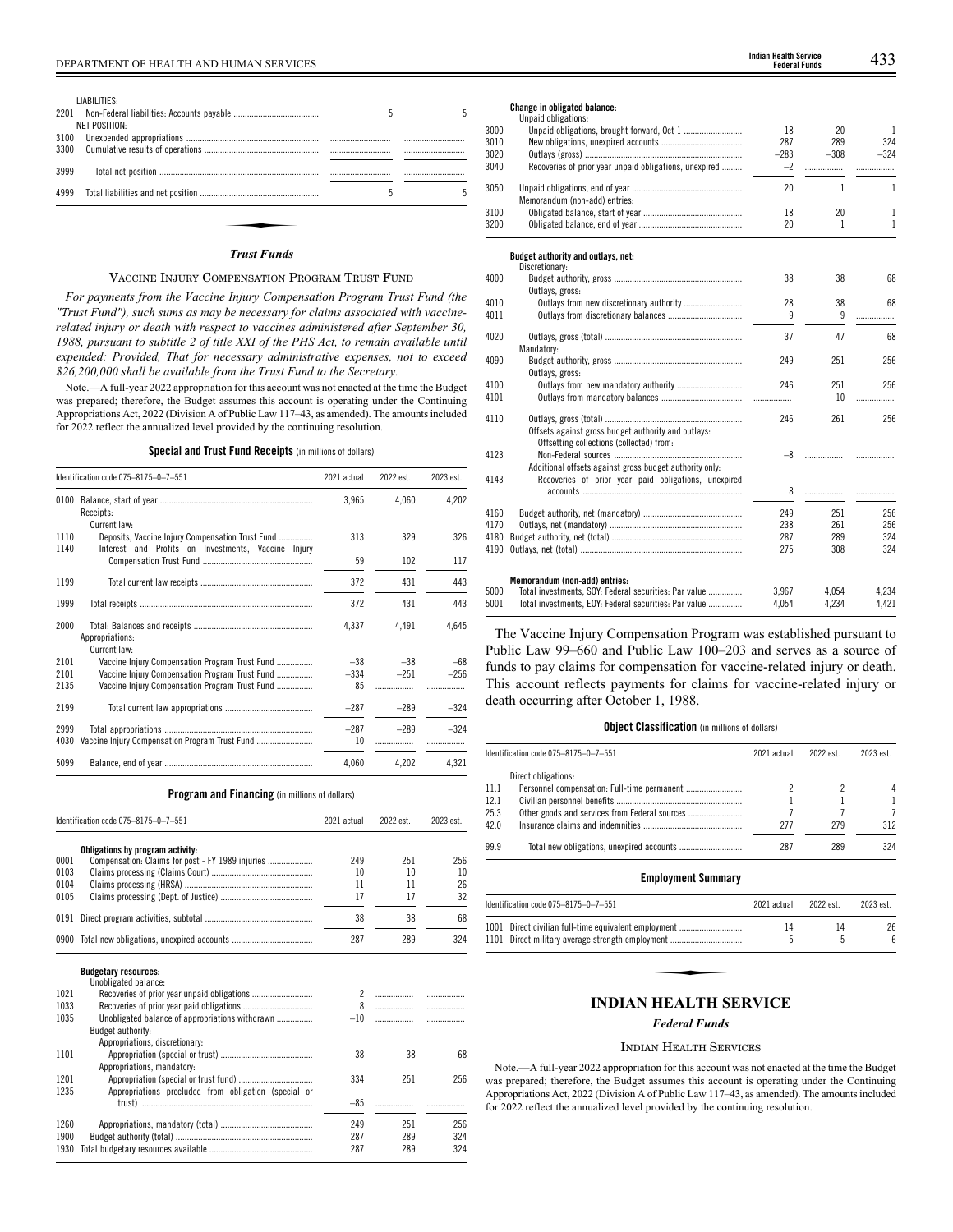|      | LIABILITIES:  |   |  |
|------|---------------|---|--|
| 2201 |               | 5 |  |
|      | NET POSITION: |   |  |
| 3100 |               |   |  |
| 3300 |               |   |  |
| 3999 |               |   |  |
| 4999 |               | 5 |  |
|      | Trust Funds   |   |  |

### *Trust Funds*

## VACCINE INJURY COMPENSATION PROGRAM TRUST FUND

*For payments from the Vaccine Injury Compensation Program Trust Fund (the "Trust Fund"), such sums as may be necessary for claims associated with vaccinerelated injury or death with respect to vaccines administered after September 30, 1988, pursuant to subtitle 2 of title XXI of the PHS Act, to remain available until expended: Provided, That for necessary administrative expenses, not to exceed \$26,200,000 shall be available from the Trust Fund to the Secretary.*

Note.—A full-year 2022 appropriation for this account was not enacted at the time the Budget was prepared; therefore, the Budget assumes this account is operating under the Continuing Appropriations Act, 2022 (Division A of Public Law 117–43, as amended). The amounts included for 2022 reflect the annualized level provided by the continuing resolution.

**Special and Trust Fund Receipts** (in millions of dollars)

|              | Identification code 075-8175-0-7-551                                                                    | 2021 actual  | 2022 est. | 2023 est. |
|--------------|---------------------------------------------------------------------------------------------------------|--------------|-----------|-----------|
| 0100         | Receipts:<br>Current law:                                                                               | 3,965        | 4,060     | 4,202     |
| 1110<br>1140 | Deposits, Vaccine Injury Compensation Trust Fund<br>Interest and Profits on Investments, Vaccine Injury | 313          | 329       | 326       |
|              |                                                                                                         | 59           | 102       | 117       |
| 1199         |                                                                                                         | 372          | 431       | 443       |
| 1999         |                                                                                                         | 372          | 431       | 443       |
| 2000         | Appropriations:<br>Current law:                                                                         | 4,337        | 4.491     | 4,645     |
| 2101         | Vaccine Injury Compensation Program Trust Fund                                                          | $-38$        | $-38$     | $-68$     |
| 2101         | Vaccine Injury Compensation Program Trust Fund                                                          | $-334$       | $-251$    | $-256$    |
| 2135         | Vaccine Injury Compensation Program Trust Fund                                                          | 85           |           |           |
| 2199         |                                                                                                         | $-287$       | $-289$    | $-324$    |
| 2999<br>4030 | Vaccine Injury Compensation Program Trust Fund                                                          | $-287$<br>10 | $-289$    | $-324$    |
| 5099         |                                                                                                         | 4,060        | 4,202     | 4,321     |

## **Program and Financing** (in millions of dollars)

|      | Identification code 075-8175-0-7-551                 |                | 2022 est. | 2023 est. |
|------|------------------------------------------------------|----------------|-----------|-----------|
|      | Obligations by program activity:                     |                |           |           |
| 0001 | Compensation: Claims for post - FY 1989 injuries     | 249            | 251       | 256       |
| 0103 |                                                      | 10             | 10        | 10        |
| 0104 |                                                      | 11             | 11        | 26        |
| 0105 |                                                      | 17             | 17        | 32        |
| 0191 |                                                      | 38             | 38        | 68        |
|      | 0900 Total new obligations, unexpired accounts       | 287            | 289       | 324       |
|      | <b>Budgetary resources:</b><br>Unobligated balance:  |                |           |           |
| 1021 | Recoveries of prior year unpaid obligations          | $\overline{2}$ |           | .         |
| 1033 |                                                      | 8              |           |           |
| 1035 | Unobligated balance of appropriations withdrawn      | $-10$          | .         |           |
|      | Budget authority:                                    |                |           |           |
|      | Appropriations, discretionary:                       |                |           |           |
| 1101 |                                                      | 38             | 38        | 68        |
|      | Appropriations, mandatory:                           |                |           |           |
| 1201 |                                                      | 334            | 251       | 256       |
| 1235 | Appropriations precluded from obligation (special or |                |           |           |
|      |                                                      | $-85$          |           |           |
|      |                                                      |                |           |           |
| 1260 |                                                      | 249            | 251       | 256       |
| 1900 |                                                      | 287            | 289       | 324       |
| 1930 |                                                      | 287            | 289       | 324       |

## **Change in obligated balance:**

|      | Unpaid obligations:                                     |        |        |              |
|------|---------------------------------------------------------|--------|--------|--------------|
| 3000 |                                                         | 18     | 20     | $\mathbf{1}$ |
| 3010 |                                                         | 287    | 289    | 324          |
| 3020 |                                                         | $-283$ | $-308$ | $-324$       |
| 3040 | Recoveries of prior year unpaid obligations, unexpired  | $-2$   | .      | .            |
| 3050 |                                                         | 20     | 1      | 1            |
|      | Memorandum (non-add) entries:                           |        |        |              |
| 3100 |                                                         | 18     | 20     | 1            |
| 3200 |                                                         | 20     | 1      | 1            |
|      | Budget authority and outlays, net:                      |        |        |              |
|      | Discretionary:                                          |        |        |              |
| 4000 |                                                         | 38     | 38     | 68           |
|      | Outlays, gross:                                         |        |        |              |
| 4010 |                                                         | 28     | 38     | 68           |
| 4011 |                                                         | 9      | 9      | .            |
|      |                                                         |        |        |              |
| 4020 |                                                         | 37     | 47     | 68           |
|      | Mandatory:                                              |        |        |              |
| 4090 |                                                         | 249    | 251    | 256          |
|      | Outlays, gross:                                         |        |        |              |
| 4100 |                                                         | 246    | 251    | 256          |
| 4101 |                                                         |        | 10     |              |
|      |                                                         |        |        |              |
| 4110 |                                                         | 246    | 261    | 256          |
|      | Offsets against gross budget authority and outlays:     |        |        |              |
|      | Offsetting collections (collected) from:                |        |        |              |
| 4123 |                                                         | -8     | .      |              |
|      | Additional offsets against gross budget authority only: |        |        |              |
| 4143 | Recoveries of prior year paid obligations, unexpired    |        |        |              |
|      |                                                         | 8      | .      |              |
| 4160 |                                                         | 249    | 251    | 256          |
| 4170 |                                                         | 238    | 261    | 256          |
| 4180 |                                                         | 287    | 289    | 324          |
| 4190 |                                                         | 275    | 308    | 324          |
|      |                                                         |        |        |              |
|      | Memorandum (non-add) entries:                           |        |        |              |
| 5000 | Total investments, SOY: Federal securities: Par value   | 3.967  | 4.054  | 4.234        |

| 5000 | Total investments, SOY: Federal securities: Par value | 3.967 | 4.054 | 4.234 |
|------|-------------------------------------------------------|-------|-------|-------|
| 5001 | Total investments. EOY: Federal securities: Par value | 4.054 | 4.234 | 4.421 |
|      |                                                       |       |       |       |

The Vaccine Injury Compensation Program was established pursuant to Public Law 99–660 and Public Law 100–203 and serves as a source of funds to pay claims for compensation for vaccine-related injury or death. This account reflects payments for claims for vaccine-related injury or death occurring after October 1, 1988.

## **Object Classification** (in millions of dollars)

|      | Identification code 075-8175-0-7-551          | 2021 actual | 2022 est. | 2023 est. |
|------|-----------------------------------------------|-------------|-----------|-----------|
|      | Direct obligations:                           |             |           |           |
| 11.1 |                                               |             |           | 4         |
| 12.1 |                                               |             |           |           |
| 25.3 | Other goods and services from Federal sources |             |           |           |
| 42.0 |                                               | 277         | 279       | 312       |
| 99.9 |                                               | 287         | 289       | 324       |

### **Employment Summary**

| Identification code 075-8175-0-7-551                 | 2021 actual | 2022 est. | 2023 est. |
|------------------------------------------------------|-------------|-----------|-----------|
| 1001 Direct civilian full-time equivalent employment | 14          | 14        | 26        |
| 1101 Direct military average strength employment     |             |           | 6         |
| <b>INDIAN HEALTH SERVICE</b>                         |             |           |           |

## *Federal Funds*

## INDIAN HEALTH SERVICES

Note.—A full-year 2022 appropriation for this account was not enacted at the time the Budget was prepared; therefore, the Budget assumes this account is operating under the Continuing Appropriations Act, 2022 (Division A of Public Law 117–43, as amended). The amounts included for 2022 reflect the annualized level provided by the continuing resolution.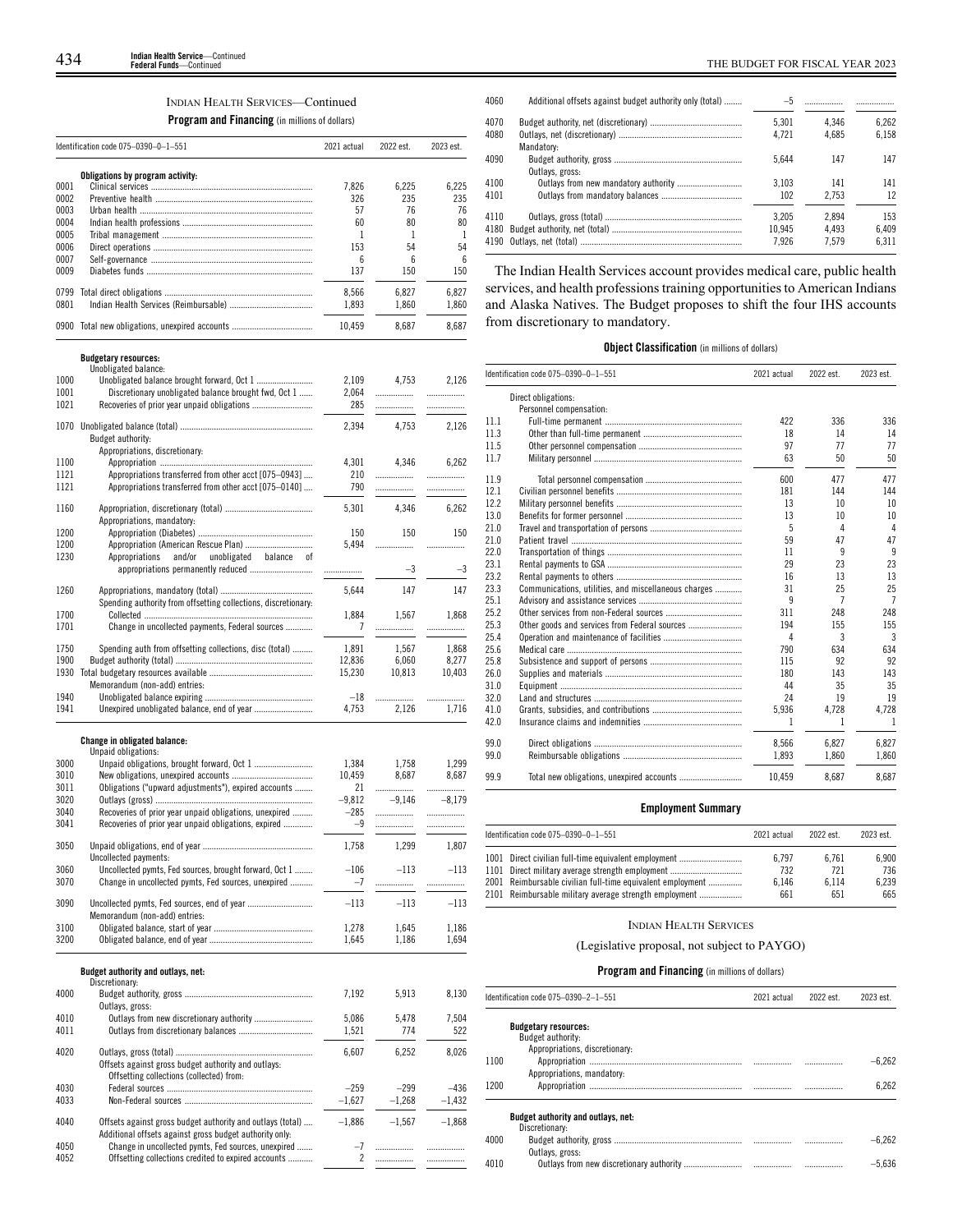## INDIAN HEALTH SERVICES—Continued

**Program and Financing** (in millions of dollars)

| Obligations by program activity:<br>0001<br>7.826<br>0002<br>326<br>0003<br>57<br>0004<br>60<br>0005<br>1<br>153<br>0006<br>0007<br>6<br>0009<br>137 | 6,225<br>235<br>76<br>80<br>1<br>54<br>6<br>150<br>6,827 | 6,225<br>235<br>76<br>80<br>1<br>54<br>6 |
|------------------------------------------------------------------------------------------------------------------------------------------------------|----------------------------------------------------------|------------------------------------------|
|                                                                                                                                                      |                                                          |                                          |
|                                                                                                                                                      |                                                          |                                          |
|                                                                                                                                                      |                                                          |                                          |
|                                                                                                                                                      |                                                          |                                          |
|                                                                                                                                                      |                                                          |                                          |
|                                                                                                                                                      |                                                          |                                          |
|                                                                                                                                                      |                                                          |                                          |
|                                                                                                                                                      |                                                          | 150                                      |
| 0799<br>8,566                                                                                                                                        |                                                          | 6,827                                    |
| 0801<br>1,893                                                                                                                                        | 1,860                                                    | 1,860                                    |
|                                                                                                                                                      |                                                          |                                          |
| 0900 Total new obligations, unexpired accounts<br>10.459                                                                                             | 8.687                                                    | 8.687                                    |
| <b>Budgetary resources:</b>                                                                                                                          |                                                          |                                          |
| Unobligated balance:                                                                                                                                 |                                                          |                                          |
| 1000<br>2,109<br>1001                                                                                                                                | 4,753                                                    | 2,126                                    |
| Discretionary unobligated balance brought fwd, Oct 1<br>2,064<br>1021<br>285                                                                         | .                                                        | .                                        |
|                                                                                                                                                      | .                                                        | .                                        |
| 2,394                                                                                                                                                | 4,753                                                    | 2,126                                    |
| Budget authority:<br>Appropriations, discretionary:                                                                                                  |                                                          |                                          |
| 4,301<br>1100                                                                                                                                        | 4,346                                                    | 6.262                                    |
| 1121<br>Appropriations transferred from other acct [075-0943]<br>210                                                                                 | .                                                        | .                                        |
| 1121<br>Appropriations transferred from other acct [075-0140]<br>790                                                                                 | .                                                        | .                                        |
|                                                                                                                                                      |                                                          |                                          |
| 5,301<br>1160                                                                                                                                        | 4,346                                                    | 6,262                                    |
| Appropriations, mandatory:                                                                                                                           |                                                          |                                          |
| 1200<br>150                                                                                                                                          | 150                                                      | 150                                      |
| 5,494<br>1200                                                                                                                                        | .                                                        | .                                        |
| 1230<br>Appropriations<br>and/or<br>unobligated<br>balance<br>οf                                                                                     |                                                          |                                          |
| .                                                                                                                                                    | $-3$                                                     | $-3$                                     |
| 1260<br>5,644                                                                                                                                        | 147                                                      | 147                                      |
| Spending authority from offsetting collections, discretionary:                                                                                       |                                                          |                                          |
| 1700<br>1,884                                                                                                                                        | 1,567                                                    | 1,868                                    |
| 1701<br>Change in uncollected payments, Federal sources<br>7                                                                                         | .                                                        | .                                        |
|                                                                                                                                                      |                                                          |                                          |
| 1750<br>1,891<br>Spending auth from offsetting collections, disc (total)                                                                             | 1,567                                                    | 1,868                                    |
| 1900<br>12,836                                                                                                                                       | 6,060                                                    | 8,277                                    |
| 1930<br>15,230                                                                                                                                       | 10,813                                                   | 10,403                                   |
| Memorandum (non-add) entries:                                                                                                                        |                                                          |                                          |
| 1940<br>$-18$                                                                                                                                        | .                                                        | .                                        |
| 1941<br>4,753                                                                                                                                        | 2,126                                                    | 1,716                                    |
| Change in obligated balance:<br>Unpaid obligations:                                                                                                  |                                                          |                                          |
| 3000<br>1,384                                                                                                                                        | 1,758                                                    | 1,299                                    |
| 3010<br>10,459                                                                                                                                       | 8,687                                                    | 8,687                                    |
| 3011<br>Obligations ("upward adjustments"), expired accounts<br>21                                                                                   | .                                                        | .                                        |
| 3020<br>$-9,812$                                                                                                                                     | $-9.146$                                                 | $-8,179$                                 |
| 3040<br>Recoveries of prior year unpaid obligations, unexpired<br>$-285$                                                                             |                                                          | .                                        |
| 3041<br>Recoveries of prior year unpaid obligations, expired<br>-9                                                                                   | .                                                        | .                                        |
|                                                                                                                                                      |                                                          |                                          |
| 3050<br>1,758                                                                                                                                        | 1,299                                                    | 1,807                                    |
| Uncollected payments:                                                                                                                                |                                                          |                                          |
| Uncollected pymts, Fed sources, brought forward, Oct 1<br>$-106$<br>3060                                                                             | $-113$                                                   | $-113$                                   |
| Change in uncollected pymts, Fed sources, unexpired<br>3070<br>$-7$                                                                                  | .                                                        | .                                        |
| $-113$<br>3090                                                                                                                                       | $-113$                                                   | $-113$                                   |
| Memorandum (non-add) entries:                                                                                                                        |                                                          |                                          |
| 3100<br>1,278                                                                                                                                        | 1,645                                                    | 1,186                                    |
| 3200<br>1,645                                                                                                                                        | 1,186                                                    | 1,694                                    |
|                                                                                                                                                      |                                                          |                                          |
| Budget authority and outlays, net:<br>Discretionary:                                                                                                 |                                                          |                                          |
| 4000<br>7,192                                                                                                                                        | 5,913                                                    | 8,130                                    |
| Outlays, gross:                                                                                                                                      |                                                          |                                          |
| Outlays from new discretionary authority<br>4010<br>5,086                                                                                            | 5,478                                                    | 7,504                                    |
| 4011<br>1,521                                                                                                                                        | 774                                                      | 522                                      |
|                                                                                                                                                      |                                                          |                                          |
| 4020<br>6,607                                                                                                                                        | 6,252                                                    | 8,026                                    |
| Offsets against gross budget authority and outlays:                                                                                                  |                                                          |                                          |
| Offsetting collections (collected) from:                                                                                                             |                                                          |                                          |
| 4030<br>$-259$                                                                                                                                       | $-299$                                                   | $-436$                                   |
| 4033<br>$-1,627$                                                                                                                                     | $-1,268$                                                 | $-1,432$                                 |
| 4040<br>Offsets against gross budget authority and outlays (total)<br>$-1,886$<br>Additional offsets against gross budget authority only:            | $-1,567$                                                 | $-1,868$                                 |
| 4050<br>Change in uncollected pymts, Fed sources, unexpired<br>$-7$                                                                                  | .                                                        |                                          |
| 4052<br>Offsetting collections credited to expired accounts<br>2                                                                                     | .                                                        |                                          |

| 4060 | Additional offsets against budget authority only (total) | $-5$   |       |       |
|------|----------------------------------------------------------|--------|-------|-------|
| 4070 |                                                          | 5.301  | 4.346 | 6.262 |
| 4080 |                                                          | 4.721  | 4.685 | 6.158 |
|      | Mandatory:                                               |        |       |       |
| 4090 |                                                          | 5.644  | 147   | 147   |
|      | Outlays, gross:                                          |        |       |       |
| 4100 |                                                          | 3.103  | 141   | 141   |
| 4101 |                                                          | 102    | 2.753 | 12    |
| 4110 |                                                          | 3.205  | 2.894 | 153   |
| 4180 |                                                          | 10.945 | 4.493 | 6.409 |
|      |                                                          | 7.926  | 7.579 | 6.311 |
|      |                                                          |        |       |       |

The Indian Health Services account provides medical care, public health services, and health professions training opportunities to American Indians and Alaska Natives. The Budget proposes to shift the four IHS accounts from discretionary to mandatory.

## **Object Classification** (in millions of dollars)

|      | Identification code 075-0390-0-1-551                 | 2021 actual | 2022 est. | 2023 est.      |
|------|------------------------------------------------------|-------------|-----------|----------------|
|      | Direct obligations:                                  |             |           |                |
|      | Personnel compensation:                              |             |           |                |
| 11.1 |                                                      | 422         | 336       | 336            |
| 11.3 |                                                      | 18          | 14        | 14             |
| 11.5 |                                                      | 97          | 77        | 77             |
| 11.7 |                                                      | 63          | 50        | 50             |
| 11.9 |                                                      | 600         | 477       | 477            |
| 12.1 |                                                      | 181         | 144       | 144            |
| 12.2 |                                                      | 13          | 10        | 10             |
| 13.0 |                                                      | 13          | 10        | 10             |
| 21.0 |                                                      | 5           | 4         | $\overline{4}$ |
| 21.0 |                                                      | 59          | 47        | 47             |
| 22.0 |                                                      | 11          | 9         | 9              |
| 23.1 |                                                      | 29          | 23        | 23             |
| 23.2 |                                                      | 16          | 13        | 13             |
| 23.3 | Communications, utilities, and miscellaneous charges | 31          | 25        | 25             |
| 25.1 |                                                      | 9           | 7         | $\overline{7}$ |
| 25.2 |                                                      | 311         | 248       | 248            |
| 25.3 |                                                      | 194         | 155       | 155            |
| 25.4 |                                                      | Δ           | 3         | 3              |
| 25.6 |                                                      | 790         | 634       | 634            |
| 25.8 |                                                      | 115         | 92        | 92             |
| 26.0 |                                                      | 180         | 143       | 143            |
| 31.0 |                                                      | 44          | 35        | 35             |
| 32.0 |                                                      | 24          | 19        | 19             |
| 41.0 |                                                      | 5,936       | 4,728     | 4,728          |
| 42.0 |                                                      | 1           | 1         | -1             |
| 99.0 |                                                      | 8,566       | 6.827     | 6.827          |
| 99.0 |                                                      | 1.893       | 1.860     | 1.860          |
| 99.9 |                                                      | 10.459      | 8.687     | 8.687          |

## **Employment Summary**

| Identification code 075-0390-0-1-551                                                                                                                                   | 2021 actual           | 2022 est.             | 2023 est.             |
|------------------------------------------------------------------------------------------------------------------------------------------------------------------------|-----------------------|-----------------------|-----------------------|
| 1001 Direct civilian full-time equivalent employment<br>1101 Direct military average strength employment<br>2001 Reimbursable civilian full-time equivalent employment | 6.797<br>732<br>6.146 | 6.761<br>721<br>6.114 | 6.900<br>736<br>6.239 |
| 2101 Reimbursable military average strength employment                                                                                                                 | 661                   | 651                   | 665                   |

## INDIAN HEALTH SERVICES

## (Legislative proposal, not subject to PAYGO)

|      | Identification code 075-0390-2-1-551      | 2021 actual | 2022 est. | 2023 est. |
|------|-------------------------------------------|-------------|-----------|-----------|
|      | <b>Budgetary resources:</b>               |             |           |           |
|      | Budget authority:                         |             |           |           |
|      | Appropriations, discretionary:            |             |           |           |
| 1100 |                                           |             |           | $-6.262$  |
|      | Appropriations, mandatory:                |             |           |           |
| 1200 |                                           |             | .         | 6.262     |
|      |                                           |             |           |           |
|      | <b>Budget authority and outlays, net:</b> |             |           |           |
|      | Discretionary:                            |             |           |           |
| 4000 |                                           |             |           | $-6.262$  |
|      | Outlays, gross:                           |             |           |           |
| 4010 |                                           |             |           | $-5.636$  |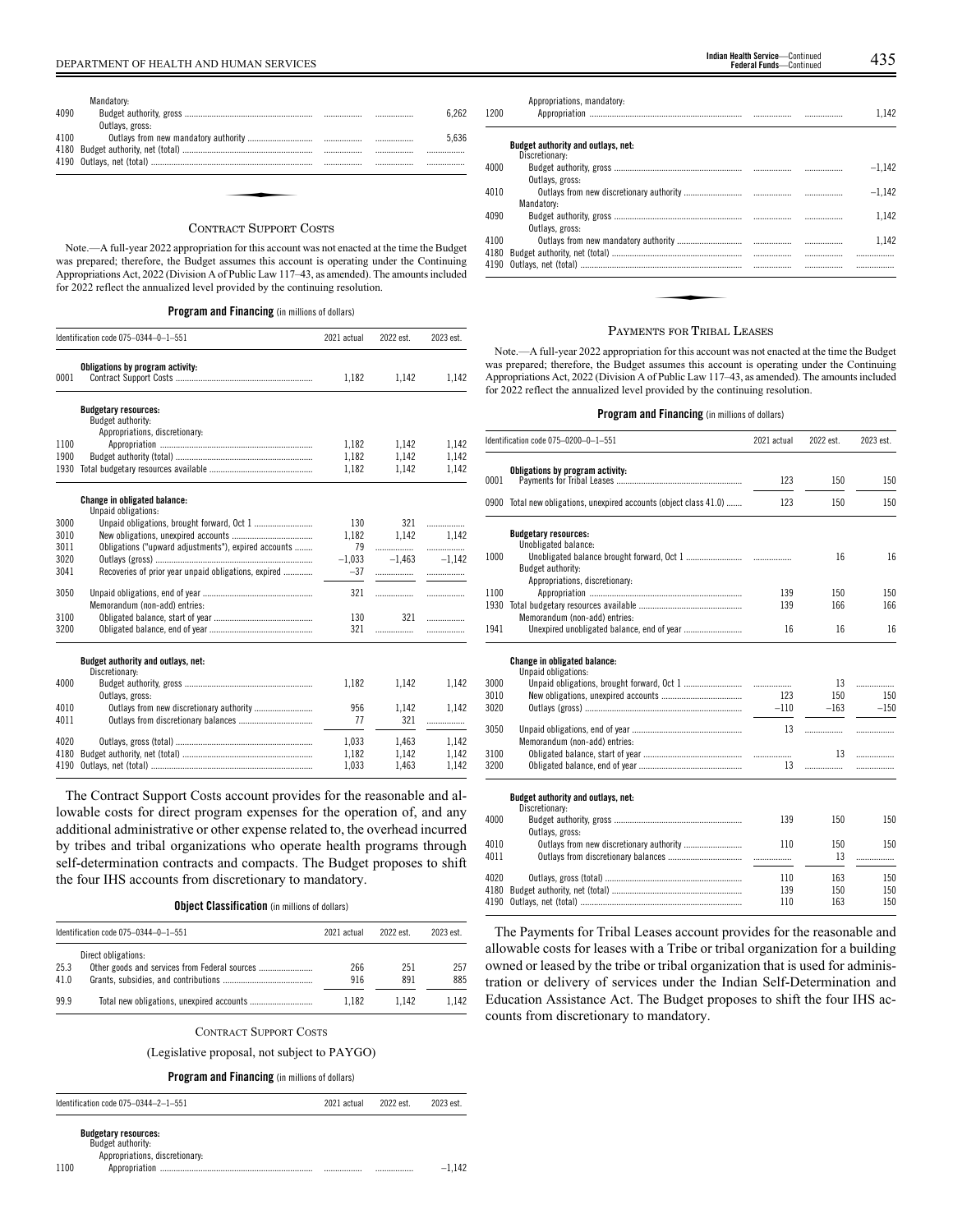|      | Mandatory:                 |      |       |
|------|----------------------------|------|-------|
| 4090 |                            |      | 6.262 |
|      | Outlays, gross:            |      |       |
| 4100 |                            |      | 5.636 |
| 4180 |                            |      |       |
|      |                            | <br> |       |
|      |                            |      |       |
|      |                            |      |       |
|      |                            |      |       |
|      |                            |      |       |
|      | $\alpha$ $\alpha$ $\alpha$ |      |       |

### CONTRACT SUPPORT COSTS

Note.—A full-year 2022 appropriation for this account was not enacted at the time the Budget was prepared; therefore, the Budget assumes this account is operating under the Continuing Appropriations Act, 2022 (Division A of Public Law 117–43, as amended). The amounts included for 2022 reflect the annualized level provided by the continuing resolution.

## **Program and Financing** (in millions of dollars)

|      | Identification code 075-0344-0-1-551                       | 2021 actual | 2022 est. | 2023 est. |
|------|------------------------------------------------------------|-------------|-----------|-----------|
| 0001 | Obligations by program activity:                           | 1,182       | 1,142     | 1,142     |
|      | <b>Budgetary resources:</b><br>Budget authority:           |             |           |           |
|      | Appropriations, discretionary:                             |             |           |           |
| 1100 |                                                            | 1,182       | 1.142     | 1.142     |
| 1900 |                                                            | 1,182       | 1,142     | 1,142     |
| 1930 |                                                            | 1,182       | 1,142     | 1,142     |
|      | <b>Change in obligated balance:</b><br>Unpaid obligations: |             |           |           |
| 3000 |                                                            | 130         | 321       | .         |
| 3010 |                                                            | 1,182       | 1.142     | 1.142     |
| 3011 | Obligations ("upward adjustments"), expired accounts       | 79          |           | .         |
| 3020 |                                                            | $-1,033$    | $-1,463$  | $-1.142$  |
| 3041 | Recoveries of prior year unpaid obligations, expired       | $-37$       |           | .         |
| 3050 | Memorandum (non-add) entries:                              | 321         | .         | .         |
| 3100 |                                                            | 130         | 321       | .         |
| 3200 |                                                            | 321         | .         | .         |
|      | Budget authority and outlays, net:                         |             |           |           |
| 4000 | Discretionary:                                             | 1,182       | 1,142     | 1,142     |
|      | Outlays, gross:                                            |             |           |           |
| 4010 |                                                            | 956         | 1,142     | 1.142     |
| 4011 |                                                            | 77          | 321       | .         |
| 4020 |                                                            | 1,033       | 1,463     | 1,142     |
| 4180 |                                                            | 1,182       | 1,142     | 1,142     |
| 4190 |                                                            | 1.033       | 1.463     | 1.142     |

The Contract Support Costs account provides for the reasonable and allowable costs for direct program expenses for the operation of, and any additional administrative or other expense related to, the overhead incurred by tribes and tribal organizations who operate health programs through self-determination contracts and compacts. The Budget proposes to shift the four IHS accounts from discretionary to mandatory.

**Object Classification** (in millions of dollars)

|              | Identification code $075-0344-0-1-551$                               | 2021 actual | 2022 est   | 2023 est.  |
|--------------|----------------------------------------------------------------------|-------------|------------|------------|
| 25.3<br>41.0 | Direct obligations:<br>Other goods and services from Federal sources | 266<br>916  | 251<br>891 | 257<br>885 |
| 99.9         |                                                                      | 1.182       | 1.142      | 1.142      |

### CONTRACT SUPPORT COSTS

(Legislative proposal, not subject to PAYGO)

## **Program and Financing** (in millions of dollars)

Identification code 075–0344–2–1–551 2021 actual 2022 est. 2023 est.

**Budgetary resources:** Budget authority:

Appropriations, discretionary:

1100 Appropriation .................................................................... ................. ................. –1,142

| 1200 | Appropriations, mandatory:                |  | 1.142    |
|------|-------------------------------------------|--|----------|
|      | <b>Budget authority and outlays, net:</b> |  |          |
| 4000 | Discretionary:                            |  | $-1,142$ |
|      | Outlays, gross:                           |  |          |
| 4010 |                                           |  | $-1.142$ |
|      | Mandatory:                                |  |          |
| 4090 |                                           |  | 1.142    |
|      | Outlays, gross:                           |  |          |
| 4100 |                                           |  | 1.142    |
| 4180 |                                           |  |          |
| 4190 |                                           |  | .        |
|      |                                           |  |          |
|      |                                           |  |          |
|      |                                           |  |          |
|      |                                           |  |          |

### PAYMENTS FOR TRIBAL LEASES

Note.—A full-year 2022 appropriation for this account was not enacted at the time the Budget was prepared; therefore, the Budget assumes this account is operating under the Continuing Appropriations Act, 2022 (Division A of Public Law 117–43, as amended). The amounts included for 2022 reflect the annualized level provided by the continuing resolution.

## **Program and Financing** (in millions of dollars)

|      | Identification code 075-0200-0-1-551                               | 2021 actual | 2022 est. | 2023 est. |
|------|--------------------------------------------------------------------|-------------|-----------|-----------|
|      | Obligations by program activity:                                   |             |           |           |
| 0001 |                                                                    | 123         | 150       | 150       |
|      | 0900 Total new obligations, unexpired accounts (object class 41.0) | 123         | 150       | 150       |
|      | <b>Budgetary resources:</b>                                        |             |           |           |
| 1000 | Unobligated balance:                                               |             | 16        | 16        |
|      | Budget authority:                                                  |             |           |           |
|      | Appropriations, discretionary:                                     |             |           |           |
| 1100 |                                                                    | 139         | 150       | 150       |
| 1930 |                                                                    | 139         | 166       | 166       |
|      | Memorandum (non-add) entries:                                      |             |           |           |
| 1941 |                                                                    | 16          | 16        | 16        |
|      | Change in obligated balance:                                       |             |           |           |
|      | Unpaid obligations:                                                |             |           |           |
| 3000 |                                                                    |             | 13        | .         |
| 3010 |                                                                    | 123         | 150       | 150       |
| 3020 |                                                                    | $-110$      | $-163$    | $-150$    |
| 3050 |                                                                    | 13          | .         | .         |
|      | Memorandum (non-add) entries:                                      |             |           |           |
| 3100 |                                                                    |             | 13        | .         |
| 3200 |                                                                    | 13          | .         | .         |
|      | Budget authority and outlays, net:                                 |             |           |           |
|      | Discretionary:                                                     |             |           |           |
| 4000 | Outlays, gross:                                                    | 139         | 150       | 150       |
| 4010 |                                                                    | 110         | 150       | 150       |
| 4011 |                                                                    |             | 13        | .         |
|      |                                                                    |             |           |           |
| 4020 |                                                                    | 110         | 163       | 150       |
| 4180 |                                                                    | 139         | 150       | 150       |
| 4190 |                                                                    | 110         | 163       | 150       |

The Payments for Tribal Leases account provides for the reasonable and allowable costs for leases with a Tribe or tribal organization for a building owned or leased by the tribe or tribal organization that is used for administration or delivery of services under the Indian Self-Determination and Education Assistance Act. The Budget proposes to shift the four IHS accounts from discretionary to mandatory.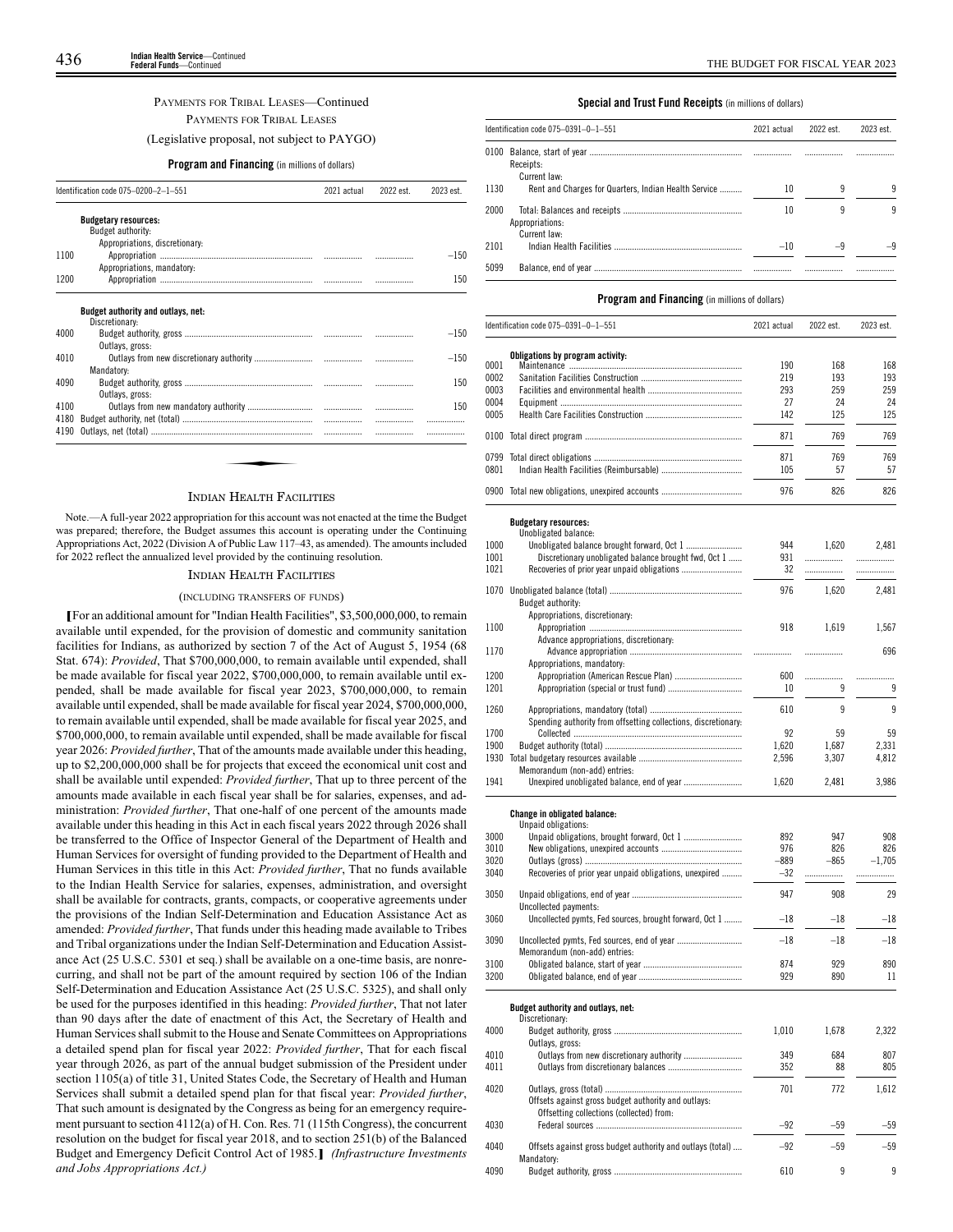## PAYMENTS FOR TRIBAL LEASES—Continued PAYMENTS FOR TRIBAL LEASES

(Legislative proposal, not subject to PAYGO)

## **Program and Financing** (in millions of dollars)

| Identification code 075-0200-2-1-551 |                                                      | 2022 est.<br>2021 actual |  | 2023 est. |
|--------------------------------------|------------------------------------------------------|--------------------------|--|-----------|
|                                      | <b>Budgetary resources:</b>                          |                          |  |           |
|                                      | Budget authority:                                    |                          |  |           |
|                                      | Appropriations, discretionary:                       |                          |  |           |
| 1100                                 |                                                      |                          |  | $-150$    |
|                                      | Appropriations, mandatory:                           |                          |  |           |
| 1200                                 |                                                      |                          |  | 150       |
|                                      | Budget authority and outlays, net:<br>Discretionary: |                          |  |           |
| 4000                                 |                                                      |                          |  | $-150$    |
|                                      | Outlays, gross:                                      |                          |  |           |
| 4010                                 |                                                      |                          |  | $-150$    |
|                                      | Mandatory:                                           |                          |  |           |
| 4090                                 |                                                      |                          |  | 150       |
|                                      | Outlays, gross:                                      |                          |  |           |
| 4100                                 |                                                      |                          |  | 150       |
|                                      |                                                      |                          |  |           |
|                                      |                                                      |                          |  |           |
| 4180<br>4190                         |                                                      |                          |  |           |

## INDIAN HEALTH FACILITIES

Note.—A full-year 2022 appropriation for this account was not enacted at the time the Budget was prepared; therefore, the Budget assumes this account is operating under the Continuing Appropriations Act, 2022 (Division A of Public Law 117–43, as amended). The amounts included for 2022 reflect the annualized level provided by the continuing resolution.

## INDIAN HEALTH FACILITIES

#### (INCLUDING TRANSFERS OF FUNDS)

**[**For an additional amount for "Indian Health Facilities", \$3,500,000,000, to remain available until expended, for the provision of domestic and community sanitation facilities for Indians, as authorized by section 7 of the Act of August 5, 1954 (68 Stat. 674): *Provided*, That \$700,000,000, to remain available until expended, shall be made available for fiscal year 2022, \$700,000,000, to remain available until expended, shall be made available for fiscal year 2023, \$700,000,000, to remain available until expended, shall be made available for fiscal year 2024, \$700,000,000, to remain available until expended, shall be made available for fiscal year 2025, and \$700,000,000, to remain available until expended, shall be made available for fiscal year 2026: *Provided further*, That of the amounts made available under this heading, up to \$2,200,000,000 shall be for projects that exceed the economical unit cost and shall be available until expended: *Provided further*, That up to three percent of the amounts made available in each fiscal year shall be for salaries, expenses, and administration: *Provided further*, That one-half of one percent of the amounts made available under this heading in this Act in each fiscal years 2022 through 2026 shall be transferred to the Office of Inspector General of the Department of Health and Human Services for oversight of funding provided to the Department of Health and Human Services in this title in this Act: *Provided further*, That no funds available to the Indian Health Service for salaries, expenses, administration, and oversight shall be available for contracts, grants, compacts, or cooperative agreements under the provisions of the Indian Self-Determination and Education Assistance Act as amended: *Provided further*, That funds under this heading made available to Tribes and Tribal organizations under the Indian Self-Determination and Education Assistance Act (25 U.S.C. 5301 et seq.) shall be available on a one-time basis, are nonrecurring, and shall not be part of the amount required by section 106 of the Indian Self-Determination and Education Assistance Act (25 U.S.C. 5325), and shall only be used for the purposes identified in this heading: *Provided further*, That not later than 90 days after the date of enactment of this Act, the Secretary of Health and Human Services shall submit to the House and Senate Committees on Appropriations a detailed spend plan for fiscal year 2022: *Provided further*, That for each fiscal year through 2026, as part of the annual budget submission of the President under section 1105(a) of title 31, United States Code, the Secretary of Health and Human Services shall submit a detailed spend plan for that fiscal year: *Provided further*, That such amount is designated by the Congress as being for an emergency requirement pursuant to section 4112(a) of H. Con. Res. 71 (115th Congress), the concurrent resolution on the budget for fiscal year 2018, and to section 251(b) of the Balanced Budget and Emergency Deficit Control Act of 1985.**]** *(Infrastructure Investments and Jobs Appropriations Act.)*

### **Special and Trust Fund Receipts** (in millions of dollars)

|      | Identification code 075-0391-0-1-551<br>2021 actual  |       | 2022 est. | 2023 est. |  |
|------|------------------------------------------------------|-------|-----------|-----------|--|
| 0100 | Receipts:<br>Current law:                            |       |           |           |  |
| 1130 | Rent and Charges for Quarters, Indian Health Service | 10    | 9         | ٩         |  |
| 2000 | Appropriations:<br>Current law:                      | 10    |           | ٩         |  |
| 2101 |                                                      | $-10$ | -9        |           |  |
| 5099 |                                                      |       |           |           |  |

## **Program and Financing** (in millions of dollars)

|      | Identification code 075-0391-0-1-551                                            | 2021 actual | 2022 est. | 2023 est. |
|------|---------------------------------------------------------------------------------|-------------|-----------|-----------|
|      | Obligations by program activity:                                                |             |           |           |
| 0001 |                                                                                 | 190         | 168       | 168       |
| 0002 |                                                                                 | 219         | 193       | 193       |
| 0003 |                                                                                 | 293         | 259       | 259       |
| 0004 |                                                                                 | 27          | 24        | 24        |
| 0005 |                                                                                 | 142         | 125       | 125       |
| 0100 |                                                                                 | 871         | 769       | 769       |
| 0799 |                                                                                 | 871         | 769       | 769       |
| 0801 |                                                                                 | 105         | 57        | 57        |
|      |                                                                                 |             |           |           |
|      | 0900 Total new obligations, unexpired accounts                                  | 976         | 826       | 826       |
|      | <b>Budgetary resources:</b>                                                     |             |           |           |
|      | Unobligated balance:                                                            |             |           |           |
| 1000 |                                                                                 | 944         | 1,620     | 2,481     |
| 1001 | Discretionary unobligated balance brought fwd, Oct 1                            | 931         | .         | .         |
| 1021 |                                                                                 | 32          | .         | .         |
| 1070 |                                                                                 | 976         | 1,620     | 2,481     |
|      | Budget authority:                                                               |             |           |           |
|      | Appropriations, discretionary:                                                  |             |           |           |
| 1100 |                                                                                 | 918         | 1,619     | 1,567     |
|      | Advance appropriations, discretionary:                                          |             |           |           |
| 1170 |                                                                                 | .           | .         | 696       |
|      | Appropriations, mandatory:                                                      |             |           |           |
| 1200 |                                                                                 | 600         |           | .         |
| 1201 |                                                                                 | 10          | 9         | 9         |
|      |                                                                                 |             |           |           |
| 1260 |                                                                                 | 610         | 9         | 9         |
|      | Spending authority from offsetting collections, discretionary:                  |             |           |           |
| 1700 |                                                                                 | 92          | 59        | 59        |
| 1900 |                                                                                 | 1,620       | 1,687     | 2,331     |
| 1930 |                                                                                 | 2,596       | 3,307     | 4,812     |
| 1941 | Memorandum (non-add) entries:                                                   | 1,620       | 2,481     | 3,986     |
|      |                                                                                 |             |           |           |
|      | Change in obligated balance:<br>Unpaid obligations:                             |             |           |           |
| 3000 |                                                                                 | 892         | 947       | 908       |
| 3010 |                                                                                 | 976         | 826       | 826       |
| 3020 |                                                                                 | –889        | $-865$    | $-1,705$  |
| 3040 | Recoveries of prior year unpaid obligations, unexpired                          | -32         | .         | .         |
|      |                                                                                 |             |           |           |
| 3050 |                                                                                 | 947         | 908       | 29        |
| 3060 | Uncollected payments:<br>Uncollected pymts, Fed sources, brought forward, Oct 1 | $^{-18}$    | $^{-18}$  | $-18$     |
|      |                                                                                 |             |           |           |
| 3090 | Uncollected pymts, Fed sources, end of year                                     | $^{-18}$    | $-18$     | $-18$     |
|      | Memorandum (non-add) entries:                                                   |             |           |           |
| 3100 |                                                                                 | 874         | 929       | 890       |
| 3200 |                                                                                 | 929         | 890       | 11        |
|      | Budget authority and outlays, net:                                              |             |           |           |
|      | Discretionary:                                                                  |             |           |           |
| 4000 |                                                                                 | 1,010       | 1,678     | 2,322     |
|      | Outlays, gross:                                                                 |             |           |           |
| 4010 |                                                                                 | 349         | 684       | 807       |
| 4011 |                                                                                 | 352         | 88        | 805       |
| 4020 |                                                                                 | 701         | 772       | 1,612     |
|      | Offsets against gross budget authority and outlays:                             |             |           |           |
|      | Offsetting collections (collected) from:                                        |             |           |           |
| 4030 |                                                                                 | $-92$       | $-59$     | $-59$     |
|      |                                                                                 |             |           |           |
| 4040 | Offsets against gross budget authority and outlays (total)<br>Mandatory:        | $-92$       | $-59$     | $-59$     |

4090 Budget authority, gross ......................................................... 610 9 9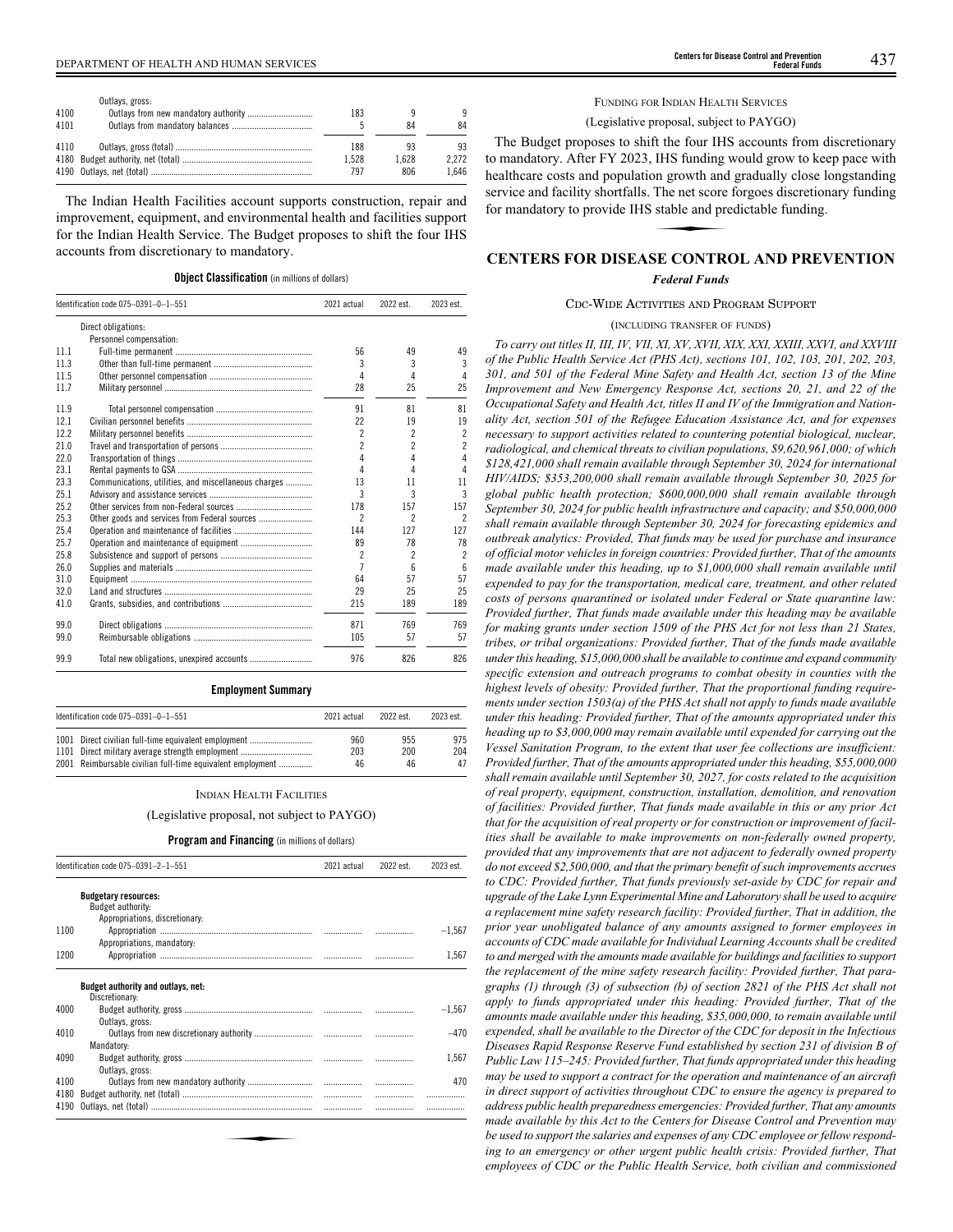|      | Outlays, gross: |       |       |       |
|------|-----------------|-------|-------|-------|
| 4100 |                 | 183   |       | q     |
| 4101 |                 |       | 84    | 84    |
| 4110 |                 | 188   | 93    | 93    |
|      |                 | 1.528 | 1.628 | 2.272 |
|      |                 | 797   | 806   | 1.646 |

The Indian Health Facilities account supports construction, repair and improvement, equipment, and environmental health and facilities support for the Indian Health Service. The Budget proposes to shift the four IHS accounts from discretionary to mandatory.

#### **Object Classification** (in millions of dollars)

|      | Identification code 075-0391-0-1-551                 | 2021 actual              | 2022 est.                | 2023 est.                |
|------|------------------------------------------------------|--------------------------|--------------------------|--------------------------|
|      | Direct obligations:                                  |                          |                          |                          |
|      | Personnel compensation:                              |                          |                          |                          |
| 11.1 |                                                      | 56                       | 49                       | 49                       |
| 11.3 |                                                      | 3                        | 3                        | 3                        |
| 11.5 |                                                      | 4                        | 4                        | 4                        |
| 11.7 |                                                      | 28                       | 25                       | 25                       |
| 11.9 |                                                      | 91                       | 81                       | 81                       |
| 12.1 |                                                      | 22                       | 19                       | 19                       |
| 12.2 |                                                      | $\overline{\phantom{a}}$ | 2                        | $\overline{c}$           |
| 21.0 |                                                      | $\overline{\phantom{a}}$ | $\overline{\phantom{a}}$ | $\overline{c}$           |
| 22.0 |                                                      | 4                        | 4                        | 4                        |
| 23.1 |                                                      | 4                        | 4                        | 4                        |
| 23.3 | Communications, utilities, and miscellaneous charges | 13                       | 11                       | 11                       |
| 25.1 |                                                      | 3                        | 3                        | 3                        |
| 25.2 |                                                      | 178                      | 157                      | 157                      |
| 25.3 | Other goods and services from Federal sources        | 2                        | 2                        | $\overline{\phantom{a}}$ |
| 25.4 |                                                      | 144                      | 127                      | 127                      |
| 25.7 |                                                      | 89                       | 78                       | 78                       |
| 25.8 |                                                      | $\overline{\phantom{a}}$ | 2                        | $\overline{2}$           |
| 26.0 |                                                      | 7                        | 6                        | $6\overline{6}$          |
| 31.0 |                                                      | 64                       | 57                       | 57                       |
| 32.0 |                                                      | 29                       | 25                       | 25                       |
| 41.0 |                                                      | 215                      | 189                      | 189                      |
| 99.0 |                                                      | 871                      | 769                      | 769                      |
| 99.0 |                                                      | 105                      | 57                       | 57                       |
| 99.9 |                                                      | 976                      | 826                      | 826                      |

## **Employment Summary**

| Identification code 075-0391-0-1-551                       | 2021 actual | 2022 est | 2023 est. |
|------------------------------------------------------------|-------------|----------|-----------|
| 1001 Direct civilian full-time equivalent employment       | 960         | 955      | 975       |
| 1101 Direct military average strength employment           | 203         | 200      | 204       |
| 2001 Reimbursable civilian full-time equivalent employment | 46          | 46       | 47        |

#### INDIAN HEALTH FACILITIES

### (Legislative proposal, not subject to PAYGO)

### **Program and Financing** (in millions of dollars)

|      | Identification code 075-0391-2-1-551             | 2021 actual | 2022 est. | 2023 est. |
|------|--------------------------------------------------|-------------|-----------|-----------|
|      | <b>Budgetary resources:</b><br>Budget authority: |             |           |           |
| 1100 | Appropriations, discretionary:                   |             |           | $-1,567$  |
|      | Appropriations, mandatory:                       |             |           |           |
| 1200 |                                                  |             |           | 1,567     |
|      | Budget authority and outlays, net:               |             |           |           |
|      | Discretionary:                                   |             |           |           |
| 4000 |                                                  |             |           | $-1.567$  |
|      | Outlays, gross:                                  |             |           |           |
| 4010 |                                                  |             |           | $-470$    |
|      | Mandatory:                                       |             |           |           |
| 4090 |                                                  |             |           | 1.567     |
|      | Outlays, gross:                                  |             |           |           |
| 4100 |                                                  |             |           | 470       |
| 4180 |                                                  |             |           |           |
| 4190 |                                                  |             |           |           |

## FUNDING FOR INDIAN HEALTH SERVICES (Legislative proposal, subject to PAYGO)

The Budget proposes to shift the four IHS accounts from discretionary to mandatory. After FY 2023, IHS funding would grow to keep pace with healthcare costs and population growth and gradually close longstanding<br>healthcare costs and population growth and gradually close longstanding<br>service and facility shortfalls. The net score forgoes discretionary funding<br>f service and facility shortfalls. The net score forgoes discretionary funding for mandatory to provide IHS stable and predictable funding.

## **CENTERS FOR DISEASE CONTROL AND PREVENTION**

*Federal Funds*

## CDC-WIDE ACTIVITIES AND PROGRAM SUPPORT

(INCLUDING TRANSFER OF FUNDS)

*To carry out titles II, III, IV, VII, XI, XV, XVII, XIX, XXI, XXIII, XXVI, and XXVIII of the Public Health Service Act (PHS Act), sections 101, 102, 103, 201, 202, 203, 301, and 501 of the Federal Mine Safety and Health Act, section 13 of the Mine Improvement and New Emergency Response Act, sections 20, 21, and 22 of the Occupational Safety and Health Act, titles II and IV of the Immigration and Nationality Act, section 501 of the Refugee Education Assistance Act, and for expenses necessary to support activities related to countering potential biological, nuclear, radiological, and chemical threats to civilian populations, \$9,620,961,000; of which \$128,421,000 shall remain available through September 30, 2024 for international HIV/AIDS; \$353,200,000 shall remain available through September 30, 2025 for global public health protection; \$600,000,000 shall remain available through September 30, 2024 for public health infrastructure and capacity; and \$50,000,000 shall remain available through September 30, 2024 for forecasting epidemics and outbreak analytics: Provided, That funds may be used for purchase and insurance of official motor vehicles in foreign countries: Provided further, That of the amounts made available under this heading, up to \$1,000,000 shall remain available until expended to pay for the transportation, medical care, treatment, and other related costs of persons quarantined or isolated under Federal or State quarantine law: Provided further, That funds made available under this heading may be available for making grants under section 1509 of the PHS Act for not less than 21 States, tribes, or tribal organizations: Provided further, That of the funds made available under this heading, \$15,000,000 shall be available to continue and expand community specific extension and outreach programs to combat obesity in counties with the highest levels of obesity: Provided further, That the proportional funding requirements under section 1503(a) of the PHS Act shall not apply to funds made available under this heading: Provided further, That of the amounts appropriated under this heading up to \$3,000,000 may remain available until expended for carrying out the Vessel Sanitation Program, to the extent that user fee collections are insufficient: Provided further, That of the amounts appropriated under this heading, \$55,000,000 shall remain available until September 30, 2027, for costs related to the acquisition of real property, equipment, construction, installation, demolition, and renovation of facilities: Provided further, That funds made available in this or any prior Act that for the acquisition of real property or for construction or improvement of facilities shall be available to make improvements on non-federally owned property, provided that any improvements that are not adjacent to federally owned property do not exceed \$2,500,000, and that the primary benefit of such improvements accrues to CDC: Provided further, That funds previously set-aside by CDC for repair and upgrade of the Lake Lynn Experimental Mine and Laboratory shall be used to acquire a replacement mine safety research facility: Provided further, That in addition, the prior year unobligated balance of any amounts assigned to former employees in accounts of CDC made available for Individual Learning Accounts shall be credited to and merged with the amounts made available for buildings and facilities to support the replacement of the mine safety research facility: Provided further, That paragraphs (1) through (3) of subsection (b) of section 2821 of the PHS Act shall not apply to funds appropriated under this heading: Provided further, That of the amounts made available under this heading, \$35,000,000, to remain available until expended, shall be available to the Director of the CDC for deposit in the Infectious Diseases Rapid Response Reserve Fund established by section 231 of division B of Public Law 115–245: Provided further, That funds appropriated under this heading may be used to support a contract for the operation and maintenance of an aircraft in direct support of activities throughout CDC to ensure the agency is prepared to address public health preparedness emergencies: Provided further, That any amounts made available by this Act to the Centers for Disease Control and Prevention may be used to support the salaries and expenses of any CDC employee or fellow responding to an emergency or other urgent public health crisis: Provided further, That employees of CDC or the Public Health Service, both civilian and commissioned*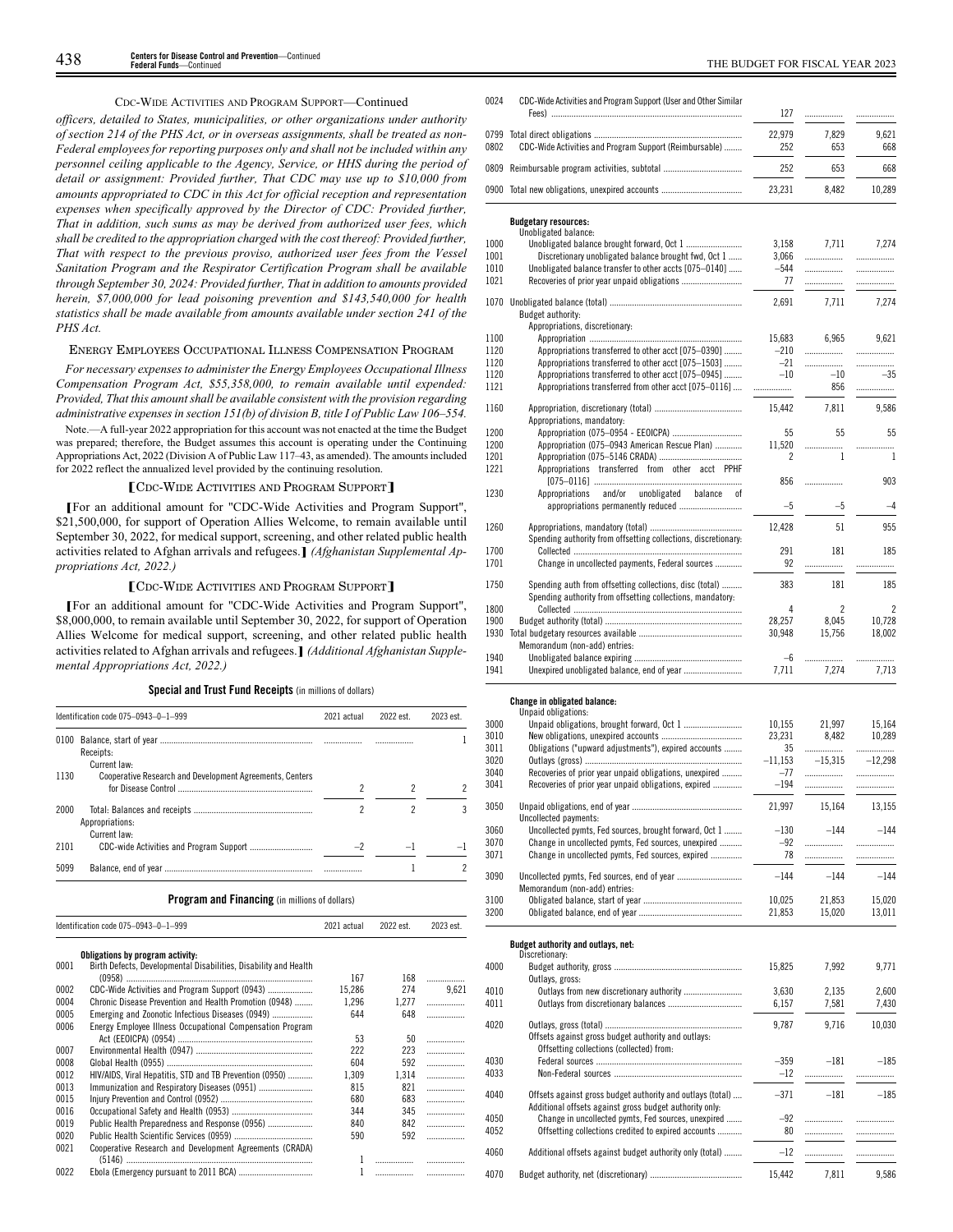## CDC-WIDE ACTIVITIES AND PROGRAM SUPPORT—Continued

*officers, detailed to States, municipalities, or other organizations under authority of section 214 of the PHS Act, or in overseas assignments, shall be treated as non-Federal employees for reporting purposes only and shall not be included within any personnel ceiling applicable to the Agency, Service, or HHS during the period of detail or assignment: Provided further, That CDC may use up to \$10,000 from amounts appropriated to CDC in this Act for official reception and representation expenses when specifically approved by the Director of CDC: Provided further, That in addition, such sums as may be derived from authorized user fees, which shall be credited to the appropriation charged with the cost thereof: Provided further, That with respect to the previous proviso, authorized user fees from the Vessel Sanitation Program and the Respirator Certification Program shall be available through September 30, 2024: Provided further, That in addition to amounts provided herein, \$7,000,000 for lead poisoning prevention and \$143,540,000 for health statistics shall be made available from amounts available under section 241 of the PHS Act.*

## ENERGY EMPLOYEES OCCUPATIONAL ILLNESS COMPENSATION PROGRAM

*For necessary expenses to administer the Energy Employees Occupational Illness Compensation Program Act, \$55,358,000, to remain available until expended: Provided, That this amount shall be available consistent with the provision regarding administrative expenses in section 151(b) of division B, title I of Public Law 106–554.*

Note.—A full-year 2022 appropriation for this account was not enacted at the time the Budget was prepared; therefore, the Budget assumes this account is operating under the Continuing Appropriations Act, 2022 (Division A of Public Law 117–43, as amended). The amounts included for 2022 reflect the annualized level provided by the continuing resolution.

## **[**<sup>C</sup>DC-WIDE ACTIVITIES AND PROGRAM SUPPORT**]**

**[**For an additional amount for "CDC-Wide Activities and Program Support", \$21,500,000, for support of Operation Allies Welcome, to remain available until September 30, 2022, for medical support, screening, and other related public health activities related to Afghan arrivals and refugees.**]** *(Afghanistan Supplemental Appropriations Act, 2022.)*

#### **[**<sup>C</sup>DC-WIDE ACTIVITIES AND PROGRAM SUPPORT**]**

**[**For an additional amount for "CDC-Wide Activities and Program Support", \$8,000,000, to remain available until September 30, 2022, for support of Operation Allies Welcome for medical support, screening, and other related public health activities related to Afghan arrivals and refugees.**]** *(Additional Afghanistan Supplemental Appropriations Act, 2022.)*

## **Special and Trust Fund Receipts** (in millions of dollars)

|      | Identification code 075-0943-0-1-999                            | 2021 actual | 2022 est. | 2023 est |
|------|-----------------------------------------------------------------|-------------|-----------|----------|
| 0100 | Receipts:<br>Current law:                                       |             |           |          |
| 1130 | <b>Cooperative Research and Development Agreements, Centers</b> |             |           |          |
| 2000 | Appropriations:<br>Current law:                                 | 2           |           |          |
| 2101 |                                                                 |             |           |          |
| 5099 |                                                                 |             |           |          |

|      | Identification code 075-0943-0-1-999                             | 2021 actual | 2022 est. | 2023 est.  |
|------|------------------------------------------------------------------|-------------|-----------|------------|
|      | Obligations by program activity:                                 |             |           |            |
| 0001 | Birth Defects, Developmental Disabilities, Disability and Health | 167         | 168       |            |
| 0002 | CDC-Wide Activities and Program Support (0943)                   | 15.286      | 274       | .<br>9,621 |
| 0004 | Chronic Disease Prevention and Health Promotion (0948)           | 1,296       | 1,277     | .          |
| 0005 | Emerging and Zoonotic Infectious Diseases (0949)                 | 644         | 648       |            |
| 0006 |                                                                  |             |           | .          |
|      | Energy Employee Illness Occupational Compensation Program        | 53          | 50        | .          |
| 0007 |                                                                  | 222         | 223       | .          |
| 0008 |                                                                  | 604         | 592       | .          |
| 0012 | HIV/AIDS, Viral Hepatitis, STD and TB Prevention (0950)          | 1.309       | 1,314     | .          |
| 0013 |                                                                  | 815         | 821       | .          |
| 0015 |                                                                  | 680         | 683       | .          |
| 0016 |                                                                  | 344         | 345       | .          |
| 0019 | Public Health Preparedness and Response (0956)                   | 840         | 842       | .          |
| 0020 |                                                                  | 590         | 592       | .          |
| 0021 | Cooperative Research and Development Agreements (CRADA)          |             |           |            |
|      |                                                                  |             | .         | .          |
| 0022 |                                                                  | 1           |           |            |

CDC-Wide Activities and Program Support (User and Other Similar 0024

|                                                         | 127                                                                                                                                                                                                                                                                                                                                                                                                                                                                                                                                                                                          | .                                                                     |                                                                  |
|---------------------------------------------------------|----------------------------------------------------------------------------------------------------------------------------------------------------------------------------------------------------------------------------------------------------------------------------------------------------------------------------------------------------------------------------------------------------------------------------------------------------------------------------------------------------------------------------------------------------------------------------------------------|-----------------------------------------------------------------------|------------------------------------------------------------------|
|                                                         | 22,979                                                                                                                                                                                                                                                                                                                                                                                                                                                                                                                                                                                       | 7.829                                                                 | 9.621                                                            |
| CDC-Wide Activities and Program Support (Reimbursable)  | 252                                                                                                                                                                                                                                                                                                                                                                                                                                                                                                                                                                                          | 653                                                                   | 668                                                              |
|                                                         | 252                                                                                                                                                                                                                                                                                                                                                                                                                                                                                                                                                                                          | 653                                                                   | 668                                                              |
|                                                         | 23,231                                                                                                                                                                                                                                                                                                                                                                                                                                                                                                                                                                                       | 8,482                                                                 | 10,289                                                           |
| <b>Budgetary resources:</b>                             |                                                                                                                                                                                                                                                                                                                                                                                                                                                                                                                                                                                              |                                                                       |                                                                  |
|                                                         |                                                                                                                                                                                                                                                                                                                                                                                                                                                                                                                                                                                              |                                                                       | 7.274                                                            |
|                                                         |                                                                                                                                                                                                                                                                                                                                                                                                                                                                                                                                                                                              |                                                                       | .                                                                |
|                                                         |                                                                                                                                                                                                                                                                                                                                                                                                                                                                                                                                                                                              |                                                                       | .                                                                |
|                                                         | 77                                                                                                                                                                                                                                                                                                                                                                                                                                                                                                                                                                                           | .                                                                     |                                                                  |
|                                                         | 2.691                                                                                                                                                                                                                                                                                                                                                                                                                                                                                                                                                                                        | 7.711                                                                 | 7.274                                                            |
| Budget authority:                                       |                                                                                                                                                                                                                                                                                                                                                                                                                                                                                                                                                                                              |                                                                       |                                                                  |
| Appropriations, discretionary:                          |                                                                                                                                                                                                                                                                                                                                                                                                                                                                                                                                                                                              |                                                                       |                                                                  |
|                                                         | 15,683                                                                                                                                                                                                                                                                                                                                                                                                                                                                                                                                                                                       | 6,965                                                                 | 9,621                                                            |
|                                                         | $-210$                                                                                                                                                                                                                                                                                                                                                                                                                                                                                                                                                                                       | .                                                                     | .                                                                |
| Appropriations transferred to other acct [075-1503]     | $-21$                                                                                                                                                                                                                                                                                                                                                                                                                                                                                                                                                                                        | .                                                                     | .                                                                |
|                                                         | $-10$                                                                                                                                                                                                                                                                                                                                                                                                                                                                                                                                                                                        | $-10$                                                                 | $-35$                                                            |
| Appropriations transferred from other acct [075-0116]   | .                                                                                                                                                                                                                                                                                                                                                                                                                                                                                                                                                                                            | 856                                                                   | .                                                                |
| Appropriations, mandatory:                              | 15,442                                                                                                                                                                                                                                                                                                                                                                                                                                                                                                                                                                                       | 7,811                                                                 | 9,586                                                            |
|                                                         | 55                                                                                                                                                                                                                                                                                                                                                                                                                                                                                                                                                                                           | 55                                                                    | 55                                                               |
|                                                         | 11,520                                                                                                                                                                                                                                                                                                                                                                                                                                                                                                                                                                                       | .                                                                     |                                                                  |
|                                                         | 2                                                                                                                                                                                                                                                                                                                                                                                                                                                                                                                                                                                            | 1                                                                     | 1                                                                |
| Appropriations transferred from other acct PPHF         |                                                                                                                                                                                                                                                                                                                                                                                                                                                                                                                                                                                              |                                                                       | 903                                                              |
| 0f                                                      |                                                                                                                                                                                                                                                                                                                                                                                                                                                                                                                                                                                              |                                                                       |                                                                  |
| appropriations permanently reduced                      | $-5$                                                                                                                                                                                                                                                                                                                                                                                                                                                                                                                                                                                         | $-5$                                                                  | -4                                                               |
|                                                         | 12,428                                                                                                                                                                                                                                                                                                                                                                                                                                                                                                                                                                                       | 51                                                                    | 955                                                              |
|                                                         |                                                                                                                                                                                                                                                                                                                                                                                                                                                                                                                                                                                              |                                                                       |                                                                  |
|                                                         |                                                                                                                                                                                                                                                                                                                                                                                                                                                                                                                                                                                              |                                                                       | 185                                                              |
|                                                         |                                                                                                                                                                                                                                                                                                                                                                                                                                                                                                                                                                                              |                                                                       | .                                                                |
| Spending auth from offsetting collections, disc (total) | 383                                                                                                                                                                                                                                                                                                                                                                                                                                                                                                                                                                                          | 181                                                                   | 185                                                              |
|                                                         |                                                                                                                                                                                                                                                                                                                                                                                                                                                                                                                                                                                              |                                                                       | $\overline{\mathcal{C}}$                                         |
|                                                         |                                                                                                                                                                                                                                                                                                                                                                                                                                                                                                                                                                                              |                                                                       | 10.728                                                           |
|                                                         |                                                                                                                                                                                                                                                                                                                                                                                                                                                                                                                                                                                              |                                                                       | 18,002                                                           |
| Memorandum (non-add) entries:                           |                                                                                                                                                                                                                                                                                                                                                                                                                                                                                                                                                                                              |                                                                       |                                                                  |
|                                                         | $-6$                                                                                                                                                                                                                                                                                                                                                                                                                                                                                                                                                                                         | .                                                                     | .                                                                |
|                                                         | 7,711                                                                                                                                                                                                                                                                                                                                                                                                                                                                                                                                                                                        | 7,274                                                                 | 7,713                                                            |
|                                                         | 0809<br>Unobligated balance:<br>Discretionary unobligated balance brought fwd, Oct 1<br>Unobligated balance transfer to other accts [075-0140]<br>Appropriations transferred to other acct [075-0390]<br>Appropriations transferred to other acct [075-0945]<br>Appropriation (075-0954 - EEOICPA)<br>Appropriation (075-0943 American Rescue Plan)<br>and/or<br>unobligated<br>Appropriations<br>balance<br>Spending authority from offsetting collections, discretionary:<br>Change in uncollected payments, Federal sources<br>Spending authority from offsetting collections, mandatory. | 3.158<br>3,066<br>$-544$<br>856<br>291<br>92<br>4<br>28.257<br>30,948 | 7.711<br>.<br>.<br>.<br>181<br>$\overline{c}$<br>8,045<br>15,756 |

## **Change in obligated balance:**

|      | Unpaid obligations:                                        |           |           |           |
|------|------------------------------------------------------------|-----------|-----------|-----------|
| 3000 |                                                            | 10.155    | 21,997    | 15.164    |
| 3010 |                                                            | 23,231    | 8,482     | 10,289    |
| 3011 | Obligations ("upward adjustments"), expired accounts       | 35        | .         | .         |
| 3020 |                                                            | $-11,153$ | $-15,315$ | $-12,298$ |
| 3040 | Recoveries of prior year unpaid obligations, unexpired     | $-77$     |           |           |
|      |                                                            |           | .         | .         |
| 3041 | Recoveries of prior year unpaid obligations, expired       | $-194$    | .         | .         |
| 3050 |                                                            | 21,997    | 15.164    | 13,155    |
|      | Uncollected payments:                                      |           |           |           |
| 3060 | Uncollected pymts, Fed sources, brought forward, Oct 1     | $-130$    | $-144$    | $-144$    |
| 3070 | Change in uncollected pymts, Fed sources, unexpired        | $-92$     |           | .         |
| 3071 | Change in uncollected pymts, Fed sources, expired          | 78        |           | .         |
|      |                                                            |           |           |           |
| 3090 | Memorandum (non-add) entries:                              | $-144$    | $-144$    | $-144$    |
| 3100 |                                                            | 10,025    | 21,853    | 15,020    |
| 3200 |                                                            | 21,853    | 15,020    | 13,011    |
|      | Budget authority and outlays, net:<br>Discretionary:       |           |           |           |
| 4000 |                                                            | 15,825    | 7,992     | 9,771     |
|      | Outlays, gross:                                            |           |           |           |
| 4010 |                                                            | 3.630     | 2.135     | 2.600     |
| 4011 |                                                            | 6,157     | 7,581     | 7,430     |
| 4020 |                                                            | 9.787     | 9.716     | 10,030    |
|      | Offsets against gross budget authority and outlays:        |           |           |           |
|      | Offsetting collections (collected) from:                   |           |           |           |
| 4030 |                                                            | $-359$    | $-181$    | $-185$    |
| 4033 |                                                            | $-12$     |           |           |
| 4040 | Offsets against gross budget authority and outlays (total) | $-371$    | $-181$    | $-185$    |
|      | Additional offsets against gross budget authority only.    |           |           |           |
| 4050 | Change in uncollected pymts, Fed sources, unexpired        | $-92$     |           |           |
| 4052 | Offsetting collections credited to expired accounts        | 80        |           |           |
| 4060 | Additional offsets against budget authority only (total)   | $-12$     |           |           |
|      |                                                            |           |           |           |
| 4070 |                                                            | 15,442    | 7.811     | 9.586     |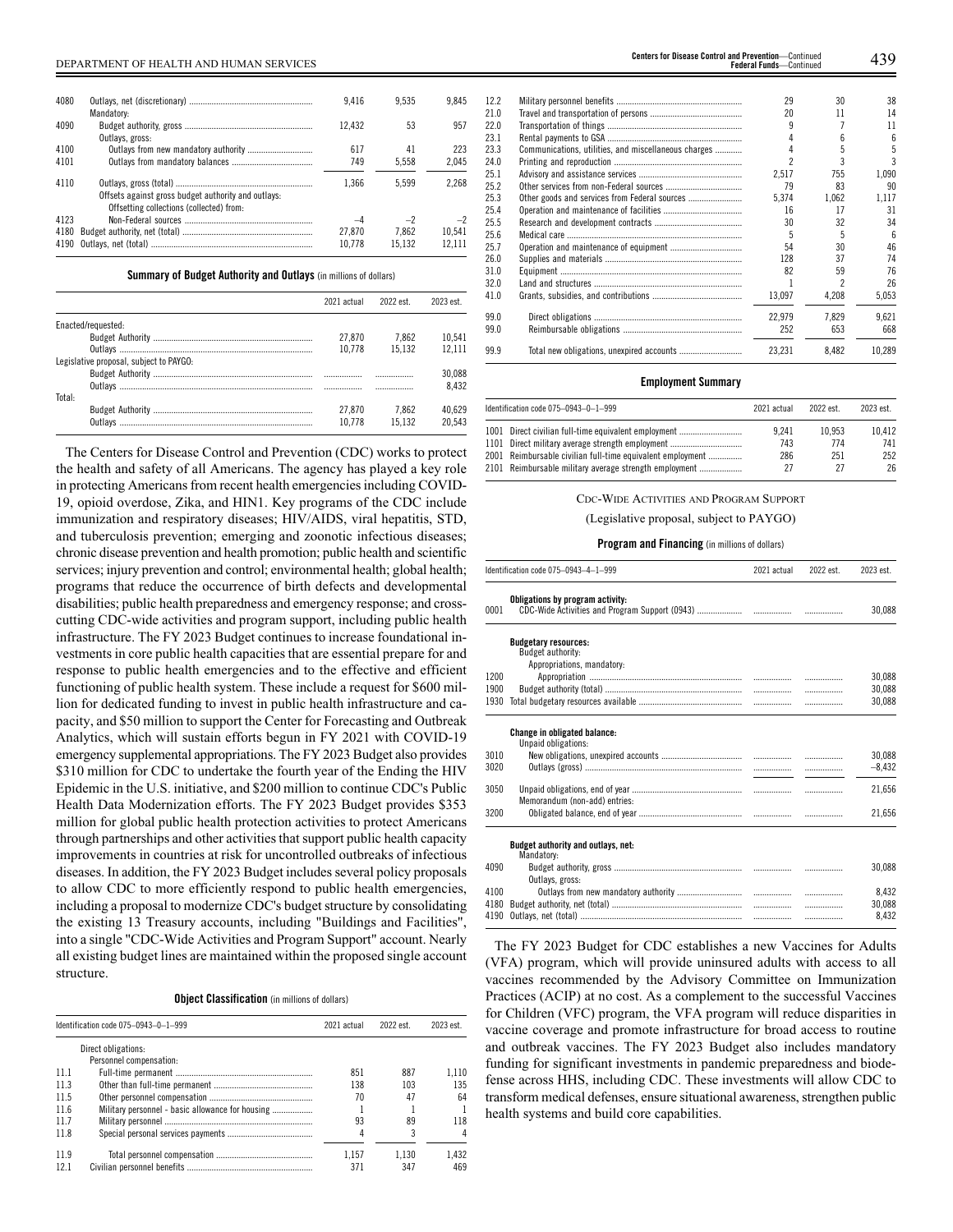| 4080 |                                                     | 9.416  | 9.535  | 9.845  |  |
|------|-----------------------------------------------------|--------|--------|--------|--|
|      | Mandatory:                                          |        |        |        |  |
| 4090 |                                                     | 12.432 | 53     | 957    |  |
|      | Outlays, gross:                                     |        |        |        |  |
| 4100 |                                                     | 617    | 41     | 223    |  |
| 4101 |                                                     | 749    | 5.558  | 2.045  |  |
| 4110 |                                                     | 1.366  | 5.599  | 2.268  |  |
|      | Offsets against gross budget authority and outlays: |        |        |        |  |
|      | Offsetting collections (collected) from:            |        |        |        |  |
| 4123 |                                                     | $-4$   | $-2$   | $-2$   |  |
| 4180 |                                                     | 27.870 | 7.862  | 10.541 |  |
| 4190 |                                                     | 10.778 | 15.132 | 12.111 |  |

**Summary of Budget Authority and Outlays** (in millions of dollars)

|                                         | 2021 actual | 2022 est. | 2023 est |
|-----------------------------------------|-------------|-----------|----------|
| Enacted/requested:                      |             |           |          |
|                                         | 27.870      | 7.862     | 10.541   |
|                                         | 10.778      | 15.132    | 12.111   |
| Legislative proposal, subject to PAYGO: |             |           |          |
|                                         |             |           | 30.088   |
|                                         |             |           | 8.432    |
| Total:                                  |             |           |          |
|                                         | 27.870      | 7.862     | 40.629   |
| Outlavs                                 | 10.778      | 15.132    | 20.543   |

The Centers for Disease Control and Prevention (CDC) works to protect the health and safety of all Americans. The agency has played a key role in protecting Americans from recent health emergencies including COVID-19, opioid overdose, Zika, and HIN1. Key programs of the CDC include immunization and respiratory diseases; HIV/AIDS, viral hepatitis, STD, and tuberculosis prevention; emerging and zoonotic infectious diseases; chronic disease prevention and health promotion; public health and scientific services; injury prevention and control; environmental health; global health; programs that reduce the occurrence of birth defects and developmental disabilities; public health preparedness and emergency response; and crosscutting CDC-wide activities and program support, including public health infrastructure. The FY 2023 Budget continues to increase foundational investments in core public health capacities that are essential prepare for and response to public health emergencies and to the effective and efficient functioning of public health system. These include a request for \$600 million for dedicated funding to invest in public health infrastructure and capacity, and \$50 million to support the Center for Forecasting and Outbreak Analytics, which will sustain efforts begun in FY 2021 with COVID-19 emergency supplemental appropriations. The FY 2023 Budget also provides \$310 million for CDC to undertake the fourth year of the Ending the HIV Epidemic in the U.S. initiative, and \$200 million to continue CDC's Public Health Data Modernization efforts. The FY 2023 Budget provides \$353 million for global public health protection activities to protect Americans through partnerships and other activities that support public health capacity improvements in countries at risk for uncontrolled outbreaks of infectious diseases. In addition, the FY 2023 Budget includes several policy proposals to allow CDC to more efficiently respond to public health emergencies, including a proposal to modernize CDC's budget structure by consolidating the existing 13 Treasury accounts, including "Buildings and Facilities", into a single "CDC-Wide Activities and Program Support" account. Nearly all existing budget lines are maintained within the proposed single account structure.

**Object Classification** (in millions of dollars)

|      | Identification code 075-0943-0-1-999             | 2021 actual | 2022 est. | 2023 est. |
|------|--------------------------------------------------|-------------|-----------|-----------|
|      | Direct obligations:                              |             |           |           |
|      | Personnel compensation:                          |             |           |           |
| 11.1 |                                                  | 851         | 887       | 1.110     |
| 11.3 |                                                  | 138         | 103       | 135       |
| 11.5 |                                                  | 70          | 47        | 64        |
| 11.6 | Military personnel - basic allowance for housing |             |           |           |
| 11.7 |                                                  | 93          | 89        | 118       |
| 11.8 |                                                  | 4           |           |           |
| 119  |                                                  | 1.157       | 1.130     | 1.432     |
| 121  |                                                  | 371         | 347       | 469       |

| 12.2 |                                                      | 29     | 30    | 38     |
|------|------------------------------------------------------|--------|-------|--------|
| 21.0 |                                                      | 20     | 11    | 14     |
| 22.0 |                                                      |        |       | 11     |
| 23.1 |                                                      |        | h     | 6      |
| 23.3 | Communications, utilities, and miscellaneous charges |        | 5     | 5      |
| 24.0 |                                                      |        |       |        |
| 25.1 |                                                      | 2.517  | 755   | 1.090  |
| 25.2 |                                                      | 79     | 83    | 90     |
| 25.3 | Other goods and services from Federal sources        | 5.374  | 1.062 | 1,117  |
| 25.4 |                                                      | 16     | 17    | 31     |
| 25.5 |                                                      | 30     | 32    | 34     |
| 25.6 |                                                      | 5      | 5     | 6      |
| 25.7 |                                                      | 54     | 30    | 46     |
| 26.0 |                                                      | 128    | 37    | 74     |
| 31.0 |                                                      | 82     | 59    | 76     |
| 32.0 |                                                      |        |       | 26     |
| 41.0 |                                                      | 13,097 | 4,208 | 5,053  |
| 99.0 |                                                      | 22.979 | 7.829 | 9.621  |
| 99.0 |                                                      | 252    | 653   | 668    |
| 99.9 |                                                      | 23.231 | 8.482 | 10.289 |
|      |                                                      |        |       |        |

## **Employment Summary**

| Identification code 075-0943-0-1-999                       | 2021 actual | 2022 est. | 2023 est. |
|------------------------------------------------------------|-------------|-----------|-----------|
| 1001 Direct civilian full-time equivalent employment       | 9.241       | 10.953    | 10.412    |
| 1101 Direct military average strength employment           | 743         | 774       | 741       |
| 2001 Reimbursable civilian full-time equivalent employment | 286         | 251       | 252       |
| 2101 Reimbursable military average strength employment     | 27          | 27        | 26        |

CDC-WIDE ACTIVITIES AND PROGRAM SUPPORT

(Legislative proposal, subject to PAYGO)

## **Program and Financing** (in millions of dollars)

|      | Identification code 075-0943-4-1-999                       | 2021 actual | 2022 est. | 2023 est. |
|------|------------------------------------------------------------|-------------|-----------|-----------|
| 0001 | Obligations by program activity:                           |             |           | 30,088    |
|      | <b>Budgetary resources:</b><br>Budget authority:           |             |           |           |
|      | Appropriations, mandatory:                                 |             |           |           |
| 1200 |                                                            |             |           | 30.088    |
| 1900 |                                                            |             | .         | 30,088    |
| 1930 |                                                            |             | .         | 30,088    |
|      | <b>Change in obligated balance:</b><br>Unpaid obligations: |             |           |           |
| 3010 |                                                            |             |           | 30,088    |
| 3020 |                                                            |             |           | $-8,432$  |
|      |                                                            |             |           |           |
| 3050 | Memorandum (non-add) entries:                              |             | .         | 21,656    |
| 3200 |                                                            |             |           | 21,656    |
|      | Budget authority and outlays, net:<br>Mandatory:           |             |           |           |
| 4090 | Outlays, gross:                                            |             |           | 30,088    |
| 4100 |                                                            |             |           | 8.432     |
| 4180 |                                                            |             | .         | 30,088    |
| 4190 |                                                            |             | .         | 8,432     |
|      |                                                            |             |           |           |

The FY 2023 Budget for CDC establishes a new Vaccines for Adults (VFA) program, which will provide uninsured adults with access to all vaccines recommended by the Advisory Committee on Immunization Practices (ACIP) at no cost. As a complement to the successful Vaccines for Children (VFC) program, the VFA program will reduce disparities in vaccine coverage and promote infrastructure for broad access to routine and outbreak vaccines. The FY 2023 Budget also includes mandatory funding for significant investments in pandemic preparedness and biodefense across HHS, including CDC. These investments will allow CDC to transform medical defenses, ensure situational awareness, strengthen public health systems and build core capabilities.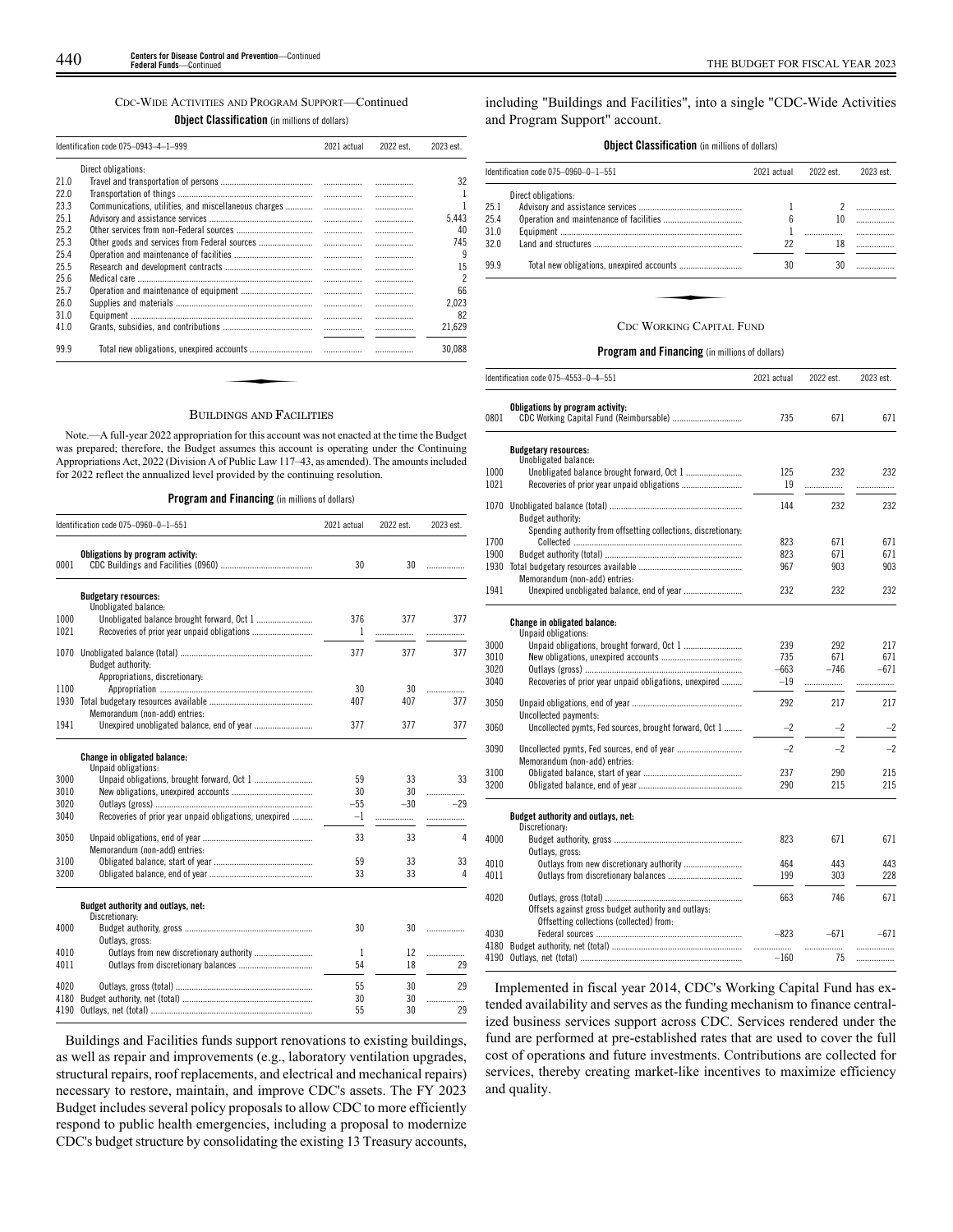## CDC-WIDE ACTIVITIES AND PROGRAM SUPPORT—Continued

**Object Classification** (in millions of dollars)

|      | Identification code 075-0943-4-1-999                 | 2021 actual | 2022 est. | 2023 est. |
|------|------------------------------------------------------|-------------|-----------|-----------|
|      | Direct obligations:                                  |             |           |           |
| 21.0 |                                                      |             |           | 32        |
| 22.0 |                                                      | .           | .         |           |
| 23.3 | Communications, utilities, and miscellaneous charges |             | .         |           |
| 25.1 |                                                      | .           | .         | 5.443     |
| 25.2 |                                                      | .           | .         | 40        |
| 25.3 |                                                      | .           | .         | 745       |
| 25.4 |                                                      |             | .         | 9         |
| 25.5 |                                                      | .           | .         | 15        |
| 25.6 |                                                      | .           | .         | 2         |
| 25.7 |                                                      |             | .         | 66        |
| 26.0 |                                                      | .           | .         | 2,023     |
| 31.0 |                                                      | .           | .         | 82        |
| 41.0 |                                                      |             |           | 21,629    |
| 99.9 |                                                      |             |           | 30,088    |

## BUILDINGS AND FACILITIES

Note.—A full-year 2022 appropriation for this account was not enacted at the time the Budget was prepared; therefore, the Budget assumes this account is operating under the Continuing Appropriations Act, 2022 (Division A of Public Law 117–43, as amended). The amounts included for 2022 reflect the annualized level provided by the continuing resolution.

### **Program and Financing** (in millions of dollars)

|      | Identification code 075-0960-0-1-551                   | 2021 actual | 2022 est. | 2023 est. |
|------|--------------------------------------------------------|-------------|-----------|-----------|
| 0001 | Obligations by program activity:                       | 30          | 30        | .         |
|      |                                                        |             |           |           |
|      |                                                        |             |           |           |
|      | <b>Budgetary resources:</b><br>Unobligated balance:    |             |           |           |
| 1000 | Unobligated balance brought forward, Oct 1             | 376         | 377       | 377       |
| 1021 | Recoveries of prior year unpaid obligations            | 1           | .         |           |
|      |                                                        |             |           |           |
| 1070 |                                                        | 377         | 377       | 377       |
|      | Budget authority:                                      |             |           |           |
|      | Appropriations, discretionary:                         |             |           |           |
| 1100 |                                                        | 30          | 30        | .         |
| 1930 |                                                        | 407         | 407       | 377       |
|      | Memorandum (non-add) entries:                          |             |           |           |
| 1941 |                                                        | 377         | 377       | 377       |
|      | Change in obligated balance:<br>Unpaid obligations:    |             |           |           |
| 3000 |                                                        | 59          | 33        | 33        |
| 3010 |                                                        | 30          | 30        | .         |
| 3020 |                                                        | $-55$       | $-30$     | $-29$     |
| 3040 | Recoveries of prior year unpaid obligations, unexpired | $-1$        | .         | .         |
| 3050 |                                                        | 33          | 33        | 4         |
|      | Memorandum (non-add) entries:                          |             |           |           |
| 3100 |                                                        | 59          | 33        | 33        |
| 3200 |                                                        | 33          | 33        | 4         |
|      | Budget authority and outlays, net:<br>Discretionary:   |             |           |           |
| 4000 |                                                        | 30          | 30        | .         |
|      | Outlays, gross:                                        |             |           |           |
| 4010 | Outlays from new discretionary authority               | 1           | 12        | .         |
| 4011 |                                                        | 54          | 18        | 29        |
|      |                                                        |             |           |           |
| 4020 |                                                        | 55          | 30        | 29        |
| 4180 |                                                        | 30          | 30        | .         |
| 4190 |                                                        | 55          | 30        | 29        |

Buildings and Facilities funds support renovations to existing buildings, as well as repair and improvements (e.g., laboratory ventilation upgrades, structural repairs, roof replacements, and electrical and mechanical repairs) necessary to restore, maintain, and improve CDC's assets. The FY 2023 Budget includes several policy proposals to allow CDC to more efficiently respond to public health emergencies, including a proposal to modernize CDC's budget structure by consolidating the existing 13 Treasury accounts, including "Buildings and Facilities", into a single "CDC-Wide Activities and Program Support" account.

## **Object Classification** (in millions of dollars)

|      | ldentification code 075–0960–0–1–551 | 2021 actual<br>2022 est. |    | 2023 est. |
|------|--------------------------------------|--------------------------|----|-----------|
|      | Direct obligations:                  |                          |    |           |
| 25.1 |                                      |                          |    | .         |
| 25.4 |                                      | 6                        | 10 |           |
| 31.0 |                                      |                          |    |           |
| 32 O |                                      | 22                       | 18 |           |
| 99.9 |                                      | 30                       | 30 |           |
|      |                                      |                          |    |           |
|      |                                      |                          |    |           |
|      | CDC WORKING CAPITAL FUND             |                          |    |           |

## CDC WORKING CAPITAL FUND

## **Program and Financing** (in millions of dollars)

|      | Identification code 075–4553–0–4–551                           | 2021 actual | 2022 est. | 2023 est. |
|------|----------------------------------------------------------------|-------------|-----------|-----------|
| 0801 | Obligations by program activity:                               | 735         | 671       | 671       |
|      | <b>Budgetary resources:</b>                                    |             |           |           |
|      | Unobligated balance:                                           |             |           |           |
| 1000 |                                                                | 125         | 232       | 232       |
| 1021 |                                                                | 19          | .         |           |
|      |                                                                | 144         | 232       | 232       |
|      | Budget authority:                                              |             |           |           |
|      | Spending authority from offsetting collections, discretionary: |             |           |           |
| 1700 |                                                                | 823         | 671       | 671       |
| 1900 |                                                                | 823         | 671       | 671       |
| 1930 |                                                                | 967         | 903       | 903       |
|      | Memorandum (non-add) entries:                                  |             |           |           |
| 1941 |                                                                | 232         | 232       | 232       |
|      | <b>Change in obligated balance:</b>                            |             |           |           |
|      | Unpaid obligations:                                            |             |           |           |
| 3000 |                                                                | 239         | 292       | 217       |
| 3010 |                                                                | 735         | 671       | 671       |
| 3020 |                                                                | $-663$      | $-746$    | $-671$    |
| 3040 | Recoveries of prior year unpaid obligations, unexpired         | $-19$       | .         | .         |
|      |                                                                |             |           |           |
| 3050 |                                                                | 292         | 217       | 217       |
|      | Uncollected payments:                                          |             |           |           |
| 3060 | Uncollected pymts, Fed sources, brought forward, Oct 1         | $-2$        | $-2$      | $-2$      |
| 3090 |                                                                | $-2$        | $-2$      | $-2$      |
|      | Memorandum (non-add) entries:                                  |             |           |           |
| 3100 |                                                                | 237         | 290       | 215       |
| 3200 |                                                                | 290         | 215       | 215       |
|      |                                                                |             |           |           |
|      | Budget authority and outlays, net:<br>Discretionary:           |             |           |           |
| 4000 |                                                                | 823         | 671       | 671       |
|      | Outlays, gross:                                                |             |           |           |
| 4010 |                                                                | 464         | 443       | 443       |
| 4011 |                                                                | 199         | 303       | 228       |
|      |                                                                |             |           |           |
| 4020 |                                                                | 663         | 746       | 671       |
|      | Offsets against gross budget authority and outlays:            |             |           |           |
|      | Offsetting collections (collected) from:                       |             |           |           |
| 4030 |                                                                | $-823$      | $-671$    | $-671$    |
|      |                                                                |             | .         | .         |
|      |                                                                | $-160$      | 75        | .         |
|      |                                                                |             |           |           |

Implemented in fiscal year 2014, CDC's Working Capital Fund has extended availability and serves as the funding mechanism to finance centralized business services support across CDC. Services rendered under the fund are performed at pre-established rates that are used to cover the full cost of operations and future investments. Contributions are collected for services, thereby creating market-like incentives to maximize efficiency and quality.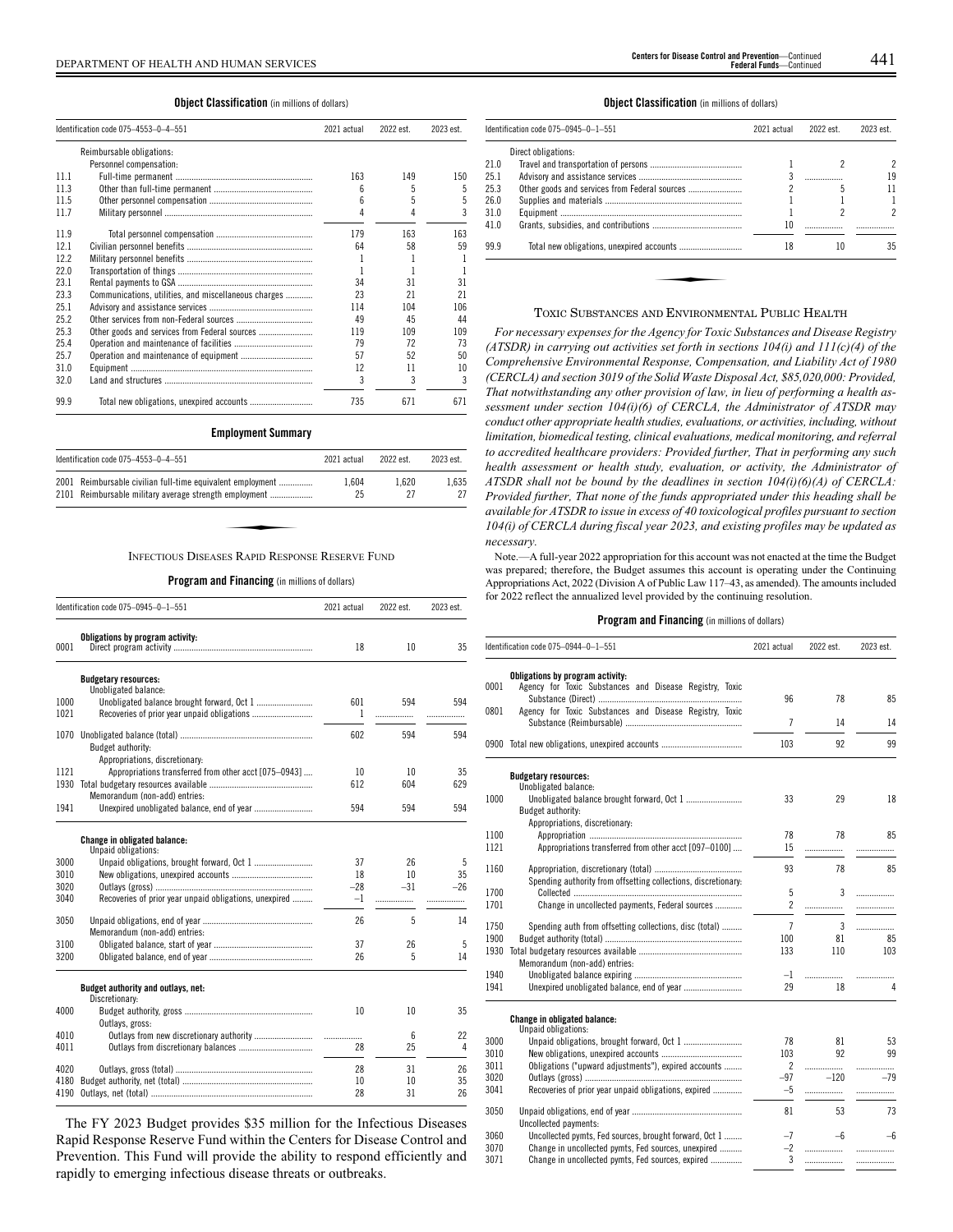**Object Classification** (in millions of dollars)

|      | Identification code 075-4553-0-4-551                 | 2021 actual | 2022 est. | 2023 est. |
|------|------------------------------------------------------|-------------|-----------|-----------|
|      | Reimbursable obligations:                            |             |           |           |
|      | Personnel compensation:                              |             |           |           |
| 11.1 |                                                      | 163         | 149       | 150       |
| 11.3 |                                                      | 6           | 5         | 5         |
| 11.5 |                                                      | 6           |           | 5         |
| 11.7 |                                                      |             |           | 3         |
| 11.9 |                                                      | 179         | 163       | 163       |
| 12.1 |                                                      | 64          | 58        | 59        |
| 12.2 |                                                      | 1           |           |           |
| 22.0 |                                                      |             |           |           |
| 23.1 |                                                      | 34          | 31        | 31        |
| 23.3 | Communications, utilities, and miscellaneous charges | 23          | 21        | 21        |
| 25.1 |                                                      | 114         | 104       | 106       |
| 25.2 |                                                      | 49          | 45        | 44        |
| 25.3 |                                                      | 119         | 109       | 109       |
| 25.4 |                                                      | 79          | 72        | 73        |
| 25.7 |                                                      | 57          | 52        | 50        |
| 31.0 |                                                      | 12          | 11        | 10        |
| 32.0 |                                                      | 3           | 3         | 3         |
| 99.9 |                                                      | 735         | 671       | 671       |

## **Employment Summary**

| Identification code 075-4553-0-4-551                                                                                 | 2021 actual | 2022 est    | 2023 est.   |
|----------------------------------------------------------------------------------------------------------------------|-------------|-------------|-------------|
| 2001 Reimbursable civilian full-time equivalent employment<br>2101 Reimbursable military average strength employment | 1.604<br>25 | 1.620<br>27 | 1.635<br>27 |
|                                                                                                                      |             |             |             |
| INFECTIOUS DISEASES RAPID RESPONSE RESERVE FUND                                                                      |             |             |             |

**Program and Financing** (in millions of dollars)

|              | Identification code 075-0945-0-1-551                   | 2021 actual | 2022 est.       | 2023 est. |
|--------------|--------------------------------------------------------|-------------|-----------------|-----------|
| 0001         | Obligations by program activity:                       | 18          | 10              | 35        |
|              |                                                        |             |                 |           |
|              | <b>Budgetary resources:</b><br>Unobligated balance:    |             |                 |           |
| 1000         | Unobligated balance brought forward, Oct 1             | 601         | 594             | 594       |
| 1021         |                                                        | 1           | .               | .         |
|              |                                                        |             |                 |           |
| 1070         |                                                        | 602         | 594             | 594       |
|              | Budget authority:                                      |             |                 |           |
|              | Appropriations, discretionary:                         |             |                 |           |
| 1121<br>1930 | Appropriations transferred from other acct [075-0943]  | 10<br>612   | 10<br>604       | 35<br>629 |
|              | Memorandum (non-add) entries:                          |             |                 |           |
| 1941         | Unexpired unobligated balance, end of year             | 594         | 594             | 594       |
|              |                                                        |             |                 |           |
|              | Change in obligated balance:                           |             |                 |           |
|              | Unpaid obligations:                                    |             |                 |           |
| 3000         |                                                        | 37          | 26              | 5         |
| 3010         |                                                        | 18          | 10 <sup>2</sup> | 35        |
| 3020         |                                                        | $-28$       | $-31$           | $-26$     |
| 3040         | Recoveries of prior year unpaid obligations, unexpired | $-1$        | .               | .         |
| 3050         |                                                        | 26          | 5               | 14        |
|              | Memorandum (non-add) entries:                          |             |                 |           |
| 3100         |                                                        | 37          | 26              | 5         |
| 3200         |                                                        | 26          | 5               | 14        |
|              |                                                        |             |                 |           |
|              | Budget authority and outlays, net:<br>Discretionary:   |             |                 |           |
| 4000         |                                                        | 10          | 10              | 35        |
|              | Outlays, gross:                                        |             |                 |           |
| 4010         | Outlays from new discretionary authority               | .           | 6               | 22        |
| 4011         |                                                        | 28          | 25              | 4         |
| 4020         |                                                        | 28          | 31              | 26        |
| 4180         |                                                        | 10          | 10              | 35        |
| 4190         |                                                        | 28          | 31              | 26        |
|              |                                                        |             |                 |           |

The FY 2023 Budget provides \$35 million for the Infectious Diseases Rapid Response Reserve Fund within the Centers for Disease Control and Prevention. This Fund will provide the ability to respond efficiently and rapidly to emerging infectious disease threats or outbreaks.

### **Object Classification** (in millions of dollars)

|      | Identification code 075-0945-0-1-551 | 2021 actual | 2022 est. | 2023 est. |
|------|--------------------------------------|-------------|-----------|-----------|
|      | Direct obligations:                  |             |           |           |
| 21.0 |                                      |             |           |           |
| 25.1 |                                      |             |           | 19        |
| 25.3 |                                      |             | 5         | 11        |
| 26.0 |                                      |             |           |           |
| 31.0 |                                      |             |           | 2         |
| 41.0 |                                      | 10          |           |           |
| 99.9 |                                      | 18          | 10        | 35        |
|      |                                      |             |           |           |
|      |                                      |             |           |           |
|      |                                      |             |           |           |

## TOXIC SUBSTANCES AND ENVIRONMENTAL PUBLIC HEALTH

*For necessary expenses for the Agency for Toxic Substances and Disease Registry (ATSDR) in carrying out activities set forth in sections 104(i) and 111(c)(4) of the Comprehensive Environmental Response, Compensation, and Liability Act of 1980 (CERCLA) and section 3019 of the Solid Waste Disposal Act, \$85,020,000: Provided, That notwithstanding any other provision of law, in lieu of performing a health assessment under section 104(i)(6) of CERCLA, the Administrator of ATSDR may conduct other appropriate health studies, evaluations, or activities, including, without limitation, biomedical testing, clinical evaluations, medical monitoring, and referral to accredited healthcare providers: Provided further, That in performing any such health assessment or health study, evaluation, or activity, the Administrator of ATSDR shall not be bound by the deadlines in section 104(i)(6)(A) of CERCLA: Provided further, That none of the funds appropriated under this heading shall be available for ATSDR to issue in excess of 40 toxicological profiles pursuant to section 104(i) of CERCLA during fiscal year 2023, and existing profiles may be updated as necessary.*

Note.—A full-year 2022 appropriation for this account was not enacted at the time the Budget was prepared; therefore, the Budget assumes this account is operating under the Continuing Appropriations Act, 2022 (Division A of Public Law 117–43, as amended). The amounts included for 2022 reflect the annualized level provided by the continuing resolution.

|              | Identification code 075-0944-0-1-551                                                        |                | 2022 est. | 2023 est. |
|--------------|---------------------------------------------------------------------------------------------|----------------|-----------|-----------|
| 0001         | Obligations by program activity:<br>Agency for Toxic Substances and Disease Registry, Toxic | 96             | 78        | 85        |
| 0801         | Agency for Toxic Substances and Disease Registry, Toxic                                     | 7              | 14        | 14        |
|              | 0900 Total new obligations, unexpired accounts                                              | 103            | 92        | 99        |
|              |                                                                                             |                |           |           |
|              | <b>Budgetary resources:</b><br>Unobligated balance:                                         |                |           |           |
| 1000         | Budget authority:                                                                           | 33             | 29        | 18        |
|              | Appropriations, discretionary:                                                              |                |           |           |
| 1100<br>1121 | Appropriations transferred from other acct [097-0100]                                       | 78<br>15       | 78        | 85        |
|              |                                                                                             |                | .         |           |
| 1160         | Spending authority from offsetting collections, discretionary:                              | 93             | 78        | 85        |
| 1700         |                                                                                             | 5              | 3         | .         |
| 1701         | Change in uncollected payments, Federal sources                                             | $\overline{c}$ | .         | .         |
| 1750         | Spending auth from offsetting collections, disc (total)                                     | $\overline{7}$ | 3         | .         |
| 1900         |                                                                                             | 100            | 81        | 85        |
| 1930         | Memorandum (non-add) entries:                                                               | 133            | 110       | 103       |
| 1940         |                                                                                             | -1             | .         | .         |
| 1941         |                                                                                             | 29             | 18        | 4         |
|              | Change in obligated balance:<br>Unpaid obligations:                                         |                |           |           |
| 3000         |                                                                                             | 78             | 81        | 53        |
| 3010         |                                                                                             | 103            | 92        | 99        |
| 3011         | Obligations ("upward adjustments"), expired accounts                                        | $\overline{c}$ | .         |           |
| 3020         |                                                                                             | -97            | $-120$    | $-79$     |
| 3041         | Recoveries of prior year unpaid obligations, expired                                        | $-5$           | .         |           |
| 3050         |                                                                                             | 81             | 53        | 73        |
|              | Uncollected payments:                                                                       |                |           |           |
| 3060         | Uncollected pymts, Fed sources, brought forward, Oct 1                                      | $-7$           | $-6$      | $-6$      |
| 3070         | Change in uncollected pymts, Fed sources, unexpired                                         | $-2$           |           | .         |
| 3071         | Change in uncollected pymts, Fed sources, expired                                           | 3              | .         | .         |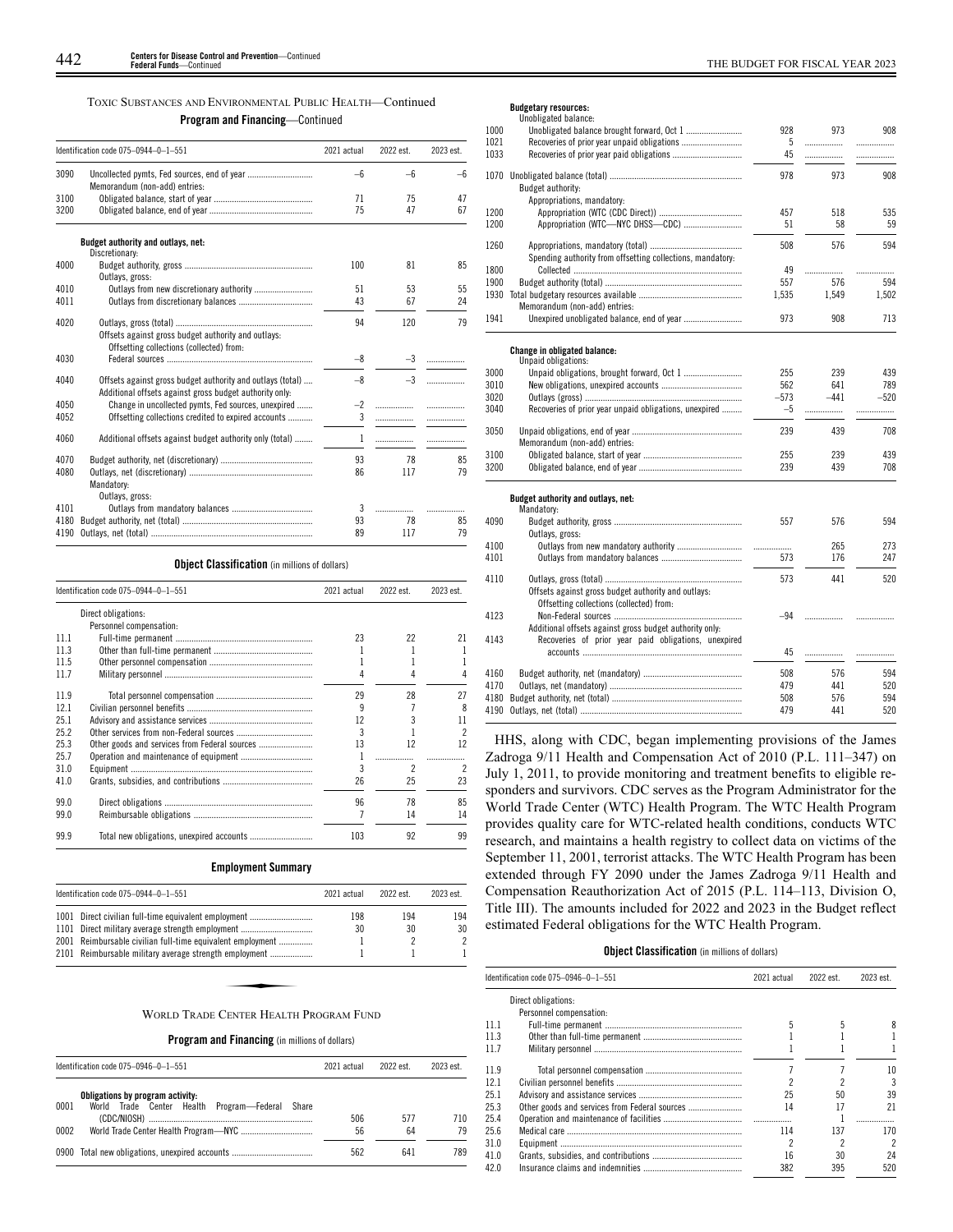|  |  | TOXIC SUBSTANCES AND ENVIRONMENTAL PUBLIC HEALTH—Continued |  |  |
|--|--|------------------------------------------------------------|--|--|
|--|--|------------------------------------------------------------|--|--|

**Program and Financing**—Continued

|      | Identification code 075-0944-0-1-551                                                                                  | 2021 actual | 2022 est. | 2023 est. |
|------|-----------------------------------------------------------------------------------------------------------------------|-------------|-----------|-----------|
| 3090 |                                                                                                                       | —հ          | $-6$      | -6        |
|      | Memorandum (non-add) entries:                                                                                         |             |           |           |
| 3100 |                                                                                                                       | 71          | 75        | 47        |
| 3200 |                                                                                                                       | 75          | 47        | 67        |
|      | Budget authority and outlays, net:<br>Discretionary:                                                                  |             |           |           |
| 4000 |                                                                                                                       | 100         | 81        | 85        |
|      | Outlays, gross:                                                                                                       |             |           |           |
| 4010 |                                                                                                                       | 51          | 53        | 55        |
| 4011 |                                                                                                                       | 43          | 67        | 24        |
| 4020 | Offsets against gross budget authority and outlays:<br>Offsetting collections (collected) from:                       | 94          | 120       | 79        |
| 4030 |                                                                                                                       | $-8$        | $-3$      | .         |
| 4040 | Offsets against gross budget authority and outlays (total)<br>Additional offsets against gross budget authority only: | $-8$        | $-3$      |           |
| 4050 | Change in uncollected pymts, Fed sources, unexpired                                                                   | $-2$        |           | .         |
| 4052 | Offsetting collections credited to expired accounts                                                                   | 3           |           |           |
| 4060 | Additional offsets against budget authority only (total)                                                              | 1           | .         | .         |
| 4070 |                                                                                                                       | 93          | 78        | 85        |
| 4080 | Mandatory:<br>Outlays, gross:                                                                                         | 86          | 117       | 79        |
| 4101 |                                                                                                                       | 3           |           |           |
| 4180 |                                                                                                                       | 93          | 78        | 85        |
| 4190 |                                                                                                                       | 89          | 117       | 79        |

## **Object Classification** (in millions of dollars)

|      | Identification code 075-0944-0-1-551          |     | 2022 est.     | 2023 est. |
|------|-----------------------------------------------|-----|---------------|-----------|
|      | Direct obligations:                           |     |               |           |
|      | Personnel compensation:                       |     |               |           |
| 11.1 |                                               | 23  | 22            | 21        |
| 11.3 |                                               |     |               |           |
| 11.5 |                                               |     |               |           |
| 11.7 |                                               |     |               |           |
| 11.9 |                                               | 29  | 28            | 27        |
| 12.1 |                                               | q   |               | 8         |
| 25.1 |                                               | 12  |               | 11        |
| 25.2 |                                               | 3   |               | 2         |
| 25.3 | Other goods and services from Federal sources | 13  | 12            | 12        |
| 25.7 |                                               |     |               |           |
| 31.0 |                                               |     | $\mathcal{P}$ |           |
| 41.0 |                                               | 26  | 25            | 23        |
| 99.0 |                                               | 96  | 78            | 85        |
| 99.0 |                                               |     | 14            | 14        |
| 99.9 |                                               | 103 | 92            | 99        |

## **Employment Summary**

| Identification code 075-0944-0-1-551<br>2021 actual                                                            |     | 2022 est. | 2023 est. |
|----------------------------------------------------------------------------------------------------------------|-----|-----------|-----------|
| 1001 Direct civilian full-time equivalent employment                                                           | 198 | 194       | 194       |
| 1101 Direct military average strength employment<br>2001 Reimbursable civilian full-time equivalent employment | 30  | 30        | 30<br>2   |
| 2101 Reimbursable military average strength employment                                                         |     |           |           |
|                                                                                                                |     |           |           |
|                                                                                                                |     |           |           |
| WORLD TRADE CENTER HEALTH PROGRAM FUND                                                                         |     |           |           |

**Program and Financing** (in millions of dollars)

|      | Identification code 075-0946-0-1-551                                                   | 2021 actual | 2022 est. | 2023 est  |
|------|----------------------------------------------------------------------------------------|-------------|-----------|-----------|
| 0001 | Obligations by program activity:<br>World Trade Center Health Program-Federal<br>Share |             |           |           |
| 0002 |                                                                                        | 506<br>56   | 577<br>64 | 710<br>79 |
|      | 0900 Total new obligations, unexpired accounts                                         | 562         | 641       | 789       |

**Budgetary resources:**

|      | Unobligated balance:                                       |        |        |        |
|------|------------------------------------------------------------|--------|--------|--------|
| 1000 |                                                            | 928    | 973    | 908    |
| 1021 |                                                            | 5      | .      | .      |
| 1033 |                                                            | 45     |        | .      |
| 1070 |                                                            | 978    | 973    | 908    |
|      | <b>Budget authority:</b>                                   |        |        |        |
|      | Appropriations, mandatory:                                 |        |        |        |
| 1200 |                                                            | 457    | 518    | 535    |
| 1200 | Appropriation (WTC-NYC DHSS-CDC)                           | 51     | 58     | 59     |
|      |                                                            |        |        |        |
| 1260 |                                                            | 508    | 576    | 594    |
|      | Spending authority from offsetting collections, mandatory: |        |        |        |
| 1800 |                                                            | 49     | .      |        |
| 1900 |                                                            | 557    | 576    | 594    |
| 1930 |                                                            | 1,535  | 1,549  | 1,502  |
|      | Memorandum (non-add) entries:                              |        |        |        |
| 1941 |                                                            | 973    | 908    | 713    |
|      |                                                            |        |        |        |
|      | <b>Change in obligated balance:</b>                        |        |        |        |
|      | Unpaid obligations:                                        |        |        |        |
| 3000 |                                                            | 255    | 239    | 439    |
| 3010 |                                                            | 562    | 641    | 789    |
| 3020 |                                                            | $-573$ | $-441$ | $-520$ |
| 3040 | Recoveries of prior year unpaid obligations, unexpired     | $-5$   | .      | .      |
|      |                                                            |        |        |        |
| 3050 |                                                            | 239    | 439    | 708    |
|      | Memorandum (non-add) entries:                              |        |        |        |
| 3100 |                                                            | 255    | 239    | 439    |
| 3200 |                                                            | 239    | 439    | 708    |
|      |                                                            |        |        |        |
|      | Budget authority and outlays, net:                         |        |        |        |
|      | Mandatory:                                                 |        | 576    |        |
| 4090 |                                                            | 557    |        | 594    |
|      | Outlays, gross:                                            |        |        | 273    |
| 4100 |                                                            | .      | 265    |        |
| 4101 |                                                            | 573    | 176    | 247    |
| 4110 |                                                            | 573    | 441    | 520    |
|      | Offsets against gross budget authority and outlays:        |        |        |        |
|      | Offsetting collections (collected) from:                   |        |        |        |
| 4123 |                                                            | $-94$  |        |        |
|      | Additional offsets against gross budget authority only:    |        |        |        |
| 4143 | Recoveries of prior year paid obligations, unexpired       |        |        |        |
|      |                                                            | 45     | .      |        |
|      |                                                            |        |        |        |
| 4160 |                                                            | 508    | 576    | 594    |
| 4170 |                                                            | 479    | 441    | 520    |
| 4180 |                                                            | 508    | 576    | 594    |
|      |                                                            | 479    | 441    | 520    |
|      |                                                            |        |        |        |

HHS, along with CDC, began implementing provisions of the James Zadroga 9/11 Health and Compensation Act of 2010 (P.L. 111–347) on July 1, 2011, to provide monitoring and treatment benefits to eligible responders and survivors. CDC serves as the Program Administrator for the World Trade Center (WTC) Health Program. The WTC Health Program provides quality care for WTC-related health conditions, conducts WTC research, and maintains a health registry to collect data on victims of the September 11, 2001, terrorist attacks. The WTC Health Program has been extended through FY 2090 under the James Zadroga 9/11 Health and Compensation Reauthorization Act of 2015 (P.L. 114–113, Division O, Title III). The amounts included for 2022 and 2023 in the Budget reflect estimated Federal obligations for the WTC Health Program.

## **Object Classification** (in millions of dollars)

|      | Identification code 075-0946-0-1-551 | 2021 actual | 2022 est. | 2023 est. |
|------|--------------------------------------|-------------|-----------|-----------|
|      | Direct obligations:                  |             |           |           |
|      | Personnel compensation:              |             |           |           |
| 111  |                                      |             |           |           |
| 11.3 |                                      |             |           |           |
| 117  |                                      |             |           |           |
| 119  |                                      |             |           | 10        |
| 12.1 |                                      |             |           | 3         |
| 25.1 |                                      | 25          | 50        | 39        |
| 25.3 |                                      | 14          | 17        | 21        |
| 25.4 |                                      |             |           |           |
| 25.6 |                                      | 114         | 137       | 170       |
| 31.0 |                                      |             |           | 2         |
| 41.0 |                                      | 16          | 30        | 24        |
| 42.0 |                                      | 382         | 395       | 520       |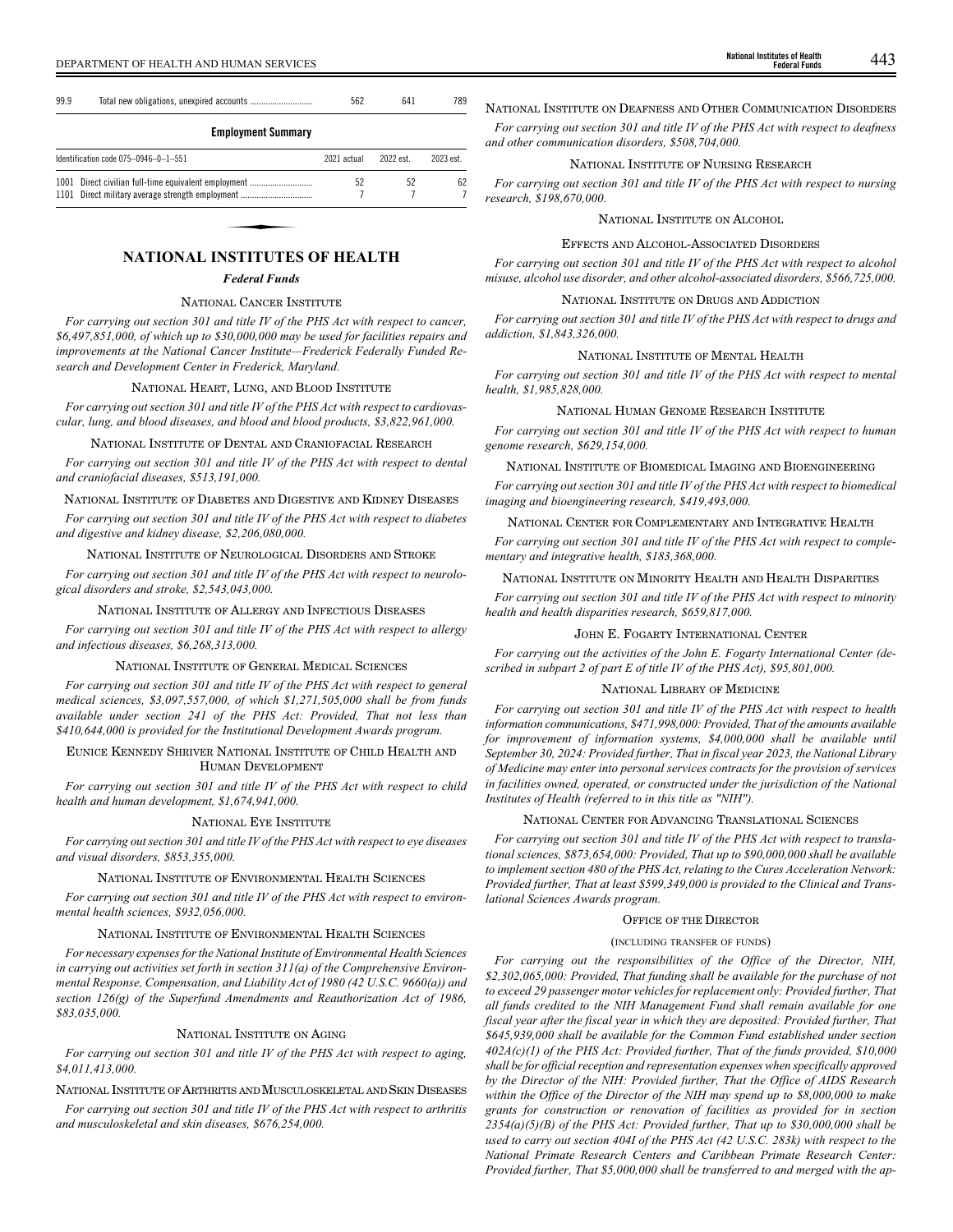| 99.9 |  |  |
|------|--|--|
|      |  |  |

## **Employment Summary**

| Identification code 075-0946-0-1-551                 | 2021 actual | 2022 est | 2023 est. |
|------------------------------------------------------|-------------|----------|-----------|
| 1001 Direct civilian full-time equivalent employment | 52          | 52       | 62        |
| 1101 Direct military average strength employment     |             |          |           |
|                                                      |             |          |           |
|                                                      |             |          |           |
|                                                      |             |          |           |

# *Federal Funds*

#### NATIONAL CANCER INSTITUTE

*For carrying out section 301 and title IV of the PHS Act with respect to cancer, \$6,497,851,000, of which up to \$30,000,000 may be used for facilities repairs and improvements at the National Cancer Institute—Frederick Federally Funded Research and Development Center in Frederick, Maryland.*

## NATIONAL HEART, LUNG, AND BLOOD INSTITUTE

*For carrying out section 301 and title IV of the PHS Act with respect to cardiovascular, lung, and blood diseases, and blood and blood products, \$3,822,961,000.*

## NATIONAL INSTITUTE OF DENTAL AND CRANIOFACIAL RESEARCH

*For carrying out section 301 and title IV of the PHS Act with respect to dental and craniofacial diseases, \$513,191,000.*

#### NATIONAL INSTITUTE OF DIABETES AND DIGESTIVE AND KIDNEY DISEASES

*For carrying out section 301 and title IV of the PHS Act with respect to diabetes and digestive and kidney disease, \$2,206,080,000.*

## NATIONAL INSTITUTE OF NEUROLOGICAL DISORDERS AND STROKE

*For carrying out section 301 and title IV of the PHS Act with respect to neurological disorders and stroke, \$2,543,043,000.*

### NATIONAL INSTITUTE OF ALLERGY AND INFECTIOUS DISEASES

*For carrying out section 301 and title IV of the PHS Act with respect to allergy and infectious diseases, \$6,268,313,000.*

## NATIONAL INSTITUTE OF GENERAL MEDICAL SCIENCES

*For carrying out section 301 and title IV of the PHS Act with respect to general medical sciences, \$3,097,557,000, of which \$1,271,505,000 shall be from funds available under section 241 of the PHS Act: Provided, That not less than \$410,644,000 is provided for the Institutional Development Awards program.*

## EUNICE KENNEDY SHRIVER NATIONAL INSTITUTE OF CHILD HEALTH AND HUMAN DEVELOPMENT

*For carrying out section 301 and title IV of the PHS Act with respect to child health and human development, \$1,674,941,000.*

## NATIONAL EYE INSTITUTE

*For carrying out section 301 and title IV of the PHS Act with respect to eye diseases and visual disorders, \$853,355,000.*

#### NATIONAL INSTITUTE OF ENVIRONMENTAL HEALTH SCIENCES

*For carrying out section 301 and title IV of the PHS Act with respect to environmental health sciences, \$932,056,000.*

## NATIONAL INSTITUTE OF ENVIRONMENTAL HEALTH SCIENCES

*For necessary expenses for the National Institute of Environmental Health Sciences in carrying out activities set forth in section 311(a) of the Comprehensive Environmental Response, Compensation, and Liability Act of 1980 (42 U.S.C. 9660(a)) and section 126(g) of the Superfund Amendments and Reauthorization Act of 1986, \$83,035,000.*

## NATIONAL INSTITUTE ON AGING

*For carrying out section 301 and title IV of the PHS Act with respect to aging, \$4,011,413,000.*

## NATIONAL INSTITUTE OF ARTHRITIS AND MUSCULOSKELETAL AND SKIN DISEASES

*For carrying out section 301 and title IV of the PHS Act with respect to arthritis and musculoskeletal and skin diseases, \$676,254,000.*

# NATIONAL INSTITUTE ON DEAFNESS AND OTHER COMMUNICATION DISORDERS

*For carrying out section 301 and title IV of the PHS Act with respect to deafness and other communication disorders, \$508,704,000.*

## NATIONAL INSTITUTE OF NURSING RESEARCH

*For carrying out section 301 and title IV of the PHS Act with respect to nursing research, \$198,670,000.*

## NATIONAL INSTITUTE ON ALCOHOL

### EFFECTS AND ALCOHOL-ASSOCIATED DISORDERS

*For carrying out section 301 and title IV of the PHS Act with respect to alcohol misuse, alcohol use disorder, and other alcohol-associated disorders, \$566,725,000.*

## NATIONAL INSTITUTE ON DRUGS AND ADDICTION

*For carrying out section 301 and title IV of the PHS Act with respect to drugs and addiction, \$1,843,326,000.*

## NATIONAL INSTITUTE OF MENTAL HEALTH

*For carrying out section 301 and title IV of the PHS Act with respect to mental health, \$1,985,828,000.*

## NATIONAL HUMAN GENOME RESEARCH INSTITUTE

*For carrying out section 301 and title IV of the PHS Act with respect to human genome research, \$629,154,000.*

## NATIONAL INSTITUTE OF BIOMEDICAL IMAGING AND BIOENGINEERING

*For carrying out section 301 and title IV of the PHS Act with respect to biomedical imaging and bioengineering research, \$419,493,000.*

## NATIONAL CENTER FOR COMPLEMENTARY AND INTEGRATIVE HEALTH

*For carrying out section 301 and title IV of the PHS Act with respect to complementary and integrative health, \$183,368,000.*

## NATIONAL INSTITUTE ON MINORITY HEALTH AND HEALTH DISPARITIES

*For carrying out section 301 and title IV of the PHS Act with respect to minority health and health disparities research, \$659,817,000.*

## JOHN E. FOGARTY INTERNATIONAL CENTER

*For carrying out the activities of the John E. Fogarty International Center (described in subpart 2 of part E of title IV of the PHS Act), \$95,801,000.*

## NATIONAL LIBRARY OF MEDICINE

*For carrying out section 301 and title IV of the PHS Act with respect to health information communications, \$471,998,000: Provided, That of the amounts available for improvement of information systems, \$4,000,000 shall be available until September 30, 2024: Provided further, That in fiscal year 2023, the National Library of Medicine may enter into personal services contracts for the provision of services in facilities owned, operated, or constructed under the jurisdiction of the National Institutes of Health (referred to in this title as "NIH").*

## NATIONAL CENTER FOR ADVANCING TRANSLATIONAL SCIENCES

*For carrying out section 301 and title IV of the PHS Act with respect to translational sciences, \$873,654,000: Provided, That up to \$90,000,000 shall be available to implement section 480 of the PHS Act, relating to the Cures Acceleration Network: Provided further, That at least \$599,349,000 is provided to the Clinical and Translational Sciences Awards program.*

## OFFICE OF THE DIRECTOR

## (INCLUDING TRANSFER OF FUNDS)

*For carrying out the responsibilities of the Office of the Director, NIH, \$2,302,065,000: Provided, That funding shall be available for the purchase of not to exceed 29 passenger motor vehicles for replacement only: Provided further, That all funds credited to the NIH Management Fund shall remain available for one fiscal year after the fiscal year in which they are deposited: Provided further, That \$645,939,000 shall be available for the Common Fund established under section 402A(c)(1) of the PHS Act: Provided further, That of the funds provided, \$10,000 shall be for official reception and representation expenses when specifically approved by the Director of the NIH: Provided further, That the Office of AIDS Research within the Office of the Director of the NIH may spend up to \$8,000,000 to make grants for construction or renovation of facilities as provided for in section 2354(a)(5)(B) of the PHS Act: Provided further, That up to \$30,000,000 shall be used to carry out section 404I of the PHS Act (42 U.S.C. 283k) with respect to the National Primate Research Centers and Caribbean Primate Research Center: Provided further, That \$5,000,000 shall be transferred to and merged with the ap-*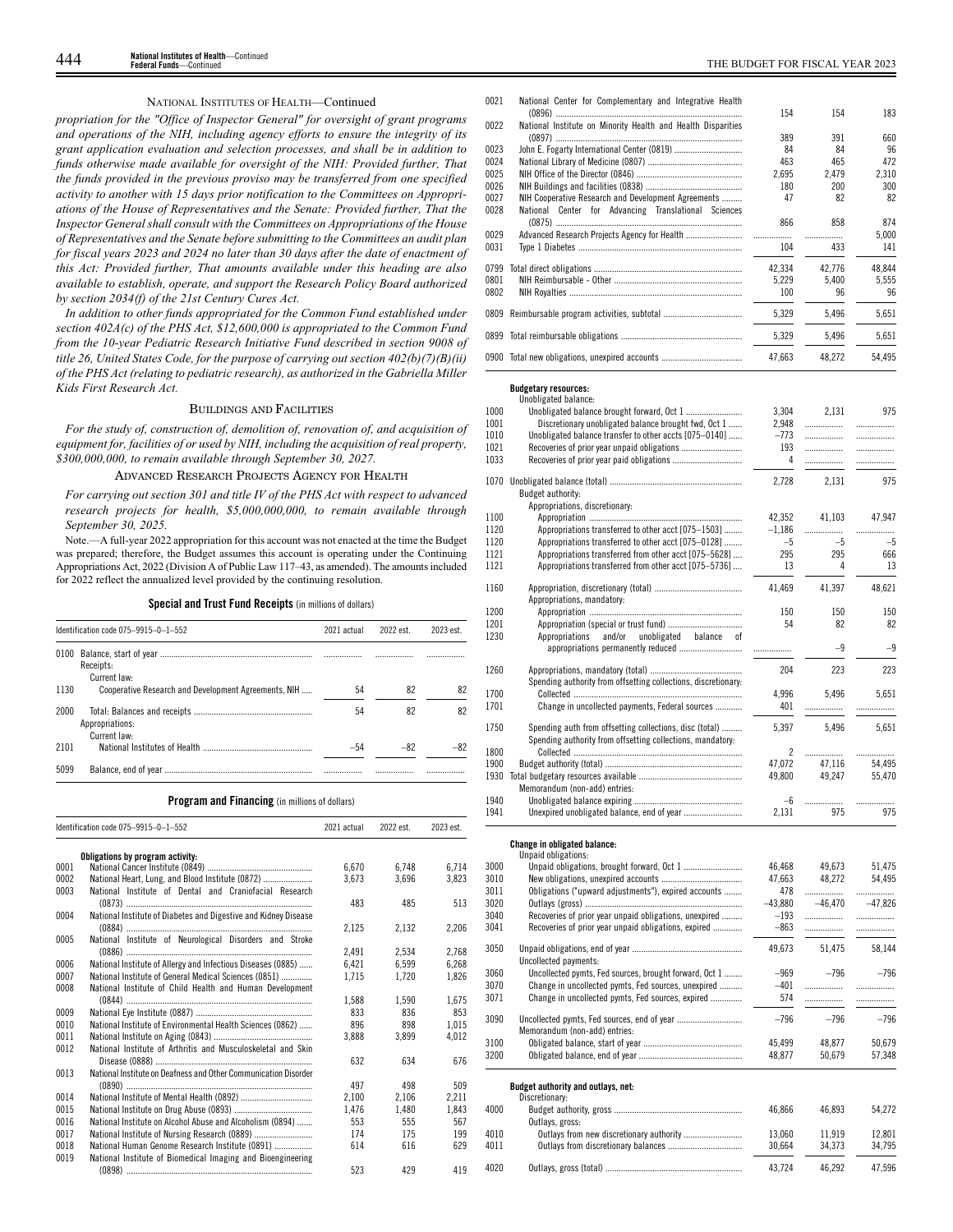## NATIONAL INSTITUTES OF HEALTH—Continued

*propriation for the "Office of Inspector General" for oversight of grant programs and operations of the NIH, including agency efforts to ensure the integrity of its grant application evaluation and selection processes, and shall be in addition to funds otherwise made available for oversight of the NIH: Provided further, That the funds provided in the previous proviso may be transferred from one specified activity to another with 15 days prior notification to the Committees on Appropriations of the House of Representatives and the Senate: Provided further, That the Inspector General shall consult with the Committees on Appropriations of the House of Representatives and the Senate before submitting to the Committees an audit plan for fiscal years 2023 and 2024 no later than 30 days after the date of enactment of this Act: Provided further, That amounts available under this heading are also available to establish, operate, and support the Research Policy Board authorized by section 2034(f) of the 21st Century Cures Act.*

*In addition to other funds appropriated for the Common Fund established under section 402A(c) of the PHS Act, \$12,600,000 is appropriated to the Common Fund from the 10-year Pediatric Research Initiative Fund described in section 9008 of title 26, United States Code, for the purpose of carrying out section 402(b)(7)(B)(ii) of the PHS Act (relating to pediatric research), as authorized in the Gabriella Miller Kids First Research Act.*

### BUILDINGS AND FACILITIES

*For the study of, construction of, demolition of, renovation of, and acquisition of equipment for, facilities of or used by NIH, including the acquisition of real property, \$300,000,000, to remain available through September 30, 2027.*

## ADVANCED RESEARCH PROJECTS AGENCY FOR HEALTH

*For carrying out section 301 and title IV of the PHS Act with respect to advanced research projects for health, \$5,000,000,000, to remain available through September 30, 2025.*

Note.—A full-year 2022 appropriation for this account was not enacted at the time the Budget was prepared; therefore, the Budget assumes this account is operating under the Continuing Appropriations Act, 2022 (Division A of Public Law 117–43, as amended). The amounts included for 2022 reflect the annualized level provided by the continuing resolution.

|  |  |  |  | Special and Trust Fund Receipts (in millions of dollars) |
|--|--|--|--|----------------------------------------------------------|
|--|--|--|--|----------------------------------------------------------|

|      | Identification code 075-9915-0-1-552                 | 2021 actual | 2022 est. | 2023 est |
|------|------------------------------------------------------|-------------|-----------|----------|
| 0100 | Receipts:<br>Current law-                            |             |           | .        |
| 1130 | Cooperative Research and Development Agreements, NIH | 54          | 82        | 82       |
| 2000 | Appropriations:<br>Current law-                      | 54          | 82        | 82       |
| 2101 |                                                      | -54         | $-82$     |          |
| 5099 |                                                      |             |           | .        |

## **Program and Financing** (in millions of dollars)

|      | Identification code 075-9915-0-1-552                            | 2021 actual | 2022 est. | 2023 est. |
|------|-----------------------------------------------------------------|-------------|-----------|-----------|
|      | Obligations by program activity:                                |             |           |           |
| 0001 |                                                                 | 6.670       | 6,748     | 6,714     |
| 0002 | National Heart, Lung, and Blood Institute (0872)                | 3,673       | 3,696     | 3,823     |
| 0003 | National Institute of Dental and Craniofacial Research          |             |           |           |
|      |                                                                 | 483         | 485       | 513       |
| 0004 | National Institute of Diabetes and Digestive and Kidney Disease |             |           |           |
|      |                                                                 | 2.125       | 2.132     | 2,206     |
| 0005 | National Institute of Neurological Disorders and Stroke         |             |           |           |
|      |                                                                 | 2.491       | 2.534     | 2,768     |
| 0006 | National Institute of Allergy and Infectious Diseases (0885)    | 6.421       | 6.599     | 6,268     |
| 0007 | National Institute of General Medical Sciences (0851)           | 1,715       | 1,720     | 1,826     |
| 0008 | National Institute of Child Health and Human Development        |             |           |           |
|      |                                                                 | 1,588       | 1.590     | 1,675     |
| 0009 |                                                                 | 833         | 836       | 853       |
| 0010 | National Institute of Environmental Health Sciences (0862)      | 896         | 898       | 1.015     |
| 0011 |                                                                 | 3.888       | 3.899     | 4.012     |
| 0012 | National Institute of Arthritis and Musculoskeletal and Skin    |             |           |           |
|      |                                                                 | 632         | 634       | 676       |
| 0013 | National Institute on Deafness and Other Communication Disorder |             |           |           |
|      |                                                                 | 497         | 498       | 509       |
| 0014 |                                                                 | 2.100       | 2,106     | 2,211     |
| 0015 |                                                                 | 1.476       | 1.480     | 1.843     |
| 0016 | National Institute on Alcohol Abuse and Alcoholism (0894)       | 553         | 555       | 567       |
| 0017 |                                                                 | 174         | 175       | 199       |
| 0018 | National Human Genome Research Institute (0891)                 | 614         | 616       | 629       |
| 0019 | National Institute of Biomedical Imaging and Bioengineering     |             |           |           |
|      |                                                                 | 523         | 429       | 419       |

| 0021 | National Center for Complementary and Integrative Health     | 154    | 154    | 183    |
|------|--------------------------------------------------------------|--------|--------|--------|
| 0022 | National Institute on Minority Health and Health Disparities |        |        |        |
|      |                                                              | 389    | 391    | 660    |
| 0023 |                                                              | 84     | 84     | 96     |
| 0024 |                                                              | 463    | 465    | 472    |
| 0025 |                                                              | 2.695  | 2.479  | 2.310  |
| 0026 |                                                              | 180    | 200    | 300    |
| 0027 | NIH Cooperative Research and Development Agreements          | 47     | 82     | 82     |
| 0028 | National Center for Advancing Translational Sciences         |        |        |        |
|      |                                                              | 866    | 858    | 874    |
| 0029 |                                                              | .      | .      | 5.000  |
| 0031 |                                                              | 104    | 433    | 141    |
| 0799 |                                                              | 42.334 | 42,776 | 48.844 |
| 0801 |                                                              | 5.229  | 5.400  | 5.555  |
| 0802 |                                                              | 100    | 96     | 96     |
| 0809 |                                                              | 5,329  | 5,496  | 5,651  |
| 0899 |                                                              | 5,329  | 5,496  | 5,651  |
|      | 0900 Total new obligations, unexpired accounts               | 47.663 | 48.272 | 54.495 |

## **Budgetary resources:** Unobligated balance:

|              | υπουπχαισα υαταποσ:                                            |                |           |           |
|--------------|----------------------------------------------------------------|----------------|-----------|-----------|
| 1000         |                                                                | 3,304          | 2,131     | 975       |
| 1001         | Discretionary unobligated balance brought fwd, Oct 1           | 2,948          | .         | .         |
| 1010         | Unobligated balance transfer to other accts [075-0140]         | $-773$         |           | .         |
| 1021         |                                                                | 193            |           | .         |
| 1033         |                                                                | 4              |           |           |
|              |                                                                |                |           |           |
|              |                                                                | 2,728          | 2,131     | 975       |
|              | Budget authority:                                              |                |           |           |
|              | Appropriations, discretionary:                                 |                |           |           |
|              |                                                                |                |           |           |
| 1100         |                                                                | 42.352         | 41,103    | 47.947    |
| 1120         | Appropriations transferred to other acct [075-1503]            | $-1,186$       | .         | .         |
| 1120         | Appropriations transferred to other acct [075–0128]            | $-5$           | $-5$      | $-5$      |
| 1121         | Appropriations transferred from other acct [075-5628]          | 295            | 295       | 666       |
| 1121         | Appropriations transferred from other acct [075-5736]          | 13             | 4         | 13        |
|              |                                                                |                |           |           |
| 1160         |                                                                | 41,469         | 41,397    | 48,621    |
|              | Appropriations, mandatory:                                     |                |           |           |
| 1200         |                                                                | 150            | 150       | 150       |
|              |                                                                |                |           |           |
| 1201         |                                                                | 54             | 82        | 82        |
| 1230         | and/or<br>unobligated balance of<br>Appropriations             |                |           |           |
|              | appropriations permanently reduced                             | .              | $-9$      | $-9$      |
|              |                                                                |                |           |           |
| 1260         |                                                                | 204            | 223       | 223       |
|              | Spending authority from offsetting collections, discretionary: |                |           |           |
| 1700         |                                                                | 4,996          | 5,496     | 5,651     |
|              |                                                                |                |           |           |
| 1701         | Change in uncollected payments, Federal sources                | 401            | .         | .         |
|              |                                                                |                |           |           |
| 1750         | Spending auth from offsetting collections, disc (total)        | 5,397          | 5,496     | 5,651     |
|              | Spending authority from offsetting collections, mandatory:     |                |           |           |
| 1800         |                                                                | $\mathfrak{p}$ | .         | .         |
| 1900         |                                                                | 47,072         | 47.116    | 54,495    |
| 1930         |                                                                | 49.800         | 49.247    |           |
|              |                                                                |                |           | 55,470    |
|              | Memorandum (non-add) entries:                                  |                |           |           |
| 1940         |                                                                | $-6$           |           | .         |
| 1941         |                                                                | 2,131          | 975       | 975       |
|              | Change in obligated balance:                                   |                |           |           |
|              | Unpaid obligations:                                            |                |           |           |
| 3000         |                                                                | 46,468         | 49.673    | 51,475    |
|              |                                                                |                |           |           |
| 3010         |                                                                | 47,663         | 48,272    | 54,495    |
| 3011         | Obligations ("upward adjustments"), expired accounts           | 478            |           | .         |
| 3020         |                                                                | $-43,880$      | $-46,470$ | $-47,826$ |
| 3040         | Recoveries of prior year unpaid obligations, unexpired         | $-193$         | .         |           |
| 3041         | Recoveries of prior year unpaid obligations, expired           | $-863$         | .         | .         |
|              |                                                                |                |           |           |
| 3050         |                                                                | 49,673         | 51,475    | 58,144    |
|              |                                                                |                |           |           |
|              |                                                                |                |           |           |
|              | Uncollected payments:                                          |                |           |           |
| 3060         | Uncollected pymts, Fed sources, brought forward, Oct 1         | $-969$         | $-796$    | $-796$    |
| 3070         | Change in uncollected pymts, Fed sources, unexpired            | $-401$         | .         | .         |
| 3071         | Change in uncollected pymts, Fed sources, expired              | 574            | .         | .         |
|              |                                                                |                |           |           |
| 3090         |                                                                | $-796$         | $-796$    | $-796$    |
|              |                                                                |                |           |           |
|              | Memorandum (non-add) entries:                                  |                |           |           |
|              |                                                                | 45,499         | 48,877    | 50,679    |
| 3100<br>3200 |                                                                | 48,877         | 50,679    | 57,348    |
|              | Budget authority and outlays, net:                             |                |           |           |
|              | Discretionary:                                                 |                |           |           |
| 4000         |                                                                |                |           |           |
|              |                                                                | 46,866         | 46,893    | 54,272    |
|              | Outlays, gross:                                                |                |           |           |
| 4010         | Outlays from new discretionary authority                       | 13,060         | 11,919    | 12,801    |
| 4011         |                                                                | 30,664         | 34,373    | 34,795    |
| 4020         |                                                                | 43,724         | 46,292    | 47,596    |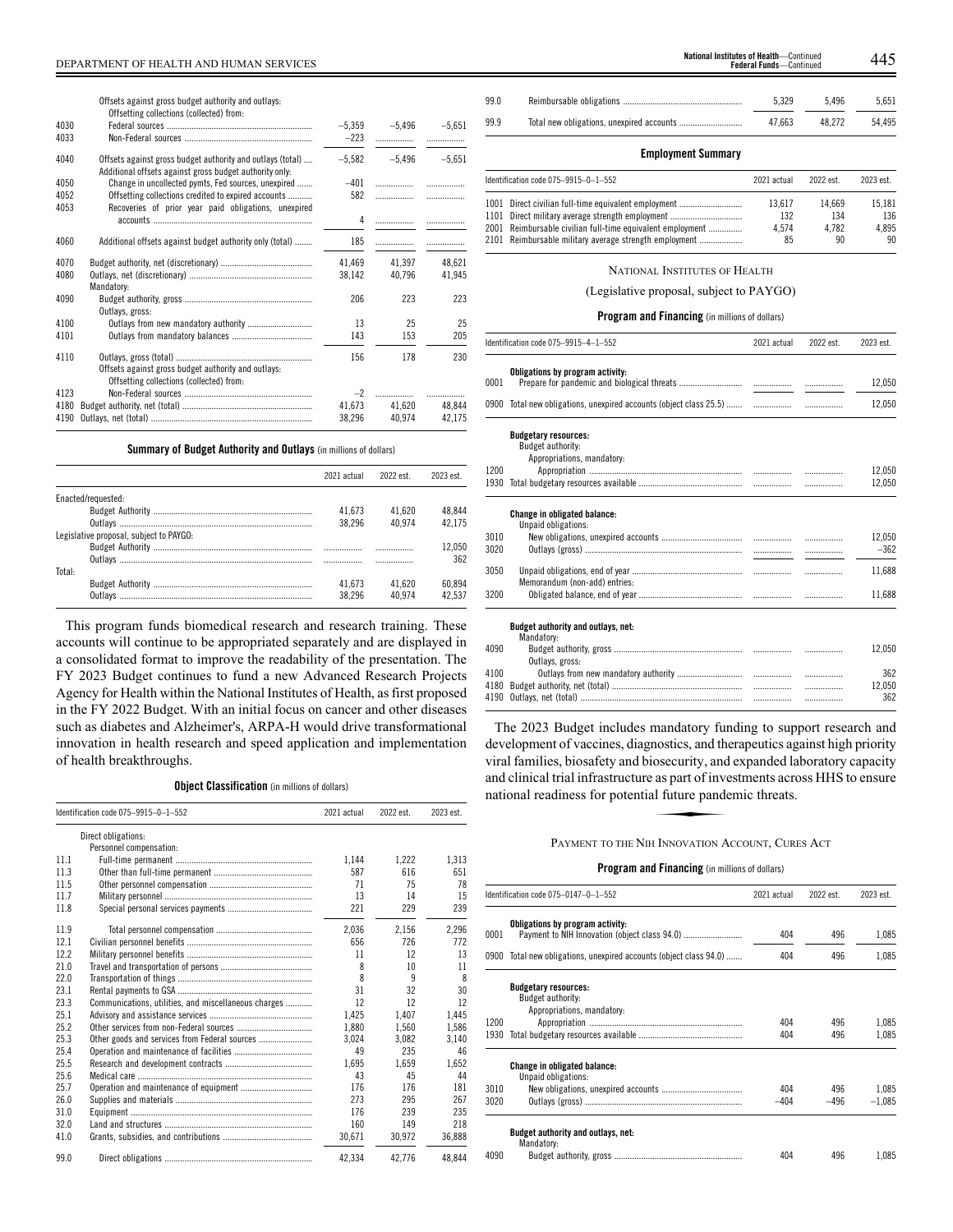Offsets against gross budget authority and outlays:

| Offsetting collections (collected) from:                                                                              |                                                                                                  |          |                            |
|-----------------------------------------------------------------------------------------------------------------------|--------------------------------------------------------------------------------------------------|----------|----------------------------|
|                                                                                                                       | $-5,359$                                                                                         |          | $-5,651$                   |
|                                                                                                                       | $-223$                                                                                           | .        |                            |
| Offsets against gross budget authority and outlays (total)<br>Additional offsets against gross budget authority only. | $-5.582$                                                                                         | $-5.496$ | $-5.651$                   |
| Change in uncollected pymts, Fed sources, unexpired                                                                   | $-401$                                                                                           |          | $\overline{\phantom{a}}$   |
| Offsetting collections credited to expired accounts                                                                   | 582                                                                                              |          |                            |
|                                                                                                                       | 4                                                                                                |          |                            |
| Additional offsets against budget authority only (total)                                                              | 185                                                                                              | .        |                            |
|                                                                                                                       | 41,469                                                                                           | 41.397   | 48,621                     |
| Mandatory:                                                                                                            | 38,142                                                                                           | 40,796   | 41,945                     |
| Outlays, gross:                                                                                                       | 206                                                                                              | 223      | 223                        |
|                                                                                                                       | 13                                                                                               | 25       | 25                         |
|                                                                                                                       | 143                                                                                              | 153      | 205                        |
| Offsets against gross budget authority and outlays:                                                                   | 156                                                                                              | 178      | 230                        |
|                                                                                                                       |                                                                                                  |          | .                          |
|                                                                                                                       |                                                                                                  |          | 48.844                     |
|                                                                                                                       | 38,296                                                                                           | 40,974   | 42,175                     |
|                                                                                                                       | Recoveries of prior year paid obligations, unexpired<br>Offsetting collections (collected) from: | 41,673   | $-5,496$<br>$-2$<br>41,620 |

## **Summary of Budget Authority and Outlays** (in millions of dollars)

|                                         | 2021 actual | 2022 est | 2023 est |
|-----------------------------------------|-------------|----------|----------|
| Enacted/requested:                      |             |          |          |
|                                         | 41.673      | 41.620   | 48.844   |
|                                         | 38.296      | 40.974   | 42.175   |
| Legislative proposal, subject to PAYGO: |             |          |          |
|                                         |             |          | 12.050   |
|                                         |             |          | 362      |
| Total:                                  |             |          |          |
|                                         | 41.673      | 41.620   | 60.894   |
| Outlavs                                 | 38.296      | 40.974   | 42.537   |

This program funds biomedical research and research training. These accounts will continue to be appropriated separately and are displayed in a consolidated format to improve the readability of the presentation. The FY 2023 Budget continues to fund a new Advanced Research Projects Agency for Health within the National Institutes of Health, as first proposed in the FY 2022 Budget. With an initial focus on cancer and other diseases such as diabetes and Alzheimer's, ARPA-H would drive transformational innovation in health research and speed application and implementation of health breakthroughs.

## **Object Classification** (in millions of dollars)

|      | Identification code 075-9915-0-1-552                 | 2021 actual | 2022 est. | 2023 est. |
|------|------------------------------------------------------|-------------|-----------|-----------|
|      | Direct obligations:                                  |             |           |           |
|      | Personnel compensation:                              |             |           |           |
| 11.1 |                                                      | 1.144       | 1,222     | 1,313     |
| 11.3 |                                                      | 587         | 616       | 651       |
| 11.5 |                                                      | 71          | 75        | 78        |
| 11.7 |                                                      | 13          | 14        | 15        |
| 11.8 |                                                      | 221         | 229       | 239       |
| 11.9 |                                                      | 2,036       | 2,156     | 2,296     |
| 12.1 |                                                      | 656         | 726       | 772       |
| 12.2 |                                                      | 11          | 12        | 13        |
| 21.0 |                                                      | 8           | 10        | 11        |
| 22.0 |                                                      | 8           | 9         | 8         |
| 23.1 |                                                      | 31          | 32        | 30        |
| 23.3 | Communications, utilities, and miscellaneous charges | 12          | 12        | 12        |
| 25.1 |                                                      | 1.425       | 1.407     | 1.445     |
| 25.2 |                                                      | 1.880       | 1.560     | 1.586     |
| 25.3 |                                                      | 3.024       | 3.082     | 3.140     |
| 25.4 |                                                      | 49          | 235       | 46        |
| 25.5 |                                                      | 1.695       | 1.659     | 1.652     |
| 25.6 |                                                      | 43          | 45        | 44        |
| 25.7 |                                                      | 176         | 176       | 181       |
| 26.0 |                                                      | 273         | 295       | 267       |
| 31.0 |                                                      | 176         | 239       | 235       |
| 32.0 |                                                      | 160         | 149       | 218       |
| 41.0 |                                                      | 30.671      | 30.972    | 36.888    |
| 99.0 |                                                      | 42.334      | 42.776    | 48.844    |

|                                         | National Institutes of Health-Continued | $\Lambda \Lambda$ |
|-----------------------------------------|-----------------------------------------|-------------------|
| DEPARTMENT OF HEALTH AND HUMAN SERVICES | <b>Federal Funds</b> —Continued         | ้.++              |

| 99.0 | 5.329  | 5.496  | 5.651  |
|------|--------|--------|--------|
| 99.9 | 47.663 | 48.272 | 54.495 |

## **Employment Summary**

| Identification code 075-9915-0-1-552 |                                                            | 2021 actual | 2022 est. | 2023 est. |
|--------------------------------------|------------------------------------------------------------|-------------|-----------|-----------|
|                                      | 1001 Direct civilian full-time equivalent employment       | 13.617      | 14.669    | 15.181    |
|                                      | 1101 Direct military average strength employment           | 132         | 134       | 136       |
|                                      | 2001 Reimbursable civilian full-time equivalent employment | 4.574       | 4.782     | 4.895     |
|                                      | 2101 Reimbursable military average strength employment     | 85          | 90        | 90        |

## NATIONAL INSTITUTES OF HEALTH

## (Legislative proposal, subject to PAYGO)

## **Program and Financing** (in millions of dollars)

|      | Identification code 075-9915-4-1-552<br>2021 actual                            |  | 2022 est. | 2023 est. |
|------|--------------------------------------------------------------------------------|--|-----------|-----------|
| 0001 | Obligations by program activity:                                               |  |           | 12,050    |
|      |                                                                                |  |           |           |
|      |                                                                                |  | .         | 12,050    |
|      | <b>Budgetary resources:</b><br>Budget authority:<br>Appropriations, mandatory: |  |           |           |
| 1200 |                                                                                |  |           | 12.050    |
| 1930 |                                                                                |  |           | 12,050    |
|      | <b>Change in obligated balance:</b><br>Unpaid obligations:                     |  |           |           |
| 3010 |                                                                                |  | .         | 12,050    |
| 3020 |                                                                                |  |           | $-362$    |
| 3050 | Memorandum (non-add) entries:                                                  |  | .         | 11.688    |
| 3200 |                                                                                |  | .         | 11,688    |
|      | Budget authority and outlays, net:<br>Mandatory:                               |  |           |           |
| 4090 | Outlavs, gross:                                                                |  |           | 12,050    |
| 4100 |                                                                                |  | .         | 362       |
| 4180 |                                                                                |  | .         | 12,050    |
| 4190 |                                                                                |  | .         | 362       |

The 2023 Budget includes mandatory funding to support research and development of vaccines, diagnostics, and therapeutics against high priority Every price of vacentss, and hostels, and deripolates against high profit,<br>viral families, biosafety and biosecurity, and expanded laboratory capacity<br>and clinical trial infrastructure as part of investments across HHS to and clinical trial infrastructure as part of investments across HHS to ensure national readiness for potential future pandemic threats.

## PAYMENT TO THE NIH INNOVATION ACCOUNT, CURES ACT

|      | Identification code 075-0147-0-1-552                                           | 2021 actual | 2022 est. | 2023 est. |  |
|------|--------------------------------------------------------------------------------|-------------|-----------|-----------|--|
| 0001 | Obligations by program activity:<br>404<br>404                                 |             | 496       | 1,085     |  |
|      | 0900 Total new obligations, unexpired accounts (object class 94.0)             |             | 496       | 1.085     |  |
|      | <b>Budgetary resources:</b><br>Budget authority:<br>Appropriations, mandatory: |             |           |           |  |
| 1200 |                                                                                | 404         | 496       | 1.085     |  |
| 1930 |                                                                                | 404         | 496       | 1,085     |  |
|      | <b>Change in obligated balance:</b><br>Unpaid obligations:                     |             |           |           |  |
| 3010 |                                                                                | 404         | 496       | 1.085     |  |
| 3020 |                                                                                | $-404$      | $-496$    | $-1,085$  |  |
|      | Budget authority and outlays, net:<br>Mandatory:                               |             |           |           |  |
| 4090 |                                                                                | 404         | 496       | 1.085     |  |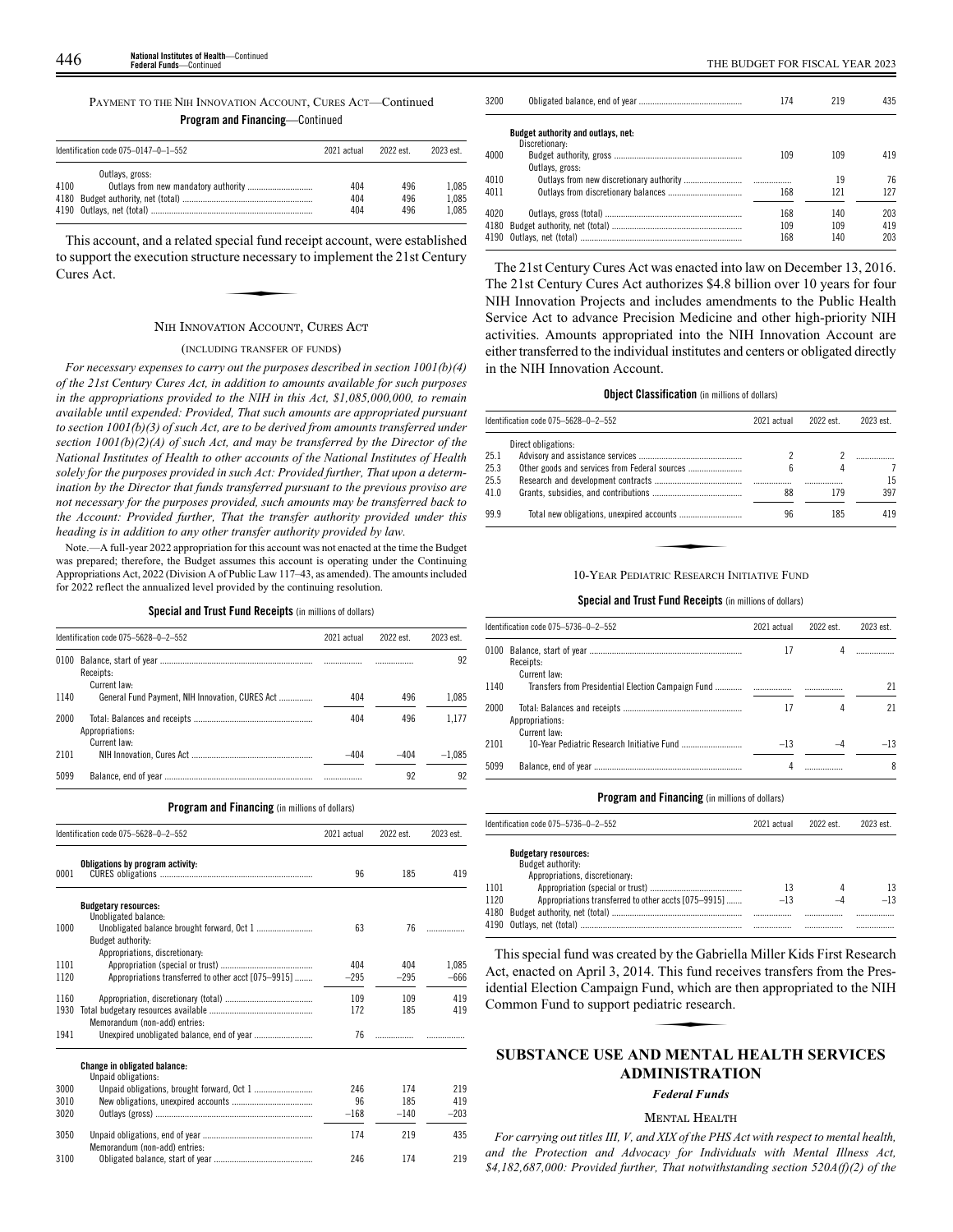| PAYMENT TO THE NIH INNOVATION ACCOUNT, CURES ACT—Continued |  |  |  |  |
|------------------------------------------------------------|--|--|--|--|
|                                                            |  |  |  |  |

**Program and Financing**—Continued

| Identification code $075-0147-0-1-552$ |                 | 2021 actual | 2022 est.  | 2023 est.      |
|----------------------------------------|-----------------|-------------|------------|----------------|
| 4100                                   | Outlays, gross: | 404         | 496        | 1.085          |
|                                        |                 | 404<br>404  | 496<br>496 | 1.085<br>1.085 |

This account, and a related special fund receipt account, were established<br>support the execution structure necessary to implement the 21st Century<br>ures Act. to support the execution structure necessary to implement the 21st Century Cures Act.

## NIH INNOVATION ACCOUNT, CURES ACT

## (INCLUDING TRANSFER OF FUNDS)

*For necessary expenses to carry out the purposes described in section 1001(b)(4) of the 21st Century Cures Act, in addition to amounts available for such purposes in the appropriations provided to the NIH in this Act, \$1,085,000,000, to remain available until expended: Provided, That such amounts are appropriated pursuant to section 1001(b)(3) of such Act, are to be derived from amounts transferred under section 1001(b)(2)(A) of such Act, and may be transferred by the Director of the National Institutes of Health to other accounts of the National Institutes of Health solely for the purposes provided in such Act: Provided further, That upon a determination by the Director that funds transferred pursuant to the previous proviso are not necessary for the purposes provided, such amounts may be transferred back to the Account: Provided further, That the transfer authority provided under this heading is in addition to any other transfer authority provided by law.*

Note.—A full-year 2022 appropriation for this account was not enacted at the time the Budget was prepared; therefore, the Budget assumes this account is operating under the Continuing Appropriations Act, 2022 (Division A of Public Law 117–43, as amended). The amounts included for 2022 reflect the annualized level provided by the continuing resolution.

#### **Special and Trust Fund Receipts** (in millions of dollars)

|      | Identification code 075-5628-0-2-552            |        | 2022 est. | 2023 est. |  |
|------|-------------------------------------------------|--------|-----------|-----------|--|
| 0100 | Receipts:<br>Current law-                       |        |           | 92        |  |
| 1140 | General Fund Payment, NIH Innovation, CURES Act | 404    | 496       | 1.085     |  |
| 2000 | Appropriations:<br>Current law-                 | 404    | 496       | 1.177     |  |
| 2101 |                                                 | $-404$ | $-404$    | $-1.085$  |  |
| 5099 |                                                 |        | 92        | 92        |  |

#### **Program and Financing** (in millions of dollars)

|      | Identification code 075-5628-0-2-552                       |        | 2022 est. | 2023 est. |
|------|------------------------------------------------------------|--------|-----------|-----------|
| 0001 | Obligations by program activity:                           | 96     | 185       | 419       |
|      | <b>Budgetary resources:</b><br>Unobligated balance:        |        |           |           |
| 1000 |                                                            | 63     | 76        | .         |
|      | Budget authority:<br>Appropriations, discretionary:        |        |           |           |
| 1101 |                                                            | 404    | 404       | 1.085     |
| 1120 | Appropriations transferred to other acct [075-9915]        | $-295$ | $-295$    | $-666$    |
| 1160 |                                                            | 109    | 109       | 419       |
| 1930 | Memorandum (non-add) entries:                              | 172    | 185       | 419       |
| 1941 |                                                            | 76     |           |           |
|      | <b>Change in obligated balance:</b><br>Unpaid obligations: |        |           |           |
| 3000 |                                                            | 246    | 174       | 219       |
| 3010 |                                                            | 96     | 185       | 419       |
| 3020 |                                                            | $-168$ | $-140$    | $-203$    |
| 3050 | Memorandum (non-add) entries:                              | 174    | 219       | 435       |
| 3100 |                                                            | 246    | 174       | 219       |

| 3200 |                                    | 174 | 219 | 435 |
|------|------------------------------------|-----|-----|-----|
|      | Budget authority and outlays, net: |     |     |     |
|      | Discretionary:                     |     |     |     |
| 4000 |                                    | 109 | 109 | 419 |
|      | Outlays, gross:                    |     |     |     |
| 4010 |                                    |     | 19  | 76  |
| 4011 |                                    | 168 | 121 | 127 |
|      |                                    |     |     |     |
| 4020 |                                    | 168 | 140 | 203 |
|      |                                    | 109 | 109 | 419 |
|      |                                    | 168 | 140 | 203 |
|      |                                    |     |     |     |

The 21st Century Cures Act was enacted into law on December 13, 2016. The 21st Century Cures Act authorizes \$4.8 billion over 10 years for four NIH Innovation Projects and includes amendments to the Public Health Service Act to advance Precision Medicine and other high-priority NIH activities. Amounts appropriated into the NIH Innovation Account are either transferred to the individual institutes and centers or obligated directly in the NIH Innovation Account.

## **Object Classification** (in millions of dollars)

|      | Identification code 075-5628-0-2-552       | 2021 actual | 2022 est. | 2023 est. |
|------|--------------------------------------------|-------------|-----------|-----------|
|      | Direct obligations:                        |             |           |           |
| 25.1 |                                            |             |           |           |
| 25.3 |                                            | 6           | 4         |           |
| 25.5 |                                            |             |           | 15        |
| 41.0 |                                            | 88          | 179       | 397       |
| 99.9 |                                            | 96          | 185       | 419       |
|      |                                            |             |           |           |
|      | 10-YEAR PEDIATRIC RESEARCH INITIATIVE FUND |             |           |           |

## **Special and Trust Fund Receipts** (in millions of dollars)

|      | Identification code 075-5736-0-2-552 | 2021 actual | 2022 est. | 2023 est. |
|------|--------------------------------------|-------------|-----------|-----------|
|      | Receipts:<br>Current law:            | 17          |           |           |
| 1140 |                                      |             | .         | 21        |
| 2000 | Appropriations:<br>Current law:      | 17          |           | 21        |
| 2101 |                                      | $-13$       |           | $-13$     |
| 5099 |                                      |             |           | 8         |

### **Program and Financing** (in millions of dollars)

|      | Identification code 075-5736-0-2-552                 | 2021 actual | 2022 est. | 2023 est. |
|------|------------------------------------------------------|-------------|-----------|-----------|
|      | <b>Budgetary resources:</b><br>Budget authority:     |             |           |           |
|      | Appropriations, discretionary:                       |             |           |           |
| 1101 |                                                      | 13          | 4         | 13        |
| 1120 | Appropriations transferred to other accts [075-9915] | $-13$       | —д        | $-13$     |
| 4180 |                                                      |             |           |           |
|      |                                                      |             |           |           |

This special fund was created by the Gabriella Miller Kids First Research Act, enacted on April 3, 2014. This fund receives transfers from the Pres-<br>
idential Election Campaign Fund, which are then appropriated to the NIH<br>
Common Fund to support pediatric research.<br>
SUBSTANCE USE AND MENTAL HEAL idential Election Campaign Fund, which are then appropriated to the NIH Common Fund to support pediatric research.

## **SUBSTANCE USE AND MENTAL HEALTH SERVICES ADMINISTRATION**

## *Federal Funds*

## MENTAL HEALTH

*For carrying out titles III, V, and XIX of the PHS Act with respect to mental health, and the Protection and Advocacy for Individuals with Mental Illness Act, \$4,182,687,000: Provided further, That notwithstanding section 520A(f)(2) of the*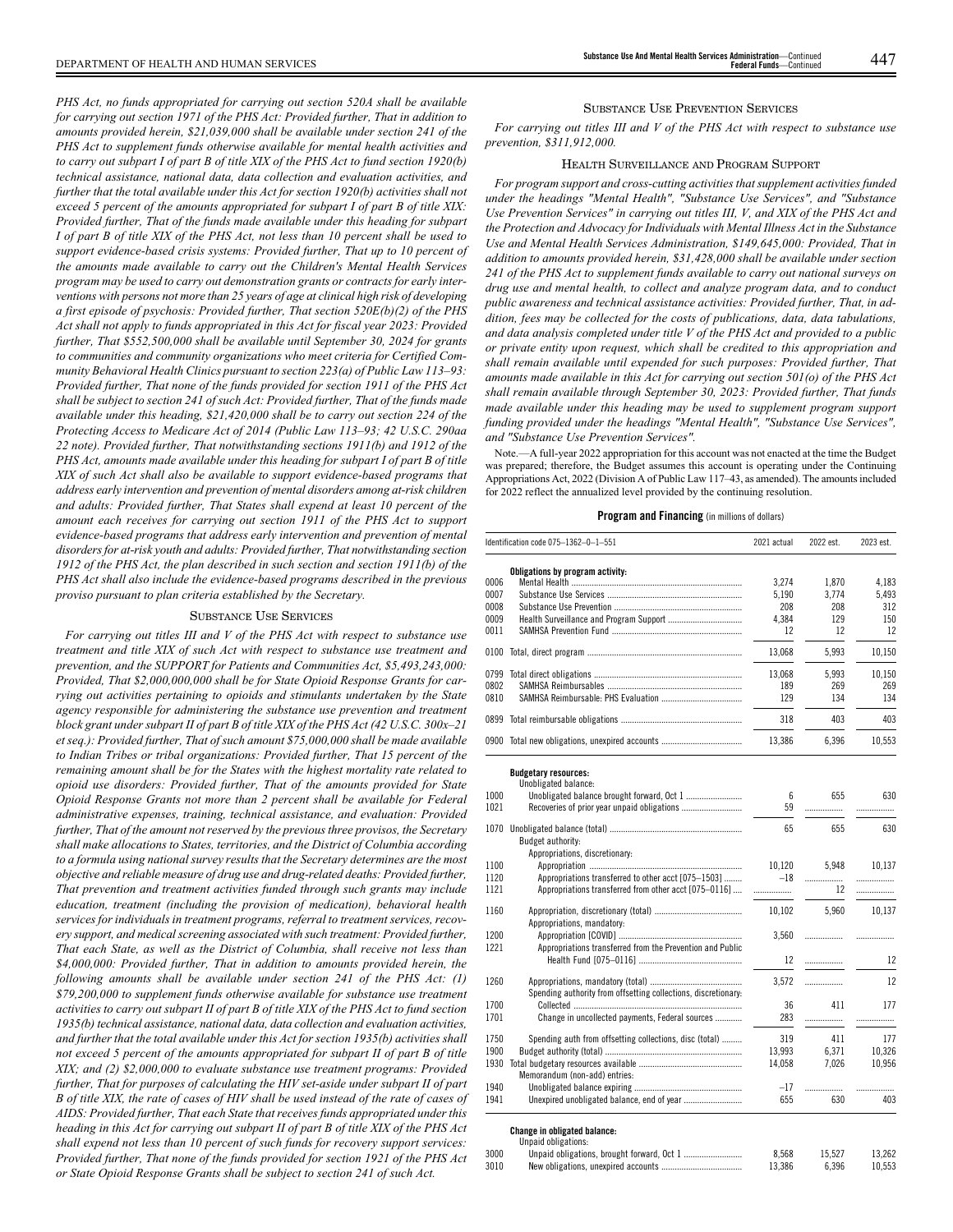*PHS Act, no funds appropriated for carrying out section 520A shall be available for carrying out section 1971 of the PHS Act: Provided further, That in addition to amounts provided herein, \$21,039,000 shall be available under section 241 of the PHS Act to supplement funds otherwise available for mental health activities and to carry out subpart I of part B of title XIX of the PHS Act to fund section 1920(b) technical assistance, national data, data collection and evaluation activities, and further that the total available under this Act for section 1920(b) activities shall not exceed 5 percent of the amounts appropriated for subpart I of part B of title XIX: Provided further, That of the funds made available under this heading for subpart I of part B of title XIX of the PHS Act, not less than 10 percent shall be used to support evidence-based crisis systems: Provided further, That up to 10 percent of the amounts made available to carry out the Children's Mental Health Services program may be used to carry out demonstration grants or contracts for early interventions with persons not more than 25 years of age at clinical high risk of developing a first episode of psychosis: Provided further, That section 520E(b)(2) of the PHS Act shall not apply to funds appropriated in this Act for fiscal year 2023: Provided further, That \$552,500,000 shall be available until September 30, 2024 for grants to communities and community organizations who meet criteria for Certified Community Behavioral Health Clinics pursuant to section 223(a) of Public Law 113–93: Provided further, That none of the funds provided for section 1911 of the PHS Act shall be subject to section 241 of such Act: Provided further, That of the funds made available under this heading, \$21,420,000 shall be to carry out section 224 of the Protecting Access to Medicare Act of 2014 (Public Law 113–93; 42 U.S.C. 290aa 22 note). Provided further, That notwithstanding sections 1911(b) and 1912 of the PHS Act, amounts made available under this heading for subpart I of part B of title XIX of such Act shall also be available to support evidence-based programs that address early intervention and prevention of mental disorders among at-risk children and adults: Provided further, That States shall expend at least 10 percent of the amount each receives for carrying out section 1911 of the PHS Act to support evidence-based programs that address early intervention and prevention of mental disorders for at-risk youth and adults: Provided further, That notwithstanding section 1912 of the PHS Act, the plan described in such section and section 1911(b) of the PHS Act shall also include the evidence-based programs described in the previous proviso pursuant to plan criteria established by the Secretary.*

## SUBSTANCE USE SERVICES

*For carrying out titles III and V of the PHS Act with respect to substance use treatment and title XIX of such Act with respect to substance use treatment and prevention, and the SUPPORT for Patients and Communities Act, \$5,493,243,000: Provided, That \$2,000,000,000 shall be for State Opioid Response Grants for carrying out activities pertaining to opioids and stimulants undertaken by the State agency responsible for administering the substance use prevention and treatment block grant under subpart II of part B of title XIX of the PHS Act (42 U.S.C. 300x–21 et seq.): Provided further, That of such amount \$75,000,000 shall be made available to Indian Tribes or tribal organizations: Provided further, That 15 percent of the remaining amount shall be for the States with the highest mortality rate related to opioid use disorders: Provided further, That of the amounts provided for State Opioid Response Grants not more than 2 percent shall be available for Federal administrative expenses, training, technical assistance, and evaluation: Provided further, That of the amount not reserved by the previous three provisos, the Secretary shall make allocations to States, territories, and the District of Columbia according to a formula using national survey results that the Secretary determines are the most objective and reliable measure of drug use and drug-related deaths: Provided further, That prevention and treatment activities funded through such grants may include education, treatment (including the provision of medication), behavioral health services for individuals in treatment programs, referral to treatment services, recovery support, and medical screening associated with such treatment: Provided further, That each State, as well as the District of Columbia, shall receive not less than \$4,000,000: Provided further, That in addition to amounts provided herein, the following amounts shall be available under section 241 of the PHS Act: (1) \$79,200,000 to supplement funds otherwise available for substance use treatment activities to carry out subpart II of part B of title XIX of the PHS Act to fund section 1935(b) technical assistance, national data, data collection and evaluation activities, and further that the total available under this Act for section 1935(b) activities shall not exceed 5 percent of the amounts appropriated for subpart II of part B of title XIX; and (2) \$2,000,000 to evaluate substance use treatment programs: Provided further, That for purposes of calculating the HIV set-aside under subpart II of part B of title XIX, the rate of cases of HIV shall be used instead of the rate of cases of AIDS: Provided further, That each State that receives funds appropriated under this heading in this Act for carrying out subpart II of part B of title XIX of the PHS Act shall expend not less than 10 percent of such funds for recovery support services: Provided further, That none of the funds provided for section 1921 of the PHS Act or State Opioid Response Grants shall be subject to section 241 of such Act.*

## SUBSTANCE USE PREVENTION SERVICES

*For carrying out titles III and V of the PHS Act with respect to substance use prevention, \$311,912,000.*

## HEALTH SURVEILLANCE AND PROGRAM SUPPORT

*For program support and cross-cutting activities that supplement activities funded under the headings "Mental Health", "Substance Use Services", and "Substance Use Prevention Services" in carrying out titles III, V, and XIX of the PHS Act and the Protection and Advocacy for Individuals with Mental Illness Act in the Substance Use and Mental Health Services Administration, \$149,645,000: Provided, That in addition to amounts provided herein, \$31,428,000 shall be available under section 241 of the PHS Act to supplement funds available to carry out national surveys on drug use and mental health, to collect and analyze program data, and to conduct public awareness and technical assistance activities: Provided further, That, in addition, fees may be collected for the costs of publications, data, data tabulations, and data analysis completed under title V of the PHS Act and provided to a public or private entity upon request, which shall be credited to this appropriation and shall remain available until expended for such purposes: Provided further, That amounts made available in this Act for carrying out section 501(o) of the PHS Act shall remain available through September 30, 2023: Provided further, That funds made available under this heading may be used to supplement program support funding provided under the headings "Mental Health", "Substance Use Services", and "Substance Use Prevention Services".*

Note.—A full-year 2022 appropriation for this account was not enacted at the time the Budget was prepared; therefore, the Budget assumes this account is operating under the Continuing Appropriations Act, 2022 (Division A of Public Law 117–43, as amended). The amounts included for 2022 reflect the annualized level provided by the continuing resolution.

## **Program and Financing** (in millions of dollars)

|      | Identification code 075-1362-0-1-551           | 2021 actual | 2022 est. | 2023 est. |
|------|------------------------------------------------|-------------|-----------|-----------|
|      | Obligations by program activity:               |             |           |           |
| 0006 |                                                | 3.274       | 1.870     | 4.183     |
| 0007 |                                                | 5.190       | 3.774     | 5.493     |
| 0008 |                                                | 208         | 208       | 312       |
| 0009 |                                                | 4.384       | 129       | 150       |
| 0011 |                                                | 12          | 12        | 12        |
| 0100 |                                                | 13.068      | 5.993     | 10.150    |
| 0799 |                                                | 13.068      | 5.993     | 10.150    |
| 0802 |                                                | 189         | 269       | 269       |
| 0810 |                                                | 129         | 134       | 134       |
| 0899 |                                                | 318         | 403       | 403       |
|      | 0900 Total new obligations, unexpired accounts | 13.386      | 6.396     | 10.553    |
|      |                                                |             |           |           |

**Budgetary resources:**

|       | Unobligated balance:                                           |        |             |        |
|-------|----------------------------------------------------------------|--------|-------------|--------|
| 1000  |                                                                | 6      | 655         | 630    |
| 1021  |                                                                | 59     | .           | .      |
| 1070  | Budget authority:                                              | 65     | 655         | 630    |
|       | Appropriations, discretionary:                                 |        |             |        |
| 1100  |                                                                | 10,120 | 5,948       | 10.137 |
| 1120  | Appropriations transferred to other acct [075-1503]            | $-18$  |             | .      |
| 1121  | Appropriations transferred from other acct [075-0116]          |        | 12          | .      |
| 1160  | Appropriations, mandatory:                                     | 10.102 | 5.960       | 10,137 |
| 1200  |                                                                | 3,560  |             | .      |
| 1221  | Appropriations transferred from the Prevention and Public      | 12     | .           | 12     |
| 1260  | Spending authority from offsetting collections, discretionary: | 3.572  | .           | 12     |
| 1700  |                                                                | 36     | 411         | 177    |
| 1701  | Change in uncollected payments, Federal sources                | 283    | .           |        |
| 1750  | Spending auth from offsetting collections, disc (total)        | 319    | 411         | 177    |
| 1900  |                                                                | 13,993 | 6,371       | 10,326 |
| 1930  | Memorandum (non-add) entries:                                  | 14.058 | 7,026       | 10,956 |
| 1940  |                                                                | $-17$  |             | .      |
| 1941  |                                                                | 655    | 630         | 403    |
| 0.000 | <b>Change in obligated balance:</b><br>Unpaid obligations:     | 0.500  | $1 - F - T$ | 10.000 |
|       |                                                                |        |             |        |

| 3000 | 8.568  | 15.527 | 13.262 |
|------|--------|--------|--------|
| 3010 | 13.386 | 6.396  | 10.553 |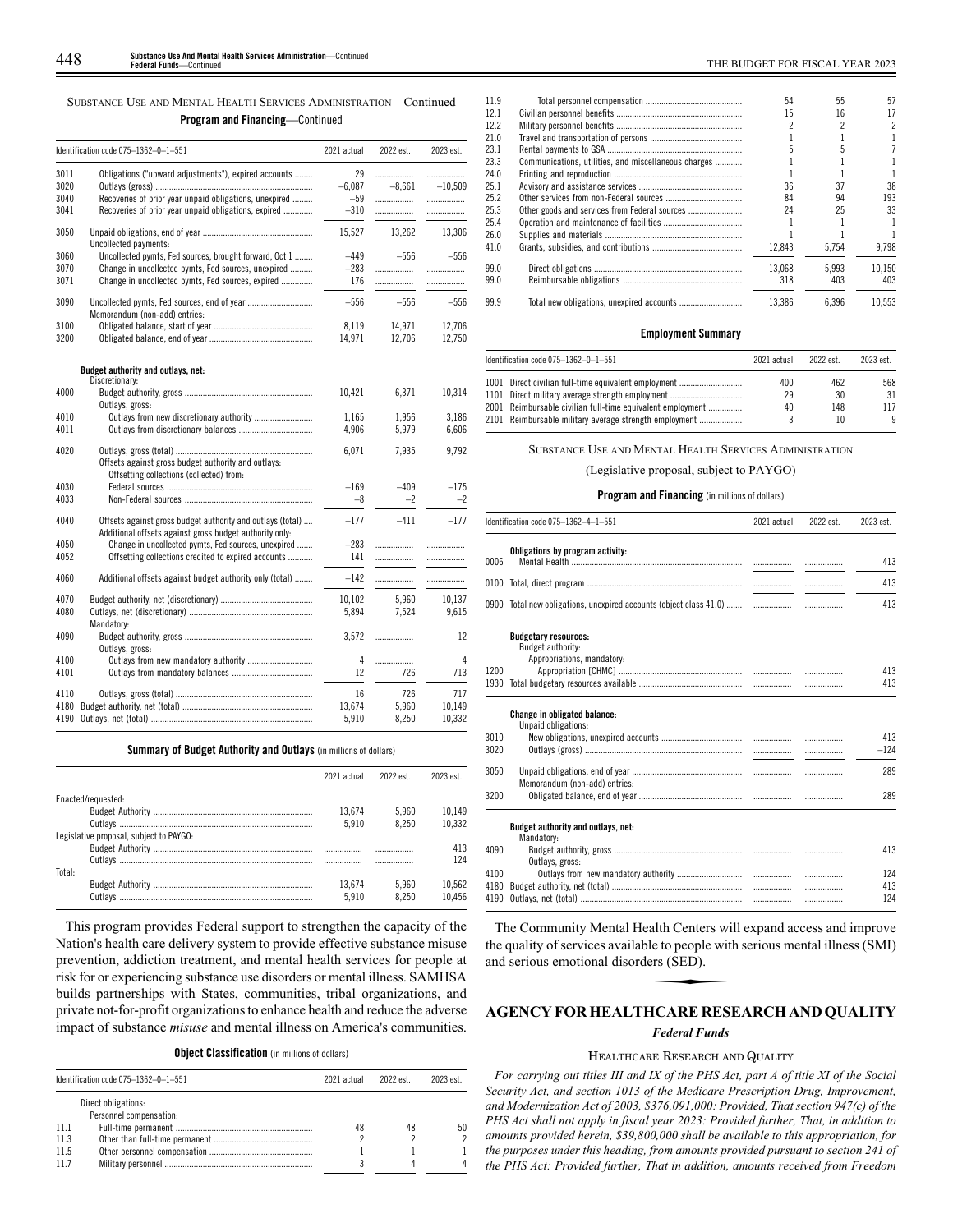SUBSTANCE USE AND MENTAL HEALTH SERVICES ADMINISTRATION—Continued **Program and Financing**—Continued

|              | Identification code 075-1362-0-1-551                                                                                  | 2021 actual     | 2022 est.     | 2023 est.      |
|--------------|-----------------------------------------------------------------------------------------------------------------------|-----------------|---------------|----------------|
| 3011<br>3020 | Obligations ("upward adjustments"), expired accounts                                                                  | 29<br>$-6.087$  | .<br>$-8,661$ | .<br>$-10.509$ |
| 3040<br>3041 | Recoveries of prior year unpaid obligations, unexpired<br>Recoveries of prior year unpaid obligations, expired        | $-59$<br>$-310$ | .<br>.        | .<br>.         |
| 3050         | Uncollected payments:                                                                                                 | 15,527          | 13,262        | 13,306         |
| 3060         | Uncollected pymts, Fed sources, brought forward, Oct 1                                                                | $-449$          | $-556$        | $-556$         |
| 3070         | Change in uncollected pymts, Fed sources, unexpired                                                                   | $-283$          |               | .              |
| 3071         | Change in uncollected pymts, Fed sources, expired                                                                     | 176             | .             | .              |
| 3090         | Memorandum (non-add) entries:                                                                                         | $-556$          | $-556$        | $-556$         |
| 3100         |                                                                                                                       | 8,119           | 14,971        | 12,706         |
| 3200         |                                                                                                                       | 14,971          | 12,706        | 12,750         |
|              | Budget authority and outlays, net:                                                                                    |                 |               |                |
| 4000         | Discretionary:                                                                                                        | 10,421          | 6,371         | 10,314         |
|              | Outlays, gross:                                                                                                       |                 |               |                |
| 4010         |                                                                                                                       | 1,165           | 1,956         | 3,186          |
| 4011         |                                                                                                                       | 4,906           | 5,979         | 6,606          |
| 4020         |                                                                                                                       | 6,071           | 7,935         | 9,792          |
|              | Offsets against gross budget authority and outlays:<br>Offsetting collections (collected) from:                       |                 |               |                |
| 4030         |                                                                                                                       | $-169$          | $-409$        | $-175$         |
| 4033         |                                                                                                                       | $-8$            | $-2$          | $-2$           |
| 4040         | Offsets against gross budget authority and outlays (total)<br>Additional offsets against gross budget authority only: | $-177$          | $-411$        | $-177$         |
| 4050         | Change in uncollected pymts, Fed sources, unexpired                                                                   | $-283$          | .             | .              |
| 4052         | Offsetting collections credited to expired accounts                                                                   | 141             | .             | .              |
| 4060         | Additional offsets against budget authority only (total)                                                              | $-142$          | .             |                |
| 4070         |                                                                                                                       | 10.102          | 5.960         | 10.137         |
| 4080         | Mandatory:                                                                                                            | 5,894           | 7,524         | 9,615          |
| 4090         | Outlays, gross:                                                                                                       | 3,572           | .             | 12             |
| 4100         |                                                                                                                       | 4               | .             | 4              |
| 4101         |                                                                                                                       | 12              | 726           | 713            |
| 4110         |                                                                                                                       | 16              | 726           | 717            |
| 4180         |                                                                                                                       | 13,674          | 5,960         | 10,149         |
| 4190         |                                                                                                                       | 5,910           | 8,250         | 10,332         |

## **Summary of Budget Authority and Outlays** (in millions of dollars)

|                                         | 2021 actual | 2022 est | 2023 est |
|-----------------------------------------|-------------|----------|----------|
| Enacted/requested:                      |             |          |          |
|                                         | 13.674      | 5.960    | 10.149   |
|                                         | 5.910       | 8.250    | 10.332   |
| Legislative proposal, subject to PAYGO: |             |          |          |
|                                         |             |          | 413      |
|                                         |             |          | 124      |
| Total:                                  |             |          |          |
|                                         | 13.674      | 5.960    | 10.562   |
|                                         | 5.910       | 8 250    | 10456    |

This program provides Federal support to strengthen the capacity of the Nation's health care delivery system to provide effective substance misuse prevention, addiction treatment, and mental health services for people at risk for or experiencing substance use disorders or mental illness. SAMHSA builds partnerships with States, communities, tribal organizations, and private not-for-profit organizations to enhance health and reduce the adverse impact of substance *misuse* and mental illness on America's communities.

**Object Classification** (in millions of dollars)

|      | Identification code $075-1362-0-1-551$ | 2021 actual | 2022 est. | 2023 est. |
|------|----------------------------------------|-------------|-----------|-----------|
|      | Direct obligations:                    |             |           |           |
|      | Personnel compensation:                |             |           |           |
| 11.1 |                                        | 48          | 48        | 50        |
| 11.3 |                                        |             |           | 2         |
| 11.5 |                                        |             |           |           |
| 11.7 |                                        |             |           |           |

| 11.9 |                                                      | 54     | 55    | 57     |
|------|------------------------------------------------------|--------|-------|--------|
| 12.1 |                                                      | 15     | 16    | 17     |
| 12.2 |                                                      |        |       | 2      |
| 21.0 |                                                      |        |       |        |
| 23.1 |                                                      |        |       |        |
| 23.3 | Communications, utilities, and miscellaneous charges |        |       |        |
| 24.0 |                                                      |        |       |        |
| 25.1 |                                                      | 36     | 37    | 38     |
| 25.2 |                                                      | 84     | 94    | 193    |
| 25.3 |                                                      | 24     | 25    | 33     |
| 25.4 |                                                      |        |       |        |
| 26.0 |                                                      |        |       |        |
| 41.0 |                                                      | 12.843 | 5.754 | 9.798  |
| 99.0 |                                                      | 13.068 | 5.993 | 10.150 |
| 99.0 |                                                      | 318    | 403   | 403    |
| 99.9 |                                                      | 13.386 | 6.396 | 10.553 |

## **Employment Summary**

| Identification code 075-1362-0-1-551                       | 2021 actual | 2022 est. | 2023 est. |
|------------------------------------------------------------|-------------|-----------|-----------|
| 1001 Direct civilian full-time equivalent employment       | 400         | 462       | 568       |
| 1101 Direct military average strength employment           | 29          | 30        | 31        |
| 2001 Reimbursable civilian full-time equivalent employment | 40          | 148       | 117       |
| 2101 Reimbursable military average strength employment     |             | 10        | 9         |

SUBSTANCE USE AND MENTAL HEALTH SERVICES ADMINISTRATION

(Legislative proposal, subject to PAYGO)

## **Program and Financing** (in millions of dollars)

|              | Identification code 075-1362-4-1-551                                           | 2021 actual | 2022 est. | 2023 est.     |
|--------------|--------------------------------------------------------------------------------|-------------|-----------|---------------|
| 0006         | Obligations by program activity:                                               |             |           | 413           |
| 0100         |                                                                                |             | .         | 413           |
|              | 0900 Total new obligations, unexpired accounts (object class 41.0)             |             |           | 413           |
|              | <b>Budgetary resources:</b><br>Budget authority:<br>Appropriations, mandatory: |             |           |               |
| 1200         |                                                                                |             | .         | 413           |
| 1930         |                                                                                |             |           | 413           |
| 3010<br>3020 | <b>Change in obligated balance:</b><br>Unpaid obligations:                     |             | .         | 413<br>$-124$ |
| 3050         | Memorandum (non-add) entries:                                                  |             | .         | 289           |
| 3200         |                                                                                |             |           | 289           |
|              | Budget authority and outlays, net:<br>Mandatory:                               |             |           |               |
| 4090         | Outlays, gross:                                                                |             | .         | 413           |
| 4100         |                                                                                |             | .         | 124           |
| 4180         |                                                                                |             | .         | 413           |
| 4190         |                                                                                |             | .         | 124           |

The Community Mental Health Centers will expand access and improve the quality of services available to people with serious mental illness (SMI) and serious emotional disorders (SED). alth Centers were<br>to people with<br>trs (SED).<br>CARE RES

## **AGENCY FOR HEALTHCARE RESEARCH AND QUALITY**

## *Federal Funds*

## HEALTHCARE RESEARCH AND QUALITY

*For carrying out titles III and IX of the PHS Act, part A of title XI of the Social Security Act, and section 1013 of the Medicare Prescription Drug, Improvement, and Modernization Act of 2003, \$376,091,000: Provided, That section 947(c) of the PHS Act shall not apply in fiscal year 2023: Provided further, That, in addition to amounts provided herein, \$39,800,000 shall be available to this appropriation, for the purposes under this heading, from amounts provided pursuant to section 241 of the PHS Act: Provided further, That in addition, amounts received from Freedom*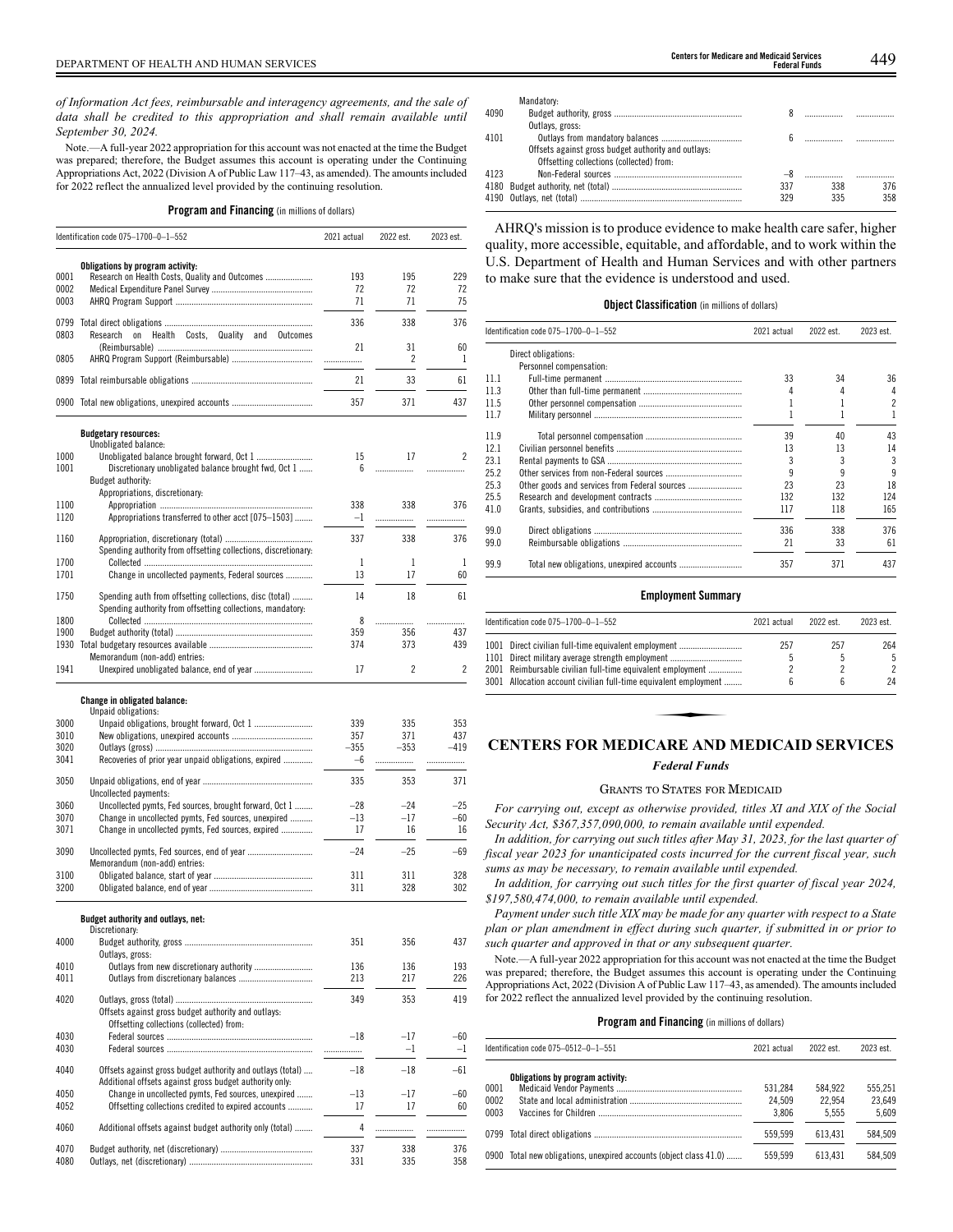*of Information Act fees, reimbursable and interagency agreements, and the sale of data shall be credited to this appropriation and shall remain available until September 30, 2024.*

Note.—A full-year 2022 appropriation for this account was not enacted at the time the Budget was prepared; therefore, the Budget assumes this account is operating under the Continuing Appropriations Act, 2022 (Division A of Public Law 117–43, as amended). The amounts included for 2022 reflect the annualized level provided by the continuing resolution.

## **Program and Financing** (in millions of dollars)

|              | Identification code 075-1700-0-1-552                                                                                  | 2021 actual    | 2022 est.   | 2023 est.   |
|--------------|-----------------------------------------------------------------------------------------------------------------------|----------------|-------------|-------------|
| 0001<br>0002 | Obligations by program activity:<br>Research on Health Costs, Quality and Outcomes                                    | 193<br>72      | 195<br>72   | 229<br>72   |
| 0003         |                                                                                                                       | 71             | 71          | 75          |
| 0799<br>0803 | Research<br>$_{0n}$<br>Health Costs, Quality and<br>Outcomes                                                          | 336<br>21      | 338<br>31   | 376<br>60   |
| 0805         |                                                                                                                       | .              | 2           | 1           |
|              |                                                                                                                       | 21             | 33          | 61          |
|              | 0900 Total new obligations, unexpired accounts                                                                        | 357            | 371         | 437         |
|              |                                                                                                                       |                |             |             |
|              | <b>Budgetary resources:</b><br>Unobligated balance:                                                                   |                |             |             |
| 1000<br>1001 | Discretionary unobligated balance brought fwd, Oct 1<br>Budget authority:                                             | 15<br>6        | 17<br>.     | 2<br>.      |
|              | Appropriations, discretionary:                                                                                        |                |             |             |
| 1100<br>1120 | Appropriations transferred to other acct [075-1503]                                                                   | 338<br>$-1$    | 338<br>.    | 376<br>.    |
| 1160         |                                                                                                                       | 337            | 338         | 376         |
|              | Spending authority from offsetting collections, discretionary:                                                        |                |             |             |
| 1700<br>1701 | Change in uncollected payments, Federal sources                                                                       | 1<br>13        | 1<br>17     | 1<br>60     |
| 1750         | Spending auth from offsetting collections, disc (total)<br>Spending authority from offsetting collections, mandatory. | 14             | 18          | 61          |
| 1800         |                                                                                                                       | 8              | .           | .           |
| 1900<br>1930 |                                                                                                                       | 359<br>374     | 356<br>373  | 437<br>439  |
| 1941         | Memorandum (non-add) entries:                                                                                         | 17             | 2           | 2           |
|              |                                                                                                                       |                |             |             |
|              | Change in obligated balance:                                                                                          |                |             |             |
| 3000         | Unpaid obligations:                                                                                                   | 339            | 335         | 353         |
| 3010         |                                                                                                                       | 357            | 371         | 437         |
| 3020<br>3041 | Recoveries of prior year unpaid obligations, expired                                                                  | $-355$<br>$-6$ | $-353$<br>. | $-419$<br>. |
| 3050         | Uncollected payments:                                                                                                 | 335            | 353         | 371         |
| 3060         | Uncollected pymts, Fed sources, brought forward, Oct 1                                                                | $-28$          | $-24$       | $-25$       |
| 3070<br>3071 | Change in uncollected pymts, Fed sources, unexpired<br>Change in uncollected pymts, Fed sources, expired              | $-13$<br>17    | $-17$<br>16 | $-60$<br>16 |
| 3090         |                                                                                                                       | $-24$          | $-25$       | -69         |
|              | Memorandum (non-add) entries:                                                                                         |                |             |             |
| 3100<br>3200 |                                                                                                                       | 311<br>311     | 311<br>328  | 328<br>302  |
|              |                                                                                                                       |                |             |             |
|              | Budget authority and outlays, net:<br>Discretionary:                                                                  |                |             |             |
| 4000         |                                                                                                                       | 351            | 356         | 437         |
| 4010         | Outlays, gross:                                                                                                       | 136            | 136         | 193         |
| 4011         |                                                                                                                       | 213            | 217         | 226         |
| 4020         |                                                                                                                       | 349            | 353         | 419         |
|              | Offsets against gross budget authority and outlays:<br>Offsetting collections (collected) from:                       |                |             |             |
| 4030         |                                                                                                                       | $-18$          | $-17$       | $-60$       |
| 4030         |                                                                                                                       | .              | $-1$        | $-1$        |
| 4040         | Offsets against gross budget authority and outlays (total)<br>Additional offsets against gross budget authority only: | $-18$          | $-18$       | $-61$       |
| 4050         | Change in uncollected pymts, Fed sources, unexpired                                                                   | $-13$          | $-17$       | -60         |
| 4052         | Offsetting collections credited to expired accounts                                                                   | 17             | 17          | 60          |
| 4060         | Additional offsets against budget authority only (total)                                                              | 4              | .           | .           |
| 4070         |                                                                                                                       | 337            | 338         | 376         |
| 4080         |                                                                                                                       | 331            | 335         | 358         |

| Genters for medicale and medical services |                      |
|-------------------------------------------|----------------------|
|                                           | <b>Federal Funds</b> |

|      | Mandatory:                                          |     |     |     |
|------|-----------------------------------------------------|-----|-----|-----|
| 4090 |                                                     |     |     |     |
|      | Outlays, gross:                                     |     |     |     |
| 4101 |                                                     |     |     |     |
|      | Offsets against gross budget authority and outlays: |     |     |     |
|      | Offsetting collections (collected) from:            |     |     |     |
| 4123 |                                                     |     |     |     |
|      |                                                     | 337 | 338 | 376 |
|      |                                                     | 329 | 335 | 358 |

AHRQ's mission is to produce evidence to make health care safer, higher quality, more accessible, equitable, and affordable, and to work within the U.S. Department of Health and Human Services and with other partners to make sure that the evidence is understood and used.

## **Object Classification** (in millions of dollars)

|      | Identification code 075-1700-0-1-552          | 2021 actual | 2022 est. | 2023 est.                |
|------|-----------------------------------------------|-------------|-----------|--------------------------|
|      | Direct obligations:                           |             |           |                          |
|      | Personnel compensation:                       |             |           |                          |
| 11.1 |                                               | 33          | 34        | 36                       |
| 11.3 |                                               | 4           |           | 4                        |
| 11.5 |                                               |             |           | $\overline{\phantom{a}}$ |
| 11.7 |                                               |             |           |                          |
| 11.9 |                                               | 39          | 40        | 43                       |
| 12.1 |                                               | 13          | 13        | 14                       |
| 23.1 |                                               |             |           | 3                        |
| 25.2 |                                               |             |           | 9                        |
| 25.3 | Other goods and services from Federal sources | 23          | 23        | 18                       |
| 25.5 |                                               | 132         | 132       | 124                      |
| 41.0 |                                               | 117         | 118       | 165                      |
| 99.0 |                                               | 336         | 338       | 376                      |
| 99.0 |                                               | 21          | 33        | 61                       |
| 99.9 | Total new obligations, unexpired accounts     | 357         | 371       | 437                      |

## **Employment Summary**

| Identification code 075-1700-0-1-552                             | 2021 actual | 2022 est. | 2023 est. |
|------------------------------------------------------------------|-------------|-----------|-----------|
| 1001 Direct civilian full-time equivalent employment             | 257         | 257       | 264       |
| 1101 Direct military average strength employment                 |             |           | 5         |
| 2001 Reimbursable civilian full-time equivalent employment       |             |           | 2         |
| 3001 Allocation account civilian full-time equivalent employment | հ           | ĥ         | 24        |
|                                                                  |             |           |           |
| <b>CENTERS FOR MEDICARE AND MEDICAID SERVICES</b>                |             |           |           |

# *Federal Funds*

### GRANTS TO STATES FOR MEDICAID

*For carrying out, except as otherwise provided, titles XI and XIX of the Social Security Act, \$367,357,090,000, to remain available until expended.*

*In addition, for carrying out such titles after May 31, 2023, for the last quarter of fiscal year 2023 for unanticipated costs incurred for the current fiscal year, such sums as may be necessary, to remain available until expended.*

*In addition, for carrying out such titles for the first quarter of fiscal year 2024, \$197,580,474,000, to remain available until expended.*

*Payment under such title XIX may be made for any quarter with respect to a State plan or plan amendment in effect during such quarter, if submitted in or prior to such quarter and approved in that or any subsequent quarter.*

Note.—A full-year 2022 appropriation for this account was not enacted at the time the Budget was prepared; therefore, the Budget assumes this account is operating under the Continuing Appropriations Act, 2022 (Division A of Public Law 117–43, as amended). The amounts included for 2022 reflect the annualized level provided by the continuing resolution.

|  |  | <b>Program and Financing</b> (in millions of dollars) |  |  |  |  |  |
|--|--|-------------------------------------------------------|--|--|--|--|--|
|--|--|-------------------------------------------------------|--|--|--|--|--|

| Identification code 075-0512-0-1-551                               | 2021 actual                | 2022 est.                  | 2023 est.                  |
|--------------------------------------------------------------------|----------------------------|----------------------------|----------------------------|
| Obligations by program activity:<br>0001<br>0002<br>0003           | 531.284<br>24.509<br>3.806 | 584.922<br>22.954<br>5.555 | 555.251<br>23.649<br>5.609 |
|                                                                    | 559.599                    | 613.431                    | 584.509                    |
| 0900 Total new obligations, unexpired accounts (object class 41.0) | 559.599                    | 613.431                    | 584.509                    |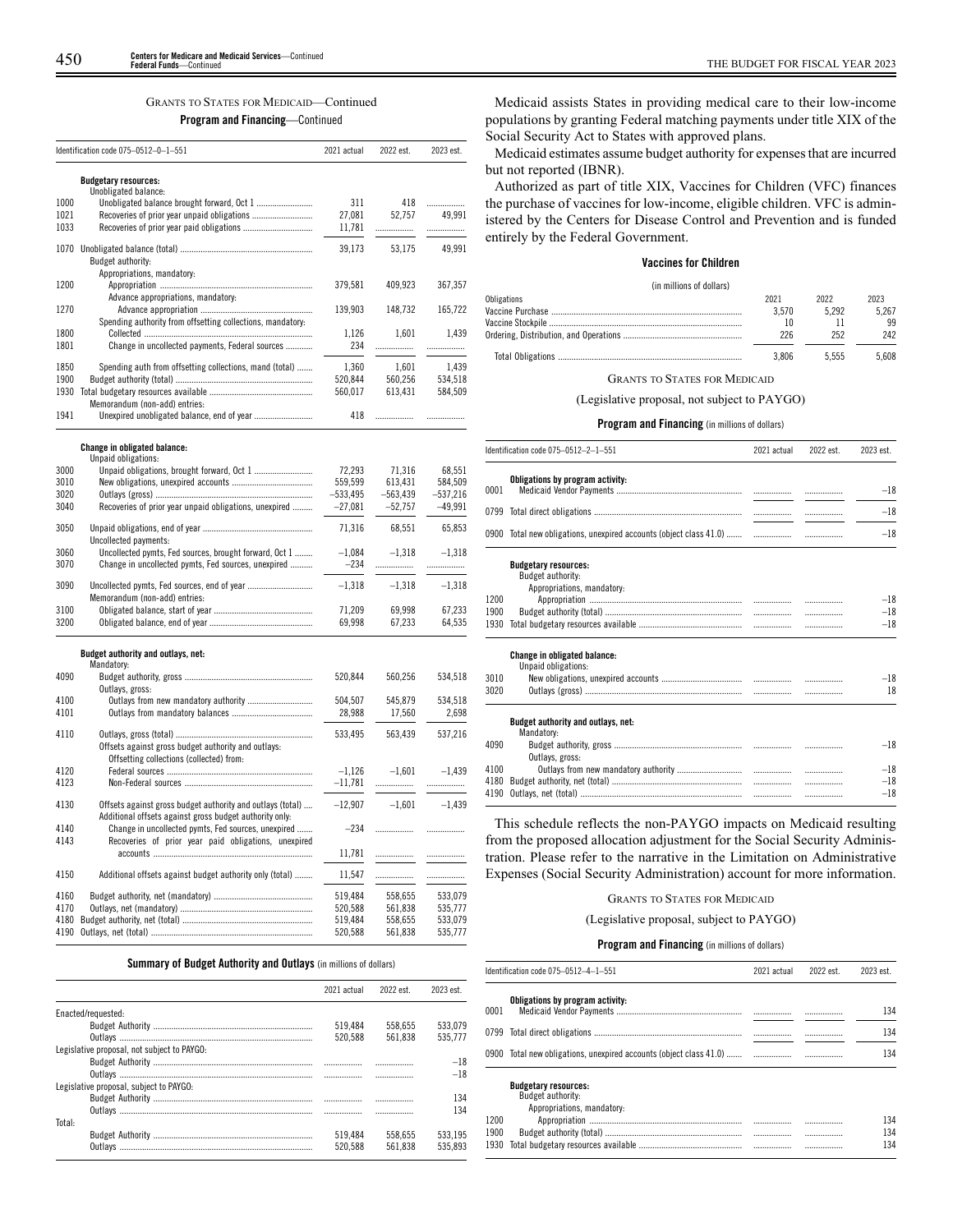## GRANTS TO STATES FOR MEDICAID—Continued

## **Program and Financing**—Continued

|      | Identification code 075-0512-0-1-551                                                                                  | 2021 actual        | 2022 est.  | 2023 est.   |
|------|-----------------------------------------------------------------------------------------------------------------------|--------------------|------------|-------------|
|      | <b>Budgetary resources:</b>                                                                                           |                    |            |             |
| 1000 | Unobligated balance:                                                                                                  |                    | 418        |             |
| 1021 |                                                                                                                       | 311<br>27,081      | 52,757     | .<br>49.991 |
| 1033 |                                                                                                                       | 11,781             |            | .           |
| 1070 | Budget authority:                                                                                                     | 39,173             | 53,175     | 49,991      |
|      | Appropriations, mandatory:                                                                                            |                    |            |             |
| 1200 |                                                                                                                       | 379,581            | 409,923    | 367,357     |
| 1270 | Advance appropriations, mandatory:                                                                                    | 139,903            | 148,732    | 165,722     |
|      | Spending authority from offsetting collections, mandatory:                                                            |                    |            |             |
| 1800 |                                                                                                                       | 1,126              | 1,601      | 1,439       |
| 1801 | Change in uncollected payments, Federal sources                                                                       | 234                |            | .           |
| 1850 | Spending auth from offsetting collections, mand (total)                                                               | 1,360              | 1,601      | 1,439       |
| 1900 |                                                                                                                       | 520,844            | 560,256    | 534,518     |
| 1930 |                                                                                                                       | 560,017            | 613,431    | 584,509     |
| 1941 | Memorandum (non-add) entries:                                                                                         | 418                | .          | .           |
|      |                                                                                                                       |                    |            |             |
|      | <b>Change in obligated balance:</b><br>Unpaid obligations:                                                            |                    |            |             |
| 3000 |                                                                                                                       | 72,293             | 71,316     | 68,551      |
| 3010 |                                                                                                                       | 559,599            | 613,431    | 584,509     |
| 3020 |                                                                                                                       | $-533,495$         | $-563,439$ | $-537,216$  |
| 3040 | Recoveries of prior year unpaid obligations, unexpired                                                                | $-27,081$          | $-52,757$  | $-49,991$   |
| 3050 |                                                                                                                       | 71,316             | 68,551     | 65,853      |
| 3060 | Uncollected payments:                                                                                                 |                    |            |             |
| 3070 | Uncollected pymts, Fed sources, brought forward, Oct 1<br>Change in uncollected pymts, Fed sources, unexpired         | $-1,084$<br>$-234$ | $-1,318$   | $-1,318$    |
|      |                                                                                                                       |                    |            | .           |
| 3090 | Memorandum (non-add) entries:                                                                                         | $-1,318$           | $-1,318$   | $-1,318$    |
| 3100 |                                                                                                                       | 71,209             | 69,998     | 67,233      |
| 3200 |                                                                                                                       | 69,998             | 67,233     | 64,535      |
|      | Budget authority and outlays, net:                                                                                    |                    |            |             |
|      | Mandatory:                                                                                                            |                    |            |             |
| 4090 |                                                                                                                       | 520,844            | 560,256    | 534,518     |
| 4100 | Outlays, gross:<br>Outlays from new mandatory authority                                                               | 504,507            | 545,879    | 534,518     |
| 4101 |                                                                                                                       | 28,988             | 17,560     | 2,698       |
|      |                                                                                                                       |                    |            |             |
| 4110 | Offsets against gross budget authority and outlays:                                                                   | 533,495            | 563,439    | 537,216     |
|      | Offsetting collections (collected) from:                                                                              |                    |            |             |
| 4120 |                                                                                                                       | $-1,126$           | $-1,601$   | $-1,439$    |
| 4123 |                                                                                                                       | $-11,781$          |            |             |
|      |                                                                                                                       |                    |            |             |
| 4130 | Offsets against gross budget authority and outlays (total)<br>Additional offsets against gross budget authority only: | $-12,907$          | $-1,601$   | $-1,439$    |
| 4140 | Change in uncollected pymts, Fed sources, unexpired                                                                   | $-234$             | .          | .           |
| 4143 | Recoveries of prior year paid obligations, unexpired                                                                  |                    |            |             |
|      |                                                                                                                       | 11,781             | .          | .           |
| 4150 | Additional offsets against budget authority only (total)                                                              | 11,547             |            | .           |
| 4160 |                                                                                                                       | 519,484            | 558,655    | 533,079     |
| 4170 |                                                                                                                       | 520,588            | 561,838    | 535,777     |
| 4180 |                                                                                                                       | 519,484            | 558,655    | 533,079     |
| 4190 |                                                                                                                       | 520,588            | 561,838    | 535,777     |

## **Summary of Budget Authority and Outlays** (in millions of dollars)

|                                             | 2021 actual | 2022 est. | 2023 est |
|---------------------------------------------|-------------|-----------|----------|
| Enacted/requested:                          |             |           |          |
|                                             | 519.484     | 558.655   | 533.079  |
|                                             | 520.588     | 561.838   | 535.777  |
| Legislative proposal, not subject to PAYGO: |             |           |          |
|                                             |             |           | $-18$    |
|                                             |             |           | $-18$    |
| Legislative proposal, subject to PAYGO:     |             |           |          |
|                                             |             |           | 134      |
|                                             |             |           | 134      |
| Total:                                      |             |           |          |
|                                             | 519.484     | 558.655   | 533.195  |
|                                             | 520.588     | 561.838   | 535.893  |

Medicaid assists States in providing medical care to their low-income populations by granting Federal matching payments under title XIX of the Social Security Act to States with approved plans.

Medicaid estimates assume budget authority for expenses that are incurred but not reported (IBNR).

Authorized as part of title XIX, Vaccines for Children (VFC) finances the purchase of vaccines for low-income, eligible children. VFC is administered by the Centers for Disease Control and Prevention and is funded entirely by the Federal Government.

## **Vaccines for Children**

## (in millions of dollars) Obligations 2021 2022 2023

| 3.570 | 5 2 9 2 | 5.267 |
|-------|---------|-------|
|       |         | 99    |
|       | 252     | 242   |
| 3.806 | 5.555   | 5.608 |

GRANTS TO STATES FOR MEDICAID

(Legislative proposal, not subject to PAYGO)

## **Program and Financing** (in millions of dollars)

|      | Identification code 075-0512-2-1-551                                           | 2021 actual | 2022 est. | 2023 est. |
|------|--------------------------------------------------------------------------------|-------------|-----------|-----------|
| 0001 | Obligations by program activity:                                               |             |           | $-18$     |
|      |                                                                                |             |           | $-18$     |
|      |                                                                                |             |           | $-18$     |
|      | <b>Budgetary resources:</b><br>Budget authority:<br>Appropriations, mandatory: |             |           |           |
| 1200 |                                                                                |             |           | $-18$     |
| 1900 |                                                                                |             |           | $-18$     |
| 1930 |                                                                                |             |           | $-18$     |
|      | Change in obligated balance:<br>Unpaid obligations:                            |             |           |           |
| 2010 | Now obligations, unovaired accounts                                            |             |           | 10        |

| 3010<br>3020 |                                    | .<br> | $-18$<br>18 |
|--------------|------------------------------------|-------|-------------|
|              | Budget authority and outlays, net: |       |             |
|              | Mandatory:                         |       |             |
| 4090         |                                    |       | $-18$       |
|              | Outlays, gross:                    |       |             |
| 4100         |                                    |       | $-18$       |
|              |                                    |       | $-18$       |
|              |                                    |       | $-18$       |

This schedule reflects the non-PAYGO impacts on Medicaid resulting from the proposed allocation adjustment for the Social Security Administration. Please refer to the narrative in the Limitation on Administrative Expenses (Social Security Administration) account for more information.

## GRANTS TO STATES FOR MEDICAID

(Legislative proposal, subject to PAYGO)

### **Program and Financing** (in millions of dollars)

|      | Identification code 075-0512-4-1-551                               | 2021 actual | 2022 est. | 2023 est. |
|------|--------------------------------------------------------------------|-------------|-----------|-----------|
| 0001 | Obligations by program activity:                                   |             |           | 134       |
|      |                                                                    |             |           | 134       |
|      | 0900 Total new obligations, unexpired accounts (object class 41.0) |             |           | 134       |
|      | <b>Budgetary resources:</b><br><b>D</b> double the Mill            |             |           |           |

Budget authority:

|      | Appropriations, mandatory: |   |     |
|------|----------------------------|---|-----|
| 1200 |                            | . | 134 |
| 1900 |                            |   | 134 |
|      |                            |   | 134 |
|      |                            |   |     |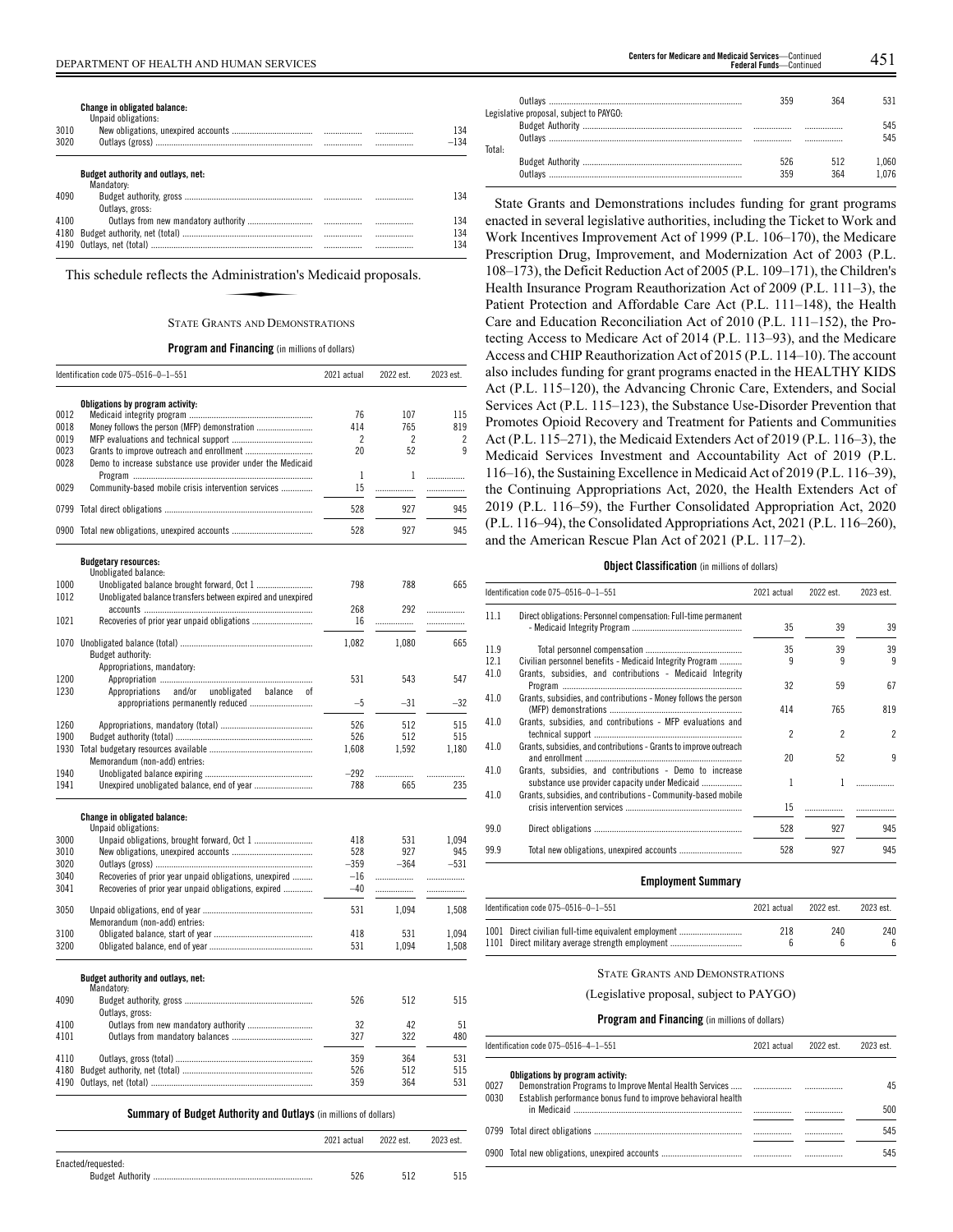**Change in obligated balance:**

|      | Unpaid obligations:                                             |        |
|------|-----------------------------------------------------------------|--------|
| 3010 |                                                                 | 134    |
| 3020 |                                                                 | $-134$ |
|      | Budget authority and outlays, net:                              |        |
|      | Mandatory:                                                      |        |
| 4090 |                                                                 | 134    |
|      | Outlays, gross:                                                 |        |
| 4100 |                                                                 | 134    |
| 4180 |                                                                 | 134    |
| 4190 |                                                                 | 134    |
|      | This schedule reflects the Administration's Medicaid proposals. |        |
|      | <b>STATE GRANTS AND DEMONSTRATIONS</b>                          |        |

## STATE GRANTS AND DEMONSTRATIONS

## **Program and Financing** (in millions of dollars)

|              | Identification code 075-0516-0-1-551                        | 2021 actual    | 2022 est. | 2023 est. |
|--------------|-------------------------------------------------------------|----------------|-----------|-----------|
|              | Obligations by program activity:                            |                |           |           |
| 0012         |                                                             | 76             | 107       | 115       |
| 0018         |                                                             | 414            | 765       | 819       |
| 0019         |                                                             | $\overline{2}$ | 2         | 2         |
| 0023         |                                                             | 20             | 52        | q         |
| 0028         | Demo to increase substance use provider under the Medicaid  |                |           |           |
|              |                                                             | 1              | 1         | .         |
| 0029         | Community-based mobile crisis intervention services         | 15             | .         | .         |
|              |                                                             |                |           |           |
| 0799         |                                                             | 528            | 927       | 945       |
|              | 0900 Total new obligations, unexpired accounts              | 528            | 927       | 945       |
|              | <b>Budgetary resources:</b><br>Unobligated balance:         |                |           |           |
| 1000         |                                                             | 798            | 788       | 665       |
| 1012         | Unobligated balance transfers between expired and unexpired |                |           |           |
|              |                                                             | 268            | 292       |           |
| 1021         |                                                             | 16             |           | .         |
|              |                                                             |                | .         | .         |
|              |                                                             | 1,082          | 1,080     | 665       |
|              | Budget authority:                                           |                |           |           |
|              | Appropriations, mandatory:                                  |                |           |           |
| 1200         |                                                             | 531            | 543       | 547       |
| 1230         | and/or<br>unobligated<br>Appropriations<br>balance<br>0t    |                |           |           |
|              |                                                             | $-5$           | $-31$     | $-32$     |
|              |                                                             |                |           |           |
| 1260         |                                                             | 526            | 512       | 515       |
| 1900         |                                                             | 526            | 512       | 515       |
| 1930         |                                                             | 1,608          | 1.592     | 1.180     |
|              | Memorandum (non-add) entries:                               |                |           |           |
| 1940         |                                                             | $-292$         | .         | .         |
| 1941         | Unexpired unobligated balance, end of year                  | 788            | 665       | 235       |
|              | Change in obligated balance:                                |                |           |           |
|              | Unpaid obligations:                                         |                |           |           |
| 3000         |                                                             | 418            | 531       | 1,094     |
| 3010         |                                                             | 528            | 927       | 945       |
| 3020         |                                                             | $-359$         | $-364$    | $-531$    |
| 3040         | Recoveries of prior year unpaid obligations, unexpired      | $-16$          | .         | .         |
| 3041         | Recoveries of prior year unpaid obligations, expired        | $-40$          |           |           |
| 3050         |                                                             | 531            | 1,094     |           |
|              | Memorandum (non-add) entries:                               |                |           | 1,508     |
|              |                                                             |                |           |           |
| 3100<br>3200 |                                                             | 418<br>531     | 531       | 1,094     |
|              |                                                             |                | 1,094     | 1,508     |
|              | Budget authority and outlays, net:<br>Mandatory:            |                |           |           |
| 4090         |                                                             | 526            | 512       | 515       |
|              | Outlays, gross:                                             |                |           |           |
| 4100         | Outlays from new mandatory authority                        | 32             | 42        | 51        |
| 4101         |                                                             | 327            | 322       | 480       |
| 4110         |                                                             | 359            | 364       | 531       |
| 4180         |                                                             | 526            | 512       | 515       |
| 4190         |                                                             | 359            | 364       | 531       |
|              |                                                             |                |           |           |

**Summary of Budget Authority and Outlays** (in millions of dollars)

|                    | 2021 actual | 2022 est. | 2023 est. |
|--------------------|-------------|-----------|-----------|
| Enacted/requested: | 526         | 512       | 515       |

| Legislative proposal, subject to PAYGO: | 350        |            |                |
|-----------------------------------------|------------|------------|----------------|
| Total:                                  |            |            | 545            |
|                                         | 526<br>350 | 512<br>364 | 1.060<br>1 በ76 |

State Grants and Demonstrations includes funding for grant programs enacted in several legislative authorities, including the Ticket to Work and Work Incentives Improvement Act of 1999 (P.L. 106–170), the Medicare Prescription Drug, Improvement, and Modernization Act of 2003 (P.L. 108–173), the Deficit Reduction Act of 2005 (P.L. 109–171), the Children's Health Insurance Program Reauthorization Act of 2009 (P.L. 111–3), the Patient Protection and Affordable Care Act (P.L. 111–148), the Health Care and Education Reconciliation Act of 2010 (P.L. 111–152), the Protecting Access to Medicare Act of 2014 (P.L. 113–93), and the Medicare Access and CHIP Reauthorization Act of 2015 (P.L. 114–10). The account also includes funding for grant programs enacted in the HEALTHY KIDS Act (P.L. 115–120), the Advancing Chronic Care, Extenders, and Social Services Act (P.L. 115–123), the Substance Use-Disorder Prevention that Promotes Opioid Recovery and Treatment for Patients and Communities Act (P.L. 115–271), the Medicaid Extenders Act of 2019 (P.L. 116–3), the Medicaid Services Investment and Accountability Act of 2019 (P.L. 116–16), the Sustaining Excellence in Medicaid Act of 2019 (P.L. 116–39), the Continuing Appropriations Act, 2020, the Health Extenders Act of 2019 (P.L. 116–59), the Further Consolidated Appropriation Act, 2020 (P.L. 116–94), the Consolidated Appropriations Act, 2021 (P.L. 116–260), and the American Rescue Plan Act of 2021 (P.L. 117–2).

## **Object Classification** (in millions of dollars)

|      | ldentification code 075–0516–0–1–551                                                                      | 2021 actual    | 2022 est.                | 2023 est.      |
|------|-----------------------------------------------------------------------------------------------------------|----------------|--------------------------|----------------|
| 11.1 | Direct obligations: Personnel compensation: Full-time permanent                                           | 35             | 39                       | 39             |
| 11.9 |                                                                                                           | 35             | 39                       | 39             |
| 12.1 | Civilian personnel benefits - Medicaid Integrity Program                                                  | 9              | 9                        | 9              |
| 41.0 | Grants, subsidies, and contributions - Medicaid Integrity                                                 | 32             | 59                       | 67             |
| 41.0 | Grants, subsidies, and contributions - Money follows the person                                           | 414            | 765                      | 819            |
| 41.0 | Grants, subsidies, and contributions - MFP evaluations and                                                | $\mathfrak{p}$ | $\overline{\phantom{a}}$ | $\overline{2}$ |
| 41.0 | Grants, subsidies, and contributions - Grants to improve outreach                                         | 20             | 52                       | 9              |
| 41.0 | Grants, subsidies, and contributions - Demo to increase<br>substance use provider capacity under Medicaid | 1              |                          |                |
| 41.0 | Grants, subsidies, and contributions - Community-based mobile                                             | 15             |                          |                |
| 99.0 |                                                                                                           | 528            | 927                      | 945            |
| 99.9 |                                                                                                           | 528            | 927                      | 945            |
|      |                                                                                                           |                |                          |                |

## **Employment Summary**

| Identification code 075–0516–0–1–551                                                                     | 2021 actual | 2022 est. | 2023 est. |
|----------------------------------------------------------------------------------------------------------|-------------|-----------|-----------|
| 1001 Direct civilian full-time equivalent employment<br>1101 Direct military average strength employment | 218         | 240       | 240       |

## STATE GRANTS AND DEMONSTRATIONS

(Legislative proposal, subject to PAYGO)

|              | Identification code 075–0516–4–1–551                                                              | 2021 actual | 2022 est. | 2023 est. |
|--------------|---------------------------------------------------------------------------------------------------|-------------|-----------|-----------|
| 0027<br>0030 | Obligations by program activity:<br>Establish performance bonus fund to improve behavioral health |             |           | 45<br>500 |
|              |                                                                                                   |             |           | 545       |
|              | 0900 Total new obligations, unexpired accounts ………………………………………………………………………………………                  |             |           | 545       |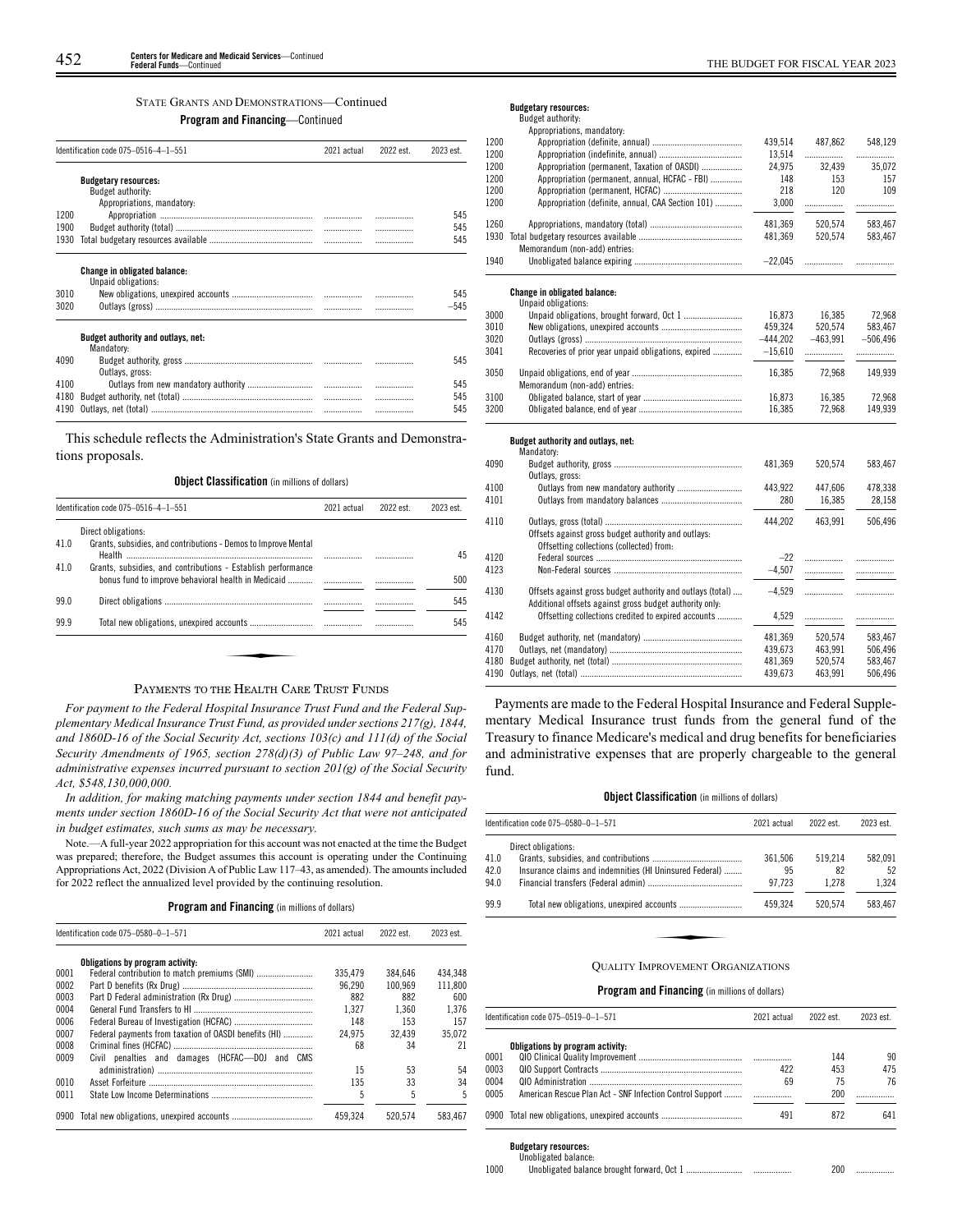## STATE GRANTS AND DEMONSTRATIONS—Continued

## **Program and Financing**—Continued

|      | Identification code 075-0516-4-1-551                | 2021 actual | 2022 est. | 2023 est |
|------|-----------------------------------------------------|-------------|-----------|----------|
|      | <b>Budgetary resources:</b>                         |             |           |          |
|      | Budget authority:<br>Appropriations, mandatory:     |             |           |          |
| 1200 |                                                     |             |           | 545      |
| 1900 |                                                     | .           |           | 545      |
| 1930 |                                                     |             |           | 545      |
|      |                                                     |             |           |          |
|      | Change in obligated balance:<br>Unpaid obligations: |             |           |          |
| 3010 |                                                     |             |           | 545      |
| 3020 |                                                     |             |           | $-545$   |
|      | Budget authority and outlays, net:<br>Mandatory:    |             |           |          |
| 4090 |                                                     |             |           | 545      |
|      | Outlays, gross:                                     |             |           |          |
| 4100 |                                                     |             |           | 545      |
| 4180 |                                                     |             |           | 545      |
| 4190 |                                                     |             |           | 545      |

This schedule reflects the Administration's State Grants and Demonstrations proposals.

### **Object Classification** (in millions of dollars)

|      | Identification code 075-0516-4-1-551                                                                                | 2021 actual | 2022 est. | 2023 est. |
|------|---------------------------------------------------------------------------------------------------------------------|-------------|-----------|-----------|
|      | Direct obligations:                                                                                                 |             |           |           |
| 41.0 | Grants, subsidies, and contributions - Demos to Improve Mental                                                      |             |           | 45        |
| 41.0 | Grants, subsidies, and contributions - Establish performance<br>bonus fund to improve behavioral health in Medicaid |             |           | 500       |
| 99.0 |                                                                                                                     |             |           | 545       |
| 99.9 |                                                                                                                     |             |           | 545       |

## PAYMENTS TO THE HEALTH CARE TRUST FUNDS

*For payment to the Federal Hospital Insurance Trust Fund and the Federal Supplementary Medical Insurance Trust Fund, as provided under sections 217(g), 1844, and 1860D-16 of the Social Security Act, sections 103(c) and 111(d) of the Social Security Amendments of 1965, section 278(d)(3) of Public Law 97–248, and for administrative expenses incurred pursuant to section 201(g) of the Social Security Act, \$548,130,000,000.*

*In addition, for making matching payments under section 1844 and benefit payments under section 1860D-16 of the Social Security Act that were not anticipated in budget estimates, such sums as may be necessary.*

Note.—A full-year 2022 appropriation for this account was not enacted at the time the Budget was prepared; therefore, the Budget assumes this account is operating under the Continuing Appropriations Act, 2022 (Division A of Public Law 117–43, as amended). The amounts included for 2022 reflect the annualized level provided by the continuing resolution.

## **Program and Financing** (in millions of dollars)

|      | Identification code 075-0580-0-1-571                  | 2021 actual | 2022 est. | 2023 est. |
|------|-------------------------------------------------------|-------------|-----------|-----------|
|      | Obligations by program activity:                      |             |           |           |
| 0001 |                                                       | 335.479     | 384.646   | 434.348   |
| 0002 |                                                       | 96.290      | 100.969   | 111.800   |
| 0003 |                                                       | 882         | 882       | 600       |
| 0004 |                                                       | 1.327       | 1.360     | 1.376     |
| 0006 |                                                       | 148         | 153       | 157       |
| 0007 | Federal payments from taxation of OASDI benefits (HI) | 24.975      | 32.439    | 35.072    |
| 0008 |                                                       | 68          | 34        | 21        |
| 0009 | Civil penalties and damages (HCFAC-DOJ and CMS        |             |           |           |
|      |                                                       | 15          | 53        | 54        |
| 0010 |                                                       | 135         | 33        | 34        |
| 0011 |                                                       | 5           | 5         | 5         |
| 0900 |                                                       | 459.324     | 520.574   | 583.467   |

## **Budgetary resources:**

| Budget authority:                 |
|-----------------------------------|
| Appropriations, mandatory:        |
| Appropriation (definite, annual)  |
| Annonciation lindefinite annually |

| 1200 |                                                                                                                       | 439,514    | 487,862    | 548,129    |
|------|-----------------------------------------------------------------------------------------------------------------------|------------|------------|------------|
| 1200 |                                                                                                                       | 13,514     | .          | .          |
| 1200 | Appropriation (permanent, Taxation of OASDI)                                                                          | 24,975     | 32,439     | 35,072     |
| 1200 | Appropriation (permanent, annual, HCFAC - FBI)                                                                        | 148        | 153        | 157        |
| 1200 |                                                                                                                       | 218        | 120        | 109        |
| 1200 | Appropriation (definite, annual, CAA Section 101)                                                                     | 3,000      |            | .          |
| 1260 |                                                                                                                       | 481,369    | 520,574    | 583,467    |
| 1930 |                                                                                                                       | 481,369    | 520,574    | 583,467    |
|      | Memorandum (non-add) entries:                                                                                         |            |            |            |
| 1940 |                                                                                                                       | $-22,045$  | .          | .          |
|      | Change in obligated balance:                                                                                          |            |            |            |
| 3000 | Unpaid obligations:                                                                                                   | 16.873     | 16.385     | 72.968     |
| 3010 |                                                                                                                       | 459,324    | 520,574    | 583,467    |
| 3020 |                                                                                                                       | $-444,202$ | $-463,991$ | $-506,496$ |
| 3041 | Recoveries of prior year unpaid obligations, expired                                                                  | $-15,610$  |            |            |
|      |                                                                                                                       |            |            | .          |
| 3050 |                                                                                                                       | 16,385     | 72,968     | 149,939    |
|      | Memorandum (non-add) entries:                                                                                         |            |            |            |
| 3100 |                                                                                                                       | 16,873     | 16,385     | 72,968     |
| 3200 |                                                                                                                       | 16,385     | 72,968     | 149,939    |
|      | Budget authority and outlays, net:<br>Mandatory:                                                                      |            |            |            |
| 4090 |                                                                                                                       | 481,369    | 520,574    | 583,467    |
|      | Outlays, gross:                                                                                                       |            |            |            |
| 4100 | Outlays from new mandatory authority                                                                                  | 443,922    | 447,606    | 478.338    |
| 4101 |                                                                                                                       | 280        | 16,385     | 28,158     |
|      |                                                                                                                       |            |            |            |
| 4110 |                                                                                                                       | 444,202    | 463,991    | 506,496    |
|      | Offsets against gross budget authority and outlays:<br>Offsetting collections (collected) from:                       |            |            |            |
| 4120 |                                                                                                                       | $-22$      | .          | .          |
| 4123 |                                                                                                                       | $-4,507$   | .          |            |
|      |                                                                                                                       |            |            |            |
| 4130 | Offsets against gross budget authority and outlays (total)<br>Additional offsets against gross budget authority only: | $-4.529$   | .          |            |
| 4142 | Offsetting collections credited to expired accounts                                                                   | 4,529      | .          | .          |
| 4160 |                                                                                                                       | 481,369    | 520,574    | 583,467    |
| 4170 |                                                                                                                       | 439,673    | 463,991    | 506,496    |
| 4180 |                                                                                                                       | 481,369    | 520,574    | 583,467    |
| 4190 |                                                                                                                       | 439,673    | 463,991    | 506,496    |

Payments are made to the Federal Hospital Insurance and Federal Supplementary Medical Insurance trust funds from the general fund of the Treasury to finance Medicare's medical and drug benefits for beneficiaries and administrative expenses that are properly chargeable to the general fund.

### **Object Classification** (in millions of dollars)

|                      | Identification code 075-0580-0-1-571                                           | 2021 actual             | 2022 est.              | 2023 est.              |
|----------------------|--------------------------------------------------------------------------------|-------------------------|------------------------|------------------------|
| 41.0<br>42.0<br>94.0 | Direct obligations:<br>Insurance claims and indemnities (HI Uninsured Federal) | 361.506<br>95<br>97.723 | 519.214<br>82<br>1.278 | 582.091<br>52<br>1.324 |
| 99.9                 |                                                                                | 459.324                 | 520.574                | 583,467                |
|                      | <b>OUALITY IMPROVEMENT ORGANIZATIONS</b>                                       |                         |                        |                        |

## **Program and Financing** (in millions of dollars)

|      | Identification code 075-0519-0-1-571                     | 2021 actual | 2022 est. | 2023 est. |
|------|----------------------------------------------------------|-------------|-----------|-----------|
|      | Obligations by program activity:                         |             |           |           |
| 0001 |                                                          |             | 144       | 90        |
| 0003 |                                                          | 422         | 453       | 475       |
| 0004 |                                                          | 69          | 75        | 76        |
| 0005 | American Rescue Plan Act - SNF Infection Control Support |             | 200       |           |
|      | 0900 Total new obligations, unexpired accounts           | 491         | 872       | 641       |

#### **Budgetary resources:** Unobligated balance:

|      | ananibaran nainingi |         |  |
|------|---------------------|---------|--|
| 1000 |                     | 200<br> |  |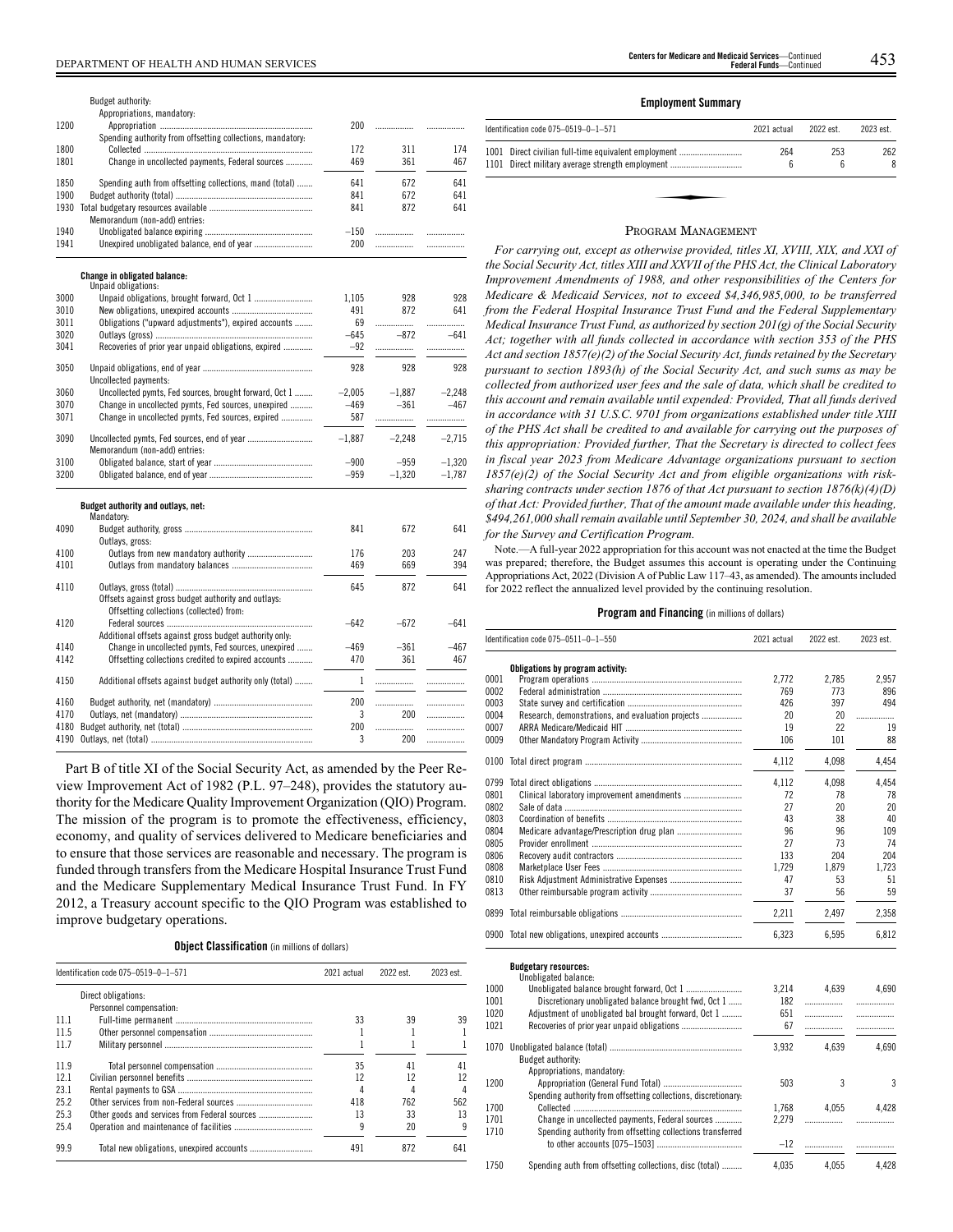|      | Budget authority:                                          |              |          |          |
|------|------------------------------------------------------------|--------------|----------|----------|
|      | Appropriations, mandatory:                                 |              |          |          |
| 1200 |                                                            | 200          | .        | .        |
|      | Spending authority from offsetting collections, mandatory: |              |          |          |
| 1800 |                                                            | 172          | 311      | 174      |
| 1801 | Change in uncollected payments, Federal sources            | 469          | 361      | 467      |
| 1850 | Spending auth from offsetting collections, mand (total)    | 641          | 672      | 641      |
| 1900 |                                                            | 841          | 672      | 641      |
| 1930 |                                                            | 841          | 872      | 641      |
|      | Memorandum (non-add) entries:                              |              |          |          |
| 1940 |                                                            | $-150$       | .        | .        |
| 1941 |                                                            | 200          | .        |          |
|      |                                                            |              |          | .        |
|      | <b>Change in obligated balance:</b><br>Unpaid obligations: |              |          |          |
| 3000 |                                                            | 1.105        | 928      | 928      |
| 3010 |                                                            | 491          | 872      | 641      |
| 3011 | Obligations ("upward adjustments"), expired accounts       | 69           | .        |          |
| 3020 |                                                            | $-645$       | $-872$   | $-641$   |
| 3041 | Recoveries of prior year unpaid obligations, expired       | $-92$        |          |          |
|      |                                                            |              |          |          |
| 3050 |                                                            | 928          | 928      | 928      |
|      | Uncollected payments:                                      |              |          |          |
| 3060 | Uncollected pymts, Fed sources, brought forward, Oct 1     | $-2.005$     | $-1.887$ | $-2.248$ |
| 3070 | Change in uncollected pymts, Fed sources, unexpired        | $-469$       | $-361$   | $-467$   |
| 3071 | Change in uncollected pymts, Fed sources, expired          | 587          |          | .        |
| 3090 |                                                            | $-1,887$     | $-2,248$ | $-2,715$ |
|      | Memorandum (non-add) entries:                              |              |          |          |
| 3100 |                                                            | $-900$       | $-959$   | $-1,320$ |
| 3200 |                                                            | $-959$       | $-1,320$ | $-1,787$ |
|      | Budget authority and outlays, net:<br>Mandatory:           |              |          |          |
| 4090 |                                                            | 841          | 672      | 641      |
|      | Outlays, gross:                                            |              |          |          |
| 4100 |                                                            | 176          | 203      | 247      |
| 4101 |                                                            | 469          | 669      | 394      |
| 4110 |                                                            | 645          | 872      | 641      |
|      | Offsets against gross budget authority and outlays:        |              |          |          |
|      | Offsetting collections (collected) from:                   |              |          |          |
|      |                                                            | $-642$       | $-672$   |          |
| 4120 |                                                            |              |          | $-641$   |
|      | Additional offsets against gross budget authority only:    |              |          |          |
| 4140 | Change in uncollected pymts, Fed sources, unexpired        | $-469$       | $-361$   | $-467$   |
| 4142 | Offsetting collections credited to expired accounts        | 470          | 361      | 467      |
| 4150 | Additional offsets against budget authority only (total)   | $\mathbf{1}$ | .        | .        |
|      |                                                            |              |          |          |
| 4160 |                                                            | 200          |          | .        |
| 4170 |                                                            | 3            | 200      | .        |
| 4180 |                                                            | 200          | .        | .        |
| 4190 |                                                            | 3            | 200      | .        |

Part B of title XI of the Social Security Act, as amended by the Peer Review Improvement Act of 1982 (P.L. 97–248), provides the statutory authority for the Medicare Quality Improvement Organization (QIO) Program. The mission of the program is to promote the effectiveness, efficiency, economy, and quality of services delivered to Medicare beneficiaries and to ensure that those services are reasonable and necessary. The program is funded through transfers from the Medicare Hospital Insurance Trust Fund and the Medicare Supplementary Medical Insurance Trust Fund. In FY 2012, a Treasury account specific to the QIO Program was established to improve budgetary operations.

**Object Classification** (in millions of dollars)

|      | Identification code 075-0519-0-1-571 | 2021 actual | 2022 est. | 2023 est. |
|------|--------------------------------------|-------------|-----------|-----------|
|      | Direct obligations:                  |             |           |           |
|      | Personnel compensation:              |             |           |           |
| 111  |                                      | 33          | 39        | 39        |
| 11.5 |                                      |             |           |           |
| 117  |                                      |             |           |           |
| 11.9 |                                      | 35          | 41        | 41        |
| 12.1 |                                      | 12          | 12        |           |
| 231  |                                      | 4           |           |           |
| 25.2 |                                      | 418         | 762       | 562       |
| 25.3 |                                      | 13          | 33        | 13        |
| 25.4 |                                      | q           | 20        | q         |
| 99.9 |                                      | 491         | 872       | 641       |

### **Employment Summary**

| Identification code 075-0519-0-1-571                                                                     | 2021 actual | 2022 est. | 2023 est. |
|----------------------------------------------------------------------------------------------------------|-------------|-----------|-----------|
| 1001 Direct civilian full-time equivalent employment<br>1101 Direct military average strength employment | 264<br>6    | 253<br>6  | 262<br>8  |
|                                                                                                          |             |           |           |
|                                                                                                          |             |           |           |

#### PROGRAM MANAGEMENT

*For carrying out, except as otherwise provided, titles XI, XVIII, XIX, and XXI of the Social Security Act, titles XIII and XXVII of the PHS Act, the Clinical Laboratory Improvement Amendments of 1988, and other responsibilities of the Centers for Medicare & Medicaid Services, not to exceed \$4,346,985,000, to be transferred from the Federal Hospital Insurance Trust Fund and the Federal Supplementary Medical Insurance Trust Fund, as authorized by section 201(g) of the Social Security Act; together with all funds collected in accordance with section 353 of the PHS Act and section 1857(e)(2) of the Social Security Act, funds retained by the Secretary pursuant to section 1893(h) of the Social Security Act, and such sums as may be collected from authorized user fees and the sale of data, which shall be credited to this account and remain available until expended: Provided, That all funds derived in accordance with 31 U.S.C. 9701 from organizations established under title XIII of the PHS Act shall be credited to and available for carrying out the purposes of this appropriation: Provided further, That the Secretary is directed to collect fees in fiscal year 2023 from Medicare Advantage organizations pursuant to section 1857(e)(2) of the Social Security Act and from eligible organizations with risksharing contracts under section 1876 of that Act pursuant to section 1876(k)(4)(D) of that Act: Provided further, That of the amount made available under this heading, \$494,261,000 shall remain available until September 30, 2024, and shall be available for the Survey and Certification Program.*

Note.—A full-year 2022 appropriation for this account was not enacted at the time the Budget was prepared; therefore, the Budget assumes this account is operating under the Continuing Appropriations Act, 2022 (Division A of Public Law 117–43, as amended). The amounts included for 2022 reflect the annualized level provided by the continuing resolution.

### **Program and Financing** (in millions of dollars)

|      | Identification code 075-0511-0-1-550                           | 2021 actual | 2022 est. | 2023 est. |
|------|----------------------------------------------------------------|-------------|-----------|-----------|
|      | Obligations by program activity:                               |             |           |           |
| 0001 |                                                                | 2.772       | 2,785     | 2,957     |
| 0002 |                                                                | 769         | 773       | 896       |
| 0003 |                                                                | 426         | 397       | 494       |
| 0004 | Research, demonstrations, and evaluation projects              | 20          | 20        | .         |
| 0007 |                                                                | 19          | 22        | 19        |
| 0009 |                                                                | 106         | 101       | 88        |
| 0100 |                                                                | 4,112       | 4.098     | 4.454     |
| 0799 |                                                                | 4,112       | 4,098     | 4,454     |
| 0801 |                                                                | 72          | 78        | 78        |
| 0802 |                                                                | 27          | 20        | 20        |
| 0803 |                                                                | 43          | 38        | 40        |
| 0804 |                                                                | 96          | 96        | 109       |
| 0805 |                                                                | 27          | 73        | 74        |
| 0806 |                                                                | 133         | 204       | 204       |
| 0808 |                                                                | 1.729       | 1.879     | 1.723     |
| 0810 |                                                                | 47          | 53        | 51        |
| 0813 |                                                                | 37          | 56        | 59        |
| 0899 |                                                                | 2,211       | 2,497     | 2.358     |
|      | 0900 Total new obligations, unexpired accounts                 | 6,323       | 6,595     | 6,812     |
|      | <b>Budgetary resources:</b><br>Unobligated balance:            |             |           |           |
| 1000 |                                                                | 3.214       | 4.639     | 4.690     |
| 1001 | Discretionary unobligated balance brought fwd, Oct 1           | 182         | .         |           |
| 1020 | Adjustment of unobligated bal brought forward, Oct 1           | 651         | .         | .         |
| 1021 |                                                                | 67          |           | .         |
| 1070 | Budget authority:                                              | 3,932       | 4.639     | 4.690     |
|      | Appropriations, mandatory:                                     |             |           |           |
| 1200 |                                                                | 503         | 3         | 3         |
|      | Spending authority from offsetting collections, discretionary: |             |           |           |
| 1700 |                                                                | 1,768       | 4,055     | 4,428     |
| 1701 | Change in uncollected payments, Federal sources                | 2.279       | .         |           |

Spending authority from offsetting collections transferred

1750 Spending auth from offsetting collections, disc (total) ......... 4,035 4,055 4,428

to other accounts [075-1503].

1710

 $-12$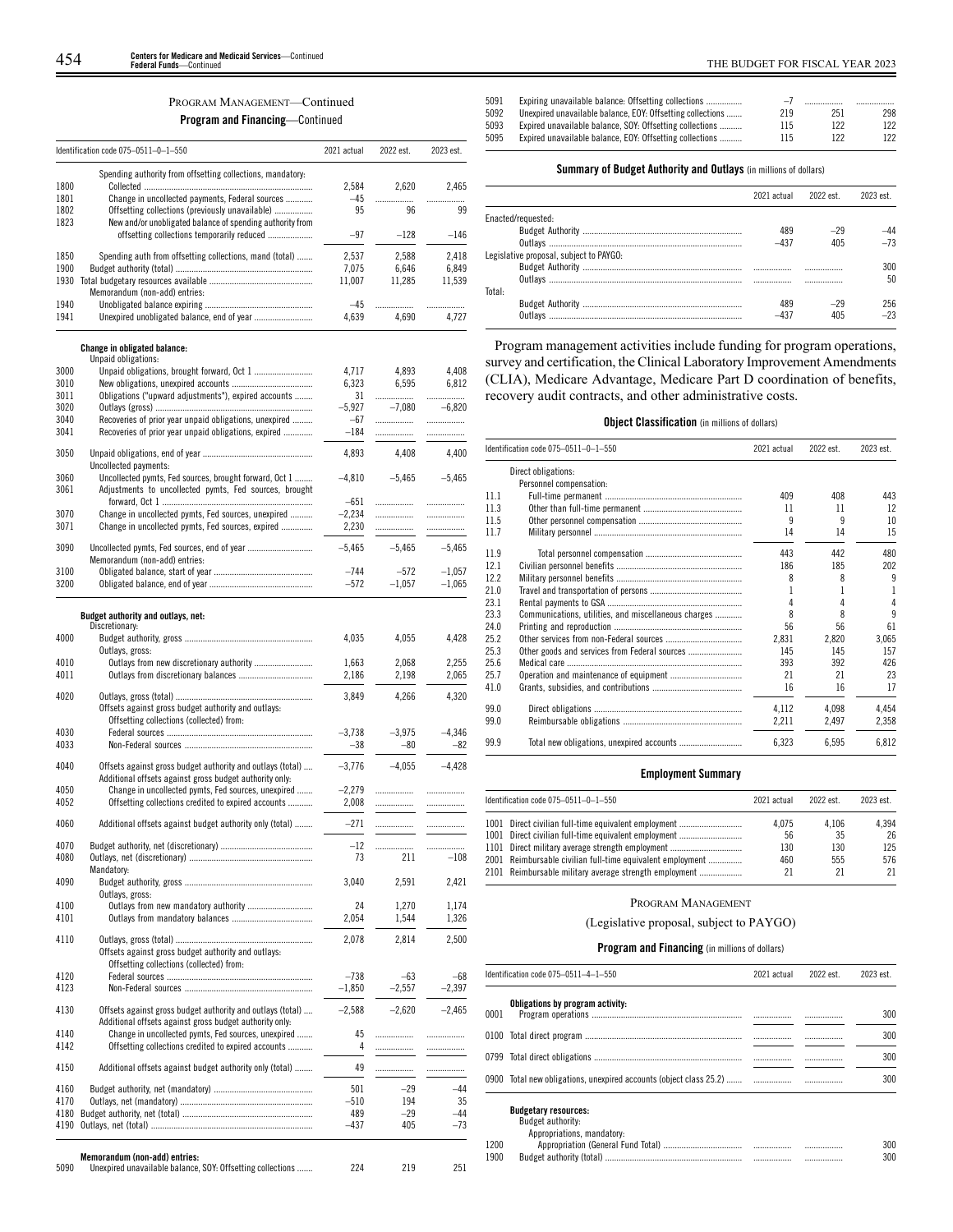## PROGRAM MANAGEMENT—Continued

**Program and Financing**—Continued

|              | Identification code 075-0511-0-1-550                                                                             | 2021 actual     | 2022 est.       | 2023 est.       |
|--------------|------------------------------------------------------------------------------------------------------------------|-----------------|-----------------|-----------------|
| 1800         | Spending authority from offsetting collections, mandatory:                                                       | 2,584           | 2,620           | 2.465           |
| 1801         | Change in uncollected payments, Federal sources                                                                  | $-45$           | .               | .               |
| 1802         | Offsetting collections (previously unavailable)                                                                  | 95              | 96              | 99              |
| 1823         | New and/or unobligated balance of spending authority from<br>offsetting collections temporarily reduced          | $-97$           | $-128$          | $-146$          |
|              |                                                                                                                  |                 |                 |                 |
| 1850<br>1900 | Spending auth from offsetting collections, mand (total)                                                          | 2,537           | 2.588           | 2,418           |
| 1930         |                                                                                                                  | 7,075<br>11,007 | 6,646<br>11,285 | 6,849<br>11,539 |
|              | Memorandum (non-add) entries:                                                                                    |                 |                 |                 |
| 1940         |                                                                                                                  | $-45$           | .               | .               |
| 1941         |                                                                                                                  | 4,639           | 4,690           | 4,727           |
|              | <b>Change in obligated balance:</b>                                                                              |                 |                 |                 |
|              | Unpaid obligations:                                                                                              |                 |                 |                 |
| 3000<br>3010 |                                                                                                                  | 4,717           | 4,893           | 4,408           |
| 3011         | Obligations ("upward adjustments"), expired accounts                                                             | 6,323<br>31     | 6,595<br>.      | 6,812<br>.      |
| 3020         |                                                                                                                  | $-5,927$        | $-7,080$        | $-6,820$        |
| 3040         | Recoveries of prior year unpaid obligations, unexpired                                                           | $-67$           | .               | .               |
| 3041         | Recoveries of prior year unpaid obligations, expired                                                             | $-184$          | .               |                 |
| 3050         |                                                                                                                  | 4,893           | 4,408           | 4,400           |
|              | Uncollected payments:                                                                                            |                 |                 |                 |
| 3060<br>3061 | Uncollected pymts, Fed sources, brought forward, Oct 1<br>Adjustments to uncollected pymts, Fed sources, brought | $-4.810$        | $-5,465$        | $-5,465$        |
|              |                                                                                                                  | $-651$          | .               | .               |
| 3070         | Change in uncollected pymts, Fed sources, unexpired                                                              | $-2,234$        | .               | .               |
| 3071         | Change in uncollected pymts, Fed sources, expired                                                                | 2,230           | .               |                 |
| 3090         | Memorandum (non-add) entries:                                                                                    | $-5,465$        | $-5,465$        | $-5.465$        |
| 3100         |                                                                                                                  | $-744$          | $-572$          | $-1,057$        |
| 3200         |                                                                                                                  | $-572$          | $-1,057$        | $-1,065$        |
|              | Budget authority and outlays, net:                                                                               |                 |                 |                 |
| 4000         | Discretionary:                                                                                                   |                 | 4,055           |                 |
|              | Outlays, gross:                                                                                                  | 4,035           |                 | 4,428           |
| 4010         | Outlays from new discretionary authority                                                                         | 1,663           | 2,068           | 2,255           |
| 4011         |                                                                                                                  | 2,186           | 2,198           | 2,065           |
| 4020         |                                                                                                                  |                 |                 |                 |
|              | Offsets against gross budget authority and outlays:                                                              | 3,849           | 4,266           | 4,320           |
| 4030         | Offsetting collections (collected) from:                                                                         | $-3,738$        | $-3,975$        | $-4,346$        |
| 4033         |                                                                                                                  | $-38$           | $-80$           | $-82$           |
| 4040         | Offsets against gross budget authority and outlays (total)                                                       | $-3,776$        | $-4,055$        | $-4,428$        |
|              | Additional offsets against gross budget authority only:                                                          |                 |                 |                 |
| 4050         | Change in uncollected pymts, Fed sources, unexpired                                                              | $-2,279$        | .               |                 |
| 4052         | Offsetting collections credited to expired accounts                                                              | 2.008           |                 | .               |
| 4060         | Additional offsets against budget authority only (total)                                                         | $-271$          | .               | .               |
| 4070         |                                                                                                                  | $-12$           | .               | .               |
| 4080         |                                                                                                                  | 73              | 211             | $-108$          |
| 4090         | Mandatory:                                                                                                       | 3,040           | 2,591           | 2,421           |
|              | Outlays, gross:                                                                                                  |                 |                 |                 |
| 4100<br>4101 |                                                                                                                  | 24<br>2,054     | 1,270<br>1,544  | 1,174<br>1,326  |
|              |                                                                                                                  |                 |                 |                 |
| 4110         | Offsets against gross budget authority and outlays:                                                              | 2,078           | 2,814           | 2,500           |
|              | Offsetting collections (collected) from:                                                                         |                 |                 |                 |
| 4120         |                                                                                                                  | $-738$          | $-63$           | $-68$           |
| 4123         |                                                                                                                  | $-1,850$        | $-2,557$        | $-2,397$        |
| 4130         | Offsets against gross budget authority and outlays (total)                                                       | $-2,588$        | $-2,620$        | $-2,465$        |
| 4140         | Additional offsets against gross budget authority only:<br>Change in uncollected pymts, Fed sources, unexpired   | 45              | .               | .               |
| 4142         | Offsetting collections credited to expired accounts                                                              | 4               | .               | .               |
| 4150         | Additional offsets against budget authority only (total)                                                         | 49              |                 |                 |
|              |                                                                                                                  |                 | .               | .               |
| 4160         |                                                                                                                  | 501             | $-29$           | $-44$           |
| 4170         |                                                                                                                  | -510            | 194             | 35              |
| 4180         |                                                                                                                  | 489             | $-29$           | $-44$           |
| 4190         |                                                                                                                  | $-437$          | 405             | $-73$           |
|              |                                                                                                                  |                 |                 |                 |
| 5090         | Memorandum (non-add) entries:<br>Unexpired unavailable balance, SOY: Offsetting collections                      | 224             | 219             | 251             |

| THE BUDGET FOR FISCAL YEAR 2023 |  |  |
|---------------------------------|--|--|
|                                 |  |  |

| 5091 | Expiring unavailable balance: Offsetting collections       | $-l$ |     |     |
|------|------------------------------------------------------------|------|-----|-----|
| 5092 | Unexpired unavailable balance, EOY: Offsetting collections | 219  | 251 | 298 |
| 5093 | Expired unavailable balance, SOY: Offsetting collections   | 115  | 122 | 122 |
| 5095 | Expired unavailable balance. EOY: Offsetting collections   | 115  | 122 | 122 |
|      |                                                            |      |     |     |

## **Summary of Budget Authority and Outlays** (in millions of dollars)

|                                         | 2021 actual | 2022 est. | 2023 est |
|-----------------------------------------|-------------|-----------|----------|
| Enacted/requested:                      |             |           |          |
|                                         | 489         | $-29$     | -44      |
|                                         | $-437$      | 405       | $-73$    |
| Legislative proposal, subject to PAYGO: |             |           |          |
|                                         |             |           | 300      |
|                                         | .           |           | 50       |
| Total:                                  |             |           |          |
|                                         | 489         | $-29$     | 256.     |
|                                         |             | 405       | $-23$    |

Program management activities include funding for program operations, survey and certification, the Clinical Laboratory Improvement Amendments (CLIA), Medicare Advantage, Medicare Part D coordination of benefits, recovery audit contracts, and other administrative costs.

## **Object Classification** (in millions of dollars)

|      | Identification code 075-0511-0-1-550                 | 2021 actual | 2022 est. | 2023 est. |
|------|------------------------------------------------------|-------------|-----------|-----------|
|      | Direct obligations:                                  |             |           |           |
|      | Personnel compensation:                              |             |           |           |
| 11.1 |                                                      | 409         | 408       | 443       |
| 11.3 |                                                      | 11          | 11        | 12        |
| 11.5 |                                                      | 9           | 9         | 10        |
| 11.7 |                                                      | 14          | 14        | 15        |
| 11.9 |                                                      | 443         | 442       | 480       |
| 12.1 |                                                      | 186         | 185       | 202       |
| 12.2 |                                                      | 8           | 8         | 9         |
| 21.0 |                                                      |             |           | 1         |
| 23.1 |                                                      |             | 4         | 4         |
| 23.3 | Communications, utilities, and miscellaneous charges | 8           | 8         | 9         |
| 24.0 |                                                      | 56          | 56        | 61        |
| 25.2 |                                                      | 2,831       | 2,820     | 3,065     |
| 25.3 | Other goods and services from Federal sources        | 145         | 145       | 157       |
| 25.6 |                                                      | 393         | 392       | 426       |
| 25.7 |                                                      | 21          | 21        | 23        |
| 41.0 |                                                      | 16          | 16        | 17        |
| 99.0 |                                                      | 4,112       | 4.098     | 4,454     |
| 99.0 |                                                      | 2,211       | 2,497     | 2,358     |
| 99.9 |                                                      | 6,323       | 6.595     | 6,812     |
|      |                                                      |             |           |           |

## **Employment Summary**

| ldentification code 075–0511–0–1–550                       | 2021 actual | 2022 est. | 2023 est. |
|------------------------------------------------------------|-------------|-----------|-----------|
| 1001 Direct civilian full-time equivalent employment       | 4.075       | 4.106     | 4.394     |
| 1001 Direct civilian full-time equivalent employment       | 56          | 35        | 26        |
| 1101 Direct military average strength employment           | 130         | 130       | 125       |
| 2001 Reimbursable civilian full-time equivalent employment | 460         | 555       | 576       |
| 2101 Reimbursable military average strength employment     | 21          | 21        | 21        |
|                                                            |             |           |           |

## PROGRAM MANAGEMENT

## (Legislative proposal, subject to PAYGO)

## **Program and Financing** (in millions of dollars)

|      | Identification code 075-0511-4-1-550 | 2021 actual | 2022 est. | 2023 est. |
|------|--------------------------------------|-------------|-----------|-----------|
| 0001 | Obligations by program activity:     |             |           | 300       |
|      |                                      |             |           | 300       |
|      |                                      |             |           | 300       |
|      |                                      |             |           | 300       |

**Budgetary resources:** Budget authority:

| Appropriations, mandatory: | . |  |  |
|----------------------------|---|--|--|
|                            |   |  |  |
|                            |   |  |  |

| 1200 |  | . | 300 |
|------|--|---|-----|
| 1900 |  |   | 300 |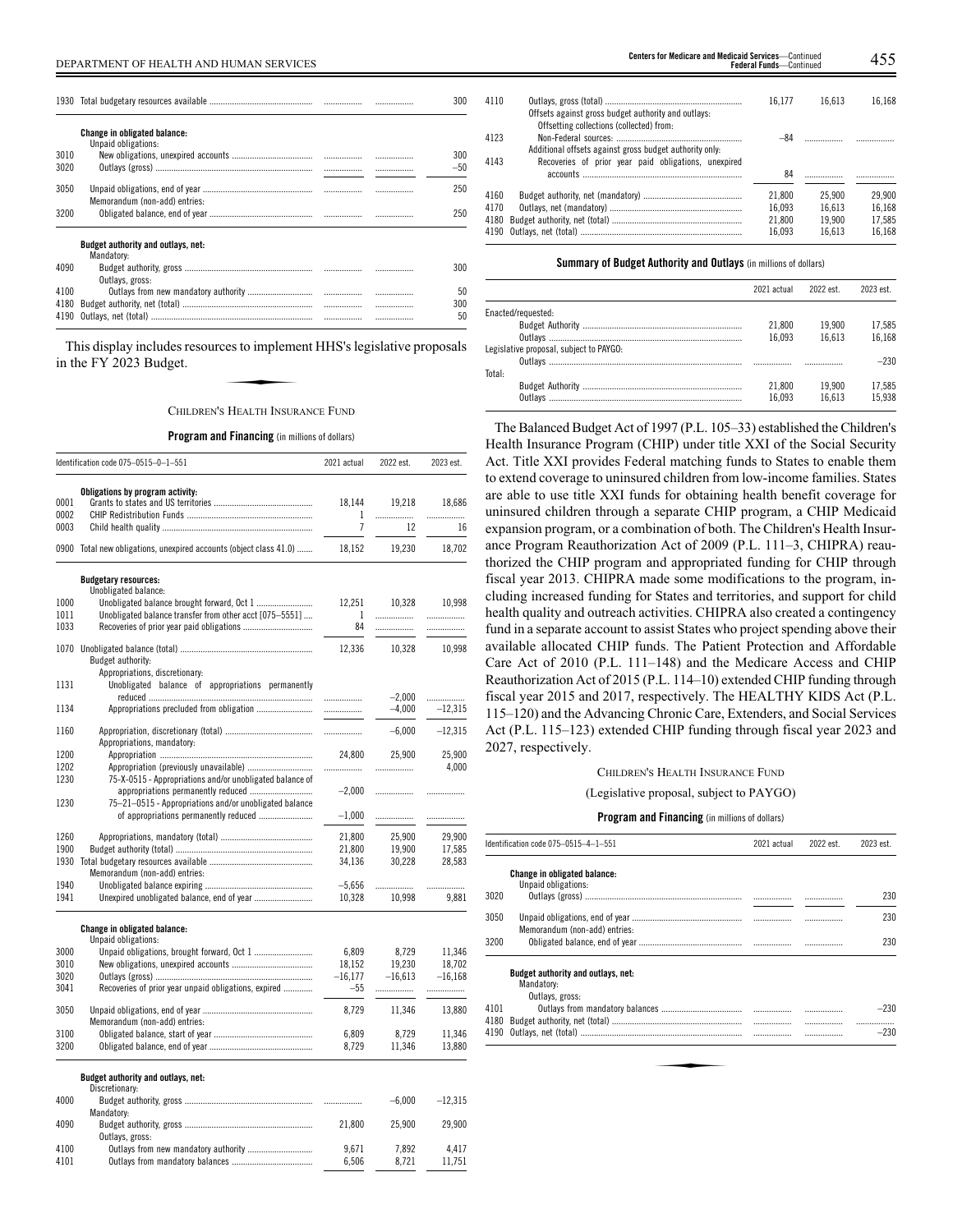|      |                                                            |  | 300   |
|------|------------------------------------------------------------|--|-------|
|      | <b>Change in obligated balance:</b><br>Unpaid obligations: |  |       |
| 3010 |                                                            |  | 300   |
| 3020 |                                                            |  | $-50$ |
| 3050 | Memorandum (non-add) entries:                              |  | 250   |
| 3200 |                                                            |  | 250   |
|      | <b>Budget authority and outlays, net:</b><br>Mandatory:    |  |       |
| 4090 | Outlays, gross:                                            |  | 300   |
| 4100 |                                                            |  | 50    |
| 4180 |                                                            |  | 300   |
| 4190 |                                                            |  | 50    |

This display includes resources to implement HHS's legislative proposals in the FY 2023 Budget. Examplement<br>Set to implement<br>Real TH INSUR

## CHILDREN'S HEALTH INSURANCE FUND

## **Program and Financing** (in millions of dollars)

|              | Identification code 075-0515-0-1-551                               | 2021 actual         | 2022 est.           | 2023 est. |
|--------------|--------------------------------------------------------------------|---------------------|---------------------|-----------|
|              | Obligations by program activity:                                   |                     |                     |           |
| 0001         |                                                                    | 18,144              | 19,218              | 18,686    |
| 0002         |                                                                    | 1<br>$\overline{1}$ |                     |           |
| 0003         |                                                                    |                     | 12                  | 16        |
|              | 0900 Total new obligations, unexpired accounts (object class 41.0) | 18,152              | 19,230              | 18,702    |
|              | <b>Budgetary resources:</b>                                        |                     |                     |           |
|              | Unobligated balance:                                               |                     |                     |           |
| 1000         | Unobligated balance brought forward, Oct 1                         | 12,251              | 10,328              | 10,998    |
| 1011<br>1033 | Unobligated balance transfer from other acct [075-5551]            | 1<br>84             | .                   | .         |
|              |                                                                    |                     | .                   | .         |
|              |                                                                    | 12,336              | 10,328              | 10,998    |
|              | Budget authority:                                                  |                     |                     |           |
|              | Appropriations, discretionary:                                     |                     |                     |           |
| 1131         | Unobligated balance of appropriations permanently                  |                     |                     |           |
|              |                                                                    | .                   | $-2,000$            |           |
| 1134         | Appropriations precluded from obligation                           |                     | $-4,000$            | $-12,315$ |
| 1160         |                                                                    |                     | $-6,000$            | $-12,315$ |
|              | Appropriations, mandatory:                                         |                     |                     |           |
| 1200         |                                                                    | 24,800              | 25,900              | 25,900    |
| 1202         |                                                                    | .                   | .                   | 4,000     |
| 1230         | 75-X-0515 - Appropriations and/or unobligated balance of           |                     |                     |           |
|              |                                                                    | $-2,000$            | .                   | .         |
| 1230         | 75-21-0515 - Appropriations and/or unobligated balance             |                     |                     |           |
|              | of appropriations permanently reduced                              | $-1,000$            | .                   |           |
| 1260         |                                                                    | 21,800              | 25,900              | 29,900    |
| 1900         |                                                                    | 21,800              | 19,900              | 17,585    |
| 1930         |                                                                    | 34,136              | 30,228              | 28,583    |
|              | Memorandum (non-add) entries:                                      |                     |                     |           |
| 1940         |                                                                    | $-5,656$            | .                   | .         |
| 1941         |                                                                    | 10,328              | 10,998              | 9,881     |
|              | <b>Change in obligated balance:</b>                                |                     |                     |           |
|              | Unpaid obligations:                                                |                     |                     |           |
| 3000         |                                                                    | 6,809               | 8,729               | 11,346    |
| 3010<br>3020 |                                                                    | 18,152<br>$-16,177$ | 19,230<br>$-16.613$ | 18,702    |
| 3041         | Recoveries of prior year unpaid obligations, expired               | $-55$               |                     | $-16,168$ |
|              |                                                                    |                     | .                   |           |
| 3050         |                                                                    | 8,729               | 11,346              | 13,880    |
|              | Memorandum (non-add) entries:                                      |                     |                     |           |
| 3100         |                                                                    | 6,809               | 8,729               | 11,346    |
| 3200         |                                                                    | 8,729               | 11,346              | 13,880    |
|              | Budget authority and outlays, net:                                 |                     |                     |           |
|              | Discretionary:                                                     |                     |                     |           |
| 4000         |                                                                    |                     | $-6,000$            | $-12,315$ |
| 4090         | Mandatory:                                                         |                     | 25,900              | 29,900    |
|              | Outlays, gross:                                                    | 21,800              |                     |           |
| 4100         |                                                                    | 9,671               | 7,892               | 4,417     |
| 4101         |                                                                    | 6,506               | 8,721               | 11,751    |
|              |                                                                    |                     |                     |           |

4110 Outlays, gross (total) ............................................................. 16,177 16,613 16,168 Offsets against gross budget authority and outlays: Offsetting collections (collected) from: 4123 Non-Federal sources: 284 Additional offsets against gross budget authority only:

| 4143 | Recoveries of prior year paid obligations, unexpired |        |        |        |
|------|------------------------------------------------------|--------|--------|--------|
|      |                                                      |        |        |        |
| 4160 |                                                      |        | 25.900 | 29.900 |
| 4170 |                                                      | 16.093 | 16.613 | 16.168 |
|      |                                                      | 21.800 | 19.900 | 17.585 |
|      |                                                      | 16.093 | 16.613 | 16.168 |

### **Summary of Budget Authority and Outlays** (in millions of dollars)

|                                         | 2021 actual | 2022 est. | 2023 est. |
|-----------------------------------------|-------------|-----------|-----------|
| Enacted/requested:                      |             |           |           |
|                                         | 21.800      | 19.900    | 17.585    |
|                                         | 16.093      | 16.613    | 16.168    |
| Legislative proposal, subject to PAYGO: |             |           |           |
|                                         |             |           | $-230$    |
| Total:                                  |             |           |           |
|                                         | 21.800      | 19.900    | 17.585    |
| Outlavs                                 | 16.093      | 16.613    | 15.938    |

The Balanced Budget Act of 1997 (P.L. 105–33) established the Children's Health Insurance Program (CHIP) under title XXI of the Social Security Act. Title XXI provides Federal matching funds to States to enable them to extend coverage to uninsured children from low-income families. States are able to use title XXI funds for obtaining health benefit coverage for uninsured children through a separate CHIP program, a CHIP Medicaid expansion program, or a combination of both. The Children's Health Insurance Program Reauthorization Act of 2009 (P.L. 111–3, CHIPRA) reauthorized the CHIP program and appropriated funding for CHIP through fiscal year 2013. CHIPRA made some modifications to the program, including increased funding for States and territories, and support for child health quality and outreach activities. CHIPRA also created a contingency fund in a separate account to assist States who project spending above their available allocated CHIP funds. The Patient Protection and Affordable Care Act of 2010 (P.L. 111–148) and the Medicare Access and CHIP Reauthorization Act of 2015 (P.L. 114–10) extended CHIP funding through fiscal year 2015 and 2017, respectively. The HEALTHY KIDS Act (P.L. 115–120) and the Advancing Chronic Care, Extenders, and Social Services Act (P.L. 115–123) extended CHIP funding through fiscal year 2023 and 2027, respectively.

## CHILDREN'S HEALTH INSURANCE FUND

(Legislative proposal, subject to PAYGO)

|              | Identification code 075-0515-4-1-551                                |  | 2022 est. | 2023 est. |
|--------------|---------------------------------------------------------------------|--|-----------|-----------|
|              | Change in obligated balance:<br>Unpaid obligations:                 |  |           |           |
| 3020         |                                                                     |  |           | 230       |
| 3050         | Memorandum (non-add) entries:                                       |  |           | 230       |
| 3200         |                                                                     |  |           | 230       |
|              | Budget authority and outlays, net:<br>Mandatory:<br>Outlays, gross: |  |           |           |
| 4101         |                                                                     |  |           | $-230$    |
| 4180<br>4190 |                                                                     |  |           | $-230$    |
|              |                                                                     |  |           |           |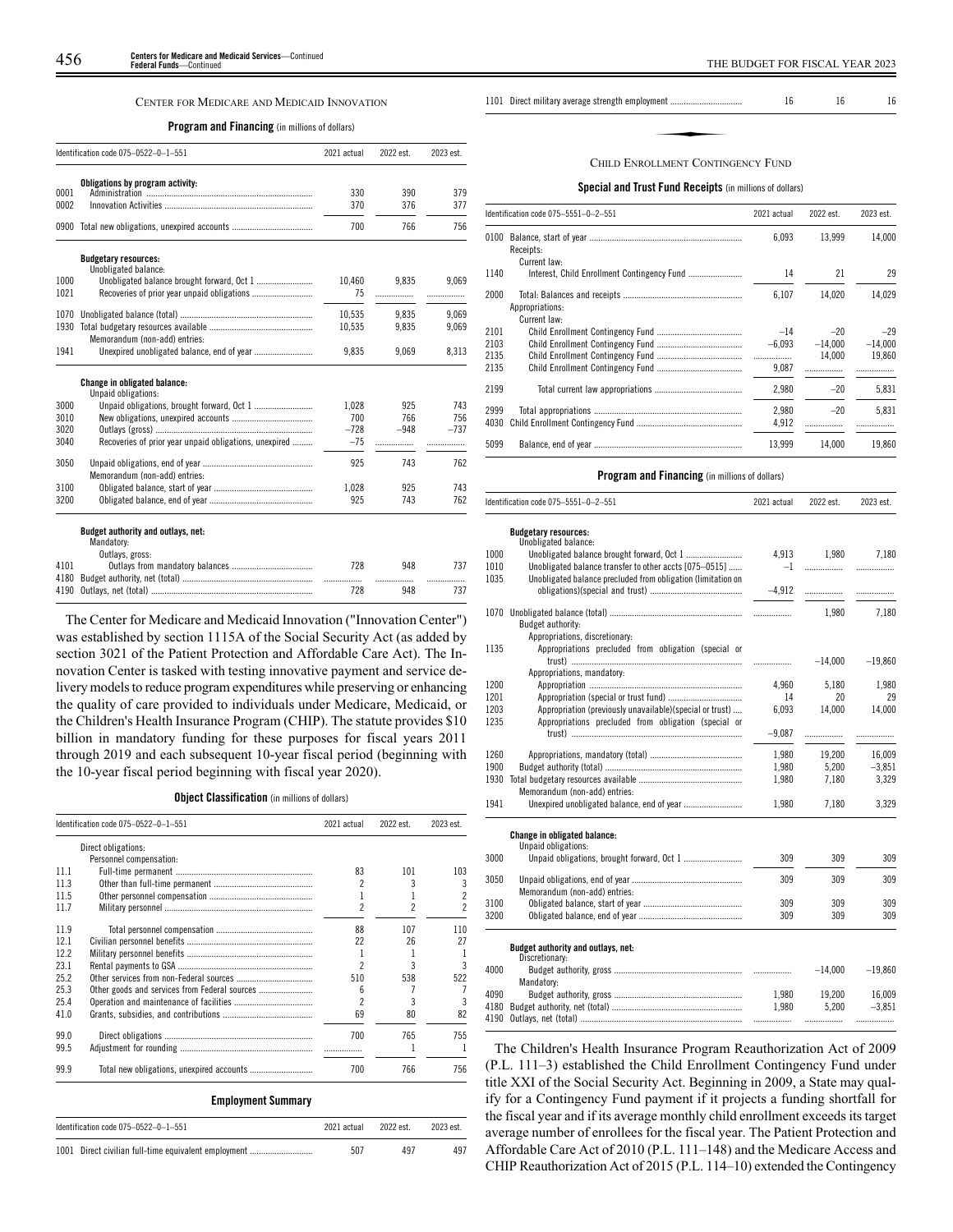## CENTER FOR MEDICARE AND MEDICAID INNOVATION

## **Program and Financing** (in millions of dollars)

|      | Identification code 075-0522-0-1-551                                                                                                                                                                                           | 2021 actual | 2022 est. | 2023 est. |
|------|--------------------------------------------------------------------------------------------------------------------------------------------------------------------------------------------------------------------------------|-------------|-----------|-----------|
|      | Obligations by program activity:                                                                                                                                                                                               |             |           |           |
| 0001 |                                                                                                                                                                                                                                | 330         | 390       | 379       |
| 0002 |                                                                                                                                                                                                                                | 370         | 376       | 377       |
| 0900 |                                                                                                                                                                                                                                | 700         | 766       | 756       |
|      | <b>Budgetary resources:</b><br>Unobligated balance:                                                                                                                                                                            |             |           |           |
| 1000 |                                                                                                                                                                                                                                | 10,460      | 9.835     | 9.069     |
| 1021 |                                                                                                                                                                                                                                | 75          | .         | .         |
| 1070 |                                                                                                                                                                                                                                | 10,535      | 9,835     | 9,069     |
| 1930 |                                                                                                                                                                                                                                | 10,535      | 9,835     | 9,069     |
|      | Memorandum (non-add) entries:                                                                                                                                                                                                  |             |           |           |
| 1941 |                                                                                                                                                                                                                                | 9.835       | 9,069     | 8,313     |
|      | <b>Change in obligated balance:</b><br>Unpaid obligations:                                                                                                                                                                     |             |           |           |
| 3000 |                                                                                                                                                                                                                                | 1.028       | 925       | 743       |
| 3010 |                                                                                                                                                                                                                                | 700         | 766       | 756       |
| 3020 |                                                                                                                                                                                                                                | $-728$      | $-948$    | $-737$    |
| 3040 | Recoveries of prior year unpaid obligations, unexpired                                                                                                                                                                         | $-75$       | .         |           |
| 3050 | Memorandum (non-add) entries:                                                                                                                                                                                                  | 925         | 743       | 762       |
| 3100 |                                                                                                                                                                                                                                | 1.028       | 925       | 743       |
| 3200 |                                                                                                                                                                                                                                | 925         | 743       | 762       |
|      | Budget authority and outlays, net:<br>Mandatory:                                                                                                                                                                               |             |           |           |
|      | Outlays, gross:                                                                                                                                                                                                                |             |           | 737       |
| 4101 |                                                                                                                                                                                                                                | 728         | 948       |           |
| 4180 | 4190 Outlavs net (total) and the control of the control of the control of the control of the control of the control of the control of the control of the control of the control of the control of the control of the control o | 728         | .<br>948  | .<br>737  |
|      |                                                                                                                                                                                                                                |             |           |           |

The Center for Medicare and Medicaid Innovation ("Innovation Center") was established by section 1115A of the Social Security Act (as added by section 3021 of the Patient Protection and Affordable Care Act). The Innovation Center is tasked with testing innovative payment and service delivery models to reduce program expenditures while preserving or enhancing the quality of care provided to individuals under Medicare, Medicaid, or the Children's Health Insurance Program (CHIP). The statute provides \$10 billion in mandatory funding for these purposes for fiscal years 2011 through 2019 and each subsequent 10-year fiscal period (beginning with the 10-year fiscal period beginning with fiscal year 2020).

4190 Outlays, net (total) ...

## **Object Classification** (in millions of dollars)

|      | Identification code 075-0522-0-1-551          | 2021 actual              | 2022 est. | 2023 est. |
|------|-----------------------------------------------|--------------------------|-----------|-----------|
|      | Direct obligations:                           |                          |           |           |
|      | Personnel compensation:                       |                          |           |           |
| 111  |                                               | 83                       | 101       | 103       |
| 11.3 |                                               | 2                        | 3         | 3         |
| 11.5 |                                               | 1                        |           | 2         |
| 117  |                                               | 2                        | 2         | 2         |
| 11.9 |                                               | 88                       | 107       | 110       |
| 12.1 |                                               | 22                       | 26        | 27        |
| 122  |                                               | 1                        |           |           |
| 23.1 |                                               | 2                        | 3         | 3         |
| 25.2 |                                               | 510                      | 538       | 522       |
| 25.3 | Other goods and services from Federal sources | 6                        | 7         |           |
| 25.4 |                                               | $\overline{\phantom{a}}$ | 3         | 3         |
| 41.0 |                                               | 69                       | 80        | 82        |
| 99.0 |                                               | 700                      | 765       | 755       |
| 99.5 |                                               |                          |           |           |
| 99.9 |                                               | 700                      | 766       | 756       |
|      | <b>Employment Summary</b>                     |                          |           |           |
|      | Identification code 075-0522-0-1-551          | 2021 actual              | 2022 est. | 2023 est. |

| 1001 Direct civilian full-time equivalent employment |  |  |
|------------------------------------------------------|--|--|

| 1101 Direct military average strength employment | 16 | 16 | 16 |
|--------------------------------------------------|----|----|----|
|                                                  |    |    |    |
| CHILD ENROLLMENT CONTINGENCY FLIND               |    |    |    |

### CHILD ENROLLMENT CONTINGENCY FUND

## **Special and Trust Fund Receipts** (in millions of dollars)

|                 | 2021 actual                          | 2022 est. | 2023 est. |
|-----------------|--------------------------------------|-----------|-----------|
| Receipts:       | 6,093                                | 13.999    | 14,000    |
| Current law:    |                                      |           |           |
|                 | 14                                   | 21        | 29        |
| Appropriations: | 6,107                                | 14.020    | 14,029    |
| Current law:    |                                      |           |           |
|                 | $-14$                                | $-20$     | $-29$     |
|                 | $-6.093$                             | $-14.000$ | $-14,000$ |
|                 |                                      | 14.000    | 19,860    |
|                 | 9,087                                |           |           |
|                 | 2,980                                | $-20$     | 5,831     |
|                 | 2.980                                | $-20$     | 5.831     |
|                 | 4,912                                | .         |           |
|                 | 13.999                               | 14.000    | 19,860    |
| 4030            | Identification code 075-5551-0-2-551 |           |           |

## **Program and Financing** (in millions of dollars) Identification code 075–5551–0–9–551 2021  $\frac{2021}{2022}$  2023 est. 2023 est. 2023 est. 2023 est. 2023 est. 2023 est. 2023 est. 2023 est. 2023 est. 2023 est. 2023 est. 2023 est. 2023 est. 2023 est. 2023 est. 2023 est. 202

|              | iuciiliilualiuii uuuc v/ J—JJJJI—U—Z—JJI                     | ZUZI alluai    | LULL COL.       | LULJ CSL.          |
|--------------|--------------------------------------------------------------|----------------|-----------------|--------------------|
|              | <b>Budgetary resources:</b>                                  |                |                 |                    |
|              | Unobligated balance:                                         |                |                 |                    |
| 1000         |                                                              | 4,913          | 1,980           | 7,180              |
| 1010         | Unobligated balance transfer to other accts [075-0515]       | $-1$           |                 | .                  |
| 1035         | Unobligated balance precluded from obligation (limitation on |                |                 |                    |
|              |                                                              |                |                 |                    |
|              |                                                              |                | 1.980           | 7.180              |
|              | Budget authority:                                            |                |                 |                    |
|              | Appropriations, discretionary:                               |                |                 |                    |
| 1135         | Appropriations precluded from obligation (special or         |                |                 |                    |
|              |                                                              |                | $-14,000$       | $-19,860$          |
|              | Appropriations, mandatory:                                   |                |                 |                    |
| 1200         |                                                              | 4,960          | 5,180           | 1,980              |
| 1201         | Appropriation (special or trust fund)                        | 14             | 20              | 29                 |
| 1203         | Appropriation (previously unavailable)(special or trust)     | 6,093          | 14,000          | 14,000             |
| 1235         | Appropriations precluded from obligation (special or         |                |                 |                    |
|              |                                                              | $-9,087$       | .               | .                  |
|              |                                                              |                |                 |                    |
| 1260<br>1900 |                                                              | 1,980          | 19,200<br>5.200 | 16,009<br>$-3.851$ |
| 1930         |                                                              | 1,980<br>1,980 | 7,180           | 3,329              |
|              | Memorandum (non-add) entries:                                |                |                 |                    |
| 1941         |                                                              | 1,980          | 7,180           | 3,329              |
|              |                                                              |                |                 |                    |
|              | Change in obligated balance:                                 |                |                 |                    |
|              | Unpaid obligations:                                          |                |                 |                    |
| 3000         |                                                              | 309            | 309             | 309                |
| 3050         |                                                              | 309            | 309             | 309                |
|              | Memorandum (non-add) entries:                                |                |                 |                    |
| 3100         |                                                              | 309            | 309             | 309                |
| 3200         |                                                              | 309            | 309             | 309                |
|              |                                                              |                |                 |                    |
|              | Budget authority and outlays, net:<br>Discretionary:         |                |                 |                    |
| 4000         |                                                              |                | $-14,000$       | $-19,860$          |
|              | Mandatory:                                                   |                |                 |                    |
| 4090         |                                                              | 1.980          | 19.200          | 16.009             |
| 4180         |                                                              | 1,980          | 5,200           | $-3,851$           |
| 4190         |                                                              |                |                 |                    |

The Children's Health Insurance Program Reauthorization Act of 2009 (P.L. 111–3) established the Child Enrollment Contingency Fund under title XXI of the Social Security Act. Beginning in 2009, a State may qualify for a Contingency Fund payment if it projects a funding shortfall for the fiscal year and if its average monthly child enrollment exceeds its target average number of enrollees for the fiscal year. The Patient Protection and Affordable Care Act of 2010 (P.L. 111–148) and the Medicare Access and CHIP Reauthorization Act of 2015 (P.L. 114–10) extended the Contingency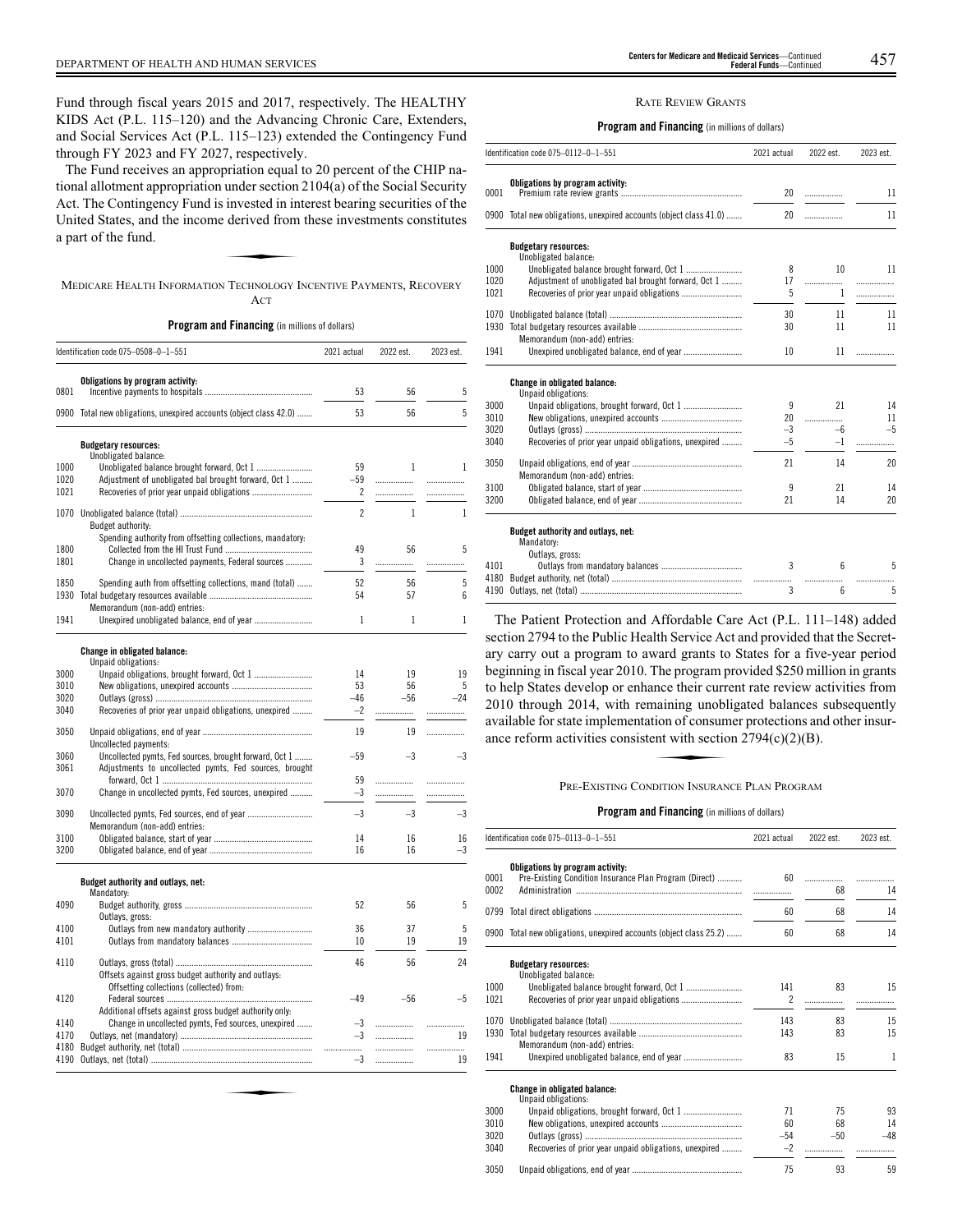Fund through fiscal years 2015 and 2017, respectively. The HEALTHY KIDS Act (P.L. 115–120) and the Advancing Chronic Care, Extenders, and Social Services Act (P.L. 115–123) extended the Contingency Fund through FY 2023 and FY 2027, respectively.

The Fund receives an appropriation equal to 20 percent of the CHIP national allotment appropriation under section 2104(a) of the Social Security Act. The Contingency Fund is invested in interest bearing securities of the United States, and the income derived from these investments constitutes a part of the fund.<br>a part of the fund. United States, and the income derived from these investments constitutes a part of the fund.

MEDICARE HEALTH INFORMATION TECHNOLOGY INCENTIVE PAYMENTS, RECOVERY ACT

**Program and Financing** (in millions of dollars)

|      | Identification code 075-0508-0-1-551                                                            | 2021 actual     | 2022 est.    | 2023 est.    |
|------|-------------------------------------------------------------------------------------------------|-----------------|--------------|--------------|
|      | Obligations by program activity:                                                                |                 |              |              |
| 0801 |                                                                                                 | 53              | 56           | 5            |
| 0900 | Total new obligations, unexpired accounts (object class 42.0)                                   | 53              | 56           | 5            |
|      | <b>Budgetary resources:</b>                                                                     |                 |              |              |
| 1000 | Unobligated balance:                                                                            | 59              | 1            | $\mathbf{1}$ |
| 1020 | Adjustment of unobligated bal brought forward, Oct 1                                            | $-59$           | .            | .            |
| 1021 |                                                                                                 | 2               | .            | .            |
|      |                                                                                                 |                 |              |              |
|      |                                                                                                 | $\overline{c}$  | $\mathbf{1}$ | $\mathbf{1}$ |
|      | Budget authority:<br>Spending authority from offsetting collections, mandatory.                 |                 |              |              |
| 1800 |                                                                                                 | 49              | 56           | 5            |
| 1801 | Change in uncollected payments, Federal sources                                                 | 3               | .            | .            |
|      |                                                                                                 |                 |              |              |
| 1850 | Spending auth from offsetting collections, mand (total)                                         | 52              | 56           | 5            |
| 1930 |                                                                                                 | 54              | 57           | 6            |
|      | Memorandum (non-add) entries:                                                                   |                 |              |              |
| 1941 |                                                                                                 | 1               | 1            | 1            |
|      |                                                                                                 |                 |              |              |
|      | Change in obligated balance:<br>Unpaid obligations:                                             |                 |              |              |
| 3000 |                                                                                                 | 14              | 19           | 19           |
| 3010 |                                                                                                 | 53              | 56           | 5            |
| 3020 |                                                                                                 | $-46$           | $-56$        | $-24$        |
| 3040 | Recoveries of prior year unpaid obligations, unexpired                                          | $-2$            |              | .            |
|      |                                                                                                 | 19              |              |              |
| 3050 |                                                                                                 |                 | 19           |              |
| 3060 | Uncollected payments:<br>Uncollected ovmts. Fed sources, brought forward, Oct 1                 | $-59$           | $-3$         | $-3$         |
| 3061 | Adjustments to uncollected pymts, Fed sources, brought                                          |                 |              |              |
|      |                                                                                                 | 59              |              | .            |
| 3070 | Change in uncollected pymts, Fed sources, unexpired                                             | $-3$            | .            | .            |
|      |                                                                                                 |                 |              |              |
| 3090 |                                                                                                 | $-3$            | $-3$         | $-3$         |
| 3100 | Memorandum (non-add) entries:                                                                   | 14              | 16           | 16           |
| 3200 |                                                                                                 | 16              | 16           | $-3$         |
|      |                                                                                                 |                 |              |              |
|      | Budget authority and outlays, net:                                                              |                 |              |              |
| 4090 | Mandatory:                                                                                      | 52              | 56           | 5            |
|      | Outlays, gross:                                                                                 |                 |              |              |
| 4100 | Outlays from new mandatory authority                                                            | 36              | 37           | 5            |
| 4101 |                                                                                                 | 10 <sup>2</sup> | 19           | 19           |
|      |                                                                                                 |                 |              | 24           |
| 4110 |                                                                                                 | 46              | 56           |              |
|      | Offsets against gross budget authority and outlays:<br>Offsetting collections (collected) from: |                 |              |              |
| 4120 |                                                                                                 | $-49$           | $-56$        | $-5$         |
|      | Additional offsets against gross budget authority only:                                         |                 |              |              |
| 4140 | Change in uncollected pymts, Fed sources, unexpired                                             | $-3$            |              | .            |
| 4170 |                                                                                                 | $-3$            | .            | 19           |
| 4180 |                                                                                                 |                 | .            | .            |
| 4190 |                                                                                                 | $-3$            | .            | 19           |

### RATE REVIEW GRANTS

## **Program and Financing** (in millions of dollars)

|      | Identification code 075-0112-0-1-551                                                                                                                                                                                           | 2021 actual  | 2022 est.        | 2023 est. |
|------|--------------------------------------------------------------------------------------------------------------------------------------------------------------------------------------------------------------------------------|--------------|------------------|-----------|
|      | Obligations by program activity:                                                                                                                                                                                               |              |                  |           |
| 0001 |                                                                                                                                                                                                                                | 20           | .                | 11        |
|      | 0900 Total new obligations, unexpired accounts (object class 41.0)                                                                                                                                                             | 20           | .                | 11        |
|      | <b>Budgetary resources:</b><br>Unobligated balance:                                                                                                                                                                            |              |                  |           |
| 1000 |                                                                                                                                                                                                                                | 8            | 10 <sup>10</sup> | 11        |
| 1020 | Adjustment of unobligated bal brought forward, Oct 1                                                                                                                                                                           | 17           |                  | .         |
| 1021 |                                                                                                                                                                                                                                | 5            | $\mathbf{1}$     | .         |
| 1070 |                                                                                                                                                                                                                                | 30           | 11               | 11        |
| 1930 |                                                                                                                                                                                                                                | 30           | 11               | 11        |
|      | Memorandum (non-add) entries:                                                                                                                                                                                                  |              |                  |           |
| 1941 |                                                                                                                                                                                                                                | 10           | 11               | .         |
|      | Change in obligated balance:<br>Unpaid obligations:                                                                                                                                                                            |              |                  |           |
| 3000 |                                                                                                                                                                                                                                | 9            | 21               | 14        |
| 3010 |                                                                                                                                                                                                                                | 20           | .                | 11        |
| 3020 |                                                                                                                                                                                                                                | $-3$         | $-6$             | $-5$      |
| 3040 | Recoveries of prior year unpaid obligations, unexpired                                                                                                                                                                         | $-5$         | -1               |           |
| 3050 |                                                                                                                                                                                                                                | 21           | 14               | 20        |
| 3100 | Memorandum (non-add) entries:                                                                                                                                                                                                  | 9            | 21               | 14        |
| 3200 |                                                                                                                                                                                                                                | 21           | 14               | 20        |
|      |                                                                                                                                                                                                                                |              |                  |           |
|      | Budget authority and outlays, net:<br>Mandatory:                                                                                                                                                                               |              |                  |           |
|      | Outlays, gross:                                                                                                                                                                                                                |              |                  |           |
| 4101 |                                                                                                                                                                                                                                | 3            | ĥ                | 5         |
|      |                                                                                                                                                                                                                                |              | .                |           |
|      | 4190 Outlavs net (total) and the control of the control of the control of the control of the control of the control of the control of the control of the control of the control of the control of the control of the control o | $\mathbf{3}$ | 6.               | 5         |

The Patient Protection and Affordable Care Act (P.L. 111–148) added section 2794 to the Public Health Service Act and provided that the Secretary carry out a program to award grants to States for a five-year period beginning in fiscal year 2010. The program provided \$250 million in grants to help States develop or enhance their current rate review activities from 2010 through 2014, with remaining unobligated balances subsequently<br>
2010 through 2014, with remaining unobligated balances subsequently<br>
available for state implementation of consumer protections and other insur-<br>
ance r available for state implementation of consumer protections and other insurance reform activities consistent with section  $2794(c)(2)(B)$ .

4190 Outlays, net (total) ...

## PRE-EXISTING CONDITION INSURANCE PLAN PROGRAM

**Program and Financing** (in millions of dollars)

|              | Identification code 075-0113-0-1-551                                                       | 2021 actual | 2022 est. | 2023 est. |
|--------------|--------------------------------------------------------------------------------------------|-------------|-----------|-----------|
| 0001<br>0002 | Obligations by program activity:<br>Pre-Existing Condition Insurance Plan Program (Direct) | 60          | .<br>68   | .<br>14   |
|              |                                                                                            | 60          | 68        | 14        |
|              | 0900 Total new obligations, unexpired accounts (object class 25.2)                         | 60          | 68        | 14        |
|              | <b>Budgetary resources:</b>                                                                |             |           |           |
| 1000<br>1021 | Unobligated balance:                                                                       | 141<br>2    | 83        | 15        |
|              |                                                                                            | 143         | 83        | 15        |
|              | Memorandum (non-add) entries:                                                              | 143         | 83        | 15        |
| 1941         |                                                                                            | 83          | 15        | 1         |
|              | <b>Change in obligated balance:</b><br>Unpaid obligations:                                 |             |           |           |
| 3000         |                                                                                            | 71          | 75        | 93        |
| 3010         |                                                                                            | 60          | 68        | 14        |
| 3020         |                                                                                            | $-54$       | $-50$     | $-48$     |
| 3040         | Recoveries of prior year unpaid obligations, unexpired                                     | $-2$        | .         |           |

3050 Unpaid obligations, end of year ................................................. 75 93 59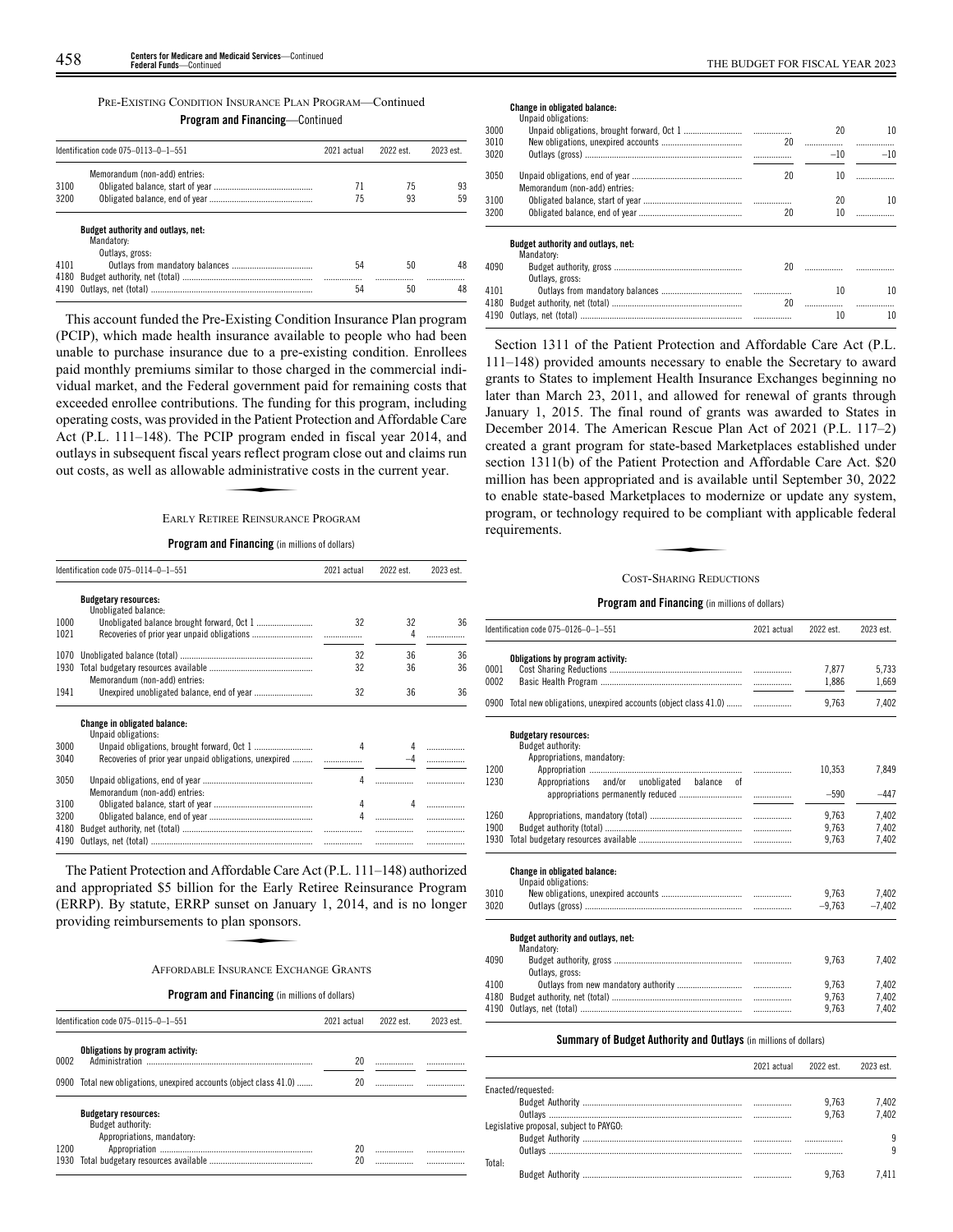## PRE-EXISTING CONDITION INSURANCE PLAN PROGRAM—Continued

**Program and Financing**—Continued

|      | Identification code 075-0113-0-1-551                    | 2021 actual | 2022 est. | 2023 est |
|------|---------------------------------------------------------|-------------|-----------|----------|
|      | Memorandum (non-add) entries:                           |             |           |          |
| 3100 |                                                         | 71          | 75        | 93       |
| 3200 |                                                         | 75          | 93        | 59       |
|      | <b>Budget authority and outlays, net:</b><br>Mandatory: |             |           |          |
|      | Outlays, gross:                                         |             |           |          |
| 4101 |                                                         | 54          | 50        | 48       |
| 4180 |                                                         |             | .         |          |

This account funded the Pre-Existing Condition Insurance Plan program (PCIP), which made health insurance available to people who had been unable to purchase insurance due to a pre-existing condition. Enrollees paid monthly premiums similar to those charged in the commercial individual market, and the Federal government paid for remaining costs that exceeded enrollee contributions. The funding for this program, including operating costs, was provided in the Patient Protection and Affordable Care Act (P.L. 111–148). The PCIP program ended in fiscal year 2014, and<br>
outlays in subsequent fiscal years reflect program close out and claims run<br>
out costs, as well as allowable administrative costs in the current year.<br>
F outlays in subsequent fiscal years reflect program close out and claims run out costs, as well as allowable administrative costs in the current year.

## EARLY RETIREE REINSURANCE PROGRAM

## **Program and Financing** (in millions of dollars)

|              | Identification code 075-0114-0-1-551                   | 2021 actual | 2022 est. | 2023 est. |
|--------------|--------------------------------------------------------|-------------|-----------|-----------|
|              | <b>Budgetary resources:</b><br>Unobligated balance:    |             |           |           |
| 1000         |                                                        | 32          | 32        | 36        |
| 1021         |                                                        |             | 4         |           |
| 1070         |                                                        | 32          | 36        | 36        |
| 1930         | Memorandum (non-add) entries:                          | 32          | 36        | 36        |
| 1941         |                                                        | 32          | 36        | 36        |
|              | Change in obligated balance:<br>Unpaid obligations:    |             |           |           |
| 3000         |                                                        | 4           | 4         |           |
| 3040         | Recoveries of prior year unpaid obligations, unexpired |             |           |           |
| 3050         | Memorandum (non-add) entries:                          | 4           |           |           |
| 3100         |                                                        | 4           | 4         |           |
| 3200         |                                                        | 4           |           |           |
| 4180<br>4190 |                                                        |             |           |           |

The Patient Protection and Affordable Care Act (P.L. 111–148) authorized and appropriated \$5 billion for the Early Retiree Reinsurance Program<br>
(ERRP). By statute, ERRP sunset on January 1, 2014, and is no longer<br>
providing reimbursements to plan sponsors.<br>
AFFORDABLE INSURANCE EXCHANGE GRANTS (ERRP). By statute, ERRP sunset on January 1, 2014, and is no longer providing reimbursements to plan sponsors.

## AFFORDABLE INSURANCE EXCHANGE GRANTS

**Program and Financing** (in millions of dollars)

|              | Identification code 075-0115-0-1-551                                                                                | 2021 actual | 2022 est. | 2023 est. |
|--------------|---------------------------------------------------------------------------------------------------------------------|-------------|-----------|-----------|
| 0002<br>0900 | Obligations by program activity:<br>Administration<br>Total new obligations, unexpired accounts (object class 41.0) | 20<br>20    |           |           |
| 1200<br>1930 | <b>Budgetary resources:</b><br>Budget authority:<br>Appropriations, mandatory:                                      | 20<br>20    |           |           |

## **Change in obligated balance:**

|      | Unpaid obligations:                |    |        |       |
|------|------------------------------------|----|--------|-------|
| 3000 |                                    |    | 20     | 10    |
| 3010 |                                    | 20 |        |       |
| 3020 |                                    |    | $-10$  | $-10$ |
| 3050 |                                    | 20 | 10     | .     |
|      | Memorandum (non-add) entries:      |    |        |       |
| 3100 |                                    |    | 20     | 10    |
| 3200 |                                    | 20 | 10     |       |
|      | Budget authority and outlays, net: |    |        |       |
|      | Mandatory:                         |    |        |       |
| 4090 |                                    | 20 |        |       |
|      | Outlays, gross:                    |    |        |       |
| 4101 |                                    |    | 10     | 10    |
| 4180 |                                    | 20 |        |       |
|      | 4190 Outlavs net (total)           |    | $10 -$ | 10    |

Section 1311 of the Patient Protection and Affordable Care Act (P.L. 111–148) provided amounts necessary to enable the Secretary to award grants to States to implement Health Insurance Exchanges beginning no later than March 23, 2011, and allowed for renewal of grants through January 1, 2015. The final round of grants was awarded to States in December 2014. The American Rescue Plan Act of 2021 (P.L. 117–2) created a grant program for state-based Marketplaces established under section 1311(b) of the Patient Protection and Affordable Care Act. \$20 million has been appropriated and is available until September 30, 2022 to enable state-based Marketplaces to modernize or update any system, program, or technology required to be compliant with applicable federal requirements. Para is available to modern to be com-<br>red to be com-<br>SHARING REDUC

### COST-SHARING REDUCTIONS

### **Program and Financing** (in millions of dollars)

|      | Identification code 075-0126-0-1-551                                           | 2021 actual | 2022 est. | 2023 est. |
|------|--------------------------------------------------------------------------------|-------------|-----------|-----------|
|      | Obligations by program activity:                                               |             |           |           |
| 0001 |                                                                                |             | 7.877     | 5.733     |
| 0002 |                                                                                |             | 1,886     | 1,669     |
| 0900 | Total new obligations, unexpired accounts (object class 41.0)                  |             | 9,763     | 7,402     |
|      | <b>Budgetary resources:</b><br>Budget authority:<br>Appropriations, mandatory: |             |           |           |
| 1200 |                                                                                |             | 10,353    | 7,849     |
| 1230 | Appropriations and/or unobligated balance of                                   |             |           |           |
|      | appropriations permanently reduced                                             | .           | $-590$    | $-447$    |
| 1260 |                                                                                |             | 9.763     | 7,402     |
| 1900 |                                                                                |             | 9,763     | 7,402     |
| 1930 |                                                                                |             | 9.763     | 7,402     |
|      | <b>Change in obligated balance:</b><br>Unpaid obligations:                     |             |           |           |
| 3010 |                                                                                |             | 9.763     | 7,402     |
| 3020 |                                                                                |             | $-9.763$  | $-7,402$  |
|      | Budget authority and outlays, net:<br>Mandatory:                               |             |           |           |
| 4090 |                                                                                |             | 9.763     | 7.402     |
|      | Outlays, gross:                                                                |             |           |           |
| 4100 |                                                                                | $\ldots$    | 9,763     | 7.402     |
| 4180 |                                                                                | $\ldots$    | 9.763     | 7,402     |
| 4190 |                                                                                |             | 9,763     | 7,402     |

### **Summary of Budget Authority and Outlays** (in millions of dollars)

|                                         | 2021 actual | 2022 est. | 2023 est. |
|-----------------------------------------|-------------|-----------|-----------|
| Enacted/requested:                      |             |           |           |
|                                         |             | 9.763     | 7.402     |
|                                         |             | 9.763     | 7.402     |
| Legislative proposal, subiect to PAYGO: |             |           |           |
|                                         |             |           | ٩         |
|                                         |             | .         | q         |
| Total:                                  |             |           |           |
|                                         |             | 9.763     | 7.411     |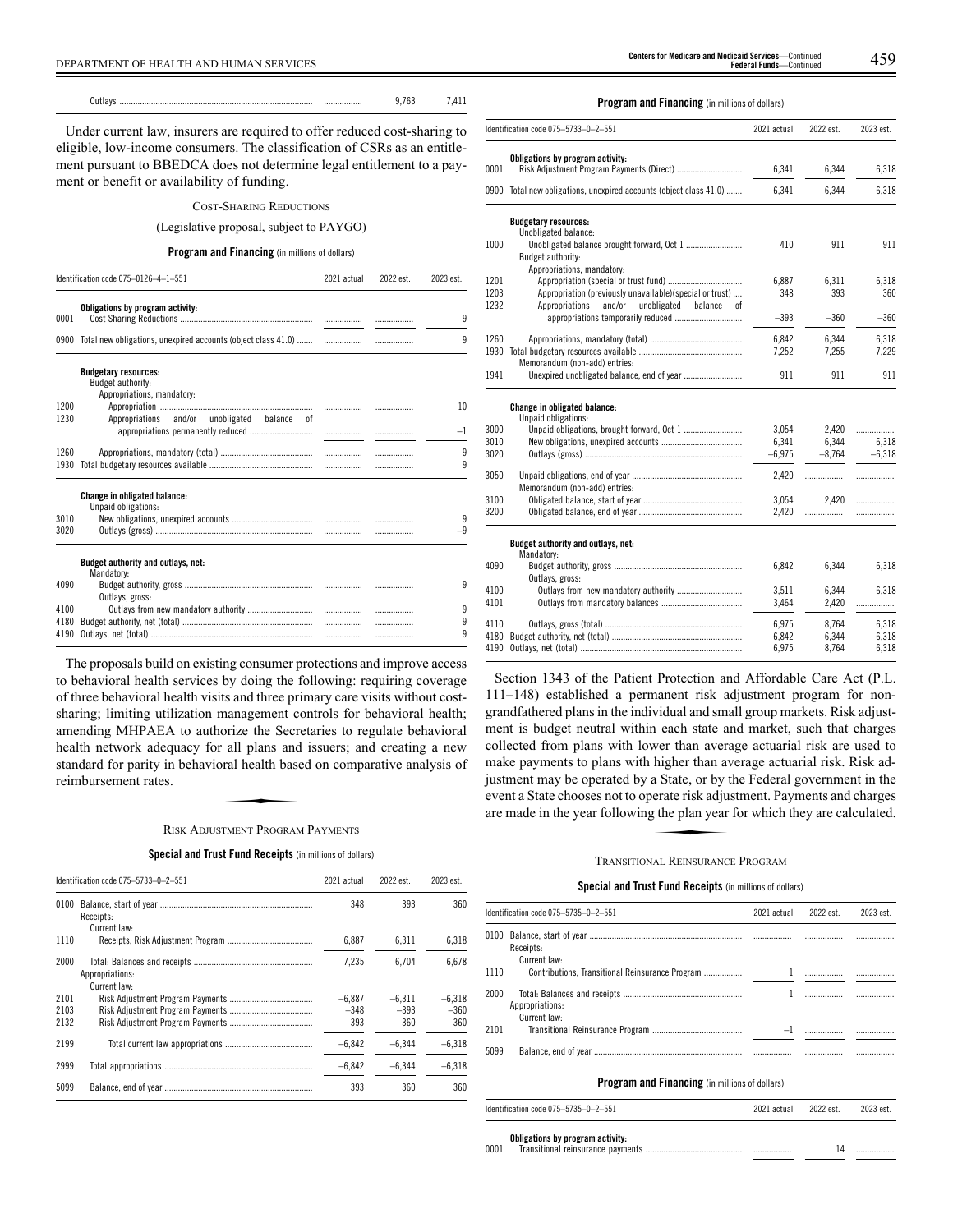DEPARTMENT OF HEALTH AND HUMAN SERVICES 459 **Centers for Medicare and Medicaid Services**—Continued **Federal Funds**—Continued

Under current law, insurers are required to offer reduced cost-sharing to eligible, low-income consumers. The classification of CSRs as an entitlement pursuant to BBEDCA does not determine legal entitlement to a payment or benefit or availability of funding.

# COST-SHARING REDUCTIONS

# (Legislative proposal, subject to PAYGO)

# **Program and Financing** (in millions of dollars)

|              | Identification code 075-0126-4-1-551                                           |  | 2022 est. | 2023 est.     |
|--------------|--------------------------------------------------------------------------------|--|-----------|---------------|
| 0001         | Obligations by program activity:                                               |  |           | q             |
|              |                                                                                |  |           |               |
|              |                                                                                |  |           | q             |
|              | <b>Budgetary resources:</b><br>Budget authority:<br>Appropriations, mandatory: |  |           |               |
| 1200<br>1230 | Appropriations and/or unobligated balance of                                   |  |           | 10            |
|              |                                                                                |  |           | $-\mathsf{I}$ |
| 1260         |                                                                                |  |           | 9             |
| 1930         |                                                                                |  |           | 9             |
|              | <b>Change in obligated balance:</b><br>Unpaid obligations:                     |  |           |               |
| 3010         |                                                                                |  |           | 9             |
| 3020         |                                                                                |  |           |               |
|              | Budget authority and outlays, net:<br>Mandatory:                               |  |           |               |
| 4090         | Outlavs, gross:                                                                |  |           | 9             |
| 4100         |                                                                                |  |           | 9             |
| 4180         |                                                                                |  |           | 9             |
| 4190         |                                                                                |  | .         | 9             |
|              |                                                                                |  |           |               |

The proposals build on existing consumer protections and improve access to behavioral health services by doing the following: requiring coverage of three behavioral health visits and three primary care visits without costsharing; limiting utilization management controls for behavioral health; amending MHPAEA to authorize the Secretaries to regulate behavioral health network adequacy for all plans and issuers; and creating a new<br>standard for parity in behavioral health based on comparative analysis of<br>reimbursement rates.<br>RISK ADUISTMENT PROGRAM PAYMENTS standard for parity in behavioral health based on comparative analysis of reimbursement rates.

# RISK ADJUSTMENT PROGRAM PAYMENTS

**Special and Trust Fund Receipts** (in millions of dollars)

|                      | Identification code 075-5733-0-2-551 | 2021 actual               | 2022 est.                 | 2023 est.                 |
|----------------------|--------------------------------------|---------------------------|---------------------------|---------------------------|
| 0100                 | Receipts:<br>Current law:            | 348                       | 393                       | 360                       |
| 1110                 |                                      | 6,887                     | 6.311                     | 6,318                     |
| 2000                 | Appropriations:<br>Current law:      | 7.235                     | 6.704                     | 6.678                     |
| 2101<br>2103<br>2132 |                                      | $-6.887$<br>$-348$<br>393 | $-6.311$<br>$-393$<br>360 | $-6.318$<br>$-360$<br>360 |
| 2199                 |                                      | $-6.842$                  | $-6.344$                  | $-6.318$                  |
| 2999                 |                                      | $-6,842$                  | $-6.344$                  | $-6.318$                  |
| 5099                 |                                      | 393                       | 360                       | 360                       |

# **Program and Financing** (in millions of dollars)

|      | Identification code 075-5733-0-2-551                          | 2021 actual | 2022 est. | 2023 est. |
|------|---------------------------------------------------------------|-------------|-----------|-----------|
|      | Obligations by program activity:                              |             |           |           |
| 0001 | Risk Adjustment Program Payments (Direct)                     | 6,341       | 6,344     | 6,318     |
| 0900 | Total new obligations, unexpired accounts (object class 41.0) | 6,341       | 6,344     | 6,318     |
|      | <b>Budgetary resources:</b>                                   |             |           |           |
| 1000 | Unobligated balance:<br>Budget authority:                     | 410         | 911       | 911       |
|      | Appropriations, mandatory:                                    |             |           |           |
| 1201 |                                                               | 6.887       | 6.311     | 6,318     |
| 1203 | Appropriation (previously unavailable)(special or trust)      | 348         | 393       | 360       |
| 1232 | and/or<br>unobligated<br>Appropriations<br>balance<br>οf      |             |           |           |
|      |                                                               | $-393$      | $-360$    | $-360$    |
| 1260 |                                                               | 6,842       | 6.344     | 6,318     |
| 1930 |                                                               | 7,252       | 7,255     | 7,229     |
|      | Memorandum (non-add) entries:                                 |             |           |           |
| 1941 |                                                               | 911         | 911       | 911       |
|      | Change in obligated balance:<br>Unpaid obligations:           |             |           |           |
| 3000 |                                                               | 3.054       | 2.420     | .         |
| 3010 |                                                               | 6,341       | 6,344     | 6.318     |
| 3020 |                                                               | $-6,975$    | $-8.764$  | $-6.318$  |
| 3050 |                                                               | 2,420       | .         | .         |
|      | Memorandum (non-add) entries:                                 |             |           |           |
| 3100 |                                                               | 3,054       | 2.420     | .         |
| 3200 |                                                               | 2,420       | .         |           |
|      | Budget authority and outlays, net:<br>Mandatory:              |             |           |           |
| 4090 |                                                               | 6,842       | 6,344     | 6,318     |
|      | Outlays, gross:                                               |             |           |           |
| 4100 |                                                               | 3,511       | 6.344     | 6.318     |
| 4101 |                                                               | 3,464       | 2,420     | .         |
| 4110 |                                                               | 6,975       | 8.764     | 6,318     |
| 4180 |                                                               | 6,842       | 6,344     | 6.318     |
| 4190 |                                                               | 6,975       | 8,764     | 6,318     |

Section 1343 of the Patient Protection and Affordable Care Act (P.L. 111–148) established a permanent risk adjustment program for nongrandfathered plans in the individual and small group markets. Risk adjustment is budget neutral within each state and market, such that charges collected from plans with lower than average actuarial risk are used to make payments to plans with higher than average actuarial risk. Risk adjustment may be operated by a State, or by the Federal government in the event a State chooses not to operate risk adjustment. Payments and charges are made in the year following the plan year for which they are calculated. ingher than an<br>a State, or by t<br>erate risk adju<br>terms and the plan year

# TRANSITIONAL REINSURANCE PROGRAM

# **Special and Trust Fund Receipts** (in millions of dollars)

|      | Identification code 075-5735-0-2-551            | 2021 actual | 2022 est. | 2023 est. |
|------|-------------------------------------------------|-------------|-----------|-----------|
| 0100 | Receipts:<br>Current law:                       |             |           |           |
| 1110 | Contributions. Transitional Reinsurance Program |             |           |           |
| 2000 | Appropriations:<br>Current law:                 |             |           |           |
| 2101 |                                                 |             |           |           |
| 5099 |                                                 |             |           |           |
|      | Program and Financing (in millions of dollars)  |             |           |           |

| Identification code 075-5735-0-2-551 | 2021 actual | 2022 est. | 2023 est. |
|--------------------------------------|-------------|-----------|-----------|
| Obligations by program activity:     |             |           |           |

0001 Transitional reinsurance payments ........................................... ................. 14 .................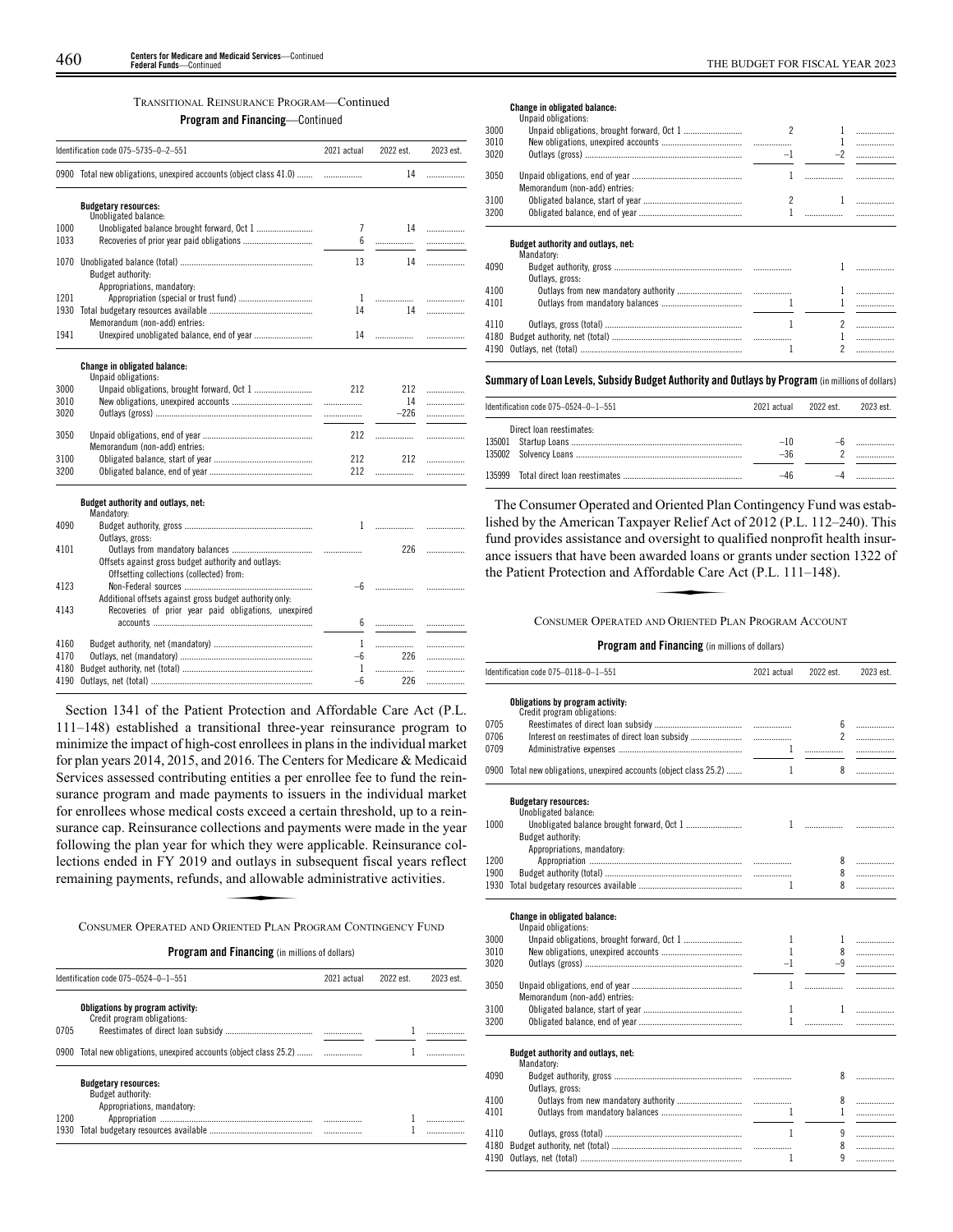# TRANSITIONAL REINSURANCE PROGRAM—Continued

**Program and Financing**—Continued

|      | Identification code 075-5735-0-2-551                                                            | 2021 actual  | 2022 est. | 2023 est. |
|------|-------------------------------------------------------------------------------------------------|--------------|-----------|-----------|
|      | 0900 Total new obligations, unexpired accounts (object class 41.0)                              |              | 14        | .         |
|      | <b>Budgetary resources:</b><br>Unobligated balance:                                             |              |           |           |
| 1000 |                                                                                                 | 7            | 14        | .         |
| 1033 |                                                                                                 | 6            |           | .         |
|      |                                                                                                 |              |           |           |
| 1070 | Budget authority:<br>Appropriations, mandatory:                                                 | 13           | 14        | .         |
| 1201 |                                                                                                 | $\mathbf{1}$ |           | .         |
| 1930 |                                                                                                 | 14           | 14        | .         |
|      | Memorandum (non-add) entries:                                                                   |              |           |           |
| 1941 |                                                                                                 | 14           |           | .         |
|      | Change in obligated balance:                                                                    |              |           |           |
|      | Unpaid obligations:                                                                             |              |           |           |
| 3000 |                                                                                                 | 212          | 212       | .         |
| 3010 |                                                                                                 | .            | 14        | .         |
| 3020 |                                                                                                 |              | $-226$    | .         |
| 3050 | Memorandum (non-add) entries:                                                                   | 212          | .         | .         |
| 3100 |                                                                                                 | 212          | 212       | .         |
| 3200 |                                                                                                 | 212          | .         | .         |
|      | Budget authority and outlays, net:                                                              |              |           |           |
|      | Mandatory:                                                                                      |              |           |           |
| 4090 |                                                                                                 |              |           | .         |
|      | Outlays, gross:                                                                                 |              |           |           |
| 4101 |                                                                                                 |              | 226       | .         |
|      | Offsets against gross budget authority and outlays:<br>Offsetting collections (collected) from: |              |           |           |
| 4123 |                                                                                                 |              | —6 ……………… | .         |
|      | Additional offsets against gross budget authority only:                                         |              |           |           |
| 4143 | Recoveries of prior year paid obligations, unexpired                                            |              |           |           |
|      |                                                                                                 |              |           | .         |
|      |                                                                                                 |              |           |           |
| 4160 |                                                                                                 | 1            |           | .         |
| 4170 |                                                                                                 | -6           | 226       | .         |
| 4180 |                                                                                                 | 1            | .         | .         |
| 4190 |                                                                                                 | $-6$         | 226       | .         |

Section 1341 of the Patient Protection and Affordable Care Act (P.L. 111–148) established a transitional three-year reinsurance program to minimize the impact of high-cost enrollees in plans in the individual market for plan years 2014, 2015, and 2016. The Centers for Medicare & Medicaid Services assessed contributing entities a per enrollee fee to fund the reinsurance program and made payments to issuers in the individual market for enrollees whose medical costs exceed a certain threshold, up to a reinsurance cap. Reinsurance collections and payments were made in the year following the plan year for which they were applicable. Reinsurance collections ended in FY 2019 and outlays in subsequent fiscal years reflect remaining payments, refunds, and allowable administrative activities. Eccions and particle the<br>hich they were<br>and allowable<br>and allowable<br>RIENTED PLAN P

#### CONSUMER OPERATED AND ORIENTED PLAN PROGRAM CONTINGENCY FUND

# **Program and Financing** (in millions of dollars)

|              | Identification code 075-0524-0-1-551                                                                                                  | 2021 actual | 2022 est. | 2023 est. |
|--------------|---------------------------------------------------------------------------------------------------------------------------------------|-------------|-----------|-----------|
| 0705         | Obligations by program activity:<br>Credit program obligations:<br>0900 Total new obligations, unexpired accounts (object class 25.2) |             |           |           |
| 1200<br>1930 | <b>Budgetary resources:</b><br>Budget authority:<br>Appropriations, mandatory:                                                        |             |           |           |

#### **Change in obligated balance:**

|      | Unpaid obligations:                              |      |          |   |
|------|--------------------------------------------------|------|----------|---|
| 3000 |                                                  |      |          | . |
| 3010 |                                                  |      |          | . |
| 3020 |                                                  | $-1$ | $-2$     | . |
| 3050 | Memorandum (non-add) entries:                    |      |          |   |
| 3100 |                                                  |      |          |   |
| 3200 |                                                  |      | $\cdots$ |   |
|      | Budget authority and outlays, net:<br>Mandatory: |      |          |   |
| 4090 |                                                  |      |          |   |
|      | Outlays, gross:                                  |      |          |   |
| 4100 |                                                  |      |          |   |
| 4101 |                                                  |      |          |   |
| 4110 |                                                  |      |          |   |
| 4180 |                                                  |      |          |   |
|      |                                                  |      |          |   |

#### **Summary ofLoan Levels, Subsidy Budget Authority and Outlays by Program** (inmillionsof dollars)

|        | Identification code 075-0524-0-1-551 | 2021 actual    | 2022 est | 2023 est. |
|--------|--------------------------------------|----------------|----------|-----------|
|        | Direct loan reestimates:             | $-10$<br>$-36$ |          |           |
| 135999 |                                      | $-46$          |          |           |

The Consumer Operated and Oriented Plan Contingency Fund was established by the American Taxpayer Relief Act of 2012 (P.L. 112–240). This fund provides assistance and oversight to qualified nonprofit health insurance issuers that have been awarded loans or grants under section 1322 of the Patient Protection and Affordable Care Act (P.L. 111–148).<br>CONSUMER OP ance issuers that have been awarded loans or grants under section 1322 of the Patient Protection and Affordable Care Act (P.L. 111 –148).

CONSUMER OPERATED AND ORIENTED PLAN PROGRAM ACCOUNT

|              | Identification code 075-0118-0-1-551                               | 2021 actual  | 2022 est.         | 2023 est. |
|--------------|--------------------------------------------------------------------|--------------|-------------------|-----------|
| 0705<br>0706 | Obligations by program activity:<br>Credit program obligations:    |              | 6<br>$\mathbf{2}$ | .<br>.    |
| 0709         |                                                                    | $\mathbf{1}$ |                   | .         |
|              | 0900 Total new obligations, unexpired accounts (object class 25.2) | 1            | 8                 | .         |
|              |                                                                    |              |                   |           |
|              | <b>Budgetary resources:</b><br>Unobligated balance:                |              |                   |           |
| 1000         |                                                                    |              |                   |           |
|              | Budget authority:                                                  |              |                   |           |
| 1200         | Appropriations, mandatory:                                         |              | 8                 | .         |
| 1900         |                                                                    |              | 8                 | .         |
| 1930         |                                                                    | 1            | 8                 | .         |
|              | Change in obligated balance:<br>Unpaid obligations:                |              |                   |           |
| 3000<br>3010 |                                                                    | 1<br>1       | $\mathbf{1}$      | .         |
| 3020         |                                                                    | $-1$         | 8<br>$-9$         | .<br>.    |
|              |                                                                    |              |                   |           |
| 3050         | Memorandum (non-add) entries:                                      | 1            |                   | .         |
| 3100         |                                                                    | 1            | 1                 | .         |
| 3200         |                                                                    | $\mathbf{1}$ |                   | .         |
|              |                                                                    |              |                   |           |
|              | Budget authority and outlays, net:<br>Mandatory:                   |              |                   |           |
| 4090         |                                                                    |              | 8                 | .         |
|              | Outlays, gross:                                                    |              |                   |           |
| 4100         |                                                                    |              | 8                 | .         |
| 4101         |                                                                    | $\mathbf{1}$ | $\mathbf{1}$      | .         |
| 4110         |                                                                    | 1            | 9                 | .         |
| 4180         |                                                                    |              | 8                 | .         |
| 4190         |                                                                    | 1            | q                 | .         |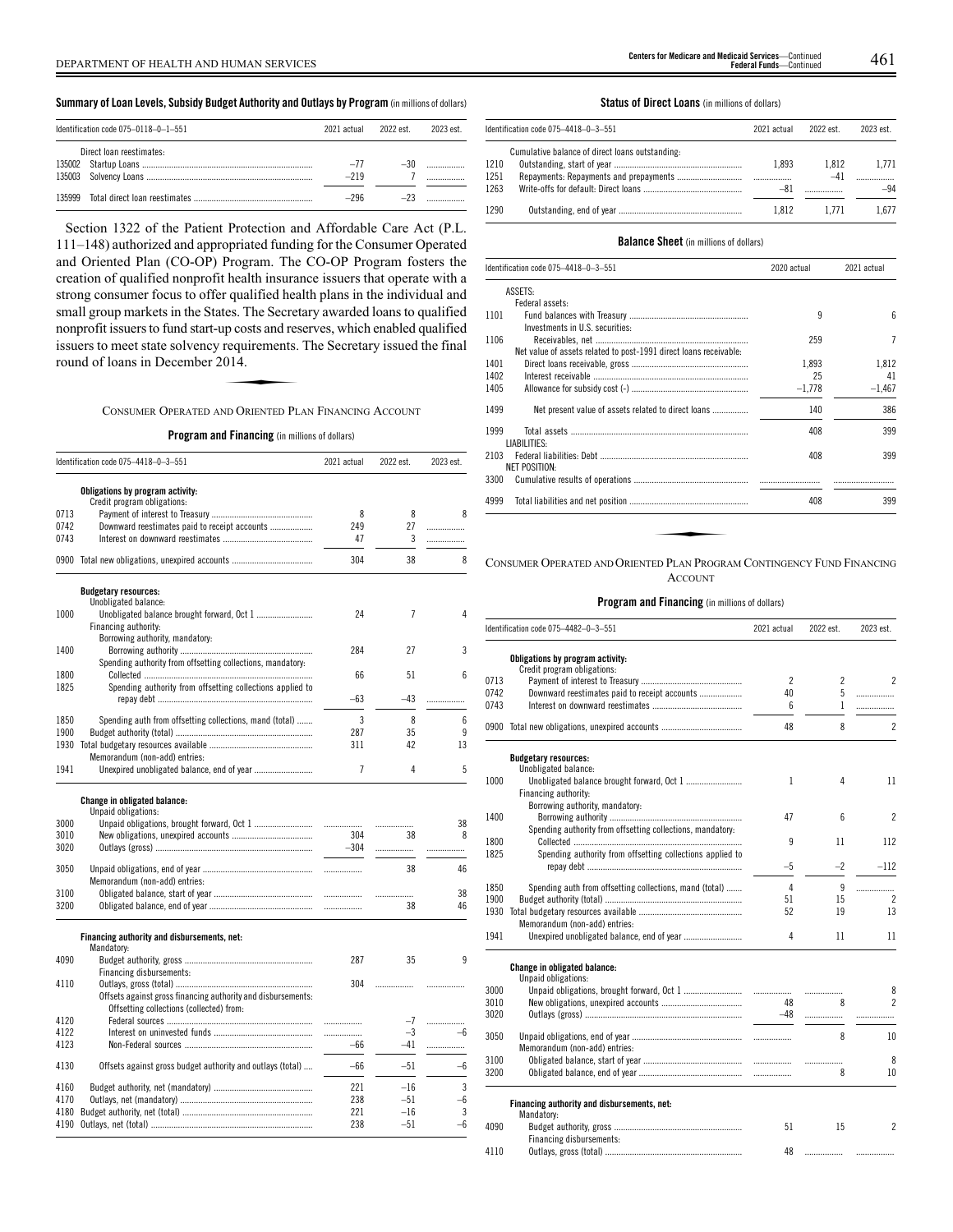# **Summary ofLoan Levels, Subsidy Budget Authority and Outlays by Program** (inmillionsof dollars)

|        | Identification code 075-0118-0-1-551 | 2021 actual | 2022 est | 2023 est |
|--------|--------------------------------------|-------------|----------|----------|
|        | Direct loan reestimates:             |             |          |          |
|        |                                      | $-77$       | $-30$    |          |
|        |                                      | $-219$      |          |          |
| 135999 |                                      | -296        |          |          |

Section 1322 of the Patient Protection and Affordable Care Act (P.L. 111–148) authorized and appropriated funding for the Consumer Operated and Oriented Plan (CO-OP) Program. The CO-OP Program fosters the creation of qualified nonprofit health insurance issuers that operate with a strong consumer focus to offer qualified health plans in the individual and small group markets in the States. The Secretary awarded loans to qualified nonprofit issuers to fund start-up costs and reserves, which enabled qualified issuers to meet state solvency requirements. The Secretary issued the final round of loans in December 2014. ELECTION CONTROLLER<br>
IP Costs and res<br>
requirements.<br>
ORENTED PL

# CONSUMER OPERATED AND ORIENTED PLAN FINANCING ACCOUNT

# **Program and Financing** (in millions of dollars)

|      | Identification code 075-4418-0-3-551                            | 2021 actual | 2022 est. | 2023 est. |
|------|-----------------------------------------------------------------|-------------|-----------|-----------|
|      | Obligations by program activity:<br>Credit program obligations: |             |           |           |
| 0713 |                                                                 | 8           | 8         | 8         |
| 0742 | Downward reestimates paid to receipt accounts                   | 249         | 27        | .         |
| 0743 |                                                                 | 47          | 3         | .         |
|      |                                                                 |             |           |           |
|      | 0900 Total new obligations, unexpired accounts                  | 304         | 38        | 8         |
|      | <b>Budgetary resources:</b>                                     |             |           |           |
|      | Unobligated balance:                                            |             |           |           |
| 1000 |                                                                 | 24          | 7         | 4         |
|      | Financing authority:                                            |             |           |           |
|      | Borrowing authority, mandatory:                                 |             |           |           |
| 1400 |                                                                 | 284         | 27        | 3         |
|      | Spending authority from offsetting collections, mandatory:      |             |           |           |
| 1800 |                                                                 | 66          | 51        | 6         |
| 1825 | Spending authority from offsetting collections applied to       |             |           |           |
|      |                                                                 |             |           |           |
|      |                                                                 | $-63$       | $-43$     | .         |
| 1850 |                                                                 | 3           | 8         | 6         |
|      | Spending auth from offsetting collections, mand (total)         |             |           |           |
| 1900 |                                                                 | 287         | 35        | 9         |
|      |                                                                 | 311         | 42        | 13        |
|      | Memorandum (non-add) entries:                                   |             |           |           |
| 1941 |                                                                 | 7           | 4         | 5         |
|      | Change in obligated balance:<br>Unpaid obligations:             |             |           |           |
| 3000 |                                                                 | .           |           | 38        |
| 3010 |                                                                 | 304         | 38        | 8         |
| 3020 |                                                                 | $-304$      |           |           |
|      |                                                                 |             | .         | .         |
| 3050 |                                                                 | .           | 38        | 46        |
|      |                                                                 |             |           |           |
|      | Memorandum (non-add) entries:                                   |             |           |           |
| 3100 |                                                                 | .           | .         | 38        |
| 3200 |                                                                 | .           | 38        | 46        |
|      | Financing authority and disbursements, net:<br>Mandatory:       |             |           |           |
| 4090 |                                                                 | 287         | 35        | q         |
|      | Financing disbursements:                                        |             |           |           |
| 4110 |                                                                 | 304         | .         |           |
|      | Offsets against gross financing authority and disbursements:    |             |           |           |
|      | Offsetting collections (collected) from:                        |             |           |           |
|      |                                                                 |             |           |           |
| 4120 |                                                                 | .           | -7        | .         |
| 4122 |                                                                 | .           | $-3$      | -6        |
| 4123 |                                                                 | $-66$       | $-41$     | .         |
|      |                                                                 |             |           |           |
| 4130 | Offsets against gross budget authority and outlays (total)      | $-66$       | $-51$     | $-6$      |
| 4160 |                                                                 | 221         | $-16$     | 3         |
| 4170 |                                                                 | 238         | $-51$     | -6        |
| 4180 |                                                                 | 221         | $-16$     | 3         |
| 4190 |                                                                 | 238         | $-51$     | $-6$      |
|      |                                                                 |             |           |           |

# **Status of Direct Loans** (in millions of dollars)

|      | Identification code 075-4418-0-3-551            | 2021 actual | 2022 est. | 2023 est. |
|------|-------------------------------------------------|-------------|-----------|-----------|
|      | Cumulative balance of direct loans outstanding: |             |           |           |
| 1210 |                                                 | 1.893       | 1.812     | 1.771     |
| 1251 |                                                 |             | $-41$     |           |
| 1263 |                                                 |             |           | $-94$     |
| 1290 |                                                 | 1.812       | 1.771     | L.677     |

#### **Balance Sheet** (in millions of dollars)

| Identification code 075-4418-0-3-551 |                                                                        | 2020 actual | 2021 actual |  |
|--------------------------------------|------------------------------------------------------------------------|-------------|-------------|--|
|                                      | ASSETS:                                                                |             |             |  |
|                                      | Federal assets:                                                        |             |             |  |
| 1101                                 | Investments in U.S. securities:                                        | 9           | ĥ           |  |
| 1106                                 |                                                                        | 259         | 7           |  |
|                                      | Net value of assets related to post-1991 direct loans receivable:      |             |             |  |
| 1401                                 |                                                                        | 1.893       | 1.812       |  |
| 1402                                 |                                                                        | 25          | 41          |  |
| 1405                                 |                                                                        | $-1,778$    | $-1,467$    |  |
| 1499                                 | Net present value of assets related to direct loans                    | 140         | 386         |  |
| 1999                                 | LIABILITIES:                                                           | 408         | 399         |  |
| 2103                                 | NET POSITION:                                                          | 408         | 399         |  |
| 3300                                 |                                                                        |             |             |  |
| 4999                                 |                                                                        | 408         | 399         |  |
|                                      |                                                                        |             |             |  |
|                                      |                                                                        |             |             |  |
|                                      |                                                                        |             |             |  |
|                                      | CONSUMER OPERATED AND ORIENTED PLAN PROGRAM CONTINGENCY FUND FINANCING |             |             |  |

# ACCOUNT

# **Program and Financing** (in millions of dollars)

|      | Identification code 075-4482-0-3-551                            | 2021 actual              | 2022 est. | 2023 est.                |
|------|-----------------------------------------------------------------|--------------------------|-----------|--------------------------|
|      | Obligations by program activity:<br>Credit program obligations: |                          |           |                          |
| 0713 |                                                                 | $\overline{\phantom{a}}$ | 2         | $\overline{\mathcal{L}}$ |
| 0742 | Downward reestimates paid to receipt accounts                   | 40                       | 5         | .                        |
| 0743 |                                                                 | 6                        | 1         | .                        |
| 0900 |                                                                 | 48                       | 8         | $\overline{\mathcal{L}}$ |
|      | <b>Budgetary resources:</b>                                     |                          |           |                          |
|      | Unobligated balance:                                            |                          |           |                          |
| 1000 |                                                                 | 1                        | 4         | 11                       |
|      | Financing authority:                                            |                          |           |                          |
|      | Borrowing authority, mandatory:                                 |                          |           |                          |
| 1400 |                                                                 | 47                       | 6         | $\overline{\mathcal{C}}$ |
|      | Spending authority from offsetting collections, mandatory:      |                          |           |                          |
| 1800 |                                                                 | 9                        | 11        | 112                      |
| 1825 | Spending authority from offsetting collections applied to       |                          |           |                          |
|      |                                                                 | $-5$                     | $-2$      | $-112$                   |
| 1850 | Spending auth from offsetting collections, mand (total)         | 4                        | 9         | .                        |
| 1900 |                                                                 | 51                       | 15        | $\overline{\phantom{a}}$ |
| 1930 |                                                                 | 52                       | 19        | 13                       |
|      | Memorandum (non-add) entries:                                   |                          |           |                          |
| 1941 |                                                                 | 4                        | 11        | 11                       |
|      | Change in obligated balance:<br>Unpaid obligations:             |                          |           |                          |
| 3000 |                                                                 |                          | .         | 8                        |
| 3010 |                                                                 | 48                       | 8         | $\overline{\mathcal{L}}$ |
| 3020 |                                                                 | $-48$                    | .         |                          |
| 3050 |                                                                 |                          | 8         | 10                       |
|      | Memorandum (non-add) entries:                                   |                          |           |                          |
| 3100 |                                                                 |                          |           | 8                        |
| 3200 |                                                                 |                          | .<br>8    | 10                       |
|      |                                                                 |                          |           |                          |
|      | Financing authority and disbursements, net:<br>Mandatory:       |                          |           |                          |
| 4090 |                                                                 | 51                       | 15        | 2                        |
|      | Financing disbursements:                                        |                          |           |                          |
|      |                                                                 |                          |           |                          |

4110 Outlays, gross (total) ............................................................. 48 ................. .................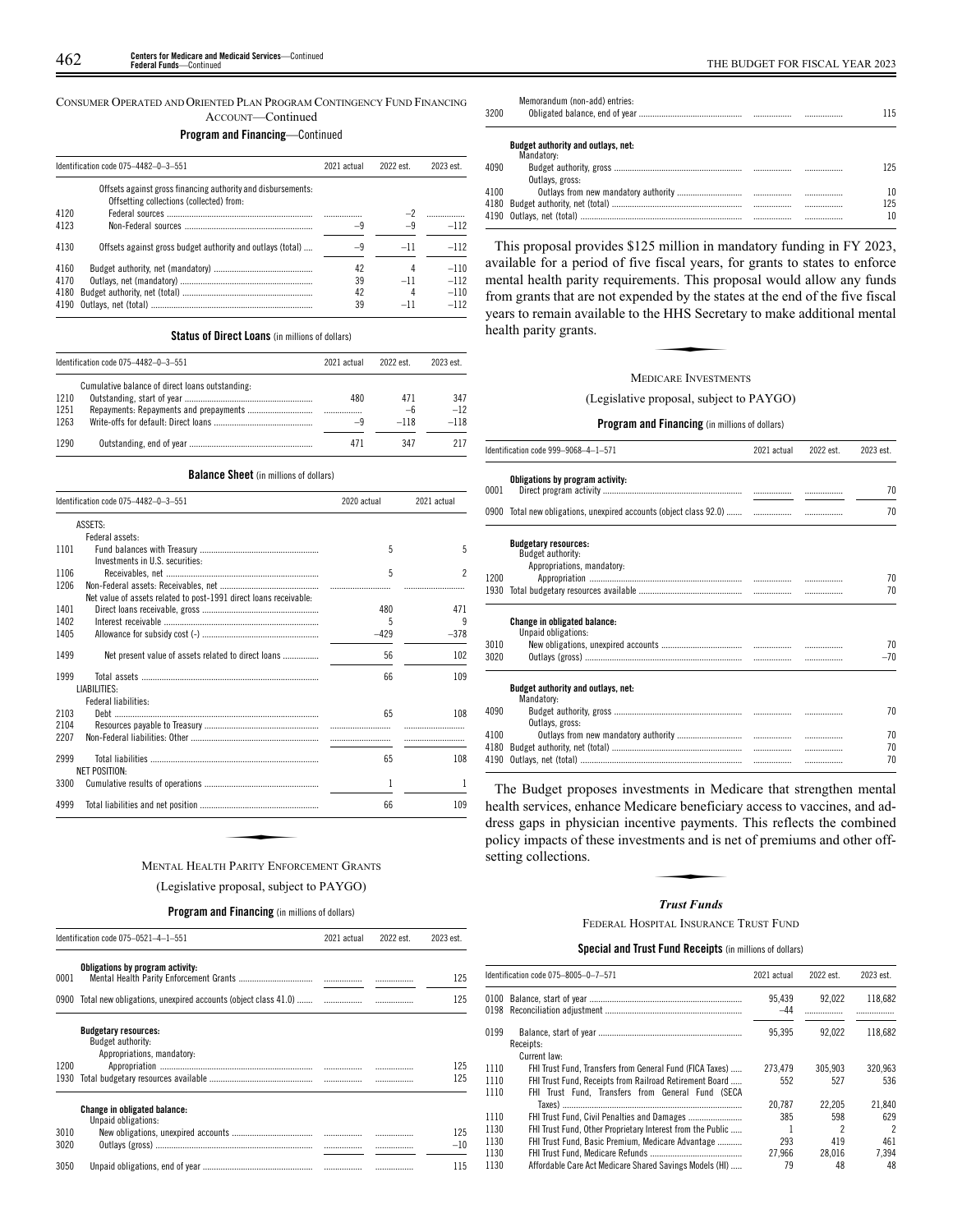CONSUMER OPERATED AND ORIENTED PLAN PROGRAM CONTINGENCY FUND FINANCING ACCOUNT—Continued

# **Program and Financing**—Continued

|      | Identification code 075-4482-0-3-551                                                                     | 2021 actual | 2022 est. | 2023 est. |
|------|----------------------------------------------------------------------------------------------------------|-------------|-----------|-----------|
|      | Offsets against gross financing authority and disbursements:<br>Offsetting collections (collected) from: |             |           |           |
| 4120 |                                                                                                          |             |           |           |
| 4123 |                                                                                                          | -9          | $-9$      | $-112$    |
| 4130 | Offsets against gross budget authority and outlays (total)                                               | -9          | $-11$     | $-112$    |
| 4160 |                                                                                                          | 42          | 4         | $-110$    |
| 4170 |                                                                                                          | 39          | $-11$     | $-112$    |
| 4180 |                                                                                                          | 42          | 4         | $-110$    |
| 4190 |                                                                                                          | 39          |           | $-112$    |

# **Status of Direct Loans** (in millions of dollars)

|      | Identification code 075-4482-0-3-551            | 2021 actual | 2022 est. | 2023 est. |
|------|-------------------------------------------------|-------------|-----------|-----------|
|      | Cumulative balance of direct loans outstanding: |             |           |           |
| 1210 |                                                 | 480         | 471       | 347       |
| 1251 |                                                 |             | $-6$      | $-12$     |
| 1263 |                                                 | -9          | $-118$    | $-118$    |
| 1290 |                                                 | 471         | 347       | 217       |

## **Balance Sheet** (in millions of dollars)

|      | Identification code 075-4482-0-3-551                              | 2020 actual |        | 2021 actual |  |  |
|------|-------------------------------------------------------------------|-------------|--------|-------------|--|--|
|      | ASSETS:                                                           |             |        |             |  |  |
|      | Federal assets:                                                   |             |        |             |  |  |
| 1101 |                                                                   | 5           | 5      |             |  |  |
|      | Investments in U.S. securities:                                   |             |        |             |  |  |
| 1106 |                                                                   | 5           | 2      |             |  |  |
| 1206 |                                                                   |             |        |             |  |  |
|      | Net value of assets related to post-1991 direct loans receivable: |             |        |             |  |  |
| 1401 |                                                                   | 480         | 471    |             |  |  |
| 1402 |                                                                   | 5           | 9      |             |  |  |
| 1405 |                                                                   | $-429$      | $-378$ |             |  |  |
| 1499 | Net present value of assets related to direct loans               | 56          | 102    |             |  |  |
| 1999 |                                                                   | 66          | 109    |             |  |  |
|      | LIABILITIES:                                                      |             |        |             |  |  |
|      | Federal liabilities:                                              |             |        |             |  |  |
| 2103 |                                                                   | 65          | 108    |             |  |  |
| 2104 |                                                                   |             |        |             |  |  |
| 2207 |                                                                   |             |        |             |  |  |
| 2999 |                                                                   | 65          | 108    |             |  |  |
|      | <b>NET POSITION:</b>                                              |             |        |             |  |  |
| 3300 |                                                                   | 1           | 1      |             |  |  |
| 4999 |                                                                   | 66          | 109    |             |  |  |

(Legislative proposal, subject to PAYGO)

#### **Program and Financing** (in millions of dollars)

|              | Identification code 075-0521-4-1-551                                           | 2021 actual | 2022 est. | 2023 est.    |
|--------------|--------------------------------------------------------------------------------|-------------|-----------|--------------|
| 0001         | Obligations by program activity:                                               |             |           | 125          |
| 0900         | Total new obligations, unexpired accounts (object class 41.0)                  |             |           | 125          |
|              | <b>Budgetary resources:</b><br>Budget authority:<br>Appropriations, mandatory: |             |           |              |
| 1200<br>1930 |                                                                                | <br>        |           | 125<br>125   |
|              | <b>Change in obligated balance:</b><br>Unpaid obligations:                     |             |           |              |
| 3010<br>3020 |                                                                                |             |           | 125<br>$-10$ |
| 3050         |                                                                                |             | .         | 115          |

| 3200 | Memorandum (non-add) entries:                    |  | 115 |
|------|--------------------------------------------------|--|-----|
|      | Budget authority and outlays, net:<br>Mandatory: |  |     |
| 4090 | Outlays, gross:                                  |  | 125 |
| 4100 |                                                  |  | 10  |
|      |                                                  |  | 125 |
|      |                                                  |  | 10  |

This proposal provides \$125 million in mandatory funding in FY 2023, available for a period of five fiscal years, for grants to states to enforce mental health parity requirements. This proposal would allow any funds from grants that are not expended by the states at the end of the five fiscal<br>from grants that are not expended by the states at the end of the five fiscal<br>years to remain available to the HHS Secretary to make additional years to remain available to the HHS Secretary to make additional mental health parity grants.

# MEDICARE INVESTMENTS

(Legislative proposal, subject to PAYGO)

# **Program and Financing** (in millions of dollars)

|      | Identification code 999-9068-4-1-571                                           | 2021 actual | 2022 est. | 2023 est. |
|------|--------------------------------------------------------------------------------|-------------|-----------|-----------|
| 0001 | Obligations by program activity:                                               |             |           | 70        |
|      | 0900 Total new obligations, unexpired accounts (object class 92.0)             |             |           | 70        |
|      | <b>Budgetary resources:</b><br>Budget authority:<br>Appropriations, mandatory: |             |           |           |
| 1200 |                                                                                |             |           | 70        |
| 1930 |                                                                                |             |           | 70        |
|      | <b>Change in obligated balance:</b><br>Unpaid obligations:                     |             |           |           |
| 3010 |                                                                                |             |           | 70        |
| 3020 |                                                                                |             |           | $-70$     |
|      | Budget authority and outlays, net:<br>Mandatory:                               |             |           |           |
| 4090 | Outlays, gross:                                                                |             |           | 70        |
| 4100 |                                                                                |             |           | 70        |
| 4180 |                                                                                |             |           | 70        |
| 4190 |                                                                                |             | .         | 70        |

The Budget proposes investments in Medicare that strengthen mental health services, enhance Medicare beneficiary access to vaccines, and address gaps in physician incentive payments. This reflects the combined<br>dress gaps in physician incentive payments. This reflects the combined<br>policy impacts of these investments and is net of premiums and other off-<br>settin policy impacts of these investments and is net of premiums and other offsetting collections.

#### *Trust Funds*

FEDERAL HOSPITAL INSURANCE TRUST FUND

# **Special and Trust Fund Receipts** (in millions of dollars)

|              | Identification code 075-8005-0-7-571                                                                                                | 2021 actual     | 2022 est.      | 2023 est.                       |
|--------------|-------------------------------------------------------------------------------------------------------------------------------------|-----------------|----------------|---------------------------------|
|              |                                                                                                                                     | 95.439<br>$-44$ | 92.022         | 118.682                         |
| 0199         | Receipts:                                                                                                                           | 95.395          | 92.022         | 118.682                         |
| 1110<br>1110 | Current law:<br>FHI Trust Fund, Transfers from General Fund (FICA Taxes)<br>FHI Trust Fund. Receipts from Railroad Retirement Board | 273.479<br>552  | 305.903<br>527 | 320.963<br>536                  |
| 1110<br>1110 | FHI Trust Fund. Transfers from General Fund (SECA                                                                                   | 20.787<br>385   | 22.205<br>598  | 21.840<br>629                   |
| 1130<br>1130 | FHI Trust Fund, Other Proprietary Interest from the Public<br>FHI Trust Fund, Basic Premium, Medicare Advantage                     | 293             | 2<br>419       | $\overline{\phantom{a}}$<br>461 |
| 1130<br>1130 | Affordable Care Act Medicare Shared Savings Models (HI)                                                                             | 27.966<br>79    | 28.016<br>48   | 7.394<br>48                     |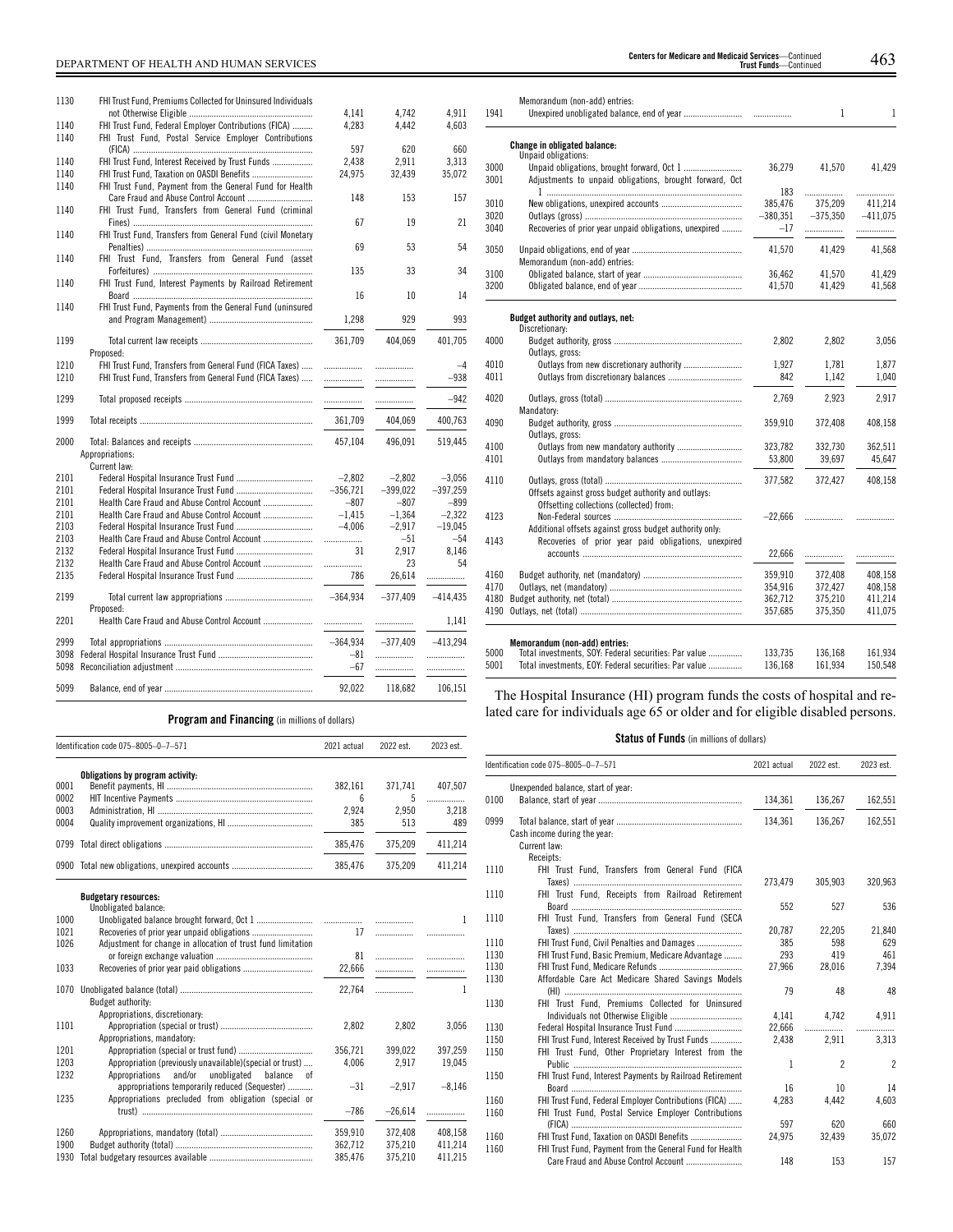# DEPARTMENT OF HEALTH AND HUMAN SERVICES 463 **Centers for Medicare and Medicaid Services**—Continued **Trust Funds**—Continued

| 1130 | FHI Trust Fund, Premiums Collected for Uninsured Individuals |            |            |            |
|------|--------------------------------------------------------------|------------|------------|------------|
|      |                                                              | 4,141      | 4,742      | 4,911      |
| 1140 | FHI Trust Fund, Federal Employer Contributions (FICA)        | 4,283      | 4,442      | 4,603      |
| 1140 | FHI Trust Fund, Postal Service Employer Contributions        |            |            |            |
|      |                                                              | 597        | 620        | 660        |
| 1140 | FHI Trust Fund. Interest Received by Trust Funds             | 2,438      | 2.911      | 3.313      |
| 1140 | FHI Trust Fund, Taxation on OASDI Benefits                   | 24,975     | 32,439     | 35,072     |
| 1140 | FHI Trust Fund, Payment from the General Fund for Health     |            |            |            |
|      | Care Fraud and Abuse Control Account                         | 148        | 153        | 157        |
| 1140 | FHI Trust Fund, Transfers from General Fund (criminal        |            |            |            |
|      |                                                              | 67         | 19         | 21         |
| 1140 | FHI Trust Fund, Transfers from General Fund (civil Monetary  |            |            |            |
|      |                                                              | 69         | 53         | 54         |
| 1140 | FHI Trust Fund, Transfers from General Fund (asset           |            |            |            |
|      |                                                              | 135        | 33         | 34         |
| 1140 | FHI Trust Fund, Interest Payments by Railroad Retirement     |            |            |            |
|      |                                                              | 16         | 10         | 14         |
| 1140 | FHI Trust Fund. Payments from the General Fund (uninsured    |            |            |            |
|      |                                                              | 1,298      | 929        | 993        |
|      |                                                              |            |            |            |
| 1199 |                                                              | 361,709    | 404,069    | 401,705    |
|      | Proposed:                                                    |            |            |            |
| 1210 | FHI Trust Fund, Transfers from General Fund (FICA Taxes)     | .          |            | $-4$       |
| 1210 | FHI Trust Fund, Transfers from General Fund (FICA Taxes)     | .          |            | $-938$     |
|      |                                                              |            |            |            |
| 1299 |                                                              | .          | .          | $-942$     |
|      |                                                              |            |            |            |
| 1999 |                                                              | 361,709    | 404,069    | 400,763    |
| 2000 |                                                              | 457.104    | 496.091    | 519,445    |
|      | Appropriations:                                              |            |            |            |
|      | Current law:                                                 |            |            |            |
| 2101 |                                                              | $-2.802$   | $-2.802$   | $-3.056$   |
| 2101 |                                                              | $-356,721$ | $-399,022$ | $-397,259$ |
| 2101 | Health Care Fraud and Abuse Control Account                  | $-807$     | $-807$     | $-899$     |
| 2101 | Health Care Fraud and Abuse Control Account                  | $-1.415$   | $-1.364$   | $-2.322$   |
| 2103 |                                                              | $-4.006$   | $-2.917$   | $-19.045$  |
| 2103 | Health Care Fraud and Abuse Control Account                  |            | $-51$      | $-54$      |
| 2132 |                                                              | .<br>31    | 2,917      | 8.146      |
| 2132 | Health Care Fraud and Abuse Control Account                  |            | 23         | 54         |
| 2135 |                                                              |            |            |            |
|      |                                                              | 786        | 26,614     | .          |
| 2199 |                                                              | $-364.934$ | $-377,409$ | $-414,435$ |
|      | Proposed:                                                    |            |            |            |
| 2201 | Health Care Fraud and Abuse Control Account                  | .          | .          | 1,141      |
|      |                                                              |            |            |            |
| 2999 |                                                              | $-364.934$ | $-377,409$ | $-413.294$ |
| 3098 |                                                              | $-81$      | .          | .          |
| 5098 |                                                              |            |            |            |
|      |                                                              |            |            |            |
|      |                                                              | $-67$      | .          | .          |

| 3020 |                                                                                                 | $-380.351$ | $-375.350$ | $-411,075$ |
|------|-------------------------------------------------------------------------------------------------|------------|------------|------------|
| 3040 | Recoveries of prior year unpaid obligations, unexpired                                          | $-17$      | .          |            |
| 3050 | Memorandum (non-add) entries:                                                                   | 41,570     | 41.429     | 41,568     |
| 3100 |                                                                                                 | 36,462     | 41,570     | 41,429     |
| 3200 |                                                                                                 | 41,570     | 41,429     | 41,568     |
|      | Budget authority and outlays, net:<br>Discretionary:                                            |            |            |            |
| 4000 | Outlays, gross:                                                                                 | 2,802      | 2,802      | 3,056      |
| 4010 |                                                                                                 | 1.927      | 1.781      | 1,877      |
| 4011 |                                                                                                 | 842        | 1,142      | 1,040      |
| 4020 | Mandatory:                                                                                      | 2,769      | 2.923      | 2.917      |
| 4090 | Outlays, gross:                                                                                 | 359,910    | 372,408    | 408,158    |
| 4100 |                                                                                                 | 323.782    | 332.730    | 362,511    |
| 4101 |                                                                                                 | 53,800     | 39,697     | 45,647     |
| 4110 | Offsets against gross budget authority and outlays:<br>Offsetting collections (collected) from: | 377,582    | 372.427    | 408,158    |
| 4123 | Additional offsets against gross budget authority only:                                         | $-22,666$  | .          | .          |
| 4143 | Recoveries of prior year paid obligations, unexpired                                            | 22,666     | .          | .          |
| 4160 |                                                                                                 | 359.910    | 372.408    | 408.158    |
| 4170 |                                                                                                 | 354,916    | 372,427    | 408,158    |
| 4180 |                                                                                                 | 362,712    | 375,210    | 411,214    |
| 4190 |                                                                                                 | 357,685    | 375,350    | 411,075    |
|      | Memorandum (non-add) entries:                                                                   |            |            |            |
| 5000 | Total investments, SOY: Federal securities: Par value                                           | 133.735    | 136.168    | 161.934    |

# **Program and Financing** (in millions of dollars)

| Identification code 075-8005-0-7-571 |                                                              | 2021 actual     | 2022 est. | 2023 est. |  |
|--------------------------------------|--------------------------------------------------------------|-----------------|-----------|-----------|--|
|                                      | Obligations by program activity:                             |                 |           |           |  |
| 0001                                 |                                                              | 382,161         | 371,741   | 407,507   |  |
| 0002                                 |                                                              | $6\overline{6}$ | 5         | .         |  |
| 0003                                 |                                                              | 2,924           | 2,950     | 3,218     |  |
| 0004                                 |                                                              | 385             | 513       | 489       |  |
| 0799                                 |                                                              | 385,476         | 375,209   | 411,214   |  |
| 0900                                 |                                                              | 385,476         | 375,209   | 411,214   |  |
|                                      | <b>Budgetary resources:</b>                                  |                 |           |           |  |
|                                      | Unobligated balance:                                         |                 |           |           |  |
| 1000                                 |                                                              |                 |           | 1         |  |
| 1021                                 |                                                              | 17              |           | .         |  |
| 1026                                 | Adjustment for change in allocation of trust fund limitation |                 |           |           |  |
|                                      |                                                              | 81              |           |           |  |
| 1033                                 |                                                              | 22.666          | .         |           |  |
| 1070                                 |                                                              | 22.764          | .         | 1         |  |
|                                      | Budget authority:                                            |                 |           |           |  |
|                                      | Appropriations, discretionary:                               |                 |           |           |  |
| 1101                                 |                                                              | 2,802           | 2,802     | 3,056     |  |
|                                      | Appropriations, mandatory:                                   |                 |           |           |  |
| 1201                                 |                                                              | 356,721         | 399,022   | 397,259   |  |
| 1203                                 | Appropriation (previously unavailable)(special or trust)     | 4.006           | 2.917     | 19,045    |  |
| 1232                                 | and/or<br>unobligated<br>Appropriations<br>balance<br>0f     |                 |           |           |  |
|                                      | appropriations temporarily reduced (Sequester)               | $-31$           | $-2,917$  | $-8,146$  |  |
| 1235                                 | Appropriations precluded from obligation (special or         |                 |           |           |  |
|                                      |                                                              | $-786$          | $-26,614$ | .         |  |
| 1260                                 |                                                              | 359,910         | 372,408   | 408.158   |  |
| 1900                                 |                                                              | 362,712         | 375,210   | 411,214   |  |
| 1930                                 |                                                              | 385.476         | 375.210   | 411.215   |  |

The Hospital Insurance (HI) program funds the costs of hospital and related care for individuals age 65 or older and for eligible disabled persons.

5001 Total investments, EOY: Federal securities: Par value ............... 136,168 161,934 150,548

# **Status of Funds** (in millions of dollars)

|      | Identification code 075-8005-0-7-571                      | 2021 actual | 2022 est.                | 2023 est.      |
|------|-----------------------------------------------------------|-------------|--------------------------|----------------|
|      | Unexpended balance, start of year:                        |             |                          |                |
| 0100 |                                                           | 134,361     | 136,267                  | 162,551        |
| 0999 | Cash income during the year:<br>Current law:<br>Receipts: | 134,361     | 136,267                  | 162,551        |
| 1110 | FHI Trust Fund, Transfers from General Fund (FICA         |             |                          |                |
|      |                                                           | 273,479     | 305,903                  | 320,963        |
| 1110 | FHI Trust Fund, Receipts from Railroad Retirement         | 552         | 527                      | 536            |
| 1110 | FHI Trust Fund, Transfers from General Fund (SECA         |             |                          |                |
|      |                                                           | 20,787      | 22.205                   | 21.840         |
| 1110 | FHI Trust Fund, Civil Penalties and Damages               | 385         | 598                      | 629            |
| 1130 | FHI Trust Fund, Basic Premium, Medicare Advantage         | 293         | 419                      | 461            |
| 1130 |                                                           | 27,966      | 28,016                   | 7,394          |
| 1130 | Affordable Care Act Medicare Shared Savings Models        |             |                          |                |
|      |                                                           | 79          | 48                       | 48             |
| 1130 | FHI Trust Fund. Premiums Collected for Uninsured          |             |                          |                |
|      | Individuals not Otherwise Eligible                        | 4.141       | 4,742                    | 4,911          |
| 1130 | Federal Hospital Insurance Trust Fund                     | 22,666      | .                        | .              |
| 1150 | FHI Trust Fund, Interest Received by Trust Funds          | 2,438       | 2.911                    | 3,313          |
| 1150 | FHI Trust Fund, Other Proprietary Interest from the       |             |                          |                |
|      |                                                           | 1           | $\overline{\phantom{a}}$ | $\overline{2}$ |
| 1150 | FHI Trust Fund, Interest Payments by Railroad Retirement  |             |                          |                |
|      |                                                           | 16          | 10                       | 14             |
| 1160 | FHI Trust Fund, Federal Employer Contributions (FICA)     | 4.283       | 4.442                    | 4.603          |
| 1160 | FHI Trust Fund, Postal Service Employer Contributions     |             |                          |                |
|      |                                                           | 597         | 620                      | 660            |
| 1160 | FHI Trust Fund, Taxation on OASDI Benefits                | 24,975      | 32,439                   | 35,072         |
| 1160 | FHI Trust Fund, Payment from the General Fund for Health  |             |                          |                |
|      |                                                           | 148         | 153                      | 157            |

1941 Unexpired unobligated balance, end of year .......................... ................. 1 1

3000 Unpaid obligations, brought forward, Oct 1 .......................... 36,279 41,570 41,429

1 ....................................................................................... 3010 New obligations, unexpired accounts .................................... 385,476 375,209 411,214

Adjustments to unpaid obligations, brought forward, Oct

Memorandum (non-add) entries:

**Change in obligated balance:** Unpaid obligations:

3001

183 ................. .................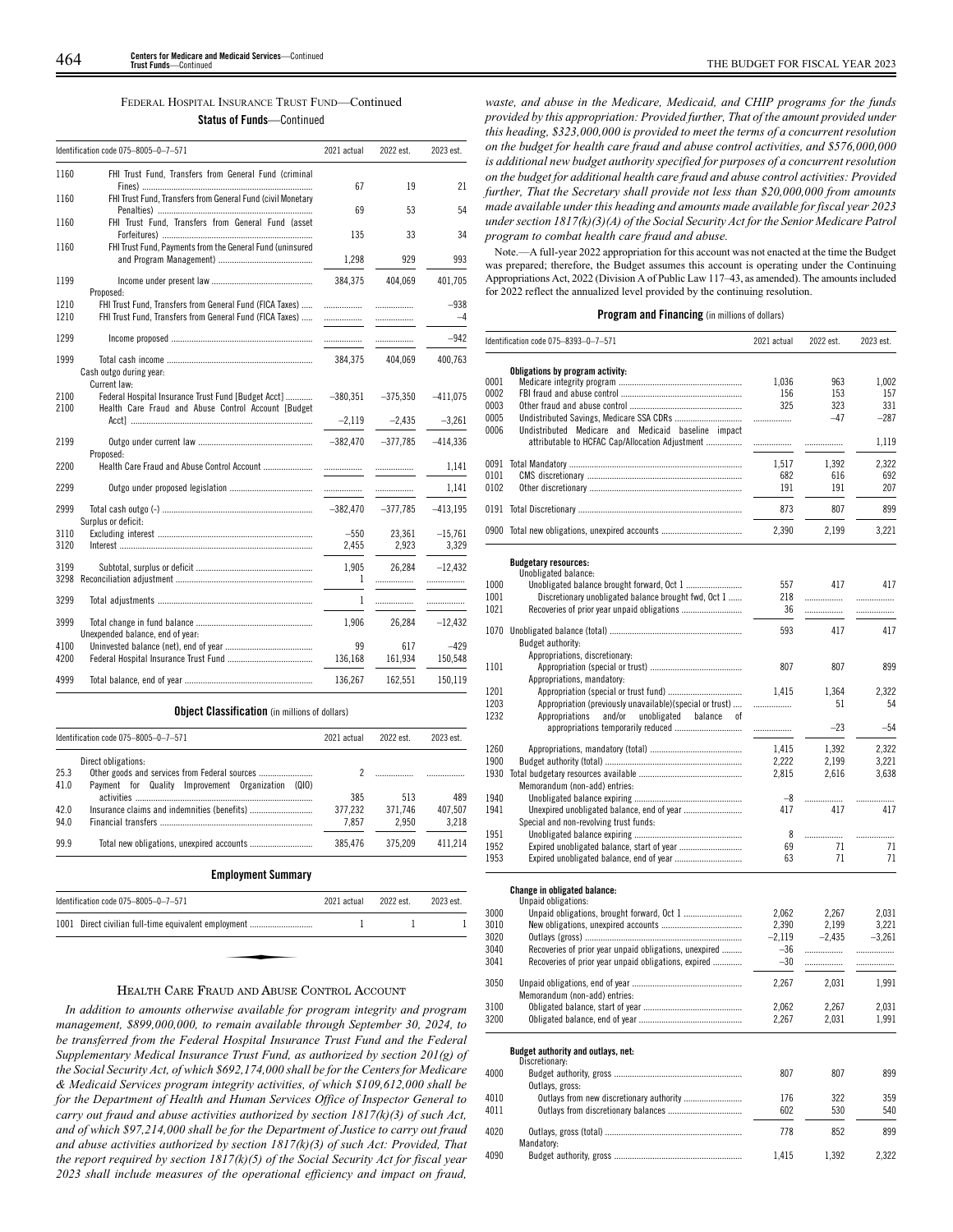| FEDERAL HOSPITAL INSURANCE TRUST FUND-Continued |  |  |  |  |  |
|-------------------------------------------------|--|--|--|--|--|
| <b>Status of Funds</b> —Continued               |  |  |  |  |  |

| Identification code 075-8005-0-7-571 |                                                                                                                      | 2021 actual   | 2022 est.      | 2023 est.         |
|--------------------------------------|----------------------------------------------------------------------------------------------------------------------|---------------|----------------|-------------------|
| 1160                                 | FHI Trust Fund, Transfers from General Fund (criminal                                                                | 67            | 19             | 21                |
| 1160                                 | FHI Trust Fund, Transfers from General Fund (civil Monetary                                                          |               |                |                   |
| 1160                                 | FHI Trust Fund, Transfers from General Fund (asset                                                                   | 69            | 53             | 54                |
|                                      |                                                                                                                      | 135           | 33             | 34                |
| 1160                                 | FHI Trust Fund, Payments from the General Fund (uninsured                                                            | 1,298         | 929            | 993               |
| 1199                                 | Proposed:                                                                                                            | 384,375       | 404,069        | 401,705           |
| 1210<br>1210                         | FHI Trust Fund, Transfers from General Fund (FICA Taxes)<br>FHI Trust Fund, Transfers from General Fund (FICA Taxes) | .<br>.        | .              | $-938$<br>$-4$    |
| 1299                                 |                                                                                                                      | .             |                | $-942$            |
| 1999                                 | Cash outgo during year:<br>Current law:                                                                              | 384.375       | 404.069        | 400.763           |
| 2100<br>2100                         | Federal Hospital Insurance Trust Fund [Budget Acct]<br>Health Care Fraud and Abuse Control Account [Budget           | $-380,351$    | $-375,350$     | $-411,075$        |
|                                      |                                                                                                                      | $-2.119$      | $-2.435$       | $-3,261$          |
| 2199                                 | Proposed:                                                                                                            | $-382,470$    | $-377,785$     | $-414,336$        |
| 2200                                 | Health Care Fraud and Abuse Control Account                                                                          | .             |                | 1,141             |
| 2299                                 |                                                                                                                      | .             | .              | 1,141             |
| 2999                                 | Surplus or deficit:                                                                                                  | $-382,470$    | $-377,785$     | $-413,195$        |
| 3110                                 |                                                                                                                      | $-550$        | 23,361         | $-15,761$         |
| 3120                                 |                                                                                                                      | 2,455         | 2,923          | 3,329             |
| 3199<br>3298                         |                                                                                                                      | 1.905<br>1    | 26.284<br>.    | $-12.432$<br>.    |
| 3299                                 |                                                                                                                      | 1             | .              | .                 |
| 3999                                 | Unexpended balance, end of year:                                                                                     | 1,906         | 26,284         | $-12,432$         |
| 4100<br>4200                         |                                                                                                                      | 99<br>136,168 | 617<br>161,934 | $-429$<br>150,548 |
| 4999                                 |                                                                                                                      | 136,267       | 162.551        | 150,119           |

|      | Identification code 075-8005-0-7-571                  | 2021 actual | 2023 est. |           |
|------|-------------------------------------------------------|-------------|-----------|-----------|
|      | Direct obligations:                                   |             |           |           |
| 25.3 | Other goods and services from Federal sources         | 2           |           |           |
| 41.0 | Payment for Quality Improvement Organization<br>(010) |             |           |           |
|      |                                                       | 385         | 513       | 489       |
| 42.0 |                                                       | 377,232     | 371,746   | 407,507   |
| 94.0 |                                                       | 7,857       | 2,950     | 3,218     |
| 99.9 |                                                       | 385,476     | 375,209   | 411,214   |
|      | <b>Employment Summary</b>                             |             |           |           |
|      | Identification code 075-8005-0-7-571                  | 2021 actual | 2022 est. | 2023 est. |
| 1001 | Direct civilian full-time equivalent employment       |             |           |           |
|      |                                                       |             |           |           |
|      |                                                       |             |           |           |
|      |                                                       |             |           |           |

**Object Classification** (in millions of dollars)

# HEALTH CARE FRAUD AND ABUSE CONTROL ACCOUNT

*In addition to amounts otherwise available for program integrity and program management, \$899,000,000, to remain available through September 30, 2024, to be transferred from the Federal Hospital Insurance Trust Fund and the Federal Supplementary Medical Insurance Trust Fund, as authorized by section 201(g) of the Social Security Act, of which \$692,174,000 shall be for the Centers for Medicare & Medicaid Services program integrity activities, of which \$109,612,000 shall be for the Department of Health and Human Services Office of Inspector General to carry out fraud and abuse activities authorized by section 1817(k)(3) of such Act, and of which \$97,214,000 shall be for the Department of Justice to carry out fraud and abuse activities authorized by section 1817(k)(3) of such Act: Provided, That the report required by section 1817(k)(5) of the Social Security Act for fiscal year 2023 shall include measures of the operational efficiency and impact on fraud,*

*waste, and abuse in the Medicare, Medicaid, and CHIP programs for the funds provided by this appropriation: Provided further, That of the amount provided under this heading, \$323,000,000 is provided to meet the terms of a concurrent resolution on the budget for health care fraud and abuse control activities, and \$576,000,000 is additional new budget authority specified for purposes of a concurrent resolution on the budget for additional health care fraud and abuse control activities: Provided further, That the Secretary shall provide not less than \$20,000,000 from amounts made available under this heading and amounts made available for fiscal year 2023 under section 1817(k)(3)(A) of the Social Security Act for the Senior Medicare Patrol program to combat health care fraud and abuse.*

Note.—A full-year 2022 appropriation for this account was not enacted at the time the Budget was prepared; therefore, the Budget assumes this account is operating under the Continuing Appropriations Act, 2022 (Division A of Public Law 117–43, as amended). The amounts included for 2022 reflect the annualized level provided by the continuing resolution.

# **Program and Financing** (in millions of dollars)

|      | Identification code 075–8393–0–7–571                     | 2021 actual | 2022 est. | 2023 est. |
|------|----------------------------------------------------------|-------------|-----------|-----------|
|      | Obligations by program activity:                         |             |           |           |
| 0001 |                                                          | 1,036       | 963       | 1,002     |
| 0002 |                                                          | 156         | 153       | 157       |
| 0003 |                                                          | 325         | 323       | 331       |
|      |                                                          |             |           |           |
| 0005 |                                                          | .           | $-47$     | $-287$    |
| 0006 | Undistributed Medicare and Medicaid baseline impact      |             |           |           |
|      | attributable to HCFAC Cap/Allocation Adjustment          | .           | .         | 1.119     |
|      |                                                          | 1,517       | 1,392     | 2,322     |
| 0101 |                                                          | 682         | 616       | 692       |
| 0102 |                                                          | 191         | 191       | 207       |
|      |                                                          | 873         | 807       | 899       |
|      |                                                          |             |           |           |
|      | 0900 Total new obligations, unexpired accounts           | 2,390       | 2,199     | 3,221     |
|      | <b>Budgetary resources:</b>                              |             |           |           |
|      | Unobligated balance:                                     |             |           |           |
| 1000 |                                                          | 557         | 417       | 417       |
| 1001 | Discretionary unobligated balance brought fwd, Oct 1     | 218         | .         | .         |
| 1021 |                                                          | 36          |           |           |
|      |                                                          | 593         | 417       | 417       |
|      | Budget authority:                                        |             |           |           |
|      | Appropriations, discretionary:                           |             |           |           |
| 1101 |                                                          | 807         | 807       | 899       |
|      | Appropriations, mandatory:                               |             |           |           |
| 1201 |                                                          | 1,415       | 1,364     | 2.322     |
| 1203 | Appropriation (previously unavailable)(special or trust) |             | 51        | 54        |
| 1232 | and/or<br>unobligated<br>Appropriations<br>balance<br>nf |             |           |           |
|      | appropriations temporarily reduced                       | .           | $-23$     | $-54$     |
| 1260 |                                                          | 1,415       | 1,392     | 2,322     |
|      |                                                          |             |           |           |
| 1900 |                                                          | 2,222       | 2.199     | 3.221     |
|      |                                                          | 2,815       | 2,616     | 3,638     |
|      | Memorandum (non-add) entries:                            |             |           |           |
| 1940 |                                                          | $-8$        | .         | .         |
| 1941 |                                                          | 417         | 417       | 417       |
|      | Special and non-revolving trust funds:                   |             |           |           |
| 1951 |                                                          | 8           | .         | .         |
| 1952 |                                                          | 69          | 71        | 71        |
| 1953 |                                                          | 63          | 71        | 71        |
|      | <b>Change in obligated balance:</b>                      |             |           |           |
|      | Unpaid obligations:                                      |             |           |           |
| 3000 |                                                          | 2,062       | 2,267     | 2,031     |
| 3010 |                                                          | 2,390       | 2,199     | 3,221     |
| 3020 |                                                          | $-2.119$    | $-2.435$  | $-3.261$  |
| 3040 | Recoveries of prior year unpaid obligations, unexpired   | $-36$       | .         |           |
| 3041 | Recoveries of prior year unpaid obligations, expired     | $-30$       |           | .         |
|      |                                                          |             | .         | .         |
| 3050 |                                                          | 2,267       | 2,031     | 1,991     |
|      | Memorandum (non-add) entries:                            |             |           |           |
| 3100 |                                                          | 2,062       | 2,267     | 2,031     |
| 3200 |                                                          | 2,267       | 2,031     | 1,991     |
|      |                                                          |             |           |           |
|      | Budget authority and outlays, net:<br>Discretionary:     |             |           |           |
| 4000 |                                                          | 807         | 807       | 899       |
|      | Outlays, gross:                                          |             |           |           |
| 4010 | Outlays from new discretionary authority                 | 176         | 322       | 359       |
| 4011 |                                                          | 602         | 530       | 540       |
|      |                                                          |             |           |           |

4020 Outlays, gross (total) ............................................................. 778 852 899

4090 Budget authority, gross ......................................................... 1,415 1,392 2,322

Mandatory: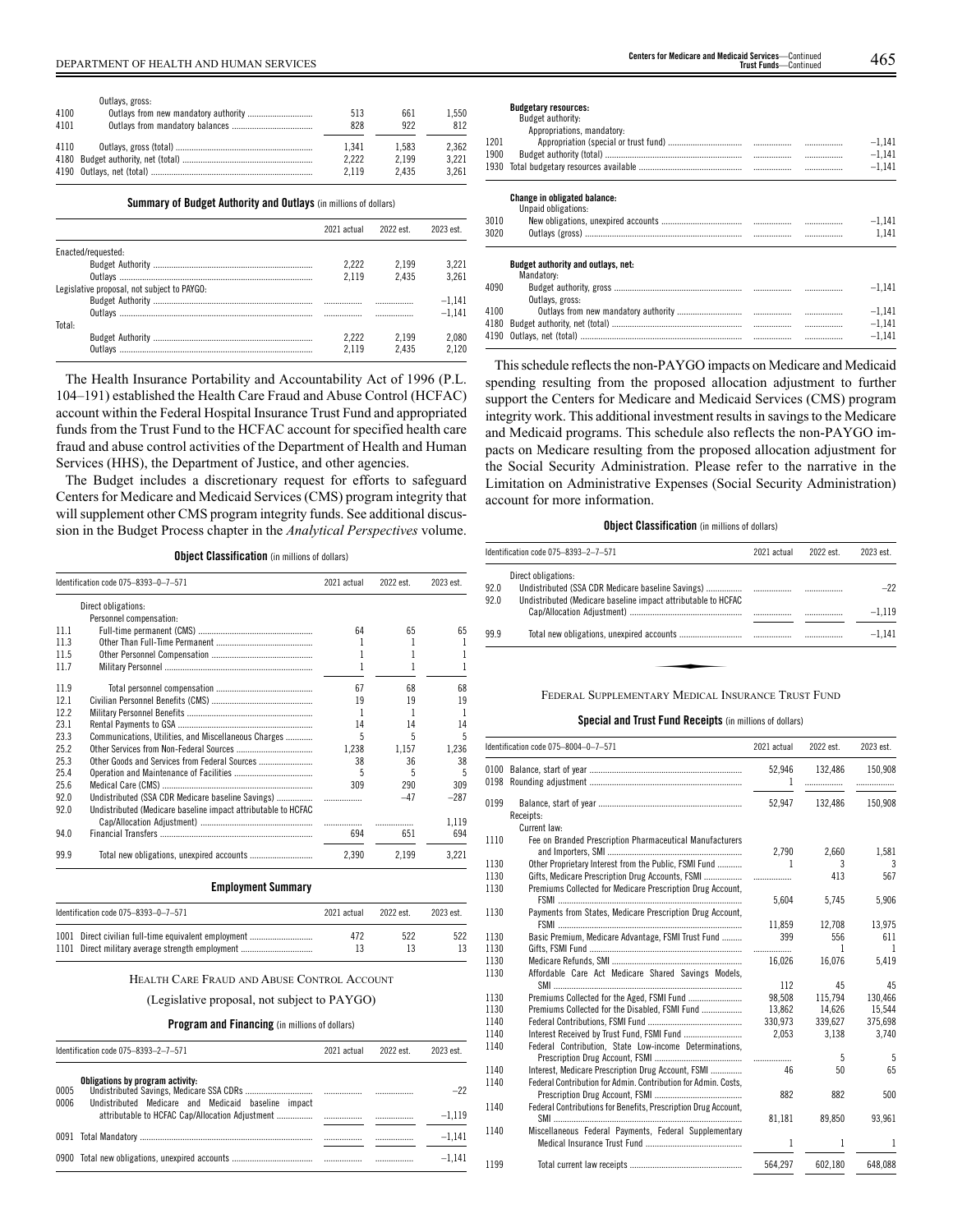|      | Outlays, gross: |       |       |       |
|------|-----------------|-------|-------|-------|
| 4100 |                 | 513   | 661   | 1.550 |
| 4101 |                 | 828   | 922   | 812   |
| 4110 |                 | 1.341 | 1.583 | 2.362 |
|      |                 | 2.222 | 2.199 | 3.221 |
|      |                 | 2.119 | 2.435 | 3.261 |

#### **Summary of Budget Authority and Outlays** (in millions of dollars)

|                                             | 2021 actual | 2022 est | 2023 est |
|---------------------------------------------|-------------|----------|----------|
| Enacted/requested:                          |             |          |          |
|                                             | 2.222       | 2.199    | 3.221    |
|                                             | 2119        | 2435     | 3.261    |
| Legislative proposal, not subject to PAYGO: |             |          |          |
|                                             |             |          | $-1.141$ |
|                                             |             |          | $-1.141$ |
| Total:                                      |             |          |          |
|                                             | 2.222       | 2.199    | 2.080    |
| Outlavs                                     | 2119        | 2435     | 2120     |

The Health Insurance Portability and Accountability Act of 1996 (P.L. 104–191) established the Health Care Fraud and Abuse Control (HCFAC) account within the Federal Hospital Insurance Trust Fund and appropriated funds from the Trust Fund to the HCFAC account for specified health care fraud and abuse control activities of the Department of Health and Human Services (HHS), the Department of Justice, and other agencies.

The Budget includes a discretionary request for efforts to safeguard Centers for Medicare and Medicaid Services (CMS) program integrity that will supplement other CMS program integrity funds. See additional discussion in the Budget Process chapter in the *Analytical Perspectives* volume.

|  |  |  |  |  |  | <b>Object Classification</b> (in millions of dollars) |  |  |  |
|--|--|--|--|--|--|-------------------------------------------------------|--|--|--|
|--|--|--|--|--|--|-------------------------------------------------------|--|--|--|

| Identification code 075-8393-0-7-571 |                                                               | 2021 actual                   | 2022 est. | 2023 est. |  |
|--------------------------------------|---------------------------------------------------------------|-------------------------------|-----------|-----------|--|
|                                      | Direct obligations:                                           |                               |           |           |  |
|                                      | Personnel compensation:                                       |                               |           |           |  |
| 111                                  |                                                               | 64                            | 65        | 65        |  |
| 11.3                                 |                                                               |                               |           |           |  |
| 11.5                                 |                                                               |                               |           |           |  |
| 11.7                                 |                                                               |                               |           |           |  |
| 11.9                                 |                                                               | 67                            | 68        | 68        |  |
| 12.1                                 |                                                               | 19                            | 19        | 19        |  |
| 12.2                                 |                                                               |                               |           |           |  |
| 23.1                                 |                                                               | 14                            | 14        | 14        |  |
| 23.3                                 | Communications, Utilities, and Miscellaneous Charges          | 5                             | 5         | 5         |  |
| 25.2                                 |                                                               | 1.238                         | 1.157     | 1,236     |  |
| 25.3                                 | Other Goods and Services from Federal Sources                 | 38                            | 36        | 38        |  |
| 25.4                                 |                                                               | 5                             | 5         | 5         |  |
| 25.6                                 |                                                               | 309                           | 290       | 309       |  |
| 92.0                                 | Undistributed (SSA CDR Medicare baseline Savings)             | $\ldots \ldots \ldots \ldots$ | $-47$     | $-287$    |  |
| 92.0                                 | Undistributed (Medicare baseline impact attributable to HCFAC |                               |           |           |  |
|                                      |                                                               |                               |           | 1.119     |  |
| 94.0                                 |                                                               | 694                           | 651       | 694       |  |
| 99.9                                 |                                                               | 2.390                         | 2.199     | 3,221     |  |

### **Employment Summary**

| Identification code 075–8393–0–7–571 |                                                                                                          | 2021 actual | 2022 est. | 2023 est. |
|--------------------------------------|----------------------------------------------------------------------------------------------------------|-------------|-----------|-----------|
|                                      | 1001 Direct civilian full-time equivalent employment<br>1101 Direct military average strength employment | 472         | 522       | 522       |

#### HEALTH CARE FRAUD AND ABUSE CONTROL ACCOUNT

(Legislative proposal, not subject to PAYGO)

# **Program and Financing** (in millions of dollars)

| Identification code 075-8393-2-7-571                                                                    | 2021 actual | 2022 est | 2023 est          |
|---------------------------------------------------------------------------------------------------------|-------------|----------|-------------------|
| Obligations by program activity:<br>0005<br>0006<br>Undistributed Medicare and Medicaid baseline impact |             |          | $-22$<br>$-1.119$ |
|                                                                                                         |             |          | $-1.141$          |
|                                                                                                         |             |          | $-1.141$          |

#### **Budgetary resources:**

|      | Budget authority:<br>Appropriations, mandatory: |   |          |
|------|-------------------------------------------------|---|----------|
| 1201 |                                                 | . | $-1.141$ |
| 1900 |                                                 | . | $-1.141$ |
|      |                                                 | . | $-1.141$ |
|      | <b>Change in obligated balance:</b>             |   |          |
|      | Unpaid obligations:                             |   |          |
| 3010 |                                                 |   | $-1,141$ |
| 3020 |                                                 |   | 1.141    |
|      | <b>Budget authority and outlays, net:</b>       |   |          |
|      | Mandatory:                                      |   |          |
| 4090 |                                                 |   | $-1.141$ |
|      | Outlays, gross:                                 |   |          |
| 4100 |                                                 |   | $-1.141$ |
|      |                                                 |   | $-1.141$ |

This schedule reflects the non-PAYGO impacts on Medicare and Medicaid spending resulting from the proposed allocation adjustment to further support the Centers for Medicare and Medicaid Services (CMS) program integrity work. This additional investment results in savings to the Medicare and Medicaid programs. This schedule also reflects the non-PAYGO impacts on Medicare resulting from the proposed allocation adjustment for the Social Security Administration. Please refer to the narrative in the Limitation on Administrative Expenses (Social Security Administration) account for more information.

4190 Outlays, net (total) ........................................................................ ................. ................. –1,141

# **Object Classification** (in millions of dollars)

|              | Identification code 075-8393-2-7-571                                                 |  | 2022 est. | 2023 est. |
|--------------|--------------------------------------------------------------------------------------|--|-----------|-----------|
| 92.0<br>92.0 | Direct obligations:<br>Undistributed (Medicare baseline impact attributable to HCFAC |  |           | $-22$     |
|              |                                                                                      |  |           | $-1.119$  |
| 99.9         |                                                                                      |  |           | $-1.141$  |
|              |                                                                                      |  |           |           |
|              | FEDERAL SUPPLEMENTARY MEDICAL INSURANCE TRUST FUND                                   |  |           |           |

# **Special and Trust Fund Receipts** (in millions of dollars)

|      | Identification code 075-8004-0-7-571                           | 2021 actual | 2022 est.    | 2023 est. |
|------|----------------------------------------------------------------|-------------|--------------|-----------|
| 0198 |                                                                | 52,946<br>1 | 132,486<br>. | 150,908   |
| 0199 |                                                                | 52,947      | 132.486      | 150,908   |
|      | Receipts:                                                      |             |              |           |
|      | Current law:                                                   |             |              |           |
| 1110 | Fee on Branded Prescription Pharmaceutical Manufacturers       |             |              |           |
|      |                                                                | 2.790       | 2.660        | 1,581     |
| 1130 | Other Proprietary Interest from the Public, FSMI Fund          | 1           | 3            | 3         |
| 1130 | Gifts, Medicare Prescription Drug Accounts, FSMI               | .           | 413          | 567       |
| 1130 | Premiums Collected for Medicare Prescription Drug Account,     |             |              |           |
|      |                                                                | 5.604       | 5,745        | 5,906     |
| 1130 | Payments from States, Medicare Prescription Drug Account,      |             |              |           |
|      |                                                                | 11.859      | 12.708       | 13.975    |
| 1130 | Basic Premium, Medicare Advantage, FSMI Trust Fund             | 399         | 556          | 611       |
| 1130 |                                                                | .           | 1            | -1        |
| 1130 |                                                                | 16.026      | 16,076       | 5,419     |
| 1130 | Affordable Care Act Medicare Shared Savings Models,            |             |              |           |
|      |                                                                | 112         | 45           | 45        |
| 1130 |                                                                | 98.508      | 115.794      | 130.466   |
| 1130 | Premiums Collected for the Disabled, FSMI Fund                 | 13.862      | 14.626       | 15.544    |
| 1140 |                                                                | 330,973     | 339,627      | 375,698   |
| 1140 |                                                                | 2,053       | 3,138        | 3.740     |
| 1140 | Federal Contribution, State Low-income Determinations,         |             |              |           |
|      |                                                                | .           | 5            | 5         |
| 1140 | Interest, Medicare Prescription Drug Account, FSMI             | 46          | 50           | 65        |
| 1140 | Federal Contribution for Admin, Contribution for Admin, Costs. |             |              |           |
|      |                                                                | 882         | 882          | 500       |
| 1140 | Federal Contributions for Benefits, Prescription Drug Account, |             |              |           |
|      |                                                                | 81,181      | 89.850       | 93,961    |
| 1140 | Miscellaneous Federal Payments, Federal Supplementary          |             |              |           |
|      |                                                                | 1           | 1            | 1         |
| 1199 |                                                                | 564.297     | 602.180      | 648,088   |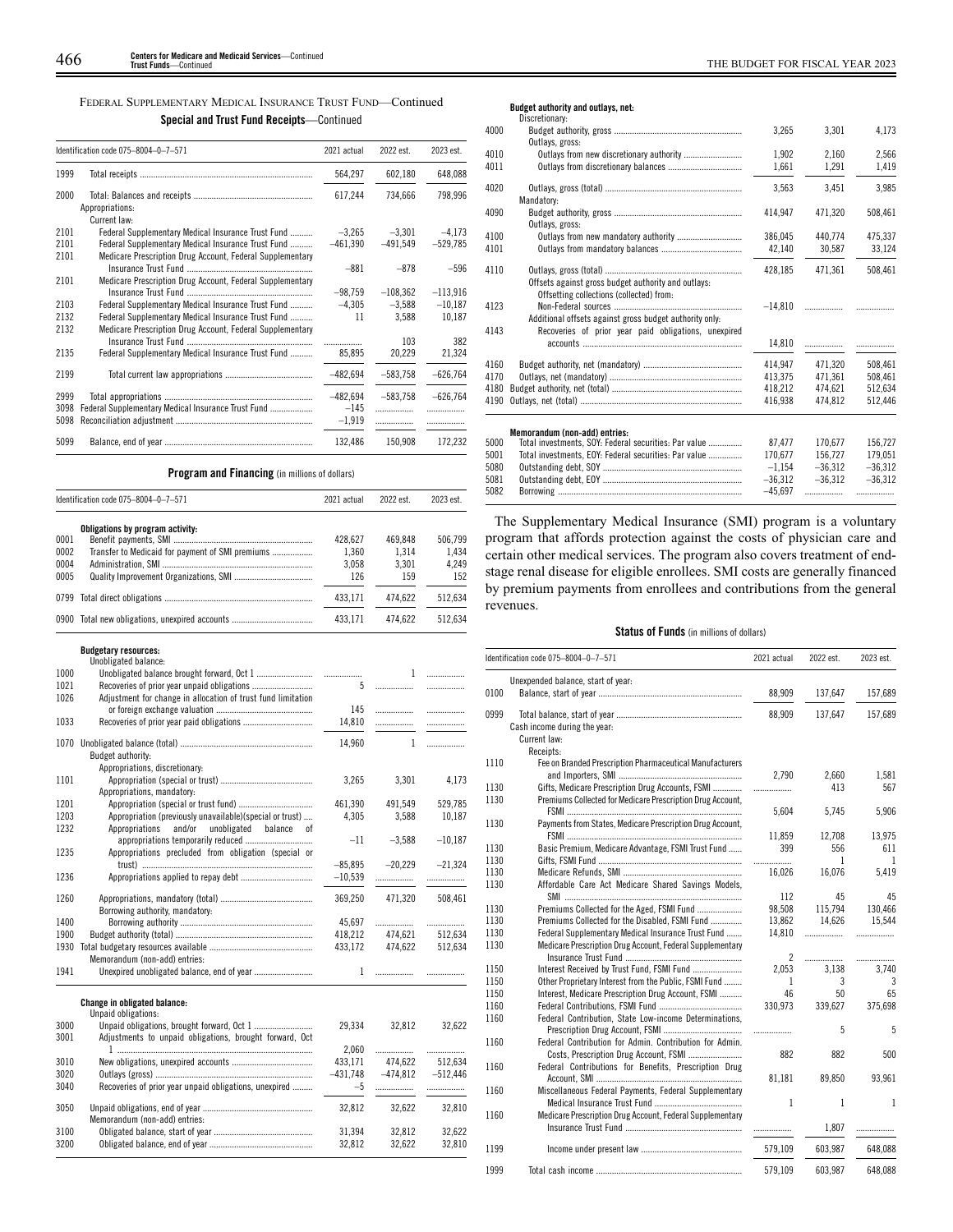# FEDERAL SUPPLEMENTARY MEDICAL INSURANCE TRUST FUND—Continued **Special and Trust Fund Receipts**—Continued

|                      | Identification code 075-8004-0-7-571                                                                            | 2021 actual                      | 2022 est.            | 2023 est.       |
|----------------------|-----------------------------------------------------------------------------------------------------------------|----------------------------------|----------------------|-----------------|
| 1999                 |                                                                                                                 | 564,297                          | 602,180              | 648,088         |
| 2000                 | Appropriations:<br>Current law:                                                                                 | 617,244                          | 734.666              | 798,996         |
| 2101                 | Federal Supplementary Medical Insurance Trust Fund                                                              | $-3,265$                         | $-3.301$             | $-4,173$        |
| 2101<br>2101         | Federal Supplementary Medical Insurance Trust Fund<br>Medicare Prescription Drug Account, Federal Supplementary | $-461,390$                       | $-491,549$           | $-529,785$      |
| 2101                 | Medicare Prescription Drug Account, Federal Supplementary                                                       | $-881$                           | $-878$               | $-596$          |
|                      |                                                                                                                 | $-98,759$                        | $-108.362$           | $-113.916$      |
| 2103                 | Federal Supplementary Medical Insurance Trust Fund                                                              | $-4,305$                         | $-3,588$             | $-10,187$       |
| 2132<br>2132         | Federal Supplementary Medical Insurance Trust Fund<br>Medicare Prescription Drug Account, Federal Supplementary | 11                               | 3,588                | 10,187          |
|                      |                                                                                                                 | .                                | 103                  | 382             |
| 2135                 | Federal Supplementary Medical Insurance Trust Fund                                                              | 85,895                           | 20,229               | 21,324          |
| 2199                 |                                                                                                                 | $-482,694$                       | $-583,758$           | $-626,764$      |
| 2999<br>3098<br>5098 | Federal Supplementary Medical Insurance Trust Fund                                                              | $-482,694$<br>$-145$<br>$-1,919$ | $-583.758$<br>.<br>. | $-626.764$<br>. |
| 5099                 |                                                                                                                 | 132,486                          | 150.908              | 172.232         |

# **Program and Financing** (in millions of dollars)

|      | Identification code 075-8004-0-7-571             | 2021 actual | 2022 est. | 2023 est. |
|------|--------------------------------------------------|-------------|-----------|-----------|
|      | Obligations by program activity:                 |             |           |           |
| 0001 |                                                  | 428.627     | 469.848   | 506.799   |
| 0002 | Transfer to Medicaid for payment of SMI premiums | 1.360       | 1.314     | 1.434     |
| 0004 |                                                  | 3.058       | 3.301     | 4.249     |
| 0005 |                                                  | 126         | 159       | 152       |
|      |                                                  | 433.171     | 474.622   | 512.634   |
|      | 0900 Total new obligations, unexpired accounts   | 433.171     | 474.622   | 512.634   |

|      | <b>Budgetary resources:</b><br>Unobligated balance:          |            |              |                                |
|------|--------------------------------------------------------------|------------|--------------|--------------------------------|
| 1000 |                                                              |            | 1            | .                              |
| 1021 |                                                              | 5          | .            | .                              |
| 1026 | Adjustment for change in allocation of trust fund limitation |            |              |                                |
|      |                                                              | 145        |              | .                              |
| 1033 |                                                              | 14,810     | .            | .                              |
|      |                                                              |            |              |                                |
| 1070 |                                                              | 14,960     | $\mathbf{1}$ | .                              |
|      | Budget authority:                                            |            |              |                                |
|      | Appropriations, discretionary:                               |            |              |                                |
| 1101 |                                                              | 3,265      | 3,301        | 4,173                          |
|      | Appropriations, mandatory:                                   |            |              |                                |
| 1201 | Appropriation (special or trust fund)                        | 461,390    | 491,549      | 529,785                        |
| 1203 | Appropriation (previously unavailable)(special or trust)     | 4,305      | 3,588        | 10,187                         |
| 1232 | Appropriations<br>and/or<br>unobligated<br>balance<br>0f     |            |              |                                |
|      |                                                              | $-11$      | $-3,588$     | $-10,187$                      |
| 1235 | Appropriations precluded from obligation (special or         |            |              |                                |
|      |                                                              | $-85,895$  | $-20,229$    | $-21.324$                      |
| 1236 |                                                              | $-10,539$  |              | .                              |
|      |                                                              |            |              |                                |
| 1260 |                                                              | 369,250    | 471,320      | 508,461                        |
|      | Borrowing authority, mandatory:                              |            |              |                                |
| 1400 |                                                              | 45,697     |              |                                |
| 1900 |                                                              | 418,212    | 474,621      | 512,634                        |
| 1930 |                                                              | 433,172    | 474,622      | 512,634                        |
|      | Memorandum (non-add) entries:                                |            |              |                                |
| 1941 |                                                              | 1          |              |                                |
|      |                                                              |            |              |                                |
|      | Change in obligated balance:<br>Unpaid obligations:          |            |              |                                |
| 3000 |                                                              | 29,334     | 32,812       | 32,622                         |
| 3001 | Adjustments to unpaid obligations, brought forward, Oct      |            |              |                                |
|      |                                                              |            |              |                                |
|      |                                                              | 2,060      |              |                                |
| 3010 |                                                              | 433,171    | 474,622      | 512,634<br>$-474,812 -512,446$ |
| 3020 |                                                              | $-431,748$ |              |                                |
| 3040 | Recoveries of prior year unpaid obligations, unexpired       | $-5$       |              |                                |
| 3050 |                                                              | 32,812     | 32,622       | 32,810                         |
|      | Memorandum (non-add) entries:                                |            |              |                                |
| 3100 |                                                              | 31.394     | 32.812       | 32.622                         |
| 3200 |                                                              | 32,812     | 32.622       | 32.810                         |

# **Budget authority and outlays, net:**

| Discretionary:                                                                                  |                                                                                                     |                      |           |
|-------------------------------------------------------------------------------------------------|-----------------------------------------------------------------------------------------------------|----------------------|-----------|
| Outlays, gross:                                                                                 | 3,265                                                                                               | 3.301                | 4.173     |
|                                                                                                 | 1.902                                                                                               | 2.160                | 2.566     |
|                                                                                                 | 1,661                                                                                               | 1,291                | 1,419     |
|                                                                                                 | 3,563                                                                                               | 3.451                | 3.985     |
| Outlays, gross:                                                                                 | 414.947                                                                                             | 471.320              | 508,461   |
|                                                                                                 | 386.045                                                                                             | 440.774              | 475.337   |
|                                                                                                 | 42,140                                                                                              | 30,587               | 33,124    |
| Offsets against gross budget authority and outlays:<br>Offsetting collections (collected) from: | 428.185                                                                                             | 471.361              | 508,461   |
| Additional offsets against gross budget authority only:                                         | $-14,810$                                                                                           |                      |           |
|                                                                                                 | 14,810                                                                                              | .                    |           |
|                                                                                                 | 414.947                                                                                             | 471.320              | 508.461   |
|                                                                                                 | 413.375                                                                                             | 471.361              | 508.461   |
|                                                                                                 | 418,212                                                                                             | 474,621              | 512,634   |
|                                                                                                 |                                                                                                     | 474.812              | 512.446   |
|                                                                                                 |                                                                                                     |                      |           |
| Total investments, SOY: Federal securities: Par value                                           | 87.477                                                                                              | 170.677              | 156.727   |
| Total investments, EOY: Federal securities: Par value                                           | 170.677                                                                                             | 156.727              | 179.051   |
|                                                                                                 | $-1,154$                                                                                            | $-36,312$            | $-36,312$ |
|                                                                                                 | $-36,312$                                                                                           | $-36,312$            | $-36,312$ |
|                                                                                                 |                                                                                                     | .                    | .         |
|                                                                                                 | Mandatory:<br>Recoveries of prior year paid obligations, unexpired<br>Memorandum (non-add) entries: | 416.938<br>$-45.697$ |           |

The Supplementary Medical Insurance (SMI) program is a voluntary program that affords protection against the costs of physician care and certain other medical services. The program also covers treatment of endstage renal disease for eligible enrollees. SMI costs are generally financed by premium payments from enrollees and contributions from the general revenues.

# **Status of Funds** (in millions of dollars)

|      | Identification code 075-8004-0-7-571                       | 2021 actual    | 2022 est.    | 2023 est.    |
|------|------------------------------------------------------------|----------------|--------------|--------------|
|      | Unexpended balance, start of year:                         |                |              |              |
| 0100 |                                                            | 88,909         | 137,647      | 157,689      |
| 0999 |                                                            | 88,909         | 137,647      | 157,689      |
|      | Cash income during the year:                               |                |              |              |
|      | Current law:                                               |                |              |              |
|      | Receipts:                                                  |                |              |              |
| 1110 | Fee on Branded Prescription Pharmaceutical Manufacturers   |                |              |              |
|      |                                                            | 2,790          | 2,660        | 1,581        |
| 1130 | Gifts, Medicare Prescription Drug Accounts, FSMI           | .              | 413          | 567          |
| 1130 | Premiums Collected for Medicare Prescription Drug Account, |                |              |              |
|      |                                                            | 5.604          | 5.745        | 5.906        |
| 1130 | Payments from States, Medicare Prescription Drug Account,  |                |              |              |
|      |                                                            | 11.859         | 12.708       | 13.975       |
| 1130 | Basic Premium, Medicare Advantage, FSMI Trust Fund         | 399            | 556          | 611          |
| 1130 |                                                            | .              | 1            | 1            |
| 1130 |                                                            | 16,026         | 16,076       | 5,419        |
| 1130 | Affordable Care Act Medicare Shared Savings Models,        |                |              |              |
|      |                                                            | 112            | 45           | 45           |
| 1130 | Premiums Collected for the Aged, FSMI Fund                 | 98,508         | 115,794      | 130,466      |
| 1130 | Premiums Collected for the Disabled, FSMI Fund             | 13,862         | 14,626       | 15,544       |
| 1130 | Federal Supplementary Medical Insurance Trust Fund         | 14,810         | .            | .            |
| 1130 | Medicare Prescription Drug Account, Federal Supplementary  |                |              |              |
|      |                                                            | $\overline{2}$ |              | .            |
| 1150 | Interest Received by Trust Fund, FSMI Fund                 | 2,053          | 3.138        | 3.740        |
| 1150 | Other Proprietary Interest from the Public, FSMI Fund      | 1              | 3            | 3            |
| 1150 | Interest, Medicare Prescription Drug Account, FSMI         | 46             | 50           | 65           |
| 1160 |                                                            | 330,973        | 339,627      | 375,698      |
| 1160 | Federal Contribution, State Low-income Determinations,     |                |              |              |
|      |                                                            | .              | 5            | 5            |
| 1160 | Federal Contribution for Admin. Contribution for Admin.    |                |              |              |
|      | Costs, Prescription Drug Account, FSMI                     | 882            | 882          | 500          |
| 1160 | Federal Contributions for Benefits, Prescription Drug      |                |              |              |
|      |                                                            | 81,181         | 89,850       | 93,961       |
| 1160 | Miscellaneous Federal Payments, Federal Supplementary      |                |              |              |
|      |                                                            | 1              | $\mathbf{1}$ | $\mathbf{1}$ |
| 1160 | Medicare Prescription Drug Account, Federal Supplementary  |                |              |              |
|      |                                                            |                | 1,807        | .            |
| 1199 |                                                            | 579,109        | 603,987      | 648,088      |
|      |                                                            |                |              |              |
| 1999 |                                                            | 579.109        | 603.987      | 648.088      |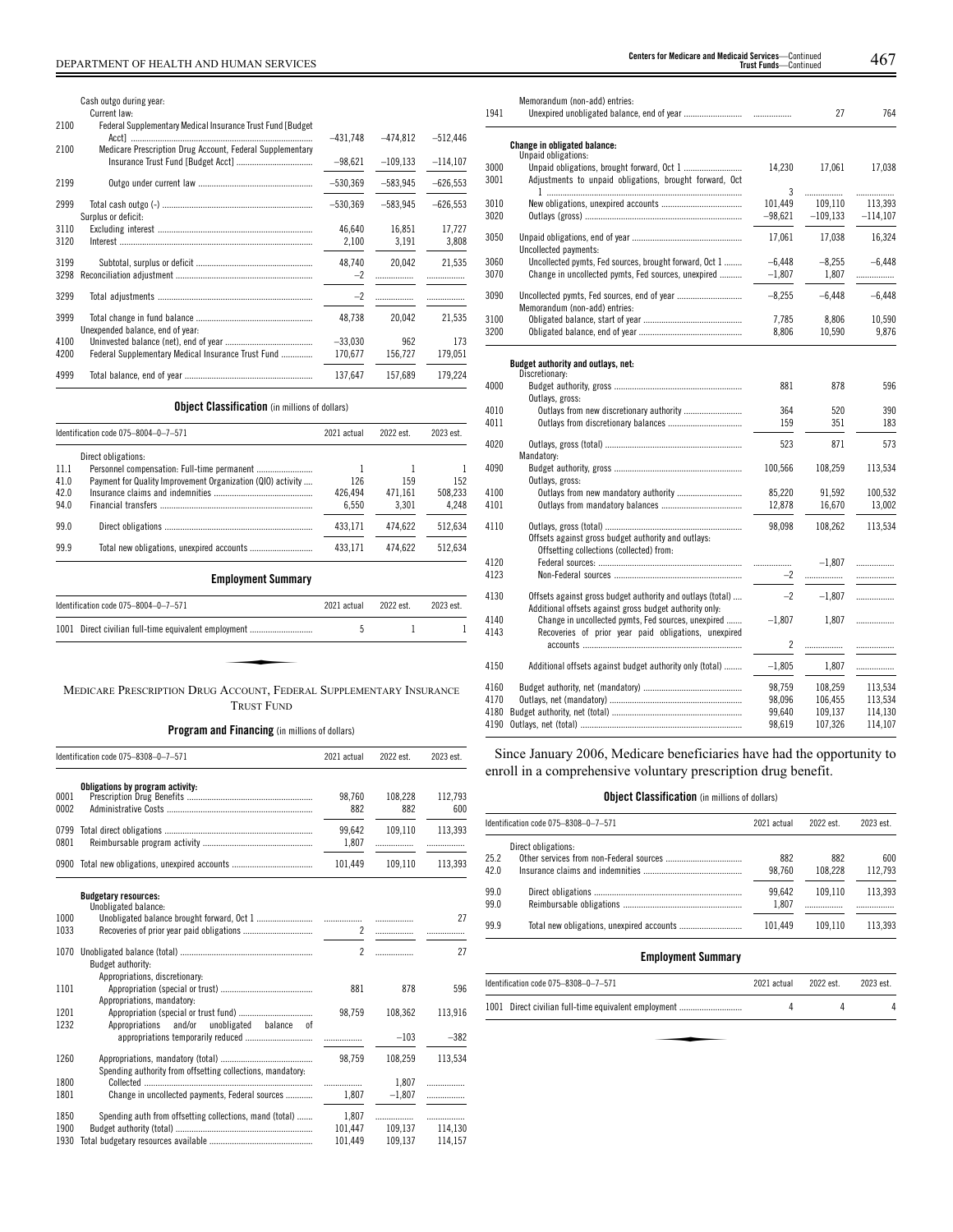|              | Cash outgo during year:<br>Current law:                     |                |            |            |
|--------------|-------------------------------------------------------------|----------------|------------|------------|
| 2100         | Federal Supplementary Medical Insurance Trust Fund [Budget] | $-431,748$     | $-474.812$ | $-512,446$ |
| 2100         | Medicare Prescription Drug Account, Federal Supplementary   | $-98.621$      | $-109.133$ | $-114,107$ |
| 2199         |                                                             | $-530,369$     | $-583.945$ | $-626,553$ |
| 2999         |                                                             | $-530.369$     | $-583.945$ | $-626.553$ |
| 3110         | Surplus or deficit:                                         | 46.640         | 16.851     | 17.727     |
| 3120         |                                                             | 2,100          | 3,191      | 3,808      |
| 3199<br>3298 |                                                             | 48,740<br>$-2$ | 20,042     | 21,535     |
| 3299         |                                                             | $-2$           |            |            |
| 3999         |                                                             | 48.738         | 20.042     | 21,535     |
| 4100         | Unexpended balance, end of year:                            | $-33.030$      | 962        | 173        |
| 4200         | Federal Supplementary Medical Insurance Trust Fund          | 170.677        | 156,727    | 179,051    |
| 4999         |                                                             | 137,647        | 157.689    | 179.224    |

# **Object Classification** (in millions of dollars)

|      | Identification code 075-8004-0-7-571                                | 2021 actual | 2022 est. | 2023 est. |
|------|---------------------------------------------------------------------|-------------|-----------|-----------|
|      | Direct obligations:                                                 |             |           |           |
| 11.1 |                                                                     |             |           |           |
| 41.0 | Payment for Quality Improvement Organization (QIO) activity         | 126         | 159       | 152       |
| 42.0 |                                                                     | 426.494     | 471.161   | 508.233   |
| 94.0 |                                                                     | 6,550       | 3,301     | 4,248     |
| 99.0 |                                                                     | 433,171     | 474,622   | 512,634   |
| 99.9 |                                                                     | 433.171     | 474.622   | 512,634   |
|      | <b>Employment Summary</b>                                           |             |           |           |
|      | Identification code 075-8004-0-7-571                                | 2021 actual | 2022 est. | 2023 est. |
| 1001 | Direct civilian full-time equivalent employment                     | 5           | 1         |           |
|      | MEDICARE PRESCRIPTION DRUG ACCOUNT, FEDERAL SUPPLEMENTARY INSURANCE |             |           |           |

# TRUST FUND

**Program and Financing** (in millions of dollars)

|                      | Identification code 075-8308-0-7-571                       | 2021 actual                 | 2022 est.          | 2023 est.               |
|----------------------|------------------------------------------------------------|-----------------------------|--------------------|-------------------------|
| 0001<br>0002         | Obligations by program activity:                           | 98.760<br>882               | 108,228<br>882     | 112.793<br>600          |
| 0799<br>0801         |                                                            | 99.642<br>1,807             | 109.110<br>.       | 113.393<br>.            |
| 0900                 |                                                            | 101,449                     | 109,110            | 113,393                 |
|                      | <b>Budgetary resources:</b>                                |                             |                    |                         |
| 1000<br>1033         | Unobligated balance:                                       | $\mathbf{2}$                | .                  | 27                      |
| 1070                 | Budget authority:<br>Appropriations, discretionary:        | $\overline{2}$              | .                  | 27                      |
| 1101                 | Appropriations, mandatory:                                 | 881                         | 878                | 596                     |
| 1201<br>1232         | Appropriations<br>and/or<br>unobligated balance of         | 98,759                      | 108,362            | 113,916                 |
|                      |                                                            |                             | $-103$             | $-382$                  |
| 1260                 | Spending authority from offsetting collections, mandatory: | 98,759                      | 108.259            | 113,534                 |
| 1800<br>1801         | Change in uncollected payments, Federal sources            | <br>1,807                   | 1,807<br>$-1,807$  | .<br>.                  |
| 1850<br>1900<br>1930 | Spending auth from offsetting collections, mand (total)    | 1.807<br>101.447<br>101.449 | 109.137<br>109.137 | .<br>114,130<br>114,157 |

| 1941         | Memorandum (non-add) entries:                                                                                         |                | 27         | 764        |
|--------------|-----------------------------------------------------------------------------------------------------------------------|----------------|------------|------------|
|              | Change in obligated balance:                                                                                          |                |            |            |
| 3000<br>3001 | Unpaid obligations:<br>Adjustments to unpaid obligations, brought forward, Oct                                        | 14,230         | 17,061     | 17,038     |
|              |                                                                                                                       | 3              | .          | .          |
| 3010         |                                                                                                                       | 101,449        | 109,110    | 113,393    |
| 3020         |                                                                                                                       | $-98,621$      | $-109,133$ | $-114,107$ |
| 3050         | Uncollected payments:                                                                                                 | 17,061         | 17,038     | 16,324     |
| 3060         | Uncollected pymts, Fed sources, brought forward, Oct 1                                                                | $-6,448$       | $-8,255$   | $-6,448$   |
| 3070         | Change in uncollected pymts, Fed sources, unexpired                                                                   | $-1,807$       | 1,807      | .          |
| 3090         | Memorandum (non-add) entries:                                                                                         | $-8,255$       | $-6,448$   | $-6,448$   |
| 3100         |                                                                                                                       | 7.785          | 8,806      | 10,590     |
| 3200         |                                                                                                                       | 8,806          | 10,590     | 9,876      |
|              | Budget authority and outlays, net:<br>Discretionary:                                                                  |                |            |            |
| 4000         | Outlays, gross:                                                                                                       | 881            | 878        | 596        |
| 4010         |                                                                                                                       | 364            | 520        | 390        |
| 4011         |                                                                                                                       | 159            | 351        | 183        |
| 4020         | Mandatory:                                                                                                            | 523            | 871        | 573        |
| 4090         | Outlays, gross:                                                                                                       | 100,566        | 108,259    | 113,534    |
| 4100         |                                                                                                                       | 85,220         | 91,592     | 100,532    |
| 4101         |                                                                                                                       | 12,878         | 16,670     | 13,002     |
| 4110         | Offsets against gross budget authority and outlays:                                                                   | 98,098         | 108,262    | 113,534    |
|              | Offsetting collections (collected) from:                                                                              |                |            |            |
| 4120         |                                                                                                                       |                | $-1.807$   | .          |
| 4123         |                                                                                                                       | $-2$           | .          | .          |
| 4130         | Offsets against gross budget authority and outlays (total)<br>Additional offsets against gross budget authority only: | $-2$           | $-1,807$   | .          |
| 4140<br>4143 | Change in uncollected pymts, Fed sources, unexpired<br>Recoveries of prior year paid obligations, unexpired           | $-1,807$       | 1,807      | .          |
|              |                                                                                                                       | $\overline{c}$ |            |            |
| 4150         | Additional offsets against budget authority only (total)                                                              | $-1,805$       | 1,807      |            |
| 4160         |                                                                                                                       | 98,759         | 108,259    | 113,534    |
| 4170         |                                                                                                                       | 98,096         | 106,455    | 113,534    |
| 4180         |                                                                                                                       | 99,640         | 109,137    | 114,130    |
| 4190         |                                                                                                                       | 98,619         | 107,326    | 114,107    |

Since January 2006, Medicare beneficiaries have had the opportunity to enroll in a comprehensive voluntary prescription drug benefit.

# **Object Classification** (in millions of dollars)

|              | Identification code 075-8308-0-7-571 | 2021 actual     | 2022 est.      | 2023 est.      |
|--------------|--------------------------------------|-----------------|----------------|----------------|
| 25.2<br>42.0 | Direct obligations:                  | 882<br>98.760   | 882<br>108.228 | 600<br>112.793 |
| 99.0<br>99.0 |                                      | 99.642<br>1.807 | 109.110        | 113.393        |
| 99.9         |                                      | 101.449         | 109.110        | 113.393        |

# **Employment Summary**

| Identification code 075-8308-0-7-571                 | 2021 actual | 2022 est. | 2023 est. |
|------------------------------------------------------|-------------|-----------|-----------|
| 1001 Direct civilian full-time equivalent employment |             |           |           |
|                                                      |             |           |           |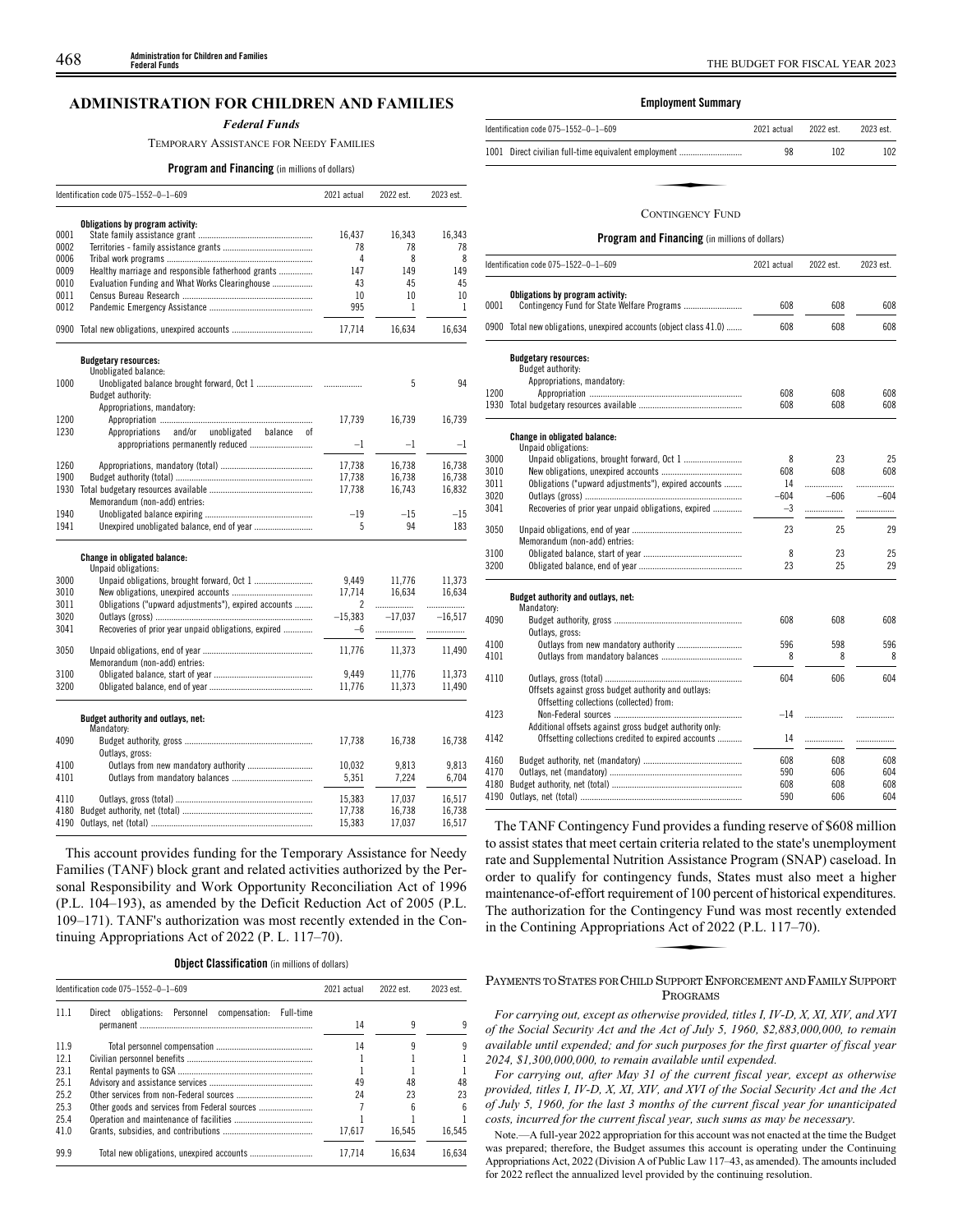# **ADMINISTRATION FOR CHILDREN AND FAMILIES**

#### *Federal Funds*

TEMPORARY ASSISTANCE FOR NEEDY FAMILIES

### **Program and Financing** (in millions of dollars)

|      | Identification code 075-1552-0-1-609                     | 2021 actual | 2022 est.    | 2023 est. |
|------|----------------------------------------------------------|-------------|--------------|-----------|
|      | Obligations by program activity:                         |             |              |           |
| 0001 |                                                          | 16,437      | 16,343       | 16,343    |
| 0002 |                                                          | 78          | 78           | 78        |
| 0006 |                                                          | 4           | 8            | 8         |
| 0009 | Healthy marriage and responsible fatherhood grants       | 147         | 149          | 149       |
| 0010 | Evaluation Funding and What Works Clearinghouse          | 43          | 45           | 45        |
| 0011 |                                                          | 10          | 10           | 10        |
| 0012 |                                                          | 995         | $\mathbf{1}$ | 1         |
|      | 0900 Total new obligations, unexpired accounts           | 17,714      | 16,634       | 16,634    |
|      | <b>Budgetary resources:</b>                              |             |              |           |
|      | Unobligated balance:                                     |             |              |           |
| 1000 |                                                          | .           | 5            | 94        |
|      | Budget authority:                                        |             |              |           |
|      | Appropriations, mandatory:                               |             |              |           |
| 1200 |                                                          | 17,739      | 16,739       | 16,739    |
| 1230 | and/or<br>unobligated<br>Appropriations<br>balance<br>оf |             |              |           |
|      |                                                          | $-1$        | $-1$         | $-1$      |
| 1260 |                                                          | 17,738      | 16,738       | 16,738    |
| 1900 |                                                          | 17.738      | 16.738       | 16.738    |
| 1930 |                                                          | 17,738      | 16,743       | 16,832    |
|      | Memorandum (non-add) entries:                            |             |              |           |
| 1940 |                                                          | $-19$       | $-15$        | $-15$     |
| 1941 |                                                          | 5           | 94           | 183       |
|      | Change in obligated balance:<br>Unpaid obligations:      |             |              |           |
| 3000 |                                                          | 9.449       | 11,776       | 11,373    |
| 3010 |                                                          | 17,714      | 16,634       | 16,634    |
| 3011 | Obligations ("upward adjustments"), expired accounts     | 2           | .            | .         |
| 3020 |                                                          | $-15,383$   | $-17,037$    | $-16,517$ |
| 3041 | Recoveries of prior year unpaid obligations, expired     | $-6$        | .            |           |
| 3050 | Memorandum (non-add) entries:                            | 11,776      | 11,373       | 11,490    |
| 3100 |                                                          | 9.449       | 11,776       | 11,373    |
| 3200 |                                                          | 11,776      | 11,373       | 11,490    |
|      | Budget authority and outlays, net:<br>Mandatory:         |             |              |           |
| 4090 | Outlays, gross:                                          | 17,738      | 16,738       | 16,738    |
| 4100 |                                                          | 10,032      | 9,813        | 9,813     |
| 4101 |                                                          | 5,351       | 7,224        | 6,704     |
| 4110 |                                                          | 15,383      | 17,037       | 16,517    |
| 4180 |                                                          | 17,738      | 16.738       | 16,738    |
| 4190 |                                                          | 15,383      | 17,037       | 16,517    |

This account provides funding for the Temporary Assistance for Needy Families (TANF) block grant and related activities authorized by the Personal Responsibility and Work Opportunity Reconciliation Act of 1996 (P.L. 104–193), as amended by the Deficit Reduction Act of 2005 (P.L. 109–171). TANF's authorization was most recently extended in the Continuing Appropriations Act of 2022 (P. L. 117–70).

|  | <b>Object Classification</b> (in millions of dollars) |  |  |  |
|--|-------------------------------------------------------|--|--|--|
|--|-------------------------------------------------------|--|--|--|

|      | Identification code 075-1552-0-1-609                              |        | 2022 est. | 2023 est. |
|------|-------------------------------------------------------------------|--------|-----------|-----------|
| 11.1 | Personnel<br>Full-time<br>obligations:<br>compensation:<br>Direct |        |           |           |
|      |                                                                   | 14     | q         |           |
| 11.9 |                                                                   | 14     |           |           |
| 12.1 |                                                                   |        |           |           |
| 23.1 |                                                                   |        |           |           |
| 25.1 |                                                                   | 49     | 48        | 48        |
| 25.2 |                                                                   | 24     | 23        | 23        |
| 25.3 | Other goods and services from Federal sources                     |        |           |           |
| 25.4 |                                                                   |        |           |           |
| 41.0 |                                                                   | 17.617 | 16.545    | 16.545    |
| 99.9 | Total new obligations, unexpired accounts                         | 17.714 | 16.634    | 16.634    |

# **Employment Summary**

| 2021 actual                                                | 2022 est.               | 2023 est. |
|------------------------------------------------------------|-------------------------|-----------|
| 1001 Direct civilian full-time equivalent employment<br>98 | 102                     | 102       |
|                                                            |                         |           |
|                                                            |                         |           |
|                                                            | <b>CONTINGENCY FUND</b> |           |

# **Program and Financing** (in millions of dollars)

|      | Identification code 075-1522-0-1-609                          | 2021 actual | 2022 est. | 2023 est. |
|------|---------------------------------------------------------------|-------------|-----------|-----------|
|      | Obligations by program activity:                              |             |           |           |
| 0001 |                                                               | 608         | 608       | 608       |
| 0900 | Total new obligations, unexpired accounts (object class 41.0) | 608         | 608       | 608       |
|      | <b>Budgetary resources:</b>                                   |             |           |           |
|      | Budget authority:                                             |             |           |           |
|      | Appropriations, mandatory:                                    |             |           |           |
| 1200 |                                                               | 608         | 608       | 608       |
| 1930 |                                                               | 608         | 608       | 608       |
|      | Change in obligated balance:<br>Unpaid obligations:           |             |           |           |
| 3000 |                                                               | 8           | 23        | 25        |
| 3010 |                                                               | 608         | 608       | 608       |
| 3011 | Obligations ("upward adjustments"), expired accounts          | 14          | .         |           |
| 3020 |                                                               | $-604$      | $-606$    | $-604$    |
| 3041 | Recoveries of prior year unpaid obligations, expired          | $-3$        | .         | .         |
| 3050 |                                                               | 23          | 25        | 29        |
|      | Memorandum (non-add) entries:                                 |             |           |           |
| 3100 |                                                               | 8           | 23        | 25        |
| 3200 |                                                               | 23          | 25        | 29        |
|      | Budget authority and outlays, net:<br>Mandatory:              |             |           |           |
| 4090 |                                                               | 608         | 608       | 608       |
|      | Outlays, gross:                                               |             |           |           |
| 4100 |                                                               | 596         | 598       | 596       |
| 4101 |                                                               | 8           | 8         | 8         |
| 4110 |                                                               | 604         | 606       | 604       |
|      | Offsets against gross budget authority and outlays:           |             |           |           |
|      | Offsetting collections (collected) from:                      |             |           |           |
| 4123 |                                                               | $-14$       | .         |           |
|      | Additional offsets against gross budget authority only:       |             |           |           |
| 4142 | Offsetting collections credited to expired accounts           | 14          |           |           |
| 4160 |                                                               | 608         | 608       | 608       |
| 4170 |                                                               | 590         | 606       | 604       |
| 4180 |                                                               | 608         | 608       | 608       |
| 4190 |                                                               | 590         | 606       | 604       |

The TANF Contingency Fund provides a funding reserve of \$608 million to assist states that meet certain criteria related to the state's unemployment rate and Supplemental Nutrition Assistance Program (SNAP) caseload. In order to qualify for contingency funds, States must also meet a higher maintenance-of-effort requirement of 100 percent of historical expenditures.<br>The authorization for the Contingency Fund was most recently extended<br>in the Contining Appropriations Act of 2022 (P.L. 117–70). The authorization for the Contingency Fund was most recently extended in the Contining Appropriations Act of 2022 (P.L. 117 –70).

## PAYMENTS TO STATES FOR CHILD SUPPORT ENFORCEMENT AND FAMILY SUPPORT PROGRAMS

*For carrying out, except as otherwise provided, titles I, IV-D, X, XI, XIV, and XVI of the Social Security Act and the Act of July 5, 1960, \$2,883,000,000, to remain available until expended; and for such purposes for the first quarter of fiscal year 2024, \$1,300,000,000, to remain available until expended.*

*For carrying out, after May 31 of the current fiscal year, except as otherwise provided, titles I, IV-D, X, XI, XIV, and XVI of the Social Security Act and the Act of July 5, 1960, for the last 3 months of the current fiscal year for unanticipated costs, incurred for the current fiscal year, such sums as may be necessary.*

Note.—A full-year 2022 appropriation for this account was not enacted at the time the Budget was prepared; therefore, the Budget assumes this account is operating under the Continuing Appropriations Act, 2022 (Division A of Public Law 117–43, as amended). The amounts included for 2022 reflect the annualized level provided by the continuing resolution.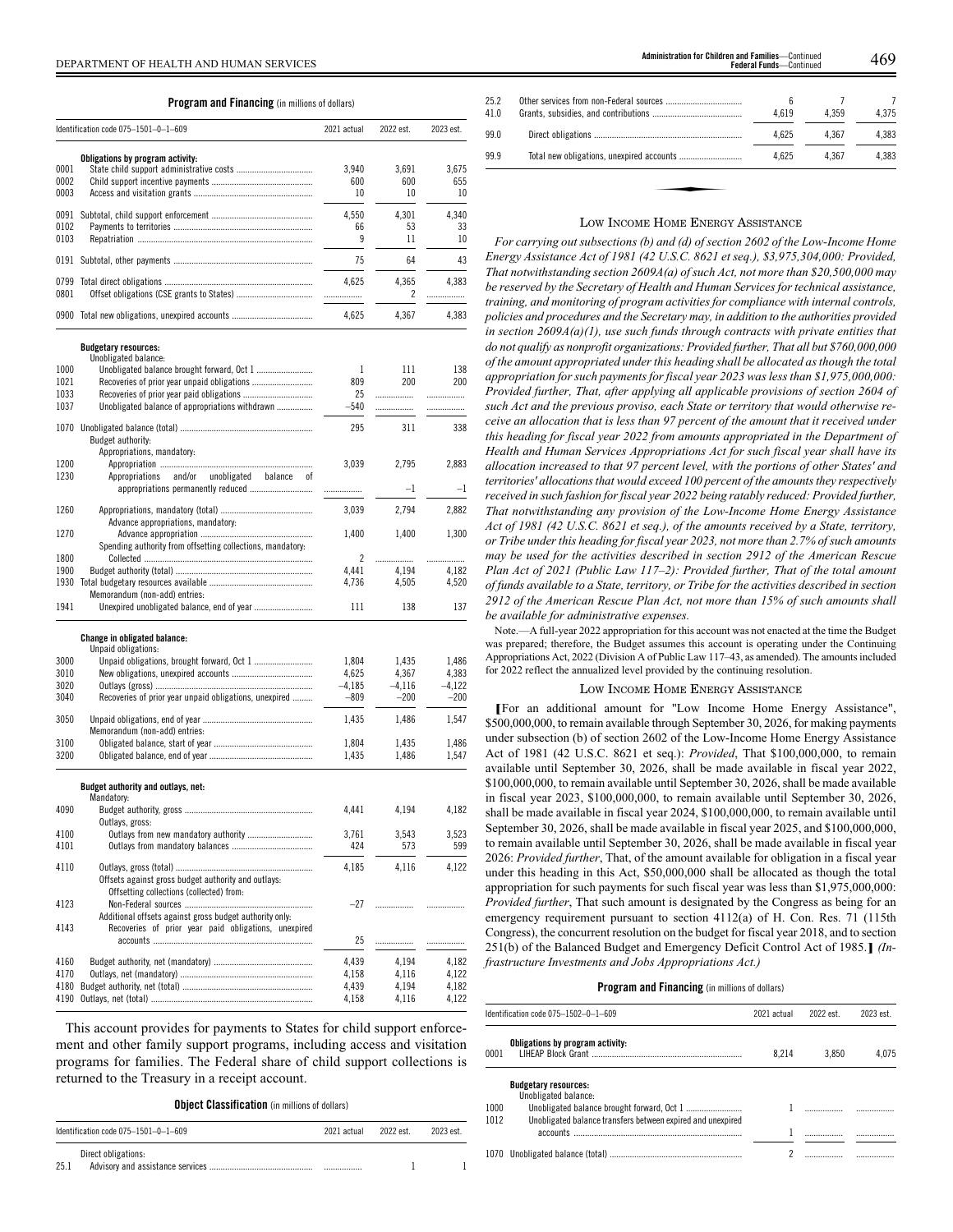| <b>Program and Financing</b> (in millions of dollars) |  |
|-------------------------------------------------------|--|
|-------------------------------------------------------|--|

|              | Identification code 075-1501-0-1-609                                                            | 2021 actual    | 2022 est.      | 2023 est.      |
|--------------|-------------------------------------------------------------------------------------------------|----------------|----------------|----------------|
|              | Obligations by program activity:                                                                |                |                |                |
| 0001         |                                                                                                 | 3,940          | 3,691          | 3,675          |
| 0002         |                                                                                                 | 600            | 600            | 655            |
| 0003         |                                                                                                 | 10             | 10             | 10             |
|              |                                                                                                 | 4,550          | 4,301          | 4,340          |
| 0102         |                                                                                                 | 66             | 53             | 33             |
| 0103         |                                                                                                 | 9              | 11             | 10             |
|              |                                                                                                 | 75             | 64             | 43             |
| 0799         |                                                                                                 | 4,625          | 4,365          | 4,383          |
| 0801         |                                                                                                 | .              | 2              | .              |
|              | 0900 Total new obligations, unexpired accounts                                                  | 4,625          | 4,367          | 4,383          |
|              | <b>Budgetary resources:</b>                                                                     |                |                |                |
| 1000         | Unobligated balance:                                                                            | 1              |                | 138            |
| 1021         | Unobligated balance brought forward, Oct 1                                                      | 809            | 111<br>200     | 200            |
| 1033         |                                                                                                 | 25             |                |                |
| 1037         | Unobligated balance of appropriations withdrawn                                                 | $-540$         |                | .              |
|              |                                                                                                 |                | .              | .              |
|              |                                                                                                 | 295            | 311            | 338            |
|              | Budget authority:                                                                               |                |                |                |
| 1200         | Appropriations, mandatory:                                                                      | 3,039          | 2.795          | 2.883          |
| 1230         | Appropriations<br>and/or<br>unobligated<br>balance<br>οf                                        |                |                |                |
|              |                                                                                                 | .              | $-1$           | $-1$           |
| 1260         |                                                                                                 | 3,039          | 2,794          | 2,882          |
|              | Advance appropriations, mandatory:                                                              |                |                |                |
| 1270         | Spending authority from offsetting collections, mandatory:                                      | 1,400          | 1.400          | 1,300          |
| 1800         |                                                                                                 | 2              | .              | .              |
| 1900         |                                                                                                 | 4,441          | 4,194          | 4,182          |
| 1930         |                                                                                                 | 4,736          | 4,505          | 4,520          |
| 1941         | Memorandum (non-add) entries:<br>Unexpired unobligated balance, end of year                     | 111            | 138            | 137            |
|              |                                                                                                 |                |                |                |
|              | Change in obligated balance:<br>Unpaid obligations:                                             |                |                |                |
| 3000         | Unpaid obligations, brought forward, Oct 1                                                      | 1,804          | 1,435          | 1,486          |
| 3010         |                                                                                                 | 4,625          | 4,367          | 4,383          |
| 3020         |                                                                                                 | $-4,185$       | $-4,116$       | $-4,122$       |
| 3040         | Recoveries of prior year unpaid obligations, unexpired                                          | $-809$         | $-200$         | $-200$         |
| 3050         |                                                                                                 | 1,435          | 1,486          | 1,547          |
|              | Memorandum (non-add) entries:                                                                   |                |                |                |
| 3100<br>3200 |                                                                                                 | 1,804<br>1,435 | 1,435<br>1,486 | 1,486<br>1,547 |
|              |                                                                                                 |                |                |                |
|              | Budget authority and outlays, net:<br>Mandatory:                                                |                |                |                |
| 4090         | Outlays, gross:                                                                                 | 4,441          | 4,194          | 4,182          |
| 4100         |                                                                                                 | 3,761          | 3,543          | 3,523          |
| 4101         |                                                                                                 | 424            | 573            | 599            |
| 4110         |                                                                                                 | 4,185          | 4,116          | 4,122          |
|              | Offsets against gross budget authority and outlays:<br>Offsetting collections (collected) from: |                |                |                |
| 4123         |                                                                                                 | $-27$          | .              |                |
|              | Additional offsets against gross budget authority only:                                         |                |                |                |
| 4143         | Recoveries of prior year paid obligations, unexpired                                            | 25             |                |                |
|              |                                                                                                 |                |                | .              |
| 4160         |                                                                                                 | 4,439          | 4,194          | 4,182          |
| 4170         |                                                                                                 | 4,158          | 4,116          | 4,122          |
| 4180         |                                                                                                 | 4,439          | 4,194          | 4,182          |
| 4190         |                                                                                                 | 4,158          | 4,116          | 4,122          |

This account provides for payments to States for child support enforcement and other family support programs, including access and visitation programs for families. The Federal share of child support collections is returned to the Treasury in a receipt account.

**Object Classification** (in millions of dollars)

|      | Identification code $075-1501-0-1-609$ | 2021 actual | 2022 est. | 2023 est. |
|------|----------------------------------------|-------------|-----------|-----------|
| 25.1 | Direct obligations:                    | .           |           |           |

| 25.2<br>41.0 | 6<br>4.619 | 4.359 | 4.375 |
|--------------|------------|-------|-------|
| 99.0         | 4.625      | 4.367 | 4.383 |
| 99.9         | 4.625      | 4.367 | 4.383 |
|              |            |       |       |
|              |            |       |       |
|              |            |       |       |

# LOW INCOME HOME ENERGY ASSISTANCE

*For carrying out subsections (b) and (d) of section 2602 of the Low-Income Home Energy Assistance Act of 1981 (42 U.S.C. 8621 et seq.), \$3,975,304,000: Provided, That notwithstanding section 2609A(a) of such Act, not more than \$20,500,000 may be reserved by the Secretary of Health and Human Services for technical assistance, training, and monitoring of program activities for compliance with internal controls, policies and procedures and the Secretary may, in addition to the authorities provided in section 2609A(a)(1), use such funds through contracts with private entities that do not qualify as nonprofit organizations: Provided further, That all but \$760,000,000 of the amount appropriated under this heading shall be allocated as though the total appropriation for such payments for fiscal year 2023 was less than \$1,975,000,000: Provided further, That, after applying all applicable provisions of section 2604 of such Act and the previous proviso, each State or territory that would otherwise receive an allocation that is less than 97 percent of the amount that it received under this heading for fiscal year 2022 from amounts appropriated in the Department of Health and Human Services Appropriations Act for such fiscal year shall have its allocation increased to that 97 percent level, with the portions of other States' and territories' allocations that would exceed 100 percent of the amounts they respectively received in such fashion for fiscal year 2022 being ratably reduced: Provided further, That notwithstanding any provision of the Low-Income Home Energy Assistance Act of 1981 (42 U.S.C. 8621 et seq.), of the amounts received by a State, territory, or Tribe under this heading for fiscal year 2023, not more than 2.7% of such amounts may be used for the activities described in section 2912 of the American Rescue Plan Act of 2021 (Public Law 117–2): Provided further, That of the total amount of funds available to a State, territory, or Tribe for the activities described in section 2912 of the American Rescue Plan Act, not more than 15% of such amounts shall be available for administrative expenses.*

Note.—A full-year 2022 appropriation for this account was not enacted at the time the Budget was prepared; therefore, the Budget assumes this account is operating under the Continuing Appropriations Act, 2022 (Division A of Public Law 117–43, as amended). The amounts included for 2022 reflect the annualized level provided by the continuing resolution.

#### LOW INCOME HOME ENERGY ASSISTANCE

**[**For an additional amount for "Low Income Home Energy Assistance", \$500,000,000, to remain available through September 30, 2026, for making payments under subsection (b) of section 2602 of the Low-Income Home Energy Assistance Act of 1981 (42 U.S.C. 8621 et seq.): *Provided*, That \$100,000,000, to remain available until September 30, 2026, shall be made available in fiscal year 2022, \$100,000,000, to remain available until September 30, 2026, shall be made available in fiscal year 2023, \$100,000,000, to remain available until September 30, 2026, shall be made available in fiscal year 2024, \$100,000,000, to remain available until September 30, 2026, shall be made available in fiscal year 2025, and \$100,000,000, to remain available until September 30, 2026, shall be made available in fiscal year 2026: *Provided further*, That, of the amount available for obligation in a fiscal year under this heading in this Act, \$50,000,000 shall be allocated as though the total appropriation for such payments for such fiscal year was less than \$1,975,000,000: *Provided further*, That such amount is designated by the Congress as being for an emergency requirement pursuant to section 4112(a) of H. Con. Res. 71 (115th Congress), the concurrent resolution on the budget for fiscal year 2018, and to section 251(b) of the Balanced Budget and Emergency Deficit Control Act of 1985.**]** *(Infrastructure Investments and Jobs Appropriations Act.)*

|      | Identification code 075-1502-0-1-609                        | 2021 actual | 2022 est. | 2023 est |
|------|-------------------------------------------------------------|-------------|-----------|----------|
| 0001 | Obligations by program activity:                            | 8.214       | 3.850     | 4.075    |
|      | <b>Budgetary resources:</b><br>Unobligated balance:         |             |           |          |
| 1000 |                                                             |             |           |          |
| 1012 | Unobligated balance transfers between expired and unexpired |             |           |          |
|      |                                                             |             |           |          |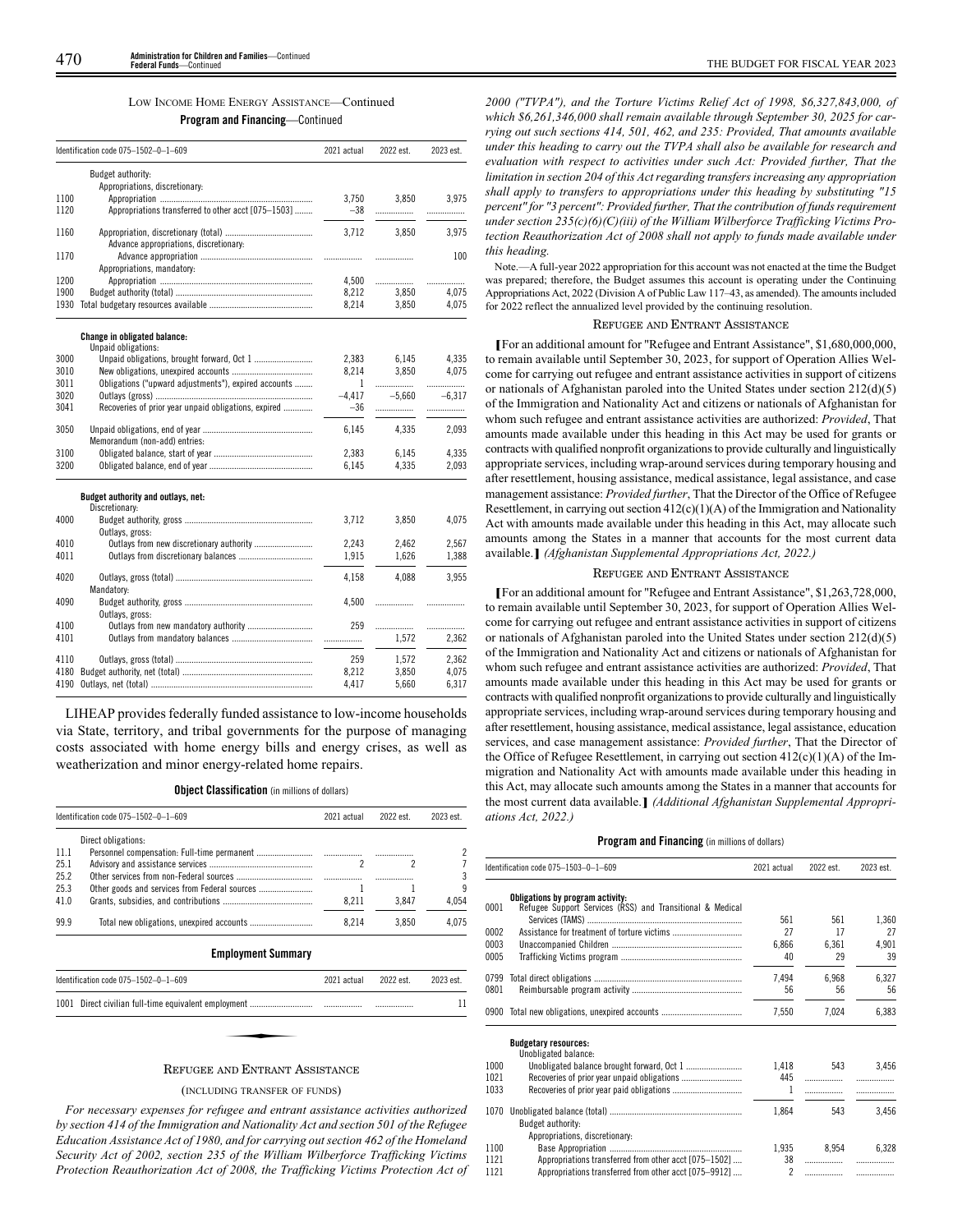#### LOW INCOME HOME ENERGY ASSISTANCE—Continued

**Program and Financing**—Continued

|              | Identification code 075-1502-0-1-609                       | 2021 actual    | 2022 est.  | 2023 est.  |
|--------------|------------------------------------------------------------|----------------|------------|------------|
|              | Budget authority:<br>Appropriations, discretionary:        |                |            |            |
| 1100<br>1120 | Appropriations transferred to other acct [075-1503]        | 3.750<br>$-38$ | 3,850<br>. | 3.975<br>. |
| 1160         | Advance appropriations, discretionary:                     | 3,712          | 3,850      | 3,975      |
| 1170         | Appropriations, mandatory:                                 |                | .          | 100        |
| 1200         |                                                            | 4,500          |            | .          |
| 1900         |                                                            | 8,212          | 3,850      | 4,075      |
| 1930         |                                                            | 8,214          | 3,850      | 4,075      |
|              | <b>Change in obligated balance:</b><br>Unpaid obligations: |                |            |            |
| 3000         | Unpaid obligations, brought forward, Oct 1                 | 2,383          | 6,145      | 4,335      |
| 3010         |                                                            | 8,214          | 3.850      | 4.075      |
| 3011         | Obligations ("upward adjustments"), expired accounts       | $\mathbf{1}$   |            | .          |
| 3020         |                                                            | $-4,417$       | $-5,660$   | $-6.317$   |
| 3041         | Recoveries of prior year unpaid obligations, expired       | $-36$          |            | .          |
| 3050         |                                                            | 6.145          | 4.335      | 2.093      |
|              | Memorandum (non-add) entries:                              |                |            |            |
| 3100         |                                                            | 2,383          | 6,145      | 4,335      |
| 3200         |                                                            | 6,145          | 4,335      | 2,093      |
|              | Budget authority and outlays, net:<br>Discretionary:       |                |            |            |
| 4000         | Outlays, gross:                                            | 3,712          | 3,850      | 4.075      |
| 4010         |                                                            | 2.243          | 2.462      | 2.567      |
| 4011         |                                                            | 1,915          | 1,626      | 1,388      |
|              |                                                            |                |            |            |
| 4020         | Mandatory:                                                 | 4,158          | 4,088      | 3,955      |
| 4090         | Outlays, gross:                                            | 4,500          | .          |            |
| 4100         | Outlays from new mandatory authority                       | 259            | .          | .          |
| 4101         |                                                            |                | 1,572      | 2,362      |
| 4110         |                                                            | 259            | 1,572      | 2,362      |
| 4180         |                                                            | 8,212          | 3,850      | 4,075      |
| 4190         |                                                            | 4,417          | 5,660      | 6,317      |
|              |                                                            |                |            |            |

LIHEAP provides federally funded assistance to low-income households via State, territory, and tribal governments for the purpose of managing costs associated with home energy bills and energy crises, as well as weatherization and minor energy-related home repairs.

#### **Object Classification** (in millions of dollars)

|      | Identification code 075-1502-0-1-609      | 2021 actual | 2022 est. | 2023 est. |
|------|-------------------------------------------|-------------|-----------|-----------|
|      | Direct obligations:                       |             |           |           |
| 11.1 |                                           |             |           |           |
| 25.1 |                                           |             |           |           |
| 25.2 |                                           |             |           |           |
| 25.3 |                                           |             |           |           |
| 41.0 |                                           | 8.211       | 3.847     | 4.054     |
| 99.9 | Total new obligations, unexpired accounts | 8.214       | 3.850     | 4.075     |
|      | <b>Employment Summary</b>                 |             |           |           |

| Identification code 075-1502-0-1-609                             | 2021 actual | 2022 est. | 2023 est. |
|------------------------------------------------------------------|-------------|-----------|-----------|
|                                                                  |             |           |           |
|                                                                  |             |           |           |
| $D_{\text{max}}$ and the $D_{\text{max}}$ can be a set of $\sim$ |             |           |           |

# REFUGEE AND ENTRANT ASSISTANCE

#### (INCLUDING TRANSFER OF FUNDS)

*For necessary expenses for refugee and entrant assistance activities authorized by section 414 of the Immigration and Nationality Act and section 501 of the Refugee Education Assistance Act of 1980, and for carrying out section 462 of the Homeland Security Act of 2002, section 235 of the William Wilberforce Trafficking Victims Protection Reauthorization Act of 2008, the Trafficking Victims Protection Act of*

*2000 ("TVPA"), and the Torture Victims Relief Act of 1998, \$6,327,843,000, of which \$6,261,346,000 shall remain available through September 30, 2025 for carrying out such sections 414, 501, 462, and 235: Provided, That amounts available under this heading to carry out the TVPA shall also be available for research and evaluation with respect to activities under such Act: Provided further, That the limitation in section 204 of this Act regarding transfers increasing any appropriation shall apply to transfers to appropriations under this heading by substituting "15 percent" for "3 percent": Provided further, That the contribution of funds requirement under section 235(c)(6)(C)(iii) of the William Wilberforce Trafficking Victims Protection Reauthorization Act of 2008 shall not apply to funds made available under this heading.*

Note.—A full-year 2022 appropriation for this account was not enacted at the time the Budget was prepared; therefore, the Budget assumes this account is operating under the Continuing Appropriations Act, 2022 (Division A of Public Law 117–43, as amended). The amounts included for 2022 reflect the annualized level provided by the continuing resolution.

# REFUGEE AND ENTRANT ASSISTANCE

**[**For an additional amount for "Refugee and Entrant Assistance", \$1,680,000,000, to remain available until September 30, 2023, for support of Operation Allies Welcome for carrying out refugee and entrant assistance activities in support of citizens or nationals of Afghanistan paroled into the United States under section 212(d)(5) of the Immigration and Nationality Act and citizens or nationals of Afghanistan for whom such refugee and entrant assistance activities are authorized: *Provided*, That amounts made available under this heading in this Act may be used for grants or contracts with qualified nonprofit organizations to provide culturally and linguistically appropriate services, including wrap-around services during temporary housing and after resettlement, housing assistance, medical assistance, legal assistance, and case management assistance: *Provided further*, That the Director of the Office of Refugee Resettlement, in carrying out section  $412(c)(1)(A)$  of the Immigration and Nationality Act with amounts made available under this heading in this Act, may allocate such amounts among the States in a manner that accounts for the most current data available.**]** *(Afghanistan Supplemental Appropriations Act, 2022.)*

# REFUGEE AND ENTRANT ASSISTANCE

**[**For an additional amount for "Refugee and Entrant Assistance", \$1,263,728,000, to remain available until September 30, 2023, for support of Operation Allies Welcome for carrying out refugee and entrant assistance activities in support of citizens or nationals of Afghanistan paroled into the United States under section 212(d)(5) of the Immigration and Nationality Act and citizens or nationals of Afghanistan for whom such refugee and entrant assistance activities are authorized: *Provided*, That amounts made available under this heading in this Act may be used for grants or contracts with qualified nonprofit organizations to provide culturally and linguistically appropriate services, including wrap-around services during temporary housing and after resettlement, housing assistance, medical assistance, legal assistance, education services, and case management assistance: *Provided further*, That the Director of the Office of Refugee Resettlement, in carrying out section  $412(c)(1)(A)$  of the Immigration and Nationality Act with amounts made available under this heading in this Act, may allocate such amounts among the States in a manner that accounts for the most current data available.**]** *(Additional Afghanistan Supplemental Appropriations Act, 2022.)*

|      | Identification code 075-1503-0-1-609                                                          | 2021 actual    | 2022 est. | 2023 est. |
|------|-----------------------------------------------------------------------------------------------|----------------|-----------|-----------|
| 0001 | Obligations by program activity:<br>Refugee Support Services (RSS) and Transitional & Medical |                |           |           |
|      |                                                                                               | 561            | 561       | 1,360     |
| 0002 |                                                                                               | 27             | 17        | 27        |
| 0003 |                                                                                               | 6.866          | 6,361     | 4,901     |
| 0005 |                                                                                               | 40             | 29        | 39        |
| 0799 |                                                                                               | 7,494          | 6,968     | 6,327     |
| 0801 |                                                                                               | 56             | 56        | 56        |
| 0900 |                                                                                               | 7,550          | 7,024     | 6,383     |
|      | <b>Budgetary resources:</b>                                                                   |                |           |           |
|      | Unobligated balance:                                                                          |                |           |           |
| 1000 |                                                                                               | 1,418          | 543       | 3.456     |
| 1021 |                                                                                               | 445            | .         | .         |
| 1033 |                                                                                               | 1              |           |           |
| 1070 | Budget authority:                                                                             | 1,864          | 543       | 3,456     |
|      | Appropriations, discretionary:                                                                |                |           |           |
| 1100 |                                                                                               | 1,935          | 8,954     | 6,328     |
| 1121 | Appropriations transferred from other acct [075-1502]                                         | 38             | .         |           |
| 1121 | Appropriations transferred from other acct [075–9912]                                         | $\overline{c}$ | .         |           |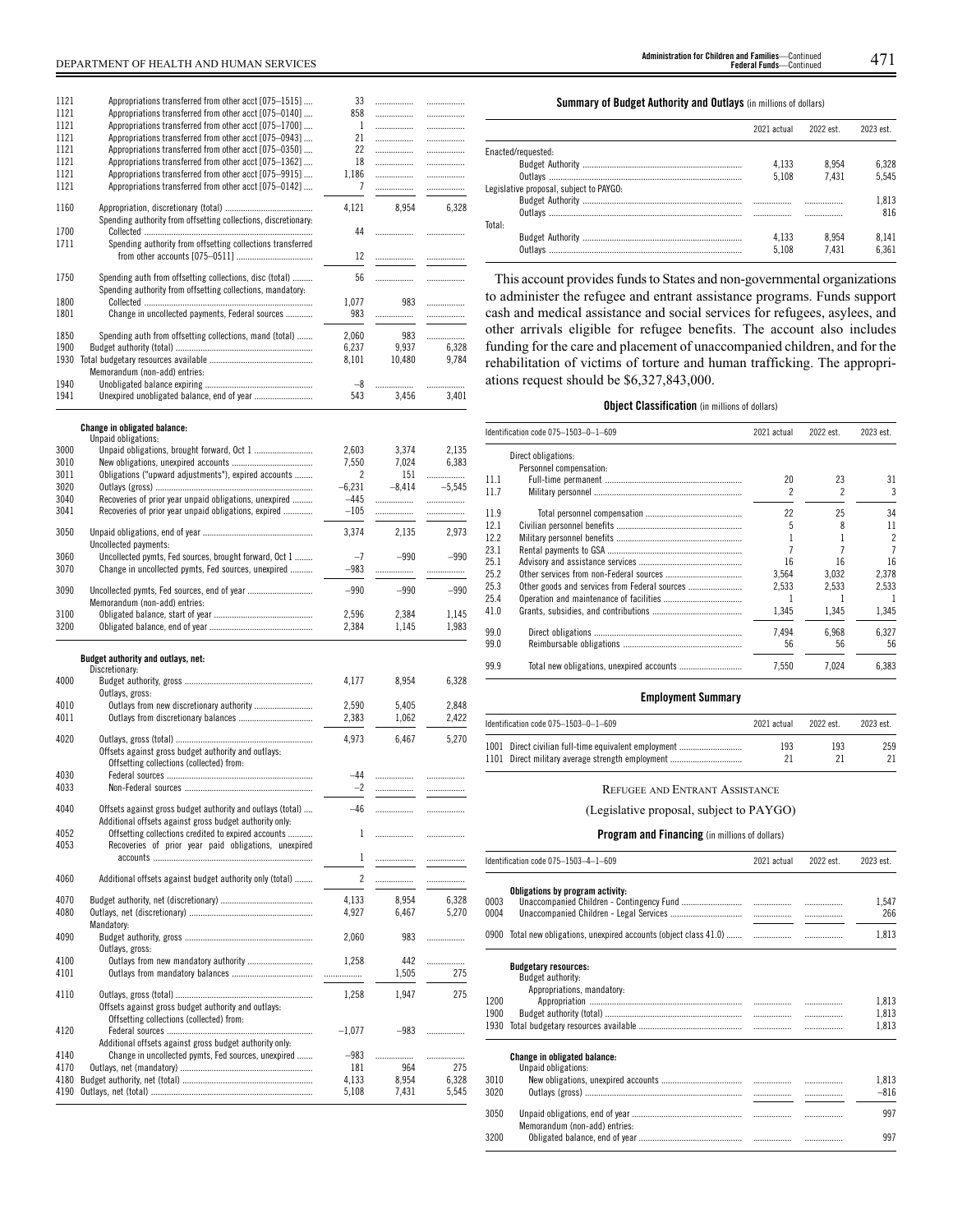| 1121<br>1121<br>1121<br>1121<br>1121<br>1121<br>1121 | Appropriations transferred from other acct [075–1515]<br>Appropriations transferred from other acct [075-0140]<br>Appropriations transferred from other acct [075-1700]<br>Appropriations transferred from other acct [075–0943]<br>Appropriations transferred from other acct [075-0350]<br>Appropriations transferred from other acct [075-1362]<br>Appropriations transferred from other acct [075-9915]<br>Appropriations transferred from other acct [075-0142] | 33<br>858<br>1<br>21<br>22<br>18<br>1,186<br>7 | .<br>.<br>.<br>.<br>.<br>.<br><br> | .<br>.<br>.<br><br>.<br>.<br>.<br>. |
|------------------------------------------------------|----------------------------------------------------------------------------------------------------------------------------------------------------------------------------------------------------------------------------------------------------------------------------------------------------------------------------------------------------------------------------------------------------------------------------------------------------------------------|------------------------------------------------|------------------------------------|-------------------------------------|
| 1160                                                 |                                                                                                                                                                                                                                                                                                                                                                                                                                                                      | 4,121                                          | 8,954                              | 6,328                               |
| 1700<br>1711                                         | Spending authority from offsetting collections, discretionary:<br>Spending authority from offsetting collections transferred                                                                                                                                                                                                                                                                                                                                         | 44                                             | .                                  | .                                   |
|                                                      |                                                                                                                                                                                                                                                                                                                                                                                                                                                                      | 12                                             | .                                  | .                                   |
| 1750<br>1800                                         | Spending auth from offsetting collections, disc (total)<br>Spending authority from offsetting collections, mandatory:                                                                                                                                                                                                                                                                                                                                                | 56<br>1,077                                    | .<br>983                           | .                                   |
| 1801                                                 | Change in uncollected payments, Federal sources                                                                                                                                                                                                                                                                                                                                                                                                                      | 983                                            | .                                  | .<br>.                              |
| 1850                                                 | Spending auth from offsetting collections, mand (total)                                                                                                                                                                                                                                                                                                                                                                                                              | 2,060                                          | 983                                |                                     |
| 1900                                                 |                                                                                                                                                                                                                                                                                                                                                                                                                                                                      | 6,237                                          | 9,937                              | 6,328                               |
| 1930                                                 |                                                                                                                                                                                                                                                                                                                                                                                                                                                                      | 8,101                                          | 10,480                             | 9,784                               |
| 1940                                                 | Memorandum (non-add) entries:                                                                                                                                                                                                                                                                                                                                                                                                                                        | -8                                             |                                    | .                                   |
| 1941                                                 |                                                                                                                                                                                                                                                                                                                                                                                                                                                                      | 543                                            | 3,456                              | 3,401                               |
|                                                      |                                                                                                                                                                                                                                                                                                                                                                                                                                                                      |                                                |                                    |                                     |
|                                                      | Change in obligated balance:                                                                                                                                                                                                                                                                                                                                                                                                                                         |                                                |                                    |                                     |
| 3000                                                 | Unpaid obligations:                                                                                                                                                                                                                                                                                                                                                                                                                                                  | 2,603                                          | 3,374                              | 2,135                               |
| 3010                                                 |                                                                                                                                                                                                                                                                                                                                                                                                                                                                      | 7,550                                          | 7,024                              | 6,383                               |
| 3011<br>3020                                         | Obligations ("upward adjustments"), expired accounts                                                                                                                                                                                                                                                                                                                                                                                                                 | 2<br>$-6,231$                                  | 151<br>$-8,414$                    | .<br>$-5,545$                       |
| 3040                                                 | Recoveries of prior year unpaid obligations, unexpired                                                                                                                                                                                                                                                                                                                                                                                                               | $-445$                                         | .                                  | .                                   |
| 3041                                                 | Recoveries of prior year unpaid obligations, expired                                                                                                                                                                                                                                                                                                                                                                                                                 | $-105$                                         |                                    | .                                   |
| 3050                                                 | Uncollected payments:                                                                                                                                                                                                                                                                                                                                                                                                                                                | 3,374                                          | 2,135                              | 2,973                               |
| 3060                                                 | Uncollected pymts, Fed sources, brought forward, Oct 1                                                                                                                                                                                                                                                                                                                                                                                                               | $-7$                                           | $-990$                             | $-990$                              |
| 3070                                                 | Change in uncollected pymts, Fed sources, unexpired                                                                                                                                                                                                                                                                                                                                                                                                                  | $-983$                                         | .                                  |                                     |
| 3090                                                 | Memorandum (non-add) entries:                                                                                                                                                                                                                                                                                                                                                                                                                                        | $-990$                                         | $-990$                             | $-990$                              |
| 3100<br>3200                                         |                                                                                                                                                                                                                                                                                                                                                                                                                                                                      | 2,596                                          | 2,384                              | 1,145                               |
|                                                      |                                                                                                                                                                                                                                                                                                                                                                                                                                                                      |                                                |                                    |                                     |
|                                                      |                                                                                                                                                                                                                                                                                                                                                                                                                                                                      | 2,384                                          | 1,145                              | 1,983                               |
|                                                      |                                                                                                                                                                                                                                                                                                                                                                                                                                                                      |                                                |                                    |                                     |
|                                                      | Budget authority and outlays, net:<br>Discretionary:                                                                                                                                                                                                                                                                                                                                                                                                                 |                                                |                                    |                                     |
| 4000                                                 |                                                                                                                                                                                                                                                                                                                                                                                                                                                                      | 4,177                                          | 8,954                              | 6,328                               |
| 4010                                                 | Outlays, gross:                                                                                                                                                                                                                                                                                                                                                                                                                                                      | 2,590                                          | 5,405                              | 2,848                               |
| 4011                                                 |                                                                                                                                                                                                                                                                                                                                                                                                                                                                      | 2,383                                          | 1,062                              | 2,422                               |
| 4020                                                 | Offsets against gross budget authority and outlays:                                                                                                                                                                                                                                                                                                                                                                                                                  | 4,973                                          | 6,467                              | 5,270                               |
|                                                      | Offsetting collections (collected) from:                                                                                                                                                                                                                                                                                                                                                                                                                             | -44                                            |                                    | .                                   |
| 4030<br>4033                                         |                                                                                                                                                                                                                                                                                                                                                                                                                                                                      | 2                                              | <br>                               |                                     |
| 4040                                                 | Offsets against gross budget authority and outlays (total)<br>Additional offsets against gross budget authority only:                                                                                                                                                                                                                                                                                                                                                | $-46$                                          | .                                  | .                                   |
| 4052                                                 | Offsetting collections credited to expired accounts                                                                                                                                                                                                                                                                                                                                                                                                                  | 1                                              | .                                  | .                                   |
| 4053                                                 | Recoveries of prior year paid obligations, unexpired                                                                                                                                                                                                                                                                                                                                                                                                                 |                                                |                                    |                                     |
|                                                      |                                                                                                                                                                                                                                                                                                                                                                                                                                                                      | $\mathbf{1}$                                   | .                                  |                                     |
| 4060                                                 | Additional offsets against budget authority only (total)                                                                                                                                                                                                                                                                                                                                                                                                             | $\overline{c}$                                 | .                                  | .                                   |
| 4070                                                 |                                                                                                                                                                                                                                                                                                                                                                                                                                                                      | 4,133                                          | 8,954                              | 6.328                               |
| 4080                                                 |                                                                                                                                                                                                                                                                                                                                                                                                                                                                      | 4,927                                          | 6,467                              | 5,270                               |
| 4090                                                 | Mandatory:<br>Outlays, gross:                                                                                                                                                                                                                                                                                                                                                                                                                                        | 2,060                                          | 983                                | .                                   |
| 4100                                                 | Outlays from new mandatory authority                                                                                                                                                                                                                                                                                                                                                                                                                                 | 1,258                                          | 442                                | .                                   |
| 4101                                                 |                                                                                                                                                                                                                                                                                                                                                                                                                                                                      |                                                | 1,505                              | 275                                 |
| 4110                                                 | Offsets against gross budget authority and outlays:                                                                                                                                                                                                                                                                                                                                                                                                                  | 1,258                                          | 1,947                              | 275                                 |
| 4120                                                 | Offsetting collections (collected) from:                                                                                                                                                                                                                                                                                                                                                                                                                             |                                                | $-983$                             |                                     |
|                                                      | Additional offsets against gross budget authority only:                                                                                                                                                                                                                                                                                                                                                                                                              | $-1,077$                                       |                                    | .                                   |
| 4140                                                 | Change in uncollected pymts, Fed sources, unexpired                                                                                                                                                                                                                                                                                                                                                                                                                  | $-983$                                         | .                                  | .                                   |
| 4170                                                 |                                                                                                                                                                                                                                                                                                                                                                                                                                                                      | 181                                            | 964                                | 275                                 |
| 4180<br>4190                                         |                                                                                                                                                                                                                                                                                                                                                                                                                                                                      | 4,133<br>5,108                                 | 8,954<br>7,431                     | 6,328<br>5,545                      |

**Summary of Budget Authority and Outlays** (in millions of dollars)

|                                         | 2021 actual | 2022 est. | 2023 est. |
|-----------------------------------------|-------------|-----------|-----------|
| Enacted/requested:                      |             |           |           |
|                                         | 4.133       | 8.954     | 6.328     |
|                                         | 5.108       | 7.431     | 5.545     |
| Legislative proposal, subject to PAYGO: |             |           |           |
|                                         |             |           | 1.813     |
|                                         |             |           | 816       |
| Total:                                  |             |           |           |
|                                         | 4.133       | 8.954     | 8.141     |
|                                         | 5.108       | 7.431     | 6.361     |

This account provides funds to States and non-governmental organizations to administer the refugee and entrant assistance programs. Funds support cash and medical assistance and social services for refugees, asylees, and other arrivals eligible for refugee benefits. The account also includes funding for the care and placement of unaccompanied children, and for the rehabilitation of victims of torture and human trafficking. The appropriations request should be \$6,327,843,000.

### **Object Classification** (in millions of dollars)

|      | Identification code 075-1503-0-1-609          | 2021 actual | 2022 est. | 2023 est.      |
|------|-----------------------------------------------|-------------|-----------|----------------|
|      | Direct obligations:                           |             |           |                |
|      | Personnel compensation:                       |             |           |                |
| 11.1 |                                               | 20          | 23        | 31             |
| 11.7 |                                               | 2           | 2         | 3              |
| 11.9 |                                               | 22          | 25        | 34             |
| 12.1 |                                               |             |           | 11             |
| 12.2 |                                               |             |           | $\overline{c}$ |
| 23.1 |                                               |             |           | 7              |
| 25.1 |                                               | 16          | 16        | 16             |
| 25.2 |                                               | 3.564       | 3.032     | 2.378          |
| 25.3 | Other goods and services from Federal sources | 2.533       | 2.533     | 2.533          |
| 25.4 |                                               |             |           | 1              |
| 41.0 |                                               | 1.345       | 1,345     | 1,345          |
| 99.0 |                                               | 7.494       | 6.968     | 6.327          |
| 99.0 |                                               | 56          | 56        | 56             |
| 99.9 |                                               | 7.550       | 7.024     | 6.383          |
|      |                                               |             |           |                |

# **Employment Summary**

| Identification code $075-1503-0-1-609$                                                                   | 2021 actual | 2022 est | 2023 est. |
|----------------------------------------------------------------------------------------------------------|-------------|----------|-----------|
| 1001 Direct civilian full-time equivalent employment<br>1101 Direct military average strength employment | 193<br>21   | 193      | 259       |

# REFUGEE AND ENTRANT ASSISTANCE

(Legislative proposal, subject to PAYGO)

|              | Identification code 075-1503-4-1-609                                           | 2021 actual | 2022 est. | 2023 est.    |
|--------------|--------------------------------------------------------------------------------|-------------|-----------|--------------|
| 0003<br>0004 | Obligations by program activity:                                               |             |           | 1.547<br>266 |
|              | 0900 Total new obligations, unexpired accounts (object class 41.0)             |             | .         | 1,813        |
|              | <b>Budgetary resources:</b><br>Budget authority:<br>Appropriations, mandatory: |             |           |              |
| 1200         |                                                                                |             |           | 1,813        |
| 1900         |                                                                                |             | .         | 1,813        |
| 1930         |                                                                                |             | .         | 1,813        |
|              | <b>Change in obligated balance:</b><br>Unpaid obligations:                     |             |           |              |
| 3010         |                                                                                |             |           | 1,813        |
| 3020         |                                                                                |             |           | $-816$       |
| 3050         | Memorandum (non-add) entries:                                                  |             | .         | 997          |
| 3200         |                                                                                |             |           | 997          |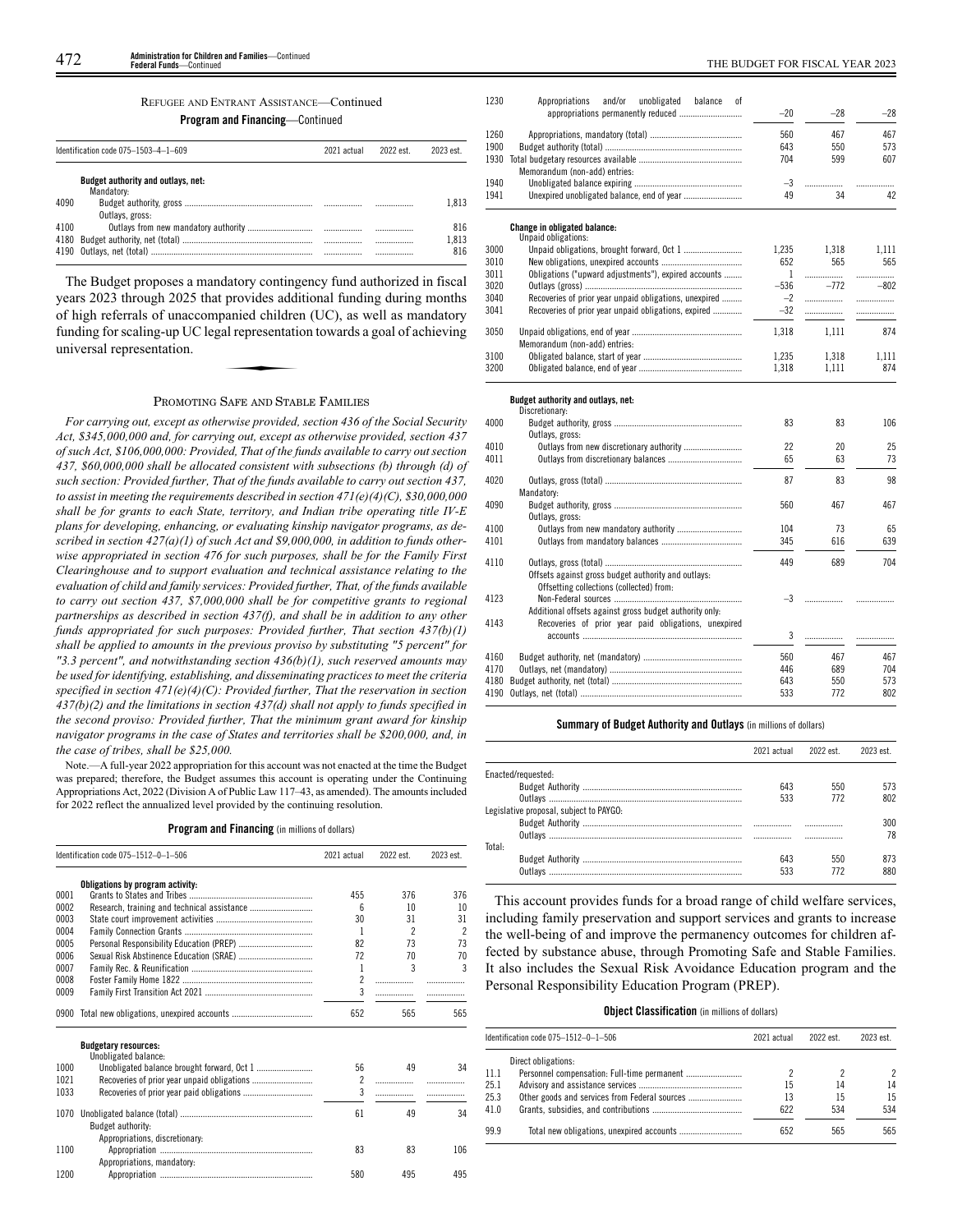# REFUGEE AND ENTRANT ASSISTANCE—Continued

**Program and Financing**—Continued

|      | Identification code 075-1503-4-1-609             | 2021 actual | 2022 est. | 2023 est |
|------|--------------------------------------------------|-------------|-----------|----------|
|      | Budget authority and outlays, net:<br>Mandatory: |             |           |          |
| 4090 | Outlays, gross:                                  |             |           | 1.813    |
| 4100 |                                                  |             |           | 816      |
| 4180 |                                                  |             |           | 1.813    |
|      |                                                  |             |           | 816      |

The Budget proposes a mandatory contingency fund authorized in fiscal years 2023 through 2025 that provides additional funding during months of high referrals of unaccompanied children (UC), as well as mandatory funding for scaling-up UC legal representation towards a goal of achieving universal representation. provides dont<br>panied children<br>al representation

# PROMOTING SAFE AND STABLE FAMILIES

*For carrying out, except as otherwise provided, section 436 of the Social Security Act, \$345,000,000 and, for carrying out, except as otherwise provided, section 437 of such Act, \$106,000,000: Provided, That of the funds available to carry out section 437, \$60,000,000 shall be allocated consistent with subsections (b) through (d) of such section: Provided further, That of the funds available to carry out section 437, to assist in meeting the requirements described in section 471(e)(4)(C), \$30,000,000 shall be for grants to each State, territory, and Indian tribe operating title IV-E plans for developing, enhancing, or evaluating kinship navigator programs, as described in section 427(a)(1) of such Act and \$9,000,000, in addition to funds otherwise appropriated in section 476 for such purposes, shall be for the Family First Clearinghouse and to support evaluation and technical assistance relating to the evaluation of child and family services: Provided further, That, of the funds available to carry out section 437, \$7,000,000 shall be for competitive grants to regional partnerships as described in section 437(f), and shall be in addition to any other funds appropriated for such purposes: Provided further, That section 437(b)(1) shall be applied to amounts in the previous proviso by substituting "5 percent" for "3.3 percent", and notwithstanding section 436(b)(1), such reserved amounts may be used for identifying, establishing, and disseminating practices to meet the criteria specified in section 471(e)(4)(C): Provided further, That the reservation in section 437(b)(2) and the limitations in section 437(d) shall not apply to funds specified in the second proviso: Provided further, That the minimum grant award for kinship navigator programs in the case of States and territories shall be \$200,000, and, in the case of tribes, shall be \$25,000.*

Note.—A full-year 2022 appropriation for this account was not enacted at the time the Budget was prepared; therefore, the Budget assumes this account is operating under the Continuing Appropriations Act, 2022 (Division A of Public Law 117–43, as amended). The amounts included for 2022 reflect the annualized level provided by the continuing resolution.

# **Program and Financing** (in millions of dollars)

|      | Identification code 075-1512-0-1-506           | 2021 actual              | 2022 est.                | 2023 est. |
|------|------------------------------------------------|--------------------------|--------------------------|-----------|
|      | Obligations by program activity:               |                          |                          |           |
| 0001 |                                                | 455                      | 376                      | 376       |
| 0002 |                                                | ĥ                        | 10                       | 10        |
| 0003 |                                                | 30                       | 31                       | 31        |
| 0004 |                                                | 1                        | $\overline{\phantom{a}}$ | 2         |
| 0005 |                                                | 82                       | 73                       | 73        |
| 0006 | Sexual Risk Abstinence Education (SRAE)        | 72                       | 70                       | 70        |
| 0007 |                                                | 1                        | 3                        | 3         |
| 0008 |                                                | $\overline{\phantom{a}}$ | .                        |           |
| 0009 |                                                | 3                        |                          |           |
|      | 0900 Total new obligations, unexpired accounts | 652                      | 565                      | 565       |
|      | <b>Budgetary resources:</b>                    |                          |                          |           |
|      | Unobligated balance:                           |                          |                          |           |
| 1000 |                                                | 56                       | 49                       | 34        |
| 1021 |                                                | $\overline{\phantom{a}}$ | .                        |           |
| 1033 |                                                | 3                        |                          |           |
| 1070 |                                                | 61                       | 49                       | 34        |
|      | Budget authority:                              |                          |                          |           |
|      | Appropriations, discretionary:                 |                          |                          |           |
| 1100 |                                                | 83                       | 83                       | 106       |
|      | Appropriations, mandatory:                     |                          |                          |           |
| 1200 |                                                | 580                      | 495                      | 495       |

| 1230 | Appropriations<br>and/or<br>unobligated<br>balance<br>0f |              |        |        |
|------|----------------------------------------------------------|--------------|--------|--------|
|      |                                                          | $-20$        | $-28$  | $-28$  |
| 1260 |                                                          | 560          | 467    | 467    |
| 1900 |                                                          | 643          | 550    | 573    |
| 1930 |                                                          | 704          | 599    | 607    |
|      | Memorandum (non-add) entries:                            |              |        |        |
| 1940 |                                                          | $-3$         | .      |        |
| 1941 |                                                          | 49           | 34     | 42     |
|      | <b>Change in obligated balance:</b>                      |              |        |        |
|      | Unpaid obligations:                                      |              |        |        |
| 3000 |                                                          | 1.235        | 1.318  | 1.111  |
| 3010 |                                                          | 652          | 565    | 565    |
| 3011 | Obligations ("upward adjustments"), expired accounts     | $\mathbf{1}$ | .      | .      |
| 3020 |                                                          | $-536$       | $-772$ | $-802$ |
| 3040 | Recoveries of prior year unpaid obligations, unexpired   | $-2$         | .      | .      |
| 3041 | Recoveries of prior year unpaid obligations, expired     | $-32$        | .      |        |
|      |                                                          |              |        |        |
| 3050 | Memorandum (non-add) entries:                            | 1,318        | 1.111  | 874    |
| 3100 |                                                          | 1,235        | 1,318  | 1,111  |
| 3200 |                                                          | 1,318        | 1,111  | 874    |
|      |                                                          |              |        |        |
|      | Budget authority and outlays, net:                       |              |        |        |
|      | Discretionary:                                           |              |        |        |
| 4000 |                                                          | 83           | 83     | 106    |
|      | Outlays, gross:                                          |              |        |        |
| 4010 |                                                          | 22           | 20     | 25     |
| 4011 |                                                          | 65           | 63     | 73     |
| 4020 |                                                          | 87           | 83     | 98     |
|      | Mandatory:                                               |              |        |        |
| 4090 |                                                          | 560          | 467    | 467    |
|      | Outlays, gross:                                          |              |        |        |
| 4100 | Outlays from new mandatory authority                     | 104          | 73     | 65     |
| 4101 |                                                          | 345          | 616    | 639    |
|      |                                                          |              |        |        |
| 4110 |                                                          | 449          | 689    | 704    |
|      | Offsets against gross budget authority and outlays:      |              |        |        |
|      | Offsetting collections (collected) from:                 |              |        |        |
| 4123 |                                                          | $-3$         | .      |        |
|      | Additional offsets against gross budget authority only:  |              |        |        |
| 4143 | Recoveries of prior year paid obligations, unexpired     |              |        |        |
|      |                                                          | 3            | .      | .      |
| 4160 |                                                          | 560          | 467    | 467    |
| 4170 |                                                          | 446          | 689    | 704    |
| 4180 |                                                          | 643          | 550    | 573    |
|      |                                                          | 533          | 772    | 802    |
|      |                                                          |              |        |        |

# **Summary of Budget Authority and Outlays** (in millions of dollars)

|                                         | 2021 actual | 2022 est. | 2023 est |
|-----------------------------------------|-------------|-----------|----------|
|                                         |             |           |          |
| Enacted/requested:                      |             |           |          |
|                                         | 643         | 550       | 573      |
|                                         | 533         | 772       | 802      |
| Legislative proposal, subject to PAYGO: |             |           |          |
|                                         | .           |           | 300      |
|                                         |             |           | 78       |
| Total:                                  |             |           |          |
|                                         | 643         | 550       | 873      |
| Outlavs                                 | 533         | 772       | 880      |

This account provides funds for a broad range of child welfare services, including family preservation and support services and grants to increase the well-being of and improve the permanency outcomes for children affected by substance abuse, through Promoting Safe and Stable Families. It also includes the Sexual Risk Avoidance Education program and the Personal Responsibility Education Program (PREP).

# **Object Classification** (in millions of dollars)

|      | Identification code 075-1512-0-1-506 | 2021 actual | 2022 est. | 2023 est. |
|------|--------------------------------------|-------------|-----------|-----------|
|      | Direct obligations:                  |             |           |           |
| 11.1 |                                      |             |           | 2         |
| 25.1 |                                      | 15          | 14        | 14        |
| 25.3 |                                      | 13          | 15        | 15        |
| 41.0 |                                      | 622         | 534       | 534       |
| 99.9 |                                      | 652         | 565       | 565       |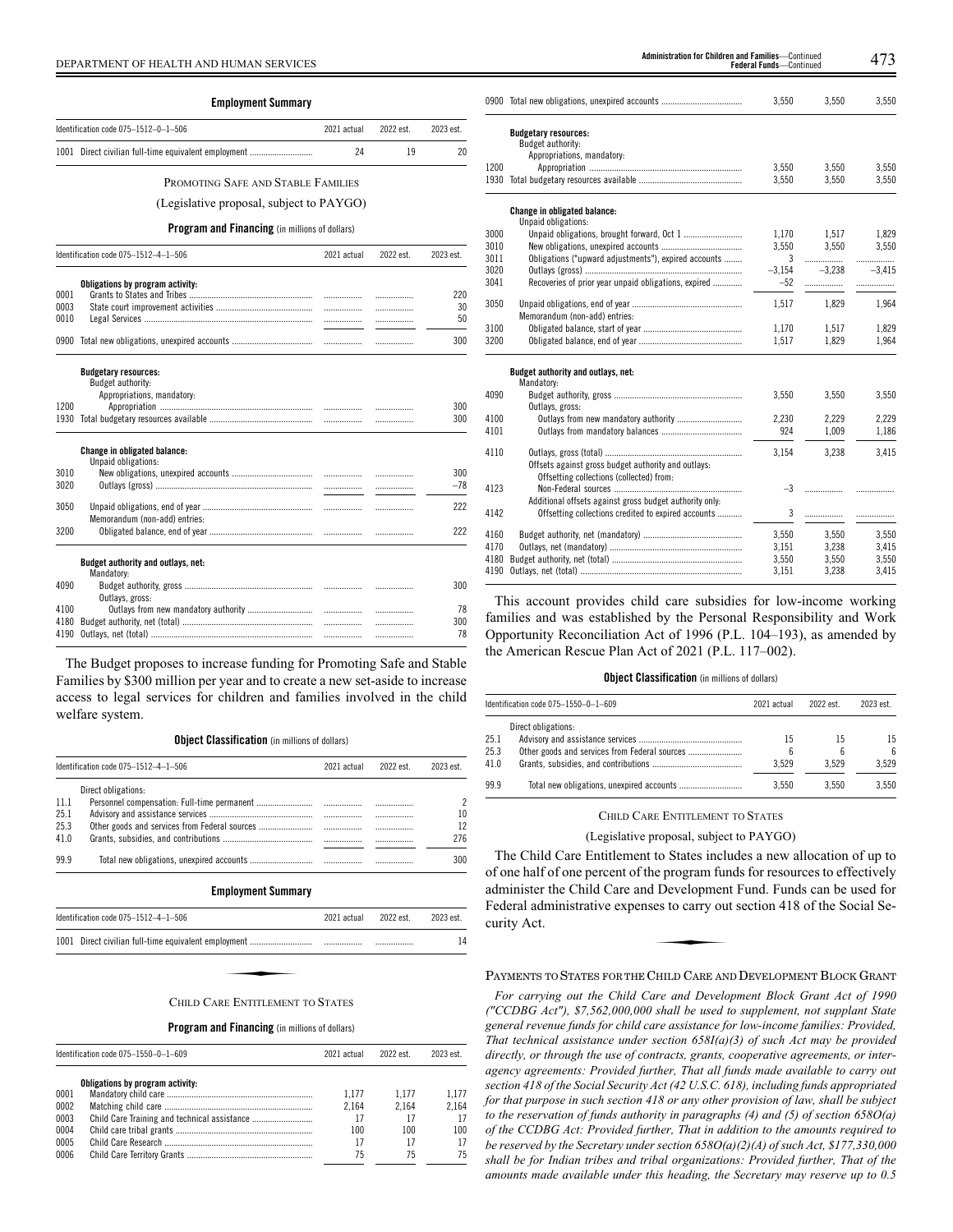|      | <b>Employment Summary</b>                                                      |             |           |           |
|------|--------------------------------------------------------------------------------|-------------|-----------|-----------|
|      | Identification code 075-1512-0-1-506                                           | 2021 actual | 2022 est. | 2023 est. |
|      |                                                                                |             |           |           |
|      | 1001 Direct civilian full-time equivalent employment                           | 24          | 19        | 20        |
|      | PROMOTING SAFE AND STABLE FAMILIES                                             |             |           |           |
|      | (Legislative proposal, subject to PAYGO)                                       |             |           |           |
|      | <b>Program and Financing</b> (in millions of dollars)                          |             |           |           |
|      | Identification code 075-1512-4-1-506                                           | 2021 actual | 2022 est. | 2023 est. |
|      | Obligations by program activity:                                               |             |           |           |
| 0001 |                                                                                |             | .         | 220       |
| 0003 |                                                                                | .           | .         | 30        |
| 0010 |                                                                                |             | .         | 50        |
| 0900 |                                                                                |             | .         | 300       |
|      | <b>Budgetary resources:</b><br>Budget authority:<br>Appropriations, mandatory: |             |           |           |
| 1200 |                                                                                |             | .         | 300       |
| 1930 |                                                                                |             | .         | 300       |
|      | Change in obligated balance:<br>Unpaid obligations:                            |             |           |           |
| 3010 |                                                                                | .           | .         | 300       |
| 3020 |                                                                                |             | .         | $-78$     |
| 3050 |                                                                                | .           | .         | 222       |
| 3200 | Memorandum (non-add) entries:                                                  |             | .         | 222       |
|      | Budget authority and outlays, net:<br>Mandatory:                               |             |           |           |
| 4090 |                                                                                |             | .         | 300       |
|      | Outlays, gross:                                                                |             |           |           |
| 4100 | Outlays from new mandatory authority                                           |             | .         | 78        |
| 4180 |                                                                                | .           | .         | 300       |
| 4190 |                                                                                |             | .         | 78        |

The Budget proposes to increase funding for Promoting Safe and Stable Families by \$300 million per year and to create a new set-aside to increase access to legal services for children and families involved in the child welfare system.

**Object Classification** (in millions of dollars)

| Identification code 075-1512-4-1-506 |                           | 2021 actual | 2022 est | 2023 est. |
|--------------------------------------|---------------------------|-------------|----------|-----------|
|                                      | Direct obligations:       |             |          |           |
| 11.1                                 |                           |             |          |           |
| 25.1                                 |                           | .           | .        | 10        |
| 25.3                                 |                           |             | .        | 12        |
| 41.0                                 |                           |             | .        | 276       |
| 99.9                                 |                           |             |          | 300       |
|                                      | <b>Employment Summary</b> |             |          |           |

| Identification code $075 - 1512 - 4 - 1 - 506$ |                                  | 2021 actual | 2022 est. | 2023 est. |
|------------------------------------------------|----------------------------------|-------------|-----------|-----------|
|                                                |                                  |             |           | 14        |
|                                                |                                  |             |           |           |
|                                                | CHILD CARE ENTITLEMENT TO STATES |             |           |           |

#### **Program and Financing** (in millions of dollars)

| Identification code 075-1550-0-1-609 |                                  | 2021 actual | 2022 est. | 2023 est. |
|--------------------------------------|----------------------------------|-------------|-----------|-----------|
|                                      | Obligations by program activity: |             |           |           |
| 0001                                 |                                  | 1.177       | 1.177     | 1.177     |
| 0002                                 |                                  | 2.164       | 2.164     | 2.164     |
| 0003                                 |                                  | 17          | 17        | 17        |
| 0004                                 |                                  | 100         | 100       | 100       |
| 0005                                 |                                  | 17          | 17        | 17        |
| 0006                                 |                                  | 75          | 75        | 75        |

| DEPARTMENT OF HEALTH AND HUMAN SERVICES |                                                                                |    |           |           | Administration for Children and Families-Continued<br>Federal Funds-Continued |                                                                                                                 |          |          |          |
|-----------------------------------------|--------------------------------------------------------------------------------|----|-----------|-----------|-------------------------------------------------------------------------------|-----------------------------------------------------------------------------------------------------------------|----------|----------|----------|
|                                         | <b>Employment Summary</b>                                                      |    |           |           |                                                                               | 0900 Total new obligations, unexpired accounts                                                                  | 3.550    | 3,550    | 3,550    |
|                                         | Identification code 075-1512-0-1-506<br>2021 actual                            |    | 2022 est. | 2023 est. |                                                                               | <b>Budgetary resources:</b>                                                                                     |          |          |          |
|                                         | 1001 Direct civilian full-time equivalent employment                           | 24 | 19        | 20        |                                                                               | Budget authority:<br>Appropriations, mandatory:                                                                 |          |          |          |
|                                         |                                                                                |    |           |           | 1200                                                                          |                                                                                                                 | 3.550    | 3,550    | 3.550    |
|                                         | PROMOTING SAFE AND STABLE FAMILIES                                             |    |           |           |                                                                               |                                                                                                                 | 3,550    | 3,550    | 3,550    |
|                                         | (Legislative proposal, subject to PAYGO)                                       |    |           |           |                                                                               | Change in obligated balance:                                                                                    |          |          |          |
|                                         | <b>Program and Financing</b> (in millions of dollars)                          |    |           |           | 3000                                                                          | Unpaid obligations:                                                                                             | 1.170    | 1,517    | 1.829    |
|                                         |                                                                                |    |           |           | 3010                                                                          |                                                                                                                 | 3.550    | 3.550    | 3.550    |
|                                         | Identification code 075-1512-4-1-506<br>2021 actual                            |    | 2022 est. | 2023 est. | 3011                                                                          | Obligations ("upward adjustments"), expired accounts                                                            | 3        | .        |          |
|                                         |                                                                                |    |           |           | 3020                                                                          |                                                                                                                 | $-3,154$ | $-3,238$ | $-3.415$ |
|                                         | Obligations by program activity:                                               |    |           |           | 3041                                                                          | Recoveries of prior year unpaid obligations, expired                                                            | $-52$    | .        |          |
| 0001                                    |                                                                                |    |           | 220       |                                                                               |                                                                                                                 |          |          |          |
| 0003                                    |                                                                                |    |           | 30        | 3050                                                                          | Memorandum (non-add) entries:                                                                                   | 1.517    | 1.829    | 1.964    |
| 0010                                    |                                                                                |    |           | 50        | 3100                                                                          |                                                                                                                 | 1.170    | 1.517    | 1.829    |
|                                         |                                                                                |    |           | 300       | 3200                                                                          |                                                                                                                 | 1,517    | 1.829    | 1,964    |
|                                         | <b>Budgetary resources:</b><br>Budget authority:<br>Appropriations, mandatory: |    |           |           | 4090                                                                          | Budget authority and outlays, net:<br>Mandatory:                                                                | 3.550    | 3.550    | 3.550    |
| 1200                                    |                                                                                |    |           | 300       |                                                                               | Outlays, gross:                                                                                                 |          |          |          |
|                                         |                                                                                |    |           | 300       | 4100                                                                          |                                                                                                                 | 2,230    | 2,229    | 2,229    |
|                                         |                                                                                |    |           |           | 4101                                                                          |                                                                                                                 | 924      | 1,009    | 1,186    |
| 3010                                    | Change in obligated balance:<br>Unpaid obligations:                            |    |           | 300       | 4110                                                                          | Offsets against gross budget authority and outlays:                                                             | 3,154    | 3,238    | 3.415    |
| 3020                                    |                                                                                |    |           | $-78$     |                                                                               | Offsetting collections (collected) from:                                                                        |          |          |          |
|                                         |                                                                                |    |           |           | 4123                                                                          |                                                                                                                 | $-3$     |          |          |
| 3050                                    | Memorandum (non-add) entries:                                                  |    |           | 222       | 4142                                                                          | Additional offsets against gross budget authority only:<br>Offsetting collections credited to expired accounts  | 3        |          |          |
| 3200                                    |                                                                                |    |           | 222       | 4160                                                                          |                                                                                                                 | 3,550    | 3,550    | 3,550    |
|                                         |                                                                                |    |           |           | 4170                                                                          |                                                                                                                 | 3,151    | 3,238    | 3,415    |
|                                         | Budget authority and outlays, net:                                             |    |           |           | 4180                                                                          |                                                                                                                 | 3,550    | 3,550    | 3,550    |
|                                         | Mandatory:                                                                     |    |           |           |                                                                               |                                                                                                                 | 3,151    | 3.238    | 3.415    |
| 4090                                    | $0u$ +loue gross                                                               |    |           | 300       | $-1$                                                                          | the contract of the contract of the contract of the contract of the contract of the contract of the contract of |          |          |          |

This account provides child care subsidies for low-income working families and was established by the Personal Responsibility and Work Opportunity Reconciliation Act of 1996 (P.L. 104–193), as amended by the American Rescue Plan Act of 2021 (P.L. 117–002).

#### **Object Classification** (in millions of dollars)

| Identification code $075-1550-0-1-609$ |                     | 2021 actual | 2022 est. | 2023 est. |
|----------------------------------------|---------------------|-------------|-----------|-----------|
|                                        | Direct obligations: |             |           |           |
| 25.1                                   |                     | 15          | 15        | 15        |
| 25.3                                   |                     |             | h         | ĥ         |
| 41.0                                   |                     | 3.529       | 3.529     | 3.529     |
| 99.9                                   |                     | 3.550       | 3.550     | 3.550     |

#### CHILD CARE ENTITLEMENT TO STATES

(Legislative proposal, subject to PAYGO)

The Child Care Entitlement to States includes a new allocation of up to of one half of one percent of the program funds for resources to effectively administer the Child Care and Development Fund. Funds can be used for Federal administrative expenses to carry out section 418 of the Social Security Act. Federal administrative expenses to carry out section 418 of the Social Security Act.

PAYMENTS TO STATES FOR THE CHILD CARE AND DEVELOPMENT BLOCK GRANT

*For carrying out the Child Care and Development Block Grant Act of 1990 ("CCDBG Act"), \$7,562,000,000 shall be used to supplement, not supplant State general revenue funds for child care assistance for low-income families: Provided, That technical assistance under section 658I(a)(3) of such Act may be provided directly, or through the use of contracts, grants, cooperative agreements, or interagency agreements: Provided further, That all funds made available to carry out section 418 of the Social Security Act (42 U.S.C. 618), including funds appropriated for that purpose in such section 418 or any other provision of law, shall be subject to the reservation of funds authority in paragraphs (4) and (5) of section 658O(a) of the CCDBG Act: Provided further, That in addition to the amounts required to be reserved by the Secretary under section 658O(a)(2)(A) of such Act, \$177,330,000 shall be for Indian tribes and tribal organizations: Provided further, That of the amounts made available under this heading, the Secretary may reserve up to 0.5*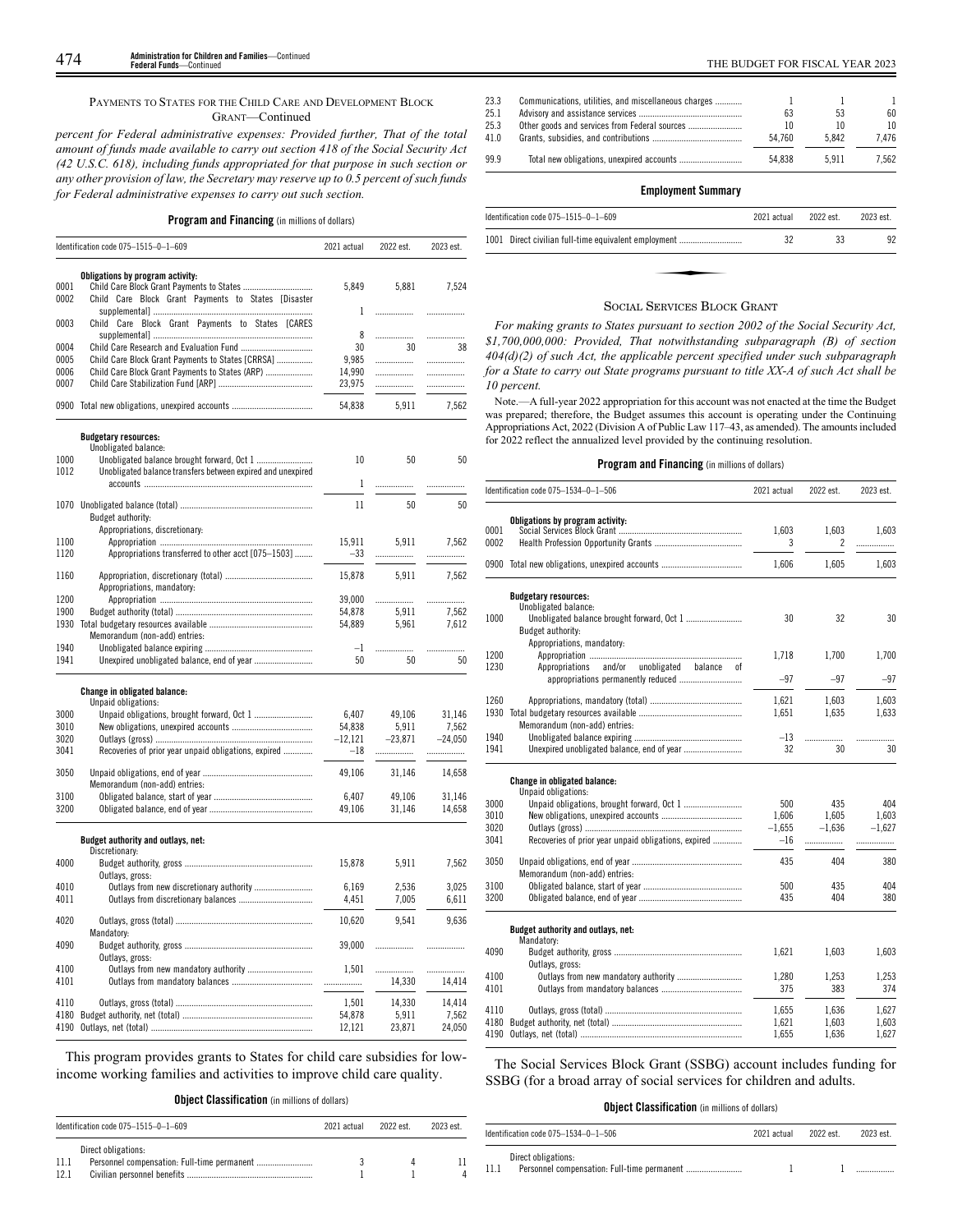# PAYMENTS TO STATES FOR THE CHILD CARE AND DEVELOPMENT BLOCK GRANT—Continued

*percent for Federal administrative expenses: Provided further, That of the total amount of funds made available to carry out section 418 of the Social Security Act (42 U.S.C. 618), including funds appropriated for that purpose in such section or any other provision of law, the Secretary may reserve up to 0.5 percent of such funds for Federal administrative expenses to carry out such section.*

# **Program and Financing** (in millions of dollars)

|      | Identification code 075-1515-0-1-609                        | 2021 actual   | 2022 est. | 2023 est. |
|------|-------------------------------------------------------------|---------------|-----------|-----------|
|      |                                                             |               |           |           |
|      | Obligations by program activity:                            |               |           |           |
| 0001 |                                                             | 5,849         | 5,881     | 7,524     |
| 0002 | Child Care Block Grant Payments to States [Disaster         |               |           |           |
|      |                                                             | 1             |           | .         |
| 0003 | Child Care Block Grant Payments to States [CARES            |               |           |           |
| 0004 |                                                             | 8<br>30       | .<br>30   | .<br>38   |
| 0005 | Child Care Block Grant Payments to States [CRRSA]           | 9,985         | .         |           |
| 0006 | Child Care Block Grant Payments to States (ARP)             | 14,990        | .         | .<br>.    |
| 0007 |                                                             | 23,975        | .         | .         |
|      |                                                             |               |           |           |
|      | 0900 Total new obligations, unexpired accounts              | 54,838        | 5,911     | 7,562     |
|      | <b>Budgetary resources:</b>                                 |               |           |           |
|      | Unobligated balance:                                        |               |           |           |
| 1000 | Unobligated balance brought forward, Oct 1                  | 10            | 50        | 50        |
| 1012 | Unobligated balance transfers between expired and unexpired |               |           |           |
|      |                                                             | $\mathbf{1}$  | .         | .         |
|      |                                                             |               |           |           |
|      |                                                             | 11            | 50        | 50        |
|      | Budget authority:                                           |               |           |           |
| 1100 | Appropriations, discretionary:                              | 15,911        | 5,911     | 7,562     |
| 1120 | Appropriations transferred to other acct [075-1503]         | $-33$         |           |           |
|      |                                                             |               | .         |           |
| 1160 |                                                             | 15,878        | 5,911     | 7,562     |
|      | Appropriations, mandatory:                                  |               |           |           |
| 1200 |                                                             | 39,000        | .         |           |
| 1900 |                                                             | 54.878        | 5.911     | 7.562     |
| 1930 |                                                             | 54,889        | 5,961     | 7,612     |
|      | Memorandum (non-add) entries:                               |               |           |           |
| 1940 |                                                             | $\mathbf{-1}$ | .         | .         |
| 1941 |                                                             | 50            | 50        | 50        |
|      |                                                             |               |           |           |
|      | <b>Change in obligated balance:</b><br>Unpaid obligations:  |               |           |           |
| 3000 |                                                             | 6,407         | 49,106    | 31,146    |
| 3010 |                                                             | 54,838        | 5.911     | 7,562     |
| 3020 |                                                             | $-12,121$     | $-23,871$ | $-24,050$ |
| 3041 | Recoveries of prior year unpaid obligations, expired        | $-18$         |           |           |
|      |                                                             |               |           |           |
| 3050 |                                                             | 49,106        | 31,146    | 14,658    |
|      | Memorandum (non-add) entries:                               |               |           |           |
| 3100 |                                                             | 6.407         | 49,106    | 31,146    |
| 3200 |                                                             | 49,106        | 31,146    | 14,658    |
|      | Budget authority and outlays, net:                          |               |           |           |
|      | Discretionary:                                              |               |           |           |
| 4000 |                                                             | 15,878        | 5.911     | 7.562     |
|      | Outlays, gross:                                             |               |           |           |
| 4010 | Outlays from new discretionary authority                    | 6.169         | 2.536     | 3.025     |
| 4011 |                                                             | 4,451         | 7,005     | 6,611     |
| 4020 |                                                             | 10,620        | 9,541     | 9,636     |
|      | Mandatory:                                                  |               |           |           |
| 4090 |                                                             | 39,000        |           |           |
|      | Outlays, gross:                                             |               |           | .         |
| 4100 | Outlays from new mandatory authority                        | 1,501         | .         | .         |
| 4101 |                                                             |               | 14,330    | 14,414    |
|      |                                                             |               |           |           |
| 4110 |                                                             | 1,501         | 14,330    | 14,414    |
| 4180 |                                                             | 54,878        | 5,911     | 7,562     |
| 4190 |                                                             | 12,121        | 23,871    | 24,050    |
|      |                                                             |               |           |           |

This program provides grants to States for child care subsidies for lowincome working families and activities to improve child care quality.

**Object Classification** (in millions of dollars)

| Identification code 075-1515-0-1-609 |                     | 2021 actual | 2022 est. | 2023 est. |  |
|--------------------------------------|---------------------|-------------|-----------|-----------|--|
| 11.1<br>12.1                         | Direct obligations: |             |           |           |  |

| 25.1 | 63     | 53    | 60               |
|------|--------|-------|------------------|
| 25.3 | 10     | 10    | 10 <sup>10</sup> |
| 41.0 | 54.760 | 5.842 | 7.476            |
| 99.9 | 54.838 | 5911  | 7.562            |

# **Employment Summary**

| Identification code 075-1515-0-1-609                         | 2021 actual | 2022 est. | 2023 est. |
|--------------------------------------------------------------|-------------|-----------|-----------|
| 1001 Direct civilian full-time equivalent employment         | 32          | 33        | 92        |
|                                                              |             |           |           |
|                                                              |             |           |           |
| $Q_1, \ldots, Q_{m-1}, \ldots, Q_1, \ldots, Q_{m-1}, \ldots$ |             |           |           |

### SOCIAL SERVICES BLOCK GRANT

*For making grants to States pursuant to section 2002 of the Social Security Act, \$1,700,000,000: Provided, That notwithstanding subparagraph (B) of section 404(d)(2) of such Act, the applicable percent specified under such subparagraph for a State to carry out State programs pursuant to title XX-A of such Act shall be 10 percent.*

Note.—A full-year 2022 appropriation for this account was not enacted at the time the Budget was prepared; therefore, the Budget assumes this account is operating under the Continuing Appropriations Act, 2022 (Division A of Public Law 117–43, as amended). The amounts included for 2022 reflect the annualized level provided by the continuing resolution.

# **Program and Financing** (in millions of dollars)

|      | Identification code 075-1534-0-1-506                       | 2021 actual | 2022 est.                | 2023 est. |
|------|------------------------------------------------------------|-------------|--------------------------|-----------|
|      | Obligations by program activity:                           |             |                          |           |
| 0001 |                                                            | 1,603       | 1.603                    | 1.603     |
| 0002 |                                                            | 3           | $\overline{\phantom{a}}$ | .         |
|      | 0900 Total new obligations, unexpired accounts             | 1,606       | 1,605                    | 1,603     |
|      | <b>Budgetary resources:</b><br>Unobligated balance:        |             |                          |           |
| 1000 | Budget authority:<br>Appropriations, mandatory:            | 30          | 32                       | 30        |
| 1200 |                                                            | 1,718       | 1.700                    | 1,700     |
| 1230 | and/or<br>unobligated<br>Appropriations<br>balance<br>0f   |             |                          |           |
|      | appropriations permanently reduced                         | $-97$       | $-97$                    | -97       |
| 1260 |                                                            | 1.621       | 1.603                    | 1.603     |
| 1930 |                                                            | 1,651       | 1,635                    | 1,633     |
|      | Memorandum (non-add) entries:                              |             |                          |           |
| 1940 |                                                            | $-13$       |                          | .         |
| 1941 |                                                            | 32          | 30                       | 30        |
|      | <b>Change in obligated balance:</b><br>Unpaid obligations: |             |                          |           |
| 3000 |                                                            | 500         | 435                      | 404       |
| 3010 |                                                            | 1,606       | 1,605                    | 1,603     |
| 3020 |                                                            | $-1,655$    | $-1,636$                 | $-1,627$  |
| 3041 | Recoveries of prior year unpaid obligations, expired       | $-16$       | .                        | .         |
| 3050 | Memorandum (non-add) entries:                              | 435         | 404                      | 380       |
| 3100 |                                                            | 500         | 435                      | 404       |
| 3200 |                                                            | 435         | 404                      | 380       |
|      | Budget authority and outlays, net:<br>Mandatory:           |             |                          |           |
| 4090 |                                                            | 1,621       | 1,603                    | 1,603     |
| 4100 | Outlays, gross:<br>Outlays from new mandatory authority    | 1,280       | 1,253                    | 1,253     |
| 4101 |                                                            | 375         | 383                      | 374       |
|      |                                                            |             |                          |           |
| 4110 |                                                            | 1,655       | 1,636                    | 1,627     |
| 4180 |                                                            | 1,621       | 1,603                    | 1,603     |
| 4190 |                                                            | 1,655       | 1,636                    | 1,627     |

The Social Services Block Grant (SSBG) account includes funding for SSBG (for a broad array of social services for children and adults.

# **Object Classification** (in millions of dollars)

| Identification code $075-1534-0-1-506$ |                     | 2021 actual | 2022 est | 2023 est. |
|----------------------------------------|---------------------|-------------|----------|-----------|
| 11.1                                   | Direct obligations: |             |          |           |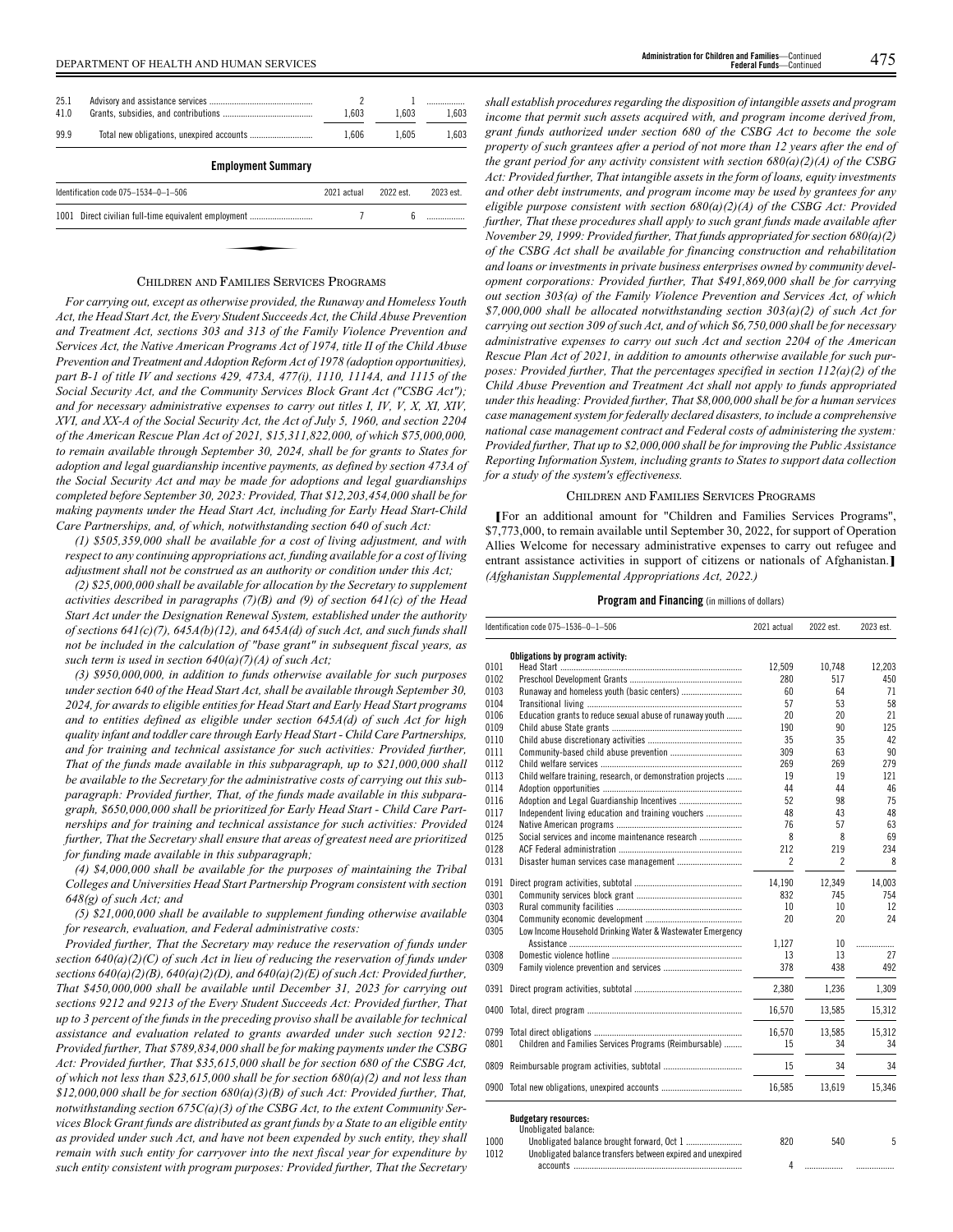| 25.1<br>41.0 |                                                      | 2<br>1.603  | 1.603     | 1.603     |
|--------------|------------------------------------------------------|-------------|-----------|-----------|
| 99.9         |                                                      | 1.606       | 1.605     | 1,603     |
|              | <b>Employment Summary</b>                            |             |           |           |
|              | Identification code $075 - 1534 - 0 - 1 - 506$       | 2021 actual | 2022 est. | 2023 est. |
|              | 1001 Direct civilian full-time equivalent employment |             | ĥ         |           |
|              |                                                      |             |           |           |
|              |                                                      |             |           |           |

# CHILDREN AND FAMILIES SERVICES PROGRAMS

*For carrying out, except as otherwise provided, the Runaway and Homeless Youth Act, the Head Start Act, the Every Student Succeeds Act, the Child Abuse Prevention and Treatment Act, sections 303 and 313 of the Family Violence Prevention and Services Act, the Native American Programs Act of 1974, title II of the Child Abuse Prevention and Treatment and Adoption Reform Act of 1978 (adoption opportunities), part B-1 of title IV and sections 429, 473A, 477(i), 1110, 1114A, and 1115 of the Social Security Act, and the Community Services Block Grant Act ("CSBG Act"); and for necessary administrative expenses to carry out titles I, IV, V, X, XI, XIV, XVI, and XX-A of the Social Security Act, the Act of July 5, 1960, and section 2204 of the American Rescue Plan Act of 2021, \$15,311,822,000, of which \$75,000,000, to remain available through September 30, 2024, shall be for grants to States for adoption and legal guardianship incentive payments, as defined by section 473A of the Social Security Act and may be made for adoptions and legal guardianships completed before September 30, 2023: Provided, That \$12,203,454,000 shall be for making payments under the Head Start Act, including for Early Head Start-Child Care Partnerships, and, of which, notwithstanding section 640 of such Act:*

*(1) \$505,359,000 shall be available for a cost of living adjustment, and with respect to any continuing appropriations act, funding available for a cost of living adjustment shall not be construed as an authority or condition under this Act;*

*(2) \$25,000,000 shall be available for allocation by the Secretary to supplement activities described in paragraphs (7)(B) and (9) of section 641(c) of the Head Start Act under the Designation Renewal System, established under the authority of sections 641(c)(7), 645A(b)(12), and 645A(d) of such Act, and such funds shall not be included in the calculation of "base grant" in subsequent fiscal years, as such term is used in section 640(a)(7)(A) of such Act;*

*(3) \$950,000,000, in addition to funds otherwise available for such purposes under section 640 of the Head Start Act, shall be available through September 30, 2024, for awards to eligible entities for Head Start and Early Head Start programs and to entities defined as eligible under section 645A(d) of such Act for high quality infant and toddler care through Early Head Start - Child Care Partnerships, and for training and technical assistance for such activities: Provided further, That of the funds made available in this subparagraph, up to \$21,000,000 shall be available to the Secretary for the administrative costs of carrying out this subparagraph: Provided further, That, of the funds made available in this subparagraph, \$650,000,000 shall be prioritized for Early Head Start - Child Care Partnerships and for training and technical assistance for such activities: Provided further, That the Secretary shall ensure that areas of greatest need are prioritized for funding made available in this subparagraph;*

*(4) \$4,000,000 shall be available for the purposes of maintaining the Tribal Colleges and Universities Head Start Partnership Program consistent with section 648(g) of such Act; and*

*(5) \$21,000,000 shall be available to supplement funding otherwise available for research, evaluation, and Federal administrative costs:*

*Provided further, That the Secretary may reduce the reservation of funds under section 640(a)(2)(C) of such Act in lieu of reducing the reservation of funds under sections 640(a)(2)(B), 640(a)(2)(D), and 640(a)(2)(E) of such Act: Provided further, That \$450,000,000 shall be available until December 31, 2023 for carrying out sections 9212 and 9213 of the Every Student Succeeds Act: Provided further, That up to 3 percent of the funds in the preceding proviso shall be available for technical assistance and evaluation related to grants awarded under such section 9212: Provided further, That \$789,834,000 shall be for making payments under the CSBG Act: Provided further, That \$35,615,000 shall be for section 680 of the CSBG Act, of which not less than \$23,615,000 shall be for section 680(a)(2) and not less than \$12,000,000 shall be for section 680(a)(3)(B) of such Act: Provided further, That, notwithstanding section 675C(a)(3) of the CSBG Act, to the extent Community Services Block Grant funds are distributed as grant funds by a State to an eligible entity as provided under such Act, and have not been expended by such entity, they shall remain with such entity for carryover into the next fiscal year for expenditure by such entity consistent with program purposes: Provided further, That the Secretary*

*shall establish procedures regarding the disposition of intangible assets and program income that permit such assets acquired with, and program income derived from, grant funds authorized under section 680 of the CSBG Act to become the sole property of such grantees after a period of not more than 12 years after the end of the grant period for any activity consistent with section 680(a)(2)(A) of the CSBG Act: Provided further, That intangible assets in the form of loans, equity investments and other debt instruments, and program income may be used by grantees for any eligible purpose consistent with section 680(a)(2)(A) of the CSBG Act: Provided further, That these procedures shall apply to such grant funds made available after November 29, 1999: Provided further, That funds appropriated for section 680(a)(2) of the CSBG Act shall be available for financing construction and rehabilitation and loans or investments in private business enterprises owned by community development corporations: Provided further, That \$491,869,000 shall be for carrying out section 303(a) of the Family Violence Prevention and Services Act, of which \$7,000,000 shall be allocated notwithstanding section 303(a)(2) of such Act for carrying out section 309 of such Act, and of which \$6,750,000 shall be for necessary administrative expenses to carry out such Act and section 2204 of the American Rescue Plan Act of 2021, in addition to amounts otherwise available for such purposes: Provided further, That the percentages specified in section 112(a)(2) of the Child Abuse Prevention and Treatment Act shall not apply to funds appropriated under this heading: Provided further, That \$8,000,000 shall be for a human services case management system for federally declared disasters, to include a comprehensive national case management contract and Federal costs of administering the system: Provided further, That up to \$2,000,000 shall be for improving the Public Assistance Reporting Information System, including grants to States to support data collection for a study of the system's effectiveness.*

### CHILDREN AND FAMILIES SERVICES PROGRAMS

**[**For an additional amount for "Children and Families Services Programs", \$7,773,000, to remain available until September 30, 2022, for support of Operation Allies Welcome for necessary administrative expenses to carry out refugee and entrant assistance activities in support of citizens or nationals of Afghanistan.**]** *(Afghanistan Supplemental Appropriations Act, 2022.)*

|      | Identification code 075-1536-0-1-506                        | 2021 actual    | 2022 est. | 2023 est. |
|------|-------------------------------------------------------------|----------------|-----------|-----------|
|      | Obligations by program activity:                            |                |           |           |
| 0101 |                                                             | 12,509         | 10,748    | 12.203    |
| 0102 |                                                             | 280            | 517       | 450       |
| 0103 |                                                             | 60             | 64        | 71        |
| 0104 |                                                             | 57             | 53        | 58        |
| 0106 | Education grants to reduce sexual abuse of runaway youth    | 20             | 20        | 21        |
| 0109 |                                                             | 190            | 90        | 125       |
| 0110 |                                                             | 35             | 35        | 42        |
| 0111 |                                                             | 309            | 63        | 90        |
| 0112 |                                                             | 269            | 269       | 279       |
| 0113 | Child welfare training, research, or demonstration projects | 19             | 19        | 121       |
| 0114 |                                                             | 44             | 44        | 46        |
| 0116 |                                                             | 52             | 98        | 75        |
| 0117 | Independent living education and training vouchers          | 48             | 43        | 48        |
| 0124 |                                                             | 76             | 57        | 63        |
| 0125 | Social services and income maintenance research             | 8              | 8         | 69        |
| 0128 |                                                             | 212            | 219       | 234       |
| 0131 |                                                             | $\overline{c}$ | 2         | 8         |
| 0191 |                                                             | 14,190         | 12,349    | 14,003    |
| 0301 |                                                             | 832            | 745       | 754       |
| 0303 |                                                             | 10             | 10        | 12        |
| 0304 |                                                             | 20             | 20        | 24        |
| 0305 | Low Income Household Drinking Water & Wastewater Emergency  |                |           |           |
|      |                                                             | 1.127          | 10        | .         |
| 0308 |                                                             | 13             | 13        | 27        |
| 0309 |                                                             | 378            | 438       | 492       |
| 0391 |                                                             | 2,380          | 1,236     | 1,309     |
| 0400 |                                                             | 16,570         | 13,585    | 15,312    |
| 0799 |                                                             | 16,570         | 13.585    | 15,312    |
| 0801 | Children and Families Services Programs (Reimbursable)      | 15             | 34        | 34        |
| 0809 |                                                             | 15             | 34        | 34        |
|      | 0900 Total new obligations, unexpired accounts              | 16,585         | 13,619    | 15,346    |

|      | UNUUN PALEY DAIANG:                                         |     |     |  |
|------|-------------------------------------------------------------|-----|-----|--|
| 1000 |                                                             | 820 | 540 |  |
| 1012 | Unobligated balance transfers between expired and unexpired |     |     |  |
|      |                                                             |     | .   |  |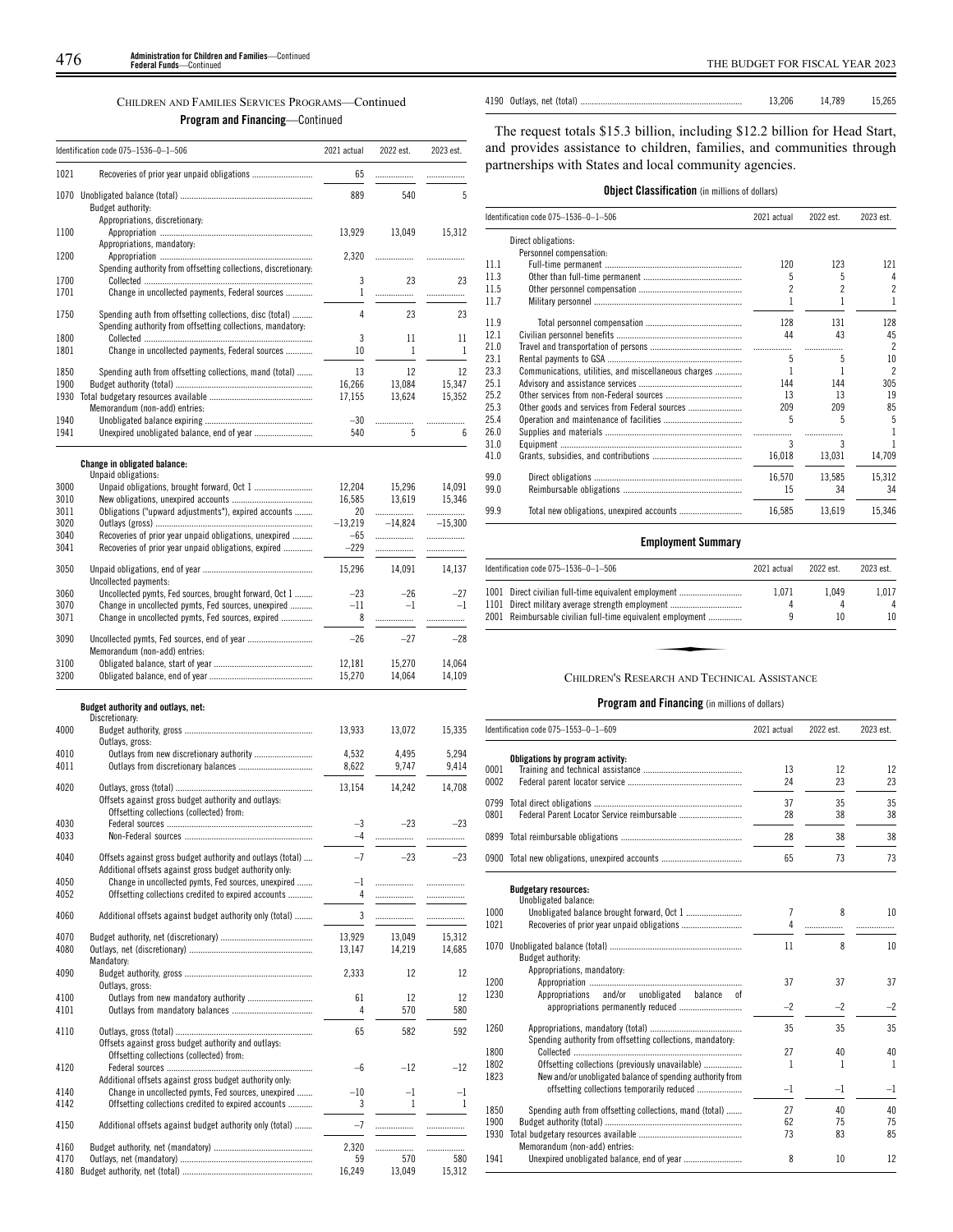| CHILDREN AND FAMILIES SERVICES PROGRAMS—Continued |
|---------------------------------------------------|
| <b>Program and Financing—Continued</b>            |

|              | Identification code 075-1536-0-1-506                                                                              | 2021 actual    | 2022 est.      | 2023 est.          |
|--------------|-------------------------------------------------------------------------------------------------------------------|----------------|----------------|--------------------|
| 1021         |                                                                                                                   | 65             | .              | .                  |
|              | Budget authority:                                                                                                 | 889            | 540            | 5                  |
| 1100         | Appropriations, discretionary:                                                                                    | 13,929         | 13,049         | 15,312             |
| 1200         | Appropriations, mandatory:                                                                                        | 2,320          |                |                    |
| 1700<br>1701 | Spending authority from offsetting collections, discretionary:<br>Change in uncollected payments, Federal sources | 3<br>1         | 23             | 23                 |
| 1750         | Spending auth from offsetting collections, disc (total)                                                           | 4              | .<br>23        | .<br>23            |
| 1800<br>1801 | Spending authority from offsetting collections, mandatory:                                                        | 3<br>10        | 11<br>1        | 11<br>$\mathbf{1}$ |
| 1850         | Change in uncollected payments, Federal sources<br>Spending auth from offsetting collections, mand (total)        | 13             | 12             | 12                 |
| 1900         |                                                                                                                   | 16,266         | 13,084         | 15,347             |
|              |                                                                                                                   | 17,155         | 13,624         | 15,352             |
|              | Memorandum (non-add) entries:                                                                                     |                |                |                    |
| 1940<br>1941 |                                                                                                                   | $-30$<br>540   | <br>5          | .<br>6             |
|              | Change in obligated balance:                                                                                      |                |                |                    |
|              | Unpaid obligations:                                                                                               |                |                |                    |
| 3000         | Unpaid obligations, brought forward, Oct 1                                                                        | 12,204         | 15,296         | 14,091             |
| 3010<br>3011 | Obligations ("upward adjustments"), expired accounts                                                              | 16,585<br>20   | 13,619<br>.    | 15,346<br>         |
| 3020         |                                                                                                                   | $-13.219$      | $-14,824$      | $-15,300$          |
| 3040         | Recoveries of prior year unpaid obligations, unexpired                                                            | $-65$          | .              |                    |
| 3041         | Recoveries of prior year unpaid obligations, expired                                                              | $-229$         |                | .                  |
| 3050         |                                                                                                                   | 15,296         | 14,091         | 14,137             |
| 3060         | Uncollected payments:<br>Uncollected pymts, Fed sources, brought forward, Oct 1                                   | $-23$          | $-26$          | -27                |
| 3070<br>3071 | Change in uncollected pymts, Fed sources, unexpired<br>Change in uncollected pymts, Fed sources, expired          | $-11$<br>8     | $-1$<br>.      | $-1$<br>.          |
| 3090         | Uncollected pymts, Fed sources, end of year                                                                       | $-26$          | $-27$          | $-28$              |
| 3100         | Memorandum (non-add) entries:                                                                                     | 12,181         | 15,270         | 14,064             |
| 3200         |                                                                                                                   | 15,270         | 14,064         | 14,109             |
|              | Budget authority and outlays, net:<br>Discretionary:                                                              |                |                |                    |
| 4000         | Outlays, gross:                                                                                                   | 13,933         | 13,072         | 15,335             |
| 4010<br>4011 | Outlays from new discretionary authority                                                                          | 4,532<br>8.622 | 4,495<br>9.747 | 5,294<br>9,414     |
| 4020         | Offsets against gross budget authority and outlays:                                                               | 13,154         | 14,242         | 14,708             |
| 4030         | Offsetting collections (collected) from:                                                                          | $-3$           | $-23$          | $-23$              |
| 4033<br>4040 | Offsets against gross budget authority and outlays (total)                                                        | -4<br>$-7$     | $-23$          | $-23$              |
| 4050         | Additional offsets against gross budget authority only:<br>Change in uncollected pymts, Fed sources, unexpired    | $\mathbf{-1}$  | .              |                    |
| 4052<br>4060 | Offsetting collections credited to expired accounts<br>Additional offsets against budget authority only (total)   | 4<br>3         | .<br>.         | .<br>.             |
| 4070         |                                                                                                                   | 13,929         | 13,049         | 15,312             |
| 4080         | Mandatory:                                                                                                        | 13,147         | 14,219         | 14,685             |
| 4090         | Outlavs, gross:                                                                                                   | 2,333          | 12             | 12                 |
| 4100<br>4101 |                                                                                                                   | 61<br>4        | 12<br>570      | 12<br>580          |
| 4110         | Offsets against gross budget authority and outlays:<br>Offsetting collections (collected) from:                   | 65             | 582            | 592                |
| 4120         | Additional offsets against gross budget authority only:                                                           | -6             | $-12$          | $-12$              |
| 4140<br>4142 | Change in uncollected pymts, Fed sources, unexpired<br>Offsetting collections credited to expired accounts        | $-10$<br>3     | $-1$<br>1      | $^{-1}$<br>1       |
| 4150         | Additional offsets against budget authority only (total)                                                          | $-7$           | .              | .                  |
| 4160         |                                                                                                                   | 2,320          | .              |                    |
| 4170         |                                                                                                                   | 59             | 570            | 580                |
|              |                                                                                                                   | 16,249         | 13,049         | 15,312             |

The request totals \$15.3 billion, including \$12.2 billion for Head Start, and provides assistance to children, families, and communities through partnerships with States and local community agencies.

4190 Outlays, net (total) ........................................................................ 13,206 14,789 15,265

|  | <b>Object Classification</b> (in millions of dollars) |  |  |  |  |  |
|--|-------------------------------------------------------|--|--|--|--|--|
|--|-------------------------------------------------------|--|--|--|--|--|

|      | Identification code 075-1536-0-1-506                 |        | 2022 est. | 2023 est.                |
|------|------------------------------------------------------|--------|-----------|--------------------------|
|      | Direct obligations:                                  |        |           |                          |
|      | Personnel compensation:                              |        |           |                          |
| 11.1 |                                                      | 120    | 123       | 121                      |
| 11.3 |                                                      | 5      | 5         | 4                        |
| 11.5 |                                                      | 2      | 2         | $\overline{2}$           |
| 11.7 |                                                      |        |           | 1                        |
| 11.9 |                                                      | 128    | 131       | 128                      |
| 12.1 |                                                      | 44     | 43        | 45                       |
| 21.0 |                                                      |        | .         | $\overline{\phantom{a}}$ |
| 23.1 |                                                      | 5      | 5         | 10                       |
| 23.3 | Communications, utilities, and miscellaneous charges |        |           | $\overline{\phantom{a}}$ |
| 25.1 |                                                      | 144    | 144       | 305                      |
| 25.2 |                                                      | 13     | 13        | 19                       |
| 25.3 |                                                      | 209    | 209       | 85                       |
| 25.4 |                                                      | 5      | 5         | 5                        |
| 26.0 |                                                      |        | .         |                          |
| 31.0 |                                                      | 3      | 3         |                          |
| 41.0 |                                                      | 16,018 | 13,031    | 14,709                   |
| 99.0 |                                                      | 16,570 | 13.585    | 15.312                   |
| 99.0 |                                                      | 15     | 34        | 34                       |
| 99.9 |                                                      | 16,585 | 13.619    | 15.346                   |

# **Employment Summary**

| ldentification code 075–1536–0–1–506                                                                                                                                   | 2021 actual | 2022 est.   | 2023 est.        |
|------------------------------------------------------------------------------------------------------------------------------------------------------------------------|-------------|-------------|------------------|
| 1001 Direct civilian full-time equivalent employment<br>1101 Direct military average strength employment<br>2001 Reimbursable civilian full-time equivalent employment | 1.071       | 1.049<br>10 | 1,017<br>4<br>10 |
| CHILDREN'S RESEARCH AND TECHNICAL ASSISTANCE                                                                                                                           |             |             |                  |

|      | Identification code 075-1553-0-1-609                             |                | 2022 est. | 2023 est.    |
|------|------------------------------------------------------------------|----------------|-----------|--------------|
|      | Obligations by program activity:                                 |                |           |              |
| 0001 |                                                                  | 13             | 12        | 12           |
| 0002 |                                                                  | 24             | 23        | 23           |
| 0799 |                                                                  | 37             | 35        | 35           |
| 0801 |                                                                  | 28             | 38        | 38           |
|      |                                                                  | 28             | 38        | 38           |
|      | 0900 Total new obligations, unexpired accounts                   | 65             | 73        | 73           |
|      | <b>Budgetary resources:</b><br>Unobligated balance:              |                |           |              |
| 1000 |                                                                  | $\overline{7}$ | 8         | 10           |
| 1021 |                                                                  | 4              |           |              |
| 1070 | Budget authority:                                                | 11             | 8         | 10           |
| 1200 | Appropriations, mandatory:                                       | 37             | 37        | 37           |
| 1230 | and/or unobligated<br>Appropriations<br>balance<br><sup>of</sup> |                |           |              |
|      | appropriations permanently reduced                               | $-2$           | $-2$      | $-2$         |
| 1260 |                                                                  | 35             | 35        | 35           |
|      | Spending authority from offsetting collections, mandatory:       |                |           |              |
| 1800 |                                                                  | 27             | 40        | 40           |
| 1802 | Offsetting collections (previously unavailable)                  | 1              | 1         | $\mathbf{1}$ |
| 1823 | New and/or unobligated balance of spending authority from        |                |           |              |
|      | offsetting collections temporarily reduced                       | $-1$           | $-1$      | $-1$         |
| 1850 | Spending auth from offsetting collections, mand (total)          | 27             | 40        | 40           |
| 1900 |                                                                  | 62             | 75        | 75           |
| 1930 | Memorandum (non-add) entries:                                    | 73             | 83        | 85           |
| 1941 |                                                                  | 8              | 10        | 12           |
|      |                                                                  |                |           |              |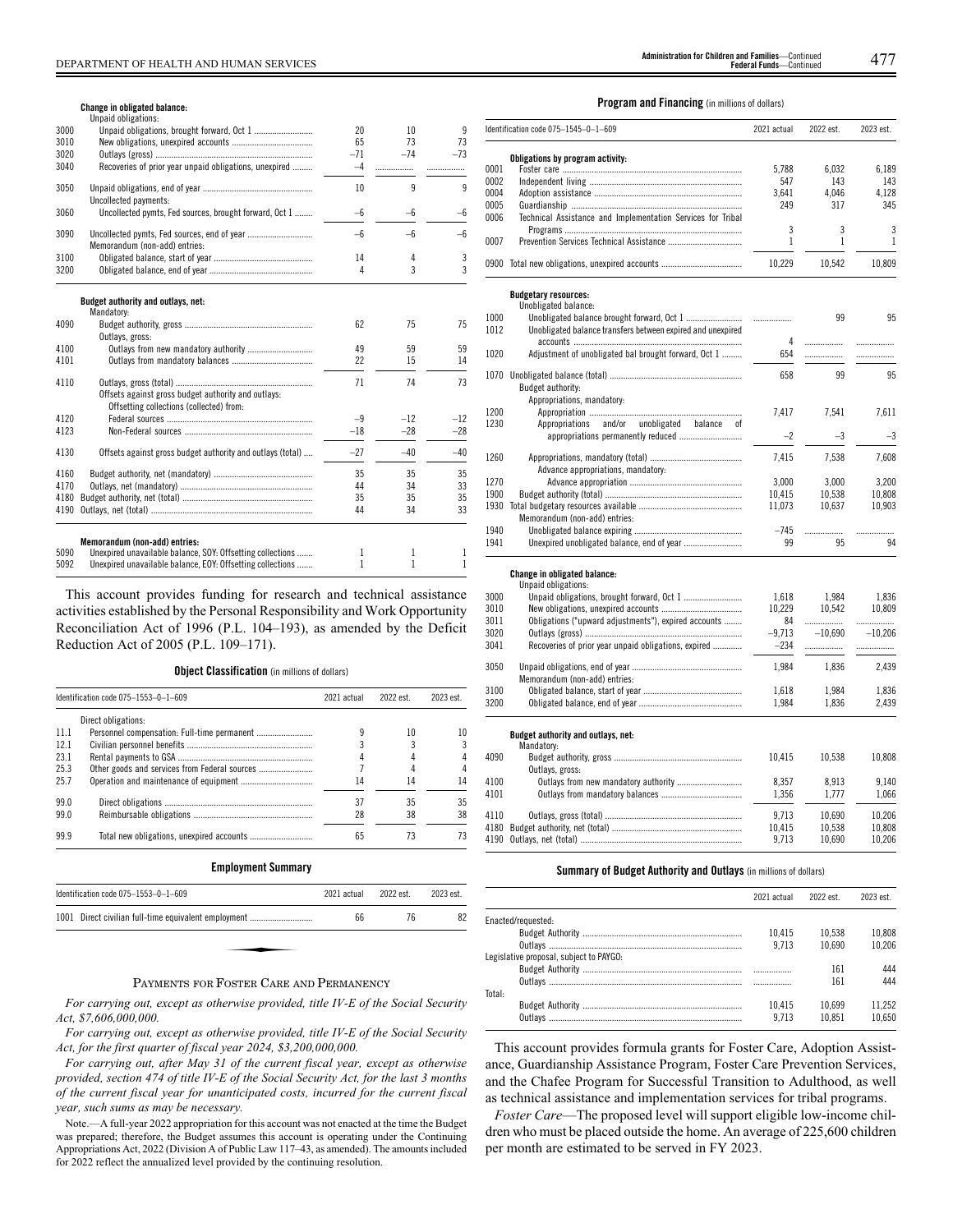#### **Change in obligated balance:**

|      | Unpaid obligations:                                                                             |       |       |                |
|------|-------------------------------------------------------------------------------------------------|-------|-------|----------------|
| 3000 |                                                                                                 | 20    | 10    | 9              |
| 3010 |                                                                                                 | 65    | 73    | 73             |
| 3020 |                                                                                                 | $-71$ | $-74$ | $-73$          |
| 3040 | Recoveries of prior year unpaid obligations, unexpired                                          | $-4$  |       |                |
| 3050 | Uncollected payments:                                                                           | 10    | 9     | 9              |
| 3060 | Uncollected pymts, Fed sources, brought forward, Oct 1                                          | $-6$  | $-6$  | $-6$           |
| 3090 | Memorandum (non-add) entries:                                                                   | $-6$  | $-6$  | $-6$           |
| 3100 |                                                                                                 | 14    | 4     | 3              |
| 3200 |                                                                                                 | 4     | 3     | $\overline{3}$ |
|      | Budget authority and outlays, net:<br>Mandatory:                                                |       |       |                |
| 4090 |                                                                                                 | 62    | 75    | 75             |
|      | Outlays, gross:                                                                                 |       |       |                |
| 4100 | Outlays from new mandatory authority                                                            | 49    | 59    | 59             |
| 4101 |                                                                                                 | 22    | 15    | 14             |
| 4110 |                                                                                                 | 71    | 74    | 73             |
|      | Offsets against gross budget authority and outlays:<br>Offsetting collections (collected) from: |       |       |                |
| 4120 |                                                                                                 | $-9$  | $-12$ | $-12$          |
| 4123 |                                                                                                 | $-18$ | $-28$ | $-28$          |
| 4130 | Offsets against gross budget authority and outlays (total)                                      | $-27$ | $-40$ | $-40$          |
| 4160 |                                                                                                 | 35    | 35    | 35             |
| 4170 |                                                                                                 | 44    | 34    | 33             |
| 4180 |                                                                                                 | 35    | 35    | 35             |
| 4190 |                                                                                                 | 44    | 34    | 33             |
|      | Memorandum (non-add) entries:                                                                   |       |       |                |
| 5090 | Unexpired unavailable balance, SOY: Offsetting collections                                      | 1     | 1     | 1              |
|      |                                                                                                 |       |       |                |

5092 Unexpired unavailable balance, EOY: Offsetting collections ....... 1 1 1 1 1

This account provides funding for research and technical assistance activities established by the Personal Responsibility and Work Opportunity Reconciliation Act of 1996 (P.L. 104–193), as amended by the Deficit Reduction Act of 2005 (P.L. 109–171).

**Object Classification** (in millions of dollars)

|      | Identification code 075-1553-0-1-609 | 2021 actual | 2022 est. | 2023 est. |
|------|--------------------------------------|-------------|-----------|-----------|
|      | Direct obligations:                  |             |           |           |
| 11.1 |                                      |             | 10        | 10        |
| 12.1 |                                      |             |           |           |
| 23.1 |                                      |             |           |           |
| 25.3 |                                      |             |           |           |
| 25.7 |                                      | 14          | 14        | 14        |
| 99.0 |                                      | 37          | 35        | 35        |
| 99.0 |                                      | 28          | 38        | 38        |
| 99.9 |                                      | 65          | 73        | 73        |

| Identification code $075 - 1553 - 0 - 1 - 609$                           | 2021 actual | 2022 est. | 2023 est. |
|--------------------------------------------------------------------------|-------------|-----------|-----------|
| 1001 Direct civilian full-time equivalent employment                     | 66          | 76        | 82        |
|                                                                          |             |           |           |
|                                                                          |             |           |           |
| $\mathbf{r}$ , $\mathbf{r}$ , $\mathbf{r}$ , $\mathbf{r}$ , $\mathbf{r}$ |             |           |           |

# PAYMENTS FOR FOSTER CARE AND PERMANENCY

*For carrying out, except as otherwise provided, title IV-E of the Social Security Act, \$7,606,000,000.*

*For carrying out, except as otherwise provided, title IV-E of the Social Security Act, for the first quarter of fiscal year 2024, \$3,200,000,000.*

*For carrying out, after May 31 of the current fiscal year, except as otherwise provided, section 474 of title IV-E of the Social Security Act, for the last 3 months of the current fiscal year for unanticipated costs, incurred for the current fiscal year, such sums as may be necessary.*

Note.—A full-year 2022 appropriation for this account was not enacted at the time the Budget was prepared; therefore, the Budget assumes this account is operating under the Continuing Appropriations Act, 2022 (Division A of Public Law 117–43, as amended). The amounts included for 2022 reflect the annualized level provided by the continuing resolution.

#### **Program and Financing** (in millions of dollars)

|      | Identification code 075-1545-0-1-609                        | 2021 actual | 2022 est. | 2023 est. |
|------|-------------------------------------------------------------|-------------|-----------|-----------|
|      | Obligations by program activity:                            |             |           |           |
| 0001 |                                                             | 5.788       | 6,032     | 6,189     |
| 0002 |                                                             | 547         | 143       | 143       |
| 0004 |                                                             | 3,641       | 4,046     | 4,128     |
| 0005 |                                                             | 249         | 317       | 345       |
| 0006 | Technical Assistance and Implementation Services for Tribal |             |           |           |
|      |                                                             | 3           | 3         | 3         |
| 0007 |                                                             | 1           | 1         | 1         |
|      | 0900 Total new obligations, unexpired accounts              | 10,229      | 10,542    | 10,809    |
|      |                                                             |             |           |           |
|      |                                                             |             |           |           |
|      | <b>Budgetary resources:</b><br>Unobligated balance:         |             |           |           |
| 1000 |                                                             |             | 99        | 95        |
| 1012 | Unobligated balance transfers between expired and unexpired |             |           |           |
|      |                                                             | 4           | .         |           |
| 1020 | Adjustment of unobligated bal brought forward, Oct 1        | 654         |           | .         |
|      |                                                             |             |           |           |
|      |                                                             | 658         | 99        | 95        |
|      | Budget authority:                                           |             |           |           |
|      | Appropriations, mandatory:                                  |             |           |           |
| 1200 |                                                             | 7.417       | 7.541     | 7,611     |
| 1230 | Appropriations and/or unobligated balance<br>0f             |             |           |           |
|      |                                                             | $-2$        | $-3$      | $-3$      |
|      |                                                             |             |           |           |
| 1260 |                                                             | 7.415       | 7.538     | 7,608     |
|      | Advance appropriations, mandatory:                          |             |           |           |
| 1270 |                                                             | 3.000       | 3.000     | 3,200     |
| 1900 |                                                             | 10,415      | 10.538    | 10,808    |
| 1930 |                                                             | 11,073      | 10,637    | 10,903    |
|      | Memorandum (non-add) entries:                               |             |           |           |
| 1940 |                                                             | $-745$      |           |           |

# **Change in obligated balance:**

|      | Unpaid obligations:                                  |          |           |           |
|------|------------------------------------------------------|----------|-----------|-----------|
| 3000 |                                                      | 1.618    | 1.984     | 1.836     |
| 3010 |                                                      | 10.229   | 10.542    | 10.809    |
| 3011 | Obligations ("upward adjustments"), expired accounts | 84       |           |           |
| 3020 |                                                      | $-9.713$ | $-10.690$ | $-10.206$ |
| 3041 | Recoveries of prior year unpaid obligations, expired | $-234$   | .         |           |
| 3050 | Memorandum (non-add) entries:                        | 1.984    | 1.836     | 2.439     |
| 3100 |                                                      | 1.618    | 1.984     | 1.836     |
| 3200 |                                                      | 1.984    | 1.836     | 2.439     |
|      |                                                      |          |           |           |
|      | Buddet authority and authors and                     |          |           |           |

1941 Unexpired unobligated balance, end of year .......................... 99 95 94

#### **Budget authority and outlays, net:**

|      | DUULCL AULIIVI ILV AIIU VULIAVS. IICL.<br>Mandatory: |        |        |        |
|------|------------------------------------------------------|--------|--------|--------|
| 4090 |                                                      | 10.415 | 10.538 | 10.808 |
|      | Outlays, gross:                                      |        |        |        |
| 4100 |                                                      | 8.357  | 8.913  | 9.140  |
| 4101 |                                                      | 1.356  | 1.777  | 1.066  |
| 4110 |                                                      | 9.713  | 10.690 | 10.206 |
|      |                                                      | 10.415 | 10.538 | 10.808 |
|      |                                                      | 9.713  | 10.690 | 10.206 |
|      |                                                      |        |        |        |

# **Summary of Budget Authority and Outlays** (in millions of dollars)

|                                         | 2021 actual | 2022 est. | 2023 est. |
|-----------------------------------------|-------------|-----------|-----------|
| Enacted/requested:                      |             |           |           |
|                                         | 10.415      | 10.538    | 10.808    |
|                                         | 9.713       | 10.690    | 10.206    |
| Legislative proposal, subiect to PAYGO: |             |           |           |
|                                         |             | 161       | 444       |
|                                         |             | 161       | 444       |
| Total:                                  |             |           |           |
|                                         | 10.415      | 10.699    | 11.252    |
|                                         | 9.713       | 10.851    | 10.650    |

This account provides formula grants for Foster Care, Adoption Assistance, Guardianship Assistance Program, Foster Care Prevention Services, and the Chafee Program for Successful Transition to Adulthood, as well as technical assistance and implementation services for tribal programs.

*Foster Care*—The proposed level will support eligible low-income children who must be placed outside the home. An average of 225,600 children per month are estimated to be served in FY 2023.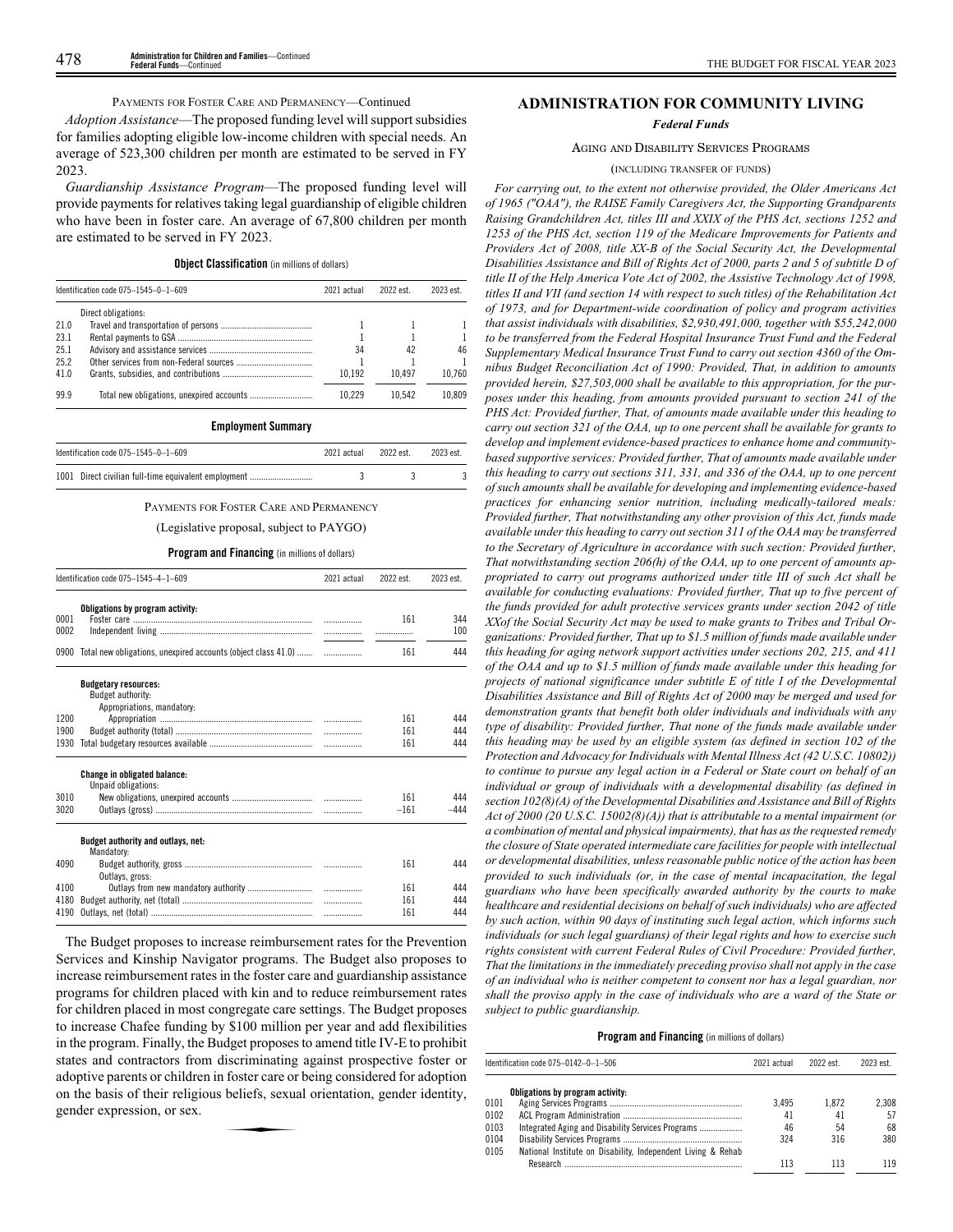# PAYMENTS FOR FOSTER CARE AND PERMANENCY—Continued

*Adoption Assistance*—The proposed funding level will support subsidies for families adopting eligible low-income children with special needs. An average of 523,300 children per month are estimated to be served in FY 2023.

*Guardianship Assistance Program*—The proposed funding level will provide payments for relatives taking legal guardianship of eligible children who have been in foster care. An average of 67,800 children per month are estimated to be served in FY 2023.

# **Object Classification** (in millions of dollars)

|      | Identification code $075 - 1545 - 0 - 1 - 609$ | 2021 actual | 2022 est. | 2023 est. |
|------|------------------------------------------------|-------------|-----------|-----------|
|      | Direct obligations:                            |             |           |           |
| 21.0 |                                                |             |           |           |
| 23.1 |                                                |             |           |           |
| 25.1 |                                                | 34          | 42        | 46        |
| 25.2 |                                                |             |           |           |
| 41.0 |                                                | 10.192      | 10.497    | 10.760    |
| 99.9 |                                                | 10.229      | 10.542    | 10.809    |

#### **Employment Summary**

| ldentification code 075–1545–0–1–609                 | 2021 actual | 2022 est. | 2023 est. |
|------------------------------------------------------|-------------|-----------|-----------|
| 1001 Direct civilian full-time equivalent employment |             |           |           |

PAYMENTS FOR FOSTER CARE AND PERMANENCY

#### (Legislative proposal, subject to PAYGO)

#### **Program and Financing** (in millions of dollars)

|              | Identification code 075-1545-4-1-609                                           | 2021 actual | 2022 est. | 2023 est.  |
|--------------|--------------------------------------------------------------------------------|-------------|-----------|------------|
| 0001<br>0002 | Obligations by program activity:                                               |             | 161       | 344<br>100 |
|              | 0900 Total new obligations, unexpired accounts (object class 41.0)             |             | 161       | 444        |
|              | <b>Budgetary resources:</b><br>Budget authority:<br>Appropriations, mandatory: |             |           |            |
| 1200         |                                                                                |             | 161       | 444        |
| 1900         |                                                                                |             | 161       | 444        |
| 1930         |                                                                                |             | 161       | 444        |
|              | <b>Change in obligated balance:</b><br>Unpaid obligations:                     |             |           |            |
| 3010         |                                                                                |             | 161       | 444        |
| 3020         |                                                                                |             | $-161$    | $-444$     |
|              | Budget authority and outlays, net:<br>Mandatory:                               |             |           |            |
| 4090         | Outlays, gross:                                                                |             | 161       | 444        |
| 4100         |                                                                                |             | 161       | 444        |
| 4180         |                                                                                |             | 161       | 444        |
| 4190         |                                                                                |             | 161       | 444        |

The Budget proposes to increase reimbursement rates for the Prevention Services and Kinship Navigator programs. The Budget also proposes to increase reimbursement rates in the foster care and guardianship assistance programs for children placed with kin and to reduce reimbursement rates for children placed in most congregate care settings. The Budget proposes to increase Chafee funding by \$100 million per year and add flexibilities in the program. Finally, the Budget proposes to amend title IV-E to prohibit states and contractors from discriminating against prospective foster or adoptive parents or children in foster care or being considered for adoption<br>and the basis of their religious beliefs, sexual orientation, gender identity,<br>gender expression, or sex. on the basis of their religious beliefs, sexual orientation, gender identity, gender expression, or sex.

# **ADMINISTRATION FOR COMMUNITY LIVING**

*Federal Funds*

### AGING AND DISABILITY SERVICES PROGRAMS

(INCLUDING TRANSFER OF FUNDS)

*For carrying out, to the extent not otherwise provided, the Older Americans Act of 1965 ("OAA"), the RAISE Family Caregivers Act, the Supporting Grandparents Raising Grandchildren Act, titles III and XXIX of the PHS Act, sections 1252 and 1253 of the PHS Act, section 119 of the Medicare Improvements for Patients and Providers Act of 2008, title XX-B of the Social Security Act, the Developmental Disabilities Assistance and Bill of Rights Act of 2000, parts 2 and 5 of subtitle D of title II of the Help America Vote Act of 2002, the Assistive Technology Act of 1998, titles II and VII (and section 14 with respect to such titles) of the Rehabilitation Act of 1973, and for Department-wide coordination of policy and program activities that assist individuals with disabilities, \$2,930,491,000, together with \$55,242,000 to be transferred from the Federal Hospital Insurance Trust Fund and the Federal Supplementary Medical Insurance Trust Fund to carry out section 4360 of the Omnibus Budget Reconciliation Act of 1990: Provided, That, in addition to amounts provided herein, \$27,503,000 shall be available to this appropriation, for the purposes under this heading, from amounts provided pursuant to section 241 of the PHS Act: Provided further, That, of amounts made available under this heading to carry out section 321 of the OAA, up to one percent shall be available for grants to develop and implement evidence-based practices to enhance home and communitybased supportive services: Provided further, That of amounts made available under this heading to carry out sections 311, 331, and 336 of the OAA, up to one percent of such amounts shall be available for developing and implementing evidence-based practices for enhancing senior nutrition, including medically-tailored meals: Provided further, That notwithstanding any other provision of this Act, funds made available under this heading to carry out section 311 of the OAA may be transferred to the Secretary of Agriculture in accordance with such section: Provided further, That notwithstanding section 206(h) of the OAA, up to one percent of amounts appropriated to carry out programs authorized under title III of such Act shall be available for conducting evaluations: Provided further, That up to five percent of the funds provided for adult protective services grants under section 2042 of title XXof the Social Security Act may be used to make grants to Tribes and Tribal Organizations: Provided further, That up to \$1.5 million of funds made available under this heading for aging network support activities under sections 202, 215, and 411 of the OAA and up to \$1.5 million of funds made available under this heading for projects of national significance under subtitle E of title I of the Developmental Disabilities Assistance and Bill of Rights Act of 2000 may be merged and used for demonstration grants that benefit both older individuals and individuals with any type of disability: Provided further, That none of the funds made available under this heading may be used by an eligible system (as defined in section 102 of the Protection and Advocacy for Individuals with Mental Illness Act (42 U.S.C. 10802)) to continue to pursue any legal action in a Federal or State court on behalf of an individual or group of individuals with a developmental disability (as defined in section 102(8)(A) of the Developmental Disabilities and Assistance and Bill of Rights Act of 2000 (20 U.S.C. 15002(8)(A)) that is attributable to a mental impairment (or a combination of mental and physical impairments), that has as the requested remedy the closure of State operated intermediate care facilities for people with intellectual or developmental disabilities, unless reasonable public notice of the action has been provided to such individuals (or, in the case of mental incapacitation, the legal guardians who have been specifically awarded authority by the courts to make healthcare and residential decisions on behalf of such individuals) who are affected by such action, within 90 days of instituting such legal action, which informs such individuals (or such legal guardians) of their legal rights and how to exercise such rights consistent with current Federal Rules of Civil Procedure: Provided further, That the limitations in the immediately preceding proviso shall not apply in the case of an individual who is neither competent to consent nor has a legal guardian, nor shall the proviso apply in the case of individuals who are a ward of the State or subject to public guardianship.*

|      | ldentification code 075–0142–0–1–506                         | 2021 actual | 2022 est. | 2023 est. |
|------|--------------------------------------------------------------|-------------|-----------|-----------|
|      | Obligations by program activity:                             |             |           |           |
| 0101 |                                                              | 3.495       | 1.872     | 2.308     |
| 0102 |                                                              | 41          | 41        | 57        |
| 0103 | Integrated Aging and Disability Services Programs            | 46          | 54        | 68        |
| 0104 |                                                              | 324         | 316       | 380       |
| 0105 | National Institute on Disability, Independent Living & Rehab |             |           |           |
|      |                                                              | 113         | 113       | 119       |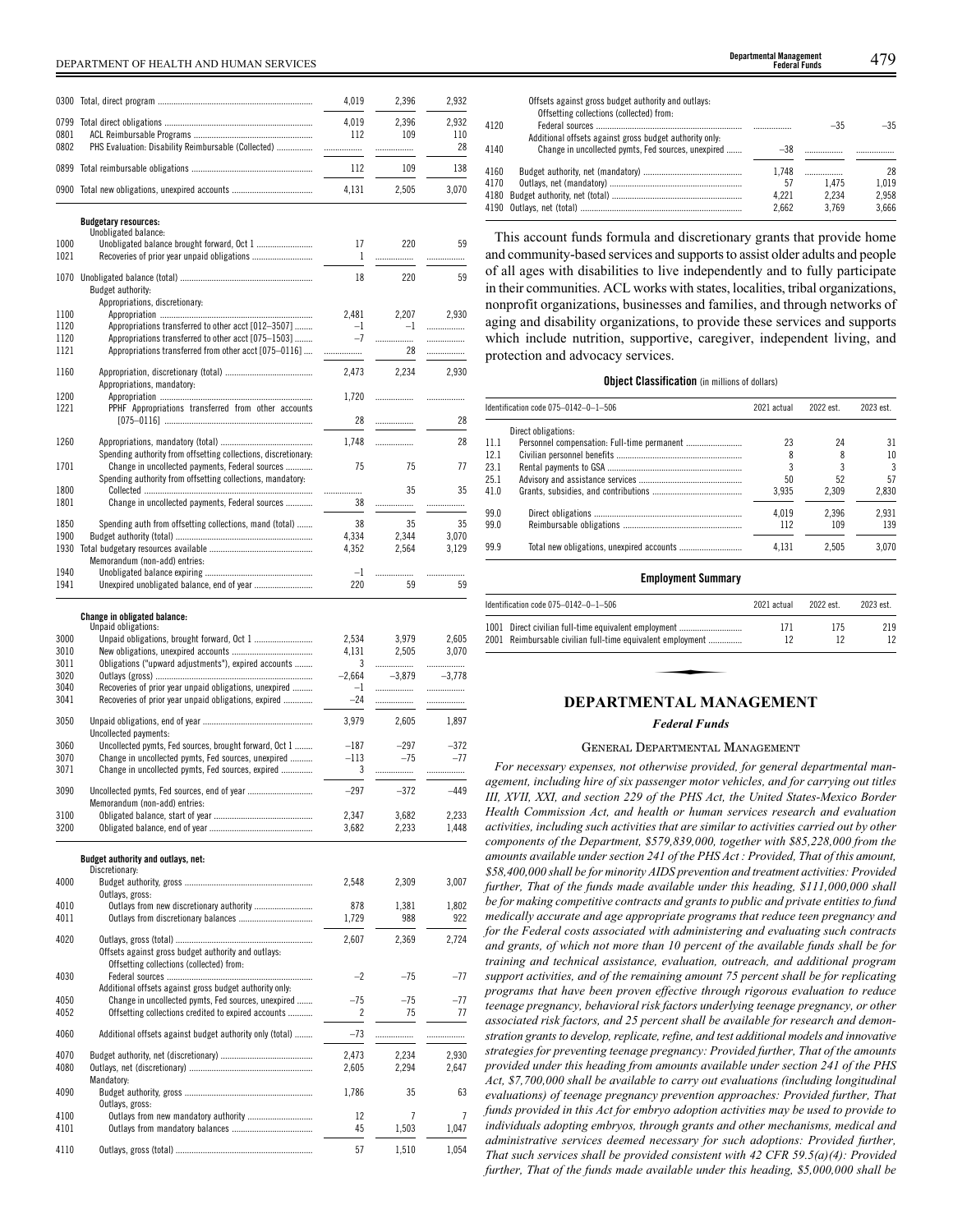| 0300 |                                                                | 4,019 | 2,396   | 2,932   |
|------|----------------------------------------------------------------|-------|---------|---------|
| 0799 |                                                                |       |         |         |
|      |                                                                | 4,019 | 2,396   | 2,932   |
| 0801 |                                                                | 112   | 109     | 110     |
| 0802 | PHS Evaluation: Disability Reimbursable (Collected)            | .     | .       | 28      |
| 0899 |                                                                | 112   | 109     | 138     |
| 0900 |                                                                | 4.131 | 2.505   | 3.070   |
|      | <b>Budgetary resources:</b>                                    |       |         |         |
|      | Unobligated balance:                                           |       |         |         |
| 1000 | Unobligated balance brought forward, Oct 1                     | 17    | 220     | 59      |
| 1021 |                                                                | 1     | .       |         |
| 1070 |                                                                | 18    | 220     | 59      |
|      | Budget authority:                                              |       |         |         |
|      | Appropriations, discretionary:                                 |       |         |         |
| 1100 |                                                                | 2,481 | 2.207   | 2,930   |
| 1120 | Appropriations transferred to other acct [012-3507]            | $-1$  | $-1$    | .       |
| 1120 | Appropriations transferred to other acct [075-1503]            | $-7$  | .       | .       |
| 1121 | Appropriations transferred from other acct [075-0116]          |       | 28      | .       |
| 1160 |                                                                | 2,473 | 2,234   | 2,930   |
|      | Appropriations, mandatory:                                     |       |         |         |
| 1200 |                                                                | 1,720 |         |         |
| 1221 | PPHF Appropriations transferred from other accounts            |       |         |         |
|      |                                                                | 28    | .       | 28      |
|      |                                                                |       |         |         |
| 1260 |                                                                | 1.748 | .       | 28      |
|      | Spending authority from offsetting collections, discretionary: |       |         |         |
| 1701 | Change in uncollected payments, Federal sources                | 75    | 75      | 77      |
|      | Spending authority from offsetting collections, mandatory:     |       |         |         |
| 1800 |                                                                |       | 35      | 35      |
| 1801 | Change in uncollected payments, Federal sources                | 38    | .       | .       |
| 1850 | Spending auth from offsetting collections, mand (total)        | 38    | 35      | 35      |
| 1900 |                                                                | 4,334 | 2.344   | 3,070   |
| 1930 |                                                                | 4,352 | 2,564   | 3,129   |
|      | Memorandum (non-add) entries:                                  |       |         |         |
| 1940 |                                                                | $-1$  |         |         |
| 1941 |                                                                | 220   | .<br>59 | .<br>59 |
|      |                                                                |       |         |         |

# **Change in obligated balance:** Unpaid obligations:

|      | Ulipaiu Ubligations:                                                                            |          |          |          |
|------|-------------------------------------------------------------------------------------------------|----------|----------|----------|
| 3000 | Unpaid obligations, brought forward, Oct 1                                                      | 2,534    | 3,979    | 2,605    |
| 3010 |                                                                                                 | 4,131    | 2,505    | 3,070    |
| 3011 | Obligations ("upward adjustments"), expired accounts                                            | 3        | .        |          |
| 3020 |                                                                                                 | $-2,664$ | $-3.879$ | $-3,778$ |
| 3040 | Recoveries of prior year unpaid obligations, unexpired                                          | $-1$     | .        |          |
| 3041 | Recoveries of prior year unpaid obligations, expired                                            | $-24$    | .        | .        |
|      |                                                                                                 |          |          |          |
| 3050 | Uncollected payments:                                                                           | 3.979    | 2.605    | 1.897    |
| 3060 | Uncollected pymts, Fed sources, brought forward, Oct 1                                          | $-187$   | $-297$   | $-372$   |
| 3070 | Change in uncollected pymts, Fed sources, unexpired                                             | $-113$   | $-75$    | $-77$    |
| 3071 | Change in uncollected pymts, Fed sources, expired                                               |          |          |          |
|      |                                                                                                 | 3        | .        | .        |
| 3090 | Uncollected pymts, Fed sources, end of year<br>Memorandum (non-add) entries:                    | $-297$   | $-372$   | $-449$   |
| 3100 |                                                                                                 | 2,347    | 3,682    | 2,233    |
| 3200 |                                                                                                 | 3,682    | 2,233    | 1,448    |
|      |                                                                                                 |          |          |          |
|      | Budget authority and outlays, net:<br>Discretionary:                                            |          |          |          |
| 4000 |                                                                                                 | 2,548    | 2,309    | 3,007    |
|      | Outlays, gross:                                                                                 |          |          |          |
| 4010 | Outlays from new discretionary authority                                                        | 878      | 1,381    | 1,802    |
| 4011 |                                                                                                 | 1,729    | 988      | 922      |
|      |                                                                                                 |          |          |          |
| 4020 | Offsets against gross budget authority and outlays:<br>Offsetting collections (collected) from: | 2.607    | 2.369    | 2,724    |
| 4030 |                                                                                                 | $-2$     | $-75$    | $-77$    |
|      | Additional offsets against gross budget authority only:                                         |          |          |          |
| 4050 | Change in uncollected pymts, Fed sources, unexpired                                             | $-75$    | $-75$    | $-77$    |
| 4052 | Offsetting collections credited to expired accounts                                             | 2        | 75       | 77       |
|      |                                                                                                 |          |          |          |
| 4060 | Additional offsets against budget authority only (total)                                        | $-73$    | .        | .        |
| 4070 |                                                                                                 | 2,473    | 2.234    | 2,930    |
| 4080 |                                                                                                 | 2,605    | 2.294    | 2.647    |
|      | Mandatory:                                                                                      |          |          |          |
| 4090 |                                                                                                 | 1,786    | 35       | 63       |
|      | Outlays, gross:                                                                                 |          |          |          |
| 4100 |                                                                                                 | 12       | 7        | 7        |
| 4101 |                                                                                                 | 45       | 1,503    | 1,047    |
|      |                                                                                                 |          |          |          |
| 4110 |                                                                                                 | 57       | 1,510    | 1.054    |

|      | Offsets against gross budget authority and outlays:<br>Offsetting collections (collected) from: |       |       |       |
|------|-------------------------------------------------------------------------------------------------|-------|-------|-------|
|      |                                                                                                 |       |       |       |
| 4120 |                                                                                                 |       | $-35$ | $-35$ |
|      | Additional offsets against gross budget authority only.                                         |       |       |       |
| 4140 | Change in uncollected pymts, Fed sources, unexpired                                             | $-38$ |       |       |
|      |                                                                                                 |       |       |       |
| 4160 |                                                                                                 | 1.748 | .     | 28    |
| 4170 |                                                                                                 | 57    | 1.475 | 1.019 |
|      |                                                                                                 | 4.221 | 2.234 | 2.958 |
|      |                                                                                                 | 2.662 | 3.769 | 3.666 |
|      |                                                                                                 |       |       |       |

This account funds formula and discretionary grants that provide home and community-based services and supports to assist older adults and people of all ages with disabilities to live independently and to fully participate in their communities. ACL works with states, localities, tribal organizations, nonprofit organizations, businesses and families, and through networks of aging and disability organizations, to provide these services and supports which include nutrition, supportive, caregiver, independent living, and protection and advocacy services.

### **Object Classification** (in millions of dollars)

|      | Identification code $075-0142-0-1-506$ | 2021 actual | 2022 est. | 2023 est. |
|------|----------------------------------------|-------------|-----------|-----------|
|      | Direct obligations:                    |             |           |           |
| 11.1 |                                        | 23          | 24        | 31        |
| 12.1 |                                        | 8           | 8         | 10        |
| 23.1 |                                        |             |           | 3         |
| 25.1 |                                        | 50          | 52        | 57        |
| 41.0 |                                        | 3.935       | 2.309     | 2.830     |
| 99.0 |                                        | 4.019       | 2.396     | 2.931     |
| 99.0 |                                        | 112         | 109       | 139       |
| 99.9 |                                        | 4.131       | 2.505     | 3.070     |

#### **Employment Summary**

| ldentification code 075–0142–0–1–506                                                                               | 2021 actual | 2022 est. | 2023 est. |  |
|--------------------------------------------------------------------------------------------------------------------|-------------|-----------|-----------|--|
| 1001 Direct civilian full-time equivalent employment<br>2001 Reimbursable civilian full-time equivalent employment | 171<br>12   | 175<br>12 | 219<br>12 |  |
|                                                                                                                    |             |           |           |  |
| DEPARTMENTAL MANAGEMENT                                                                                            |             |           |           |  |

### *Federal Funds*

# GENERAL DEPARTMENTAL MANAGEMENT

*For necessary expenses, not otherwise provided, for general departmental management, including hire of six passenger motor vehicles, and for carrying out titles III, XVII, XXI, and section 229 of the PHS Act, the United States-Mexico Border Health Commission Act, and health or human services research and evaluation activities, including such activities that are similar to activities carried out by other components of the Department, \$579,839,000, together with \$85,228,000 from the amounts available under section 241 of the PHS Act : Provided, That of this amount, \$58,400,000 shall be for minority AIDS prevention and treatment activities: Provided further, That of the funds made available under this heading, \$111,000,000 shall be for making competitive contracts and grants to public and private entities to fund medically accurate and age appropriate programs that reduce teen pregnancy and for the Federal costs associated with administering and evaluating such contracts and grants, of which not more than 10 percent of the available funds shall be for training and technical assistance, evaluation, outreach, and additional program support activities, and of the remaining amount 75 percent shall be for replicating programs that have been proven effective through rigorous evaluation to reduce teenage pregnancy, behavioral risk factors underlying teenage pregnancy, or other associated risk factors, and 25 percent shall be available for research and demonstration grants to develop, replicate, refine, and test additional models and innovative strategies for preventing teenage pregnancy: Provided further, That of the amounts provided under this heading from amounts available under section 241 of the PHS Act, \$7,700,000 shall be available to carry out evaluations (including longitudinal evaluations) of teenage pregnancy prevention approaches: Provided further, That funds provided in this Act for embryo adoption activities may be used to provide to individuals adopting embryos, through grants and other mechanisms, medical and administrative services deemed necessary for such adoptions: Provided further, That such services shall be provided consistent with 42 CFR 59.5(a)(4): Provided further, That of the funds made available under this heading, \$5,000,000 shall be*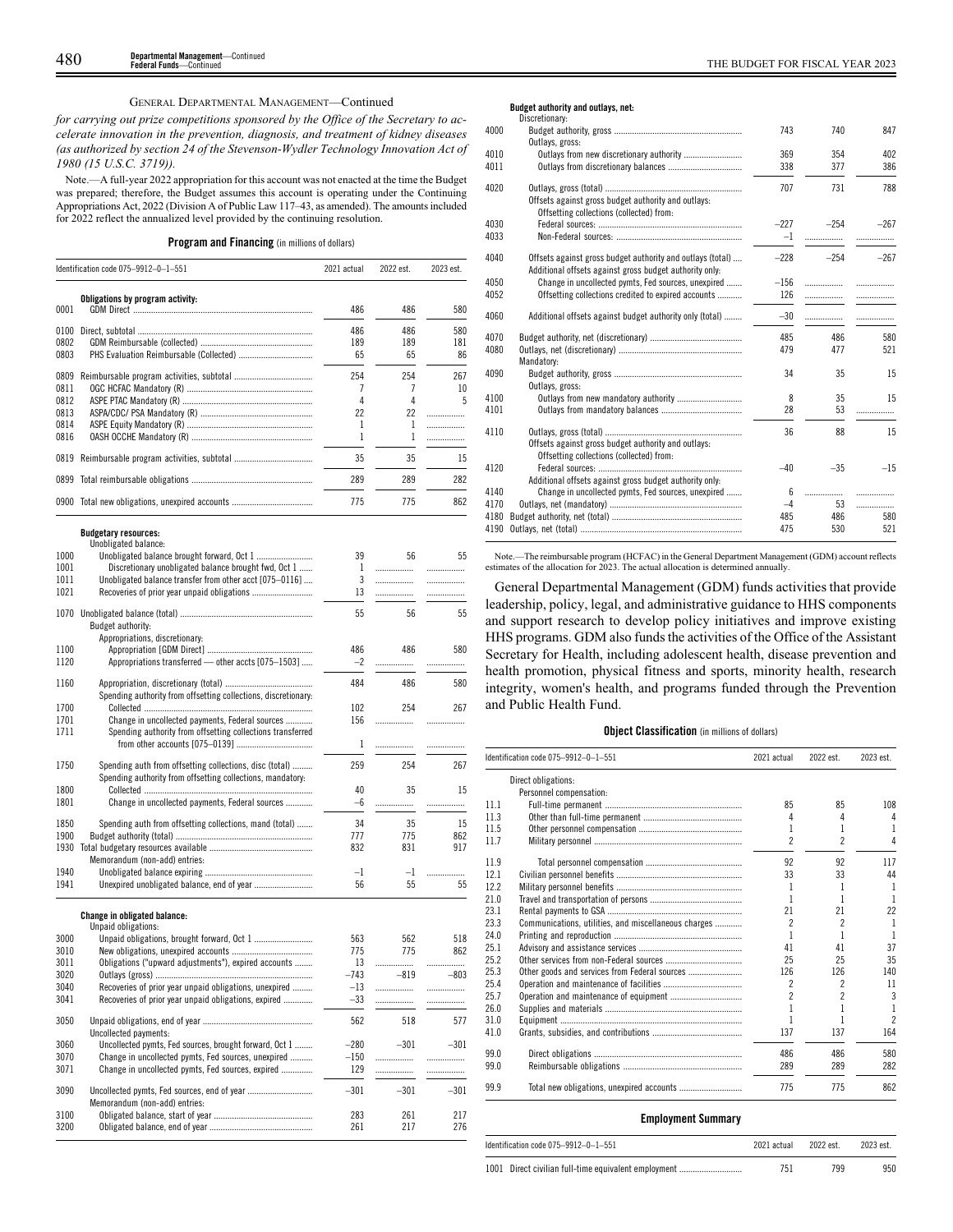# GENERAL DEPARTMENTAL MANAGEMENT—Continued

*for carrying out prize competitions sponsored by the Office of the Secretary to accelerate innovation in the prevention, diagnosis, and treatment of kidney diseases (as authorized by section 24 of the Stevenson-Wydler Technology Innovation Act of 1980 (15 U.S.C. 3719)).*

Note.—A full-year 2022 appropriation for this account was not enacted at the time the Budget was prepared; therefore, the Budget assumes this account is operating under the Continuing Appropriations Act, 2022 (Division A of Public Law 117–43, as amended). The amounts included for 2022 reflect the annualized level provided by the continuing resolution.

**Program and Financing** (in millions of dollars)

|      | Identification code 075-9912-0-1-551           | 2021 actual | 2022 est. | 2023 est. |
|------|------------------------------------------------|-------------|-----------|-----------|
| 0001 | Obligations by program activity:               | 486         | 486       | 580       |
| 0100 |                                                | 486         | 486       | 580       |
| 0802 |                                                | 189         | 189       | 181       |
| 0803 |                                                | 65          | 65        | 86        |
| 0809 |                                                | 254         | 254       | 267       |
| 0811 |                                                |             |           | 10        |
| 0812 |                                                | 4           | 4         | 5         |
| 0813 |                                                | 22          | 22        |           |
| 0814 |                                                |             |           | .         |
| 0816 |                                                |             |           | .         |
| 0819 |                                                | 35          | 35        | 15        |
| 0899 |                                                | 289         | 289       | 282       |
|      | 0900 Total new obligations, unexpired accounts | 775         | 775       | 862       |

# **Budgetary resources:**

|              | Unobligated balance:                                           |            |            |            |
|--------------|----------------------------------------------------------------|------------|------------|------------|
| 1000         |                                                                | 39         | 56         | 55         |
| 1001         | Discretionary unobligated balance brought fwd, Oct 1           | 1          | .          | .          |
| 1011         | Unobligated balance transfer from other acct [075-0116]        | 3          | .          | .          |
| 1021         |                                                                | 13         | .          | .          |
|              |                                                                |            |            |            |
| 1070         |                                                                | 55         | 56         | 55         |
|              | Budget authority:                                              |            |            |            |
|              | Appropriations, discretionary:                                 |            |            |            |
| 1100         |                                                                | 486        | 486        | 580        |
| 1120         | Appropriations transferred - other accts [075-1503]            | $-2$       |            | .          |
|              |                                                                |            |            |            |
| 1160         |                                                                | 484        | 486        | 580        |
|              | Spending authority from offsetting collections, discretionary. |            |            |            |
| 1700         |                                                                | 102        | 254        | 267        |
| 1701         | Change in uncollected payments, Federal sources                | 156        | .          |            |
| 1711         | Spending authority from offsetting collections transferred     |            |            |            |
|              |                                                                |            |            |            |
|              |                                                                | 1          | .          |            |
| 1750         | Spending auth from offsetting collections, disc (total)        | 259        | 254        | 267        |
|              |                                                                |            |            |            |
|              | Spending authority from offsetting collections, mandatory:     |            |            |            |
| 1800         |                                                                | 40         | 35         | 15         |
| 1801         | Change in uncollected payments, Federal sources                | $-6$       | .          | .          |
| 1850         | Spending auth from offsetting collections, mand (total)        | 34         | 35         | 15         |
| 1900         |                                                                | 777        | 775        | 862        |
| 1930         |                                                                | 832        | 831        | 917        |
|              | Memorandum (non-add) entries:                                  |            |            |            |
|              |                                                                |            |            |            |
| 1940         |                                                                | $-1$       | $-1$       |            |
| 1941         |                                                                | 56         | 55         |            |
|              |                                                                |            |            | 55         |
|              |                                                                |            |            |            |
|              | <b>Change in obligated balance:</b><br>Unpaid obligations:     |            |            |            |
| 3000         |                                                                | 563        | 562        | 518        |
|              | Unpaid obligations, brought forward, Oct 1                     |            | 775        |            |
| 3010         |                                                                | 775        |            | 862        |
| 3011         | Obligations ("upward adjustments"), expired accounts           | 13         | .          | .          |
| 3020         |                                                                | $-743$     | $-819$     | $-803$     |
| 3040         | Recoveries of prior year unpaid obligations, unexpired         | $-13$      | .          | .          |
| 3041         | Recoveries of prior year unpaid obligations, expired           | $-33$      | .          |            |
|              |                                                                |            |            |            |
| 3050         |                                                                | 562        | 518        | 577        |
|              | Uncollected payments:                                          |            |            |            |
| 3060         | Uncollected pymts, Fed sources, brought forward, Oct 1         | $-280$     | $-301$     | $-301$     |
| 3070         | Change in uncollected pymts, Fed sources, unexpired            | $-150$     | .          | .          |
| 3071         | Change in uncollected pymts, Fed sources, expired              | 129        | .          |            |
|              |                                                                |            |            |            |
| 3090         | Uncollected pymts, Fed sources, end of year                    | $-301$     | $-301$     | $-301$     |
|              | Memorandum (non-add) entries:                                  |            |            |            |
| 3100<br>3200 |                                                                | 283<br>261 | 261<br>217 | 217<br>276 |

### **Budget authority and outlays, net:**

|      | Discretionary:                                                                                                        |        |        |        |
|------|-----------------------------------------------------------------------------------------------------------------------|--------|--------|--------|
| 4000 | Outlays, gross:                                                                                                       | 743    | 740    | 847    |
| 4010 | Outlays from new discretionary authority                                                                              | 369    | 354    | 402    |
| 4011 |                                                                                                                       | 338    | 377    | 386    |
| 4020 | Offsets against gross budget authority and outlays:<br>Offsetting collections (collected) from:                       | 707    | 731    | 788    |
| 4030 |                                                                                                                       | $-227$ | $-254$ | $-267$ |
| 4033 |                                                                                                                       | $-1$   | .      |        |
| 4040 | Offsets against gross budget authority and outlays (total)<br>Additional offsets against gross budget authority only: | $-228$ | $-254$ | $-267$ |
| 4050 | Change in uncollected pymts, Fed sources, unexpired                                                                   | $-156$ |        | .      |
| 4052 | Offsetting collections credited to expired accounts                                                                   | 126    |        |        |
| 4060 | Additional offsets against budget authority only (total)                                                              | $-30$  |        | .      |
| 4070 |                                                                                                                       | 485    | 486    | 580    |
| 4080 | Mandatory:                                                                                                            | 479    | 477    | 521    |
| 4090 | Outlays, gross:                                                                                                       | 34     | 35     | 15     |
| 4100 |                                                                                                                       | 8      | 35     | 15     |
| 4101 |                                                                                                                       | 28     | 53     |        |
| 4110 | Offsets against gross budget authority and outlays:<br>Offsetting collections (collected) from:                       | 36     | 88     | 15     |
| 4120 | Additional offsets against gross budget authority only:                                                               | $-40$  | $-35$  | $-15$  |
| 4140 | Change in uncollected pymts, Fed sources, unexpired                                                                   | 6      | .      |        |
| 4170 |                                                                                                                       | $-4$   | 53     | .      |
| 4180 |                                                                                                                       | 485    | 486    | 580    |
| 4190 |                                                                                                                       | 475    | 530    | 521    |
|      |                                                                                                                       |        |        |        |

Note.—The reimbursable program (HCFAC) in the General Department Management (GDM) account reflects estimates of the allocation for 2023. The actual allocation is determined annually.

General Departmental Management (GDM) funds activities that provide leadership, policy, legal, and administrative guidance to HHS components and support research to develop policy initiatives and improve existing HHS programs. GDM also funds the activities of the Office of the Assistant Secretary for Health, including adolescent health, disease prevention and health promotion, physical fitness and sports, minority health, research integrity, women's health, and programs funded through the Prevention and Public Health Fund.

### **Object Classification** (in millions of dollars)

|      | Identification code 075-9912-0-1-551                 | 2021 actual | 2022 est.                | 2023 est.      |
|------|------------------------------------------------------|-------------|--------------------------|----------------|
|      | Direct obligations:                                  |             |                          |                |
|      | Personnel compensation:                              |             |                          |                |
| 11.1 |                                                      | 85          | 85                       | 108            |
| 11.3 |                                                      | 4           | 4                        | 4              |
| 11.5 |                                                      | 1           |                          | 1              |
| 11.7 |                                                      | 2           | 2                        | 4              |
| 11.9 |                                                      | 92          | 92                       | 117            |
| 12.1 |                                                      | 33          | 33                       | 44             |
| 12.2 |                                                      |             |                          | 1              |
| 21.0 |                                                      |             |                          | 1              |
| 23.1 |                                                      | 21          | 21                       | 22             |
| 23.3 | Communications, utilities, and miscellaneous charges | 2           | $\overline{\phantom{a}}$ | 1              |
| 24.0 |                                                      |             |                          | $\mathbf{1}$   |
| 25.1 |                                                      | 41          | 41                       | 37             |
| 25.2 |                                                      | 25          | 25                       | 35             |
| 25.3 |                                                      | 126         | 126                      | 140            |
| 25.4 |                                                      | 2           | 2                        | 11             |
| 25.7 |                                                      | 2           | 2                        | 3              |
| 26.0 |                                                      |             |                          | 1              |
| 31.0 |                                                      |             |                          | $\mathfrak{p}$ |
| 41.0 |                                                      | 137         | 137                      | 164            |
| 99.0 |                                                      | 486         | 486                      | 580            |
| 99.0 |                                                      | 289         | 289                      | 282            |
| 99.9 |                                                      | 775         | 775                      | 862            |
|      |                                                      |             |                          |                |

# **Employment Summary**

| Identification code 075-9912-0-1-551                 | 2021 actual | 2022 est. | 2023 est. |
|------------------------------------------------------|-------------|-----------|-----------|
| 1001 Direct civilian full-time equivalent employment |             | 799       | 950       |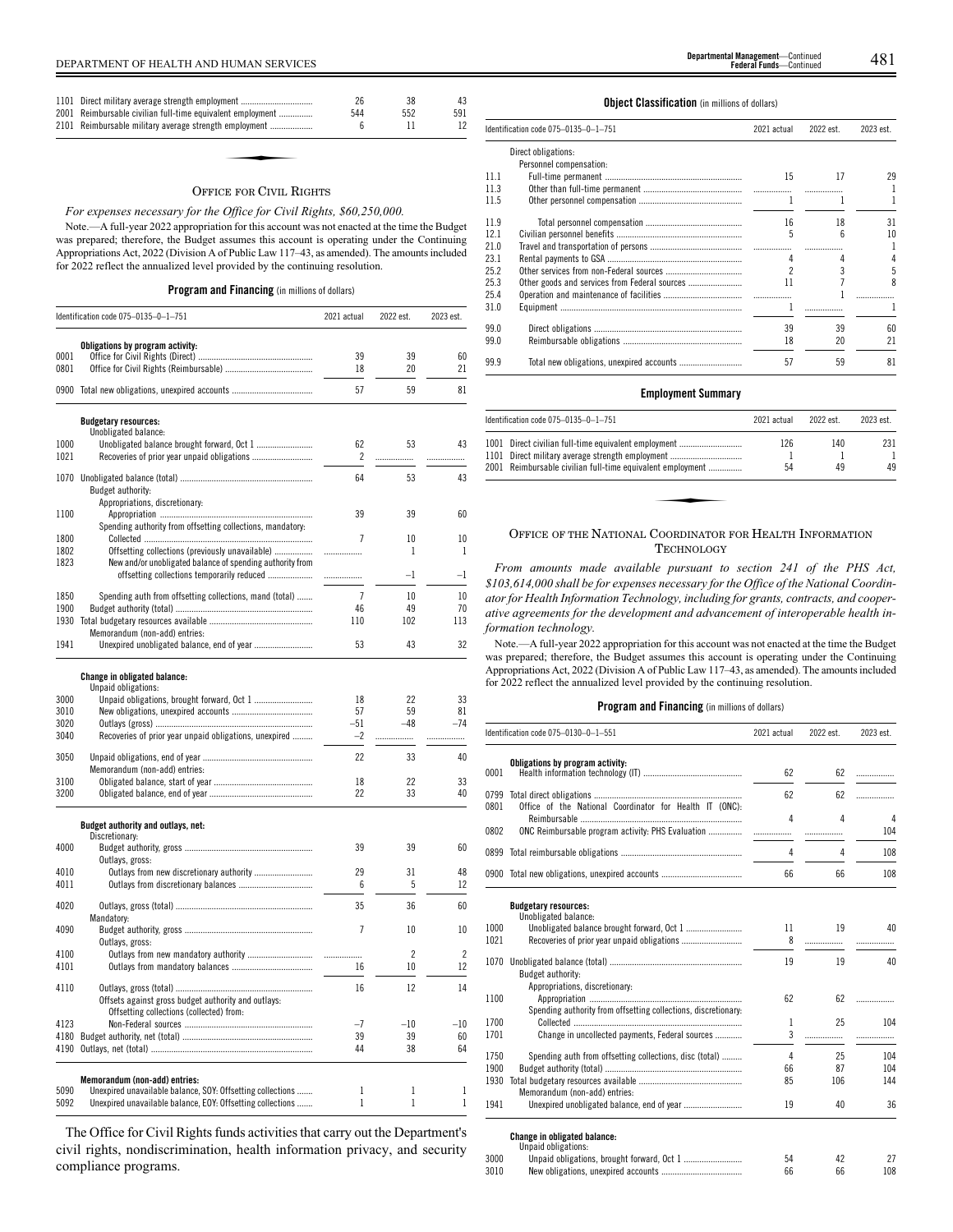| 1101 Direct military average strength employment<br>2001 Reimbursable civilian full-time equivalent employment<br>2101 Reimbursable military average strength employment | 26<br>544<br>h | 38<br>552 | 43<br>591 |
|--------------------------------------------------------------------------------------------------------------------------------------------------------------------------|----------------|-----------|-----------|
|                                                                                                                                                                          |                |           |           |

#### OFFICE FOR CIVIL RIGHTS

# *For expenses necessary for the Office for Civil Rights, \$60,250,000.*

Note.—A full-year 2022 appropriation for this account was not enacted at the time the Budget was prepared; therefore, the Budget assumes this account is operating under the Continuing Appropriations Act, 2022 (Division A of Public Law 117–43, as amended). The amounts included for 2022 reflect the annualized level provided by the continuing resolution.

# **Program and Financing** (in millions of dollars)

|              | Identification code 075-0135-0-1-751                                                        | 2021 actual    | 2022 est.                | 2023 est.                |
|--------------|---------------------------------------------------------------------------------------------|----------------|--------------------------|--------------------------|
|              | Obligations by program activity:                                                            |                |                          |                          |
| 0001         |                                                                                             | 39             | 39                       | 60                       |
| 0801         |                                                                                             | 18             | 20                       | 21                       |
|              | 0900 Total new obligations, unexpired accounts                                              | 57             | 59                       | 81                       |
|              | <b>Budgetary resources:</b>                                                                 |                |                          |                          |
| 1000         | Unobligated balance:                                                                        | 62             | 53                       | 43                       |
| 1021         | Recoveries of prior year unpaid obligations                                                 | $\overline{c}$ | .                        | .                        |
|              |                                                                                             | 64             | 53                       | 43                       |
|              | Budget authority:                                                                           |                |                          |                          |
|              | Appropriations, discretionary:                                                              |                |                          |                          |
| 1100         |                                                                                             | 39             | 39                       | 60                       |
|              | Spending authority from offsetting collections, mandatory:                                  |                |                          |                          |
| 1800         |                                                                                             | $\overline{1}$ | 10                       | 10                       |
| 1802         | Offsetting collections (previously unavailable)                                             | .              | 1                        | 1                        |
| 1823         | New and/or unobligated balance of spending authority from                                   |                |                          |                          |
|              | offsetting collections temporarily reduced                                                  | .              | $-1$                     | $^{-1}$                  |
| 1850         | Spending auth from offsetting collections, mand (total)                                     | 7              | 10                       | 10                       |
| 1900         |                                                                                             | 46             | 49                       | 70                       |
| 1930         |                                                                                             | 110            | 102                      | 113                      |
|              | Memorandum (non-add) entries:                                                               |                |                          |                          |
| 1941         |                                                                                             | 53             | 43                       | 32                       |
|              |                                                                                             |                |                          |                          |
|              | <b>Change in obligated balance:</b>                                                         |                |                          |                          |
|              | Unpaid obligations:                                                                         |                |                          |                          |
| 3000         |                                                                                             | 18             | 22                       | 33                       |
| 3010         |                                                                                             | 57             | 59                       | 81                       |
| 3020         |                                                                                             | $-51$          | -48                      | $-74$                    |
| 3040         | Recoveries of prior year unpaid obligations, unexpired                                      | $-2$           | .                        | .                        |
| 3050         |                                                                                             | 22             | 33                       | 40                       |
|              | Memorandum (non-add) entries:                                                               |                |                          |                          |
| 3100         |                                                                                             | 18             | 22                       | 33                       |
| 3200         |                                                                                             | 22             | 33                       | 40                       |
|              | Budget authority and outlays, net:                                                          |                |                          |                          |
|              | Discretionary:                                                                              |                |                          |                          |
| 4000         |                                                                                             | 39             | 39                       | 60                       |
|              | Outlays, gross:                                                                             |                |                          |                          |
| 4010         | Outlays from new discretionary authority                                                    | 29             | 31                       | 48                       |
| 4011         |                                                                                             | 6              | 5                        | 12                       |
| 4020         |                                                                                             | 35             | 36                       | 60                       |
|              | Mandatory:                                                                                  |                |                          |                          |
| 4090         |                                                                                             | 7              | 10                       | 10                       |
|              | Outlays, gross:                                                                             |                |                          |                          |
| 4100         | Outlays from new mandatory authority                                                        | .              | $\overline{\phantom{a}}$ | $\overline{\phantom{a}}$ |
| 4101         |                                                                                             | 16             | 10                       | 12                       |
|              |                                                                                             |                |                          |                          |
| 4110         |                                                                                             | 16             | 12                       | 14                       |
|              | Offsets against gross budget authority and outlays:                                         |                |                          |                          |
|              | Offsetting collections (collected) from:                                                    | $-7$           | $-10$                    | $-10$                    |
| 4123         |                                                                                             | 39             | 39                       |                          |
| 4180<br>4190 |                                                                                             | 44             | 38                       | 60<br>64                 |
|              |                                                                                             |                |                          |                          |
|              |                                                                                             |                |                          |                          |
| 5090         | Memorandum (non-add) entries:<br>Unexpired unavailable balance, SOY: Offsetting collections | 1              | $\mathbf{1}$             | 1                        |
| 5092         | Unexpired unavailable balance, EOY: Offsetting collections                                  | 1              | $\mathbf{1}$             | $\mathbf{1}$             |
|              |                                                                                             |                |                          |                          |

The Office for Civil Rights funds activities that carry out the Department's civil rights, nondiscrimination, health information privacy, and security compliance programs.

# **Object Classification** (in millions of dollars)

|      | Identification code 075–0135–0–1–751 | 2021 actual | 2022 est. | 2023 est. |
|------|--------------------------------------|-------------|-----------|-----------|
|      | Direct obligations:                  |             |           |           |
|      | Personnel compensation:              |             |           |           |
| 11.1 |                                      | 15          | 17        | 29        |
| 11.3 |                                      |             |           |           |
| 11.5 |                                      |             |           | 1         |
| 11.9 |                                      | 16          | 18        | 31        |
| 12.1 |                                      | 5           | ĥ         | 10        |
| 21.0 |                                      |             |           |           |
| 23.1 |                                      |             |           |           |
| 25.2 |                                      |             |           | 5         |
| 25.3 |                                      | 11          |           | 8         |
| 25.4 |                                      |             |           |           |
| 31.0 |                                      |             |           | 1         |
| 99.0 |                                      | 39          | 39        | 60        |
| 99.0 |                                      | 18          | 20        | 21        |
| 99.9 |                                      | 57          | 59        | 81        |

# **Employment Summary**

| Identification code 075-0135-0-1-751                                                                     | 2021 actual | 2022 est. | 2023 est. |
|----------------------------------------------------------------------------------------------------------|-------------|-----------|-----------|
| 1001 Direct civilian full-time equivalent employment<br>1101 Direct military average strength employment | 126         | 140       | 231       |
| 2001 Reimbursable civilian full-time equivalent employment                                               | 54          | 49        | 49        |
|                                                                                                          |             |           |           |
|                                                                                                          |             |           |           |

# OFFICE OF THE NATIONAL COORDINATOR FOR HEALTH INFORMATION **TECHNOLOGY**

*From amounts made available pursuant to section 241 of the PHS Act, \$103,614,000 shall be for expenses necessary for the Office of the National Coordinator for Health Information Technology, including for grants, contracts, and cooperative agreements for the development and advancement of interoperable health information technology.*

Note.—A full-year 2022 appropriation for this account was not enacted at the time the Budget was prepared; therefore, the Budget assumes this account is operating under the Continuing Appropriations Act, 2022 (Division A of Public Law 117–43, as amended). The amounts included for 2022 reflect the annualized level provided by the continuing resolution.

|              | Identification code 075-0130-0-1-551                                                                         | 2021 actual | 2022 est. | 2023 est. |
|--------------|--------------------------------------------------------------------------------------------------------------|-------------|-----------|-----------|
| 0001         | Obligations by program activity:                                                                             | 62          | 62        | .         |
| 0799         |                                                                                                              | 62          | 62        | .         |
| 0801<br>0802 | Office of the National Coordinator for Health IT (ONC):<br>ONC Reimbursable program activity: PHS Evaluation | 4<br>.      | 4         | 4<br>104  |
| 0899         |                                                                                                              | 4           | 4         | 108       |
|              | 0900 Total new obligations, unexpired accounts                                                               | 66          | 66        | 108       |
|              | <b>Budgetary resources:</b><br>Unobligated balance:                                                          |             |           |           |
| 1000         |                                                                                                              | 11          | 19        | 40        |
| 1021         |                                                                                                              | 8           | .         | .         |
| 1070         | Budget authority:                                                                                            | 19          | 19        | 40        |
| 1100         | Appropriations, discretionary:<br>Spending authority from offsetting collections, discretionary:             | 62          | 62        | .         |
| 1700         |                                                                                                              | 1           | 25        | 104       |
| 1701         | Change in uncollected payments, Federal sources                                                              | 3           | .         |           |
| 1750         | Spending auth from offsetting collections, disc (total)                                                      | 4           | 25        | 104       |
| 1900         |                                                                                                              | 66          | 87        | 104       |
| 1930         | Memorandum (non-add) entries:                                                                                | 85          | 106       | 144       |
| 1941         |                                                                                                              | 19          | 40        | 36        |
|              | Change in obligated balance:<br>Unpaid obligations:                                                          |             |           |           |
| 3000         |                                                                                                              | 54          | 42        | 27        |
| 3010         |                                                                                                              | 66          | 66        | 108       |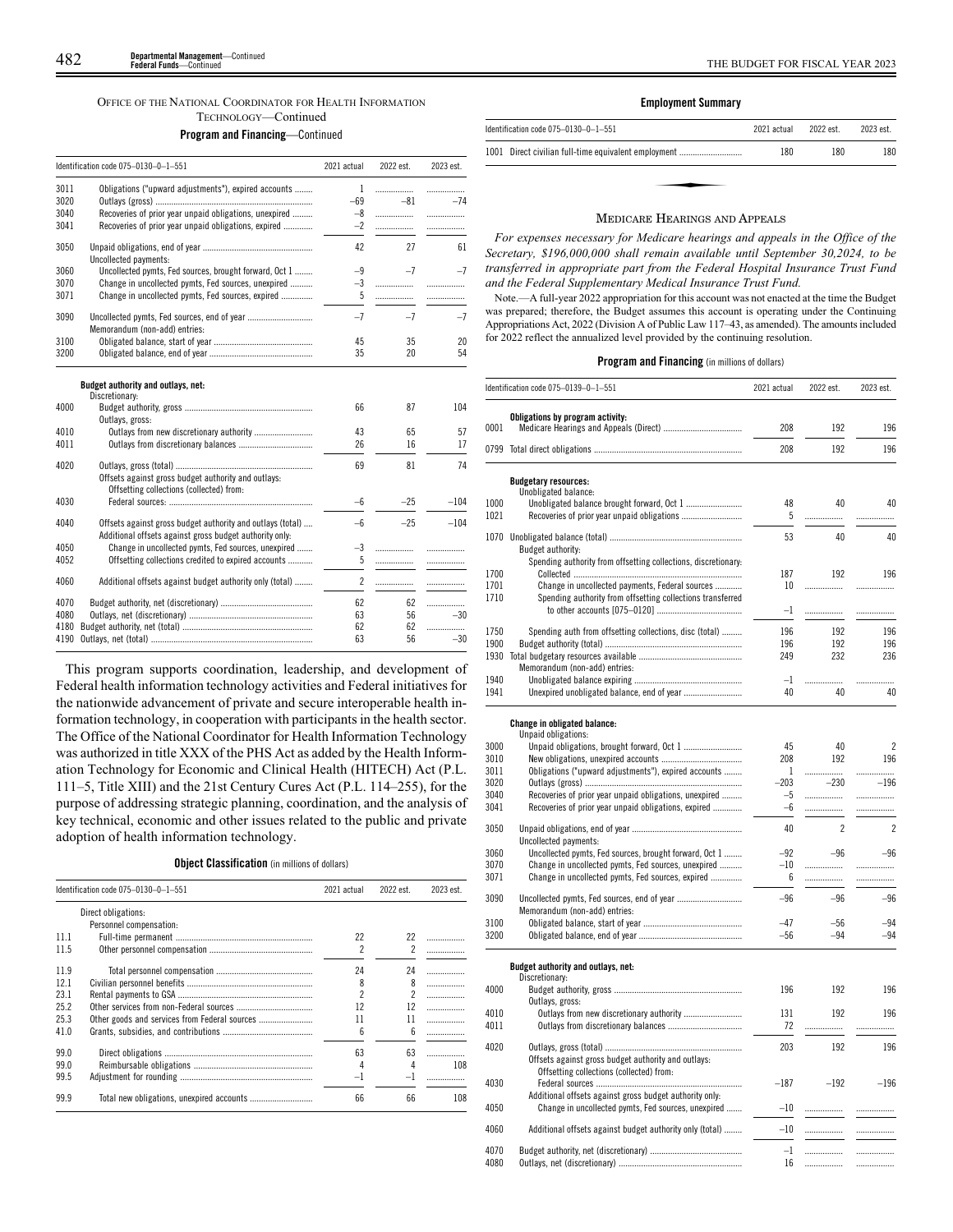# OFFICE OF THE NATIONAL COORDINATOR FOR HEALTH INFORMATION TECHNOLOGY—Continued

# **Program and Financing**—Continued

|      | Identification code 075-0130-0-1-551                                                                                  | 2021 actual    | 2022 est. | 2023 est. |
|------|-----------------------------------------------------------------------------------------------------------------------|----------------|-----------|-----------|
| 3011 | Obligations ("upward adjustments"), expired accounts                                                                  | 1              | .         | .         |
| 3020 |                                                                                                                       | $-69$          | $-81$     | $-74$     |
| 3040 | Recoveries of prior year unpaid obligations, unexpired                                                                | $-8$           | .         | .         |
| 3041 | Recoveries of prior year unpaid obligations, expired                                                                  | $-2$           | .         | .         |
| 3050 | Uncollected payments:                                                                                                 | 42             | 27        | 61        |
| 3060 | Uncollected pymts, Fed sources, brought forward, Oct 1                                                                | $-9$           | $-7$      | $-7$      |
| 3070 | Change in uncollected pymts, Fed sources, unexpired                                                                   | $-3$           | .         | .         |
| 3071 | Change in uncollected pymts, Fed sources, expired                                                                     | 5              | .         | .         |
| 3090 | Uncollected pymts, Fed sources, end of year<br>Memorandum (non-add) entries:                                          | $-7$           | $-7$      | $-7$      |
| 3100 |                                                                                                                       | 45             | 35        | 20        |
| 3200 |                                                                                                                       | 35             | 20        | 54        |
| 4000 | Budget authority and outlays, net:<br>Discretionary:                                                                  | 66             | 87        | 104       |
|      | Outlays, gross:                                                                                                       |                |           |           |
| 4010 | Outlays from new discretionary authority                                                                              | 43             | 65        | 57        |
| 4011 |                                                                                                                       | 26             | 16        | 17        |
| 4020 | Offsets against gross budget authority and outlays:<br>Offsetting collections (collected) from:                       | 69             | 81        | 74        |
| 4030 |                                                                                                                       | $-6$           | $-25$     | $-104$    |
| 4040 | Offsets against gross budget authority and outlays (total)<br>Additional offsets against gross budget authority only: | $-6$           | $-25$     | $-104$    |
| 4050 | Change in uncollected pymts, Fed sources, unexpired                                                                   | $-3$           | .         |           |
| 4052 | Offsetting collections credited to expired accounts                                                                   | 5              | .         | .         |
| 4060 | Additional offsets against budget authority only (total)                                                              | $\overline{c}$ | .         | .         |
| 4070 |                                                                                                                       | 62             | 62        | .         |
| 4080 |                                                                                                                       | 63             | 56        | $-30$     |
| 4180 |                                                                                                                       | 62             | 62        | .         |
| 4190 |                                                                                                                       | 63             | 56        | $-30$     |
|      |                                                                                                                       |                |           |           |

This program supports coordination, leadership, and development of Federal health information technology activities and Federal initiatives for the nationwide advancement of private and secure interoperable health information technology, in cooperation with participants in the health sector. The Office of the National Coordinator for Health Information Technology was authorized in title XXX of the PHS Act as added by the Health Information Technology for Economic and Clinical Health (HITECH) Act (P.L. 111–5, Title XIII) and the 21st Century Cures Act (P.L. 114–255), for the purpose of addressing strategic planning, coordination, and the analysis of key technical, economic and other issues related to the public and private adoption of health information technology.

# **Object Classification** (in millions of dollars)

| Identification code 075-0130-0-1-551 |                                               | 2021 actual              | 2022 est. | 2023 est. |
|--------------------------------------|-----------------------------------------------|--------------------------|-----------|-----------|
|                                      | Direct obligations:                           |                          |           |           |
|                                      | Personnel compensation:                       |                          |           |           |
| 111                                  |                                               | 22                       | 22        |           |
| 11.5                                 |                                               | 2                        | 2         |           |
| 11.9                                 |                                               | 24                       | 24        |           |
| 12.1                                 |                                               | 8                        | 8         | .         |
| 23.1                                 |                                               | $\overline{\mathcal{L}}$ | 2         |           |
| 25.2                                 |                                               | 12                       | 12        |           |
| 25.3                                 | Other goods and services from Federal sources | 11                       | 11        | .         |
| 41.0                                 |                                               | 6                        | ĥ         |           |
| 99.0                                 |                                               | 63                       | 63        |           |
| 99.0                                 |                                               | 4                        | 4         | 108       |
| 99.5                                 |                                               | $-1$                     | $-1$      |           |
| 99.9                                 |                                               | 66                       | 66        | 108       |

# **Employment Summary**

| Identification code 075-0130-0-1-551                 | 2021 actual | 2022 est. | 2023 est. |
|------------------------------------------------------|-------------|-----------|-----------|
| 1001 Direct civilian full-time equivalent employment | 180         | 180       | 180       |
|                                                      |             |           |           |
|                                                      |             |           |           |
|                                                      |             |           |           |

## MEDICARE HEARINGS AND APPEALS

*For expenses necessary for Medicare hearings and appeals in the Office of the Secretary, \$196,000,000 shall remain available until September 30,2024, to be transferred in appropriate part from the Federal Hospital Insurance Trust Fund and the Federal Supplementary Medical Insurance Trust Fund.*

Note.—A full-year 2022 appropriation for this account was not enacted at the time the Budget was prepared; therefore, the Budget assumes this account is operating under the Continuing Appropriations Act, 2022 (Division A of Public Law 117–43, as amended). The amounts included for 2022 reflect the annualized level provided by the continuing resolution.

|              | Identification code 075-0139-0-1-551                           | 2021 actual | 2022 est.      | 2023 est.      |
|--------------|----------------------------------------------------------------|-------------|----------------|----------------|
|              | Obligations by program activity:                               |             |                |                |
| 0001         |                                                                | 208         | 192            | 196            |
|              |                                                                | 208         | 192            | 196            |
|              | <b>Budgetary resources:</b>                                    |             |                |                |
|              | Unobligated balance:                                           |             |                |                |
| 1000<br>1021 | Unobligated balance brought forward, Oct 1                     | 48<br>5     | 40<br>.        | 40<br>.        |
| 1070         |                                                                | 53          | 40             | 40             |
|              | Budget authority:                                              |             |                |                |
|              | Spending authority from offsetting collections, discretionary: |             |                |                |
| 1700         |                                                                | 187         | 192            | 196            |
| 1701         | Change in uncollected payments, Federal sources                | 10          | .              | .              |
| 1710         | Spending authority from offsetting collections transferred     | $-1$        | .              | .              |
|              |                                                                |             |                |                |
| 1750         | Spending auth from offsetting collections, disc (total)        | 196         | 192            | 196            |
| 1900         |                                                                | 196         | 192            | 196            |
| 1930         | Memorandum (non-add) entries:                                  | 249         | 232            | 236            |
| 1940         |                                                                | $-1$        | .              |                |
| 1941         |                                                                | 40          | 40             | 40             |
|              | <b>Change in obligated balance:</b>                            |             |                |                |
|              | Unpaid obligations:                                            |             |                |                |
| 3000         |                                                                | 45          | 40             | 2              |
| 3010         |                                                                | 208         | 192            | 196            |
| 3011         | Obligations ("upward adjustments"), expired accounts           | 1           | .              | .              |
| 3020         |                                                                | $-203$      | $-230$         | $-196$         |
| 3040         | Recoveries of prior year unpaid obligations, unexpired         | $-5$        | .              | .              |
| 3041         | Recoveries of prior year unpaid obligations, expired           | -6          | .              | .              |
| 3050         | Uncollected payments:                                          | 40          | $\overline{c}$ | $\overline{2}$ |
| 3060         | Uncollected pymts, Fed sources, brought forward, Oct 1         | $-92$       | $-96$          | $-96$          |
| 3070         | Change in uncollected pymts, Fed sources, unexpired            | $-10$       | .              | .              |
| 3071         | Change in uncollected pymts, Fed sources, expired              | 6           | .              | .              |
| 3090         |                                                                | $-96$       | $-96$          | $-96$          |
|              | Memorandum (non-add) entries:                                  |             |                |                |
| 3100         |                                                                | $-47$       | $-56$          | $-94$          |
| 3200         |                                                                | $-56$       | $-94$          | $-94$          |
|              | Budget authority and outlays, net:                             |             |                |                |
|              | Discretionary:                                                 |             |                |                |
| 4000         | Outlays, gross:                                                | 196         | 192            | 196            |
| 4010         | Outlays from new discretionary authority                       | 131         | 192            | 196            |
| 4011         |                                                                | 72          | .              | .              |
| 4020         | Offsets against gross budget authority and outlays:            | 203         | 192            | 196            |
|              | Offsetting collections (collected) from:                       |             |                |                |
| 4030         |                                                                | $-187$      | $-192$         | $-196$         |
|              | Additional offsets against gross budget authority only:        |             |                |                |
| 4050         | Change in uncollected pymts, Fed sources, unexpired            | $-10$       | .              | .              |
| 4060         | Additional offsets against budget authority only (total)       | $-10$       | .              | .              |
| 4070         |                                                                | $-1$        | .              | .              |
| 4080         |                                                                | 16          | .              | .              |
|              |                                                                |             |                |                |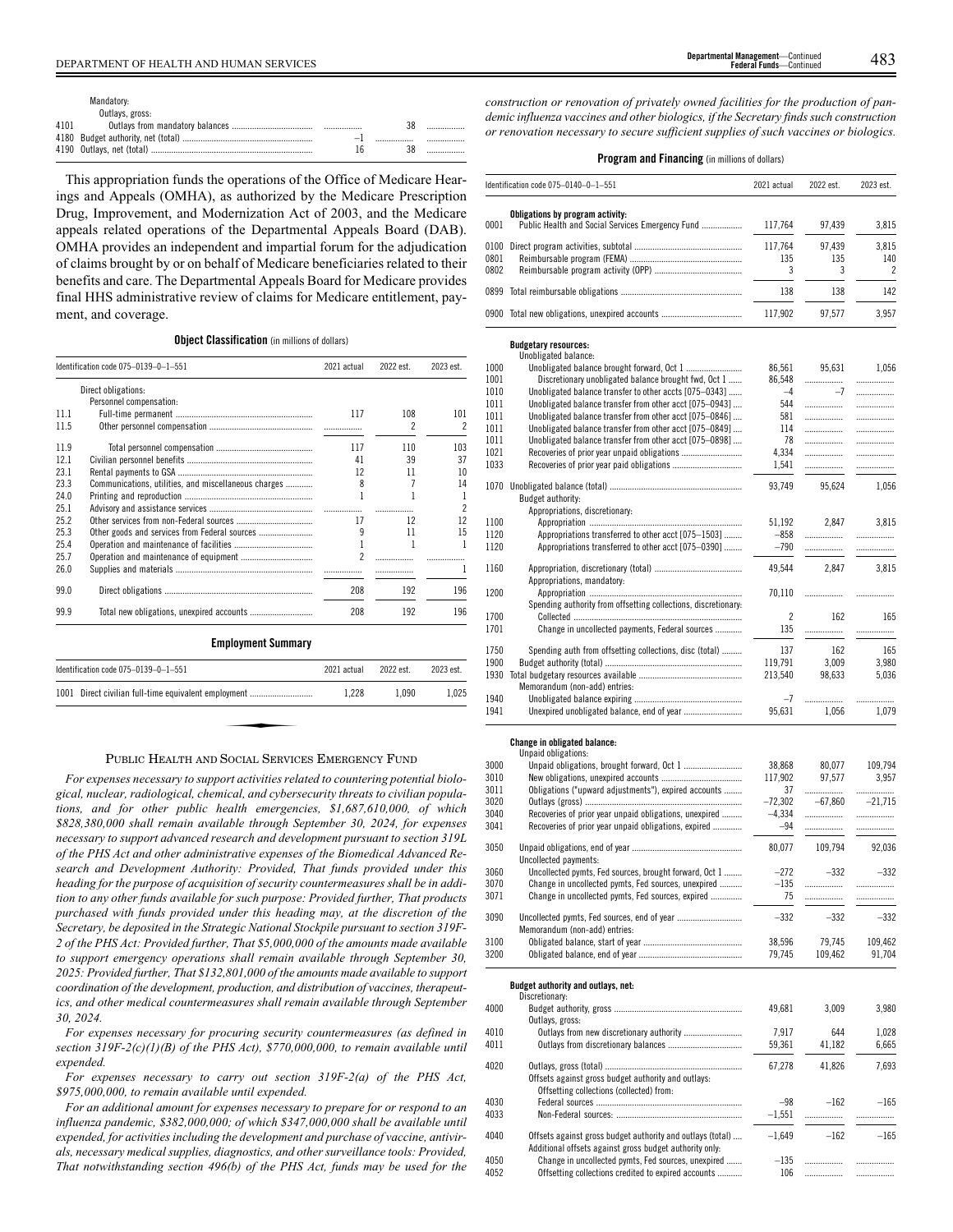|      | Mandatory:      |  |  |
|------|-----------------|--|--|
|      | Outlays, gross: |  |  |
| 4101 |                 |  |  |
|      |                 |  |  |
|      |                 |  |  |

This appropriation funds the operations of the Office of Medicare Hearings and Appeals (OMHA), as authorized by the Medicare Prescription Drug, Improvement, and Modernization Act of 2003, and the Medicare appeals related operations of the Departmental Appeals Board (DAB). OMHA provides an independent and impartial forum for the adjudication of claims brought by or on behalf of Medicare beneficiaries related to their benefits and care. The Departmental Appeals Board for Medicare provides final HHS administrative review of claims for Medicare entitlement, payment, and coverage.

## **Object Classification** (in millions of dollars)

|      | Identification code 075-0139-0-1-551                 | 2021 actual | 2022 est. | 2023 est.                |
|------|------------------------------------------------------|-------------|-----------|--------------------------|
|      | Direct obligations:<br>Personnel compensation:       |             |           |                          |
| 11.1 |                                                      | 117         | 108       | 101                      |
| 11.5 |                                                      |             | 2         | $\overline{\phantom{a}}$ |
| 11.9 |                                                      | 117         | 110       | 103                      |
| 12.1 |                                                      | 41          | 39        | 37                       |
| 23.1 |                                                      | 12          | 11        | 10                       |
| 23.3 | Communications, utilities, and miscellaneous charges | 8           | 7         | 14                       |
| 24.0 |                                                      | 1           | 1         | 1                        |
| 25.1 |                                                      | .           | .         | $\overline{\phantom{a}}$ |
| 25.2 |                                                      | 17          | 12        | 12                       |
| 25.3 | Other goods and services from Federal sources        | 9           | 11        | 15                       |
| 25.4 |                                                      | 1           | 1         | 1                        |
| 25.7 |                                                      | 2           |           |                          |
| 26.0 |                                                      |             |           | 1                        |
| 99.0 |                                                      | 208         | 192       | 196                      |
| 99.9 |                                                      | 208         | 192       | 196                      |
|      | <b>Employment Summary</b>                            |             |           |                          |
|      | Identification code 075-0139-0-1-551                 | 2021 actual | 2022 est. | 2023 est.                |
|      | 1001 Direct civilian full-time equivalent employment | 1,228       | 1,090     | 1,025                    |

# PUBLIC HEALTH AND SOCIAL SERVICES EMERGENCY FUND

*For expenses necessary to support activities related to countering potential biological, nuclear, radiological, chemical, and cybersecurity threats to civilian populations, and for other public health emergencies, \$1,687,610,000, of which \$828,380,000 shall remain available through September 30, 2024, for expenses necessary to support advanced research and development pursuant to section 319L of the PHS Act and other administrative expenses of the Biomedical Advanced Research and Development Authority: Provided, That funds provided under this heading for the purpose of acquisition of security countermeasures shall be in addition to any other funds available for such purpose: Provided further, That products purchased with funds provided under this heading may, at the discretion of the Secretary, be deposited in the Strategic National Stockpile pursuant to section 319F-2 of the PHS Act: Provided further, That \$5,000,000 of the amounts made available to support emergency operations shall remain available through September 30, 2025: Provided further, That \$132,801,000 of the amounts made available to support coordination of the development, production, and distribution of vaccines, therapeutics, and other medical countermeasures shall remain available through September 30, 2024.*

*For expenses necessary for procuring security countermeasures (as defined in section 319F-2(c)(1)(B) of the PHS Act), \$770,000,000, to remain available until expended.*

*For expenses necessary to carry out section 319F-2(a) of the PHS Act, \$975,000,000, to remain available until expended.*

*For an additional amount for expenses necessary to prepare for or respond to an influenza pandemic, \$382,000,000; of which \$347,000,000 shall be available until expended, for activities including the development and purchase of vaccine, antivirals, necessary medical supplies, diagnostics, and other surveillance tools: Provided, That notwithstanding section 496(b) of the PHS Act, funds may be used for the*

*construction or renovation of privately owned facilities for the production of pandemic influenza vaccines and other biologics, if the Secretary finds such construction or renovation necessary to secure sufficient supplies of such vaccines or biologics.*

|                      | Identification code 075-0140-0-1-551           | 2021 actual    | 2022 est.     | 2023 est.         |
|----------------------|------------------------------------------------|----------------|---------------|-------------------|
| 0001                 | Obligations by program activity:               | 117.764        | 97,439        | 3.815             |
| 0100<br>0801<br>0802 |                                                | 117.764<br>135 | 97.439<br>135 | 3,815<br>140<br>2 |
|                      |                                                | 138            | 138           | 142               |
|                      | 0900 Total new obligations, unexpired accounts | 117.902        | 97.577        | 3.957             |
|                      | <b>Budgetary resources:</b>                    |                |               |                   |

|              | <b>Budgetary resources:</b>                                    |                |           |           |
|--------------|----------------------------------------------------------------|----------------|-----------|-----------|
|              | Unobligated balance:                                           |                |           |           |
| 1000         |                                                                | 86,561         | 95,631    | 1,056     |
| 1001         | Discretionary unobligated balance brought fwd, Oct 1           | 86,548<br>$-4$ | <br>$-7$  |           |
| 1010<br>1011 | Unobligated balance transfer to other accts [075-0343]         | 544            |           | .         |
| 1011         | Unobligated balance transfer from other acct [075-0943]        | 581            |           |           |
|              | Unobligated balance transfer from other acct [075-0846]        |                | .         | .         |
| 1011         | Unobligated balance transfer from other acct [075-0849]        | 114            | .         |           |
| 1011         | Unobligated balance transfer from other acct [075-0898]        | 78             | .         |           |
| 1021<br>1033 |                                                                | 4,334          | .         |           |
|              |                                                                | 1.541          |           | .         |
| 1070         |                                                                | 93.749         | 95.624    | 1,056     |
|              | Budget authority:                                              |                |           |           |
|              | Appropriations, discretionary:                                 |                |           |           |
| 1100         |                                                                | 51,192         | 2,847     | 3,815     |
| 1120         | Appropriations transferred to other acct [075-1503]            | $-858$         | .         |           |
| 1120         | Appropriations transferred to other acct [075-0390]            | $-790$         | .         | .         |
| 1160         |                                                                | 49,544         | 2,847     | 3,815     |
|              | Appropriations, mandatory:                                     |                |           |           |
| 1200         |                                                                | 70,110         | .         |           |
|              | Spending authority from offsetting collections, discretionary: |                |           |           |
| 1700         |                                                                | $\overline{c}$ | 162       | 165       |
| 1701         | Change in uncollected payments, Federal sources                | 135            |           |           |
|              |                                                                |                |           |           |
| 1750         | Spending auth from offsetting collections, disc (total)        | 137            | 162       | 165       |
| 1900         |                                                                | 119,791        | 3,009     | 3,980     |
| 1930         |                                                                | 213,540        | 98.633    | 5,036     |
|              | Memorandum (non-add) entries:                                  |                |           |           |
| 1940         |                                                                | $-7$           | .         |           |
| 1941         |                                                                | 95,631         | 1,056     | 1,079     |
|              | Change in obligated balance:                                   |                |           |           |
|              | Unpaid obligations:                                            |                |           |           |
| 3000         | Unpaid obligations, brought forward, Oct 1                     | 38,868         | 80,077    | 109,794   |
| 3010         |                                                                | 117,902        | 97.577    | 3.957     |
| 3011         | Obligations ("upward adjustments"), expired accounts           | 37             |           | .         |
| 3020         |                                                                | $-72,302$      | $-67,860$ | $-21.715$ |
| 3040         | Recoveries of prior year unpaid obligations, unexpired         | $-4,334$       | .         | .         |
| 3041         | Recoveries of prior year unpaid obligations, expired           | $-94$          |           | .         |
| 3050         |                                                                | 80,077         | 109.794   | 92,036    |
|              | Uncollected payments:                                          |                |           |           |
| 3060         | Uncollected pymts, Fed sources, brought forward, Oct 1         | $-272$         | $-332$    | $-332$    |
| 3070         | Change in uncollected pymts, Fed sources, unexpired            | $-135$         | .         | .         |
| 3071         | Change in uncollected pymts, Fed sources, expired              | 75             | .         | .         |
|              |                                                                |                |           |           |
| 3090         |                                                                | $-332$         | $-332$    | $-332$    |
|              | Memorandum (non-add) entries:                                  |                |           |           |
| 3100         |                                                                | 38,596         | 79,745    | 109,462   |
| 3200         |                                                                | 79,745         | 109,462   | 91,704    |
|              |                                                                |                |           |           |
|              |                                                                |                |           |           |
|              | Budget authority and outlays, net:                             |                |           |           |

|      | Discretionary:                                             |          |        |        |
|------|------------------------------------------------------------|----------|--------|--------|
| 4000 |                                                            | 49.681   | 3.009  | 3.980  |
|      | Outlays, gross:                                            |          |        |        |
| 4010 |                                                            | 7.917    | 644    | 1.028  |
| 4011 |                                                            | 59.361   | 41.182 | 6.665  |
| 4020 |                                                            | 67.278   | 41.826 | 7.693  |
|      | Offsets against gross budget authority and outlays:        |          |        |        |
|      | Offsetting collections (collected) from:                   |          |        |        |
| 4030 |                                                            | $-98$    | $-162$ | $-165$ |
| 4033 |                                                            | $-1.551$ |        |        |
| 4040 | Offsets against gross budget authority and outlays (total) | $-1.649$ | $-162$ | $-165$ |
|      | Additional offsets against gross budget authority only:    |          |        |        |
| 4050 | Change in uncollected pymts. Fed sources, unexpired        | $-135$   |        |        |
| 4052 | Offsetting collections credited to expired accounts        | 106      |        |        |
|      |                                                            |          |        |        |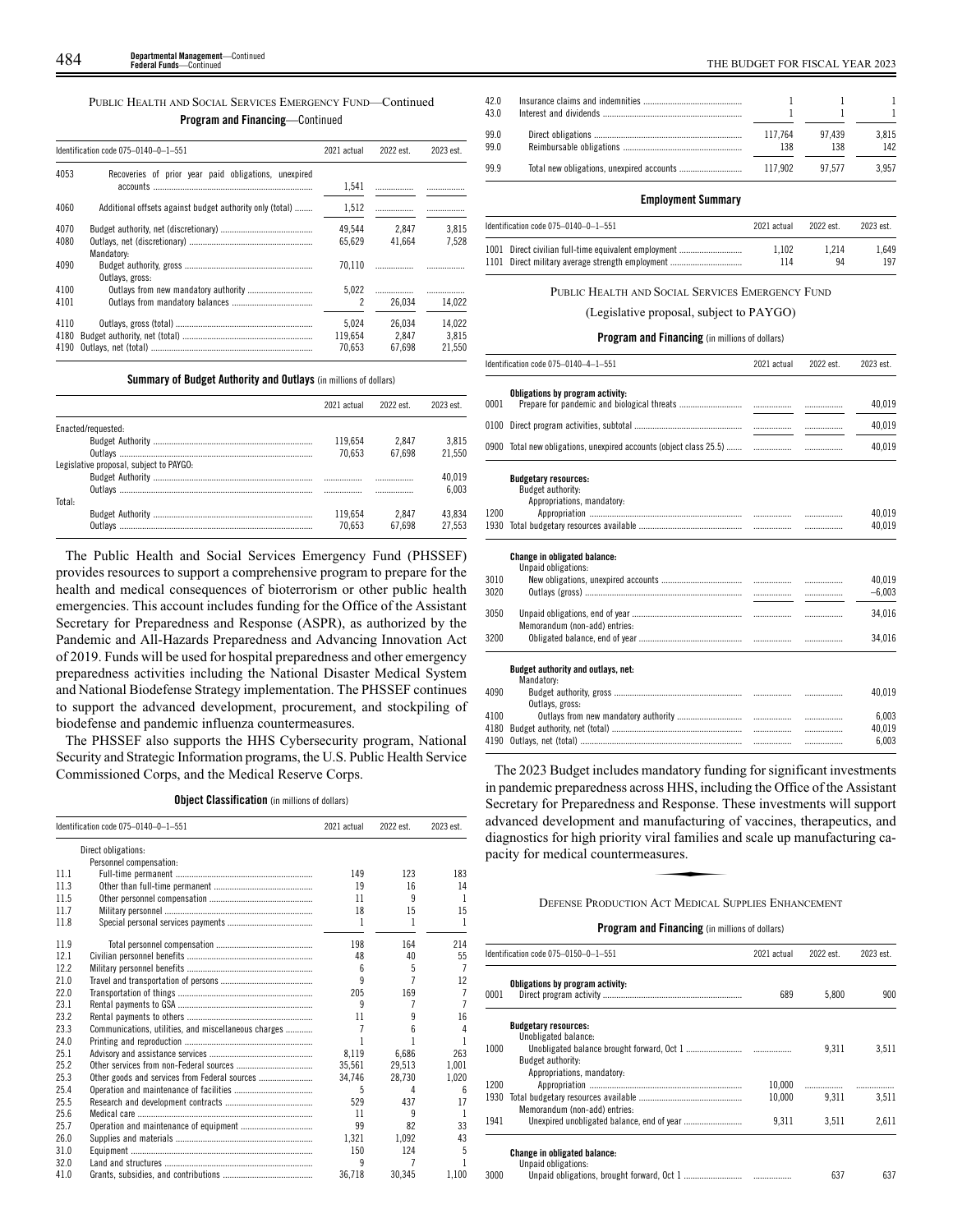| PUBLIC HEALTH AND SOCIAL SERVICES EMERGENCY FUND—Continued |
|------------------------------------------------------------|
| <b>Program and Financing</b> —Continued                    |

|                      | Identification code 075-0140-0-1-551                     | 2021 actual                | 2022 est.                 | 2023 est.                 |
|----------------------|----------------------------------------------------------|----------------------------|---------------------------|---------------------------|
| 4053                 | Recoveries of prior year paid obligations, unexpired     | 1.541                      |                           |                           |
| 4060                 | Additional offsets against budget authority only (total) | 1,512                      |                           |                           |
| 4070                 |                                                          | 49.544                     | 2.847                     | 3.815                     |
| 4080                 |                                                          | 65.629                     | 41.664                    | 7.528                     |
| 4090                 | Mandatory:<br>Outlays, gross:                            | 70.110                     |                           |                           |
| 4100                 |                                                          | 5.022                      |                           |                           |
| 4101                 |                                                          | $\overline{\phantom{a}}$   | 26.034                    | 14.022                    |
| 4110<br>4180<br>4190 |                                                          | 5.024<br>119.654<br>70.653 | 26.034<br>2.847<br>67.698 | 14.022<br>3.815<br>21.550 |

**Summary of Budget Authority and Outlays** (in millions of dollars)

|                                         | 2021 actual | 2022 est | 2023 est |
|-----------------------------------------|-------------|----------|----------|
| Enacted/requested:                      |             |          |          |
|                                         | 119.654     | 2.847    | 3.815    |
|                                         | 70.653      | 67.698   | 21.550   |
| Legislative proposal, subject to PAYGO: |             |          |          |
|                                         |             |          | 40.019   |
|                                         |             |          | 6.003    |
| Total:                                  |             |          |          |
|                                         | 119.654     | 2.847    | 43.834   |
| Outlavs                                 | 70.653      | 67.698   | 27.553   |

The Public Health and Social Services Emergency Fund (PHSSEF) provides resources to support a comprehensive program to prepare for the health and medical consequences of bioterrorism or other public health emergencies. This account includes funding for the Office of the Assistant Secretary for Preparedness and Response (ASPR), as authorized by the Pandemic and All-Hazards Preparedness and Advancing Innovation Act of 2019. Funds will be used for hospital preparedness and other emergency preparedness activities including the National Disaster Medical System and National Biodefense Strategy implementation. The PHSSEF continues to support the advanced development, procurement, and stockpiling of biodefense and pandemic influenza countermeasures.

The PHSSEF also supports the HHS Cybersecurity program, National Security and Strategic Information programs, the U.S. Public Health Service Commissioned Corps, and the Medical Reserve Corps.

# **Object Classification** (in millions of dollars)

|      | Identification code 075-0140-0-1-551                 | 2021 actual | 2022 est. | 2023 est. |
|------|------------------------------------------------------|-------------|-----------|-----------|
|      | Direct obligations:                                  |             |           |           |
|      | Personnel compensation:                              |             |           |           |
| 11.1 |                                                      | 149         | 123       | 183       |
| 11.3 |                                                      | 19          | 16        | 14        |
| 11.5 |                                                      | 11          | q         | 1         |
| 11.7 |                                                      | 18          | 15        | 15        |
| 11.8 |                                                      | 1           | 1         | 1         |
| 11.9 |                                                      | 198         | 164       | 214       |
| 12.1 |                                                      | 48          | 40        | 55        |
| 12.2 |                                                      | 6           | 5         | 7         |
| 21.0 |                                                      | 9           |           | 12        |
| 22.0 |                                                      | 205         | 169       | 7         |
| 23.1 |                                                      | 9           | 7         | 7         |
| 23.2 |                                                      | 11          | ٩         | 16        |
| 23.3 | Communications, utilities, and miscellaneous charges |             | 6         | 4         |
| 24.0 |                                                      |             |           |           |
| 25.1 |                                                      | 8.119       | 6,686     | 263       |
| 25.2 |                                                      | 35.561      | 29.513    | 1.001     |
| 25.3 | Other goods and services from Federal sources        | 34.746      | 28,730    | 1,020     |
| 25.4 |                                                      | 5           | 4         | 6         |
| 25.5 |                                                      | 529         | 437       | 17        |
| 25.6 |                                                      | 11          | q         | 1         |
| 25.7 |                                                      | 99          | 82        | 33        |
| 26.0 |                                                      | 1.321       | 1.092     | 43        |
| 31.0 |                                                      | 150         | 124       | 5         |
| 32.0 |                                                      | 9           | 7         |           |
| 41.0 |                                                      | 36.718      | 30.345    | 1,100     |

| 42.0<br>43.0 |                |               |              |
|--------------|----------------|---------------|--------------|
| 99.0<br>99.0 | 117.764<br>138 | 97.439<br>138 | 3.815<br>142 |
| 99.9         | 117.902        | 97.577        | 3.957        |

#### **Employment Summary**

| Identification code $075-0140-0-1-551$               | 2021 actual | 2022 est. | 2023 est. |
|------------------------------------------------------|-------------|-----------|-----------|
| 1001 Direct civilian full-time equivalent employment | 1.102       | 1.214     | 1.649     |
| 1101 Direct military average strength employment     | 114         | 94        | 197       |

PUBLIC HEALTH AND SOCIAL SERVICES EMERGENCY FUND

(Legislative proposal, subject to PAYGO)

# **Program and Financing** (in millions of dollars)

|      | Identification code 075-0140-4-1-551                                           | 2021 actual | 2022 est. | 2023 est. |
|------|--------------------------------------------------------------------------------|-------------|-----------|-----------|
| 0001 | Obligations by program activity:                                               |             | .         | 40,019    |
| 0100 |                                                                                |             | .         | 40,019    |
|      | 0900 Total new obligations, unexpired accounts (object class 25.5)             |             |           | 40,019    |
|      | <b>Budgetary resources:</b><br>Budget authority:<br>Appropriations, mandatory: |             |           |           |
| 1200 |                                                                                |             | .         | 40.019    |
| 1930 |                                                                                |             | .         | 40,019    |
|      | <b>Change in obligated balance:</b><br>Unpaid obligations:                     |             |           |           |
| 3010 |                                                                                |             | .         | 40.019    |
| 3020 |                                                                                |             | .         | $-6,003$  |
| 3050 | Memorandum (non-add) entries:                                                  |             | .         | 34.016    |
| 3200 |                                                                                |             |           | 34,016    |
|      | Budget authority and outlays, net:<br>Mandatory:                               |             |           |           |
| 4090 |                                                                                |             |           | 40,019    |
|      | Outlays, gross:                                                                |             |           |           |
| 4100 |                                                                                |             |           | 6.003     |
| 4180 |                                                                                |             | .         | 40.019    |
| 4190 |                                                                                |             |           | 6.003     |

The 2023 Budget includes mandatory funding for significant investments in pandemic preparedness across HHS, including the Office of the Assistant Secretary for Preparedness and Response. These investments will support Exercity for Treptactures and Response. These investments with supported advanced development and manufacturing of vaccines, therapeutics, and diagnostics for high priority viral families and scale up manufacturing capacit diagnostics for high priority viral families and scale up manufacturing capacity for medical countermeasures.

4190 Outlays, net (total).

#### DEFENSE PRODUCTION ACT MEDICAL SUPPLIES ENHANCEMENT

|      | Identification code 075-0150-0-1-551                | 2021 actual | 2022 est. | 2023 est. |
|------|-----------------------------------------------------|-------------|-----------|-----------|
| 0001 | Obligations by program activity:                    | 689         | 5.800     | 900       |
|      | <b>Budgetary resources:</b><br>Unobligated balance: |             |           |           |
| 1000 |                                                     |             | 9.311     | 3.511     |
|      | Budget authority:                                   |             |           |           |
|      | Appropriations, mandatory:                          |             |           |           |
| 1200 |                                                     | 10.000      | .         |           |
| 1930 |                                                     | 10.000      | 9.311     | 3.511     |
|      | Memorandum (non-add) entries:                       |             |           |           |
| 1941 |                                                     | 9.311       | 3.511     | 2.611     |
|      | <b>Change in obligated balance:</b>                 |             |           |           |
|      | Unpaid obligations:                                 |             |           |           |
| 3000 |                                                     |             | 637       | 637       |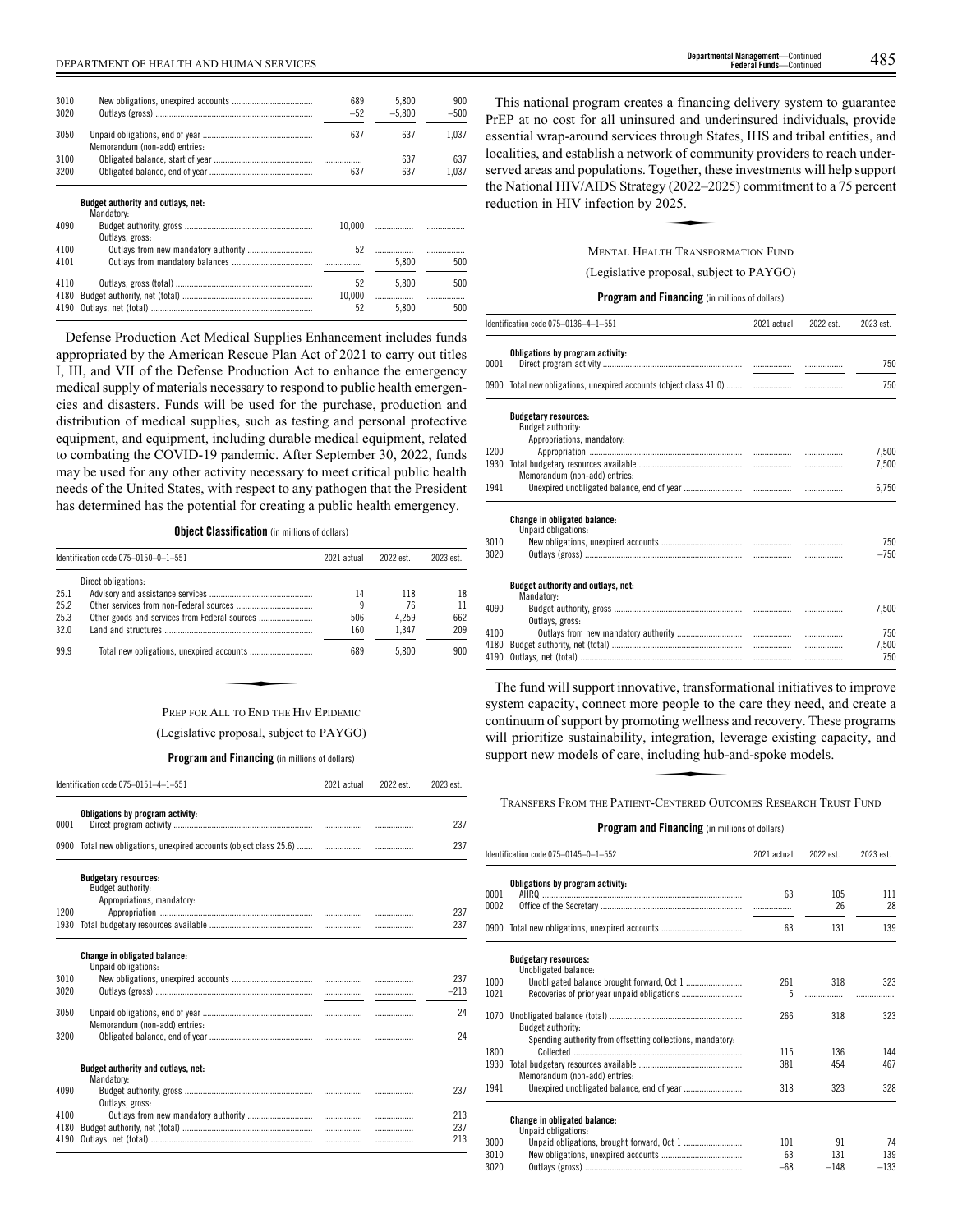| 3010 |                                    | 689    | 5.800    | 900    |
|------|------------------------------------|--------|----------|--------|
| 3020 |                                    | $-52$  | $-5.800$ | $-500$ |
| 3050 | Memorandum (non-add) entries:      | 637    | 637      | 1.037  |
| 3100 |                                    |        | 637      | 637    |
| 3200 |                                    | 637    | 637      | 1.037  |
|      | Budget authority and outlays, net: |        |          |        |
|      | Mandatory:                         |        |          |        |
| 4090 |                                    | 10.000 |          |        |
|      | Outlays, gross:                    |        |          |        |
| 4100 |                                    | 52     |          |        |
|      |                                    |        |          |        |

| 4101 |        | 5.800 | 500 |
|------|--------|-------|-----|
| 4110 |        | 5.800 | 500 |
|      | 10.000 |       |     |
|      |        | 5.800 | 500 |
|      |        |       |     |

Defense Production Act Medical Supplies Enhancement includes funds appropriated by the American Rescue Plan Act of 2021 to carry out titles I, III, and VII of the Defense Production Act to enhance the emergency medical supply of materials necessary to respond to public health emergencies and disasters. Funds will be used for the purchase, production and distribution of medical supplies, such as testing and personal protective equipment, and equipment, including durable medical equipment, related to combating the COVID-19 pandemic. After September 30, 2022, funds may be used for any other activity necessary to meet critical public health needs of the United States, with respect to any pathogen that the President has determined has the potential for creating a public health emergency.

**Object Classification** (in millions of dollars)

|      | Identification code 075-0150-0-1-551 | 2021 actual | 2022 est. | 2023 est. |
|------|--------------------------------------|-------------|-----------|-----------|
|      | Direct obligations:                  |             |           |           |
| 25.1 |                                      | 14          | 118       | 18        |
| 25.2 |                                      | 9           | 76        | 11        |
| 25.3 |                                      | 506         | 4.259     | 662       |
| 32.0 |                                      | 160         | 1.347     | 209       |
| 99.9 |                                      | 689         | 5.800     | 900       |
|      |                                      |             |           |           |
|      |                                      |             |           |           |
|      | PREP FOR ALL TO END THE HIV EPIDEMIC |             |           |           |

# PREP FOR ALL TO END THE HIV EPIDEMIC (Legislative proposal, subject to PAYGO)

**Program and Financing** (in millions of dollars)

|      | Identification code 075-0151-4-1-551                                           | 2021 actual | 2022 est. | 2023 est. |
|------|--------------------------------------------------------------------------------|-------------|-----------|-----------|
| 0001 | Obligations by program activity:                                               |             |           | 237       |
|      | 0900 Total new obligations, unexpired accounts (object class 25.6)             |             | .         | 237       |
|      | <b>Budgetary resources:</b><br>Budget authority:<br>Appropriations, mandatory: |             |           |           |
| 1200 |                                                                                |             |           | 237       |
| 1930 |                                                                                |             |           | 237       |
|      | <b>Change in obligated balance:</b><br>Unpaid obligations:                     |             |           |           |
| 3010 |                                                                                |             |           | 237       |
| 3020 |                                                                                |             |           | $-213$    |
| 3050 | Memorandum (non-add) entries:                                                  |             | .         | 24        |
| 3200 |                                                                                |             |           | 24        |
|      | Budget authority and outlays, net:<br>Mandatory:                               |             |           |           |
| 4090 | Outlays, gross:                                                                |             |           | 237       |
| 4100 |                                                                                |             |           | 213       |
| 4180 |                                                                                |             |           | 237       |
| 4190 |                                                                                |             | .         | 213       |
|      |                                                                                |             |           |           |

This national program creates a financing delivery system to guarantee PrEP at no cost for all uninsured and underinsured individuals, provide essential wrap-around services through States, IHS and tribal entities, and localities, and establish a network of community providers to reach underserved areas and populations. Together, these investments will help support<br>the National HIV/AIDS Strategy (2022–2025) commitment to a 75 percent<br>reduction in HIV infection by 2025.<br>MENTAL HEALTH TRANSFORMATION FUND the National HIV/AIDS Strategy (2022–2025) commitment to a 75 percent reduction in HIV infection by 2025.

MENTAL HEALTH TRANSFORMATION FUND

(Legislative proposal, subject to PAYGO)

# **Program and Financing** (in millions of dollars)

|      | Identification code 075-0136-4-1-551                                           | 2021 actual | 2022 est. | 2023 est. |
|------|--------------------------------------------------------------------------------|-------------|-----------|-----------|
| 0001 | Obligations by program activity:                                               |             |           | 750       |
| 0900 |                                                                                |             | .         | 750       |
|      | <b>Budgetary resources:</b><br>Budget authority:<br>Appropriations, mandatory: |             |           |           |
| 1200 |                                                                                |             | .         | 7,500     |
| 1930 |                                                                                |             | .         | 7,500     |
|      | Memorandum (non-add) entries:                                                  |             |           |           |
| 1941 |                                                                                |             |           | 6.750     |
|      | <b>Change in obligated balance:</b><br>Unpaid obligations:                     |             |           |           |
| 3010 |                                                                                |             |           | 750       |
| 3020 |                                                                                |             |           | $-750$    |
|      | Budget authority and outlays, net:<br>Mandatory:                               |             |           |           |
| 4090 | Outlays, gross:                                                                |             |           | 7,500     |
| 4100 |                                                                                |             | .         | 750       |
| 4180 |                                                                                |             | .         | 7.500     |
| 4190 |                                                                                |             | .         | 750       |
|      |                                                                                |             |           |           |

The fund will support innovative, transformational initiatives to improve system capacity, connect more people to the care they need, and create a Example of support by promoting wellness and recovery. These programs<br>
will prioritize sustainability, integration, leverage existing capacity, and<br>
support new models of care, including hub-and-spoke models.<br>
TRANSFERS FR will prioritize sustainability, integration, leverage existing capacity, and support new models of care, including hub-and-spoke models.

TRANSFERS FROM THE PATIENT-CENTERED OUTCOMES RESEARCH TRUST FUND

|                      | Identification code 075-0145-0-1-552                       | 2021 actual        | 2022 est.           | 2023 est.           |
|----------------------|------------------------------------------------------------|--------------------|---------------------|---------------------|
| 0001<br>0002         | Obligations by program activity:                           | 63                 | 105<br>26           | 111<br>28           |
|                      | 0900 Total new obligations, unexpired accounts             | 63                 | 131                 | 139                 |
|                      | <b>Budgetary resources:</b><br>Unobligated balance:        |                    |                     |                     |
| 1000<br>1021         |                                                            | 261<br>5           | 318                 | 323                 |
|                      | Budget authority:                                          | 266                | 318                 | 323                 |
| 1800                 | Spending authority from offsetting collections, mandatory. | 115                | 136                 | 144<br>467          |
| 1941                 | Memorandum (non-add) entries:                              | 318                | 323                 | 328                 |
|                      | <b>Change in obligated balance:</b>                        |                    |                     |                     |
| 3000<br>3010<br>3020 |                                                            | 101<br>63<br>$-68$ | 91<br>131<br>$-148$ | 74<br>139<br>$-133$ |
| 1930                 | Unpaid obligations:                                        | 381                | 454                 |                     |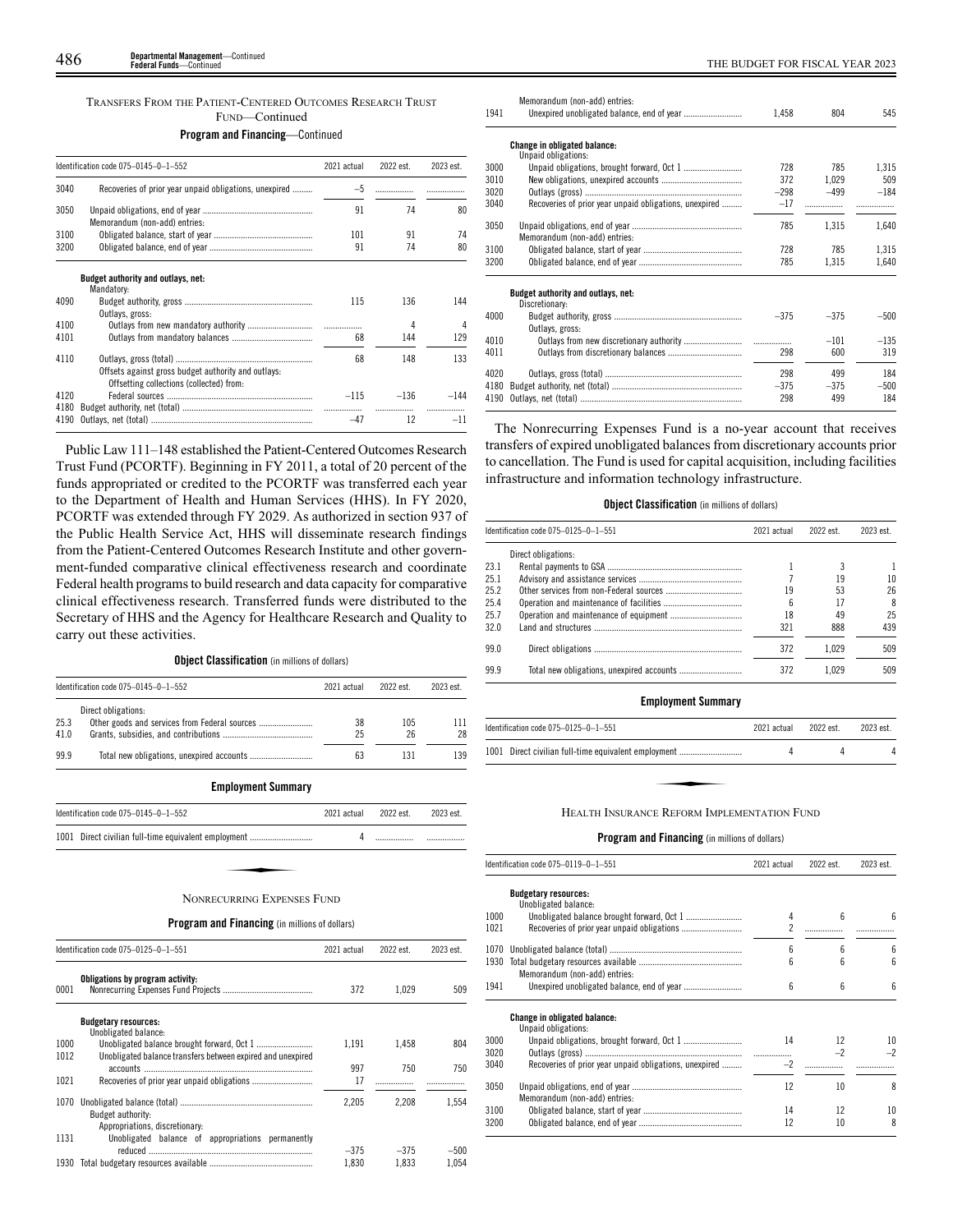# TRANSFERS FROM THE PATIENT-CENTERED OUTCOMES RESEARCH TRUST FUND—Continued

|              | Identification code 075-0145-0-1-552                                                            | 2021 actual | 2022 est. | 2023 est. |
|--------------|-------------------------------------------------------------------------------------------------|-------------|-----------|-----------|
| 3040         | Recoveries of prior year unpaid obligations, unexpired                                          | $-5$        | .         |           |
| 3050         | Memorandum (non-add) entries:                                                                   | 91          | 74        | 80        |
| 3100         |                                                                                                 | 101         | 91        | 74        |
| 3200         |                                                                                                 | 91          | 74        | 80        |
|              | Budget authority and outlays, net:<br>Mandatory:                                                |             |           |           |
| 4090         | Outlays, gross:                                                                                 | 115         | 136       | 144       |
| 4100         |                                                                                                 |             | 4         | 4         |
| 4101         |                                                                                                 | 68          | 144       | 129       |
| 4110         | Offsets against gross budget authority and outlays:<br>Offsetting collections (collected) from: | 68          | 148       | 133       |
| 4120         |                                                                                                 | $-115$      | $-136$    | $-144$    |
| 4180<br>4190 |                                                                                                 | .<br>$-47$  | 12        | $-11$     |

Public Law 111–148 established the Patient-Centered Outcomes Research Trust Fund (PCORTF). Beginning in FY 2011, a total of 20 percent of the funds appropriated or credited to the PCORTF was transferred each year to the Department of Health and Human Services (HHS). In FY 2020, PCORTF was extended through FY 2029. As authorized in section 937 of the Public Health Service Act, HHS will disseminate research findings from the Patient-Centered Outcomes Research Institute and other government-funded comparative clinical effectiveness research and coordinate Federal health programs to build research and data capacity for comparative clinical effectiveness research. Transferred funds were distributed to the Secretary of HHS and the Agency for Healthcare Research and Quality to carry out these activities.

**Object Classification** (in millions of dollars)

|      | Identification code 075-0145-0-1-552          | 2021 actual | 2022 est. | 2023 est. |
|------|-----------------------------------------------|-------------|-----------|-----------|
|      | Direct obligations:                           |             |           |           |
| 25.3 | Other goods and services from Federal sources | 38          | 105       | 111       |
| 41.0 |                                               | 25          | 26        | 28        |
| 99.9 |                                               | 63          | 131       | 139       |

**Employment Summary**

| Identification code 075-0145-0-1-552                 | 2021 actual 2022 est. | 2023 est. |
|------------------------------------------------------|-----------------------|-----------|
| 1001 Direct civilian full-time equivalent employment |                       |           |
|                                                      |                       |           |
| NONRECURRING EXPENSES FUND                           |                       |           |

# **Program and Financing** (in millions of dollars)

|      | Identification code 075-0125-0-1-551                        |        | 2022 est. | 2023 est. |
|------|-------------------------------------------------------------|--------|-----------|-----------|
| 0001 | Obligations by program activity:                            | 372    | 1.029     | 509       |
|      | <b>Budgetary resources:</b><br>Unobligated balance:         |        |           |           |
| 1000 |                                                             | 1.191  | 1.458     | 804       |
| 1012 | Unobligated balance transfers between expired and unexpired |        |           |           |
|      |                                                             | 997    | 750       | 750       |
| 1021 |                                                             | 17     |           |           |
| 1070 | Budget authority:<br>Appropriations, discretionary:         | 2.205  | 2.208     | 1.554     |
| 1131 | Unobligated balance of appropriations permanently           |        |           |           |
|      |                                                             | $-375$ | $-375$    | $-500$    |
| 1930 |                                                             | 1.830  | 1.833     | 1.054     |

|      | Memorandum (non-add) entries:                          |        |        |        |
|------|--------------------------------------------------------|--------|--------|--------|
| 1941 |                                                        | 1,458  | 804    | 545    |
|      | <b>Change in obligated balance:</b>                    |        |        |        |
|      | Unpaid obligations:                                    | 728    |        |        |
| 3000 |                                                        |        | 785    | 1,315  |
| 3010 |                                                        | 372    | 1.029  | 509    |
| 3020 |                                                        | $-298$ | $-499$ | $-184$ |
| 3040 | Recoveries of prior year unpaid obligations, unexpired | $-17$  | .      |        |
| 3050 | Memorandum (non-add) entries:                          | 785    | 1.315  | 1,640  |
| 3100 |                                                        | 728    | 785    | 1,315  |
| 3200 |                                                        | 785    | 1,315  | 1,640  |
|      | Budget authority and outlays, net:<br>Discretionary:   |        |        |        |
| 4000 | Outlays, gross:                                        | $-375$ | $-375$ | $-500$ |
| 4010 |                                                        | .      | $-101$ | $-135$ |
| 4011 |                                                        | 298    | 600    | 319    |
| 4020 |                                                        | 298    | 499    | 184    |
| 4180 |                                                        | $-375$ | $-375$ | $-500$ |
| 4190 |                                                        | 298    | 499    | 184    |
|      |                                                        |        |        |        |

The Nonrecurring Expenses Fund is a no-year account that receives transfers of expired unobligated balances from discretionary accounts prior to cancellation. The Fund is used for capital acquisition, including facilities infrastructure and information technology infrastructure.

# **Object Classification** (in millions of dollars)

|      | Identification code 075-0125-0-1-551 | 2021 actual | 2022 est. | 2023 est. |
|------|--------------------------------------|-------------|-----------|-----------|
|      | Direct obligations:                  |             |           |           |
| 23.1 |                                      |             |           |           |
| 25.1 |                                      |             | 19        |           |
| 25.2 |                                      | 19          | 53        | 26        |
| 25.4 |                                      | h           | 17        | 8         |
| 25.7 |                                      | 18          | 49        | 25        |
| 32.0 |                                      | 321         | 888       | 439       |
| 990  |                                      | 372         | 1.029     | 509       |
| 999  |                                      | 372         | 1.029     | 509       |

# **Employment Summary**

| Identification code 075-0125-0-1-551                 | 2021 actual | 2022 est. | 2023 est |
|------------------------------------------------------|-------------|-----------|----------|
| 1001 Direct civilian full-time equivalent employment |             |           |          |
|                                                      |             |           |          |
|                                                      |             |           |          |
| HEALTH INSURANCE REFORM IMPLEMENTATION FUND          |             |           |          |

|      | Identification code 075–0119–0–1–551                       | 2021 actual    | 2022 est. | 2023 est. |
|------|------------------------------------------------------------|----------------|-----------|-----------|
|      | <b>Budgetary resources:</b><br>Unobligated balance:        |                |           |           |
| 1000 |                                                            | 4              | 6         | 6         |
| 1021 |                                                            | $\overline{2}$ |           |           |
|      |                                                            |                |           |           |
| 1070 |                                                            | 6              | 6         | 6         |
| 1930 |                                                            | ĥ              | 6         | 6         |
|      | Memorandum (non-add) entries:                              |                |           |           |
| 1941 |                                                            | 6              | 6         | 6         |
|      | <b>Change in obligated balance:</b><br>Unpaid obligations: |                |           |           |
| 3000 |                                                            | 14             | 12        | 10        |
| 3020 |                                                            |                | $-2$      | $-2$      |
| 3040 | Recoveries of prior year unpaid obligations, unexpired     | $-2$           |           |           |
| 3050 | Memorandum (non-add) entries:                              | 12             | 10        | 8         |
| 3100 |                                                            | 14             | 12        | 10        |
| 3200 |                                                            | 12             | 10        | 8         |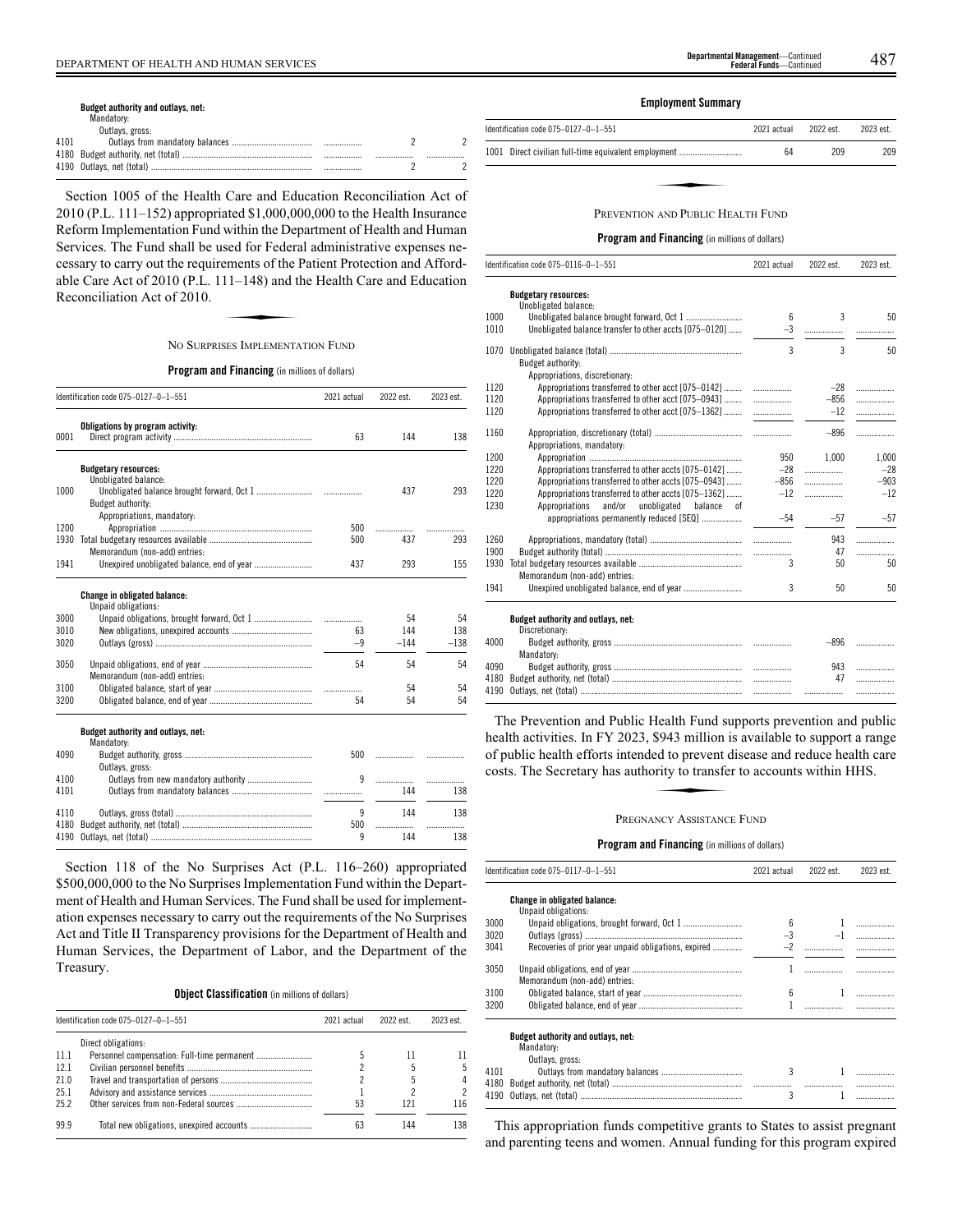#### **Budget authority and outlays, net:**

|      | Mandatory:      |       |  |
|------|-----------------|-------|--|
|      | Outlays, gross: |       |  |
| 4101 |                 |       |  |
|      |                 | <br>. |  |
|      |                 |       |  |

Section 1005 of the Health Care and Education Reconciliation Act of 2010 (P.L. 111–152) appropriated \$1,000,000,000 to the Health Insurance Reform Implementation Fund within the Department of Health and Human Services. The Fund shall be used for Federal administrative expenses ne-Exercises. The T and shall be asset for T edefall atalians state v expenses he<br>cessary to carry out the requirements of the Patient Protection and Afford-<br>able Care Act of 2010 (P.L. 111–148) and the Health Care and Educat able Care Act of 2010 (P.L. 111–148) and the Health Care and Education Reconciliation Act of 2010.

#### NO SURPRISES IMPLEMENTATION FUND

**Program and Financing** (in millions of dollars)

|              | Identification code 075-0127-0-1-551                                                                          | 2021 actual | 2022 est. | 2023 est. |
|--------------|---------------------------------------------------------------------------------------------------------------|-------------|-----------|-----------|
| 0001         | Obligations by program activity:                                                                              | 63          | 144       | 138       |
| 1000         | <b>Budgetary resources:</b><br>Unobligated balance:<br><b>Budget authority:</b><br>Appropriations, mandatory: |             | 437       | 293       |
| 1200         |                                                                                                               | 500         | .         |           |
| 1930         | Memorandum (non-add) entries:                                                                                 | 500         | 437       | 293       |
| 1941         |                                                                                                               | 437         | 293       | 155       |
|              | Change in obligated balance:<br>Unpaid obligations:                                                           |             |           |           |
| 3000         |                                                                                                               |             | 54        | 54        |
| 3010         |                                                                                                               | 63          | 144       | 138       |
| 3020         |                                                                                                               | $-9$        | $-144$    | $-138$    |
| 3050         | Memorandum (non-add) entries:                                                                                 | 54          | 54        | 54        |
| 3100         |                                                                                                               |             | 54        | 54        |
| 3200         |                                                                                                               | 54          | 54        | 54        |
|              | Budget authority and outlays, net:<br>Mandatory:                                                              |             |           |           |
| 4090         | Outlavs, gross:                                                                                               | 500         | .         |           |
| 4100         | Outlays from new mandatory authority                                                                          | 9           | .         | .         |
| 4101         |                                                                                                               |             | 144       | 138       |
| 4110<br>4180 |                                                                                                               | 9<br>500    | 144<br>.  | 138       |
| 4190         |                                                                                                               | 9           | 144       | 138       |

Section 118 of the No Surprises Act (P.L. 116–260) appropriated \$500,000,000 to the No Surprises Implementation Fund within the Department of Health and Human Services. The Fund shall be used for implementation expenses necessary to carry out the requirements of the No Surprises Act and Title II Transparency provisions for the Department of Health and Human Services, the Department of Labor, and the Department of the Treasury.

**Object Classification** (in millions of dollars)

|       | Identification code 075-0127-0-1-551 | 2021 actual | 2022 est. | 2023 est. |
|-------|--------------------------------------|-------------|-----------|-----------|
|       | Direct obligations:                  |             |           |           |
| -11.1 |                                      |             |           |           |
| 12.1  |                                      |             |           |           |
| 21.0  |                                      |             |           |           |
| 25.1  |                                      |             |           |           |
| 25.2  |                                      | 53          | 121       | 116       |
| 999   |                                      | 63          | 144       | 138       |

# **Employment Summary**

| Identification code 075-0127-0-1-551                 | 2021 actual | 2022 est. | 2023 est. |
|------------------------------------------------------|-------------|-----------|-----------|
| 1001 Direct civilian full-time equivalent employment | 64          | 209       | 209       |
|                                                      |             |           |           |
|                                                      |             |           |           |
| PREVENTION AND PUBLIC HEALTH FUND                    |             |           |           |

**Program and Financing** (in millions of dollars)

|              | Identification code 075-0116-0-1-551                     | 2021 actual | 2022 est. | 2023 est. |
|--------------|----------------------------------------------------------|-------------|-----------|-----------|
|              | <b>Budgetary resources:</b>                              |             |           |           |
|              | Unobligated balance:                                     |             | 3         |           |
| 1000<br>1010 | Unobligated balance transfer to other accts [075-0120]   | 6<br>$-3$   |           | 50        |
|              |                                                          |             |           | .         |
| 1070         |                                                          | 3           | 3         | 50        |
|              | Budget authority:                                        |             |           |           |
|              | Appropriations, discretionary:                           |             |           |           |
| 1120         | Appropriations transferred to other acct [075-0142]      | .           | $-28$     | .         |
| 1120         | Appropriations transferred to other acct [075-0943]      | .           | $-856$    | .         |
| 1120         | Appropriations transferred to other acct [075-1362]      |             | $-12$     | .         |
| 1160         |                                                          |             | $-896$    | .         |
|              | Appropriations, mandatory:                               |             |           |           |
| 1200         |                                                          | 950         | 1.000     | 1,000     |
| 1220         | Appropriations transferred to other accts [075-0142]     | $-28$       | .         | $-28$     |
| 1220         | Appropriations transferred to other accts [075-0943]     | $-856$      | .         | $-903$    |
| 1220         | Appropriations transferred to other accts [075-1362]     | $-12$       | .         | $-12$     |
| 1230         | and/or<br>Appropriations<br>unobligated<br>balance<br>0f |             |           |           |
|              | appropriations permanently reduced [SEQ]                 | $-54$       | $-57$     | $-57$     |
|              |                                                          |             |           |           |
| 1260<br>1900 |                                                          |             | 943<br>47 | .         |
| 1930         |                                                          | 3           | 50        | .<br>50   |
|              | Memorandum (non-add) entries:                            |             |           |           |
| 1941         |                                                          | 3           | 50        | 50        |
|              |                                                          |             |           |           |
|              | Budget authority and outlays, net:                       |             |           |           |
|              | Discretionary:                                           |             |           |           |
| 4000         |                                                          |             | -896      | .         |
|              | Mandatory:                                               |             |           |           |
| 4090         |                                                          |             | 943       | .         |
| 4180         |                                                          |             | 47        | .         |
| 4190         |                                                          |             |           | .         |

The Prevention and Public Health Fund supports prevention and public health activities. In FY 2023, \$943 million is available to support a range<br>of public health efforts intended to prevent disease and reduce health care<br>costs. The Secretary has authority to transfer to accounts within HHS. of public health efforts intended to prevent disease and reduce health care costs. The Secretary has authority to transfer to accounts within HHS.

### PREGNANCY ASSISTANCE FUND

# **Program and Financing** (in millions of dollars)

|      | Identification code 075-0117-0-1-551                                | 2021 actual | 2022 est. | 2023 est. |
|------|---------------------------------------------------------------------|-------------|-----------|-----------|
|      | Change in obligated balance:<br>Unpaid obligations:                 |             |           |           |
| 3000 |                                                                     | 6           |           |           |
| 3020 |                                                                     | $-3$        |           |           |
| 3041 | Recoveries of prior year unpaid obligations, expired                | $-2$        |           |           |
| 3050 | Memorandum (non-add) entries:                                       |             |           |           |
| 3100 |                                                                     | 6           |           |           |
| 3200 |                                                                     |             |           |           |
|      | Budget authority and outlays, net:<br>Mandatory:<br>Outlays, gross: |             |           |           |
| 4101 |                                                                     | 3           |           |           |
| 4180 |                                                                     |             |           |           |
| 4190 |                                                                     | 3           |           |           |

This appropriation funds competitive grants to States to assist pregnant and parenting teens and women. Annual funding for this program expired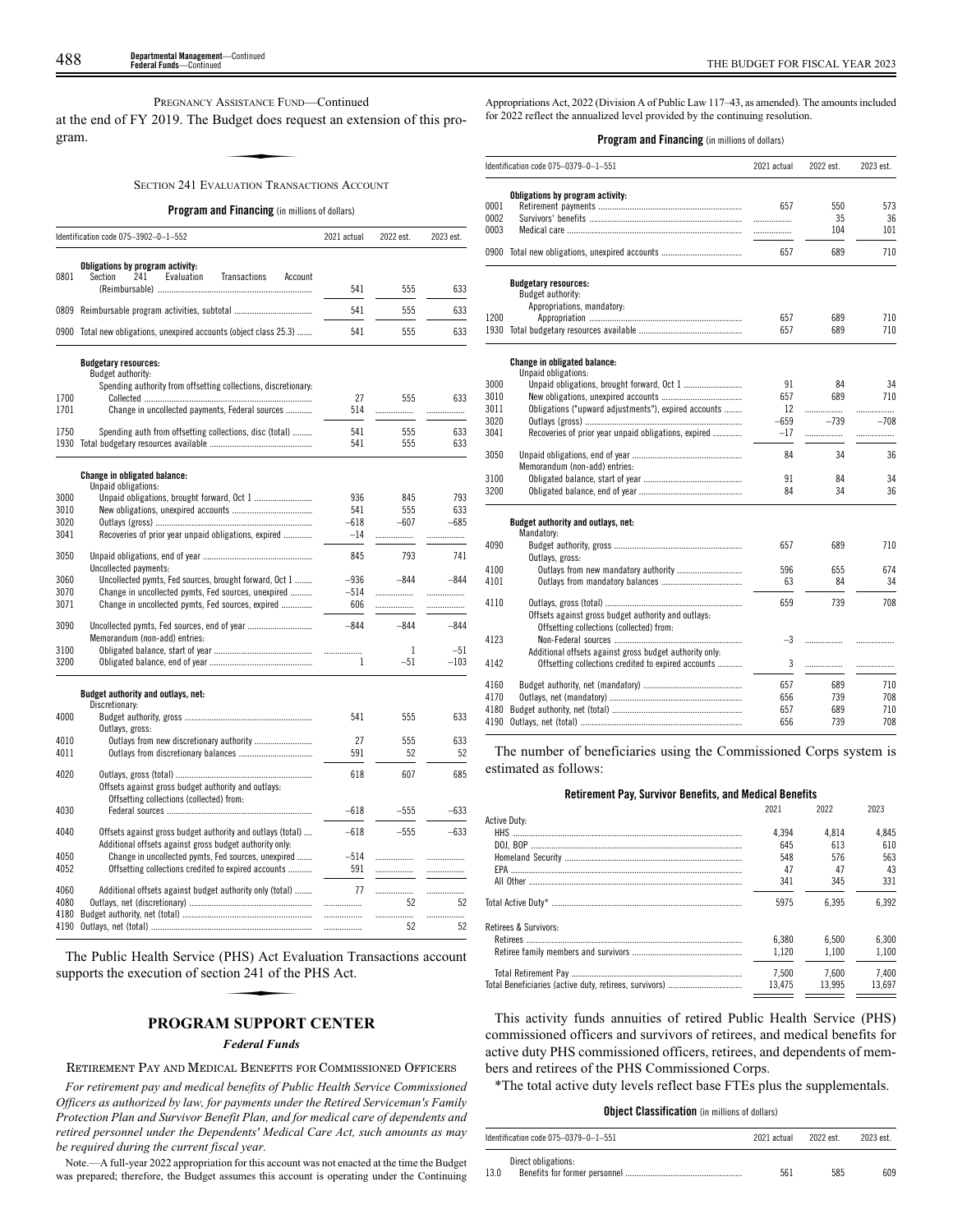PREGNANCY ASSISTANCE FUND—Continued

at the end of FY 2019. The Budget does request an extension of this program. SSISTANCE FUNI<br><mark>udget does rec</mark><br>ULIATION TRANS

SECTION 241 EVALUATION TRANSACTIONS ACCOUNT

#### **Program and Financing** (in millions of dollars)

|              | Identification code 075-3902-0-1-552                                                                                  | 2021 actual | 2022 est. | 2023 est. |
|--------------|-----------------------------------------------------------------------------------------------------------------------|-------------|-----------|-----------|
| 0801         | Obligations by program activity:<br>Section<br>241<br>Evaluation<br>Transactions<br>Account                           |             |           |           |
|              |                                                                                                                       | 541         | 555       | 633       |
| 0809         |                                                                                                                       | 541         | 555       | 633       |
|              | 0900 Total new obligations, unexpired accounts (object class 25.3)                                                    | 541         | 555       | 633       |
|              | <b>Budgetary resources:</b><br>Budget authority:                                                                      |             |           |           |
|              | Spending authority from offsetting collections, discretionary:                                                        |             |           |           |
| 1700         |                                                                                                                       | 27          | 555       | 633       |
| 1701         | Change in uncollected payments, Federal sources                                                                       | 514         | .         | .         |
| 1750         | Spending auth from offsetting collections, disc (total)                                                               | 541         | 555       | 633       |
|              |                                                                                                                       | 541         | 555       | 633       |
|              | Change in obligated balance:                                                                                          |             |           |           |
| 3000         | Unpaid obligations:                                                                                                   | 936         | 845       | 793       |
| 3010         |                                                                                                                       | 541         | 555       | 633       |
| 3020         |                                                                                                                       | $-618$      | $-607$    | $-685$    |
| 3041         | Recoveries of prior year unpaid obligations, expired                                                                  | $-14$       | .         | .         |
| 3050         | Uncollected payments:                                                                                                 | 845         | 793       | 741       |
| 3060         | Uncollected pymts, Fed sources, brought forward, Oct 1                                                                | $-936$      | $-844$    | $-844$    |
| 3070         | Change in uncollected pymts, Fed sources, unexpired                                                                   | $-514$      | .         | .         |
| 3071         | Change in uncollected pymts, Fed sources, expired                                                                     | 606         | .         |           |
| 3090         | Memorandum (non-add) entries:                                                                                         | $-844$      | $-844$    | $-844$    |
| 3100         |                                                                                                                       | .           | 1         | $-51$     |
| 3200         |                                                                                                                       | 1           | $-51$     | $-103$    |
|              | Budget authority and outlays, net:<br>Discretionary:                                                                  |             |           |           |
| 4000         | Outlays, gross:                                                                                                       | 541         | 555       | 633       |
| 4010         |                                                                                                                       | 27          | 555       | 633       |
| 4011         |                                                                                                                       | 591         | 52        | 52        |
| 4020         | Offsets against gross budget authority and outlays:                                                                   | 618         | 607       | 685       |
| 4030         | Offsetting collections (collected) from:                                                                              | $-618$      | $-555$    | $-633$    |
| 4040         | Offsets against gross budget authority and outlays (total)<br>Additional offsets against gross budget authority only: | $-618$      | $-555$    | $-633$    |
| 4050         | Change in uncollected pymts, Fed sources, unexpired                                                                   | $-514$      |           | .         |
| 4052         | Offsetting collections credited to expired accounts                                                                   | 591         |           | .         |
| 4060<br>4080 | Additional offsets against budget authority only (total)                                                              | 77<br>.     | <br>52    | .<br>52   |
| 4180         |                                                                                                                       | .           | .         | .         |
| 4190         |                                                                                                                       |             | 52        | 52        |

The Public Health Service (PHS) Act Evaluation Transactions account supports the execution of section 241 of the PHS Act. **EXECUTE:**<br>
(PHS) Act Eva<br>
(ion 241 of the<br> **M SUPPORT** 

# **PROGRAM SUPPORT CENTER**

# *Federal Funds*

# RETIREMENT PAY AND MEDICAL BENEFITS FOR COMMISSIONED OFFICERS

*For retirement pay and medical benefits of Public Health Service Commissioned Officers as authorized by law, for payments under the Retired Serviceman's Family Protection Plan and Survivor Benefit Plan, and for medical care of dependents and retired personnel under the Dependents' Medical Care Act, such amounts as may be required during the current fiscal year.*

Note.—A full-year 2022 appropriation for this account was not enacted at the time the Budget was prepared; therefore, the Budget assumes this account is operating under the Continuing Appropriations Act, 2022 (Division A of Public Law 117–43, as amended). The amounts included for 2022 reflect the annualized level provided by the continuing resolution.

### **Program and Financing** (in millions of dollars)

|      | Identification code 075-0379-0-1-551                                                            | 2021 actual | 2022 est. | 2023 est. |
|------|-------------------------------------------------------------------------------------------------|-------------|-----------|-----------|
|      | Obligations by program activity:                                                                |             |           |           |
| 0001 |                                                                                                 | 657         | 550       | 573       |
| 0002 |                                                                                                 | .           | 35        | 36        |
| 0003 |                                                                                                 | .           | 104       | 101       |
|      | 0900 Total new obligations, unexpired accounts                                                  | 657         | 689       | 710       |
|      | <b>Budgetary resources:</b><br>Budget authority:                                                |             |           |           |
|      | Appropriations, mandatory:                                                                      |             |           |           |
|      |                                                                                                 |             |           |           |
| 1200 |                                                                                                 | 657         | 689       | 710       |
|      |                                                                                                 | 657         | 689       | 710       |
|      | <b>Change in obligated balance:</b><br>Unpaid obligations:                                      |             |           |           |
| 3000 |                                                                                                 | 91          | 84        | 34        |
|      |                                                                                                 | 657         | 689       | 710       |
| 3010 |                                                                                                 | 12          |           |           |
| 3011 | Obligations ("upward adjustments"), expired accounts                                            |             | .         |           |
| 3020 |                                                                                                 | -659        | $-739$    | $-708$    |
| 3041 | Recoveries of prior year unpaid obligations, expired                                            | $-17$       | .         | .         |
| 3050 |                                                                                                 | 84          | 34        | 36        |
|      | Memorandum (non-add) entries:                                                                   |             |           |           |
| 3100 |                                                                                                 | 91          | 84        | 34        |
| 3200 |                                                                                                 | 84          | 34        | 36        |
|      | Budget authority and outlays, net:<br>Mandatory:                                                |             |           |           |
| 4090 |                                                                                                 | 657         | 689       | 710       |
|      | Outlays, gross:                                                                                 |             |           |           |
| 4100 |                                                                                                 | 596         | 655       | 674       |
| 4101 |                                                                                                 | 63          | 84        | 34        |
| 4110 |                                                                                                 | 659         | 739       | 708       |
|      | Offsets against gross budget authority and outlays:<br>Offsetting collections (collected) from: |             |           |           |
| 4123 |                                                                                                 | $-3$        | .         |           |
|      | Additional offsets against gross budget authority only:                                         |             |           |           |
| 4142 | Offsetting collections credited to expired accounts                                             | 3           | .         | .         |
|      |                                                                                                 |             |           |           |
| 4160 |                                                                                                 | 657         | 689       | 710       |
| 4170 |                                                                                                 | 656         | 739       | 708       |
| 4180 |                                                                                                 | 657         | 689       | 710       |
| 4190 |                                                                                                 | 656         | 739       | 708       |

The number of beneficiaries using the Commissioned Corps system is estimated as follows:

# **Retirement Pay, Survivor Benefits, and Medical Benefits**

|        |        | 2023   |
|--------|--------|--------|
|        |        |        |
| 4.394  | 4.814  | 4.845  |
| 645    | 613    | 610    |
| 548    | 576    | 563    |
| 47     | 47     | 43     |
| 341    | 345    | 331    |
| 5975   | 6.395  | 6.392  |
|        |        |        |
| 6.380  | 6.500  | 6.300  |
| 1.120  | 1.100  | 1.100  |
| 7.500  | 7.600  | 7.400  |
| 13.475 | 13.995 | 13.697 |
|        | 2021   | 2022   |

This activity funds annuities of retired Public Health Service (PHS) commissioned officers and survivors of retirees, and medical benefits for active duty PHS commissioned officers, retirees, and dependents of members and retirees of the PHS Commissioned Corps.

\*The total active duty levels reflect base FTEs plus the supplementals.

# **Object Classification** (in millions of dollars)

| Identification code 075-0379-0-1-551 | 2021 actual | 2022 est. | 2023 est. |
|--------------------------------------|-------------|-----------|-----------|
| Direct obligations:                  |             |           |           |
| 13.0                                 | 561         | 585       | 609       |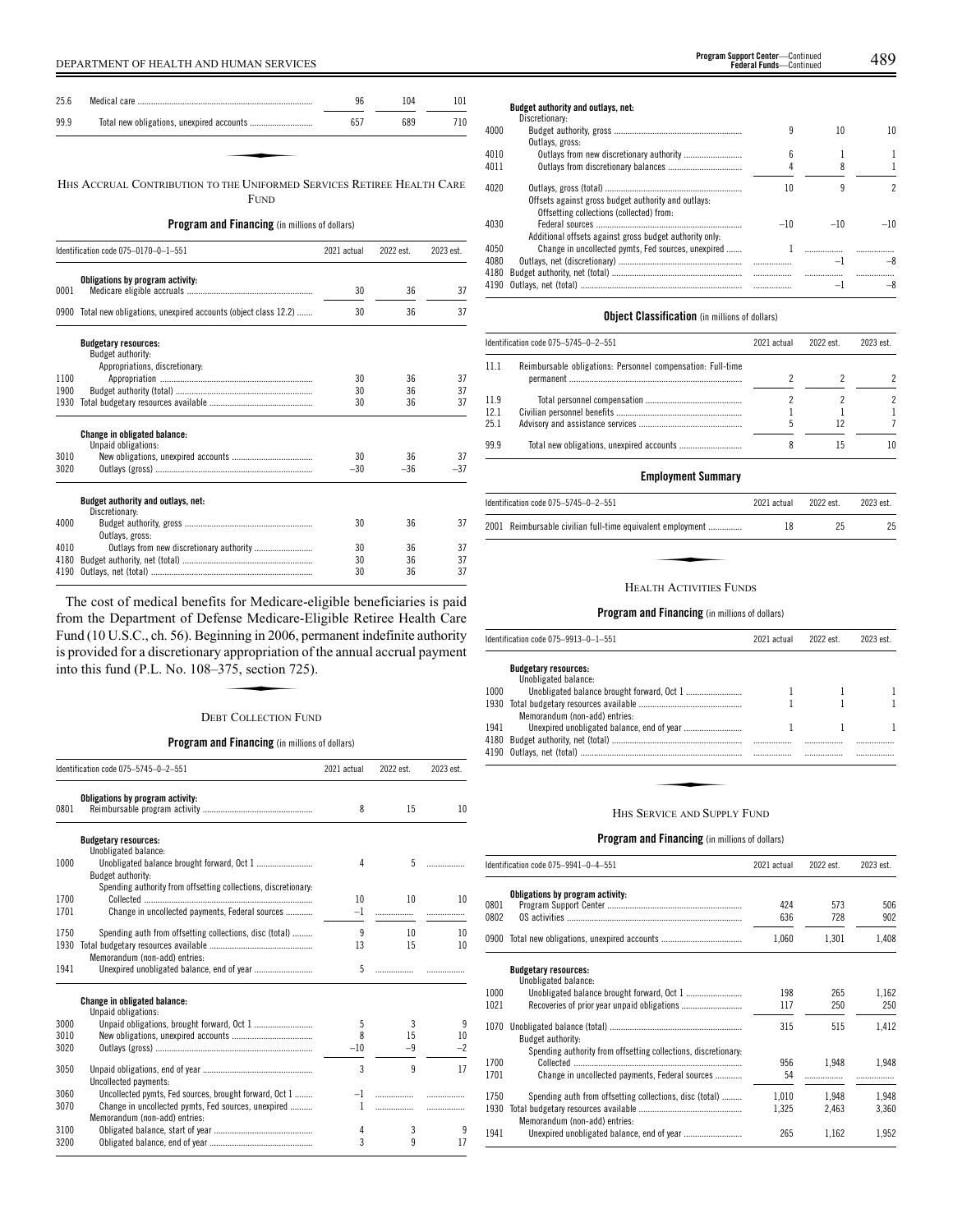| 25.6 |                                                                        | 96  | 104 | 101 |
|------|------------------------------------------------------------------------|-----|-----|-----|
| 99.9 |                                                                        | 657 | 689 | 710 |
|      |                                                                        |     |     |     |
|      |                                                                        |     |     |     |
|      | HHS ACCRUAL CONTRIBUTION TO THE UNIFORMED SERVICES RETIREE HEALTH CARE |     |     |     |

FUND

# **Program and Financing** (in millions of dollars)

|      | Identification code 075-0170-0-1-551                                               | 2021 actual | 2022 est. | 2023 est. |
|------|------------------------------------------------------------------------------------|-------------|-----------|-----------|
| 0001 | Obligations by program activity:                                                   | 30          | 36        | 37        |
|      | 0900 Total new obligations, unexpired accounts (object class 12.2)                 | 30          | 36        | 37        |
|      | <b>Budgetary resources:</b><br>Budget authority:<br>Appropriations, discretionary: |             |           |           |
| 1100 |                                                                                    | 30          | 36        | 37        |
| 1900 |                                                                                    | 30          | 36        | 37        |
| 1930 |                                                                                    | 30          | 36        | 37        |
|      | <b>Change in obligated balance:</b><br>Unpaid obligations:                         |             |           |           |
| 3010 |                                                                                    | 30          | 36        | 37        |
| 3020 |                                                                                    | $-30$       | $-36$     | $-37$     |
|      | Budget authority and outlays, net:<br>Discretionary:                               |             |           |           |
| 4000 | Outlays, gross:                                                                    | 30          | 36        | 37        |
| 4010 | Outlays from new discretionary authority                                           | 30          | 36        | 37        |
| 4180 |                                                                                    | 30          | 36        | 37        |
| 4190 |                                                                                    | 30          | 36        | 37        |

The cost of medical benefits for Medicare-eligible beneficiaries is paid from the Department of Defense Medicare-Eligible Retiree Health Care Fund (10 U.S.C., ch. 56). Beginning in 2006, permanent indefinite authority<br>Fund (10 U.S.C., ch. 56). Beginning in 2006, permanent indefinite authority<br>is provided for a discretionary appropriation of the annual accrual pa is provided for a discretionary appropriation of the annual accrual payment into this fund (P.L. No. 108–375, section 725).

# DEBT COLLECTION FUND

# **Program and Financing** (in millions of dollars)

|              | Identification code 075-5745-0-2-551                                                                                                           | 2021 actual    | 2022 est.    | 2023 est. |
|--------------|------------------------------------------------------------------------------------------------------------------------------------------------|----------------|--------------|-----------|
| 0801         | Obligations by program activity:                                                                                                               | 8              | 15           | 10        |
|              | <b>Budgetary resources:</b><br>Unobligated balance:                                                                                            |                |              |           |
| 1000         | Budget authority:                                                                                                                              | 4              | 5            |           |
| 1700<br>1701 | Spending authority from offsetting collections, discretionary:<br>Change in uncollected payments, Federal sources                              | 10<br>$-1$     | 10<br>.      | 10        |
| 1750<br>1930 | Spending auth from offsetting collections, disc (total)<br>Memorandum (non-add) entries:                                                       | 9<br>13        | 10<br>15     | 10<br>10  |
| 1941         |                                                                                                                                                | 5              |              |           |
|              | <b>Change in obligated balance:</b><br>Unpaid obligations:                                                                                     |                |              |           |
| 3000         | Unpaid obligations, brought forward, Oct 1                                                                                                     | 5              | 3            | 9         |
| 3010         |                                                                                                                                                | 8              | 15           | 10        |
| 3020         |                                                                                                                                                | $-10$          | $-9$         | $-2$      |
| 3050         | Uncollected payments:                                                                                                                          | $\overline{3}$ | $\mathsf{q}$ | 17        |
| 3060<br>3070 | Uncollected pymts, Fed sources, brought forward, Oct 1<br>Change in uncollected pymts, Fed sources, unexpired<br>Memorandum (non-add) entries: | $-1$<br>1      | .            | .         |
| 3100<br>3200 |                                                                                                                                                | 4<br>3         | 3<br>q       | 9<br>17   |

**Budget authority and outlays, net:** Discretionary: 4000 Budget authority, gross ......................................................... 9 10 10 Outlays, gross: 4010 Outlays from new discretionary authority ................................... 6 1 1 4011 Outlays from discretionary balances ................................. 4 8 1 4020 Outlays, gross (total) ............................................................. 10 9 2 Offsets against gross budget authority and outlays: Offsetting collections (collected) from: 4030 Federal sources ................................................................. –10 –10 –10 Additional offsets against gross budget authority only: 4050 Change in uncollected pymts, Fed sources, unexpired ....... 1 ................. ................. 4080 Outlays, net (discretionary) ....................................................... ................. –1 –8 4180 Budget authority, net (total) 4190 Outlays, net (total) ........................................................................ ................. –1 –8

# **Object Classification** (in millions of dollars)

| Identification code 075-5745-0-2-551 |                                                             | 2021 actual | 2022 est. | 2023 est. |
|--------------------------------------|-------------------------------------------------------------|-------------|-----------|-----------|
| 11.1                                 | Reimbursable obligations: Personnel compensation: Full-time |             |           |           |
|                                      |                                                             |             |           |           |
| 11.9                                 |                                                             |             |           |           |
| 12.1                                 |                                                             |             |           |           |
| 251                                  |                                                             |             | 12        |           |
| 99.9                                 |                                                             |             | 15        | 10        |

# **Employment Summary**

| Identification code 075-5745-0-2-551                       | 2021 actual | 2022 est. | 2023 est. |
|------------------------------------------------------------|-------------|-----------|-----------|
| 2001 Reimbursable civilian full-time equivalent employment | 18          | 25        | 25        |
|                                                            |             |           |           |
| <b>HEALTH ACTIVITIES FUNDS</b>                             |             |           |           |

#### **Program and Financing** (in millions of dollars)

|      | Identification code 075-9913-0-1-551                | 2021 actual | 2022 est. | 2023 est. |
|------|-----------------------------------------------------|-------------|-----------|-----------|
|      | <b>Budgetary resources:</b><br>Unobligated balance: |             |           |           |
| 1000 |                                                     |             |           |           |
| 1930 | Memorandum (non-add) entries:                       |             |           |           |
| 1941 |                                                     |             |           |           |
| 4180 |                                                     |             |           |           |
|      |                                                     |             |           |           |
|      | HHS SERVICE AND SUPPLY FUND                         |             |           |           |

|              | Identification code 075–9941–0–4–551                           | 2021 actual | 2022 est.  | 2023 est.  |
|--------------|----------------------------------------------------------------|-------------|------------|------------|
| 0801<br>0802 | Obligations by program activity:                               | 424<br>636  | 573<br>728 | 506<br>902 |
|              | 0900 Total new obligations, unexpired accounts                 | 1.060       | 1,301      | 1,408      |
|              | <b>Budgetary resources:</b><br>Unobligated balance:            |             |            |            |
| 1000         |                                                                | 198         | 265        | 1,162      |
| 1021         |                                                                | 117         | 250        | 250        |
| 1070         | <b>Budget authority:</b>                                       | 315         | 515        | 1,412      |
| 1700         | Spending authority from offsetting collections, discretionary. |             |            |            |
| 1701         | Change in uncollected payments, Federal sources                | 956<br>54   | 1.948      | 1,948      |
| 1750         | Spending auth from offsetting collections, disc (total)        | 1,010       | 1.948      | 1,948      |
|              |                                                                |             |            |            |
| 1930         | Memorandum (non-add) entries:                                  | 1,325       | 2,463      | 3,360      |
| 1941         |                                                                | 265         | 1,162      | 1,952      |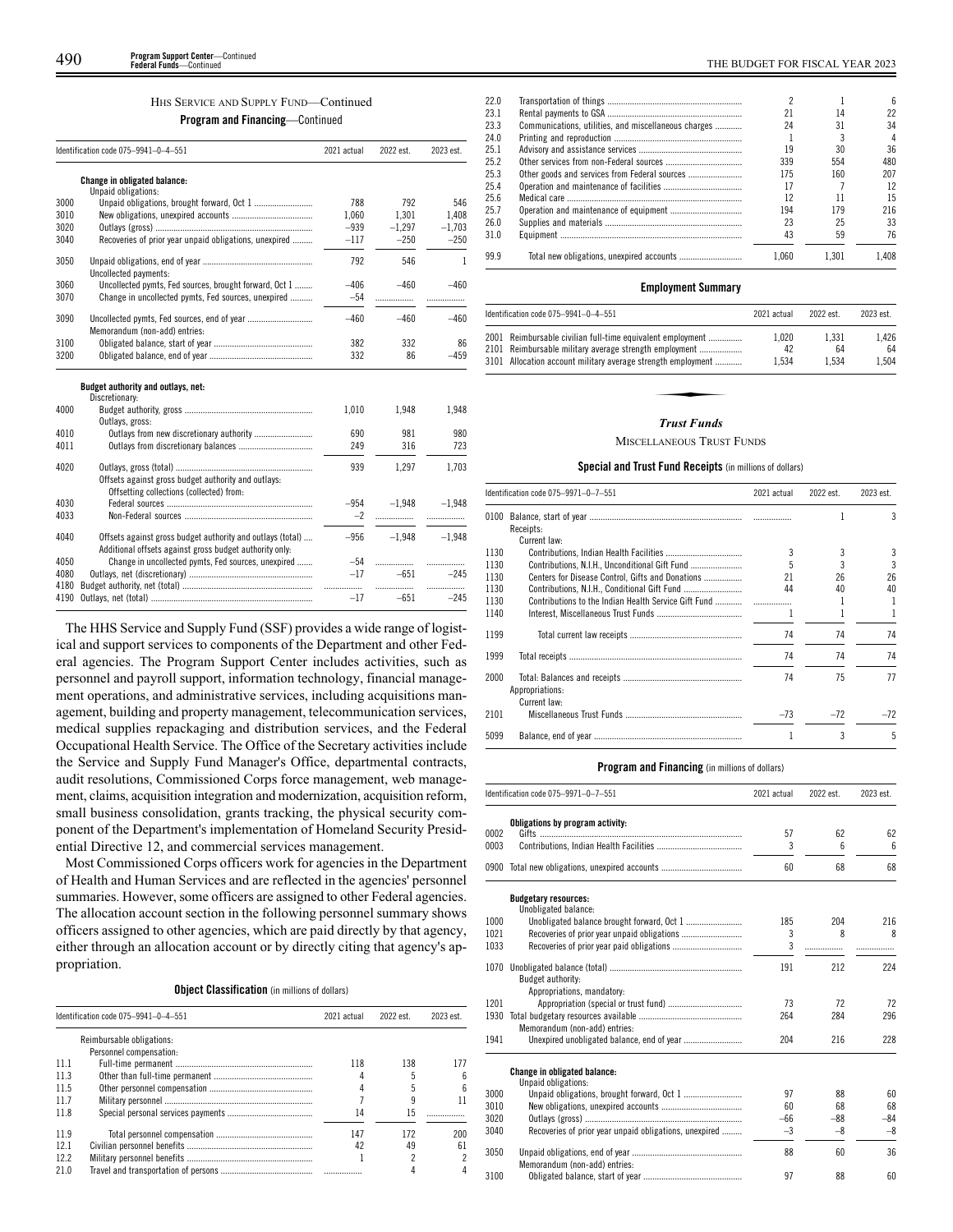# HHS SERVICE AND SUPPLY FUND—Continued

# **Program and Financing**—Continued

|      | Identification code 075-9941-0-4-551                       | 2021 actual | 2022 est. | 2023 est. |
|------|------------------------------------------------------------|-------------|-----------|-----------|
|      | <b>Change in obligated balance:</b><br>Unpaid obligations: |             |           |           |
| 3000 |                                                            | 788         | 792       | 546       |
| 3010 |                                                            | 1.060       | 1.301     | 1.408     |
| 3020 |                                                            | $-939$      | $-1,297$  | $-1,703$  |
| 3040 | Recoveries of prior year unpaid obligations, unexpired     | $-117$      | $-250$    | $-250$    |
| 3050 | Uncollected payments:                                      | 792         | 546       | 1         |
| 3060 | Uncollected pymts, Fed sources, brought forward, Oct 1     | $-406$      | $-460$    | $-460$    |
| 3070 | Change in uncollected pymts, Fed sources, unexpired        | $-54$       |           |           |
| 3090 | Memorandum (non-add) entries:                              | $-460$      | $-460$    | $-460$    |
| 3100 |                                                            | 382         | 332       | 86        |
| 3200 |                                                            | 332         | 86        | $-459$    |
|      | Budget authority and outlays, net:<br>Discretionary:       |             |           |           |
| 4000 |                                                            | 1.010       | 1.948     | 1.948     |

# Outlays, gross: 4010 Outlays from new discretionary authority .......................... 690 981 980 4011 Outlays from discretionary balances ................................. 249 316 723 4020 Outlays, gross (total) ............................................................. 939 1,297 1,703 Offsets against gross budget authority and outlays: Offsetting collections (collected) from: 4030 Federal sources ................................................................. –954 –1,948 –1,948 4033 Non-Federal sources ......................................................... –2 ................. ................. 4040 Offsets against gross budget authority and outlays (total) .... –956 –1,948 –1,948 Additional offsets against gross budget authority only: 4050 Change in uncollected pymts, Fed sources, unexpired ....... –54 ................. ................. Outlays, net (discretionary) 4180 Budget authority, net (total) .......................................................... ................. ................. ................. 4190 Outlays, net (total)

The HHS Service and Supply Fund (SSF) provides a wide range of logistical and support services to components of the Department and other Federal agencies. The Program Support Center includes activities, such as personnel and payroll support, information technology, financial management operations, and administrative services, including acquisitions management, building and property management, telecommunication services, medical supplies repackaging and distribution services, and the Federal Occupational Health Service. The Office of the Secretary activities include the Service and Supply Fund Manager's Office, departmental contracts, audit resolutions, Commissioned Corps force management, web management, claims, acquisition integration and modernization, acquisition reform, small business consolidation, grants tracking, the physical security component of the Department's implementation of Homeland Security Presidential Directive 12, and commercial services management.

Most Commissioned Corps officers work for agencies in the Department of Health and Human Services and are reflected in the agencies' personnel summaries. However, some officers are assigned to other Federal agencies. The allocation account section in the following personnel summary shows officers assigned to other agencies, which are paid directly by that agency, either through an allocation account or by directly citing that agency's appropriation.

**Object Classification** (in millions of dollars)

|      | Identification code 075-9941-0-4-551 | 2021 actual | 2022 est. | 2023 est. |
|------|--------------------------------------|-------------|-----------|-----------|
|      | Reimbursable obligations:            |             |           |           |
|      | Personnel compensation:              |             |           |           |
| 111  |                                      | 118         | 138       | 177       |
| 11.3 |                                      |             |           |           |
| 11.5 |                                      |             |           | 6         |
| 117  |                                      |             |           |           |
| 11.8 |                                      | 14          | 15        |           |
| 11.9 |                                      | 147         | 172       | 200       |
| 121  |                                      | 42          | 49        | 61        |
| 122  |                                      |             |           |           |
| 210  |                                      |             |           |           |

| 22 O |                                                      |       |       | հ     |
|------|------------------------------------------------------|-------|-------|-------|
| 23.1 |                                                      | 21    | 14    | 22    |
| 23.3 | Communications, utilities, and miscellaneous charges | 24    | 31    | 34    |
| 24.0 |                                                      |       |       | 4     |
| 25.1 |                                                      | 19    | 30    | 36    |
| 25.2 |                                                      | 339   | 554   | 480   |
| 25.3 |                                                      | 175   | 160   | 207   |
| 25.4 |                                                      | 17    |       | 12    |
| 25.6 |                                                      | 12    | 11    | 15    |
| 25.7 |                                                      | 194   | 179   | 216   |
| 26.0 |                                                      | 23    | 25    | 33    |
| 31.0 |                                                      | 43    | 59    | 76    |
| 99.9 |                                                      | 1.060 | 1.301 | 1.408 |

#### **Employment Summary**

| Identification code 075-9941-0-4-551                                                                                                                                                 | 2021 actual          | 2022 est.            | 2023 est.            |
|--------------------------------------------------------------------------------------------------------------------------------------------------------------------------------------|----------------------|----------------------|----------------------|
| 2001 Reimbursable civilian full-time equivalent employment<br>2101 Reimbursable military average strength employment<br>3101 Allocation account military average strength employment | 1.020<br>42<br>1.534 | 1.331<br>64<br>1.534 | 1.426<br>64<br>1.504 |
| Trust Funds                                                                                                                                                                          |                      |                      |                      |

#### *Trust Funds*

#### **MISCELLANEOUS TRUST FUNDS**

#### **Special and Trust Fund Receipts** (in millions of dollars)

|                                                      | 2021 actual                                          | 2022 est. | 2023 est. |
|------------------------------------------------------|------------------------------------------------------|-----------|-----------|
| Receipts:                                            |                                                      |           | 3         |
| Current law:                                         |                                                      |           |           |
|                                                      | 3                                                    | 3         |           |
| Contributions, N.I.H., Unconditional Gift Fund       |                                                      | 3         | 3         |
| Centers for Disease Control, Gifts and Donations     | 21                                                   | 26        | 26        |
|                                                      | 44                                                   | 40        | 40        |
| Contributions to the Indian Health Service Gift Fund |                                                      |           | 1         |
|                                                      |                                                      |           | 1         |
|                                                      | 74                                                   | 74        | 74        |
|                                                      | 74                                                   | 74        | 74        |
| Appropriations:                                      | 74                                                   | 75        | 77        |
|                                                      | $-73$                                                | $-72$     | $-72$     |
|                                                      |                                                      | 3         | 5         |
|                                                      | Identification code 075-9971-0-7-551<br>Current law: | $\ldots$  |           |

| Identification code 075-9971-0-7-551 |                                                            | 2021 actual | 2022 est.       | 2023 est. |
|--------------------------------------|------------------------------------------------------------|-------------|-----------------|-----------|
| 0002                                 | Obligations by program activity:                           | 57          | 62              | 62        |
| 0003                                 |                                                            | 3           | $6\overline{6}$ | 6         |
|                                      |                                                            |             |                 |           |
| 0900                                 |                                                            | 60          | 68              | 68        |
|                                      | <b>Budgetary resources:</b><br>Unobligated balance:        |             |                 |           |
| 1000                                 |                                                            | 185         | 204             | 216       |
| 1021                                 |                                                            | 3           | 8               | 8         |
| 1033                                 |                                                            | 3           |                 |           |
| 1070                                 | Budget authority:                                          | 191         | 212             | 224       |
|                                      | Appropriations, mandatory:                                 |             |                 |           |
| 1201                                 |                                                            | 73          | 72              | 72        |
| 1930                                 |                                                            | 264         | 284             | 296       |
|                                      | Memorandum (non-add) entries:                              |             |                 |           |
| 1941                                 |                                                            | 204         | 216             | 228       |
|                                      | <b>Change in obligated balance:</b><br>Unpaid obligations: |             |                 |           |
| 3000                                 |                                                            | 97          | 88              | 60        |
| 3010                                 |                                                            | 60          | 68              | 68        |
| 3020                                 |                                                            | $-66$       | $-88$           | -84       |
| 3040                                 | Recoveries of prior year unpaid obligations, unexpired     | $-3$        | $-8$            | $-8$      |
| 3050                                 | Memorandum (non-add) entries:                              | 88          | 60              | 36        |
| 3100                                 |                                                            | 97          | 88              | 60        |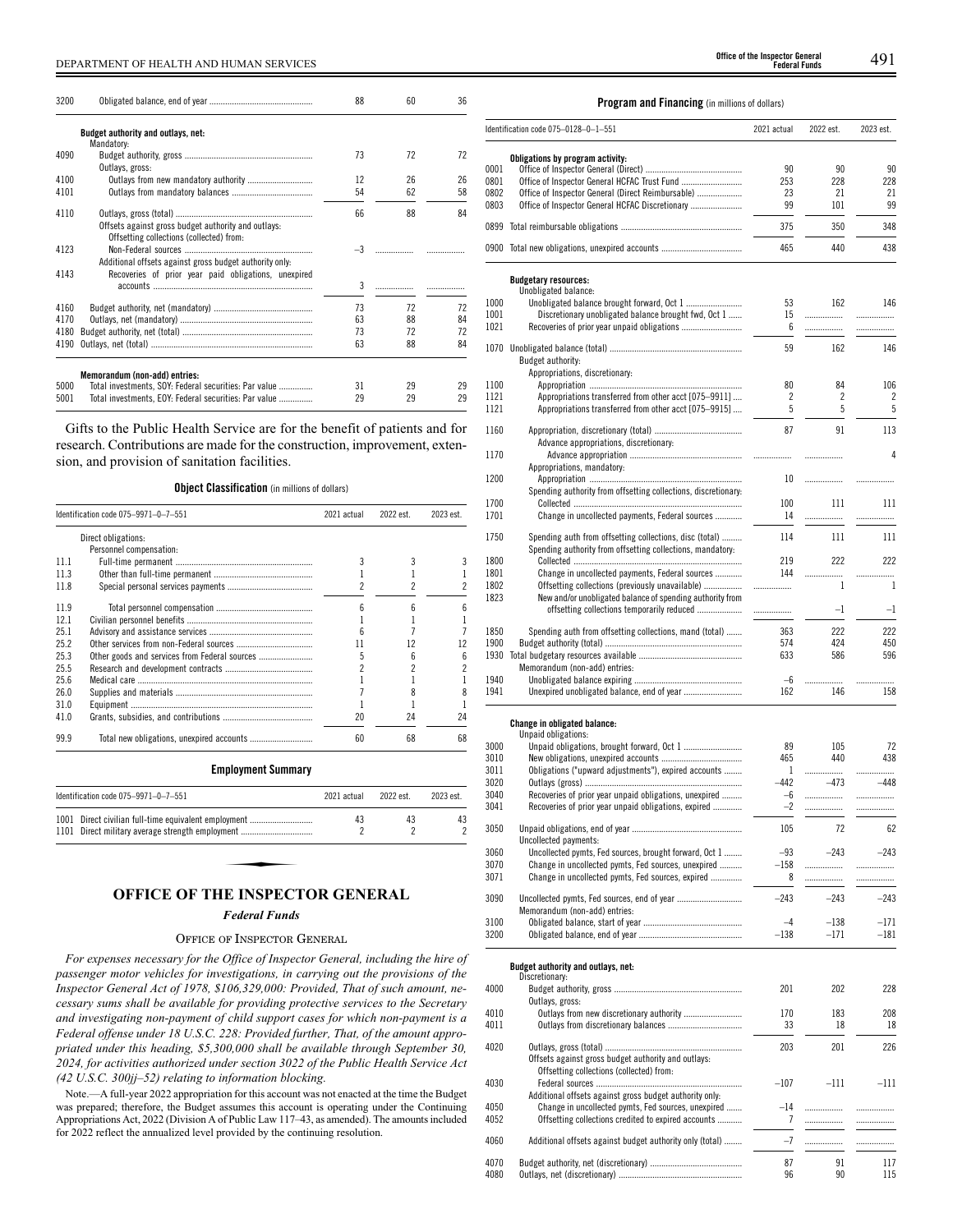# DEPARTMENT OF HEALTH AND HUMAN SERVICES 491 **Office of the Inspector General**

| 3200 |                                                                                        | 88   | 60 | 36 |
|------|----------------------------------------------------------------------------------------|------|----|----|
|      | Budget authority and outlays, net:<br>Mandatory:                                       |      |    |    |
| 4090 |                                                                                        | 73   | 72 | 72 |
|      | Outlays, gross:                                                                        |      |    |    |
| 4100 |                                                                                        | 12   | 26 | 26 |
| 4101 |                                                                                        | 54   | 62 | 58 |
| 4110 |                                                                                        | 66   | 88 | 84 |
|      | Offsets against gross budget authority and outlays:                                    |      |    |    |
|      | Offsetting collections (collected) from:                                               |      |    |    |
| 4123 |                                                                                        | $-3$ |    |    |
|      | Additional offsets against gross budget authority only:                                |      |    |    |
| 4143 | Recoveries of prior year paid obligations, unexpired                                   |      |    |    |
|      |                                                                                        | 3    |    |    |
| 4160 |                                                                                        | 73   | 72 | 72 |
| 4170 |                                                                                        | 63   | 88 | 84 |
| 4180 |                                                                                        | 73   | 72 | 72 |
| 4190 |                                                                                        | 63   | 88 | 84 |
|      |                                                                                        |      |    |    |
| 5000 | Memorandum (non-add) entries:<br>Total investments, SOY: Federal securities: Par value | 31   | 29 | 29 |
| 5001 |                                                                                        | 29   | 29 | 29 |
|      | Total investments, EOY: Federal securities: Par value                                  |      |    |    |

Gifts to the Public Health Service are for the benefit of patients and for research. Contributions are made for the construction, improvement, extension, and provision of sanitation facilities.

# **Object Classification** (in millions of dollars)

|      | Identification code 075-9971-0-7-551          | 2021 actual | 2022 est. | 2023 est. |
|------|-----------------------------------------------|-------------|-----------|-----------|
|      | Direct obligations:                           |             |           |           |
|      | Personnel compensation:                       |             |           |           |
| 111  |                                               |             |           |           |
| 11.3 |                                               |             |           |           |
| 11.8 |                                               |             |           |           |
| 119  |                                               |             |           |           |
| 121  |                                               |             |           |           |
| 25.1 |                                               |             |           |           |
| 25.2 |                                               |             |           |           |
| 25.3 | Other goods and services from Federal sources | 5           |           | h         |
| 25.5 |                                               |             |           |           |
| 256  |                                               |             |           |           |
| 26.0 |                                               |             |           |           |
| 31.0 |                                               |             |           |           |
| 41.0 |                                               | 20          | 24        | 24        |
| 99.9 |                                               | 60          | 68        | 68        |

# **Employment Summary**

| Identification code 075-9971-0-7-551                 | 2021 actual | 2022 est. | 2023 est. |
|------------------------------------------------------|-------------|-----------|-----------|
| 1001 Direct civilian full-time equivalent employment | 43          | 43        | 43        |
| 1101 Direct military average strength employment     |             |           |           |

# **OFFICE OF THE INSPECTOR GENERAL**

# *Federal Funds*

# OFFICE OF INSPECTOR GENERAL

*For expenses necessary for the Office of Inspector General, including the hire of passenger motor vehicles for investigations, in carrying out the provisions of the Inspector General Act of 1978, \$106,329,000: Provided, That of such amount, necessary sums shall be available for providing protective services to the Secretary and investigating non-payment of child support cases for which non-payment is a Federal offense under 18 U.S.C. 228: Provided further, That, of the amount appropriated under this heading, \$5,300,000 shall be available through September 30, 2024, for activities authorized under section 3022 of the Public Health Service Act (42 U.S.C. 300jj–52) relating to information blocking.*

Note.—A full-year 2022 appropriation for this account was not enacted at the time the Budget was prepared; therefore, the Budget assumes this account is operating under the Continuing Appropriations Act, 2022 (Division A of Public Law 117–43, as amended). The amounts included for 2022 reflect the annualized level provided by the continuing resolution.

**Federal Funds**

# **Program and Financing** (in millions of dollars)

|      | Identification code 075–0128–0–1–551                                                                 | 2021 actual | 2022 est. | 2023 est. |
|------|------------------------------------------------------------------------------------------------------|-------------|-----------|-----------|
|      | Obligations by program activity:                                                                     |             |           |           |
| 0001 |                                                                                                      | 90          | 90        | 90        |
| 0801 |                                                                                                      | 253         | 228       | 228       |
| 0802 |                                                                                                      | 23          | 21        | 21        |
|      | Office of Inspector General (Direct Reimbursable)<br>Office of Inspector General HCFAC Discretionary | 99          | 101       | 99        |
| 0803 |                                                                                                      |             |           |           |
|      |                                                                                                      | 375         | 350       | 348       |
|      | 0900 Total new obligations, unexpired accounts                                                       | 465         | 440       | 438       |
|      |                                                                                                      |             |           |           |
|      | <b>Budgetary resources:</b><br>Unobligated balance:                                                  |             |           |           |
| 1000 |                                                                                                      | 53          | 162       | 146       |
| 1001 | Discretionary unobligated balance brought fwd, Oct 1                                                 | 15          | .         |           |
| 1021 |                                                                                                      | 6           | .         |           |
| 1070 |                                                                                                      | 59          | 162       | 146       |
|      | Budget authority:                                                                                    |             |           |           |
|      | Appropriations, discretionary:                                                                       |             |           |           |
| 1100 |                                                                                                      | 80          | 84        | 106       |
| 1121 | Appropriations transferred from other acct [075–9911]                                                | 2           | 2         | 2         |
| 1121 | Appropriations transferred from other acct [075–9915]                                                | 5           | 5         | 5         |
|      |                                                                                                      |             |           |           |
| 1160 |                                                                                                      | 87          | 91        | 113       |
|      | Advance appropriations, discretionary:                                                               |             |           |           |
| 1170 |                                                                                                      |             | .         | 4         |
|      | Appropriations, mandatory:                                                                           |             |           |           |
| 1200 |                                                                                                      | 10          | .         |           |
|      | Spending authority from offsetting collections, discretionary:                                       |             |           |           |
| 1700 |                                                                                                      | 100         | 111       | 111       |
| 1701 | Change in uncollected payments, Federal sources                                                      | 14          | .         | .         |
|      |                                                                                                      |             |           |           |
| 1750 | Spending auth from offsetting collections, disc (total)                                              | 114         | 111       | 111       |
|      | Spending authority from offsetting collections, mandatory:                                           |             |           |           |
| 1800 |                                                                                                      | 219         | 222       | 222       |
| 1801 | Change in uncollected payments, Federal sources                                                      | 144         | .         | .         |
| 1802 | Offsetting collections (previously unavailable)                                                      |             | 1         | 1         |
| 1823 | New and/or unobligated balance of spending authority from                                            |             |           |           |
|      | offsetting collections temporarily reduced                                                           | .           | $-1$      | $-1$      |
| 1850 | Spending auth from offsetting collections, mand (total)                                              | 363         | 222       | 222       |
| 1900 |                                                                                                      | 574         | 424       | 450       |
| 1930 |                                                                                                      | 633         | 586       | 596       |
|      | Memorandum (non-add) entries:                                                                        |             |           |           |
| 1940 |                                                                                                      | $-6$        |           | .         |
| 1941 |                                                                                                      | 162         | 146       | 158       |
|      |                                                                                                      |             |           |           |
|      | Change in obligated balance:                                                                         |             |           |           |
|      | Unpaid obligations:                                                                                  |             |           |           |
| 3000 |                                                                                                      | 89          | 105       | 72        |
| 3010 |                                                                                                      | 465         | 440       | 438       |
| 3011 | Obligations ("upward adjustments"), expired accounts                                                 | 1           |           | .         |
| 3020 |                                                                                                      | -442        | $-473$    | $-448$    |
| 3040 | Recoveries of prior year unpaid obligations, unexpired                                               | -6          | .         | .         |
| 3041 | Recoveries of prior year unpaid obligations, expired                                                 | $-2$        | .         | .         |
| 3050 |                                                                                                      | 105         | 72        | 62        |
|      | Uncollected payments:                                                                                |             |           |           |
| 3060 | Uncollected pymts, Fed sources, brought forward, Oct 1                                               | $-93$       | $-243$    | $-243$    |
| 3070 | Change in uncollected pymts, Fed sources, unexpired                                                  | $-158$      | .         | .         |
| 3071 | Change in uncollected pymts, Fed sources, expired                                                    | 8           |           | .         |
|      |                                                                                                      |             |           |           |
| 3090 | Uncollected pymts, Fed sources, end of year                                                          | $-243$      | $-243$    | $-243$    |
|      | Memorandum (non-add) entries:                                                                        |             |           |           |
| 3100 |                                                                                                      | $-4$        | $-138$    | $-171$    |
| 3200 |                                                                                                      | $-138$      | -171      | $-181$    |
|      |                                                                                                      |             |           |           |
|      | Budget authority and outlays, net:                                                                   |             |           |           |
|      | Discretionary:                                                                                       |             |           |           |
| 4000 |                                                                                                      | 201         | 202       | 228       |
|      | Outlavs, gross:                                                                                      |             |           |           |
| 4010 |                                                                                                      | 170         | 183       | 208       |
| 4011 |                                                                                                      | 33          | 18        | 18        |
|      |                                                                                                      |             |           |           |
| 4020 |                                                                                                      | 203         | 201       | 226       |
|      | Offsets against gross budget authority and outlays:                                                  |             |           |           |
|      | Offsetting collections (collected) from:                                                             |             |           |           |
| 4030 |                                                                                                      | $-107$      | $-111$    | $-111$    |
|      | Additional offsets against gross budget authority only:                                              |             |           |           |
| 4050 | Change in uncollected pymts, Fed sources, unexpired                                                  | $-14$       | .         |           |
| 4052 | Offsetting collections credited to expired accounts                                                  | 7           |           | .         |
|      |                                                                                                      |             |           |           |
| 4060 | Additional offsets against budget authority only (total)                                             | $-7$        | .         | .         |
| 4070 |                                                                                                      | 87          | 91        | 117       |
| 4080 |                                                                                                      | 96          | 90        | 115       |
|      |                                                                                                      |             |           |           |

1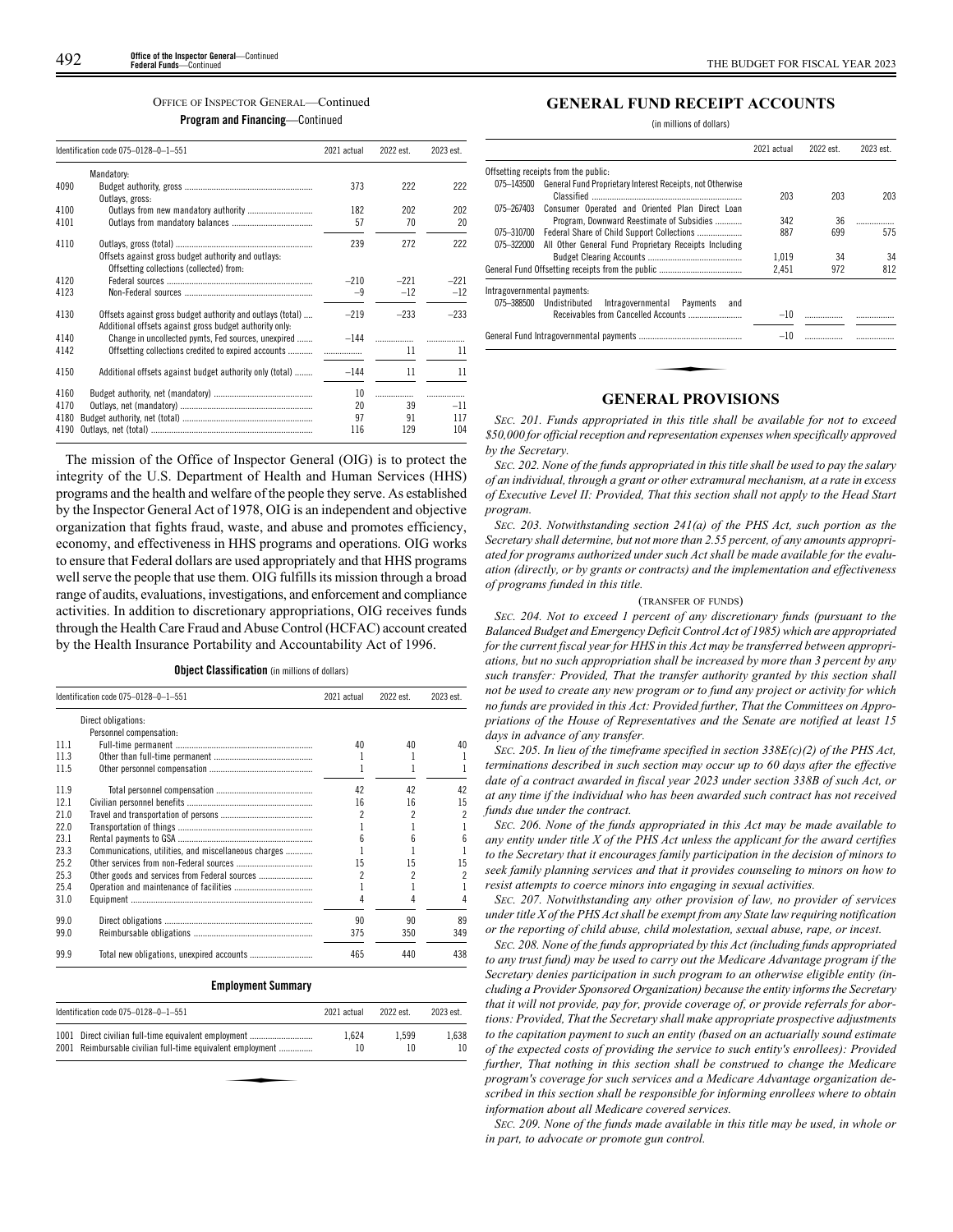### OFFICE OF INSPECTOR GENERAL—Continued

**Program and Financing**—Continued

| Identification code 075-0128-0-1-551 |                                                            | 2021 actual | 2022 est. | 2023 est. |
|--------------------------------------|------------------------------------------------------------|-------------|-----------|-----------|
|                                      | Mandatory:                                                 |             |           |           |
| 4090                                 |                                                            | 373         | 222       | 222       |
|                                      | Outlays, gross:                                            |             |           |           |
| 4100                                 |                                                            | 182         | 202       | 202       |
| 4101                                 |                                                            | 57          | 70        | 20        |
| 4110                                 |                                                            | 239         | 272       | 222       |
|                                      | Offsets against gross budget authority and outlays:        |             |           |           |
|                                      | Offsetting collections (collected) from:                   |             |           |           |
| 4120                                 |                                                            | $-210$      | $-221$    | $-221$    |
| 4123                                 |                                                            | $-9$        | $-12$     | $-12$     |
|                                      |                                                            |             |           |           |
| 4130                                 | Offsets against gross budget authority and outlays (total) | $-219$      | $-233$    | $-233$    |
|                                      | Additional offsets against gross budget authority only:    |             |           |           |
| 4140                                 | Change in uncollected pymts, Fed sources, unexpired        | $-144$      | .         |           |
| 4142                                 | Offsetting collections credited to expired accounts        |             | 11        | 11        |
|                                      |                                                            |             |           |           |
| 4150                                 | Additional offsets against budget authority only (total)   | $-144$      | 11        | 11        |
| 4160                                 |                                                            | 10          | .         |           |
| 4170                                 |                                                            | 20          | 39        | $-11$     |
| 4180                                 |                                                            | 97          | 91        | 117       |
| 4190                                 |                                                            | 116         | 129       | 104       |

The mission of the Office of Inspector General (OIG) is to protect the integrity of the U.S. Department of Health and Human Services (HHS) programs and the health and welfare of the people they serve. As established by the Inspector General Act of 1978, OIG is an independent and objective organization that fights fraud, waste, and abuse and promotes efficiency, economy, and effectiveness in HHS programs and operations. OIG works to ensure that Federal dollars are used appropriately and that HHS programs well serve the people that use them. OIG fulfills its mission through a broad range of audits, evaluations, investigations, and enforcement and compliance activities. In addition to discretionary appropriations, OIG receives funds through the Health Care Fraud and Abuse Control (HCFAC) account created by the Health Insurance Portability and Accountability Act of 1996.

**Object Classification** (in millions of dollars)

|      | Identification code 075-0128-0-1-551                 | 2021 actual | 2022 est. | 2023 est. |
|------|------------------------------------------------------|-------------|-----------|-----------|
|      | Direct obligations:                                  |             |           |           |
|      | Personnel compensation:                              |             |           |           |
| 111  |                                                      | 40          | 40        | 40        |
| 11.3 |                                                      |             |           |           |
| 11.5 |                                                      |             |           |           |
| 11.9 |                                                      | 42          | 42        | 42        |
| 12.1 |                                                      | 16          | 16        | 15        |
| 21.0 |                                                      | 2           | 2         | 2         |
| 22.0 |                                                      |             |           |           |
| 23.1 |                                                      |             | h         |           |
| 23.3 | Communications, utilities, and miscellaneous charges |             |           |           |
| 25.2 |                                                      | 15          | 15        | 15        |
| 25.3 |                                                      | 2           | 2         |           |
| 25.4 |                                                      |             |           |           |
| 31.0 |                                                      |             |           |           |
| 99.0 |                                                      | 90          | 90        | 89        |
| 99.0 |                                                      | 375         | 350       | 349       |
| 99.9 |                                                      | 465         | 440       | 438       |

# **Employment Summary**

| Identification code 075-0128-0-1-551                                                                               | 2021 actual | 2022 est.   | 2023 est.   |
|--------------------------------------------------------------------------------------------------------------------|-------------|-------------|-------------|
| 1001 Direct civilian full-time equivalent employment<br>2001 Reimbursable civilian full-time equivalent employment | 1.624<br>10 | 1.599<br>10 | 1.638<br>10 |
|                                                                                                                    |             |             |             |
|                                                                                                                    |             |             |             |

# **GENERAL FUND RECEIPT ACCOUNTS**

(in millions of dollars)

| 203<br>342<br>887<br>1.019 | 203<br>36<br>699<br>34 | 203<br>575<br>34 |
|----------------------------|------------------------|------------------|
|                            |                        |                  |
|                            |                        |                  |
|                            |                        |                  |
|                            |                        |                  |
| 2,451                      | 972                    | 812              |
|                            |                        |                  |
| $-10$                      |                        |                  |
| $-10$                      |                        |                  |
|                            |                        |                  |
|                            |                        |                  |

# **GENERAL PROVISIONS**

*SEC. 201. Funds appropriated in this title shall be available for not to exceed \$50,000 for official reception and representation expenses when specifically approved by the Secretary.*

*SEC. 202. None of the funds appropriated in this title shall be used to pay the salary of an individual, through a grant or other extramural mechanism, at a rate in excess of Executive Level II: Provided, That this section shall not apply to the Head Start program.*

*SEC. 203. Notwithstanding section 241(a) of the PHS Act, such portion as the Secretary shall determine, but not more than 2.55 percent, of any amounts appropriated for programs authorized under such Act shall be made available for the evaluation (directly, or by grants or contracts) and the implementation and effectiveness of programs funded in this title.*

# (TRANSFER OF FUNDS)

*SEC. 204. Not to exceed 1 percent of any discretionary funds (pursuant to the Balanced Budget and Emergency Deficit Control Act of 1985) which are appropriated for the current fiscal year for HHS in this Act may be transferred between appropriations, but no such appropriation shall be increased by more than 3 percent by any such transfer: Provided, That the transfer authority granted by this section shall not be used to create any new program or to fund any project or activity for which no funds are provided in this Act: Provided further, That the Committees on Appropriations of the House of Representatives and the Senate are notified at least 15 days in advance of any transfer.*

*SEC. 205. In lieu of the timeframe specified in section 338E(c)(2) of the PHS Act, terminations described in such section may occur up to 60 days after the effective date of a contract awarded in fiscal year 2023 under section 338B of such Act, or at any time if the individual who has been awarded such contract has not received funds due under the contract.*

*SEC. 206. None of the funds appropriated in this Act may be made available to any entity under title X of the PHS Act unless the applicant for the award certifies to the Secretary that it encourages family participation in the decision of minors to seek family planning services and that it provides counseling to minors on how to resist attempts to coerce minors into engaging in sexual activities.*

*SEC. 207. Notwithstanding any other provision of law, no provider of services under title X of the PHS Act shall be exempt from any State law requiring notification or the reporting of child abuse, child molestation, sexual abuse, rape, or incest.*

*SEC. 208. None of the funds appropriated by this Act (including funds appropriated to any trust fund) may be used to carry out the Medicare Advantage program if the Secretary denies participation in such program to an otherwise eligible entity (including a Provider Sponsored Organization) because the entity informs the Secretary that it will not provide, pay for, provide coverage of, or provide referrals for abortions: Provided, That the Secretary shall make appropriate prospective adjustments to the capitation payment to such an entity (based on an actuarially sound estimate of the expected costs of providing the service to such entity's enrollees): Provided further, That nothing in this section shall be construed to change the Medicare program's coverage for such services and a Medicare Advantage organization described in this section shall be responsible for informing enrollees where to obtain information about all Medicare covered services.*

*SEC. 209. None of the funds made available in this title may be used, in whole or in part, to advocate or promote gun control.*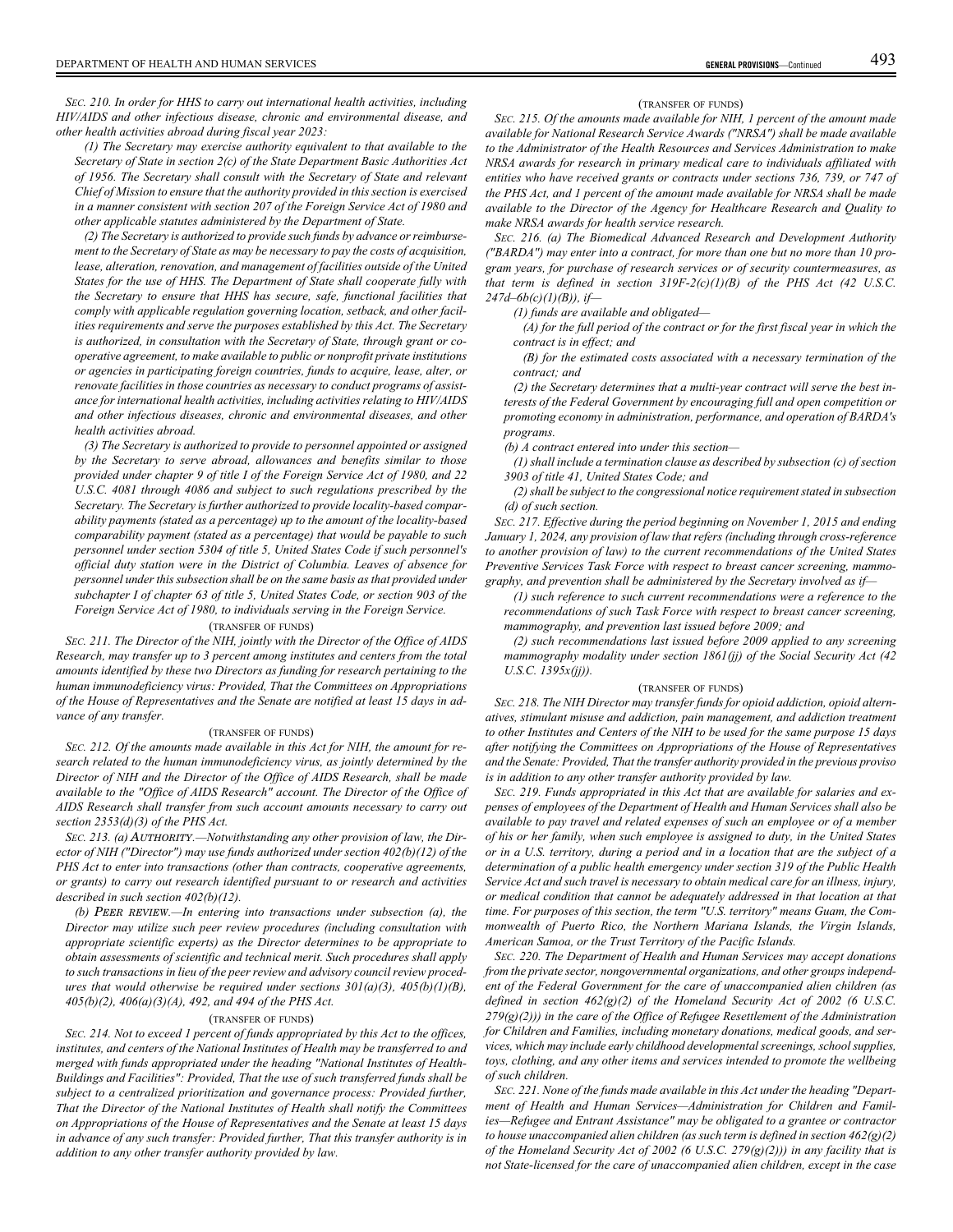*SEC. 210. In order for HHS to carry out international health activities, including HIV/AIDS and other infectious disease, chronic and environmental disease, and other health activities abroad during fiscal year 2023:*

*(1) The Secretary may exercise authority equivalent to that available to the Secretary of State in section 2(c) of the State Department Basic Authorities Act of 1956. The Secretary shall consult with the Secretary of State and relevant Chief of Mission to ensure that the authority provided in this section is exercised in a manner consistent with section 207 of the Foreign Service Act of 1980 and other applicable statutes administered by the Department of State.*

*(2) The Secretary is authorized to provide such funds by advance or reimbursement to the Secretary of State as may be necessary to pay the costs of acquisition, lease, alteration, renovation, and management of facilities outside of the United States for the use of HHS. The Department of State shall cooperate fully with the Secretary to ensure that HHS has secure, safe, functional facilities that comply with applicable regulation governing location, setback, and other facilities requirements and serve the purposes established by this Act. The Secretary is authorized, in consultation with the Secretary of State, through grant or cooperative agreement, to make available to public or nonprofit private institutions or agencies in participating foreign countries, funds to acquire, lease, alter, or renovate facilities in those countries as necessary to conduct programs of assistance for international health activities, including activities relating to HIV/AIDS and other infectious diseases, chronic and environmental diseases, and other health activities abroad.*

*(3) The Secretary is authorized to provide to personnel appointed or assigned by the Secretary to serve abroad, allowances and benefits similar to those provided under chapter 9 of title I of the Foreign Service Act of 1980, and 22 U.S.C. 4081 through 4086 and subject to such regulations prescribed by the Secretary. The Secretary is further authorized to provide locality-based comparability payments (stated as a percentage) up to the amount of the locality-based comparability payment (stated as a percentage) that would be payable to such personnel under section 5304 of title 5, United States Code if such personnel's official duty station were in the District of Columbia. Leaves of absence for personnel under this subsection shall be on the same basis as that provided under subchapter I of chapter 63 of title 5, United States Code, or section 903 of the Foreign Service Act of 1980, to individuals serving in the Foreign Service.*

# (TRANSFER OF FUNDS)

*SEC. 211. The Director of the NIH, jointly with the Director of the Office of AIDS Research, may transfer up to 3 percent among institutes and centers from the total amounts identified by these two Directors as funding for research pertaining to the human immunodeficiency virus: Provided, That the Committees on Appropriations of the House of Representatives and the Senate are notified at least 15 days in advance of any transfer.*

### (TRANSFER OF FUNDS)

*SEC. 212. Of the amounts made available in this Act for NIH, the amount for research related to the human immunodeficiency virus, as jointly determined by the Director of NIH and the Director of the Office of AIDS Research, shall be made available to the "Office of AIDS Research" account. The Director of the Office of AIDS Research shall transfer from such account amounts necessary to carry out section 2353(d)(3) of the PHS Act.*

*SEC. 213. (a)* AUTHORITY*.—Notwithstanding any other provision of law, the Director of NIH ("Director") may use funds authorized under section 402(b)(12) of the PHS Act to enter into transactions (other than contracts, cooperative agreements, or grants) to carry out research identified pursuant to or research and activities described in such section 402(b)(12).*

*(b)* PEER REVIEW*.—In entering into transactions under subsection (a), the Director may utilize such peer review procedures (including consultation with appropriate scientific experts) as the Director determines to be appropriate to obtain assessments of scientific and technical merit. Such procedures shall apply to such transactions in lieu of the peer review and advisory council review procedures that would otherwise be required under sections 301(a)(3), 405(b)(1)(B), 405(b)(2), 406(a)(3)(A), 492, and 494 of the PHS Act.*

#### (TRANSFER OF FUNDS)

*SEC. 214. Not to exceed 1 percent of funds appropriated by this Act to the offices, institutes, and centers of the National Institutes of Health may be transferred to and merged with funds appropriated under the heading "National Institutes of Health-Buildings and Facilities": Provided, That the use of such transferred funds shall be subject to a centralized prioritization and governance process: Provided further, That the Director of the National Institutes of Health shall notify the Committees on Appropriations of the House of Representatives and the Senate at least 15 days in advance of any such transfer: Provided further, That this transfer authority is in addition to any other transfer authority provided by law.*

#### (TRANSFER OF FUNDS)

*SEC. 215. Of the amounts made available for NIH, 1 percent of the amount made available for National Research Service Awards ("NRSA") shall be made available to the Administrator of the Health Resources and Services Administration to make NRSA awards for research in primary medical care to individuals affiliated with entities who have received grants or contracts under sections 736, 739, or 747 of the PHS Act, and 1 percent of the amount made available for NRSA shall be made available to the Director of the Agency for Healthcare Research and Quality to make NRSA awards for health service research.*

*SEC. 216. (a) The Biomedical Advanced Research and Development Authority ("BARDA") may enter into a contract, for more than one but no more than 10 program years, for purchase of research services or of security countermeasures, as that term is defined in section 319F-2(c)(1)(B) of the PHS Act (42 U.S.C. 247d–6b(c)(1)(B)), if—*

*(1) funds are available and obligated—*

*(A) for the full period of the contract or for the first fiscal year in which the contract is in effect; and*

*(B) for the estimated costs associated with a necessary termination of the contract; and*

*(2) the Secretary determines that a multi-year contract will serve the best interests of the Federal Government by encouraging full and open competition or promoting economy in administration, performance, and operation of BARDA's programs.*

*(b) A contract entered into under this section—*

*(1) shall include a termination clause as described by subsection (c) of section 3903 of title 41, United States Code; and*

*(2) shall be subject to the congressional notice requirement stated in subsection (d) of such section.*

*SEC. 217. Effective during the period beginning on November 1, 2015 and ending January 1, 2024, any provision of law that refers (including through cross-reference to another provision of law) to the current recommendations of the United States Preventive Services Task Force with respect to breast cancer screening, mammography, and prevention shall be administered by the Secretary involved as if—*

*(1) such reference to such current recommendations were a reference to the recommendations of such Task Force with respect to breast cancer screening, mammography, and prevention last issued before 2009; and*

*(2) such recommendations last issued before 2009 applied to any screening mammography modality under section 1861(jj) of the Social Security Act (42 U.S.C. 1395x(jj)).*

#### (TRANSFER OF FUNDS)

*SEC. 218. The NIH Director may transfer funds for opioid addiction, opioid alternatives, stimulant misuse and addiction, pain management, and addiction treatment to other Institutes and Centers of the NIH to be used for the same purpose 15 days after notifying the Committees on Appropriations of the House of Representatives and the Senate: Provided, That the transfer authority provided in the previous proviso is in addition to any other transfer authority provided by law.*

*SEC. 219. Funds appropriated in this Act that are available for salaries and expenses of employees of the Department of Health and Human Services shall also be available to pay travel and related expenses of such an employee or of a member of his or her family, when such employee is assigned to duty, in the United States or in a U.S. territory, during a period and in a location that are the subject of a determination of a public health emergency under section 319 of the Public Health Service Act and such travel is necessary to obtain medical care for an illness, injury, or medical condition that cannot be adequately addressed in that location at that time. For purposes of this section, the term "U.S. territory" means Guam, the Commonwealth of Puerto Rico, the Northern Mariana Islands, the Virgin Islands, American Samoa, or the Trust Territory of the Pacific Islands.*

*SEC. 220. The Department of Health and Human Services may accept donations from the private sector, nongovernmental organizations, and other groups independent of the Federal Government for the care of unaccompanied alien children (as defined in section 462(g)(2) of the Homeland Security Act of 2002 (6 U.S.C. 279(g)(2))) in the care of the Office of Refugee Resettlement of the Administration for Children and Families, including monetary donations, medical goods, and services, which may include early childhood developmental screenings, school supplies, toys, clothing, and any other items and services intended to promote the wellbeing of such children.*

*SEC. 221. None of the funds made available in this Act under the heading "Department of Health and Human Services—Administration for Children and Families—Refugee and Entrant Assistance" may be obligated to a grantee or contractor to house unaccompanied alien children (as such term is defined in section 462(g)(2) of the Homeland Security Act of 2002 (6 U.S.C. 279(g)(2))) in any facility that is not State-licensed for the care of unaccompanied alien children, except in the case*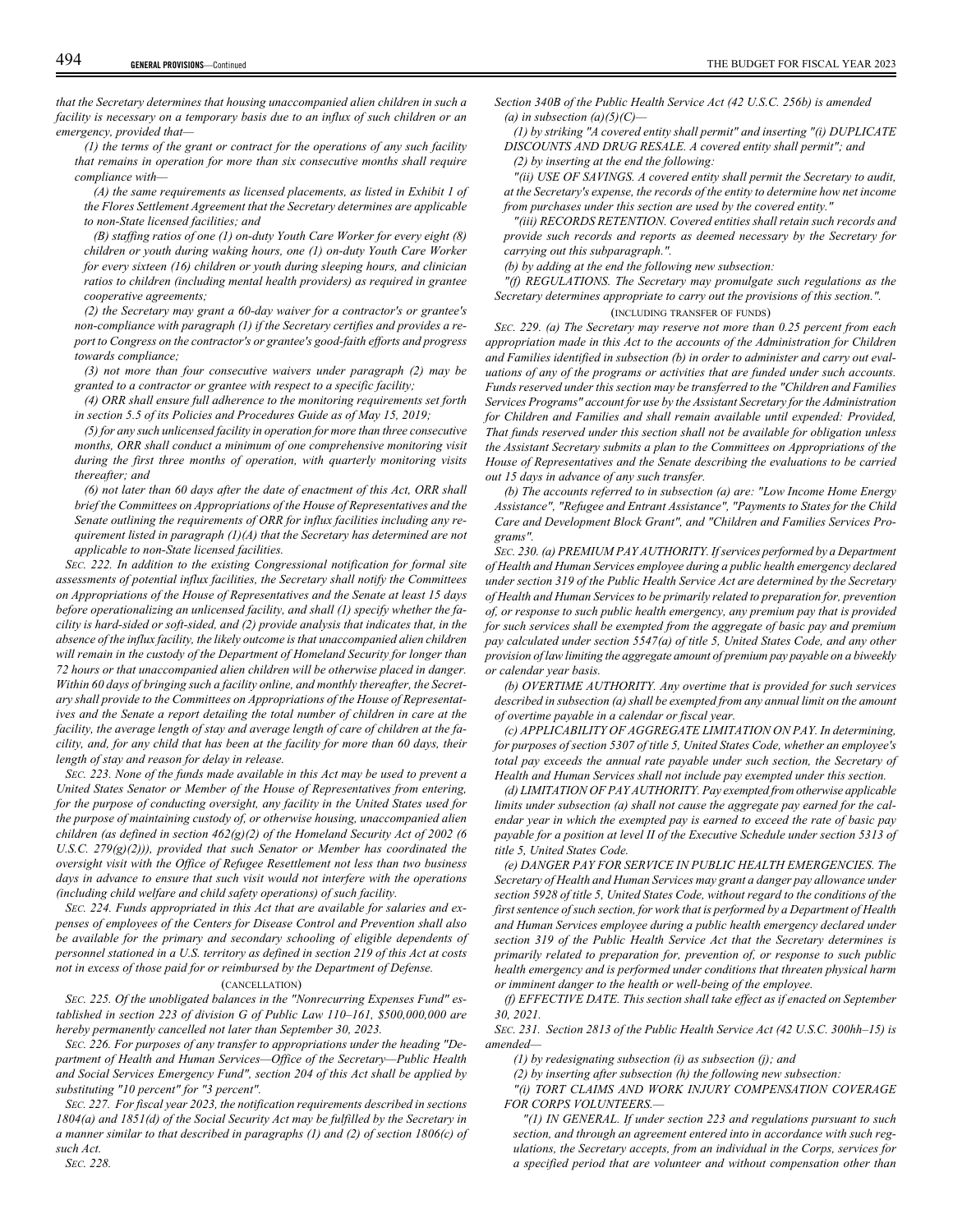*that the Secretary determines that housing unaccompanied alien children in such a facility is necessary on a temporary basis due to an influx of such children or an emergency, provided that—*

*(1) the terms of the grant or contract for the operations of any such facility that remains in operation for more than six consecutive months shall require compliance with—*

*(A) the same requirements as licensed placements, as listed in Exhibit 1 of the Flores Settlement Agreement that the Secretary determines are applicable to non-State licensed facilities; and*

*(B) staffing ratios of one (1) on-duty Youth Care Worker for every eight (8) children or youth during waking hours, one (1) on-duty Youth Care Worker for every sixteen (16) children or youth during sleeping hours, and clinician ratios to children (including mental health providers) as required in grantee cooperative agreements;*

*(2) the Secretary may grant a 60-day waiver for a contractor's or grantee's non-compliance with paragraph (1) if the Secretary certifies and provides a report to Congress on the contractor's or grantee's good-faith efforts and progress towards compliance;*

*(3) not more than four consecutive waivers under paragraph (2) may be granted to a contractor or grantee with respect to a specific facility;*

*(4) ORR shall ensure full adherence to the monitoring requirements set forth in section 5.5 of its Policies and Procedures Guide as of May 15, 2019;*

*(5) for any such unlicensed facility in operation for more than three consecutive months, ORR shall conduct a minimum of one comprehensive monitoring visit during the first three months of operation, with quarterly monitoring visits thereafter; and*

*(6) not later than 60 days after the date of enactment of this Act, ORR shall brief the Committees on Appropriations of the House of Representatives and the Senate outlining the requirements of ORR for influx facilities including any requirement listed in paragraph (1)(A) that the Secretary has determined are not applicable to non-State licensed facilities.*

*SEC. 222. In addition to the existing Congressional notification for formal site assessments of potential influx facilities, the Secretary shall notify the Committees on Appropriations of the House of Representatives and the Senate at least 15 days before operationalizing an unlicensed facility, and shall (1) specify whether the facility is hard-sided or soft-sided, and (2) provide analysis that indicates that, in the absence of the influx facility, the likely outcome is that unaccompanied alien children will remain in the custody of the Department of Homeland Security for longer than 72 hours or that unaccompanied alien children will be otherwise placed in danger. Within 60 days of bringing such a facility online, and monthly thereafter, the Secretary shall provide to the Committees on Appropriations of the House of Representatives and the Senate a report detailing the total number of children in care at the facility, the average length of stay and average length of care of children at the facility, and, for any child that has been at the facility for more than 60 days, their length of stay and reason for delay in release.*

*SEC. 223. None of the funds made available in this Act may be used to prevent a United States Senator or Member of the House of Representatives from entering, for the purpose of conducting oversight, any facility in the United States used for the purpose of maintaining custody of, or otherwise housing, unaccompanied alien children (as defined in section 462(g)(2) of the Homeland Security Act of 2002 (6 U.S.C. 279(g)(2))), provided that such Senator or Member has coordinated the oversight visit with the Office of Refugee Resettlement not less than two business days in advance to ensure that such visit would not interfere with the operations (including child welfare and child safety operations) of such facility.*

*SEC. 224. Funds appropriated in this Act that are available for salaries and expenses of employees of the Centers for Disease Control and Prevention shall also be available for the primary and secondary schooling of eligible dependents of personnel stationed in a U.S. territory as defined in section 219 of this Act at costs not in excess of those paid for or reimbursed by the Department of Defense.*

## (CANCELLATION)

*SEC. 225. Of the unobligated balances in the "Nonrecurring Expenses Fund" established in section 223 of division G of Public Law 110–161, \$500,000,000 are hereby permanently cancelled not later than September 30, 2023.*

*SEC. 226. For purposes of any transfer to appropriations under the heading "Department of Health and Human Services—Office of the Secretary—Public Health and Social Services Emergency Fund", section 204 of this Act shall be applied by substituting "10 percent" for "3 percent".*

*SEC. 227. For fiscal year 2023, the notification requirements described in sections 1804(a) and 1851(d) of the Social Security Act may be fulfilled by the Secretary in a manner similar to that described in paragraphs (1) and (2) of section 1806(c) of such Act.*

*Section 340B of the Public Health Service Act (42 U.S.C. 256b) is amended (a) in subsection (a)(5)(C)—*

*(1) by striking "A covered entity shall permit" and inserting "(i) DUPLICATE DISCOUNTS AND DRUG RESALE. A covered entity shall permit"; and (2) by inserting at the end the following:*

*"(ii) USE OF SAVINGS. A covered entity shall permit the Secretary to audit, at the Secretary's expense, the records of the entity to determine how net income from purchases under this section are used by the covered entity."*

*"(iii) RECORDS RETENTION. Covered entities shall retain such records and provide such records and reports as deemed necessary by the Secretary for carrying out this subparagraph.".*

*(b) by adding at the end the following new subsection:*

*"(f) REGULATIONS. The Secretary may promulgate such regulations as the Secretary determines appropriate to carry out the provisions of this section.".*

## (INCLUDING TRANSFER OF FUNDS)

*SEC. 229. (a) The Secretary may reserve not more than 0.25 percent from each appropriation made in this Act to the accounts of the Administration for Children and Families identified in subsection (b) in order to administer and carry out evaluations of any of the programs or activities that are funded under such accounts. Funds reserved under this section may be transferred to the "Children and Families Services Programs" account for use by the Assistant Secretary for the Administration for Children and Families and shall remain available until expended: Provided, That funds reserved under this section shall not be available for obligation unless the Assistant Secretary submits a plan to the Committees on Appropriations of the House of Representatives and the Senate describing the evaluations to be carried out 15 days in advance of any such transfer.*

*(b) The accounts referred to in subsection (a) are: "Low Income Home Energy Assistance", "Refugee and Entrant Assistance", "Payments to States for the Child Care and Development Block Grant", and "Children and Families Services Programs".*

*SEC. 230. (a) PREMIUM PAY AUTHORITY. If services performed by a Department of Health and Human Services employee during a public health emergency declared under section 319 of the Public Health Service Act are determined by the Secretary of Health and Human Services to be primarily related to preparation for, prevention of, or response to such public health emergency, any premium pay that is provided for such services shall be exempted from the aggregate of basic pay and premium pay calculated under section 5547(a) of title 5, United States Code, and any other provision of law limiting the aggregate amount of premium pay payable on a biweekly or calendar year basis.*

*(b) OVERTIME AUTHORITY. Any overtime that is provided for such services described in subsection (a) shall be exempted from any annual limit on the amount of overtime payable in a calendar or fiscal year.*

*(c) APPLICABILITY OF AGGREGATE LIMITATION ON PAY. In determining, for purposes of section 5307 of title 5, United States Code, whether an employee's total pay exceeds the annual rate payable under such section, the Secretary of Health and Human Services shall not include pay exempted under this section.*

*(d) LIMITATION OF PAY AUTHORITY. Pay exempted from otherwise applicable limits under subsection (a) shall not cause the aggregate pay earned for the calendar year in which the exempted pay is earned to exceed the rate of basic pay payable for a position at level II of the Executive Schedule under section 5313 of title 5, United States Code.*

*(e) DANGER PAY FOR SERVICE IN PUBLIC HEALTH EMERGENCIES. The Secretary of Health and Human Services may grant a danger pay allowance under section 5928 of title 5, United States Code, without regard to the conditions of the first sentence of such section, for work that is performed by a Department of Health and Human Services employee during a public health emergency declared under section 319 of the Public Health Service Act that the Secretary determines is primarily related to preparation for, prevention of, or response to such public health emergency and is performed under conditions that threaten physical harm or imminent danger to the health or well-being of the employee.*

*(f) EFFECTIVE DATE. This section shall take effect as if enacted on September 30, 2021.*

*SEC. 231. Section 2813 of the Public Health Service Act (42 U.S.C. 300hh–15) is amended—*

*(1) by redesignating subsection (i) as subsection (j); and*

*(2) by inserting after subsection (h) the following new subsection:*

*"(i) TORT CLAIMS AND WORK INJURY COMPENSATION COVERAGE FOR CORPS VOLUNTEERS.—*

*"(1) IN GENERAL. If under section 223 and regulations pursuant to such section, and through an agreement entered into in accordance with such regulations, the Secretary accepts, from an individual in the Corps, services for a specified period that are volunteer and without compensation other than*

*SEC. 228.*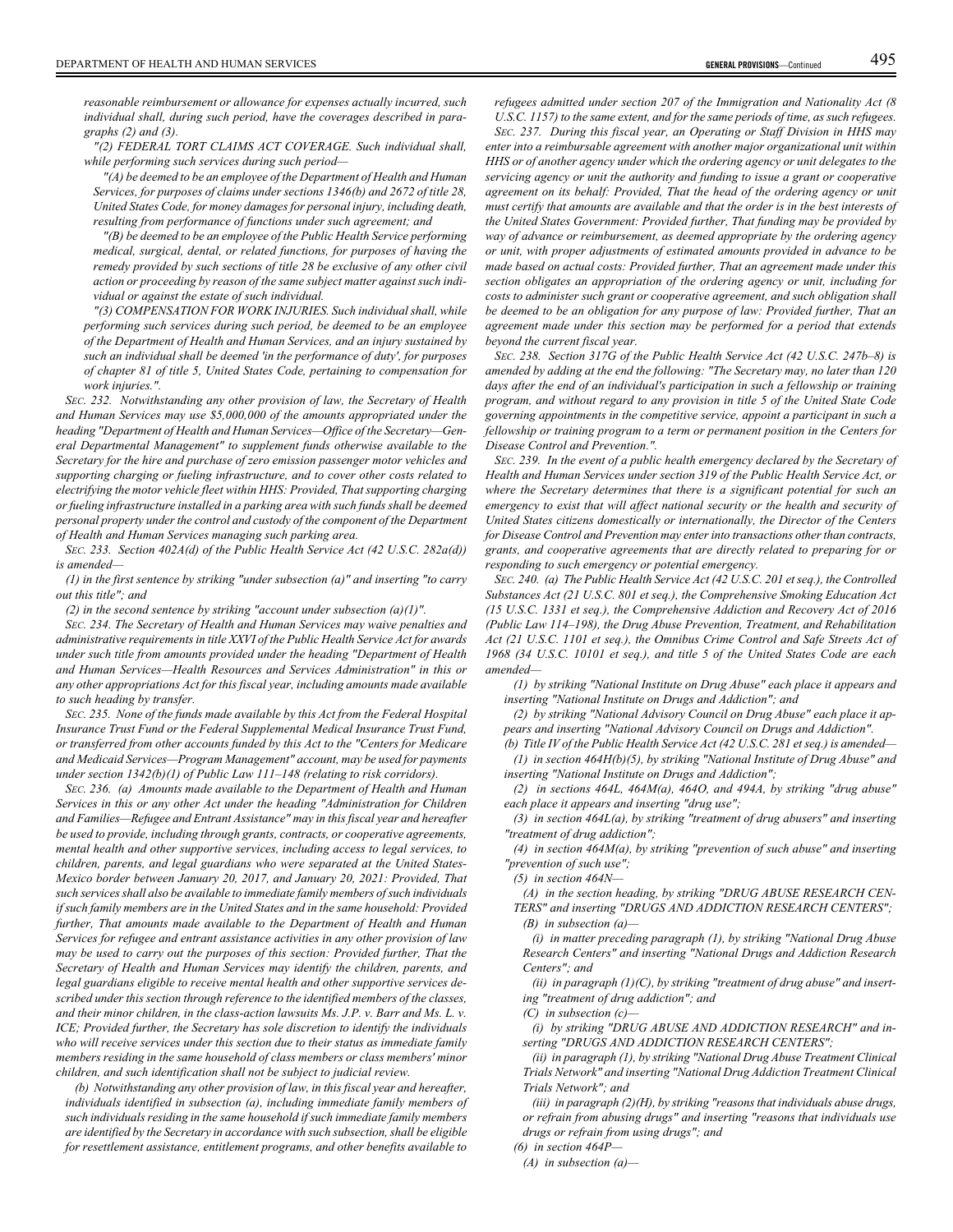*reasonable reimbursement or allowance for expenses actually incurred, such individual shall, during such period, have the coverages described in paragraphs (2) and (3).*

*"(2) FEDERAL TORT CLAIMS ACT COVERAGE. Such individual shall, while performing such services during such period—*

*"(A) be deemed to be an employee of the Department of Health and Human Services, for purposes of claims under sections 1346(b) and 2672 of title 28, United States Code, for money damages for personal injury, including death, resulting from performance of functions under such agreement; and*

*"(B) be deemed to be an employee of the Public Health Service performing medical, surgical, dental, or related functions, for purposes of having the remedy provided by such sections of title 28 be exclusive of any other civil action or proceeding by reason of the same subject matter against such individual or against the estate of such individual.*

*"(3) COMPENSATION FOR WORK INJURIES. Such individual shall, while performing such services during such period, be deemed to be an employee of the Department of Health and Human Services, and an injury sustained by such an individual shall be deemed 'in the performance of duty', for purposes of chapter 81 of title 5, United States Code, pertaining to compensation for work injuries.".*

*SEC. 232. Notwithstanding any other provision of law, the Secretary of Health and Human Services may use \$5,000,000 of the amounts appropriated under the heading "Department of Health and Human Services—Office of the Secretary—General Departmental Management" to supplement funds otherwise available to the Secretary for the hire and purchase of zero emission passenger motor vehicles and supporting charging or fueling infrastructure, and to cover other costs related to electrifying the motor vehicle fleet within HHS: Provided, That supporting charging or fueling infrastructure installed in a parking area with such funds shall be deemed personal property under the control and custody of the component of the Department of Health and Human Services managing such parking area.*

*SEC. 233. Section 402A(d) of the Public Health Service Act (42 U.S.C. 282a(d)) is amended—*

*(1) in the first sentence by striking "under subsection (a)" and inserting "to carry out this title"; and*

*(2) in the second sentence by striking "account under subsection (a)(1)".*

*SEC. 234. The Secretary of Health and Human Services may waive penalties and administrative requirements in title XXVI of the Public Health Service Act for awards under such title from amounts provided under the heading "Department of Health and Human Services—Health Resources and Services Administration" in this or any other appropriations Act for this fiscal year, including amounts made available to such heading by transfer.*

*SEC. 235. None of the funds made available by this Act from the Federal Hospital Insurance Trust Fund or the Federal Supplemental Medical Insurance Trust Fund, or transferred from other accounts funded by this Act to the "Centers for Medicare and Medicaid Services—Program Management" account, may be used for payments under section 1342(b)(1) of Public Law 111–148 (relating to risk corridors).*

*SEC. 236. (a) Amounts made available to the Department of Health and Human Services in this or any other Act under the heading "Administration for Children and Families—Refugee and Entrant Assistance" may in this fiscal year and hereafter be used to provide, including through grants, contracts, or cooperative agreements, mental health and other supportive services, including access to legal services, to children, parents, and legal guardians who were separated at the United States-Mexico border between January 20, 2017, and January 20, 2021: Provided, That such services shall also be available to immediate family members of such individuals if such family members are in the United States and in the same household: Provided further, That amounts made available to the Department of Health and Human Services for refugee and entrant assistance activities in any other provision of law may be used to carry out the purposes of this section: Provided further, That the Secretary of Health and Human Services may identify the children, parents, and legal guardians eligible to receive mental health and other supportive services described under this section through reference to the identified members of the classes, and their minor children, in the class-action lawsuits Ms. J.P. v. Barr and Ms. L. v. ICE; Provided further, the Secretary has sole discretion to identify the individuals who will receive services under this section due to their status as immediate family members residing in the same household of class members or class members' minor children, and such identification shall not be subject to judicial review.*

*(b) Notwithstanding any other provision of law, in this fiscal year and hereafter, individuals identified in subsection (a), including immediate family members of such individuals residing in the same household if such immediate family members are identified by the Secretary in accordance with such subsection, shall be eligible for resettlement assistance, entitlement programs, and other benefits available to*

*refugees admitted under section 207 of the Immigration and Nationality Act (8 U.S.C. 1157) to the same extent, and for the same periods of time, as such refugees.*

*SEC. 237. During this fiscal year, an Operating or Staff Division in HHS may enter into a reimbursable agreement with another major organizational unit within HHS or of another agency under which the ordering agency or unit delegates to the servicing agency or unit the authority and funding to issue a grant or cooperative agreement on its behalf: Provided, That the head of the ordering agency or unit must certify that amounts are available and that the order is in the best interests of the United States Government: Provided further, That funding may be provided by way of advance or reimbursement, as deemed appropriate by the ordering agency or unit, with proper adjustments of estimated amounts provided in advance to be made based on actual costs: Provided further, That an agreement made under this section obligates an appropriation of the ordering agency or unit, including for costs to administer such grant or cooperative agreement, and such obligation shall be deemed to be an obligation for any purpose of law: Provided further, That an agreement made under this section may be performed for a period that extends beyond the current fiscal year.*

*SEC. 238. Section 317G of the Public Health Service Act (42 U.S.C. 247b–8) is amended by adding at the end the following: "The Secretary may, no later than 120 days after the end of an individual's participation in such a fellowship or training program, and without regard to any provision in title 5 of the United State Code governing appointments in the competitive service, appoint a participant in such a fellowship or training program to a term or permanent position in the Centers for Disease Control and Prevention.".*

*SEC. 239. In the event of a public health emergency declared by the Secretary of Health and Human Services under section 319 of the Public Health Service Act, or where the Secretary determines that there is a significant potential for such an emergency to exist that will affect national security or the health and security of United States citizens domestically or internationally, the Director of the Centers for Disease Control and Prevention may enter into transactions other than contracts, grants, and cooperative agreements that are directly related to preparing for or responding to such emergency or potential emergency.*

*SEC. 240. (a) The Public Health Service Act (42 U.S.C. 201 et seq.), the Controlled Substances Act (21 U.S.C. 801 et seq.), the Comprehensive Smoking Education Act (15 U.S.C. 1331 et seq.), the Comprehensive Addiction and Recovery Act of 2016 (Public Law 114–198), the Drug Abuse Prevention, Treatment, and Rehabilitation Act (21 U.S.C. 1101 et seq.), the Omnibus Crime Control and Safe Streets Act of 1968 (34 U.S.C. 10101 et seq.), and title 5 of the United States Code are each amended—*

*(1) by striking "National Institute on Drug Abuse" each place it appears and inserting "National Institute on Drugs and Addiction"; and*

*(2) by striking "National Advisory Council on Drug Abuse" each place it appears and inserting "National Advisory Council on Drugs and Addiction".*

*(b) Title IV of the Public Health Service Act (42 U.S.C. 281 et seq.) is amended— (1) in section 464H(b)(5), by striking "National Institute of Drug Abuse" and inserting "National Institute on Drugs and Addiction";*

*(2) in sections 464L, 464M(a), 464O, and 494A, by striking "drug abuse" each place it appears and inserting "drug use";*

*(3) in section 464L(a), by striking "treatment of drug abusers" and inserting "treatment of drug addiction";*

*(4) in section 464M(a), by striking "prevention of such abuse" and inserting "prevention of such use";*

*(5) in section 464N—*

*(A) in the section heading, by striking "DRUG ABUSE RESEARCH CEN-TERS" and inserting "DRUGS AND ADDICTION RESEARCH CENTERS"; (B) in subsection (a)—*

*(i) in matter preceding paragraph (1), by striking "National Drug Abuse Research Centers" and inserting "National Drugs and Addiction Research Centers"; and*

*(ii) in paragraph (1)(C), by striking "treatment of drug abuse" and inserting "treatment of drug addiction"; and*

*(C) in subsection (c)—*

*(i) by striking "DRUG ABUSE AND ADDICTION RESEARCH" and inserting "DRUGS AND ADDICTION RESEARCH CENTERS";*

*(ii) in paragraph (1), by striking "National Drug Abuse Treatment Clinical Trials Network" and inserting "National Drug Addiction Treatment Clinical Trials Network"; and*

*(iii) in paragraph (2)(H), by striking "reasons that individuals abuse drugs, or refrain from abusing drugs" and inserting "reasons that individuals use drugs or refrain from using drugs"; and*

*(6) in section 464P—*

*(A) in subsection (a)—*